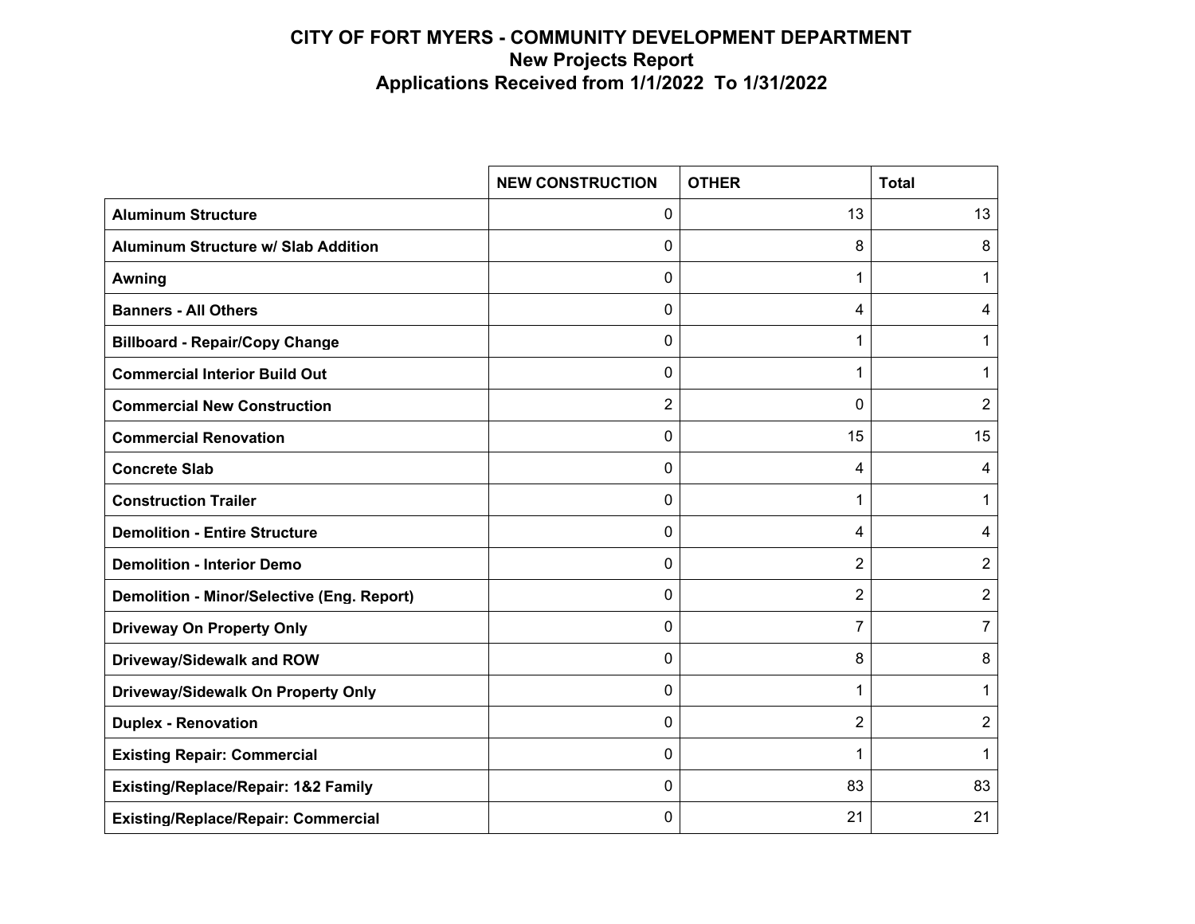|                                                   | <b>NEW CONSTRUCTION</b> | <b>OTHER</b>   | <b>Total</b>   |
|---------------------------------------------------|-------------------------|----------------|----------------|
| <b>Aluminum Structure</b>                         | $\Omega$                | 13             | 13             |
| <b>Aluminum Structure w/ Slab Addition</b>        | 0                       | 8              | 8              |
| <b>Awning</b>                                     | 0                       | 1              | 1              |
| <b>Banners - All Others</b>                       | 0                       | 4              | 4              |
| <b>Billboard - Repair/Copy Change</b>             | $\Omega$                | 1              | 1              |
| <b>Commercial Interior Build Out</b>              | 0                       | 1              | 1              |
| <b>Commercial New Construction</b>                | 2                       | 0              | $\overline{2}$ |
| <b>Commercial Renovation</b>                      | 0                       | 15             | 15             |
| <b>Concrete Slab</b>                              | $\Omega$                | 4              | 4              |
| <b>Construction Trailer</b>                       | 0                       | 1              | 1              |
| <b>Demolition - Entire Structure</b>              | $\Omega$                | 4              | 4              |
| <b>Demolition - Interior Demo</b>                 | 0                       | 2              | 2              |
| <b>Demolition - Minor/Selective (Eng. Report)</b> | 0                       | $\overline{2}$ | 2              |
| <b>Driveway On Property Only</b>                  | $\mathbf{0}$            | $\overline{7}$ | 7              |
| Driveway/Sidewalk and ROW                         | 0                       | 8              | 8              |
| Driveway/Sidewalk On Property Only                | $\Omega$                | 1              | 1              |
| <b>Duplex - Renovation</b>                        | $\Omega$                | 2              | 2              |
| <b>Existing Repair: Commercial</b>                | $\mathbf{0}$            | 1              | 1              |
| <b>Existing/Replace/Repair: 1&amp;2 Family</b>    | 0                       | 83             | 83             |
| <b>Existing/Replace/Repair: Commercial</b>        | 0                       | 21             | 21             |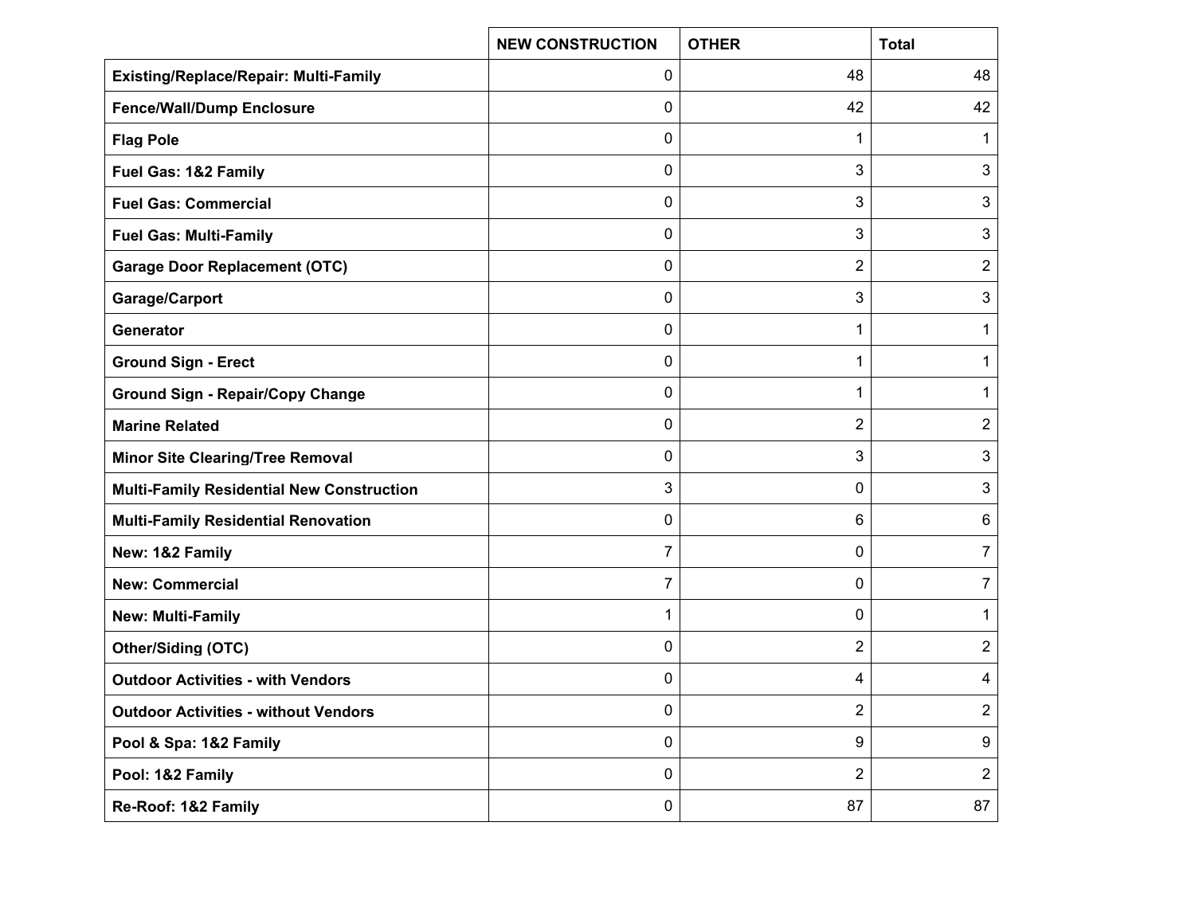|                                                  | <b>NEW CONSTRUCTION</b> | <b>OTHER</b>   | <b>Total</b>   |
|--------------------------------------------------|-------------------------|----------------|----------------|
| <b>Existing/Replace/Repair: Multi-Family</b>     | 0                       | 48             | 48             |
| <b>Fence/Wall/Dump Enclosure</b>                 | 0                       | 42             | 42             |
| <b>Flag Pole</b>                                 | 0                       | 1              | 1              |
| Fuel Gas: 1&2 Family                             | 0                       | 3              | 3              |
| <b>Fuel Gas: Commercial</b>                      | 0                       | 3              | 3              |
| <b>Fuel Gas: Multi-Family</b>                    | 0                       | 3              | 3              |
| <b>Garage Door Replacement (OTC)</b>             | 0                       | 2              | 2              |
| Garage/Carport                                   | 0                       | 3              | 3              |
| Generator                                        | 0                       | 1              | 1              |
| <b>Ground Sign - Erect</b>                       | 0                       | 1              | $\mathbf 1$    |
| <b>Ground Sign - Repair/Copy Change</b>          | 0                       | 1              | 1              |
| <b>Marine Related</b>                            | 0                       | 2              | $\overline{2}$ |
| <b>Minor Site Clearing/Tree Removal</b>          | 0                       | 3              | 3              |
| <b>Multi-Family Residential New Construction</b> | 3                       | 0              | 3              |
| <b>Multi-Family Residential Renovation</b>       | 0                       | 6              | 6              |
| New: 1&2 Family                                  | 7                       | 0              | $\overline{7}$ |
| <b>New: Commercial</b>                           | 7                       | 0              | 7              |
| New: Multi-Family                                | 1                       | 0              | 1              |
| <b>Other/Siding (OTC)</b>                        | 0                       | 2              | 2              |
| <b>Outdoor Activities - with Vendors</b>         | 0                       | 4              | 4              |
| <b>Outdoor Activities - without Vendors</b>      | 0                       | 2              | $\overline{2}$ |
| Pool & Spa: 1&2 Family                           | $\pmb{0}$               | 9              | 9              |
| Pool: 1&2 Family                                 | 0                       | $\overline{2}$ | $\overline{2}$ |
| Re-Roof: 1&2 Family                              | $\pmb{0}$               | 87             | 87             |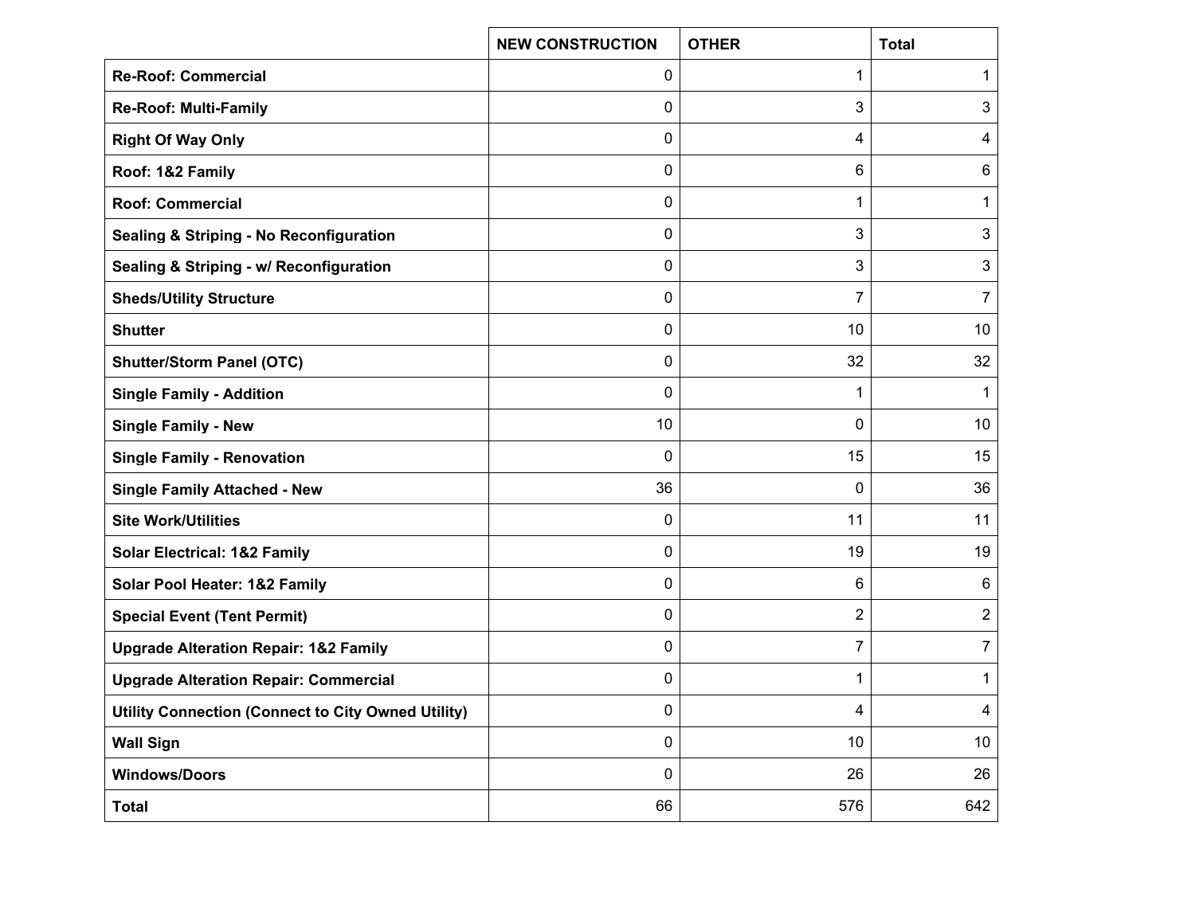|                                                    | <b>NEW CONSTRUCTION</b> | <b>OTHER</b> | <b>Total</b>    |
|----------------------------------------------------|-------------------------|--------------|-----------------|
| <b>Re-Roof: Commercial</b>                         | 0                       | 1            | 1               |
| <b>Re-Roof: Multi-Family</b>                       | 0                       | 3            | 3               |
| <b>Right Of Way Only</b>                           | 0                       | 4            | 4               |
| Roof: 1&2 Family                                   | 0                       | 6            | $6\phantom{1}6$ |
| <b>Roof: Commercial</b>                            | 0                       | 1            | 1               |
| <b>Sealing &amp; Striping - No Reconfiguration</b> | 0                       | 3            | 3               |
| Sealing & Striping - w/ Reconfiguration            | 0                       | 3            | 3               |
| <b>Sheds/Utility Structure</b>                     | 0                       | 7            | $\overline{7}$  |
| <b>Shutter</b>                                     | 0                       | 10           | 10              |
| <b>Shutter/Storm Panel (OTC)</b>                   | 0                       | 32           | 32              |
| <b>Single Family - Addition</b>                    | 0                       | 1            | 1               |
| <b>Single Family - New</b>                         | 10                      | 0            | 10              |
| <b>Single Family - Renovation</b>                  | 0                       | 15           | 15              |
| <b>Single Family Attached - New</b>                | 36                      | 0            | 36              |
| <b>Site Work/Utilities</b>                         | 0                       | 11           | 11              |
| <b>Solar Electrical: 1&amp;2 Family</b>            | 0                       | 19           | 19              |
| Solar Pool Heater: 1&2 Family                      | 0                       | 6            | 6               |
| <b>Special Event (Tent Permit)</b>                 | 0                       | 2            | $\sqrt{2}$      |
| <b>Upgrade Alteration Repair: 1&amp;2 Family</b>   | 0                       | 7            | 7               |
| <b>Upgrade Alteration Repair: Commercial</b>       | 0                       | 1            | $\mathbf 1$     |
| Utility Connection (Connect to City Owned Utility) | 0                       | 4            | 4               |
| <b>Wall Sign</b>                                   | 0                       | 10           | 10 <sup>°</sup> |
| <b>Windows/Doors</b>                               | 0                       | 26           | 26              |
| <b>Total</b>                                       | 66                      | 576          | 642             |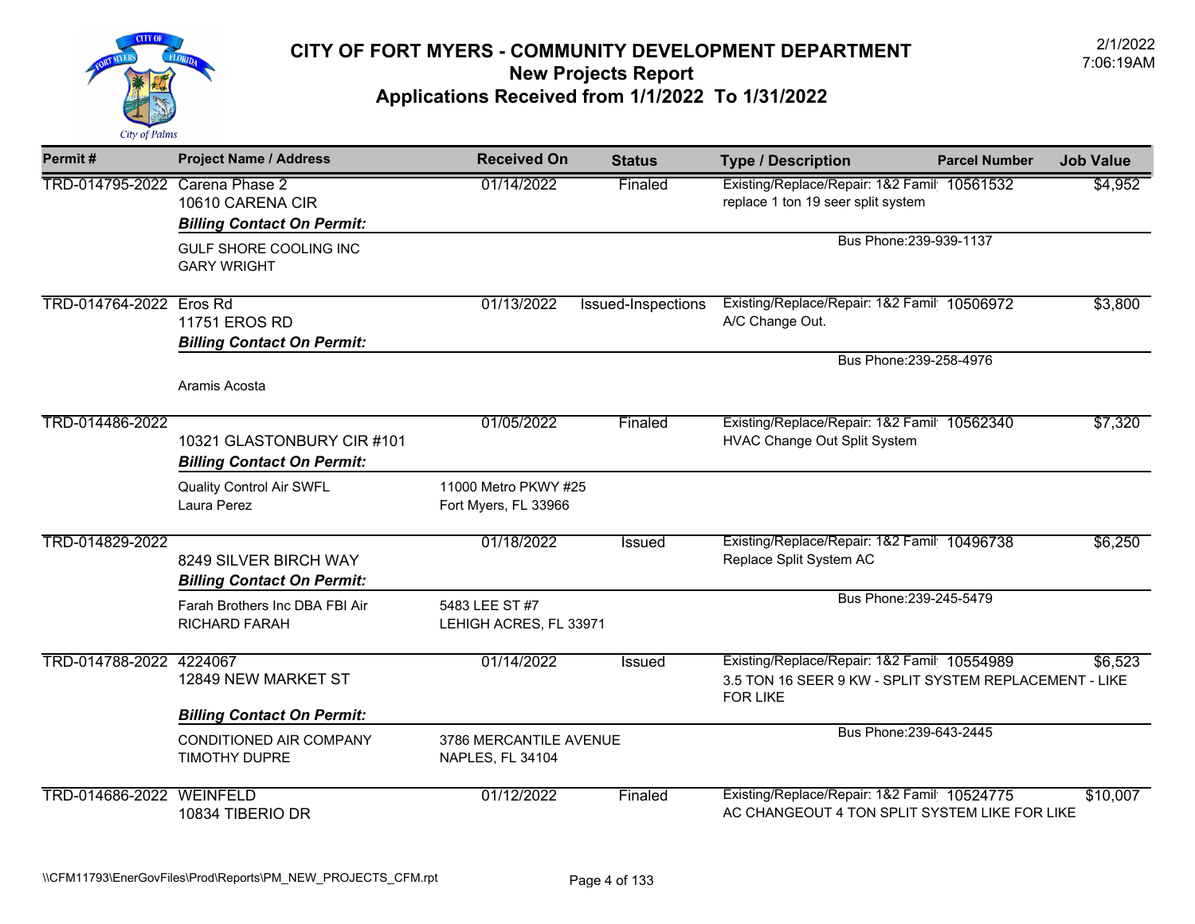

| Permit#                        | <b>Project Name / Address</b>                                   | <b>Received On</b>                                | <b>Status</b>             | <b>Type / Description</b>                                                                                                | <b>Parcel Number</b>    | <b>Job Value</b> |
|--------------------------------|-----------------------------------------------------------------|---------------------------------------------------|---------------------------|--------------------------------------------------------------------------------------------------------------------------|-------------------------|------------------|
| TRD-014795-2022 Carena Phase 2 | 10610 CARENA CIR<br><b>Billing Contact On Permit:</b>           | 01/14/2022                                        | Finaled                   | Existing/Replace/Repair: 1&2 Famil 10561532<br>replace 1 ton 19 seer split system                                        |                         | \$4,952          |
|                                | GULF SHORE COOLING INC<br><b>GARY WRIGHT</b>                    |                                                   |                           |                                                                                                                          | Bus Phone: 239-939-1137 |                  |
| TRD-014764-2022 Eros Rd        | 11751 EROS RD<br><b>Billing Contact On Permit:</b>              | 01/13/2022                                        | <b>Issued-Inspections</b> | Existing/Replace/Repair: 1&2 Famil 10506972<br>A/C Change Out.                                                           |                         | \$3,800          |
|                                | Aramis Acosta                                                   |                                                   |                           |                                                                                                                          | Bus Phone: 239-258-4976 |                  |
| TRD-014486-2022                | 10321 GLASTONBURY CIR #101<br><b>Billing Contact On Permit:</b> | 01/05/2022                                        | Finaled                   | Existing/Replace/Repair: 1&2 Famil 10562340<br><b>HVAC Change Out Split System</b>                                       |                         | \$7,320          |
|                                | <b>Quality Control Air SWFL</b><br>Laura Perez                  | 11000 Metro PKWY #25<br>Fort Myers, FL 33966      |                           |                                                                                                                          |                         |                  |
| TRD-014829-2022                | 8249 SILVER BIRCH WAY<br><b>Billing Contact On Permit:</b>      | 01/18/2022                                        | Issued                    | Existing/Replace/Repair: 1&2 Famil 10496738<br>Replace Split System AC                                                   |                         | \$6,250          |
|                                | Farah Brothers Inc DBA FBI Air<br>RICHARD FARAH                 | 5483 LEE ST #7<br>LEHIGH ACRES, FL 33971          |                           |                                                                                                                          | Bus Phone: 239-245-5479 |                  |
| TRD-014788-2022 4224067        | 12849 NEW MARKET ST<br><b>Billing Contact On Permit:</b>        | 01/14/2022                                        | Issued                    | Existing/Replace/Repair: 1&2 Famil 10554989<br>3.5 TON 16 SEER 9 KW - SPLIT SYSTEM REPLACEMENT - LIKE<br><b>FOR LIKE</b> |                         | \$6,523          |
|                                | CONDITIONED AIR COMPANY<br>TIMOTHY DUPRE                        | 3786 MERCANTILE AVENUE<br><b>NAPLES, FL 34104</b> |                           |                                                                                                                          | Bus Phone: 239-643-2445 |                  |
| TRD-014686-2022                | WEINFELD<br>10834 TIBERIO DR                                    | 01/12/2022                                        | Finaled                   | Existing/Replace/Repair: 1&2 Famil 10524775<br>AC CHANGEOUT 4 TON SPLIT SYSTEM LIKE FOR LIKE                             |                         | \$10,007         |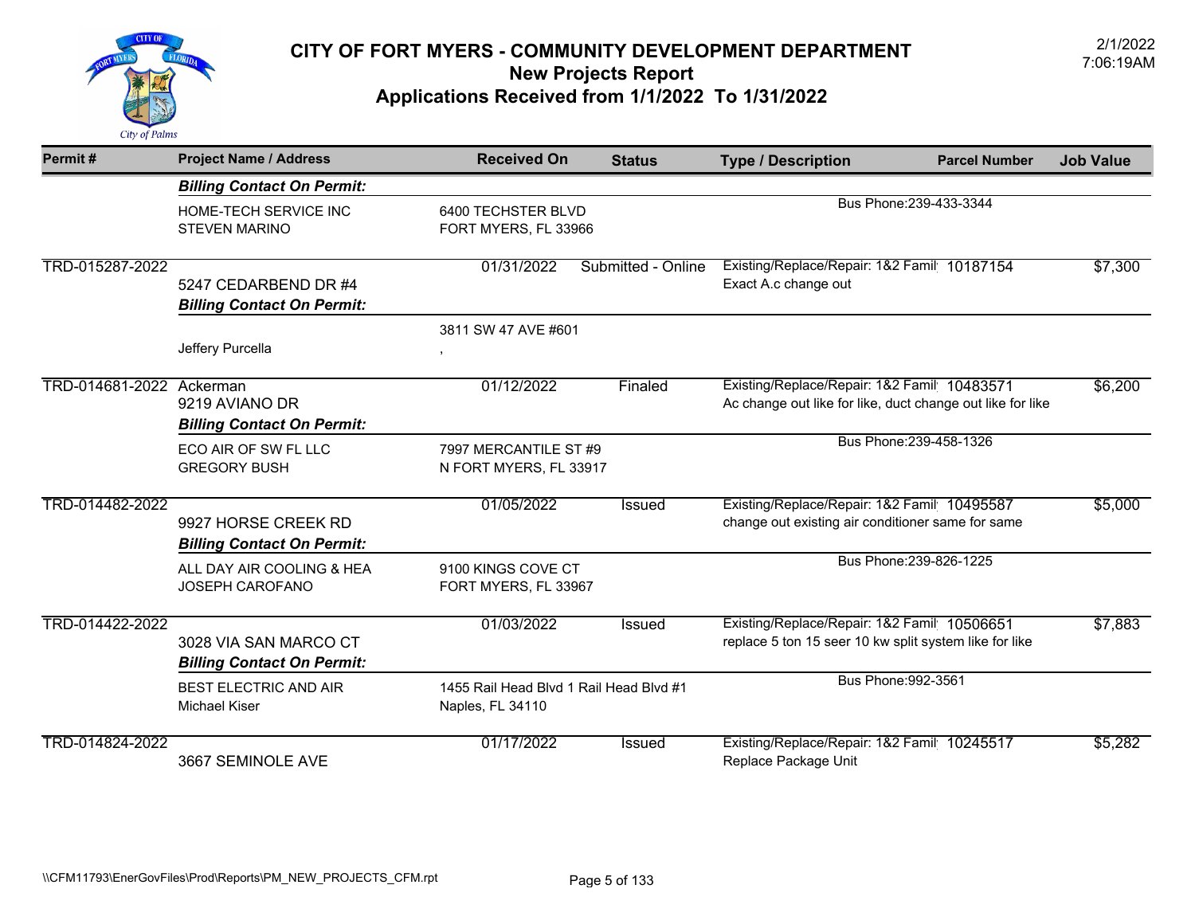

| Permit#                  | <b>Project Name / Address</b>                              | <b>Received On</b>                                          | <b>Status</b>      | <b>Type / Description</b>                                                                                 | <b>Parcel Number</b>    | <b>Job Value</b> |
|--------------------------|------------------------------------------------------------|-------------------------------------------------------------|--------------------|-----------------------------------------------------------------------------------------------------------|-------------------------|------------------|
|                          | <b>Billing Contact On Permit:</b>                          |                                                             |                    |                                                                                                           |                         |                  |
|                          | HOME-TECH SERVICE INC<br><b>STEVEN MARINO</b>              | 6400 TECHSTER BLVD<br>FORT MYERS, FL 33966                  |                    |                                                                                                           | Bus Phone: 239-433-3344 |                  |
| TRD-015287-2022          | 5247 CEDARBEND DR #4<br><b>Billing Contact On Permit:</b>  | 01/31/2022                                                  | Submitted - Online | Existing/Replace/Repair: 1&2 Famil 10187154<br>Exact A.c change out                                       |                         | \$7,300          |
|                          | Jeffery Purcella                                           | 3811 SW 47 AVE #601                                         |                    |                                                                                                           |                         |                  |
| TRD-014681-2022 Ackerman | 9219 AVIANO DR<br><b>Billing Contact On Permit:</b>        | 01/12/2022                                                  | Finaled            | Existing/Replace/Repair: 1&2 Famil 10483571<br>Ac change out like for like, duct change out like for like |                         | \$6,200          |
|                          | ECO AIR OF SW FL LLC<br><b>GREGORY BUSH</b>                | 7997 MERCANTILE ST #9<br>N FORT MYERS, FL 33917             |                    |                                                                                                           | Bus Phone: 239-458-1326 |                  |
| TRD-014482-2022          | 9927 HORSE CREEK RD<br><b>Billing Contact On Permit:</b>   | 01/05/2022                                                  | <b>Issued</b>      | Existing/Replace/Repair: 1&2 Famil 10495587<br>change out existing air conditioner same for same          |                         | \$5,000          |
|                          | ALL DAY AIR COOLING & HEA<br>JOSEPH CAROFANO               | 9100 KINGS COVE CT<br>FORT MYERS, FL 33967                  |                    |                                                                                                           | Bus Phone: 239-826-1225 |                  |
| TRD-014422-2022          | 3028 VIA SAN MARCO CT<br><b>Billing Contact On Permit:</b> | 01/03/2022                                                  | <b>Issued</b>      | Existing/Replace/Repair: 1&2 Famil 10506651<br>replace 5 ton 15 seer 10 kw split system like for like     |                         | \$7,883          |
|                          | <b>BEST ELECTRIC AND AIR</b><br>Michael Kiser              | 1455 Rail Head Blvd 1 Rail Head Blvd #1<br>Naples, FL 34110 |                    | Bus Phone: 992-3561                                                                                       |                         |                  |
| TRD-014824-2022          | 3667 SEMINOLE AVE                                          | 01/17/2022                                                  | <b>Issued</b>      | Existing/Replace/Repair: 1&2 Famil 10245517<br>Replace Package Unit                                       |                         | \$5,282          |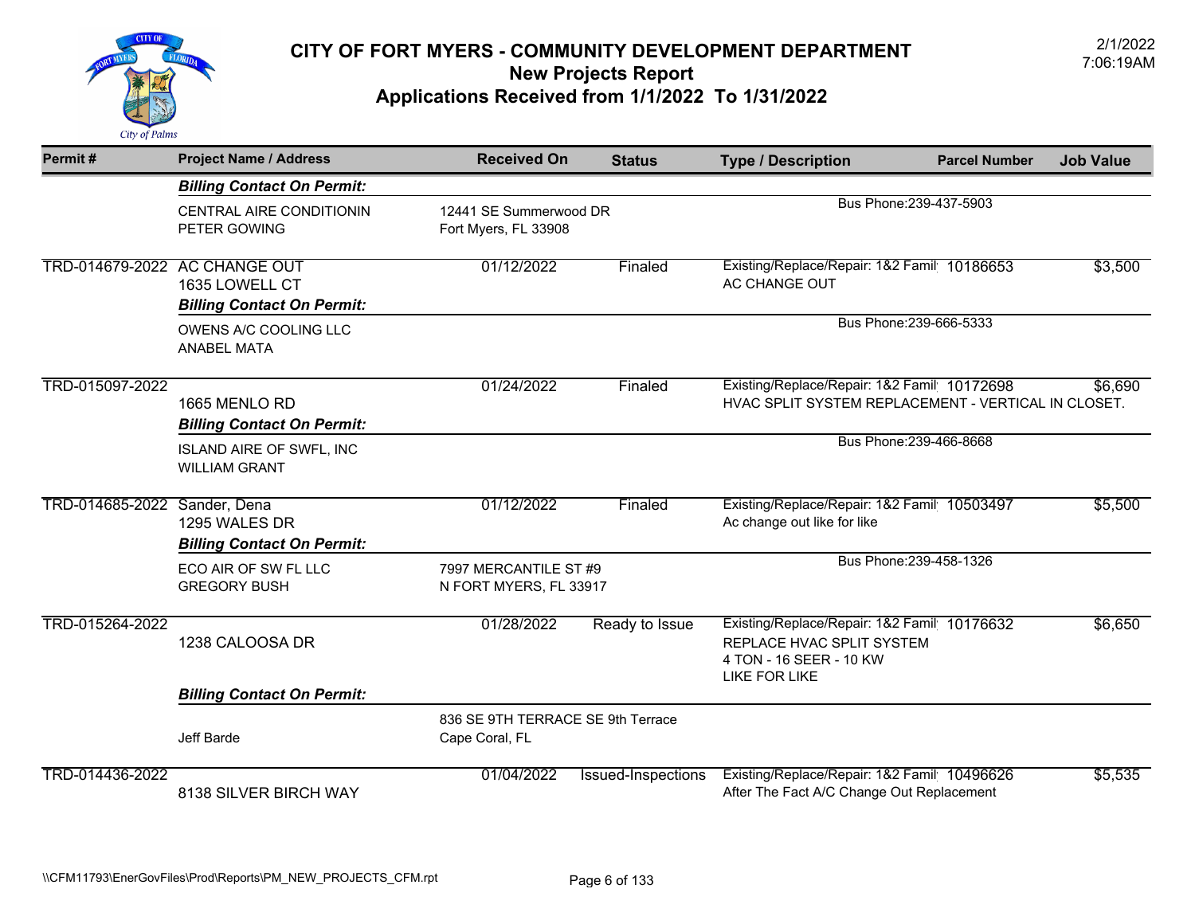

| Permit#         | <b>Project Name / Address</b>                                                        | <b>Received On</b>                                  | <b>Status</b>      | <b>Type / Description</b>                                                                                                   | <b>Parcel Number</b>    | <b>Job Value</b> |
|-----------------|--------------------------------------------------------------------------------------|-----------------------------------------------------|--------------------|-----------------------------------------------------------------------------------------------------------------------------|-------------------------|------------------|
|                 | <b>Billing Contact On Permit:</b>                                                    |                                                     |                    |                                                                                                                             |                         |                  |
|                 | CENTRAL AIRE CONDITIONIN<br>PETER GOWING                                             | 12441 SE Summerwood DR<br>Fort Myers, FL 33908      |                    |                                                                                                                             | Bus Phone: 239-437-5903 |                  |
|                 | TRD-014679-2022 AC CHANGE OUT<br>1635 LOWELL CT<br><b>Billing Contact On Permit:</b> | 01/12/2022                                          | Finaled            | Existing/Replace/Repair: 1&2 Famil 10186653<br>AC CHANGE OUT                                                                |                         | \$3,500          |
|                 | OWENS A/C COOLING LLC<br>ANABEL MATA                                                 |                                                     |                    |                                                                                                                             | Bus Phone: 239-666-5333 |                  |
| TRD-015097-2022 | 1665 MENLO RD<br><b>Billing Contact On Permit:</b>                                   | 01/24/2022                                          | Finaled            | Existing/Replace/Repair: 1&2 Famil 10172698<br>HVAC SPLIT SYSTEM REPLACEMENT - VERTICAL IN CLOSET.                          |                         | \$6,690          |
|                 | <b>ISLAND AIRE OF SWFL, INC</b><br><b>WILLIAM GRANT</b>                              |                                                     |                    |                                                                                                                             | Bus Phone: 239-466-8668 |                  |
| TRD-014685-2022 | Sander, Dena<br>1295 WALES DR<br><b>Billing Contact On Permit:</b>                   | 01/12/2022                                          | Finaled            | Existing/Replace/Repair: 1&2 Famil 10503497<br>Ac change out like for like                                                  |                         | \$5,500          |
|                 | ECO AIR OF SW FL LLC<br><b>GREGORY BUSH</b>                                          | 7997 MERCANTILE ST #9<br>N FORT MYERS, FL 33917     |                    |                                                                                                                             | Bus Phone: 239-458-1326 |                  |
| TRD-015264-2022 | 1238 CALOOSA DR                                                                      | 01/28/2022                                          | Ready to Issue     | Existing/Replace/Repair: 1&2 Famil 10176632<br>REPLACE HVAC SPLIT SYSTEM<br>4 TON - 16 SEER - 10 KW<br><b>LIKE FOR LIKE</b> |                         | \$6,650          |
|                 | <b>Billing Contact On Permit:</b>                                                    |                                                     |                    |                                                                                                                             |                         |                  |
|                 | Jeff Barde                                                                           | 836 SE 9TH TERRACE SE 9th Terrace<br>Cape Coral, FL |                    |                                                                                                                             |                         |                  |
| TRD-014436-2022 | 8138 SILVER BIRCH WAY                                                                | 01/04/2022                                          | Issued-Inspections | Existing/Replace/Repair: 1&2 Famil 10496626<br>After The Fact A/C Change Out Replacement                                    |                         | \$5,535          |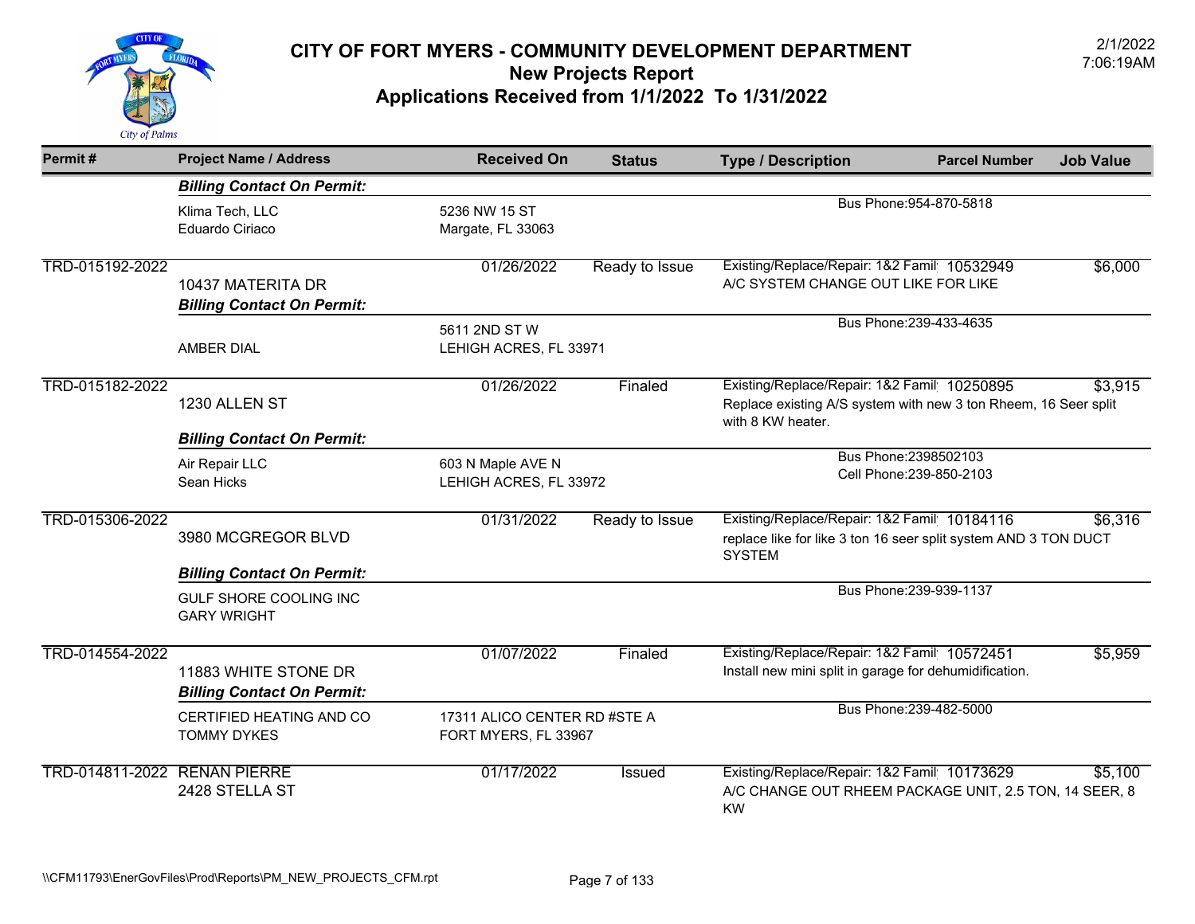

| Permit#                      | <b>Project Name / Address</b>                                     | <b>Received On</b>                                   | <b>Status</b>                                                                                                                                  | <b>Type / Description</b>                                                                                                       | <b>Parcel Number</b>    | <b>Job Value</b> |  |
|------------------------------|-------------------------------------------------------------------|------------------------------------------------------|------------------------------------------------------------------------------------------------------------------------------------------------|---------------------------------------------------------------------------------------------------------------------------------|-------------------------|------------------|--|
|                              | <b>Billing Contact On Permit:</b>                                 |                                                      |                                                                                                                                                |                                                                                                                                 |                         |                  |  |
|                              | Klima Tech, LLC<br>Eduardo Ciriaco                                | 5236 NW 15 ST<br>Margate, FL 33063                   |                                                                                                                                                |                                                                                                                                 | Bus Phone: 954-870-5818 |                  |  |
| TRD-015192-2022              | 10437 MATERITA DR<br><b>Billing Contact On Permit:</b>            | 01/26/2022                                           | Ready to Issue                                                                                                                                 | Existing/Replace/Repair: 1&2 Famil 10532949<br>A/C SYSTEM CHANGE OUT LIKE FOR LIKE                                              |                         |                  |  |
|                              | <b>AMBER DIAL</b>                                                 | 5611 2ND ST W<br>LEHIGH ACRES, FL 33971              |                                                                                                                                                |                                                                                                                                 | Bus Phone: 239-433-4635 |                  |  |
| TRD-015182-2022              | 1230 ALLEN ST                                                     | 01/26/2022                                           | Existing/Replace/Repair: 1&2 Famil 10250895<br>Finaled<br>Replace existing A/S system with new 3 ton Rheem, 16 Seer split<br>with 8 KW heater. |                                                                                                                                 |                         | \$3,915          |  |
|                              | <b>Billing Contact On Permit:</b><br>Air Repair LLC<br>Sean Hicks | 603 N Maple AVE N<br>LEHIGH ACRES, FL 33972          |                                                                                                                                                | Bus Phone: 2398502103<br>Cell Phone: 239-850-2103                                                                               |                         |                  |  |
| TRD-015306-2022              | 3980 MCGREGOR BLVD                                                | 01/31/2022                                           | Ready to Issue                                                                                                                                 | Existing/Replace/Repair: 1&2 Famil 10184116<br>replace like for like 3 ton 16 seer split system AND 3 TON DUCT<br><b>SYSTEM</b> |                         | \$6,316          |  |
|                              | <b>Billing Contact On Permit:</b>                                 |                                                      |                                                                                                                                                |                                                                                                                                 |                         |                  |  |
|                              | GULF SHORE COOLING INC<br><b>GARY WRIGHT</b>                      |                                                      |                                                                                                                                                |                                                                                                                                 | Bus Phone: 239-939-1137 |                  |  |
| TRD-014554-2022              | 11883 WHITE STONE DR<br><b>Billing Contact On Permit:</b>         | 01/07/2022                                           | Finaled                                                                                                                                        | Existing/Replace/Repair: 1&2 Famil 10572451<br>Install new mini split in garage for dehumidification.                           |                         | \$5,959          |  |
|                              | CERTIFIED HEATING AND CO<br><b>TOMMY DYKES</b>                    | 17311 ALICO CENTER RD #STE A<br>FORT MYERS, FL 33967 |                                                                                                                                                |                                                                                                                                 | Bus Phone: 239-482-5000 |                  |  |
| TRD-014811-2022 RENAN PIERRE | 2428 STELLA ST                                                    | 01/17/2022                                           | <b>Issued</b>                                                                                                                                  | Existing/Replace/Repair: 1&2 Famil 10173629<br>A/C CHANGE OUT RHEEM PACKAGE UNIT, 2.5 TON, 14 SEER, 8<br><b>KW</b>              |                         | \$5,100          |  |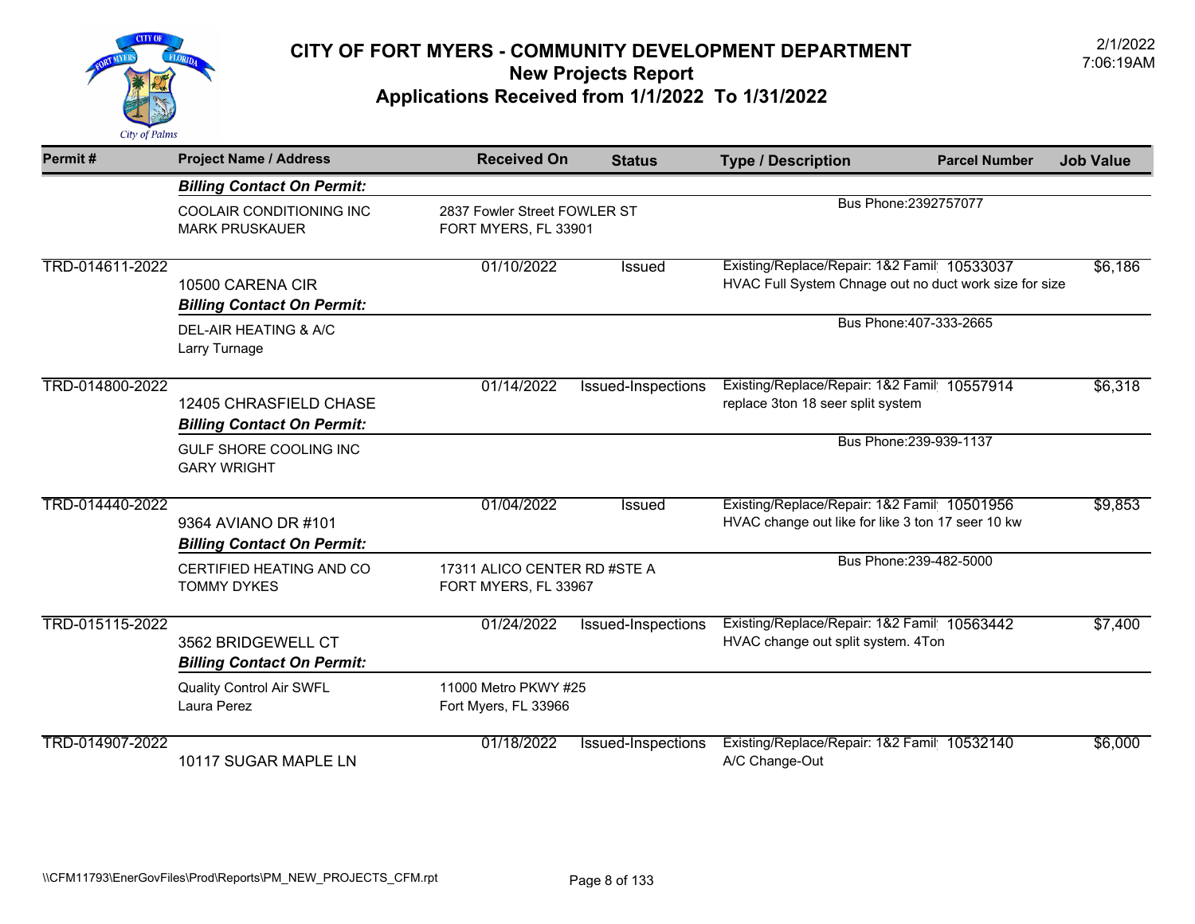

| Permit#         | <b>Project Name / Address</b>                               | <b>Received On</b>                                   | <b>Status</b>      | <b>Type / Description</b>                                                                             | <b>Parcel Number</b>    | <b>Job Value</b> |
|-----------------|-------------------------------------------------------------|------------------------------------------------------|--------------------|-------------------------------------------------------------------------------------------------------|-------------------------|------------------|
|                 | <b>Billing Contact On Permit:</b>                           |                                                      |                    |                                                                                                       |                         |                  |
|                 | COOLAIR CONDITIONING INC<br><b>MARK PRUSKAUER</b>           | 2837 Fowler Street FOWLER ST<br>FORT MYERS, FL 33901 |                    | Bus Phone: 2392757077                                                                                 |                         |                  |
| TRD-014611-2022 | 10500 CARENA CIR<br><b>Billing Contact On Permit:</b>       | 01/10/2022                                           | <b>Issued</b>      | Existing/Replace/Repair: 1&2 Famil 10533037<br>HVAC Full System Chnage out no duct work size for size |                         | \$6,186          |
|                 | DEL-AIR HEATING & A/C<br>Larry Turnage                      |                                                      |                    |                                                                                                       | Bus Phone: 407-333-2665 |                  |
| TRD-014800-2022 | 12405 CHRASFIELD CHASE<br><b>Billing Contact On Permit:</b> | 01/14/2022                                           | Issued-Inspections | Existing/Replace/Repair: 1&2 Famil 10557914<br>replace 3ton 18 seer split system                      |                         | \$6,318          |
|                 | GULF SHORE COOLING INC<br><b>GARY WRIGHT</b>                |                                                      |                    |                                                                                                       | Bus Phone: 239-939-1137 |                  |
| TRD-014440-2022 | 9364 AVIANO DR #101<br><b>Billing Contact On Permit:</b>    | 01/04/2022                                           | Issued             | Existing/Replace/Repair: 1&2 Famil 10501956<br>HVAC change out like for like 3 ton 17 seer 10 kw      |                         | \$9,853          |
|                 | CERTIFIED HEATING AND CO<br><b>TOMMY DYKES</b>              | 17311 ALICO CENTER RD #STE A<br>FORT MYERS, FL 33967 |                    |                                                                                                       | Bus Phone: 239-482-5000 |                  |
| TRD-015115-2022 | 3562 BRIDGEWELL CT<br><b>Billing Contact On Permit:</b>     | 01/24/2022                                           | Issued-Inspections | Existing/Replace/Repair: 1&2 Famil 10563442<br>HVAC change out split system. 4Ton                     |                         | \$7,400          |
|                 | <b>Quality Control Air SWFL</b><br>Laura Perez              | 11000 Metro PKWY #25<br>Fort Myers, FL 33966         |                    |                                                                                                       |                         |                  |
| TRD-014907-2022 | 10117 SUGAR MAPLE LN                                        | 01/18/2022                                           | Issued-Inspections | Existing/Replace/Repair: 1&2 Famil 10532140<br>A/C Change-Out                                         |                         | \$6,000          |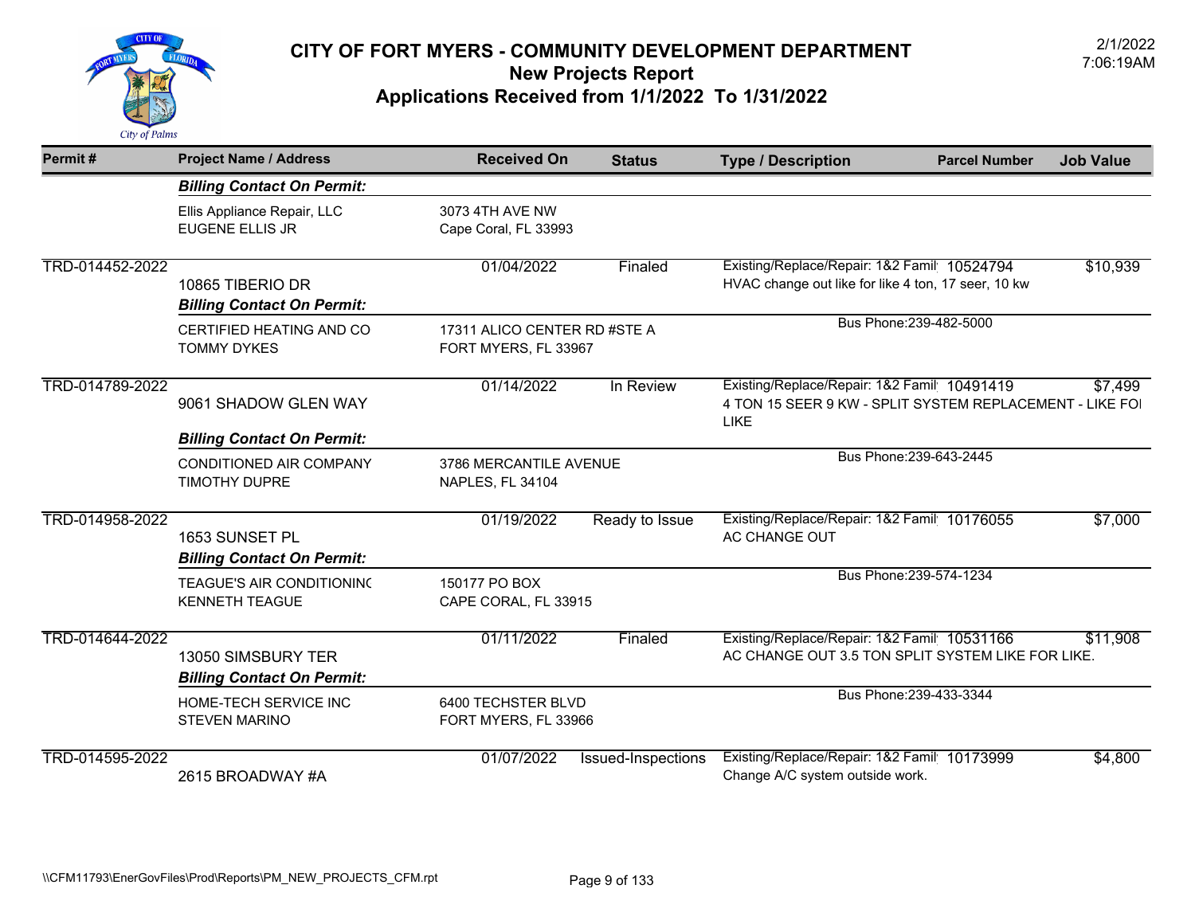

| Permit#         | <b>Project Name / Address</b>                             | <b>Received On</b>                                   | <b>Status</b>             | <b>Type / Description</b>                                                                                             | <b>Parcel Number</b>    | <b>Job Value</b> |
|-----------------|-----------------------------------------------------------|------------------------------------------------------|---------------------------|-----------------------------------------------------------------------------------------------------------------------|-------------------------|------------------|
|                 | <b>Billing Contact On Permit:</b>                         |                                                      |                           |                                                                                                                       |                         |                  |
|                 | Ellis Appliance Repair, LLC<br><b>EUGENE ELLIS JR</b>     | 3073 4TH AVE NW<br>Cape Coral, FL 33993              |                           |                                                                                                                       |                         |                  |
| TRD-014452-2022 | 10865 TIBERIO DR<br><b>Billing Contact On Permit:</b>     | 01/04/2022                                           | Finaled                   | Existing/Replace/Repair: 1&2 Famil 10524794<br>HVAC change out like for like 4 ton, 17 seer, 10 kw                    |                         | \$10,939         |
|                 | CERTIFIED HEATING AND CO<br><b>TOMMY DYKES</b>            | 17311 ALICO CENTER RD #STE A<br>FORT MYERS, FL 33967 |                           | Bus Phone: 239-482-5000                                                                                               |                         |                  |
| TRD-014789-2022 | 9061 SHADOW GLEN WAY                                      | 01/14/2022                                           | In Review                 | Existing/Replace/Repair: 1&2 Famil 10491419<br>4 TON 15 SEER 9 KW - SPLIT SYSTEM REPLACEMENT - LIKE FO<br><b>LIKE</b> |                         | \$7,499          |
|                 | <b>Billing Contact On Permit:</b>                         |                                                      |                           |                                                                                                                       | Bus Phone: 239-643-2445 |                  |
|                 | <b>CONDITIONED AIR COMPANY</b><br><b>TIMOTHY DUPRE</b>    | 3786 MERCANTILE AVENUE<br>NAPLES, FL 34104           |                           |                                                                                                                       |                         |                  |
| TRD-014958-2022 | 1653 SUNSET PL<br><b>Billing Contact On Permit:</b>       | 01/19/2022                                           | Ready to Issue            | Existing/Replace/Repair: 1&2 Famil 10176055<br>AC CHANGE OUT                                                          |                         | \$7,000          |
|                 | <b>TEAGUE'S AIR CONDITIONING</b><br><b>KENNETH TEAGUE</b> | 150177 PO BOX<br>CAPE CORAL, FL 33915                |                           |                                                                                                                       | Bus Phone: 239-574-1234 |                  |
| TRD-014644-2022 | 13050 SIMSBURY TER<br><b>Billing Contact On Permit:</b>   | 01/11/2022                                           | Finaled                   | Existing/Replace/Repair: 1&2 Famil 10531166<br>AC CHANGE OUT 3.5 TON SPLIT SYSTEM LIKE FOR LIKE.                      |                         | \$11,908         |
|                 | HOME-TECH SERVICE INC<br><b>STEVEN MARINO</b>             | 6400 TECHSTER BLVD<br>FORT MYERS, FL 33966           |                           |                                                                                                                       | Bus Phone: 239-433-3344 |                  |
| TRD-014595-2022 | 2615 BROADWAY #A                                          | 01/07/2022                                           | <b>Issued-Inspections</b> | Existing/Replace/Repair: 1&2 Famil 10173999<br>Change A/C system outside work.                                        |                         | \$4,800          |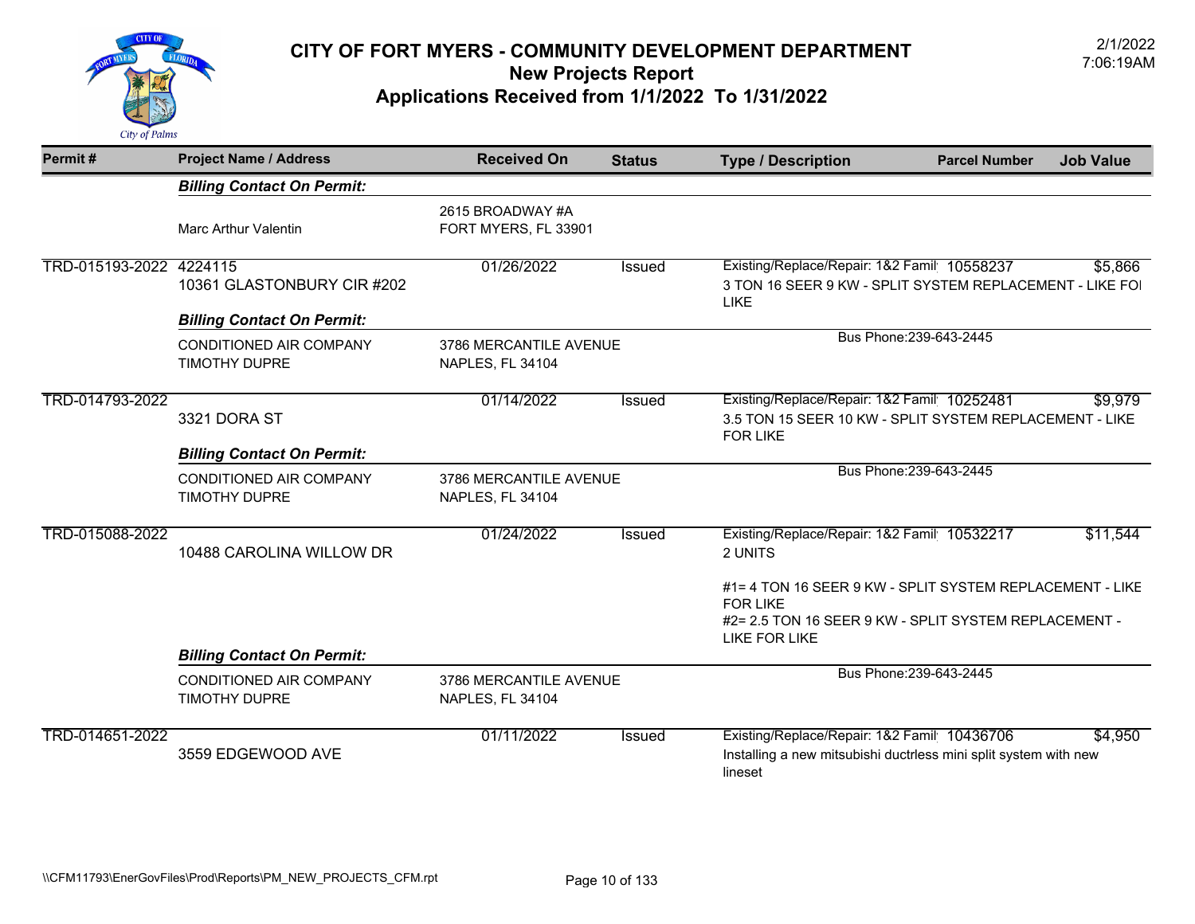

| Permit#                 | <b>Project Name / Address</b>                   | <b>Received On</b>                         | <b>Status</b> | <b>Type / Description</b>                                                                                                                             | <b>Parcel Number</b>    | <b>Job Value</b> |
|-------------------------|-------------------------------------------------|--------------------------------------------|---------------|-------------------------------------------------------------------------------------------------------------------------------------------------------|-------------------------|------------------|
|                         | <b>Billing Contact On Permit:</b>               |                                            |               |                                                                                                                                                       |                         |                  |
|                         | <b>Marc Arthur Valentin</b>                     | 2615 BROADWAY #A<br>FORT MYERS, FL 33901   |               |                                                                                                                                                       |                         |                  |
| TRD-015193-2022 4224115 | 10361 GLASTONBURY CIR #202                      | 01/26/2022                                 | <b>Issued</b> | Existing/Replace/Repair: 1&2 Famil 10558237<br>3 TON 16 SEER 9 KW - SPLIT SYSTEM REPLACEMENT - LIKE FOI<br>LIKE                                       |                         | \$5,866          |
|                         | <b>Billing Contact On Permit:</b>               |                                            |               |                                                                                                                                                       |                         |                  |
|                         | CONDITIONED AIR COMPANY<br><b>TIMOTHY DUPRE</b> | 3786 MERCANTILE AVENUE<br>NAPLES, FL 34104 |               |                                                                                                                                                       | Bus Phone: 239-643-2445 |                  |
| TRD-014793-2022         | 3321 DORA ST                                    | 01/14/2022                                 | <b>Issued</b> | Existing/Replace/Repair: 1&2 Famil 10252481<br>3.5 TON 15 SEER 10 KW - SPLIT SYSTEM REPLACEMENT - LIKE<br><b>FOR LIKE</b>                             |                         | \$9,979          |
|                         | <b>Billing Contact On Permit:</b>               |                                            |               |                                                                                                                                                       |                         |                  |
|                         | CONDITIONED AIR COMPANY<br><b>TIMOTHY DUPRE</b> | 3786 MERCANTILE AVENUE<br>NAPLES, FL 34104 |               |                                                                                                                                                       | Bus Phone: 239-643-2445 |                  |
| TRD-015088-2022         | 10488 CAROLINA WILLOW DR                        | 01/24/2022                                 | Issued        | Existing/Replace/Repair: 1&2 Famil 10532217<br>2 UNITS                                                                                                |                         | \$11,544         |
|                         |                                                 |                                            |               | #1= 4 TON 16 SEER 9 KW - SPLIT SYSTEM REPLACEMENT - LIKE<br><b>FOR LIKE</b><br>#2= 2.5 TON 16 SEER 9 KW - SPLIT SYSTEM REPLACEMENT -<br>LIKE FOR LIKE |                         |                  |
|                         | <b>Billing Contact On Permit:</b>               |                                            |               |                                                                                                                                                       |                         |                  |
|                         | <b>CONDITIONED AIR COMPANY</b><br>TIMOTHY DUPRE | 3786 MERCANTILE AVENUE<br>NAPLES, FL 34104 |               |                                                                                                                                                       | Bus Phone: 239-643-2445 |                  |
| TRD-014651-2022         | 3559 EDGEWOOD AVE                               | 01/11/2022                                 | Issued        | Existing/Replace/Repair: 1&2 Famil 10436706<br>Installing a new mitsubishi ductrless mini split system with new<br>lineset                            |                         | \$4,950          |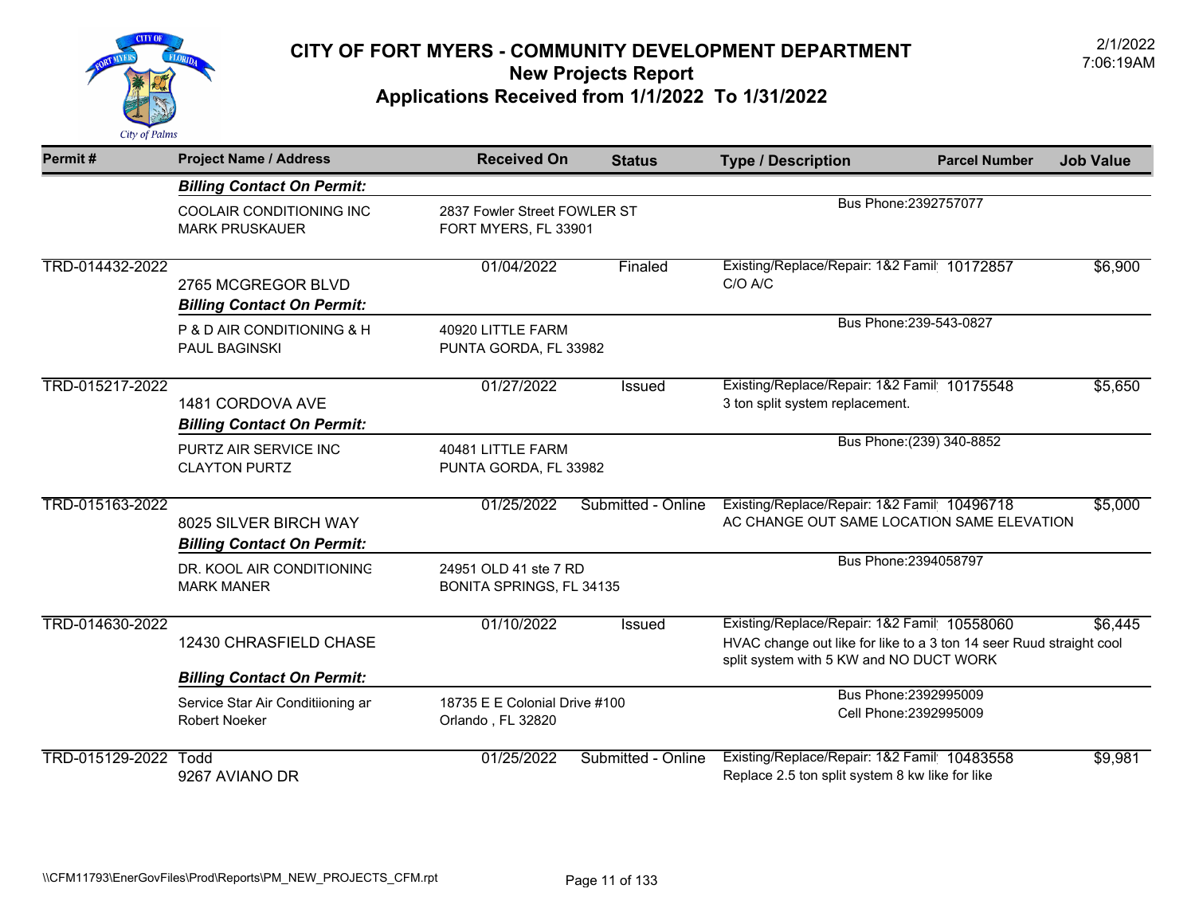

| Permit#         | <b>Project Name / Address</b>                              | <b>Received On</b>                                   | <b>Status</b>      | <b>Type / Description</b>                                                                                                                                     | <b>Parcel Number</b>      | <b>Job Value</b> |
|-----------------|------------------------------------------------------------|------------------------------------------------------|--------------------|---------------------------------------------------------------------------------------------------------------------------------------------------------------|---------------------------|------------------|
|                 | <b>Billing Contact On Permit:</b>                          |                                                      |                    |                                                                                                                                                               |                           |                  |
|                 | COOLAIR CONDITIONING INC<br><b>MARK PRUSKAUER</b>          | 2837 Fowler Street FOWLER ST<br>FORT MYERS, FL 33901 |                    |                                                                                                                                                               | Bus Phone: 2392757077     |                  |
| TRD-014432-2022 | 2765 MCGREGOR BLVD<br><b>Billing Contact On Permit:</b>    | 01/04/2022                                           | Finaled            | Existing/Replace/Repair: 1&2 Famil 10172857<br>C/O A/C                                                                                                        |                           | \$6,900          |
|                 | P & D AIR CONDITIONING & H<br><b>PAUL BAGINSKI</b>         | 40920 LITTLE FARM<br>PUNTA GORDA, FL 33982           |                    |                                                                                                                                                               | Bus Phone: 239-543-0827   |                  |
| TRD-015217-2022 | 1481 CORDOVA AVE<br><b>Billing Contact On Permit:</b>      | 01/27/2022                                           | <b>Issued</b>      | Existing/Replace/Repair: 1&2 Famil 10175548<br>3 ton split system replacement.                                                                                |                           | \$5,650          |
|                 | PURTZ AIR SERVICE INC<br><b>CLAYTON PURTZ</b>              | 40481 LITTLE FARM<br>PUNTA GORDA, FL 33982           |                    |                                                                                                                                                               | Bus Phone: (239) 340-8852 |                  |
| TRD-015163-2022 | 8025 SILVER BIRCH WAY<br><b>Billing Contact On Permit:</b> | 01/25/2022                                           | Submitted - Online | Existing/Replace/Repair: 1&2 Famil 10496718<br>AC CHANGE OUT SAME LOCATION SAME ELEVATION                                                                     |                           | \$5,000          |
|                 | DR. KOOL AIR CONDITIONING<br><b>MARK MANER</b>             | 24951 OLD 41 ste 7 RD<br>BONITA SPRINGS, FL 34135    |                    |                                                                                                                                                               | Bus Phone: 2394058797     |                  |
| TRD-014630-2022 | 12430 CHRASFIELD CHASE                                     | 01/10/2022                                           | Issued             | Existing/Replace/Repair: 1&2 Famil 10558060<br>HVAC change out like for like to a 3 ton 14 seer Ruud straight cool<br>split system with 5 KW and NO DUCT WORK |                           | \$6,445          |
|                 | <b>Billing Contact On Permit:</b>                          |                                                      |                    |                                                                                                                                                               | Bus Phone: 2392995009     |                  |
|                 | Service Star Air Conditiioning ar<br><b>Robert Noeker</b>  | 18735 E E Colonial Drive #100<br>Orlando, FL 32820   |                    |                                                                                                                                                               | Cell Phone: 2392995009    |                  |
| TRD-015129-2022 | Todd<br>9267 AVIANO DR                                     | 01/25/2022                                           | Submitted - Online | Existing/Replace/Repair: 1&2 Famil 10483558<br>Replace 2.5 ton split system 8 kw like for like                                                                |                           | \$9,981          |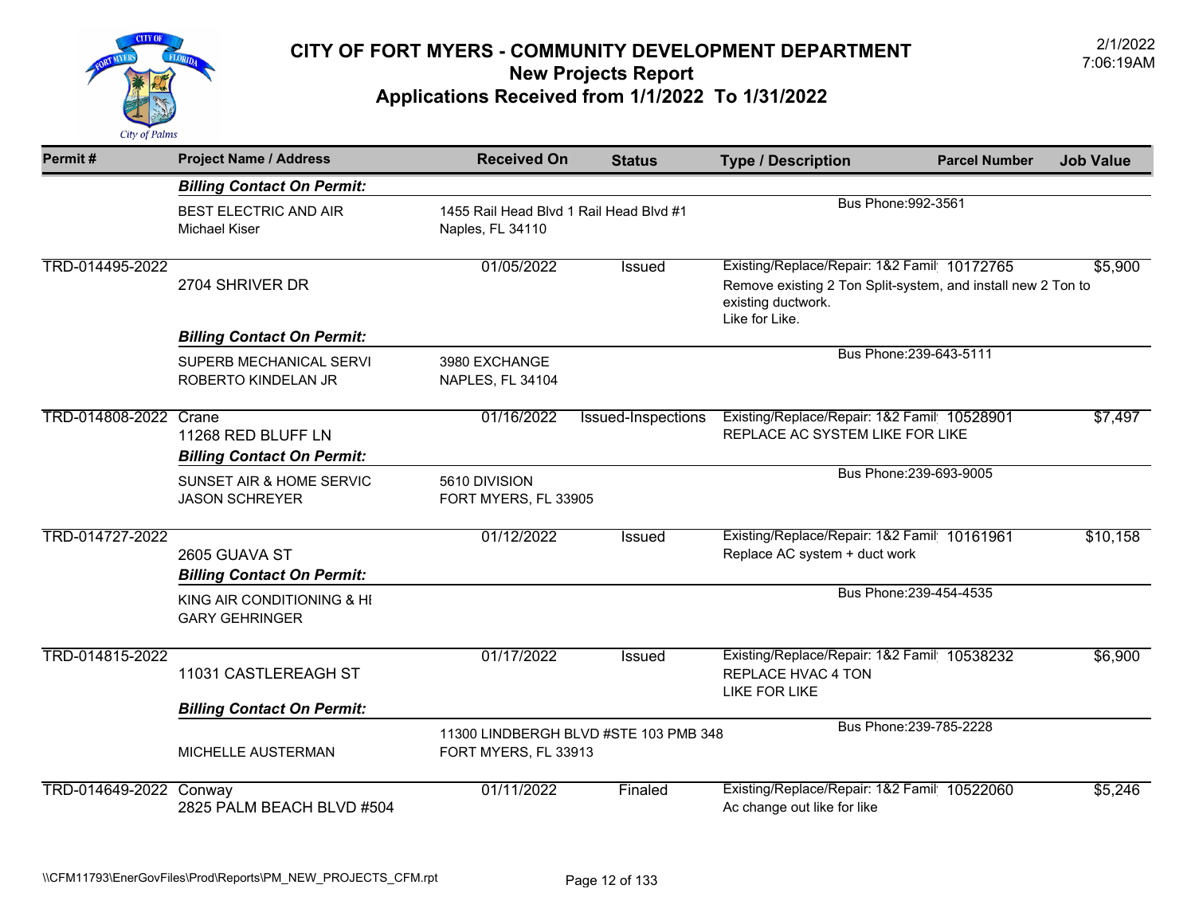

| Permit#                | <b>Project Name / Address</b>                           | <b>Received On</b>                                            | <b>Status</b>                                                  | <b>Type / Description</b>                                                                                                                           | <b>Parcel Number</b>    | <b>Job Value</b> |
|------------------------|---------------------------------------------------------|---------------------------------------------------------------|----------------------------------------------------------------|-----------------------------------------------------------------------------------------------------------------------------------------------------|-------------------------|------------------|
|                        | <b>Billing Contact On Permit:</b>                       |                                                               |                                                                |                                                                                                                                                     |                         |                  |
|                        | <b>BEST ELECTRIC AND AIR</b><br>Michael Kiser           | Naples, FL 34110                                              | Bus Phone: 992-3561<br>1455 Rail Head Blvd 1 Rail Head Blvd #1 |                                                                                                                                                     |                         |                  |
| TRD-014495-2022        | 2704 SHRIVER DR                                         | 01/05/2022                                                    | Issued                                                         | Existing/Replace/Repair: 1&2 Famil 10172765<br>Remove existing 2 Ton Split-system, and install new 2 Ton to<br>existing ductwork.<br>Like for Like. |                         | \$5,900          |
|                        | <b>Billing Contact On Permit:</b>                       |                                                               |                                                                |                                                                                                                                                     |                         |                  |
|                        | SUPERB MECHANICAL SERVI<br>ROBERTO KINDELAN JR          | 3980 EXCHANGE<br><b>NAPLES, FL 34104</b>                      |                                                                |                                                                                                                                                     | Bus Phone: 239-643-5111 |                  |
| TRD-014808-2022 Crane  | 11268 RED BLUFF LN<br><b>Billing Contact On Permit:</b> | 01/16/2022                                                    | <b>Issued-Inspections</b>                                      | Existing/Replace/Repair: 1&2 Famil 10528901<br>REPLACE AC SYSTEM LIKE FOR LIKE                                                                      |                         | \$7,497          |
|                        | SUNSET AIR & HOME SERVIC<br><b>JASON SCHREYER</b>       | 5610 DIVISION<br>FORT MYERS, FL 33905                         |                                                                |                                                                                                                                                     | Bus Phone: 239-693-9005 |                  |
| TRD-014727-2022        | 2605 GUAVA ST<br><b>Billing Contact On Permit:</b>      | 01/12/2022                                                    | Issued                                                         | Existing/Replace/Repair: 1&2 Famil 10161961<br>Replace AC system + duct work                                                                        |                         | \$10,158         |
|                        | KING AIR CONDITIONING & HI<br><b>GARY GEHRINGER</b>     |                                                               |                                                                |                                                                                                                                                     | Bus Phone: 239-454-4535 |                  |
| TRD-014815-2022        | 11031 CASTLEREAGH ST                                    | 01/17/2022                                                    | Issued                                                         | Existing/Replace/Repair: 1&2 Famil 10538232<br>REPLACE HVAC 4 TON<br>LIKE FOR LIKE                                                                  |                         | \$6,900          |
|                        | <b>Billing Contact On Permit:</b>                       |                                                               |                                                                |                                                                                                                                                     |                         |                  |
|                        | MICHELLE AUSTERMAN                                      | 11300 LINDBERGH BLVD #STE 103 PMB 348<br>FORT MYERS, FL 33913 |                                                                |                                                                                                                                                     | Bus Phone: 239-785-2228 |                  |
| TRD-014649-2022 Conway | 2825 PALM BEACH BLVD #504                               | 01/11/2022                                                    | Finaled                                                        | Existing/Replace/Repair: 1&2 Famil 10522060<br>Ac change out like for like                                                                          |                         | \$5,246          |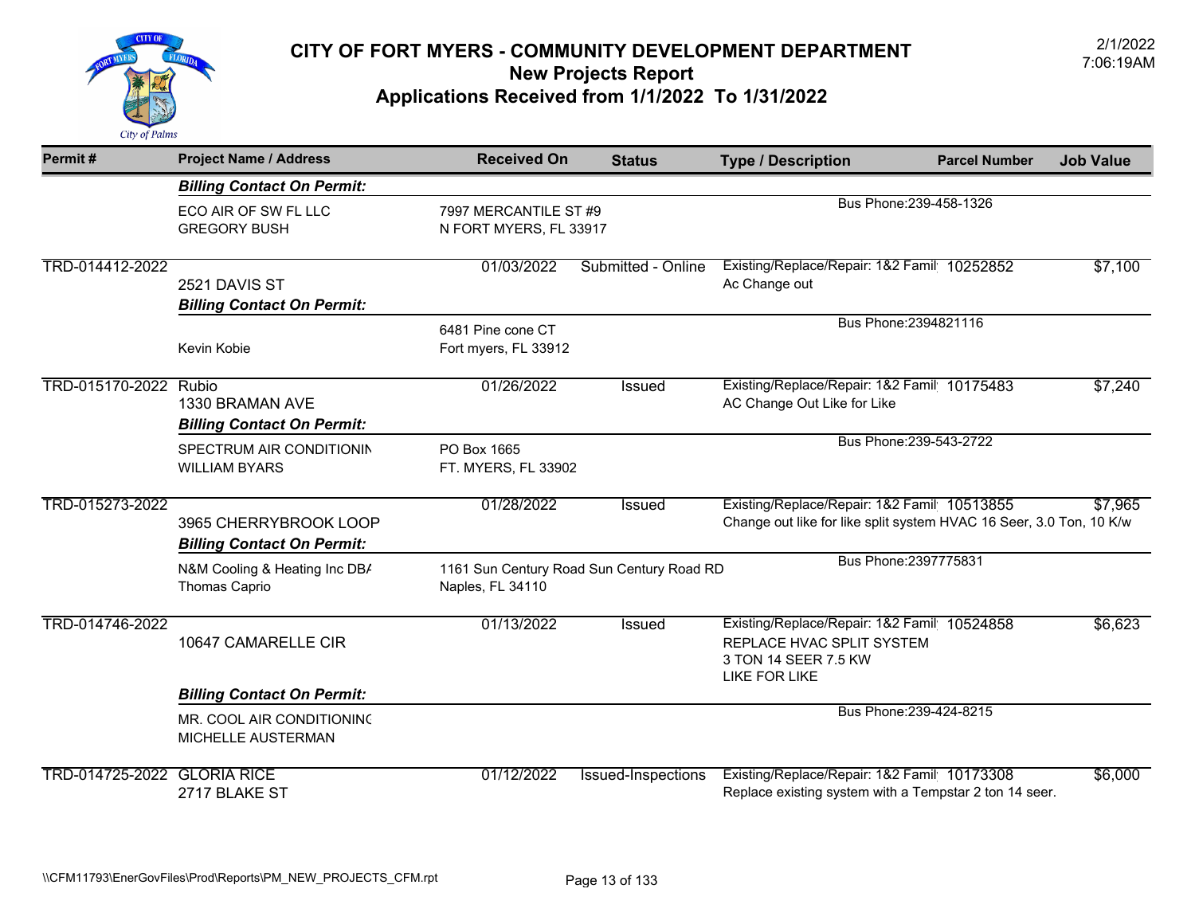

| Permit#                            | <b>Project Name / Address</b>                              | <b>Received On</b>                              | <b>Status</b>                             | <b>Type / Description</b>                                                                                                | <b>Parcel Number</b>    | <b>Job Value</b> |
|------------------------------------|------------------------------------------------------------|-------------------------------------------------|-------------------------------------------|--------------------------------------------------------------------------------------------------------------------------|-------------------------|------------------|
|                                    | <b>Billing Contact On Permit:</b>                          |                                                 |                                           |                                                                                                                          |                         |                  |
|                                    | ECO AIR OF SW FL LLC<br><b>GREGORY BUSH</b>                | 7997 MERCANTILE ST #9<br>N FORT MYERS, FL 33917 |                                           | Bus Phone: 239-458-1326                                                                                                  |                         |                  |
| TRD-014412-2022                    | 2521 DAVIS ST<br><b>Billing Contact On Permit:</b>         | 01/03/2022                                      | Submitted - Online                        | Existing/Replace/Repair: 1&2 Famil 10252852<br>Ac Change out                                                             |                         | \$7,100          |
|                                    | Kevin Kobie                                                | 6481 Pine cone CT<br>Fort myers, FL 33912       |                                           | Bus Phone: 2394821116                                                                                                    |                         |                  |
| TRD-015170-2022 Rubio              | 1330 BRAMAN AVE<br><b>Billing Contact On Permit:</b>       | 01/26/2022                                      | <b>Issued</b>                             | Existing/Replace/Repair: 1&2 Famil 10175483<br>AC Change Out Like for Like                                               |                         | \$7,240          |
|                                    | SPECTRUM AIR CONDITIONIN<br><b>WILLIAM BYARS</b>           | PO Box 1665<br>FT. MYERS, FL 33902              |                                           |                                                                                                                          | Bus Phone: 239-543-2722 |                  |
| TRD-015273-2022                    | 3965 CHERRYBROOK LOOP<br><b>Billing Contact On Permit:</b> | 01/28/2022                                      | Issued                                    | Existing/Replace/Repair: 1&2 Famil 10513855<br>Change out like for like split system HVAC 16 Seer, 3.0 Ton, 10 K/w       |                         | \$7,965          |
|                                    | N&M Cooling & Heating Inc DB/<br><b>Thomas Caprio</b>      | Naples, FL 34110                                | 1161 Sun Century Road Sun Century Road RD | Bus Phone: 2397775831                                                                                                    |                         |                  |
| TRD-014746-2022                    | 10647 CAMARELLE CIR                                        | 01/13/2022                                      | Issued                                    | Existing/Replace/Repair: 1&2 Famil 10524858<br>REPLACE HVAC SPLIT SYSTEM<br>3 TON 14 SEER 7.5 KW<br><b>LIKE FOR LIKE</b> |                         | \$6,623          |
|                                    | <b>Billing Contact On Permit:</b>                          |                                                 |                                           |                                                                                                                          |                         |                  |
|                                    | MR. COOL AIR CONDITIONING<br>MICHELLE AUSTERMAN            |                                                 |                                           |                                                                                                                          | Bus Phone: 239-424-8215 |                  |
| <b>TRD-014725-2022 GLORIA RICE</b> | 2717 BLAKE ST                                              | 01/12/2022                                      | Issued-Inspections                        | Existing/Replace/Repair: 1&2 Famil 10173308<br>Replace existing system with a Tempstar 2 ton 14 seer.                    |                         | \$6,000          |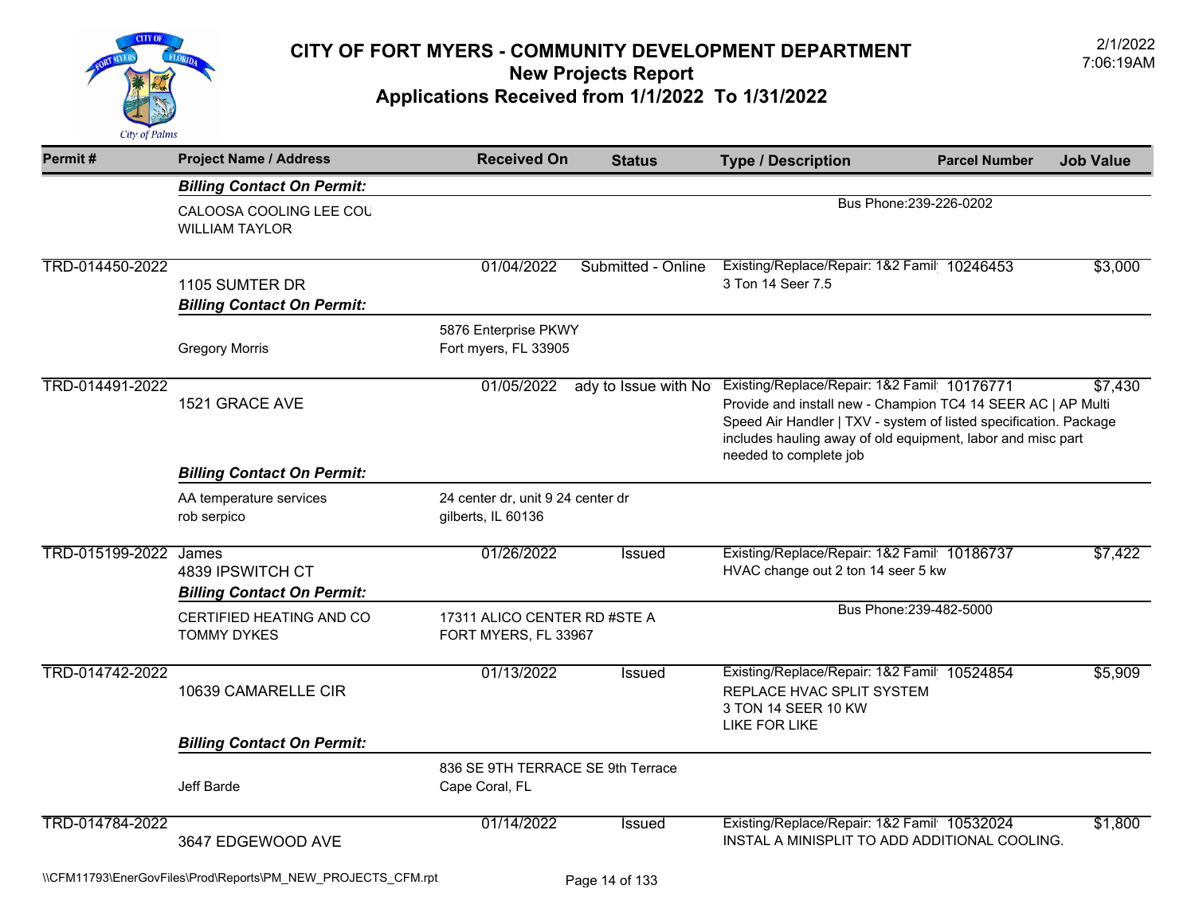

| Permit#         | <b>Project Name / Address</b>                                  | <b>Received On</b>                                      | <b>Status</b>      | <b>Type / Description</b>                                                                                                                                                                                                                                                                      | <b>Parcel Number</b>    | <b>Job Value</b> |  |
|-----------------|----------------------------------------------------------------|---------------------------------------------------------|--------------------|------------------------------------------------------------------------------------------------------------------------------------------------------------------------------------------------------------------------------------------------------------------------------------------------|-------------------------|------------------|--|
|                 | <b>Billing Contact On Permit:</b>                              |                                                         |                    |                                                                                                                                                                                                                                                                                                |                         |                  |  |
|                 | CALOOSA COOLING LEE COU<br><b>WILLIAM TAYLOR</b>               |                                                         |                    | Bus Phone: 239-226-0202                                                                                                                                                                                                                                                                        |                         |                  |  |
| TRD-014450-2022 | 1105 SUMTER DR<br><b>Billing Contact On Permit:</b>            | 01/04/2022                                              | Submitted - Online | Existing/Replace/Repair: 1&2 Famil 10246453<br>3 Ton 14 Seer 7.5                                                                                                                                                                                                                               |                         | \$3,000          |  |
|                 | <b>Gregory Morris</b>                                          | 5876 Enterprise PKWY<br>Fort myers, FL 33905            |                    |                                                                                                                                                                                                                                                                                                |                         |                  |  |
| TRD-014491-2022 | 1521 GRACE AVE                                                 | 01/05/2022                                              |                    | ady to Issue with No Existing/Replace/Repair: 1&2 Famil 10176771<br>Provide and install new - Champion TC4 14 SEER AC   AP Multi<br>Speed Air Handler   TXV - system of listed specification. Package<br>includes hauling away of old equipment, labor and misc part<br>needed to complete job |                         | \$7,430          |  |
|                 | <b>Billing Contact On Permit:</b>                              |                                                         |                    |                                                                                                                                                                                                                                                                                                |                         |                  |  |
|                 | AA temperature services<br>rob serpico                         | 24 center dr, unit 9 24 center dr<br>gilberts, IL 60136 |                    |                                                                                                                                                                                                                                                                                                |                         |                  |  |
| TRD-015199-2022 | James<br>4839 IPSWITCH CT<br><b>Billing Contact On Permit:</b> | 01/26/2022                                              | <b>Issued</b>      | Existing/Replace/Repair: 1&2 Famil 10186737<br>HVAC change out 2 ton 14 seer 5 kw                                                                                                                                                                                                              |                         | \$7,422          |  |
|                 | CERTIFIED HEATING AND CO<br><b>TOMMY DYKES</b>                 | 17311 ALICO CENTER RD #STE A<br>FORT MYERS, FL 33967    |                    |                                                                                                                                                                                                                                                                                                | Bus Phone: 239-482-5000 |                  |  |
| TRD-014742-2022 | 10639 CAMARELLE CIR                                            | 01/13/2022                                              | Issued             | Existing/Replace/Repair: 1&2 Famil 10524854<br>REPLACE HVAC SPLIT SYSTEM<br>3 TON 14 SEER 10 KW<br>LIKE FOR LIKE                                                                                                                                                                               |                         | \$5,909          |  |
|                 | <b>Billing Contact On Permit:</b>                              |                                                         |                    |                                                                                                                                                                                                                                                                                                |                         |                  |  |
|                 | Jeff Barde                                                     | 836 SE 9TH TERRACE SE 9th Terrace<br>Cape Coral, FL     |                    |                                                                                                                                                                                                                                                                                                |                         |                  |  |
| TRD-014784-2022 | 3647 EDGEWOOD AVE                                              | 01/14/2022                                              | Issued             | Existing/Replace/Repair: 1&2 Famil 10532024<br>INSTAL A MINISPLIT TO ADD ADDITIONAL COOLING.                                                                                                                                                                                                   |                         | \$1,800          |  |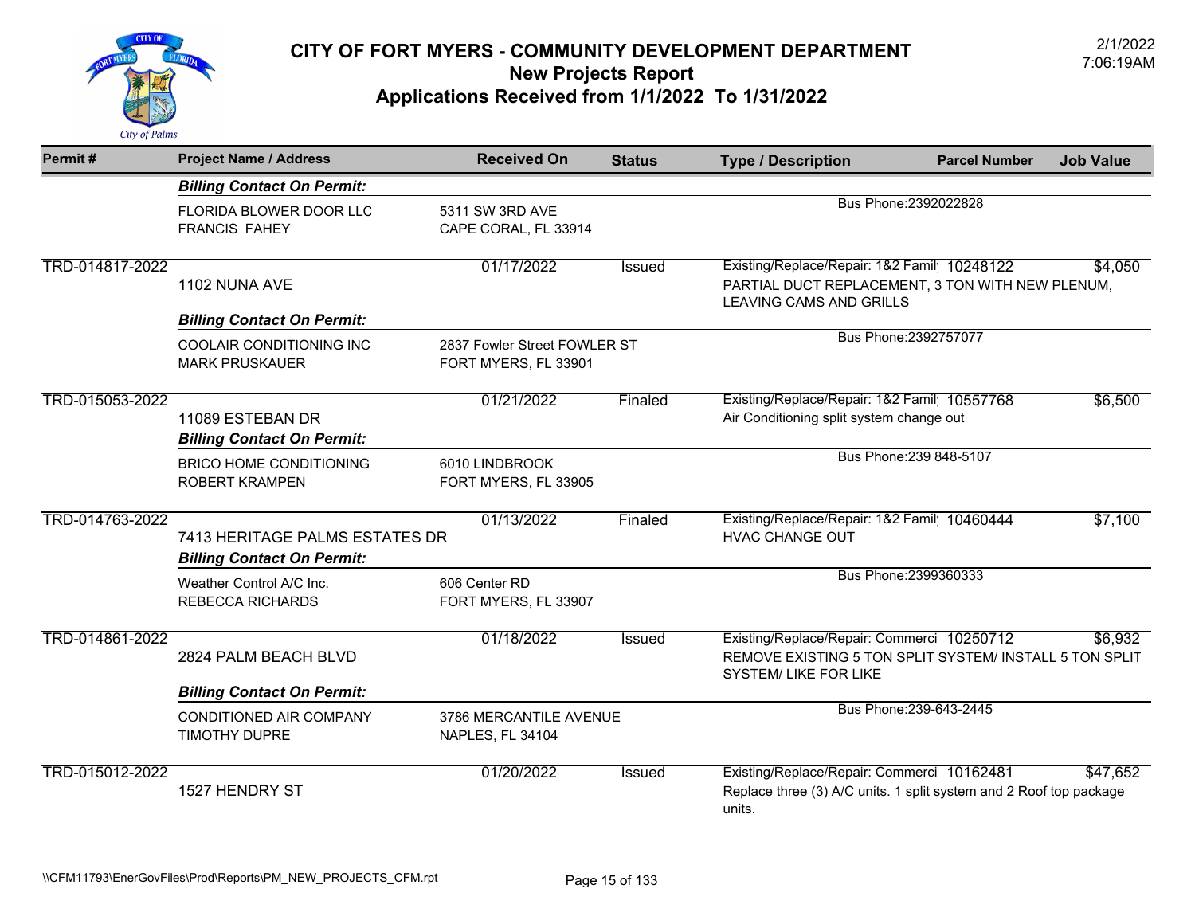

| Permit#         | <b>Project Name / Address</b>                                       | <b>Received On</b>                                   | <b>Status</b> | <b>Type / Description</b>                                                                                                      | <b>Parcel Number</b>    | <b>Job Value</b> |
|-----------------|---------------------------------------------------------------------|------------------------------------------------------|---------------|--------------------------------------------------------------------------------------------------------------------------------|-------------------------|------------------|
|                 | <b>Billing Contact On Permit:</b>                                   |                                                      |               |                                                                                                                                |                         |                  |
|                 | FLORIDA BLOWER DOOR LLC<br><b>FRANCIS FAHEY</b>                     | 5311 SW 3RD AVE<br>CAPE CORAL, FL 33914              |               | Bus Phone: 2392022828                                                                                                          |                         |                  |
| TRD-014817-2022 | 1102 NUNA AVE                                                       | 01/17/2022                                           | <b>Issued</b> | Existing/Replace/Repair: 1&2 Famil 10248122<br>PARTIAL DUCT REPLACEMENT, 3 TON WITH NEW PLENUM,<br>LEAVING CAMS AND GRILLS     |                         | \$4,050          |
|                 | <b>Billing Contact On Permit:</b>                                   |                                                      |               |                                                                                                                                |                         |                  |
|                 | COOLAIR CONDITIONING INC<br><b>MARK PRUSKAUER</b>                   | 2837 Fowler Street FOWLER ST<br>FORT MYERS, FL 33901 |               |                                                                                                                                | Bus Phone: 2392757077   |                  |
| TRD-015053-2022 | 11089 ESTEBAN DR<br><b>Billing Contact On Permit:</b>               | 01/21/2022                                           | Finaled       | Existing/Replace/Repair: 1&2 Famil 10557768<br>Air Conditioning split system change out                                        |                         | \$6,500          |
|                 | <b>BRICO HOME CONDITIONING</b><br><b>ROBERT KRAMPEN</b>             | 6010 LINDBROOK<br>FORT MYERS, FL 33905               |               |                                                                                                                                | Bus Phone: 239 848-5107 |                  |
| TRD-014763-2022 | 7413 HERITAGE PALMS ESTATES DR<br><b>Billing Contact On Permit:</b> | 01/13/2022                                           | Finaled       | Existing/Replace/Repair: 1&2 Famil 10460444<br><b>HVAC CHANGE OUT</b>                                                          |                         | \$7,100          |
|                 | Weather Control A/C Inc.<br><b>REBECCA RICHARDS</b>                 | 606 Center RD<br>FORT MYERS, FL 33907                |               |                                                                                                                                | Bus Phone: 2399360333   |                  |
| TRD-014861-2022 | 2824 PALM BEACH BLVD                                                | 01/18/2022                                           | Issued        | Existing/Replace/Repair: Commerci 10250712<br>REMOVE EXISTING 5 TON SPLIT SYSTEM/ INSTALL 5 TON SPLIT<br>SYSTEM/ LIKE FOR LIKE |                         | \$6,932          |
|                 | <b>Billing Contact On Permit:</b>                                   |                                                      |               |                                                                                                                                |                         |                  |
|                 | CONDITIONED AIR COMPANY<br><b>TIMOTHY DUPRE</b>                     | 3786 MERCANTILE AVENUE<br>NAPLES, FL 34104           |               |                                                                                                                                | Bus Phone: 239-643-2445 |                  |
| TRD-015012-2022 | 1527 HENDRY ST                                                      | 01/20/2022                                           | Issued        | Existing/Replace/Repair: Commerci 10162481<br>Replace three (3) A/C units. 1 split system and 2 Roof top package<br>units.     |                         | \$47,652         |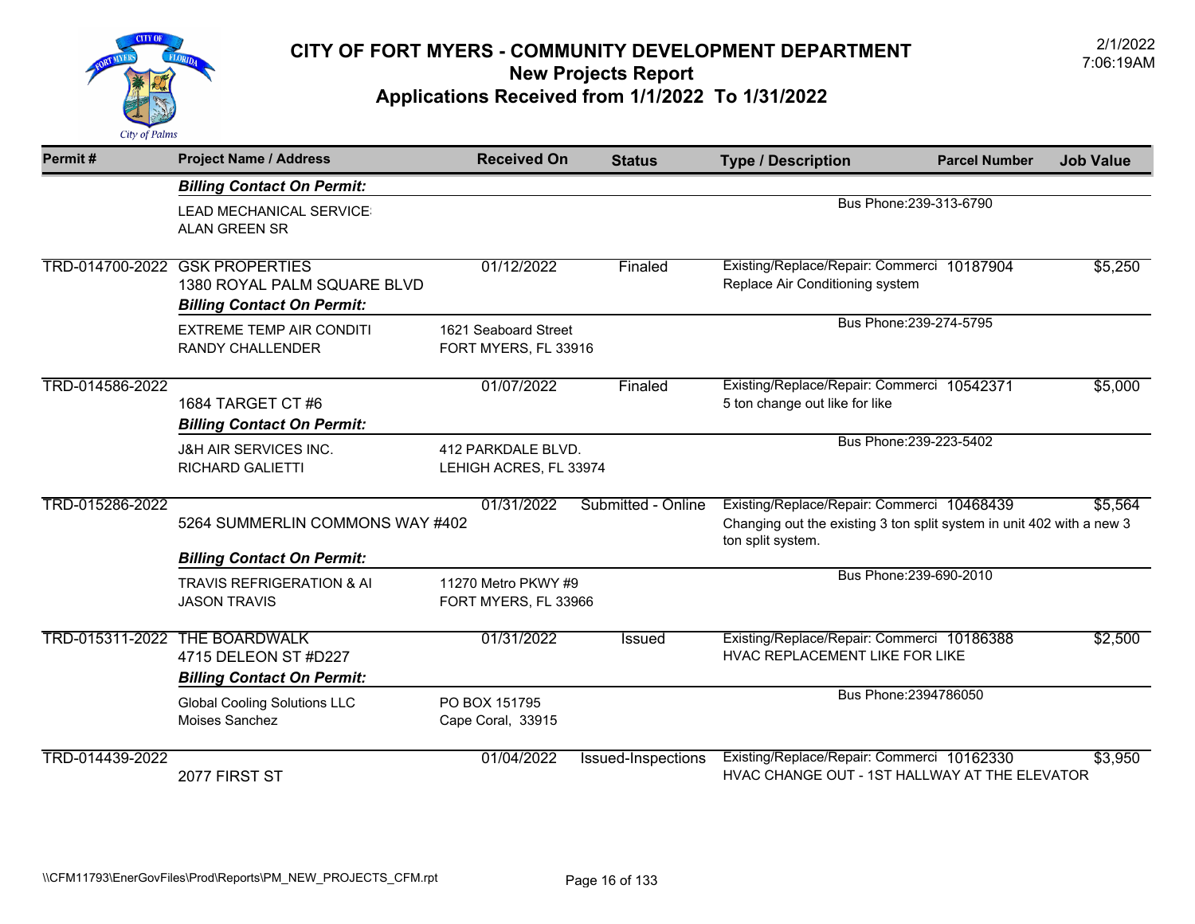

| Permit#         | <b>Project Name / Address</b>        | <b>Received On</b>     | <b>Status</b>      | <b>Type / Description</b>                                                                  | <b>Parcel Number</b>    | <b>Job Value</b> |
|-----------------|--------------------------------------|------------------------|--------------------|--------------------------------------------------------------------------------------------|-------------------------|------------------|
|                 | <b>Billing Contact On Permit:</b>    |                        |                    |                                                                                            |                         |                  |
|                 | LEAD MECHANICAL SERVICE:             |                        |                    |                                                                                            | Bus Phone: 239-313-6790 |                  |
|                 | <b>ALAN GREEN SR</b>                 |                        |                    |                                                                                            |                         |                  |
|                 | TRD-014700-2022 GSK PROPERTIES       | 01/12/2022             | Finaled            | Existing/Replace/Repair: Commerci 10187904                                                 |                         | \$5,250          |
|                 | 1380 ROYAL PALM SQUARE BLVD          |                        |                    | Replace Air Conditioning system                                                            |                         |                  |
|                 | <b>Billing Contact On Permit:</b>    |                        |                    |                                                                                            |                         |                  |
|                 | <b>EXTREME TEMP AIR CONDITI</b>      | 1621 Seaboard Street   |                    |                                                                                            | Bus Phone: 239-274-5795 |                  |
|                 | RANDY CHALLENDER                     | FORT MYERS, FL 33916   |                    |                                                                                            |                         |                  |
|                 |                                      |                        |                    |                                                                                            |                         |                  |
| TRD-014586-2022 |                                      | 01/07/2022             | Finaled            | Existing/Replace/Repair: Commerci 10542371                                                 |                         | \$5,000          |
|                 | 1684 TARGET CT #6                    |                        |                    | 5 ton change out like for like                                                             |                         |                  |
|                 | <b>Billing Contact On Permit:</b>    |                        |                    |                                                                                            |                         |                  |
|                 | <b>J&amp;H AIR SERVICES INC.</b>     | 412 PARKDALE BLVD.     |                    |                                                                                            | Bus Phone: 239-223-5402 |                  |
|                 | <b>RICHARD GALIETTI</b>              | LEHIGH ACRES, FL 33974 |                    |                                                                                            |                         |                  |
| TRD-015286-2022 |                                      | 01/31/2022             | Submitted - Online | Existing/Replace/Repair: Commerci 10468439                                                 |                         | \$5,564          |
|                 | 5264 SUMMERLIN COMMONS WAY #402      |                        |                    | Changing out the existing 3 ton split system in unit 402 with a new 3<br>ton split system. |                         |                  |
|                 | <b>Billing Contact On Permit:</b>    |                        |                    |                                                                                            |                         |                  |
|                 | <b>TRAVIS REFRIGERATION &amp; AI</b> | 11270 Metro PKWY #9    |                    |                                                                                            | Bus Phone: 239-690-2010 |                  |
|                 | <b>JASON TRAVIS</b>                  | FORT MYERS, FL 33966   |                    |                                                                                            |                         |                  |
|                 | TRD-015311-2022 THE BOARDWALK        | 01/31/2022             | <b>Issued</b>      | Existing/Replace/Repair: Commerci 10186388                                                 |                         | \$2,500          |
|                 | 4715 DELEON ST #D227                 |                        |                    | HVAC REPLACEMENT LIKE FOR LIKE                                                             |                         |                  |
|                 | <b>Billing Contact On Permit:</b>    |                        |                    |                                                                                            |                         |                  |
|                 | <b>Global Cooling Solutions LLC</b>  | PO BOX 151795          |                    |                                                                                            | Bus Phone: 2394786050   |                  |
|                 | Moises Sanchez                       | Cape Coral, 33915      |                    |                                                                                            |                         |                  |
| TRD-014439-2022 |                                      | 01/04/2022             | Issued-Inspections | Existing/Replace/Repair: Commerci 10162330                                                 |                         | \$3,950          |
|                 | 2077 FIRST ST                        |                        |                    | HVAC CHANGE OUT - 1ST HALLWAY AT THE ELEVATOR                                              |                         |                  |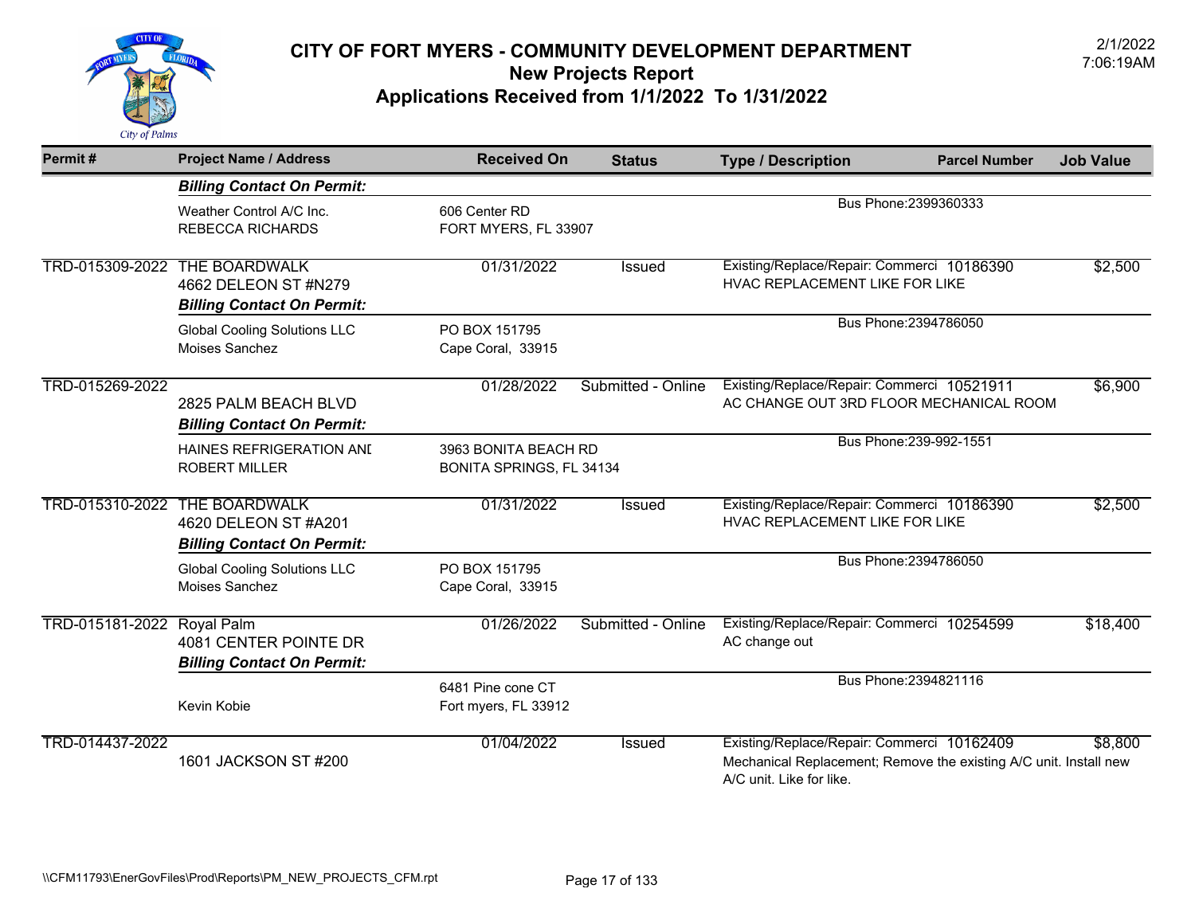

| Permit#         | <b>Project Name / Address</b>                                                     | <b>Received On</b>                               | <b>Status</b>      | <b>Type / Description</b>                                                                                                                   | <b>Parcel Number</b>    | <b>Job Value</b> |
|-----------------|-----------------------------------------------------------------------------------|--------------------------------------------------|--------------------|---------------------------------------------------------------------------------------------------------------------------------------------|-------------------------|------------------|
|                 | <b>Billing Contact On Permit:</b>                                                 |                                                  |                    |                                                                                                                                             |                         |                  |
|                 | Weather Control A/C Inc.<br><b>REBECCA RICHARDS</b>                               | 606 Center RD<br>FORT MYERS, FL 33907            |                    | Bus Phone: 2399360333                                                                                                                       |                         |                  |
| TRD-015309-2022 | <b>THE BOARDWALK</b><br>4662 DELEON ST #N279<br><b>Billing Contact On Permit:</b> | 01/31/2022                                       | Issued             | Existing/Replace/Repair: Commerci 10186390<br>HVAC REPLACEMENT LIKE FOR LIKE                                                                |                         | \$2,500          |
|                 | <b>Global Cooling Solutions LLC</b><br>Moises Sanchez                             | PO BOX 151795<br>Cape Coral, 33915               |                    |                                                                                                                                             | Bus Phone: 2394786050   |                  |
| TRD-015269-2022 | 2825 PALM BEACH BLVD<br><b>Billing Contact On Permit:</b>                         | 01/28/2022                                       | Submitted - Online | Existing/Replace/Repair: Commerci 10521911<br>AC CHANGE OUT 3RD FLOOR MECHANICAL ROOM                                                       |                         | \$6,900          |
|                 | <b>HAINES REFRIGERATION AND</b><br><b>ROBERT MILLER</b>                           | 3963 BONITA BEACH RD<br>BONITA SPRINGS, FL 34134 |                    |                                                                                                                                             | Bus Phone: 239-992-1551 |                  |
| TRD-015310-2022 | <b>THE BOARDWALK</b><br>4620 DELEON ST #A201<br><b>Billing Contact On Permit:</b> | 01/31/2022                                       | Issued             | Existing/Replace/Repair: Commerci 10186390<br>HVAC REPLACEMENT LIKE FOR LIKE                                                                |                         | \$2,500          |
|                 | <b>Global Cooling Solutions LLC</b><br>Moises Sanchez                             | PO BOX 151795<br>Cape Coral, 33915               |                    |                                                                                                                                             | Bus Phone: 2394786050   |                  |
| TRD-015181-2022 | <b>Royal Palm</b><br>4081 CENTER POINTE DR<br><b>Billing Contact On Permit:</b>   | 01/26/2022                                       | Submitted - Online | Existing/Replace/Repair: Commerci 10254599<br>AC change out                                                                                 |                         | \$18,400         |
|                 | Kevin Kobie                                                                       | 6481 Pine cone CT<br>Fort myers, FL 33912        |                    |                                                                                                                                             | Bus Phone: 2394821116   |                  |
| TRD-014437-2022 | 1601 JACKSON ST #200                                                              | 01/04/2022                                       | <b>Issued</b>      | Existing/Replace/Repair: Commerci 10162409<br>Mechanical Replacement; Remove the existing A/C unit. Install new<br>A/C unit. Like for like. |                         | \$8,800          |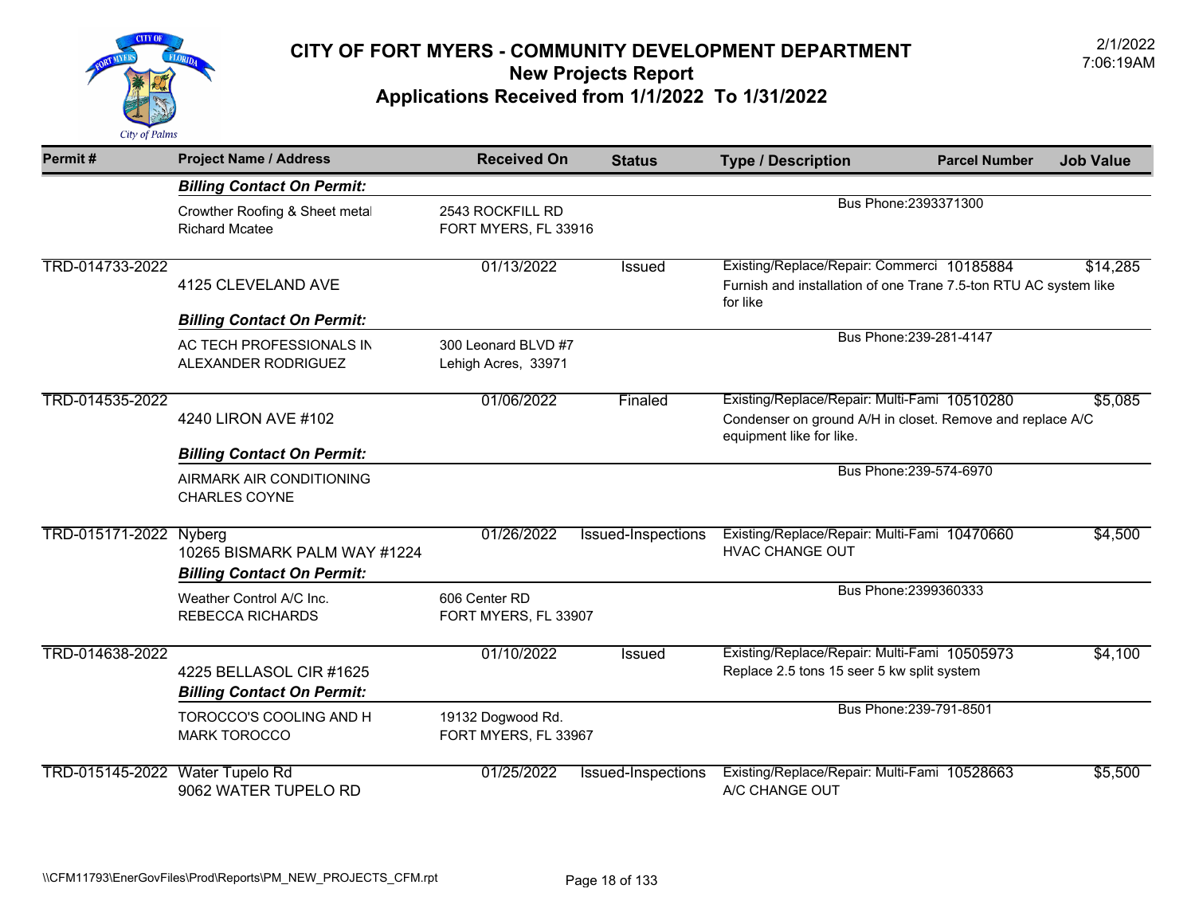

| Permit#                         | <b>Project Name / Address</b>                                     | <b>Received On</b>                         | <b>Status</b>      | <b>Type / Description</b>                                                                                                             | <b>Parcel Number</b>    | <b>Job Value</b> |
|---------------------------------|-------------------------------------------------------------------|--------------------------------------------|--------------------|---------------------------------------------------------------------------------------------------------------------------------------|-------------------------|------------------|
|                                 | <b>Billing Contact On Permit:</b>                                 |                                            |                    |                                                                                                                                       |                         |                  |
|                                 | Crowther Roofing & Sheet metal<br><b>Richard Mcatee</b>           | 2543 ROCKFILL RD<br>FORT MYERS, FL 33916   |                    |                                                                                                                                       | Bus Phone: 2393371300   |                  |
| TRD-014733-2022                 | 4125 CLEVELAND AVE                                                | 01/13/2022                                 | Issued             | Existing/Replace/Repair: Commerci 10185884<br>Furnish and installation of one Trane 7.5-ton RTU AC system like<br>for like            |                         | \$14,285         |
|                                 | <b>Billing Contact On Permit:</b>                                 |                                            |                    |                                                                                                                                       |                         |                  |
|                                 | AC TECH PROFESSIONALS IN<br>ALEXANDER RODRIGUEZ                   | 300 Leonard BLVD #7<br>Lehigh Acres, 33971 |                    |                                                                                                                                       | Bus Phone: 239-281-4147 |                  |
| TRD-014535-2022                 | 4240 LIRON AVE #102                                               | 01/06/2022                                 | Finaled            | Existing/Replace/Repair: Multi-Fami 10510280<br>Condenser on ground A/H in closet. Remove and replace A/C<br>equipment like for like. |                         | \$5,085          |
|                                 | <b>Billing Contact On Permit:</b>                                 |                                            |                    |                                                                                                                                       |                         |                  |
|                                 | AIRMARK AIR CONDITIONING<br>CHARLES COYNE                         |                                            |                    |                                                                                                                                       | Bus Phone: 239-574-6970 |                  |
| TRD-015171-2022 Nyberg          | 10265 BISMARK PALM WAY #1224<br><b>Billing Contact On Permit:</b> | 01/26/2022                                 | Issued-Inspections | Existing/Replace/Repair: Multi-Fami 10470660<br><b>HVAC CHANGE OUT</b>                                                                |                         | \$4,500          |
|                                 | Weather Control A/C Inc.<br><b>REBECCA RICHARDS</b>               | 606 Center RD<br>FORT MYERS, FL 33907      |                    |                                                                                                                                       | Bus Phone: 2399360333   |                  |
| TRD-014638-2022                 | 4225 BELLASOL CIR #1625<br><b>Billing Contact On Permit:</b>      | 01/10/2022                                 | Issued             | Existing/Replace/Repair: Multi-Fami 10505973<br>Replace 2.5 tons 15 seer 5 kw split system                                            |                         | \$4,100          |
|                                 | TOROCCO'S COOLING AND H<br><b>MARK TOROCCO</b>                    | 19132 Dogwood Rd.<br>FORT MYERS, FL 33967  |                    |                                                                                                                                       | Bus Phone: 239-791-8501 |                  |
| TRD-015145-2022 Water Tupelo Rd | 9062 WATER TUPELO RD                                              | 01/25/2022                                 | Issued-Inspections | Existing/Replace/Repair: Multi-Fami 10528663<br>A/C CHANGE OUT                                                                        |                         | \$5,500          |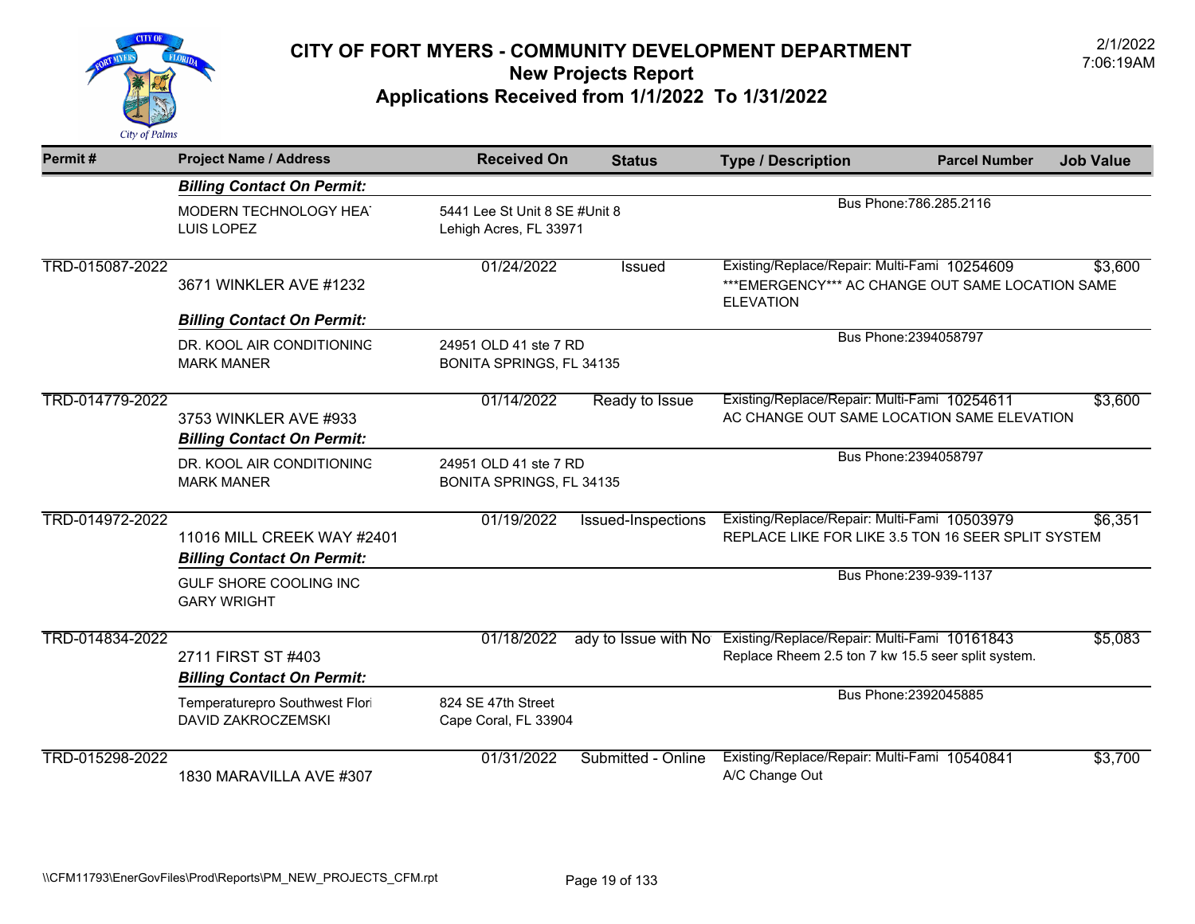

| Permit#         | <b>Project Name / Address</b>                                   | <b>Received On</b>                                      | <b>Status</b>        | <b>Type / Description</b>                                                                                             | <b>Parcel Number</b>    | <b>Job Value</b> |
|-----------------|-----------------------------------------------------------------|---------------------------------------------------------|----------------------|-----------------------------------------------------------------------------------------------------------------------|-------------------------|------------------|
|                 | <b>Billing Contact On Permit:</b>                               |                                                         |                      |                                                                                                                       |                         |                  |
|                 | MODERN TECHNOLOGY HEAT<br>LUIS LOPEZ                            | 5441 Lee St Unit 8 SE #Unit 8<br>Lehigh Acres, FL 33971 |                      |                                                                                                                       | Bus Phone: 786.285.2116 |                  |
| TRD-015087-2022 | 3671 WINKLER AVE #1232                                          | 01/24/2022                                              | <b>Issued</b>        | Existing/Replace/Repair: Multi-Fami 10254609<br>*** EMERGENCY*** AC CHANGE OUT SAME LOCATION SAME<br><b>ELEVATION</b> |                         | \$3,600          |
|                 | <b>Billing Contact On Permit:</b>                               |                                                         |                      |                                                                                                                       |                         |                  |
|                 | DR. KOOL AIR CONDITIONING<br><b>MARK MANER</b>                  | 24951 OLD 41 ste 7 RD<br>BONITA SPRINGS, FL 34135       |                      |                                                                                                                       | Bus Phone: 2394058797   |                  |
| TRD-014779-2022 | 3753 WINKLER AVE #933<br><b>Billing Contact On Permit:</b>      | 01/14/2022                                              | Ready to Issue       | Existing/Replace/Repair: Multi-Fami 10254611<br>AC CHANGE OUT SAME LOCATION SAME ELEVATION                            |                         | \$3,600          |
|                 | DR. KOOL AIR CONDITIONING<br><b>MARK MANER</b>                  | 24951 OLD 41 ste 7 RD<br>BONITA SPRINGS, FL 34135       |                      |                                                                                                                       | Bus Phone: 2394058797   |                  |
| TRD-014972-2022 | 11016 MILL CREEK WAY #2401<br><b>Billing Contact On Permit:</b> | 01/19/2022                                              | Issued-Inspections   | Existing/Replace/Repair: Multi-Fami 10503979<br>REPLACE LIKE FOR LIKE 3.5 TON 16 SEER SPLIT SYSTEM                    |                         | \$6,351          |
|                 | GULF SHORE COOLING INC<br><b>GARY WRIGHT</b>                    |                                                         |                      |                                                                                                                       | Bus Phone: 239-939-1137 |                  |
| TRD-014834-2022 | 2711 FIRST ST #403<br><b>Billing Contact On Permit:</b>         | 01/18/2022                                              | ady to Issue with No | Existing/Replace/Repair: Multi-Fami 10161843<br>Replace Rheem 2.5 ton 7 kw 15.5 seer split system.                    |                         | \$5,083          |
|                 | Temperaturepro Southwest Flori<br><b>DAVID ZAKROCZEMSKI</b>     | 824 SE 47th Street<br>Cape Coral, FL 33904              |                      |                                                                                                                       | Bus Phone: 2392045885   |                  |
| TRD-015298-2022 | 1830 MARAVILLA AVE #307                                         | 01/31/2022                                              | Submitted - Online   | Existing/Replace/Repair: Multi-Fami 10540841<br>A/C Change Out                                                        |                         | \$3,700          |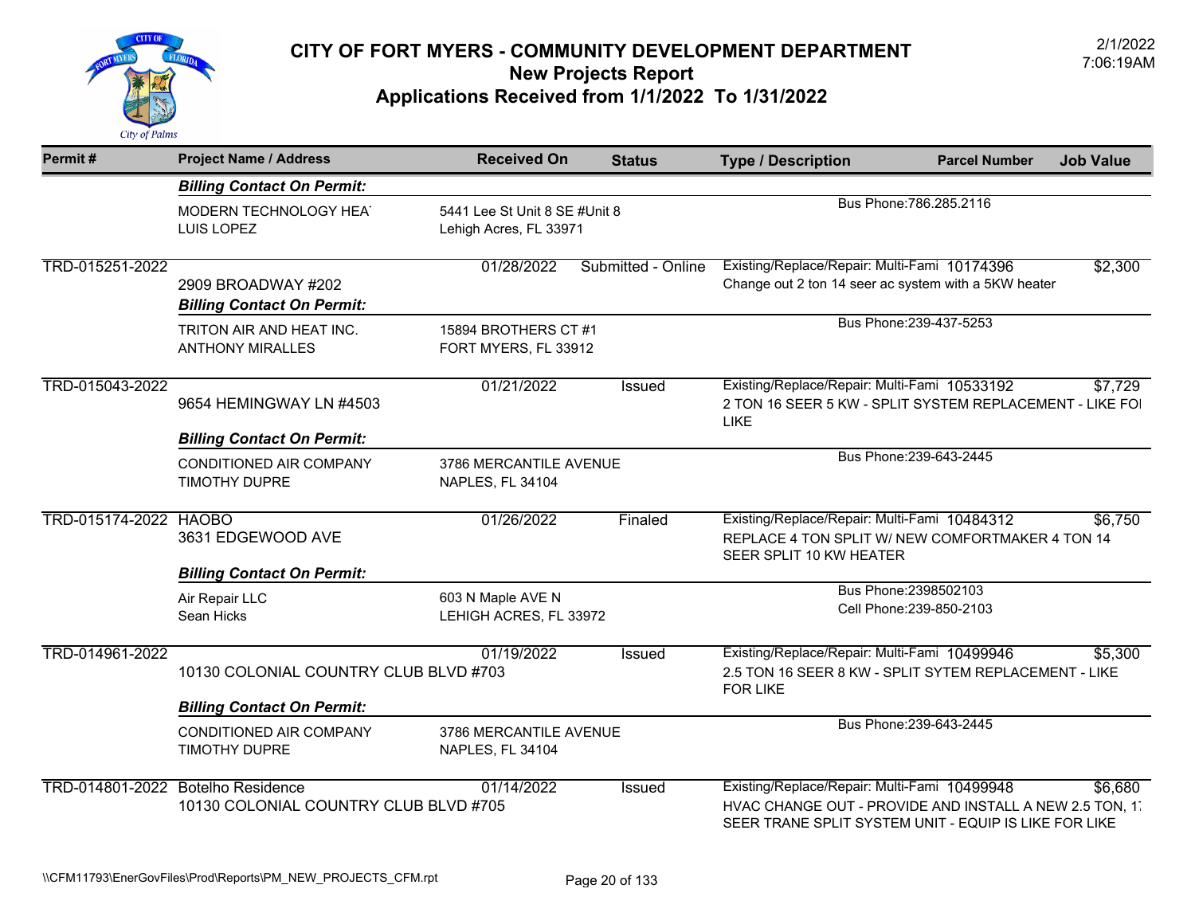

| Permit#               | <b>Project Name / Address</b>                                                        | <b>Received On</b>                                | <b>Status</b>                                           | <b>Type / Description</b>                                                                                                                                        | <b>Parcel Number</b>                              | <b>Job Value</b> |
|-----------------------|--------------------------------------------------------------------------------------|---------------------------------------------------|---------------------------------------------------------|------------------------------------------------------------------------------------------------------------------------------------------------------------------|---------------------------------------------------|------------------|
|                       | <b>Billing Contact On Permit:</b>                                                    |                                                   |                                                         |                                                                                                                                                                  |                                                   |                  |
|                       | MODERN TECHNOLOGY HEAT<br>LUIS LOPEZ                                                 |                                                   | 5441 Lee St Unit 8 SE #Unit 8<br>Lehigh Acres, FL 33971 |                                                                                                                                                                  | Bus Phone: 786.285.2116                           |                  |
| TRD-015251-2022       | 2909 BROADWAY #202<br><b>Billing Contact On Permit:</b>                              | 01/28/2022                                        | Submitted - Online                                      | Existing/Replace/Repair: Multi-Fami 10174396<br>Change out 2 ton 14 seer ac system with a 5KW heater                                                             |                                                   | \$2,300          |
|                       | TRITON AIR AND HEAT INC.<br><b>ANTHONY MIRALLES</b>                                  | 15894 BROTHERS CT #1<br>FORT MYERS, FL 33912      |                                                         |                                                                                                                                                                  | Bus Phone: 239-437-5253                           |                  |
| TRD-015043-2022       | 9654 HEMINGWAY LN #4503                                                              | 01/21/2022                                        | Issued                                                  | Existing/Replace/Repair: Multi-Fami 10533192<br>2 TON 16 SEER 5 KW - SPLIT SYSTEM REPLACEMENT - LIKE FOI<br>LIKE                                                 |                                                   | \$7,729          |
|                       | <b>Billing Contact On Permit:</b><br>CONDITIONED AIR COMPANY<br>TIMOTHY DUPRE        | 3786 MERCANTILE AVENUE<br><b>NAPLES, FL 34104</b> |                                                         |                                                                                                                                                                  | Bus Phone: 239-643-2445                           |                  |
| TRD-015174-2022 HAOBO | 3631 EDGEWOOD AVE                                                                    | 01/26/2022                                        | Finaled                                                 | Existing/Replace/Repair: Multi-Fami 10484312<br>REPLACE 4 TON SPLIT W/ NEW COMFORTMAKER 4 TON 14<br>SEER SPLIT 10 KW HEATER                                      |                                                   | \$6,750          |
|                       | <b>Billing Contact On Permit:</b><br>Air Repair LLC<br>Sean Hicks                    | 603 N Maple AVE N<br>LEHIGH ACRES, FL 33972       |                                                         |                                                                                                                                                                  | Bus Phone: 2398502103<br>Cell Phone: 239-850-2103 |                  |
| TRD-014961-2022       | 10130 COLONIAL COUNTRY CLUB BLVD #703                                                | 01/19/2022                                        | Issued                                                  | Existing/Replace/Repair: Multi-Fami 10499946<br>2.5 TON 16 SEER 8 KW - SPLIT SYTEM REPLACEMENT - LIKE<br><b>FOR LIKE</b>                                         |                                                   | \$5,300          |
|                       | <b>Billing Contact On Permit:</b><br>CONDITIONED AIR COMPANY<br><b>TIMOTHY DUPRE</b> | 3786 MERCANTILE AVENUE<br>NAPLES, FL 34104        |                                                         |                                                                                                                                                                  | Bus Phone: 239-643-2445                           |                  |
|                       | TRD-014801-2022 Botelho Residence<br>10130 COLONIAL COUNTRY CLUB BLVD #705           | 01/14/2022                                        | <b>Issued</b>                                           | Existing/Replace/Repair: Multi-Fami 10499948<br>HVAC CHANGE OUT - PROVIDE AND INSTALL A NEW 2.5 TON, 1.<br>SEER TRANE SPLIT SYSTEM UNIT - EQUIP IS LIKE FOR LIKE |                                                   | \$6,680          |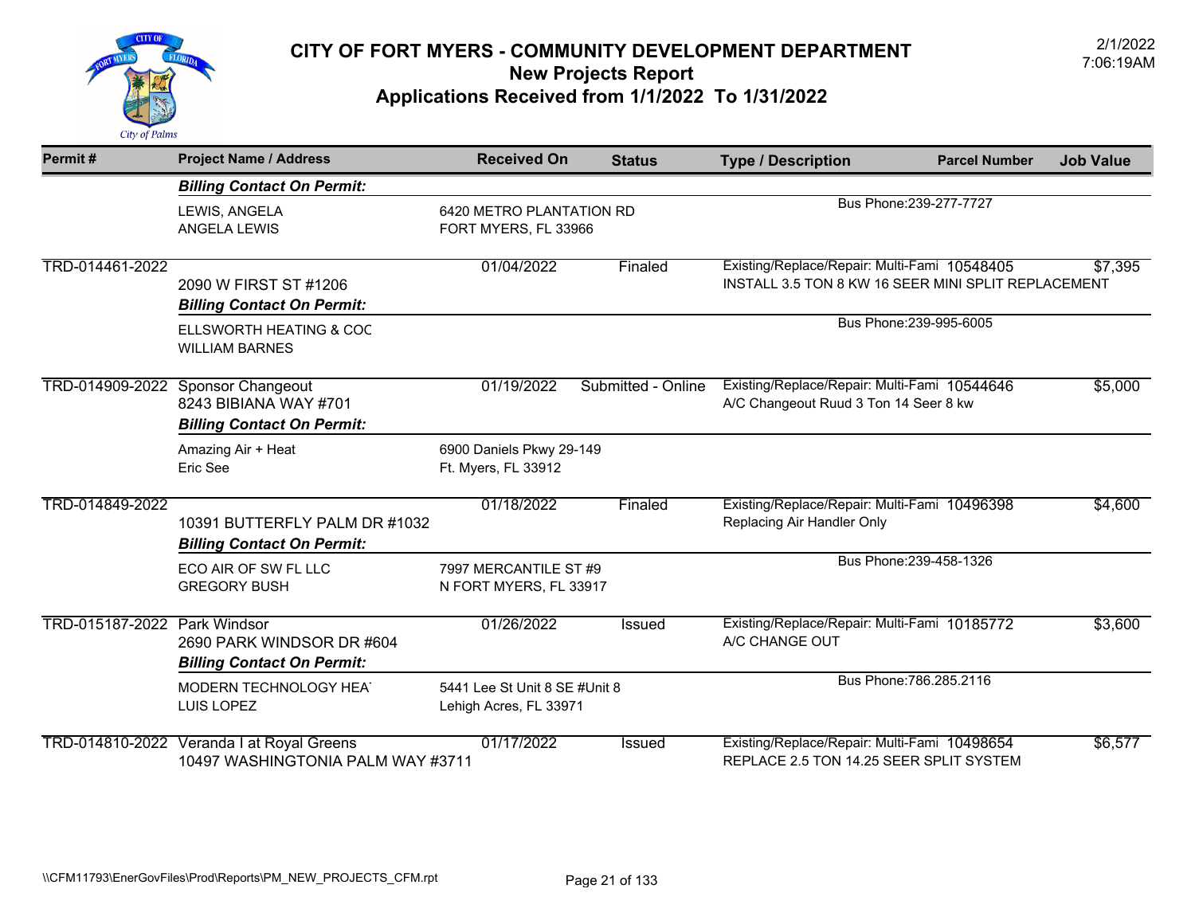

| Permit#                      | <b>Project Name / Address</b>                                                                   | <b>Received On</b>                                      | <b>Status</b>                                    | <b>Type / Description</b>                                                                           | <b>Parcel Number</b>    | <b>Job Value</b> |
|------------------------------|-------------------------------------------------------------------------------------------------|---------------------------------------------------------|--------------------------------------------------|-----------------------------------------------------------------------------------------------------|-------------------------|------------------|
|                              | <b>Billing Contact On Permit:</b>                                                               |                                                         |                                                  |                                                                                                     |                         |                  |
|                              | LEWIS, ANGELA<br>ANGELA LEWIS                                                                   |                                                         | 6420 METRO PLANTATION RD<br>FORT MYERS, FL 33966 |                                                                                                     | Bus Phone: 239-277-7727 |                  |
| TRD-014461-2022              | 2090 W FIRST ST #1206<br><b>Billing Contact On Permit:</b>                                      | 01/04/2022                                              | Finaled                                          | Existing/Replace/Repair: Multi-Fami 10548405<br>INSTALL 3.5 TON 8 KW 16 SEER MINI SPLIT REPLACEMENT |                         | \$7,395          |
|                              | ELLSWORTH HEATING & COC<br><b>WILLIAM BARNES</b>                                                |                                                         |                                                  |                                                                                                     | Bus Phone: 239-995-6005 |                  |
|                              | TRD-014909-2022 Sponsor Changeout<br>8243 BIBIANA WAY #701<br><b>Billing Contact On Permit:</b> | 01/19/2022                                              | Submitted - Online                               | Existing/Replace/Repair: Multi-Fami 10544646<br>A/C Changeout Ruud 3 Ton 14 Seer 8 kw               |                         | \$5,000          |
|                              | Amazing Air + Heat<br>Eric See                                                                  | 6900 Daniels Pkwy 29-149<br>Ft. Myers, FL 33912         |                                                  |                                                                                                     |                         |                  |
| TRD-014849-2022              | 10391 BUTTERFLY PALM DR #1032<br><b>Billing Contact On Permit:</b>                              | 01/18/2022                                              | Finaled                                          | Existing/Replace/Repair: Multi-Fami 10496398<br>Replacing Air Handler Only                          |                         | \$4,600          |
|                              | ECO AIR OF SW FL LLC<br><b>GREGORY BUSH</b>                                                     | 7997 MERCANTILE ST #9<br>N FORT MYERS, FL 33917         |                                                  |                                                                                                     | Bus Phone: 239-458-1326 |                  |
| TRD-015187-2022 Park Windsor | 2690 PARK WINDSOR DR #604<br><b>Billing Contact On Permit:</b>                                  | 01/26/2022                                              | <b>Issued</b>                                    | Existing/Replace/Repair: Multi-Fami 10185772<br>A/C CHANGE OUT                                      |                         | \$3,600          |
|                              | MODERN TECHNOLOGY HEAT<br>LUIS LOPEZ                                                            | 5441 Lee St Unit 8 SE #Unit 8<br>Lehigh Acres, FL 33971 |                                                  |                                                                                                     | Bus Phone: 786.285.2116 |                  |
|                              | TRD-014810-2022 Veranda I at Royal Greens<br>10497 WASHINGTONIA PALM WAY #3711                  | 01/17/2022                                              | Issued                                           | Existing/Replace/Repair: Multi-Fami 10498654<br>REPLACE 2.5 TON 14.25 SEER SPLIT SYSTEM             |                         | \$6,577          |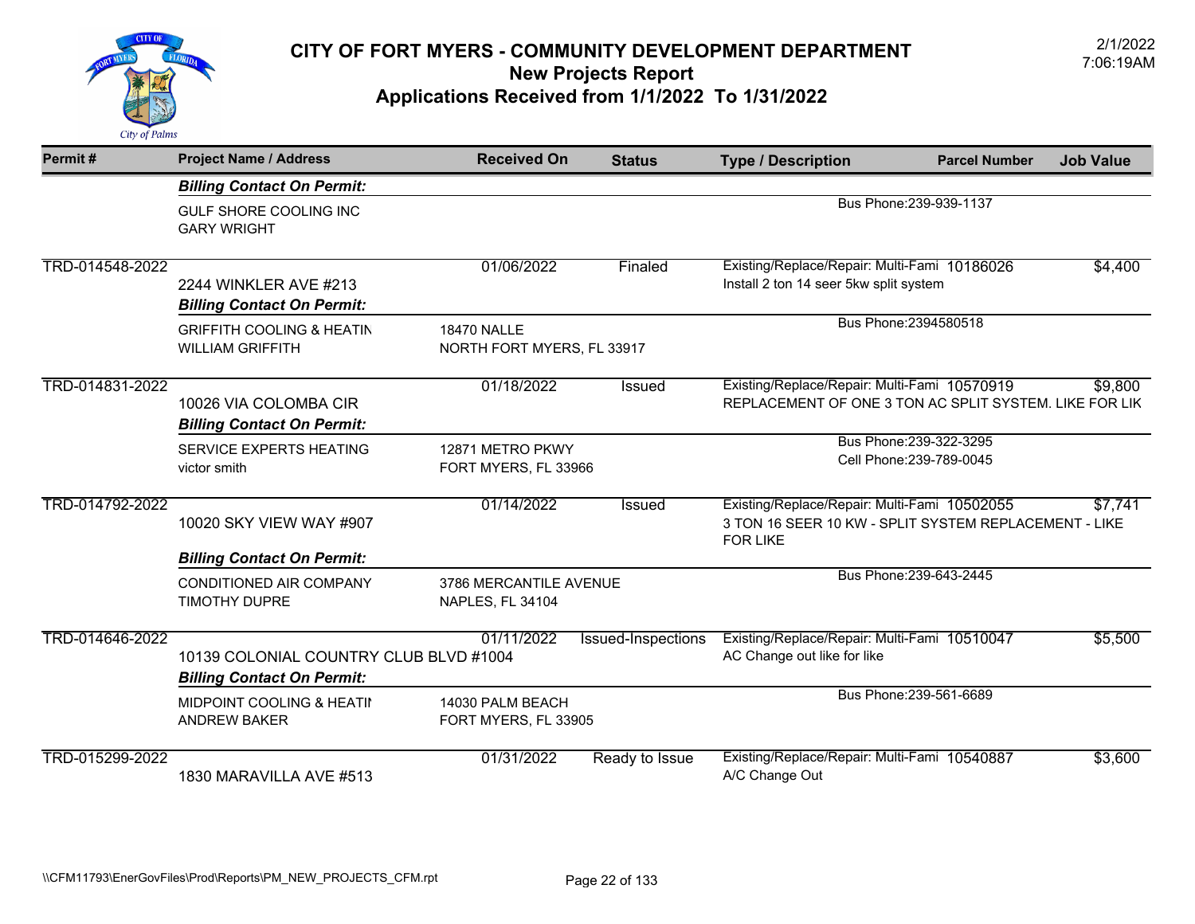

| Permit#         | <b>Project Name / Address</b>                                               | <b>Received On</b>                               | <b>Status</b>             | <b>Type / Description</b>                                                                                                | <b>Parcel Number</b>                                | <b>Job Value</b> |
|-----------------|-----------------------------------------------------------------------------|--------------------------------------------------|---------------------------|--------------------------------------------------------------------------------------------------------------------------|-----------------------------------------------------|------------------|
|                 | <b>Billing Contact On Permit:</b>                                           |                                                  |                           |                                                                                                                          |                                                     |                  |
|                 | GULF SHORE COOLING INC<br><b>GARY WRIGHT</b>                                |                                                  |                           | Bus Phone: 239-939-1137                                                                                                  |                                                     |                  |
| TRD-014548-2022 | 2244 WINKLER AVE #213<br><b>Billing Contact On Permit:</b>                  | 01/06/2022                                       | Finaled                   | Existing/Replace/Repair: Multi-Fami 10186026<br>Install 2 ton 14 seer 5kw split system                                   |                                                     | \$4,400          |
|                 | <b>GRIFFITH COOLING &amp; HEATIN</b><br><b>WILLIAM GRIFFITH</b>             | <b>18470 NALLE</b><br>NORTH FORT MYERS, FL 33917 |                           |                                                                                                                          | Bus Phone: 2394580518                               |                  |
| TRD-014831-2022 | 10026 VIA COLOMBA CIR<br><b>Billing Contact On Permit:</b>                  | 01/18/2022                                       | <b>Issued</b>             | Existing/Replace/Repair: Multi-Fami 10570919<br>REPLACEMENT OF ONE 3 TON AC SPLIT SYSTEM. LIKE FOR LIK                   |                                                     | \$9,800          |
|                 | SERVICE EXPERTS HEATING<br>victor smith                                     | 12871 METRO PKWY<br>FORT MYERS, FL 33966         |                           |                                                                                                                          | Bus Phone: 239-322-3295<br>Cell Phone: 239-789-0045 |                  |
| TRD-014792-2022 | 10020 SKY VIEW WAY #907                                                     | 01/14/2022                                       | Issued                    | Existing/Replace/Repair: Multi-Fami 10502055<br>3 TON 16 SEER 10 KW - SPLIT SYSTEM REPLACEMENT - LIKE<br><b>FOR LIKE</b> |                                                     | \$7,741          |
|                 | <b>Billing Contact On Permit:</b>                                           |                                                  |                           |                                                                                                                          |                                                     |                  |
|                 | <b>CONDITIONED AIR COMPANY</b><br><b>TIMOTHY DUPRE</b>                      | 3786 MERCANTILE AVENUE<br>NAPLES, FL 34104       |                           |                                                                                                                          | Bus Phone: 239-643-2445                             |                  |
| TRD-014646-2022 | 10139 COLONIAL COUNTRY CLUB BLVD #1004<br><b>Billing Contact On Permit:</b> | 01/11/2022                                       | <b>Issued-Inspections</b> | Existing/Replace/Repair: Multi-Fami 10510047<br>AC Change out like for like                                              |                                                     | \$5,500          |
|                 | <b>MIDPOINT COOLING &amp; HEATII</b><br><b>ANDREW BAKER</b>                 | 14030 PALM BEACH<br>FORT MYERS, FL 33905         |                           |                                                                                                                          | Bus Phone: 239-561-6689                             |                  |
| TRD-015299-2022 | 1830 MARAVILLA AVE #513                                                     | 01/31/2022                                       | Ready to Issue            | Existing/Replace/Repair: Multi-Fami 10540887<br>A/C Change Out                                                           |                                                     | \$3,600          |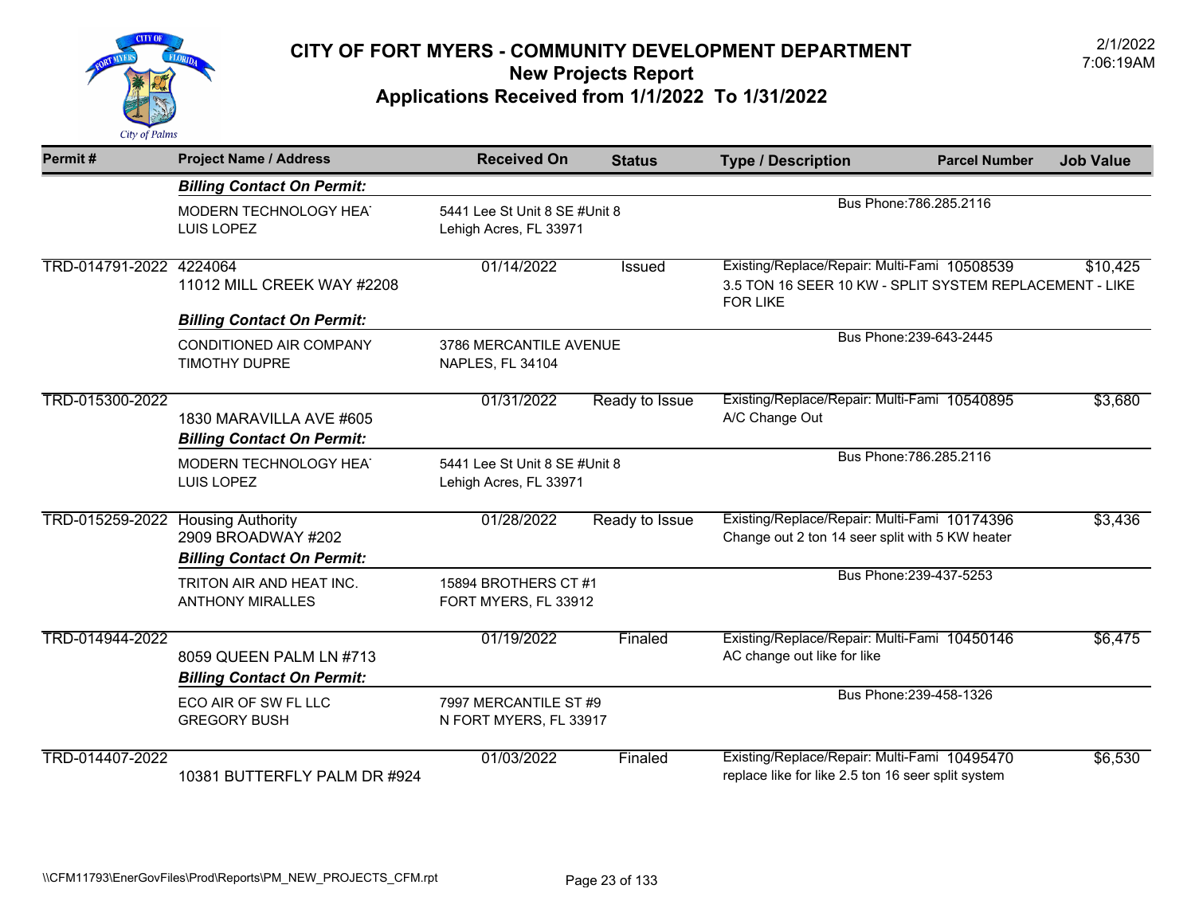

| Permit#                 | <b>Project Name / Address</b>                                                       | <b>Received On</b>                                      | <b>Status</b>  | <b>Type / Description</b>                                                                                                  | <b>Parcel Number</b>    | <b>Job Value</b> |
|-------------------------|-------------------------------------------------------------------------------------|---------------------------------------------------------|----------------|----------------------------------------------------------------------------------------------------------------------------|-------------------------|------------------|
|                         | <b>Billing Contact On Permit:</b>                                                   |                                                         |                |                                                                                                                            |                         |                  |
|                         | MODERN TECHNOLOGY HEAT<br>LUIS LOPEZ                                                | 5441 Lee St Unit 8 SE #Unit 8<br>Lehigh Acres, FL 33971 |                |                                                                                                                            | Bus Phone: 786.285.2116 |                  |
| TRD-014791-2022 4224064 | 11012 MILL CREEK WAY #2208                                                          | 01/14/2022                                              | Issued         | Existing/Replace/Repair: Multi-Fami 10508539<br>3.5 TON 16 SEER 10 KW - SPLIT SYSTEM REPLACEMENT - LIKE<br><b>FOR LIKE</b> |                         | \$10,425         |
|                         | <b>Billing Contact On Permit:</b>                                                   |                                                         |                |                                                                                                                            |                         |                  |
|                         | CONDITIONED AIR COMPANY<br><b>TIMOTHY DUPRE</b>                                     | 3786 MERCANTILE AVENUE<br>NAPLES, FL 34104              |                |                                                                                                                            | Bus Phone: 239-643-2445 |                  |
| TRD-015300-2022         | 1830 MARAVILLA AVE #605<br><b>Billing Contact On Permit:</b>                        | 01/31/2022                                              | Ready to Issue | Existing/Replace/Repair: Multi-Fami 10540895<br>A/C Change Out                                                             |                         | \$3,680          |
|                         | MODERN TECHNOLOGY HEAT<br>LUIS LOPEZ                                                | 5441 Lee St Unit 8 SE #Unit 8<br>Lehigh Acres, FL 33971 |                |                                                                                                                            | Bus Phone: 786.285.2116 |                  |
| TRD-015259-2022         | <b>Housing Authority</b><br>2909 BROADWAY #202<br><b>Billing Contact On Permit:</b> | 01/28/2022                                              | Ready to Issue | Existing/Replace/Repair: Multi-Fami 10174396<br>Change out 2 ton 14 seer split with 5 KW heater                            |                         | \$3,436          |
|                         | TRITON AIR AND HEAT INC.<br><b>ANTHONY MIRALLES</b>                                 | 15894 BROTHERS CT #1<br>FORT MYERS, FL 33912            |                |                                                                                                                            | Bus Phone: 239-437-5253 |                  |
| TRD-014944-2022         | 8059 QUEEN PALM LN #713<br><b>Billing Contact On Permit:</b>                        | 01/19/2022                                              | Finaled        | Existing/Replace/Repair: Multi-Fami 10450146<br>AC change out like for like                                                |                         | \$6,475          |
|                         | ECO AIR OF SW FL LLC<br><b>GREGORY BUSH</b>                                         | 7997 MERCANTILE ST #9<br>N FORT MYERS, FL 33917         |                |                                                                                                                            | Bus Phone: 239-458-1326 |                  |
| TRD-014407-2022         | 10381 BUTTERFLY PALM DR #924                                                        | 01/03/2022                                              | Finaled        | Existing/Replace/Repair: Multi-Fami 10495470<br>replace like for like 2.5 ton 16 seer split system                         |                         | \$6,530          |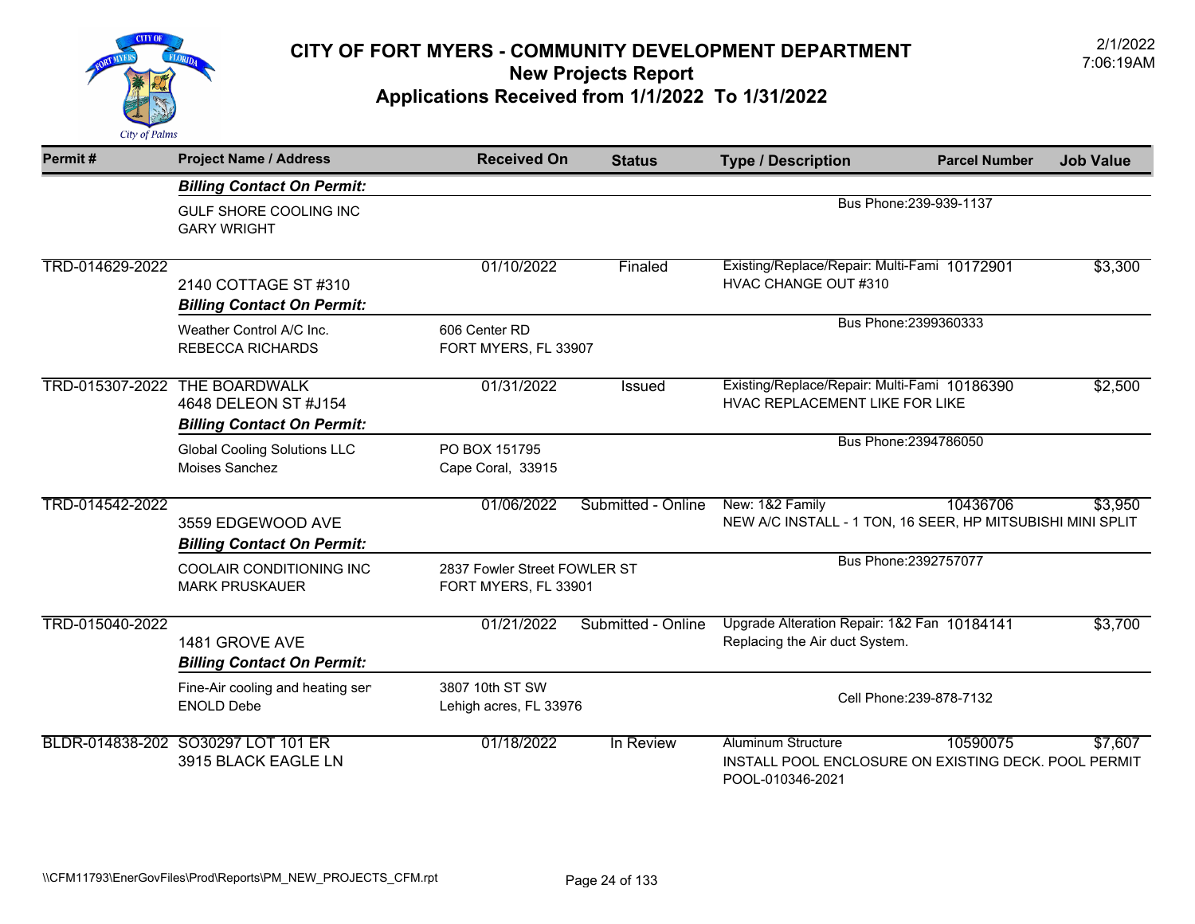

| Permit#         | <b>Project Name / Address</b>                                                     | <b>Received On</b>                                   | <b>Status</b>      | <b>Type / Description</b>                                                                             | <b>Parcel Number</b>     | <b>Job Value</b> |
|-----------------|-----------------------------------------------------------------------------------|------------------------------------------------------|--------------------|-------------------------------------------------------------------------------------------------------|--------------------------|------------------|
|                 | <b>Billing Contact On Permit:</b>                                                 |                                                      |                    |                                                                                                       |                          |                  |
|                 | GULF SHORE COOLING INC<br><b>GARY WRIGHT</b>                                      |                                                      |                    |                                                                                                       | Bus Phone: 239-939-1137  |                  |
| TRD-014629-2022 | 2140 COTTAGE ST #310<br><b>Billing Contact On Permit:</b>                         | 01/10/2022                                           | Finaled            | Existing/Replace/Repair: Multi-Fami 10172901<br>HVAC CHANGE OUT #310                                  |                          | \$3,300          |
|                 | Weather Control A/C Inc.<br><b>REBECCA RICHARDS</b>                               | 606 Center RD<br>FORT MYERS, FL 33907                |                    |                                                                                                       | Bus Phone: 2399360333    |                  |
| TRD-015307-2022 | <b>THE BOARDWALK</b><br>4648 DELEON ST #J154<br><b>Billing Contact On Permit:</b> | 01/31/2022                                           | Issued             | Existing/Replace/Repair: Multi-Fami 10186390<br>HVAC REPLACEMENT LIKE FOR LIKE                        |                          | \$2,500          |
|                 | <b>Global Cooling Solutions LLC</b><br>Moises Sanchez                             | PO BOX 151795<br>Cape Coral, 33915                   |                    |                                                                                                       | Bus Phone: 2394786050    |                  |
| TRD-014542-2022 | 3559 EDGEWOOD AVE<br><b>Billing Contact On Permit:</b>                            | 01/06/2022                                           | Submitted - Online | New: 1&2 Family<br>NEW A/C INSTALL - 1 TON, 16 SEER, HP MITSUBISHI MINI SPLIT                         | 10436706                 | \$3,950          |
|                 | COOLAIR CONDITIONING INC<br><b>MARK PRUSKAUER</b>                                 | 2837 Fowler Street FOWLER ST<br>FORT MYERS, FL 33901 |                    |                                                                                                       | Bus Phone: 2392757077    |                  |
| TRD-015040-2022 | 1481 GROVE AVE<br><b>Billing Contact On Permit:</b>                               | 01/21/2022                                           | Submitted - Online | Upgrade Alteration Repair: 1&2 Fan 10184141<br>Replacing the Air duct System.                         |                          | \$3,700          |
|                 | Fine-Air cooling and heating ser<br><b>ENOLD Debe</b>                             | 3807 10th ST SW<br>Lehigh acres, FL 33976            |                    |                                                                                                       | Cell Phone: 239-878-7132 |                  |
|                 | BLDR-014838-202 SO30297 LOT 101 ER<br>3915 BLACK EAGLE LN                         | 01/18/2022                                           | In Review          | <b>Aluminum Structure</b><br>INSTALL POOL ENCLOSURE ON EXISTING DECK. POOL PERMIT<br>POOL-010346-2021 | 10590075                 | \$7,607          |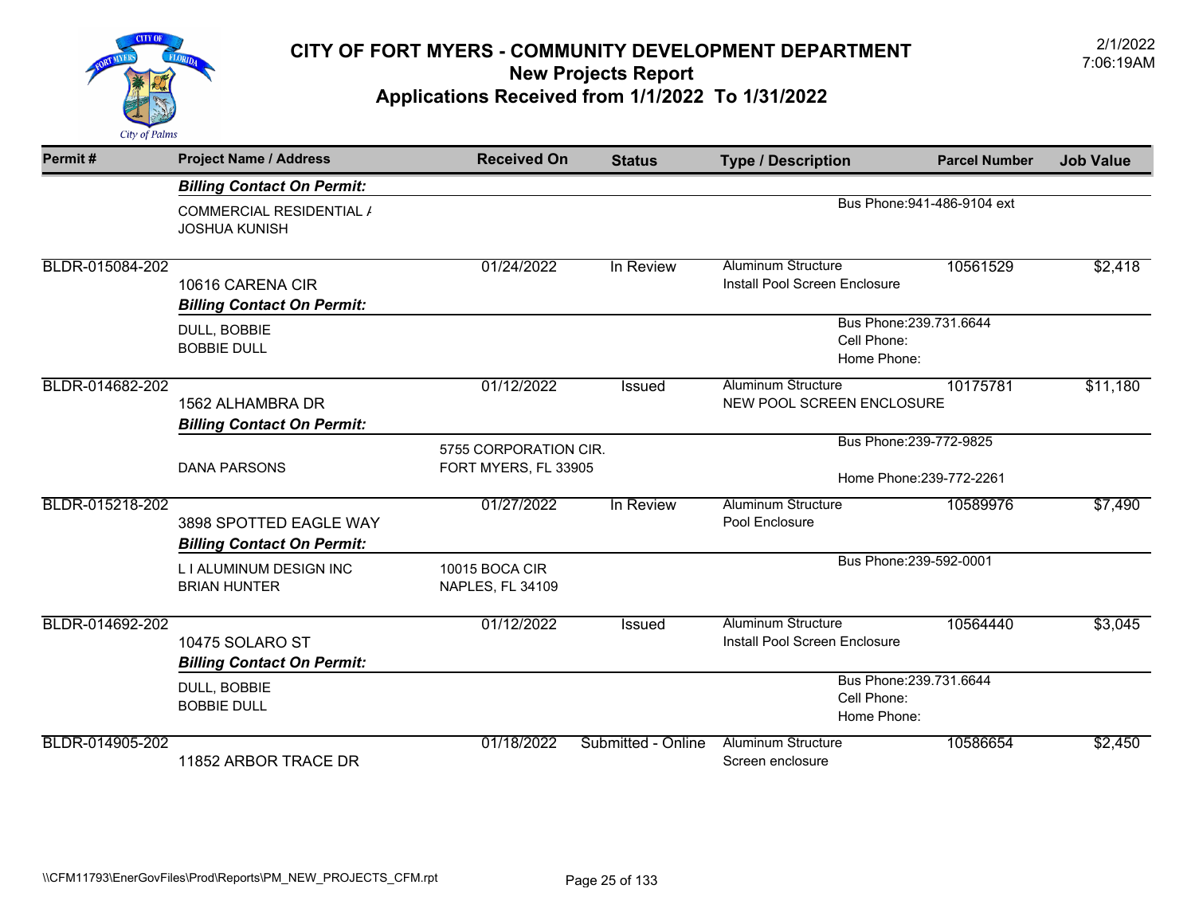

| Permit#         | <b>Project Name / Address</b>                               | <b>Received On</b>                            | <b>Status</b>                                         | <b>Type / Description</b>                                  | <b>Parcel Number</b>        | <b>Job Value</b> |
|-----------------|-------------------------------------------------------------|-----------------------------------------------|-------------------------------------------------------|------------------------------------------------------------|-----------------------------|------------------|
|                 | <b>Billing Contact On Permit:</b>                           |                                               |                                                       |                                                            |                             |                  |
|                 | COMMERCIAL RESIDENTIAL /<br><b>JOSHUA KUNISH</b>            |                                               |                                                       |                                                            | Bus Phone: 941-486-9104 ext |                  |
| BLDR-015084-202 | 10616 CARENA CIR<br><b>Billing Contact On Permit:</b>       | 01/24/2022                                    | In Review                                             | <b>Aluminum Structure</b><br>Install Pool Screen Enclosure | 10561529                    | \$2,418          |
|                 | DULL, BOBBIE<br><b>BOBBIE DULL</b>                          |                                               | Bus Phone: 239.731.6644<br>Cell Phone:<br>Home Phone: |                                                            |                             |                  |
| BLDR-014682-202 | 1562 ALHAMBRA DR<br><b>Billing Contact On Permit:</b>       | 01/12/2022                                    | <b>Issued</b>                                         | <b>Aluminum Structure</b><br>NEW POOL SCREEN ENCLOSURE     | 10175781                    | \$11,180         |
|                 | <b>DANA PARSONS</b>                                         | 5755 CORPORATION CIR.<br>FORT MYERS, FL 33905 |                                                       | Bus Phone: 239-772-9825<br>Home Phone: 239-772-2261        |                             |                  |
| BLDR-015218-202 | 3898 SPOTTED EAGLE WAY<br><b>Billing Contact On Permit:</b> | 01/27/2022                                    | In Review                                             | <b>Aluminum Structure</b><br>Pool Enclosure                | 10589976                    | \$7,490          |
|                 | L I ALUMINUM DESIGN INC<br><b>BRIAN HUNTER</b>              | 10015 BOCA CIR<br><b>NAPLES, FL 34109</b>     |                                                       |                                                            | Bus Phone: 239-592-0001     |                  |
| BLDR-014692-202 | 10475 SOLARO ST<br><b>Billing Contact On Permit:</b>        | 01/12/2022                                    | Issued                                                | <b>Aluminum Structure</b><br>Install Pool Screen Enclosure | 10564440                    | \$3,045          |
|                 | DULL, BOBBIE<br><b>BOBBIE DULL</b>                          |                                               |                                                       | Cell Phone:<br>Home Phone:                                 | Bus Phone: 239.731.6644     |                  |
| BLDR-014905-202 | 11852 ARBOR TRACE DR                                        | 01/18/2022                                    | Submitted - Online                                    | <b>Aluminum Structure</b><br>Screen enclosure              | 10586654                    | \$2,450          |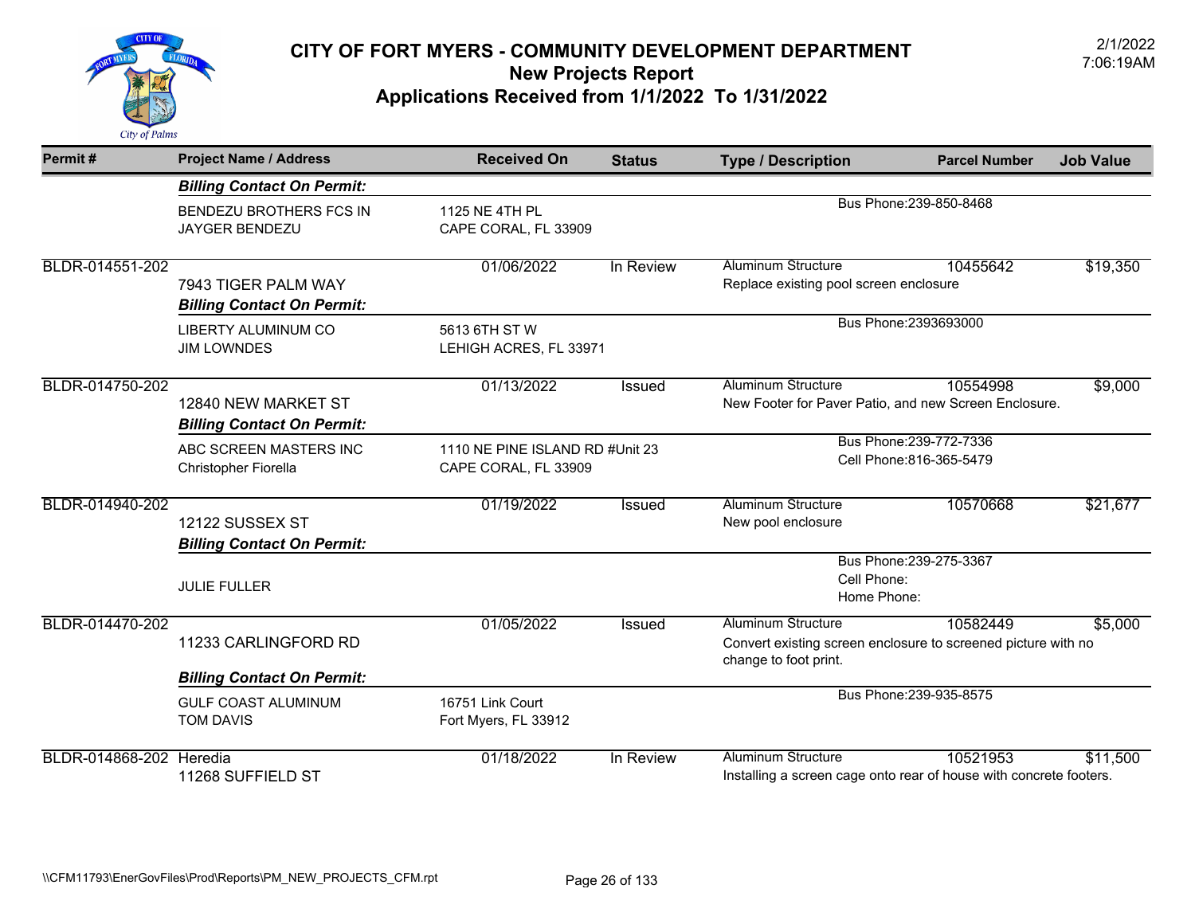

| Permit#                        | <b>Project Name / Address</b>                            | <b>Received On</b>                                      | <b>Status</b> | <b>Type / Description</b>                                                                                           | <b>Parcel Number</b>                               | <b>Job Value</b> |
|--------------------------------|----------------------------------------------------------|---------------------------------------------------------|---------------|---------------------------------------------------------------------------------------------------------------------|----------------------------------------------------|------------------|
|                                | <b>Billing Contact On Permit:</b>                        |                                                         |               |                                                                                                                     |                                                    |                  |
|                                | BENDEZU BROTHERS FCS IN<br><b>JAYGER BENDEZU</b>         | 1125 NE 4TH PL<br>CAPE CORAL, FL 33909                  |               |                                                                                                                     | Bus Phone: 239-850-8468                            |                  |
| BLDR-014551-202                | 7943 TIGER PALM WAY<br><b>Billing Contact On Permit:</b> | 01/06/2022                                              | In Review     | <b>Aluminum Structure</b><br>Replace existing pool screen enclosure                                                 | 10455642                                           | \$19,350         |
|                                | LIBERTY ALUMINUM CO<br><b>JIM LOWNDES</b>                | 5613 6TH ST W<br>LEHIGH ACRES, FL 33971                 |               | Bus Phone: 2393693000                                                                                               |                                                    |                  |
| BLDR-014750-202                | 12840 NEW MARKET ST<br><b>Billing Contact On Permit:</b> | 01/13/2022                                              | <b>Issued</b> | <b>Aluminum Structure</b><br>10554998<br>New Footer for Paver Patio, and new Screen Enclosure.                      |                                                    | \$9,000          |
|                                | ABC SCREEN MASTERS INC<br>Christopher Fiorella           | 1110 NE PINE ISLAND RD #Unit 23<br>CAPE CORAL, FL 33909 |               |                                                                                                                     | Bus Phone: 239-772-7336<br>Cell Phone:816-365-5479 |                  |
| BLDR-014940-202                | 12122 SUSSEX ST<br><b>Billing Contact On Permit:</b>     | 01/19/2022                                              | Issued        | <b>Aluminum Structure</b><br>New pool enclosure                                                                     | 10570668                                           | \$21,677         |
|                                | <b>JULIE FULLER</b>                                      |                                                         |               | Bus Phone: 239-275-3367<br>Cell Phone:<br>Home Phone:                                                               |                                                    |                  |
| BLDR-014470-202                | 11233 CARLINGFORD RD                                     | 01/05/2022                                              | Issued        | <b>Aluminum Structure</b><br>Convert existing screen enclosure to screened picture with no<br>change to foot print. | 10582449                                           | \$5,000          |
|                                | <b>Billing Contact On Permit:</b>                        |                                                         |               |                                                                                                                     |                                                    |                  |
|                                | <b>GULF COAST ALUMINUM</b><br><b>TOM DAVIS</b>           | 16751 Link Court<br>Fort Myers, FL 33912                |               |                                                                                                                     | Bus Phone: 239-935-8575                            |                  |
| <b>BLDR-014868-202 Heredia</b> | 11268 SUFFIELD ST                                        | 01/18/2022                                              | In Review     | <b>Aluminum Structure</b><br>Installing a screen cage onto rear of house with concrete footers.                     | 10521953                                           | \$11,500         |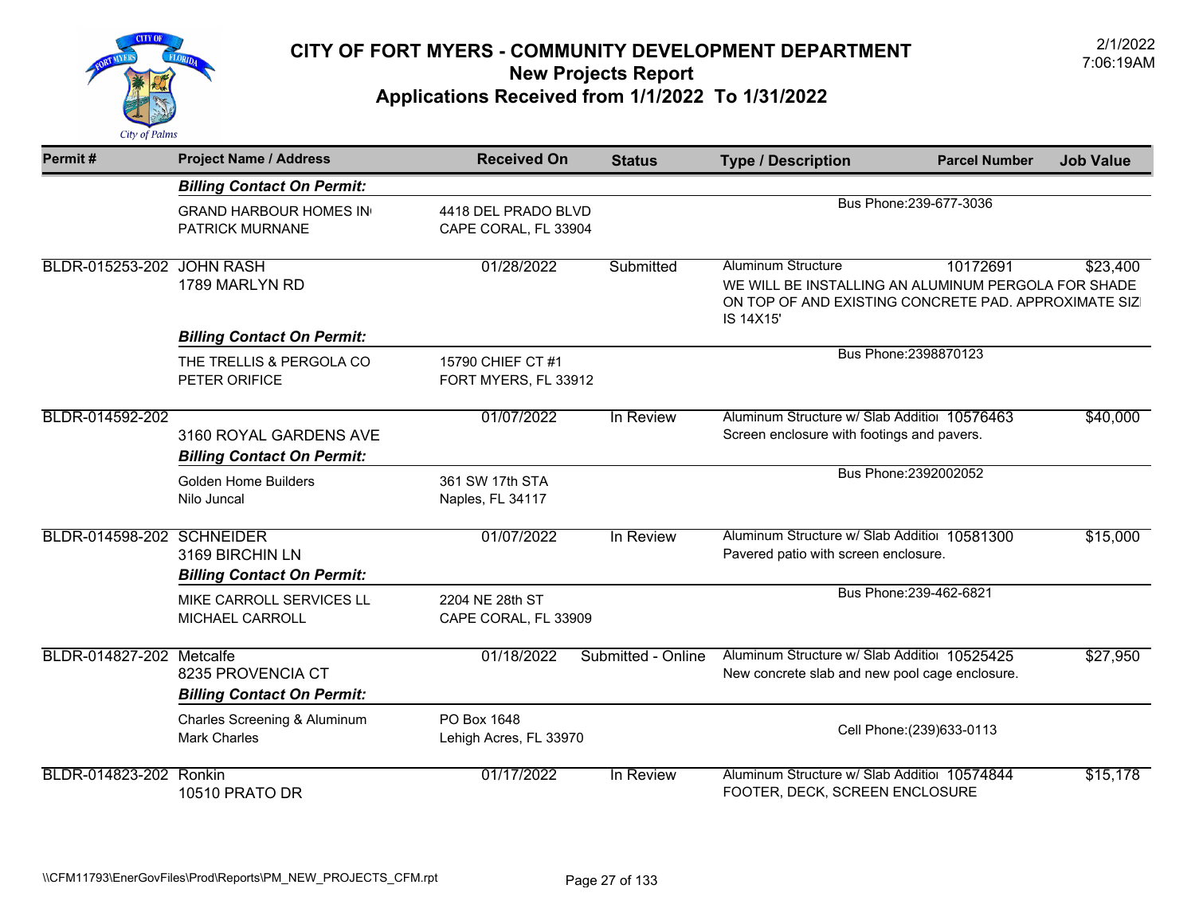

| Permit#                   | <b>Project Name / Address</b>                               | <b>Received On</b>                          | <b>Status</b>      | <b>Type / Description</b>                                                                                                                             | <b>Parcel Number</b>       | <b>Job Value</b> |
|---------------------------|-------------------------------------------------------------|---------------------------------------------|--------------------|-------------------------------------------------------------------------------------------------------------------------------------------------------|----------------------------|------------------|
|                           | <b>Billing Contact On Permit:</b>                           |                                             |                    |                                                                                                                                                       |                            |                  |
|                           | <b>GRAND HARBOUR HOMES IN</b><br>PATRICK MURNANE            | 4418 DEL PRADO BLVD<br>CAPE CORAL, FL 33904 |                    | Bus Phone: 239-677-3036                                                                                                                               |                            |                  |
| BLDR-015253-202 JOHN RASH | 1789 MARLYN RD                                              | 01/28/2022                                  | Submitted          | <b>Aluminum Structure</b><br>WE WILL BE INSTALLING AN ALUMINUM PERGOLA FOR SHADE<br>ON TOP OF AND EXISTING CONCRETE PAD. APPROXIMATE SIZ<br>IS 14X15' | 10172691                   | \$23,400         |
|                           | <b>Billing Contact On Permit:</b>                           |                                             |                    |                                                                                                                                                       |                            |                  |
|                           | THE TRELLIS & PERGOLA CO<br>PETER ORIFICE                   | 15790 CHIEF CT #1<br>FORT MYERS, FL 33912   |                    |                                                                                                                                                       | Bus Phone: 2398870123      |                  |
| BLDR-014592-202           | 3160 ROYAL GARDENS AVE<br><b>Billing Contact On Permit:</b> | 01/07/2022                                  | In Review          | Aluminum Structure w/ Slab Additior 10576463<br>Screen enclosure with footings and pavers.                                                            |                            | \$40,000         |
|                           | Golden Home Builders<br>Nilo Juncal                         | 361 SW 17th STA<br>Naples, FL 34117         |                    |                                                                                                                                                       | Bus Phone: 2392002052      |                  |
| BLDR-014598-202 SCHNEIDER | 3169 BIRCHIN LN<br><b>Billing Contact On Permit:</b>        | 01/07/2022                                  | In Review          | Aluminum Structure w/ Slab Additior 10581300<br>Pavered patio with screen enclosure.                                                                  |                            | \$15,000         |
|                           | MIKE CARROLL SERVICES LL<br>MICHAEL CARROLL                 | 2204 NE 28th ST<br>CAPE CORAL, FL 33909     |                    |                                                                                                                                                       | Bus Phone: 239-462-6821    |                  |
| BLDR-014827-202 Metcalfe  | 8235 PROVENCIA CT<br><b>Billing Contact On Permit:</b>      | 01/18/2022                                  | Submitted - Online | Aluminum Structure w/ Slab Additior 10525425<br>New concrete slab and new pool cage enclosure.                                                        |                            | \$27,950         |
|                           | Charles Screening & Aluminum<br><b>Mark Charles</b>         | PO Box 1648<br>Lehigh Acres, FL 33970       |                    |                                                                                                                                                       | Cell Phone: (239) 633-0113 |                  |
| BLDR-014823-202 Ronkin    | 10510 PRATO DR                                              | 01/17/2022                                  | In Review          | Aluminum Structure w/ Slab Additior 10574844<br>FOOTER, DECK, SCREEN ENCLOSURE                                                                        |                            | \$15, 178        |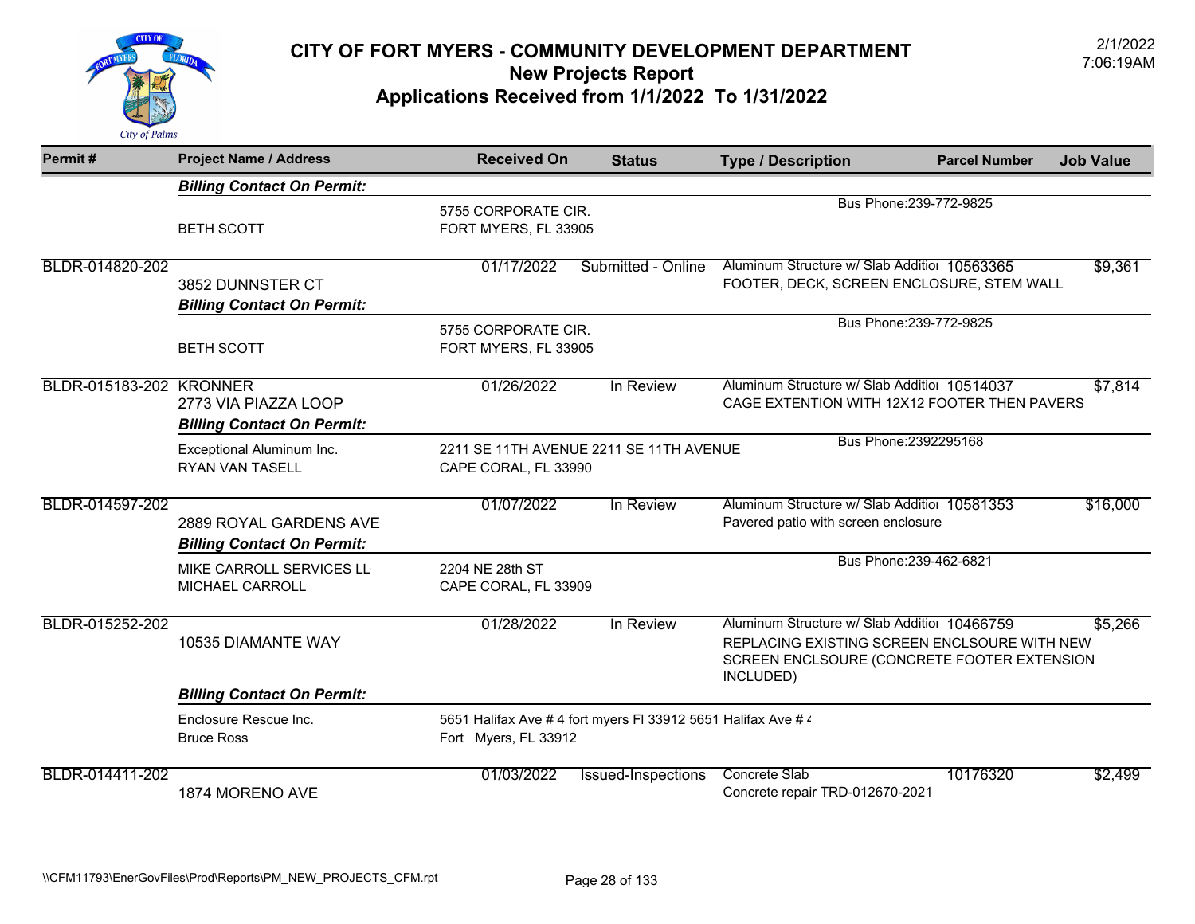

| Permit#                        | <b>Project Name / Address</b>                               | <b>Received On</b>                                                                    | <b>Status</b>      | <b>Type / Description</b>                                                                                                                                | <b>Parcel Number</b>    | <b>Job Value</b> |
|--------------------------------|-------------------------------------------------------------|---------------------------------------------------------------------------------------|--------------------|----------------------------------------------------------------------------------------------------------------------------------------------------------|-------------------------|------------------|
|                                | <b>Billing Contact On Permit:</b>                           |                                                                                       |                    |                                                                                                                                                          |                         |                  |
|                                | <b>BETH SCOTT</b>                                           | 5755 CORPORATE CIR.<br>FORT MYERS, FL 33905                                           |                    |                                                                                                                                                          | Bus Phone: 239-772-9825 |                  |
| BLDR-014820-202                | 3852 DUNNSTER CT<br><b>Billing Contact On Permit:</b>       | 01/17/2022                                                                            | Submitted - Online | Aluminum Structure w/ Slab Additior 10563365<br>FOOTER, DECK, SCREEN ENCLOSURE, STEM WALL                                                                |                         | \$9,361          |
|                                | <b>BETH SCOTT</b>                                           | 5755 CORPORATE CIR.<br>FORT MYERS, FL 33905                                           |                    |                                                                                                                                                          | Bus Phone: 239-772-9825 |                  |
| <b>BLDR-015183-202 KRONNER</b> | 2773 VIA PIAZZA LOOP<br><b>Billing Contact On Permit:</b>   | 01/26/2022                                                                            | In Review          | Aluminum Structure w/ Slab Additior 10514037<br>CAGE EXTENTION WITH 12X12 FOOTER THEN PAVERS                                                             |                         | \$7,814          |
|                                | Exceptional Aluminum Inc.<br><b>RYAN VAN TASELL</b>         | 2211 SE 11TH AVENUE 2211 SE 11TH AVENUE<br>CAPE CORAL, FL 33990                       |                    |                                                                                                                                                          | Bus Phone: 2392295168   |                  |
| BLDR-014597-202                | 2889 ROYAL GARDENS AVE<br><b>Billing Contact On Permit:</b> | 01/07/2022                                                                            | In Review          | Aluminum Structure w/ Slab Additiol 10581353<br>Pavered patio with screen enclosure                                                                      |                         | \$16,000         |
|                                | MIKE CARROLL SERVICES LL<br>MICHAEL CARROLL                 | 2204 NE 28th ST<br>CAPE CORAL, FL 33909                                               |                    |                                                                                                                                                          | Bus Phone: 239-462-6821 |                  |
| BLDR-015252-202                | 10535 DIAMANTE WAY                                          | 01/28/2022                                                                            | In Review          | Aluminum Structure w/ Slab Additior 10466759<br>REPLACING EXISTING SCREEN ENCLSOURE WITH NEW<br>SCREEN ENCLSOURE (CONCRETE FOOTER EXTENSION<br>INCLUDED) |                         | \$5,266          |
|                                | <b>Billing Contact On Permit:</b>                           |                                                                                       |                    |                                                                                                                                                          |                         |                  |
|                                | Enclosure Rescue Inc.<br><b>Bruce Ross</b>                  | 5651 Halifax Ave # 4 fort myers FI 33912 5651 Halifax Ave # 4<br>Fort Myers, FL 33912 |                    |                                                                                                                                                          |                         |                  |
| BLDR-014411-202                | 1874 MORENO AVE                                             | 01/03/2022                                                                            | Issued-Inspections | Concrete Slab<br>Concrete repair TRD-012670-2021                                                                                                         | 10176320                | \$2,499          |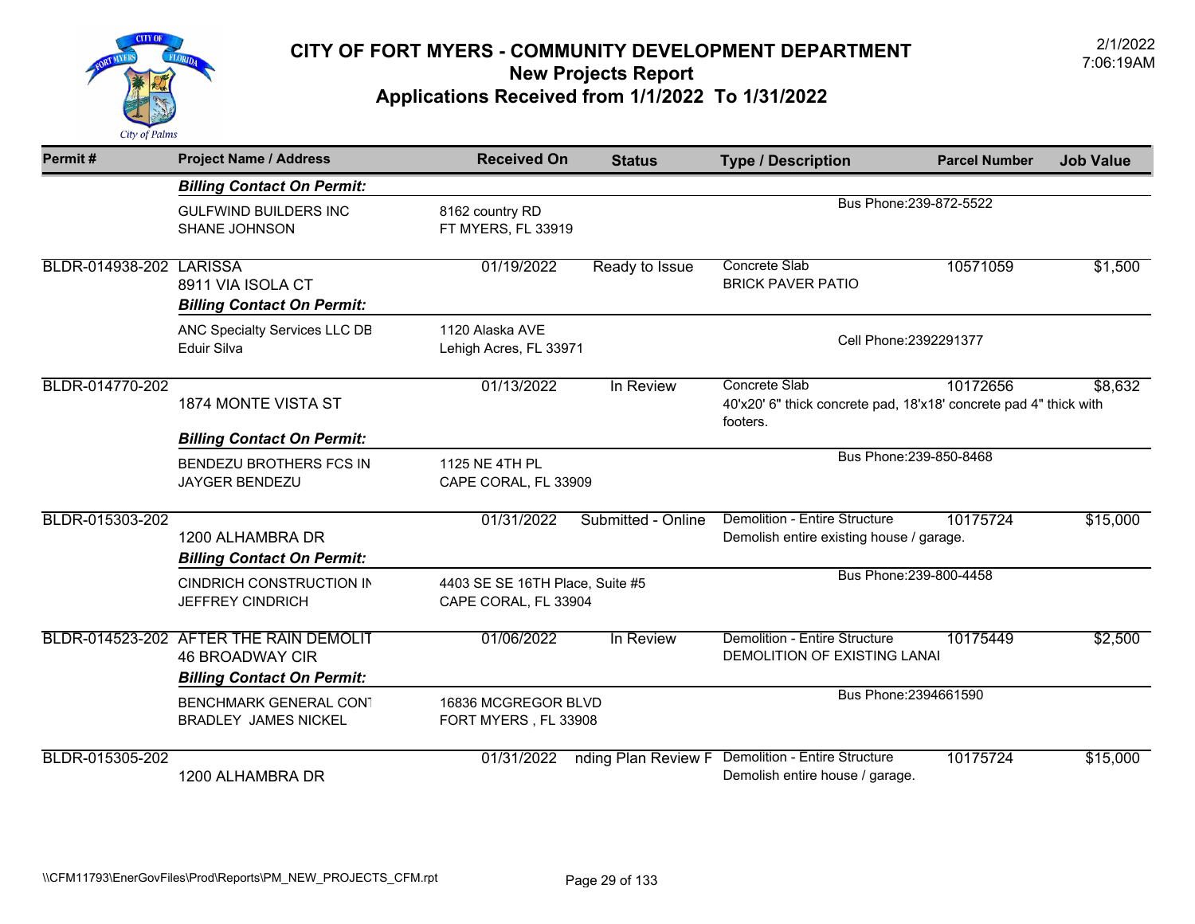

| Permit#                 | <b>Project Name / Address</b>                                                                         | <b>Received On</b>                                      | <b>Status</b>       | <b>Type / Description</b>                                                                      | <b>Parcel Number</b>    | <b>Job Value</b> |
|-------------------------|-------------------------------------------------------------------------------------------------------|---------------------------------------------------------|---------------------|------------------------------------------------------------------------------------------------|-------------------------|------------------|
|                         | <b>Billing Contact On Permit:</b>                                                                     |                                                         |                     |                                                                                                |                         |                  |
|                         | <b>GULFWIND BUILDERS INC</b><br>SHANE JOHNSON                                                         | 8162 country RD<br>FT MYERS, FL 33919                   |                     |                                                                                                | Bus Phone: 239-872-5522 |                  |
| BLDR-014938-202 LARISSA | 8911 VIA ISOLA CT<br><b>Billing Contact On Permit:</b>                                                | 01/19/2022                                              | Ready to Issue      | Concrete Slab<br><b>BRICK PAVER PATIO</b>                                                      | 10571059                | \$1,500          |
|                         | ANC Specialty Services LLC DB<br>Eduir Silva                                                          | 1120 Alaska AVE<br>Lehigh Acres, FL 33971               |                     |                                                                                                | Cell Phone: 2392291377  |                  |
| BLDR-014770-202         | 1874 MONTE VISTA ST                                                                                   | 01/13/2022                                              | In Review           | Concrete Slab<br>40'x20' 6" thick concrete pad, 18'x18' concrete pad 4" thick with<br>footers. | 10172656                | \$8,632          |
|                         | <b>Billing Contact On Permit:</b>                                                                     |                                                         |                     |                                                                                                |                         |                  |
|                         | <b>BENDEZU BROTHERS FCS IN</b><br><b>JAYGER BENDEZU</b>                                               | 1125 NE 4TH PL<br>CAPE CORAL, FL 33909                  |                     |                                                                                                | Bus Phone: 239-850-8468 |                  |
| BLDR-015303-202         | 1200 ALHAMBRA DR<br><b>Billing Contact On Permit:</b>                                                 | 01/31/2022                                              | Submitted - Online  | Demolition - Entire Structure<br>Demolish entire existing house / garage.                      | 10175724                | \$15,000         |
|                         | <b>CINDRICH CONSTRUCTION IN</b><br><b>JEFFREY CINDRICH</b>                                            | 4403 SE SE 16TH Place, Suite #5<br>CAPE CORAL, FL 33904 |                     |                                                                                                | Bus Phone: 239-800-4458 |                  |
|                         | BLDR-014523-202 AFTER THE RAIN DEMOLIT<br><b>46 BROADWAY CIR</b><br><b>Billing Contact On Permit:</b> | 01/06/2022                                              | In Review           | Demolition - Entire Structure<br>DEMOLITION OF EXISTING LANAI                                  | 10175449                | \$2,500          |
|                         | <b>BENCHMARK GENERAL CONT</b><br><b>BRADLEY JAMES NICKEL</b>                                          | 16836 MCGREGOR BLVD<br>FORT MYERS, FL 33908             |                     |                                                                                                | Bus Phone: 2394661590   |                  |
| BLDR-015305-202         | 1200 ALHAMBRA DR                                                                                      | 01/31/2022                                              | nding Plan Review F | <b>Demolition - Entire Structure</b><br>Demolish entire house / garage.                        | 10175724                | \$15,000         |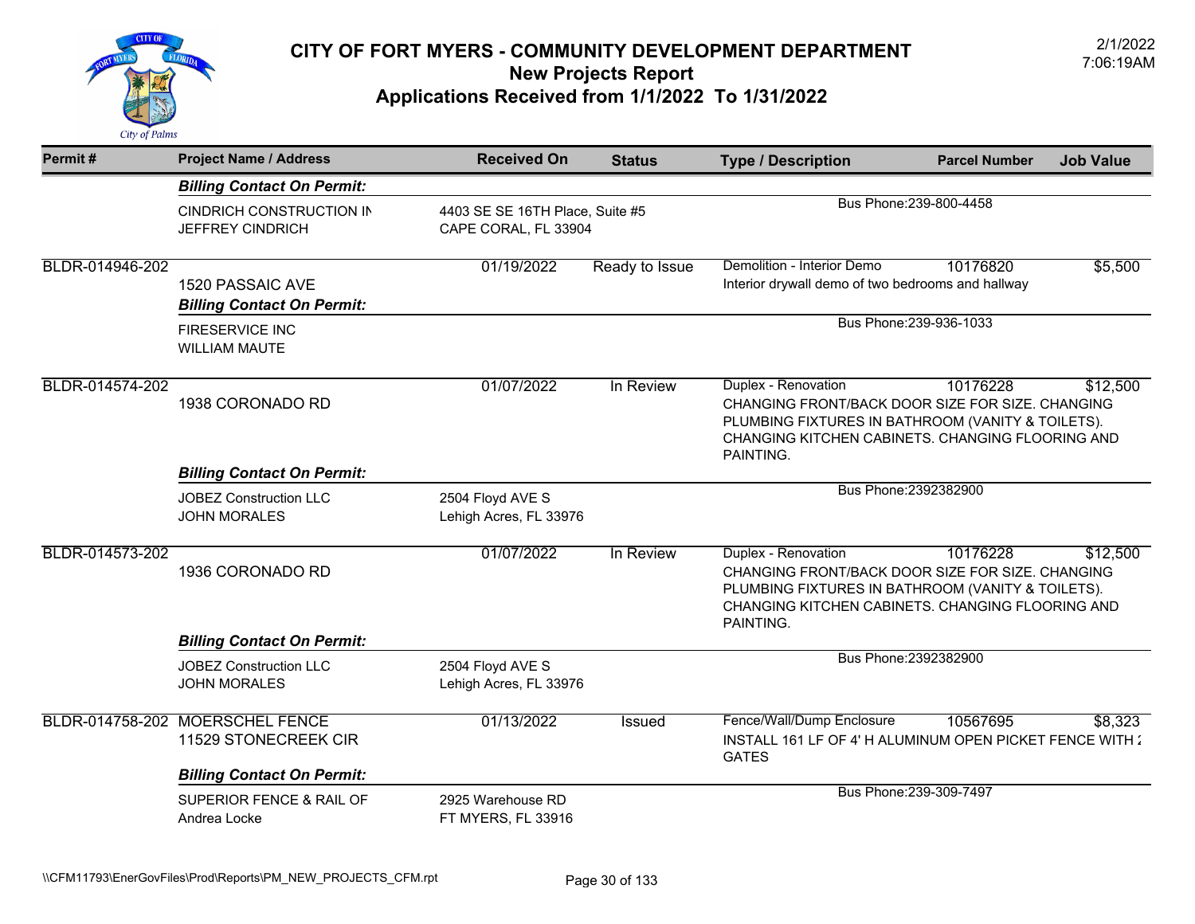

| Permit#         | <b>Project Name / Address</b>                              | <b>Received On</b>                                      | <b>Status</b>  | <b>Type / Description</b>                                                                                                                                                                                             | <b>Parcel Number</b>    | <b>Job Value</b> |
|-----------------|------------------------------------------------------------|---------------------------------------------------------|----------------|-----------------------------------------------------------------------------------------------------------------------------------------------------------------------------------------------------------------------|-------------------------|------------------|
|                 | <b>Billing Contact On Permit:</b>                          |                                                         |                |                                                                                                                                                                                                                       |                         |                  |
|                 | <b>CINDRICH CONSTRUCTION IN</b><br><b>JEFFREY CINDRICH</b> | 4403 SE SE 16TH Place, Suite #5<br>CAPE CORAL, FL 33904 |                |                                                                                                                                                                                                                       | Bus Phone: 239-800-4458 |                  |
| BLDR-014946-202 | 1520 PASSAIC AVE<br><b>Billing Contact On Permit:</b>      | 01/19/2022                                              | Ready to Issue | Demolition - Interior Demo<br>Interior drywall demo of two bedrooms and hallway                                                                                                                                       | 10176820                | \$5,500          |
|                 | <b>FIRESERVICE INC</b><br><b>WILLIAM MAUTE</b>             |                                                         |                | Bus Phone: 239-936-1033                                                                                                                                                                                               |                         |                  |
| BLDR-014574-202 | 1938 CORONADO RD                                           | 01/07/2022                                              | In Review      | Duplex - Renovation<br>10176228<br>\$12,500<br>CHANGING FRONT/BACK DOOR SIZE FOR SIZE. CHANGING<br>PLUMBING FIXTURES IN BATHROOM (VANITY & TOILETS).<br>CHANGING KITCHEN CABINETS. CHANGING FLOORING AND<br>PAINTING. |                         |                  |
|                 | <b>Billing Contact On Permit:</b>                          |                                                         |                |                                                                                                                                                                                                                       |                         |                  |
|                 | <b>JOBEZ Construction LLC</b><br><b>JOHN MORALES</b>       | 2504 Floyd AVE S<br>Lehigh Acres, FL 33976              |                |                                                                                                                                                                                                                       | Bus Phone: 2392382900   |                  |
| BLDR-014573-202 | 1936 CORONADO RD                                           | 01/07/2022                                              | In Review      | Duplex - Renovation<br>CHANGING FRONT/BACK DOOR SIZE FOR SIZE. CHANGING<br>PLUMBING FIXTURES IN BATHROOM (VANITY & TOILETS).<br>CHANGING KITCHEN CABINETS. CHANGING FLOORING AND<br>PAINTING.                         | 10176228                | \$12,500         |
|                 | <b>Billing Contact On Permit:</b>                          |                                                         |                |                                                                                                                                                                                                                       |                         |                  |
|                 | <b>JOBEZ Construction LLC</b><br><b>JOHN MORALES</b>       | 2504 Floyd AVE S<br>Lehigh Acres, FL 33976              |                |                                                                                                                                                                                                                       | Bus Phone: 2392382900   |                  |
|                 | BLDR-014758-202 MOERSCHEL FENCE<br>11529 STONECREEK CIR    | 01/13/2022                                              | Issued         | Fence/Wall/Dump Enclosure<br>INSTALL 161 LF OF 4' H ALUMINUM OPEN PICKET FENCE WITH :<br><b>GATES</b>                                                                                                                 | 10567695                | \$8,323          |
|                 | <b>Billing Contact On Permit:</b>                          | 2925 Warehouse RD                                       |                |                                                                                                                                                                                                                       | Bus Phone: 239-309-7497 |                  |
|                 | SUPERIOR FENCE & RAIL OF<br>Andrea Locke                   | FT MYERS, FL 33916                                      |                |                                                                                                                                                                                                                       |                         |                  |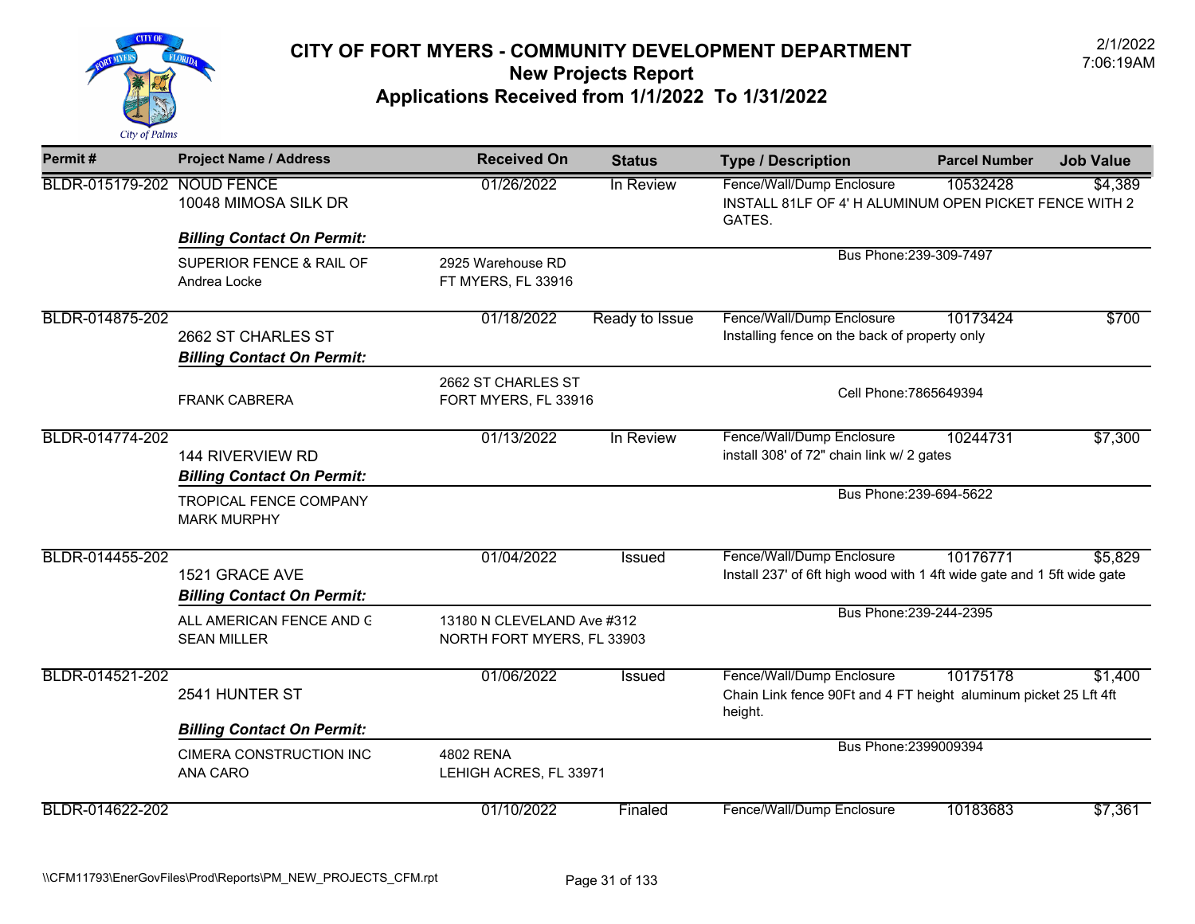

| Permit#                    | <b>Project Name / Address</b>                           | <b>Received On</b>                                       | <b>Status</b>  | <b>Type / Description</b>                                                                                | <b>Parcel Number</b>    | <b>Job Value</b> |
|----------------------------|---------------------------------------------------------|----------------------------------------------------------|----------------|----------------------------------------------------------------------------------------------------------|-------------------------|------------------|
| BLDR-015179-202 NOUD FENCE | 10048 MIMOSA SILK DR                                    | 01/26/2022                                               | In Review      | Fence/Wall/Dump Enclosure<br>INSTALL 81LF OF 4' H ALUMINUM OPEN PICKET FENCE WITH 2<br>GATES.            | 10532428                | \$4,389          |
|                            | <b>Billing Contact On Permit:</b>                       |                                                          |                |                                                                                                          |                         |                  |
|                            | SUPERIOR FENCE & RAIL OF<br>Andrea Locke                | 2925 Warehouse RD<br>FT MYERS, FL 33916                  |                |                                                                                                          | Bus Phone: 239-309-7497 |                  |
| BLDR-014875-202            | 2662 ST CHARLES ST<br><b>Billing Contact On Permit:</b> | 01/18/2022                                               | Ready to Issue | Fence/Wall/Dump Enclosure<br>Installing fence on the back of property only                               | 10173424                | \$700            |
|                            | <b>FRANK CABRERA</b>                                    | 2662 ST CHARLES ST<br>FORT MYERS, FL 33916               |                | Cell Phone: 7865649394                                                                                   |                         |                  |
| BLDR-014774-202            | 144 RIVERVIEW RD<br><b>Billing Contact On Permit:</b>   | 01/13/2022                                               | In Review      | Fence/Wall/Dump Enclosure<br>install 308' of 72" chain link w/ 2 gates                                   | 10244731                | \$7,300          |
|                            | <b>TROPICAL FENCE COMPANY</b><br><b>MARK MURPHY</b>     |                                                          |                |                                                                                                          | Bus Phone: 239-694-5622 |                  |
| BLDR-014455-202            | 1521 GRACE AVE<br><b>Billing Contact On Permit:</b>     | 01/04/2022                                               | <b>Issued</b>  | Fence/Wall/Dump Enclosure<br>Install 237' of 6ft high wood with 1 4ft wide gate and 1 5ft wide gate      | 10176771                | \$5,829          |
|                            | ALL AMERICAN FENCE AND G<br><b>SEAN MILLER</b>          | 13180 N CLEVELAND Ave #312<br>NORTH FORT MYERS, FL 33903 |                |                                                                                                          | Bus Phone: 239-244-2395 |                  |
| BLDR-014521-202            | 2541 HUNTER ST                                          | 01/06/2022                                               | Issued         | Fence/Wall/Dump Enclosure<br>Chain Link fence 90Ft and 4 FT height aluminum picket 25 Lft 4ft<br>height. | 10175178                | \$1,400          |
|                            | <b>Billing Contact On Permit:</b>                       |                                                          |                |                                                                                                          |                         |                  |
|                            | <b>CIMERA CONSTRUCTION INC</b><br>ANA CARO              | <b>4802 RENA</b><br>LEHIGH ACRES, FL 33971               |                | Bus Phone: 2399009394                                                                                    |                         |                  |
| BLDR-014622-202            |                                                         | 01/10/2022                                               | Finaled        | Fence/Wall/Dump Enclosure                                                                                | 10183683                | \$7,361          |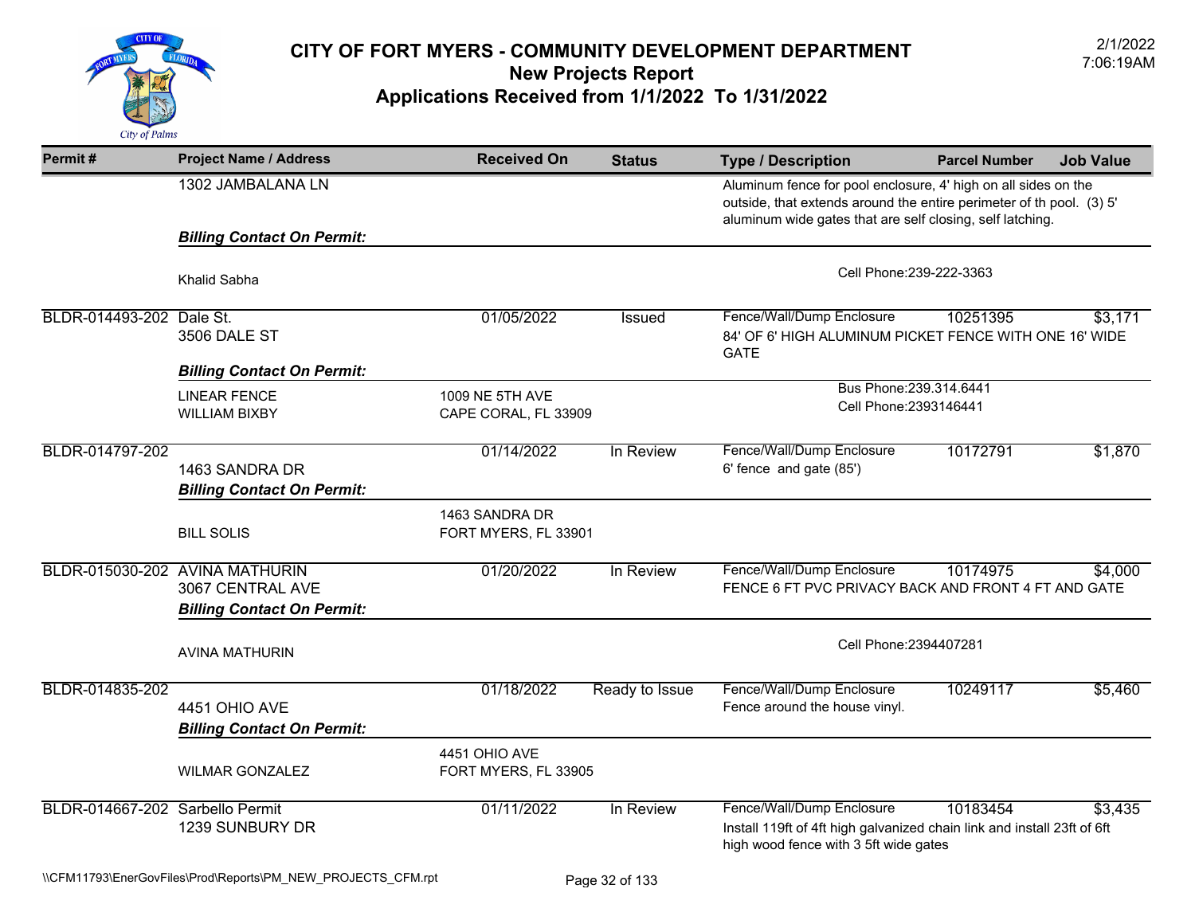

| Permit#                         | <b>Project Name / Address</b>                                                           | <b>Received On</b>                      | <b>Status</b>  | <b>Type / Description</b>                                                                                                                     | <b>Parcel Number</b>                                                                                                                                                                                | <b>Job Value</b> |  |  |
|---------------------------------|-----------------------------------------------------------------------------------------|-----------------------------------------|----------------|-----------------------------------------------------------------------------------------------------------------------------------------------|-----------------------------------------------------------------------------------------------------------------------------------------------------------------------------------------------------|------------------|--|--|
|                                 | 1302 JAMBALANA LN                                                                       |                                         |                |                                                                                                                                               | Aluminum fence for pool enclosure, 4' high on all sides on the<br>outside, that extends around the entire perimeter of th pool. (3) 5'<br>aluminum wide gates that are self closing, self latching. |                  |  |  |
|                                 | <b>Billing Contact On Permit:</b>                                                       |                                         |                |                                                                                                                                               |                                                                                                                                                                                                     |                  |  |  |
|                                 | Khalid Sabha                                                                            |                                         |                | Cell Phone: 239-222-3363                                                                                                                      |                                                                                                                                                                                                     |                  |  |  |
| BLDR-014493-202 Dale St.        | 3506 DALE ST                                                                            | 01/05/2022                              | Issued         | Fence/Wall/Dump Enclosure<br>84' OF 6' HIGH ALUMINUM PICKET FENCE WITH ONE 16' WIDE<br><b>GATE</b>                                            | 10251395                                                                                                                                                                                            | \$3,171          |  |  |
|                                 | <b>Billing Contact On Permit:</b>                                                       |                                         |                |                                                                                                                                               |                                                                                                                                                                                                     |                  |  |  |
|                                 | <b>LINEAR FENCE</b><br>WILLIAM BIXBY                                                    | 1009 NE 5TH AVE<br>CAPE CORAL, FL 33909 |                | Bus Phone: 239.314.6441<br>Cell Phone: 2393146441                                                                                             |                                                                                                                                                                                                     |                  |  |  |
| BLDR-014797-202                 | 1463 SANDRA DR<br><b>Billing Contact On Permit:</b>                                     | 01/14/2022                              | In Review      | Fence/Wall/Dump Enclosure<br>6' fence and gate (85')                                                                                          | 10172791                                                                                                                                                                                            | \$1,870          |  |  |
|                                 | <b>BILL SOLIS</b>                                                                       | 1463 SANDRA DR<br>FORT MYERS, FL 33901  |                |                                                                                                                                               |                                                                                                                                                                                                     |                  |  |  |
|                                 | BLDR-015030-202 AVINA MATHURIN<br>3067 CENTRAL AVE<br><b>Billing Contact On Permit:</b> | 01/20/2022                              | In Review      | Fence/Wall/Dump Enclosure<br>FENCE 6 FT PVC PRIVACY BACK AND FRONT 4 FT AND GATE                                                              | 10174975                                                                                                                                                                                            | \$4,000          |  |  |
|                                 | <b>AVINA MATHURIN</b>                                                                   |                                         |                | Cell Phone: 2394407281                                                                                                                        |                                                                                                                                                                                                     |                  |  |  |
| BLDR-014835-202                 | 4451 OHIO AVE<br><b>Billing Contact On Permit:</b>                                      | 01/18/2022                              | Ready to Issue | Fence/Wall/Dump Enclosure<br>Fence around the house vinyl.                                                                                    | 10249117                                                                                                                                                                                            | \$5,460          |  |  |
|                                 | <b>WILMAR GONZALEZ</b>                                                                  | 4451 OHIO AVE<br>FORT MYERS, FL 33905   |                |                                                                                                                                               |                                                                                                                                                                                                     |                  |  |  |
| BLDR-014667-202 Sarbello Permit | 1239 SUNBURY DR                                                                         | 01/11/2022                              | In Review      | Fence/Wall/Dump Enclosure<br>Install 119ft of 4ft high galvanized chain link and install 23ft of 6ft<br>high wood fence with 3 5ft wide gates | 10183454                                                                                                                                                                                            | \$3,435          |  |  |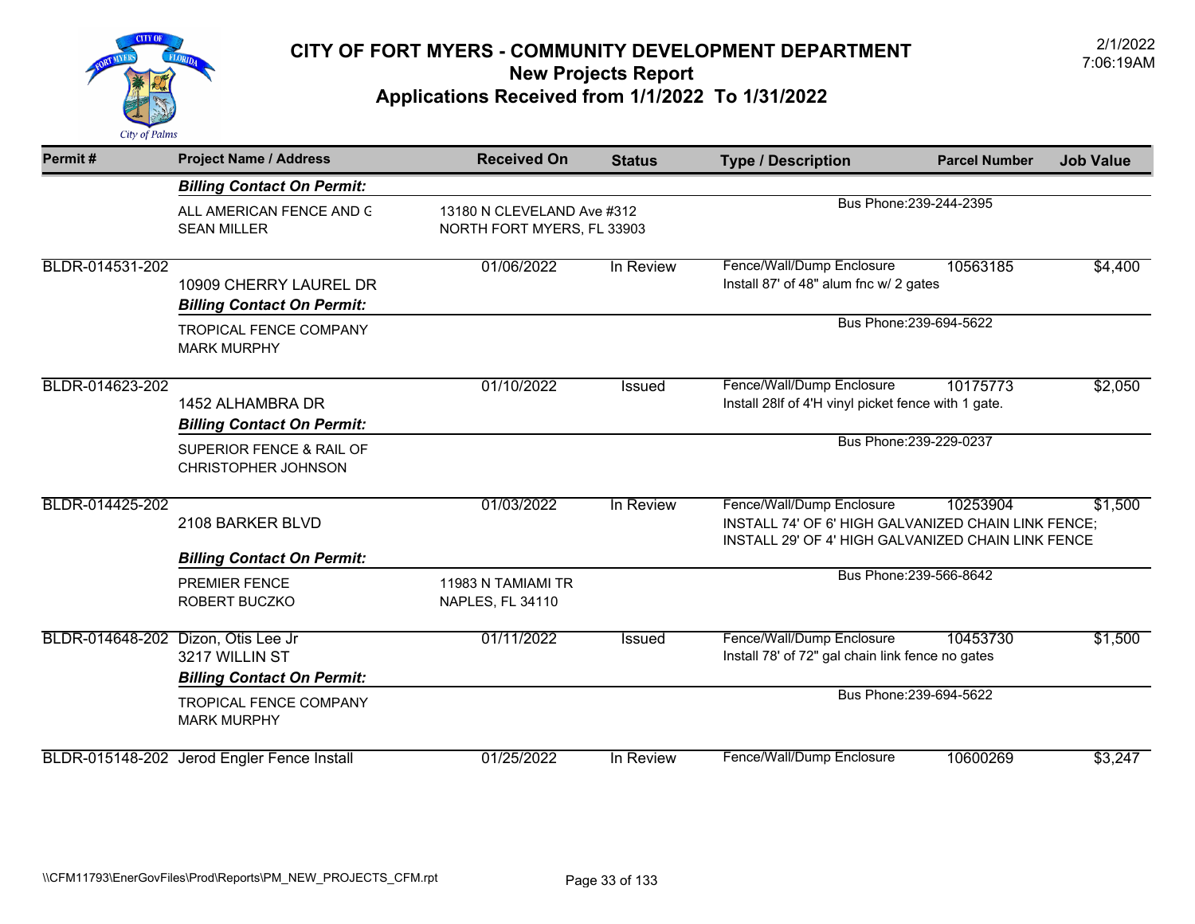

| Permit#                            | <b>Project Name / Address</b>                                              | <b>Received On</b>                                       | <b>Status</b> | <b>Type / Description</b>                                                                                                              | <b>Parcel Number</b>    | <b>Job Value</b> |
|------------------------------------|----------------------------------------------------------------------------|----------------------------------------------------------|---------------|----------------------------------------------------------------------------------------------------------------------------------------|-------------------------|------------------|
|                                    | <b>Billing Contact On Permit:</b>                                          |                                                          |               |                                                                                                                                        |                         |                  |
|                                    | ALL AMERICAN FENCE AND G<br><b>SEAN MILLER</b>                             | 13180 N CLEVELAND Ave #312<br>NORTH FORT MYERS, FL 33903 |               |                                                                                                                                        | Bus Phone: 239-244-2395 |                  |
| BLDR-014531-202                    | 10909 CHERRY LAUREL DR<br><b>Billing Contact On Permit:</b>                | 01/06/2022                                               | In Review     | Fence/Wall/Dump Enclosure<br>Install 87' of 48" alum fnc w/ 2 gates                                                                    | 10563185                | \$4,400          |
|                                    | <b>TROPICAL FENCE COMPANY</b><br><b>MARK MURPHY</b>                        |                                                          |               | Bus Phone: 239-694-5622                                                                                                                |                         |                  |
| BLDR-014623-202                    | 1452 ALHAMBRA DR<br><b>Billing Contact On Permit:</b>                      | 01/10/2022                                               | <b>Issued</b> | Fence/Wall/Dump Enclosure<br>Install 28If of 4'H vinyl picket fence with 1 gate.                                                       | 10175773                | \$2,050          |
|                                    | SUPERIOR FENCE & RAIL OF<br>CHRISTOPHER JOHNSON                            |                                                          |               |                                                                                                                                        | Bus Phone: 239-229-0237 |                  |
| BLDR-014425-202                    | 2108 BARKER BLVD                                                           | 01/03/2022                                               | In Review     | Fence/Wall/Dump Enclosure<br>INSTALL 74' OF 6' HIGH GALVANIZED CHAIN LINK FENCE;<br>INSTALL 29' OF 4' HIGH GALVANIZED CHAIN LINK FENCE | 10253904                | \$1,500          |
|                                    | <b>Billing Contact On Permit:</b><br><b>PREMIER FENCE</b><br>ROBERT BUCZKO | 11983 N TAMIAMI TR<br>NAPLES, FL 34110                   |               |                                                                                                                                        | Bus Phone: 239-566-8642 |                  |
| BLDR-014648-202 Dizon, Otis Lee Jr | 3217 WILLIN ST<br><b>Billing Contact On Permit:</b>                        | 01/11/2022                                               | Issued        | Fence/Wall/Dump Enclosure<br>Install 78' of 72" gal chain link fence no gates                                                          | 10453730                | \$1,500          |
|                                    | <b>TROPICAL FENCE COMPANY</b><br><b>MARK MURPHY</b>                        |                                                          |               |                                                                                                                                        | Bus Phone: 239-694-5622 |                  |
|                                    | BLDR-015148-202 Jerod Engler Fence Install                                 | 01/25/2022                                               | In Review     | Fence/Wall/Dump Enclosure                                                                                                              | 10600269                | \$3,247          |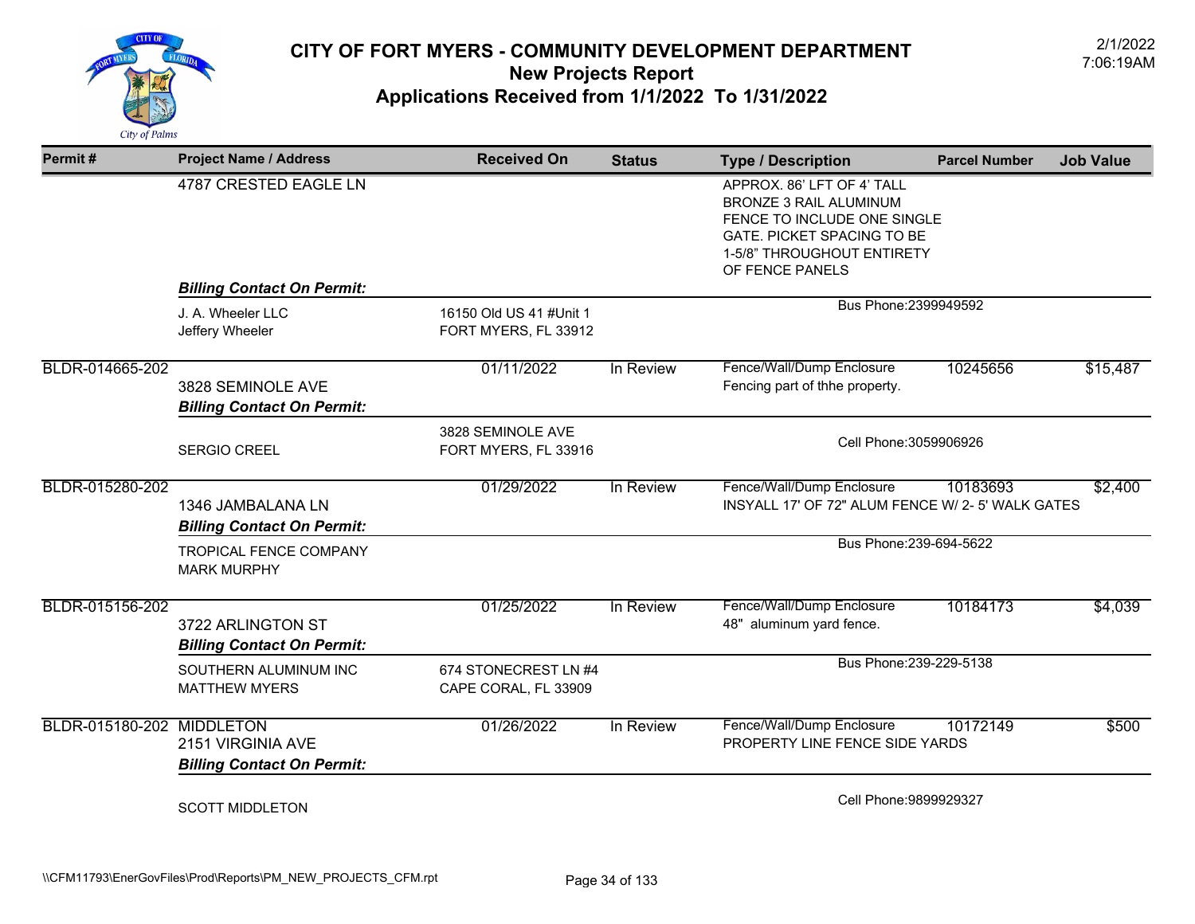

| Permit#                   | <b>Project Name / Address</b>                          | <b>Received On</b>                              | <b>Status</b> | <b>Type / Description</b>                                                                                                                                                        | <b>Parcel Number</b> | <b>Job Value</b> |
|---------------------------|--------------------------------------------------------|-------------------------------------------------|---------------|----------------------------------------------------------------------------------------------------------------------------------------------------------------------------------|----------------------|------------------|
|                           | 4787 CRESTED EAGLE LN                                  |                                                 |               | APPROX. 86' LFT OF 4' TALL<br><b>BRONZE 3 RAIL ALUMINUM</b><br>FENCE TO INCLUDE ONE SINGLE<br><b>GATE. PICKET SPACING TO BE</b><br>1-5/8" THROUGHOUT ENTIRETY<br>OF FENCE PANELS |                      |                  |
|                           | <b>Billing Contact On Permit:</b>                      |                                                 |               |                                                                                                                                                                                  |                      |                  |
|                           | J. A. Wheeler LLC<br>Jeffery Wheeler                   | 16150 Old US 41 #Unit 1<br>FORT MYERS, FL 33912 |               | Bus Phone: 2399949592                                                                                                                                                            |                      |                  |
| BLDR-014665-202           | 3828 SEMINOLE AVE<br><b>Billing Contact On Permit:</b> | 01/11/2022                                      | In Review     | Fence/Wall/Dump Enclosure<br>Fencing part of thhe property.                                                                                                                      | 10245656             | \$15,487         |
|                           | <b>SERGIO CREEL</b>                                    | 3828 SEMINOLE AVE<br>FORT MYERS, FL 33916       |               | Cell Phone: 3059906926                                                                                                                                                           |                      |                  |
| BLDR-015280-202           | 1346 JAMBALANA LN<br><b>Billing Contact On Permit:</b> | 01/29/2022                                      | In Review     | Fence/Wall/Dump Enclosure<br>INSYALL 17' OF 72" ALUM FENCE W/ 2-5' WALK GATES                                                                                                    | 10183693             | \$2,400          |
|                           | <b>TROPICAL FENCE COMPANY</b><br><b>MARK MURPHY</b>    |                                                 |               | Bus Phone: 239-694-5622                                                                                                                                                          |                      |                  |
| BLDR-015156-202           | 3722 ARLINGTON ST<br><b>Billing Contact On Permit:</b> | 01/25/2022                                      | In Review     | Fence/Wall/Dump Enclosure<br>48" aluminum yard fence.                                                                                                                            | 10184173             | \$4,039          |
|                           | SOUTHERN ALUMINUM INC<br><b>MATTHEW MYERS</b>          | 674 STONECREST LN #4<br>CAPE CORAL, FL 33909    |               | Bus Phone: 239-229-5138                                                                                                                                                          |                      |                  |
| BLDR-015180-202 MIDDLETON | 2151 VIRGINIA AVE<br><b>Billing Contact On Permit:</b> | 01/26/2022                                      | In Review     | Fence/Wall/Dump Enclosure<br>PROPERTY LINE FENCE SIDE YARDS                                                                                                                      | 10172149             | \$500            |
|                           | <b>SCOTT MIDDLETON</b>                                 |                                                 |               | Cell Phone: 9899929327                                                                                                                                                           |                      |                  |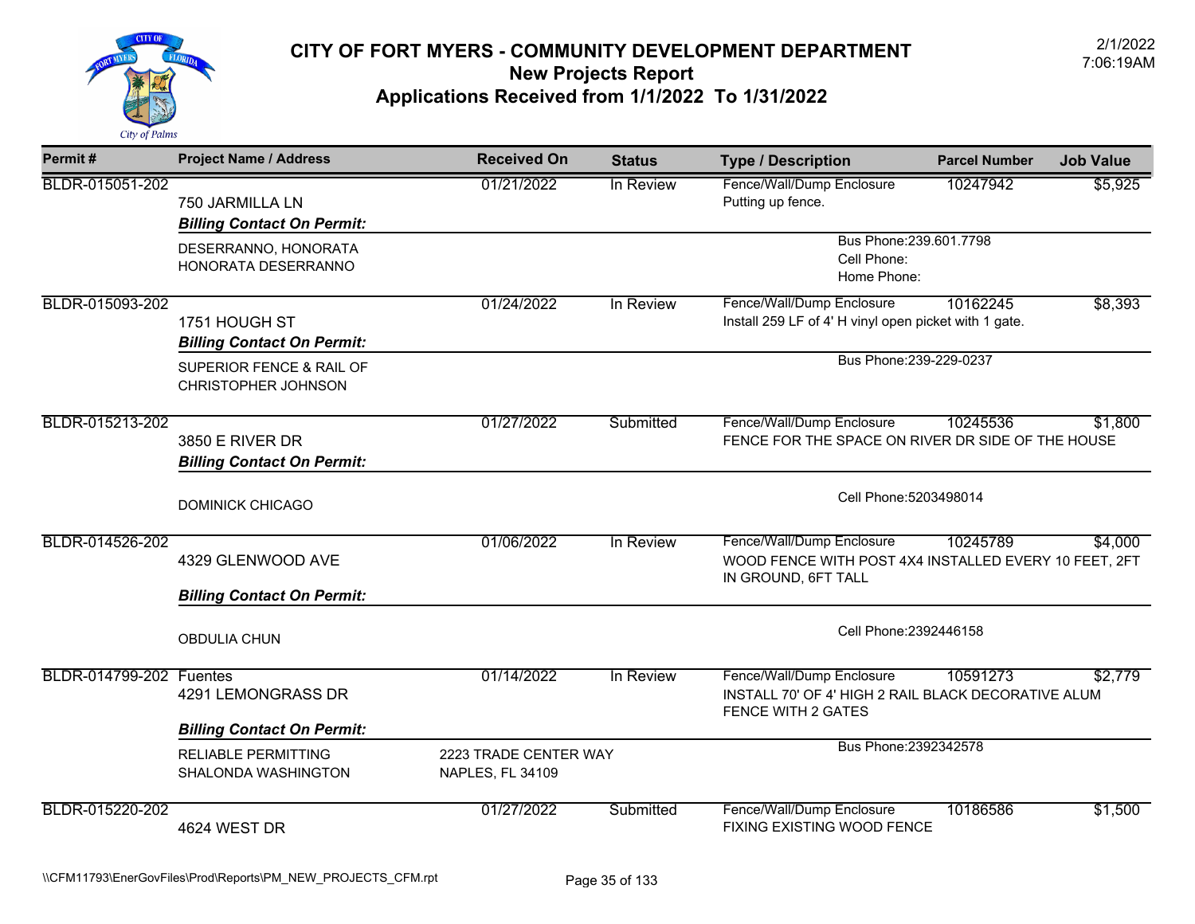

| Permit#                        | <b>Project Name / Address</b>                           | <b>Received On</b>                        | <b>Status</b> | <b>Type / Description</b>                                                                                     | <b>Parcel Number</b>    | <b>Job Value</b> |  |
|--------------------------------|---------------------------------------------------------|-------------------------------------------|---------------|---------------------------------------------------------------------------------------------------------------|-------------------------|------------------|--|
| BLDR-015051-202                | 750 JARMILLA LN<br><b>Billing Contact On Permit:</b>    | 01/21/2022                                | In Review     | Fence/Wall/Dump Enclosure<br>Putting up fence.                                                                | 10247942                | \$5,925          |  |
|                                | DESERRANNO, HONORATA<br>HONORATA DESERRANNO             |                                           |               | Bus Phone: 239.601.7798<br>Cell Phone:<br>Home Phone:                                                         |                         |                  |  |
| BLDR-015093-202                | 1751 HOUGH ST<br><b>Billing Contact On Permit:</b>      | 01/24/2022                                | In Review     | Fence/Wall/Dump Enclosure<br>Install 259 LF of 4' H vinyl open picket with 1 gate.                            | 10162245                | \$8,393          |  |
|                                | SUPERIOR FENCE & RAIL OF<br>CHRISTOPHER JOHNSON         |                                           |               |                                                                                                               | Bus Phone: 239-229-0237 |                  |  |
| BLDR-015213-202                | 3850 E RIVER DR<br><b>Billing Contact On Permit:</b>    | 01/27/2022                                | Submitted     | Fence/Wall/Dump Enclosure<br>FENCE FOR THE SPACE ON RIVER DR SIDE OF THE HOUSE                                | 10245536                | \$1,800          |  |
|                                | <b>DOMINICK CHICAGO</b>                                 |                                           |               | Cell Phone: 5203498014                                                                                        |                         |                  |  |
| BLDR-014526-202                | 4329 GLENWOOD AVE                                       | 01/06/2022                                | In Review     | Fence/Wall/Dump Enclosure<br>WOOD FENCE WITH POST 4X4 INSTALLED EVERY 10 FEET, 2FT<br>IN GROUND, 6FT TALL     | 10245789                | \$4,000          |  |
|                                | <b>Billing Contact On Permit:</b>                       |                                           |               |                                                                                                               |                         |                  |  |
|                                | <b>OBDULIA CHUN</b>                                     |                                           |               | Cell Phone: 2392446158                                                                                        |                         |                  |  |
| <b>BLDR-014799-202 Fuentes</b> | 4291 LEMONGRASS DR<br><b>Billing Contact On Permit:</b> | 01/14/2022                                | In Review     | Fence/Wall/Dump Enclosure<br>INSTALL 70' OF 4' HIGH 2 RAIL BLACK DECORATIVE ALUM<br><b>FENCE WITH 2 GATES</b> | 10591273                | \$2,779          |  |
|                                | <b>RELIABLE PERMITTING</b><br>SHALONDA WASHINGTON       | 2223 TRADE CENTER WAY<br>NAPLES, FL 34109 |               | Bus Phone: 2392342578                                                                                         |                         |                  |  |
| BLDR-015220-202                | 4624 WEST DR                                            | 01/27/2022                                | Submitted     | Fence/Wall/Dump Enclosure<br><b>FIXING EXISTING WOOD FENCE</b>                                                | 10186586                | \$1,500          |  |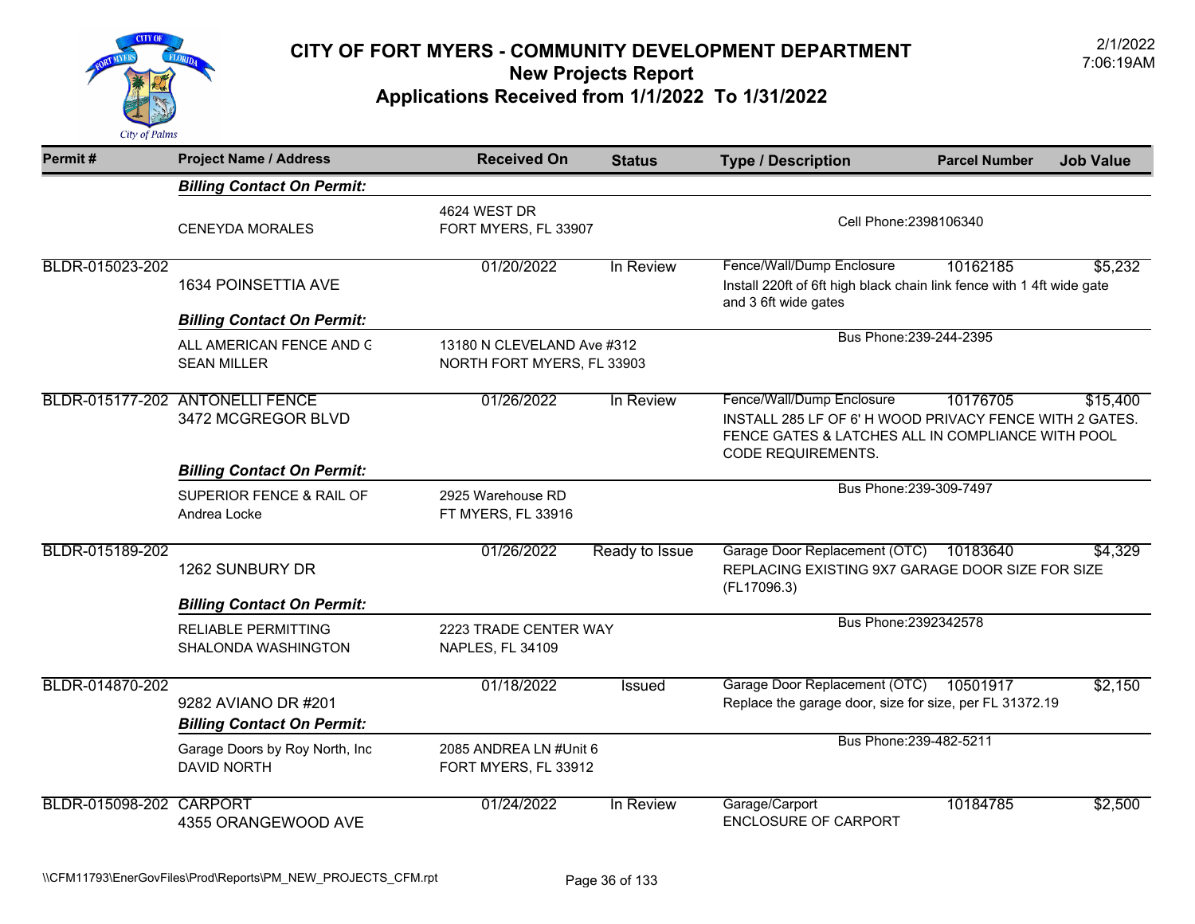

| Permit#                 | <b>Project Name / Address</b>                            | <b>Received On</b>                                       | <b>Status</b>  | <b>Type / Description</b>                                                                                                                                              | <b>Parcel Number</b>    | <b>Job Value</b> |
|-------------------------|----------------------------------------------------------|----------------------------------------------------------|----------------|------------------------------------------------------------------------------------------------------------------------------------------------------------------------|-------------------------|------------------|
|                         | <b>Billing Contact On Permit:</b>                        |                                                          |                |                                                                                                                                                                        |                         |                  |
|                         | <b>CENEYDA MORALES</b>                                   | 4624 WEST DR<br>FORT MYERS, FL 33907                     |                | Cell Phone: 2398106340                                                                                                                                                 |                         |                  |
| BLDR-015023-202         | 1634 POINSETTIA AVE                                      | 01/20/2022                                               | In Review      | Fence/Wall/Dump Enclosure<br>Install 220ft of 6ft high black chain link fence with 14ft wide gate<br>and 3 6ft wide gates                                              | 10162185                | \$5,232          |
|                         | <b>Billing Contact On Permit:</b>                        |                                                          |                |                                                                                                                                                                        | Bus Phone: 239-244-2395 |                  |
|                         | ALL AMERICAN FENCE AND G<br><b>SEAN MILLER</b>           | 13180 N CLEVELAND Ave #312<br>NORTH FORT MYERS, FL 33903 |                |                                                                                                                                                                        |                         |                  |
|                         | BLDR-015177-202 ANTONELLI FENCE<br>3472 MCGREGOR BLVD    | 01/26/2022                                               | In Review      | Fence/Wall/Dump Enclosure<br>INSTALL 285 LF OF 6' H WOOD PRIVACY FENCE WITH 2 GATES.<br>FENCE GATES & LATCHES ALL IN COMPLIANCE WITH POOL<br><b>CODE REQUIREMENTS.</b> | 10176705                | \$15,400         |
|                         | <b>Billing Contact On Permit:</b>                        |                                                          |                |                                                                                                                                                                        |                         |                  |
|                         | SUPERIOR FENCE & RAIL OF<br>Andrea Locke                 | 2925 Warehouse RD<br>FT MYERS, FL 33916                  |                |                                                                                                                                                                        | Bus Phone: 239-309-7497 |                  |
| BLDR-015189-202         | 1262 SUNBURY DR                                          | 01/26/2022                                               | Ready to Issue | Garage Door Replacement (OTC)<br>REPLACING EXISTING 9X7 GARAGE DOOR SIZE FOR SIZE<br>(FL17096.3)                                                                       | 10183640                | \$4,329          |
|                         | <b>Billing Contact On Permit:</b>                        |                                                          |                |                                                                                                                                                                        |                         |                  |
|                         | <b>RELIABLE PERMITTING</b><br>SHALONDA WASHINGTON        | 2223 TRADE CENTER WAY<br>NAPLES, FL 34109                |                |                                                                                                                                                                        | Bus Phone: 2392342578   |                  |
| BLDR-014870-202         | 9282 AVIANO DR #201<br><b>Billing Contact On Permit:</b> | 01/18/2022                                               | Issued         | Garage Door Replacement (OTC)<br>Replace the garage door, size for size, per FL 31372.19                                                                               | 10501917                | \$2,150          |
|                         | Garage Doors by Roy North, Inc<br><b>DAVID NORTH</b>     | 2085 ANDREA LN #Unit 6<br>FORT MYERS, FL 33912           |                |                                                                                                                                                                        | Bus Phone: 239-482-5211 |                  |
| BLDR-015098-202 CARPORT | 4355 ORANGEWOOD AVE                                      | 01/24/2022                                               | In Review      | Garage/Carport<br><b>ENCLOSURE OF CARPORT</b>                                                                                                                          | 10184785                | \$2,500          |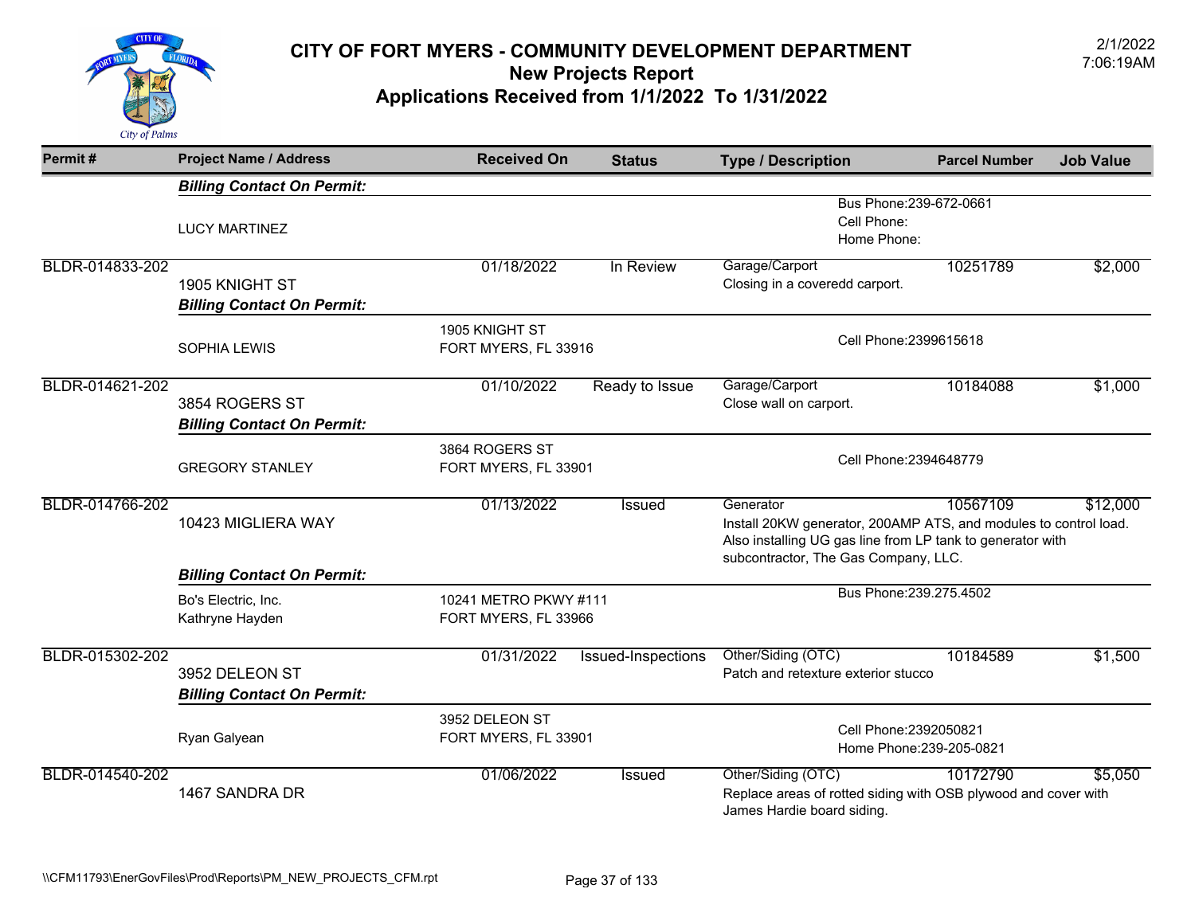

| Permit#         | <b>Project Name / Address</b>                       | <b>Received On</b>                            | <b>Status</b>      | <b>Type / Description</b>                                                                                                                                                           | <b>Parcel Number</b>     | <b>Job Value</b> |
|-----------------|-----------------------------------------------------|-----------------------------------------------|--------------------|-------------------------------------------------------------------------------------------------------------------------------------------------------------------------------------|--------------------------|------------------|
|                 | <b>Billing Contact On Permit:</b>                   |                                               |                    |                                                                                                                                                                                     |                          |                  |
|                 | <b>LUCY MARTINEZ</b>                                |                                               |                    | Cell Phone:<br>Home Phone:                                                                                                                                                          | Bus Phone: 239-672-0661  |                  |
| BLDR-014833-202 | 1905 KNIGHT ST<br><b>Billing Contact On Permit:</b> | 01/18/2022                                    | In Review          | Garage/Carport<br>Closing in a coveredd carport.                                                                                                                                    | 10251789                 | \$2,000          |
|                 | <b>SOPHIA LEWIS</b>                                 | 1905 KNIGHT ST<br>FORT MYERS, FL 33916        |                    | Cell Phone: 2399615618                                                                                                                                                              |                          |                  |
| BLDR-014621-202 | 3854 ROGERS ST<br><b>Billing Contact On Permit:</b> | 01/10/2022                                    | Ready to Issue     | Garage/Carport<br>Close wall on carport.                                                                                                                                            | 10184088                 | \$1,000          |
|                 | <b>GREGORY STANLEY</b>                              | 3864 ROGERS ST<br>FORT MYERS, FL 33901        |                    | Cell Phone: 2394648779                                                                                                                                                              |                          |                  |
| BLDR-014766-202 | 10423 MIGLIERA WAY                                  | 01/13/2022                                    | <b>Issued</b>      | Generator<br>Install 20KW generator, 200AMP ATS, and modules to control load.<br>Also installing UG gas line from LP tank to generator with<br>subcontractor, The Gas Company, LLC. | 10567109                 | \$12,000         |
|                 | <b>Billing Contact On Permit:</b>                   |                                               |                    |                                                                                                                                                                                     |                          |                  |
|                 | Bo's Electric, Inc.<br>Kathryne Hayden              | 10241 METRO PKWY #111<br>FORT MYERS, FL 33966 |                    |                                                                                                                                                                                     | Bus Phone: 239.275.4502  |                  |
| BLDR-015302-202 | 3952 DELEON ST<br><b>Billing Contact On Permit:</b> | 01/31/2022                                    | Issued-Inspections | Other/Siding (OTC)<br>Patch and retexture exterior stucco                                                                                                                           | 10184589                 | \$1,500          |
|                 | Ryan Galyean                                        | 3952 DELEON ST<br>FORT MYERS, FL 33901        |                    | Cell Phone: 2392050821                                                                                                                                                              | Home Phone: 239-205-0821 |                  |
| BLDR-014540-202 | 1467 SANDRA DR                                      | 01/06/2022                                    | <b>Issued</b>      | Other/Siding (OTC)<br>Replace areas of rotted siding with OSB plywood and cover with<br>James Hardie board siding.                                                                  | 10172790                 | \$5,050          |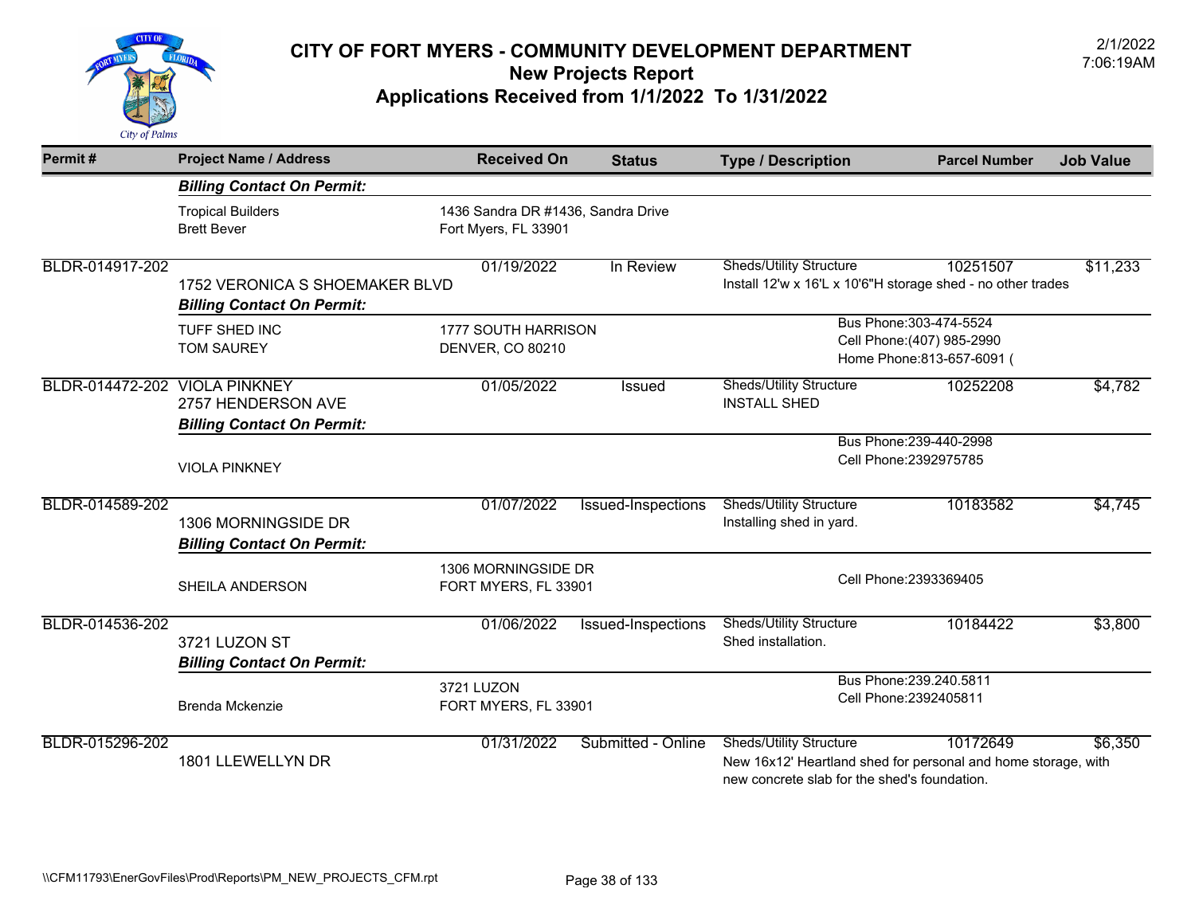

| Permit#         | <b>Project Name / Address</b>                                                   | <b>Received On</b>                                         | <b>Status</b>      | <b>Type / Description</b>                                                                                                                       | <b>Parcel Number</b>                                                                | <b>Job Value</b> |
|-----------------|---------------------------------------------------------------------------------|------------------------------------------------------------|--------------------|-------------------------------------------------------------------------------------------------------------------------------------------------|-------------------------------------------------------------------------------------|------------------|
|                 | <b>Billing Contact On Permit:</b>                                               |                                                            |                    |                                                                                                                                                 |                                                                                     |                  |
|                 | <b>Tropical Builders</b><br><b>Brett Bever</b>                                  | 1436 Sandra DR #1436, Sandra Drive<br>Fort Myers, FL 33901 |                    |                                                                                                                                                 |                                                                                     |                  |
| BLDR-014917-202 | 1752 VERONICA S SHOEMAKER BLVD<br><b>Billing Contact On Permit:</b>             | 01/19/2022                                                 | In Review          | <b>Sheds/Utility Structure</b><br>Install 12'w x 16'L x 10'6"H storage shed - no other trades                                                   | 10251507                                                                            | \$11,233         |
|                 | TUFF SHED INC<br><b>TOM SAUREY</b>                                              | 1777 SOUTH HARRISON<br>DENVER, CO 80210                    |                    |                                                                                                                                                 | Bus Phone: 303-474-5524<br>Cell Phone: (407) 985-2990<br>Home Phone: 813-657-6091 ( |                  |
| BLDR-014472-202 | <b>VIOLA PINKNEY</b><br>2757 HENDERSON AVE<br><b>Billing Contact On Permit:</b> | 01/05/2022                                                 | Issued             | <b>Sheds/Utility Structure</b><br><b>INSTALL SHED</b>                                                                                           | 10252208                                                                            | \$4,782          |
|                 | <b>VIOLA PINKNEY</b>                                                            |                                                            |                    |                                                                                                                                                 | Bus Phone: 239-440-2998<br>Cell Phone: 2392975785                                   |                  |
| BLDR-014589-202 | 1306 MORNINGSIDE DR<br><b>Billing Contact On Permit:</b>                        | 01/07/2022                                                 | Issued-Inspections | <b>Sheds/Utility Structure</b><br>Installing shed in yard.                                                                                      | 10183582                                                                            | \$4,745          |
|                 | SHEILA ANDERSON                                                                 | 1306 MORNINGSIDE DR<br>FORT MYERS, FL 33901                |                    |                                                                                                                                                 | Cell Phone: 2393369405                                                              |                  |
| BLDR-014536-202 | 3721 LUZON ST<br><b>Billing Contact On Permit:</b>                              | 01/06/2022                                                 | Issued-Inspections | <b>Sheds/Utility Structure</b><br>Shed installation.                                                                                            | 10184422                                                                            | \$3,800          |
|                 | Brenda Mckenzie                                                                 | 3721 LUZON<br>FORT MYERS, FL 33901                         |                    |                                                                                                                                                 | Bus Phone: 239.240.5811<br>Cell Phone: 2392405811                                   |                  |
| BLDR-015296-202 | 1801 LLEWELLYN DR                                                               | 01/31/2022                                                 | Submitted - Online | <b>Sheds/Utility Structure</b><br>New 16x12' Heartland shed for personal and home storage, with<br>new concrete slab for the shed's foundation. | 10172649                                                                            | \$6,350          |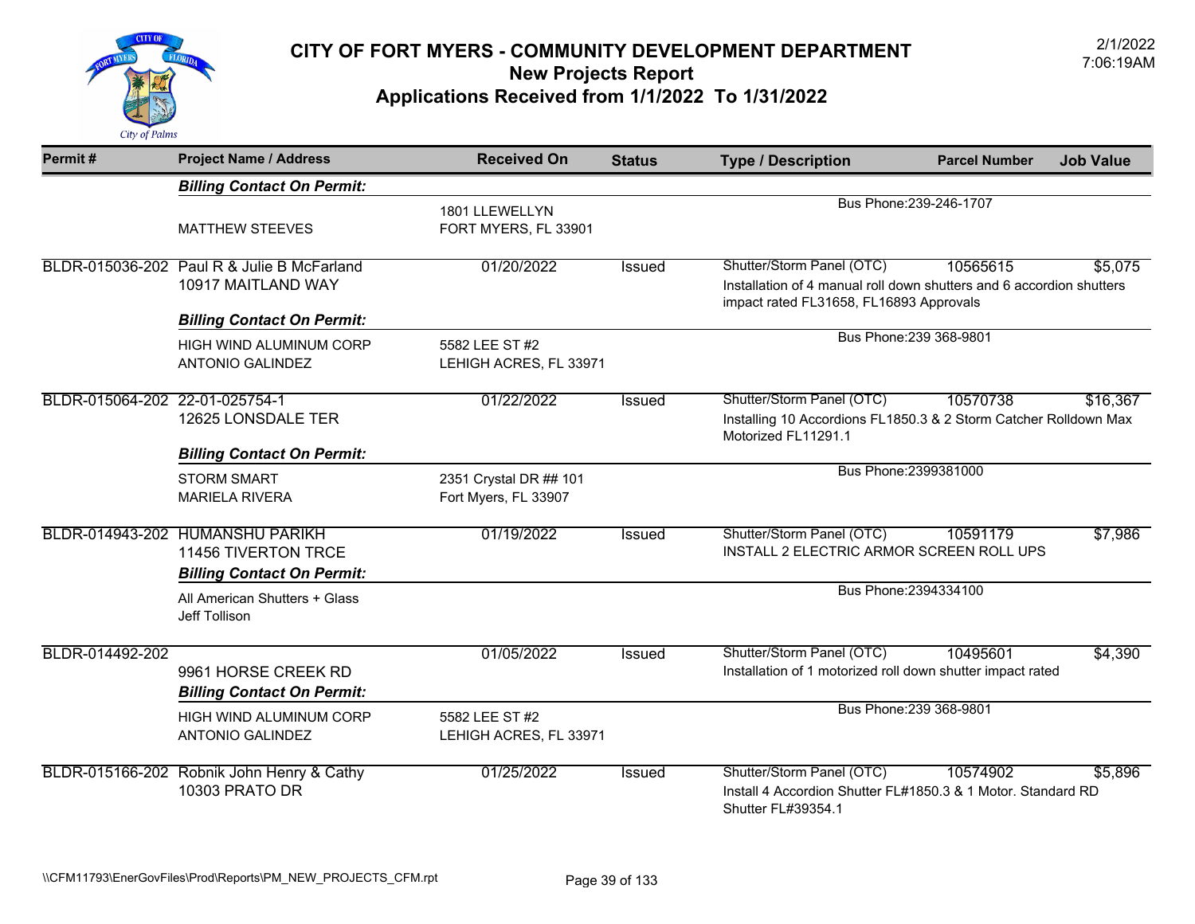

| Permit#                        | <b>Project Name / Address</b>                                                                      | <b>Received On</b>                             | <b>Status</b> | <b>Type / Description</b>                                                                                                                    | <b>Parcel Number</b>    | <b>Job Value</b> |
|--------------------------------|----------------------------------------------------------------------------------------------------|------------------------------------------------|---------------|----------------------------------------------------------------------------------------------------------------------------------------------|-------------------------|------------------|
|                                | <b>Billing Contact On Permit:</b>                                                                  |                                                |               |                                                                                                                                              |                         |                  |
|                                | <b>MATTHEW STEEVES</b>                                                                             | 1801 LLEWELLYN<br>FORT MYERS, FL 33901         |               |                                                                                                                                              | Bus Phone: 239-246-1707 |                  |
|                                | BLDR-015036-202 Paul R & Julie B McFarland<br>10917 MAITLAND WAY                                   | 01/20/2022                                     | <b>Issued</b> | Shutter/Storm Panel (OTC)<br>Installation of 4 manual roll down shutters and 6 accordion shutters<br>impact rated FL31658, FL16893 Approvals | 10565615                | \$5,075          |
|                                | <b>Billing Contact On Permit:</b>                                                                  |                                                |               |                                                                                                                                              | Bus Phone: 239 368-9801 |                  |
|                                | HIGH WIND ALUMINUM CORP<br><b>ANTONIO GALINDEZ</b>                                                 | 5582 LEE ST #2<br>LEHIGH ACRES, FL 33971       |               |                                                                                                                                              |                         |                  |
| BLDR-015064-202 22-01-025754-1 | 12625 LONSDALE TER<br><b>Billing Contact On Permit:</b>                                            | 01/22/2022                                     | <b>Issued</b> | Shutter/Storm Panel (OTC)<br>Installing 10 Accordions FL1850.3 & 2 Storm Catcher Rolldown Max<br>Motorized FL11291.1                         | 10570738                | \$16,367         |
|                                | <b>STORM SMART</b><br><b>MARIELA RIVERA</b>                                                        | 2351 Crystal DR ## 101<br>Fort Myers, FL 33907 |               | Bus Phone: 2399381000                                                                                                                        |                         |                  |
|                                | BLDR-014943-202 HUMANSHU PARIKH<br><b>11456 TIVERTON TRCE</b><br><b>Billing Contact On Permit:</b> | 01/19/2022                                     | Issued        | Shutter/Storm Panel (OTC)<br>INSTALL 2 ELECTRIC ARMOR SCREEN ROLL UPS                                                                        | 10591179                | \$7,986          |
|                                | All American Shutters + Glass<br>Jeff Tollison                                                     |                                                |               | Bus Phone: 2394334100                                                                                                                        |                         |                  |
| BLDR-014492-202                | 9961 HORSE CREEK RD<br><b>Billing Contact On Permit:</b>                                           | 01/05/2022                                     | Issued        | Shutter/Storm Panel (OTC)<br>Installation of 1 motorized roll down shutter impact rated                                                      | 10495601                | \$4,390          |
|                                | HIGH WIND ALUMINUM CORP<br><b>ANTONIO GALINDEZ</b>                                                 | 5582 LEE ST #2<br>LEHIGH ACRES, FL 33971       |               |                                                                                                                                              | Bus Phone: 239 368-9801 |                  |
|                                | BLDR-015166-202 Robnik John Henry & Cathy<br><b>10303 PRATO DR</b>                                 | 01/25/2022                                     | Issued        | Shutter/Storm Panel (OTC)<br>Install 4 Accordion Shutter FL#1850.3 & 1 Motor, Standard RD<br>Shutter FL#39354.1                              | 10574902                | \$5,896          |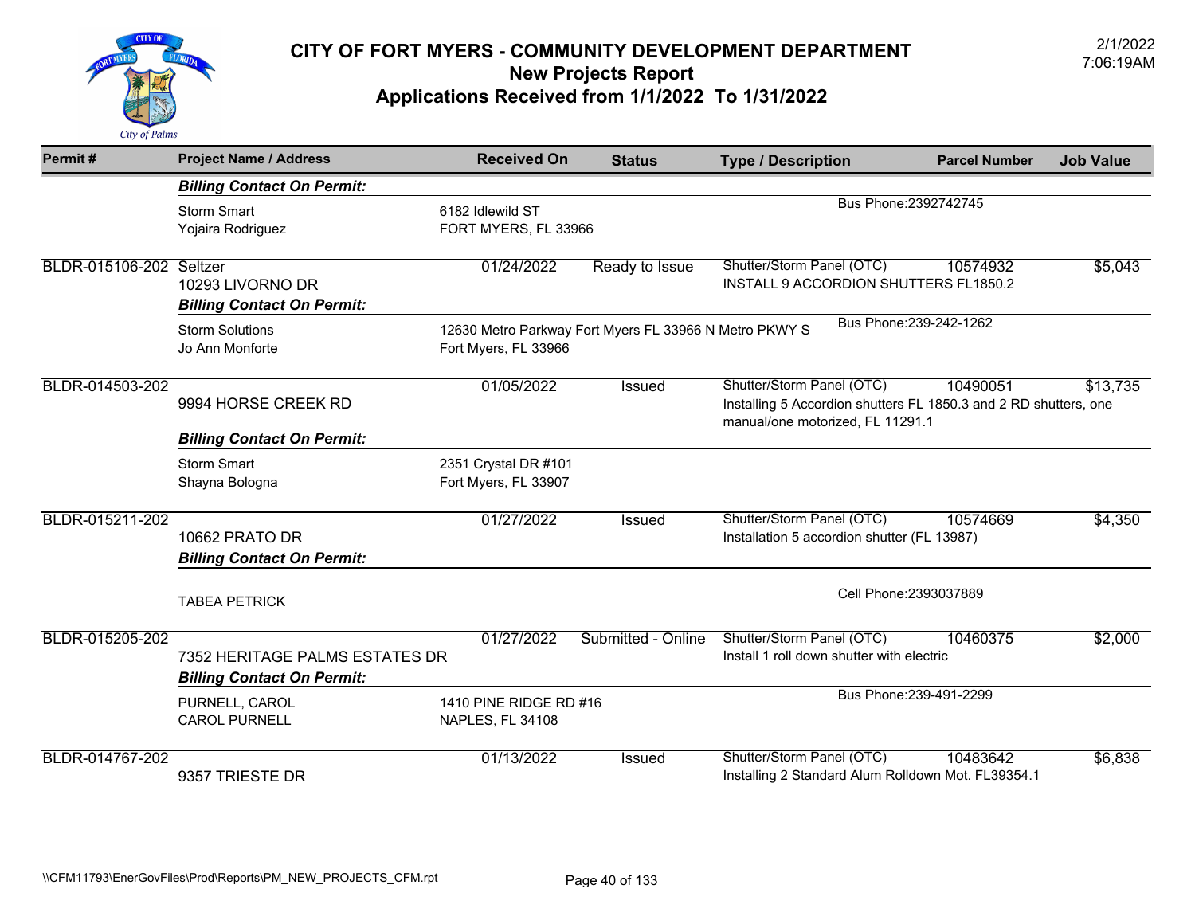

| Permit#                 | <b>Project Name / Address</b>                                       | <b>Received On</b>                           | <b>Status</b>                                          | <b>Type / Description</b>                                                                                                         | <b>Parcel Number</b>    | <b>Job Value</b> |
|-------------------------|---------------------------------------------------------------------|----------------------------------------------|--------------------------------------------------------|-----------------------------------------------------------------------------------------------------------------------------------|-------------------------|------------------|
|                         | <b>Billing Contact On Permit:</b>                                   |                                              |                                                        |                                                                                                                                   |                         |                  |
|                         | <b>Storm Smart</b><br>Yojaira Rodriguez                             | 6182 Idlewild ST<br>FORT MYERS, FL 33966     |                                                        |                                                                                                                                   | Bus Phone: 2392742745   |                  |
| BLDR-015106-202 Seltzer | 10293 LIVORNO DR<br><b>Billing Contact On Permit:</b>               | 01/24/2022                                   | Ready to Issue                                         | Shutter/Storm Panel (OTC)<br>INSTALL 9 ACCORDION SHUTTERS FL1850.2                                                                | 10574932                | \$5,043          |
|                         | <b>Storm Solutions</b><br>Jo Ann Monforte                           | Fort Myers, FL 33966                         | 12630 Metro Parkway Fort Myers FL 33966 N Metro PKWY S |                                                                                                                                   | Bus Phone: 239-242-1262 |                  |
| BLDR-014503-202         | 9994 HORSE CREEK RD<br><b>Billing Contact On Permit:</b>            | 01/05/2022                                   | <b>Issued</b>                                          | Shutter/Storm Panel (OTC)<br>Installing 5 Accordion shutters FL 1850.3 and 2 RD shutters, one<br>manual/one motorized, FL 11291.1 | 10490051                | \$13,735         |
|                         | <b>Storm Smart</b><br>Shayna Bologna                                | 2351 Crystal DR #101<br>Fort Myers, FL 33907 |                                                        |                                                                                                                                   |                         |                  |
| BLDR-015211-202         | 10662 PRATO DR<br><b>Billing Contact On Permit:</b>                 | 01/27/2022                                   | <b>Issued</b>                                          | Shutter/Storm Panel (OTC)<br>Installation 5 accordion shutter (FL 13987)                                                          | 10574669                | \$4,350          |
|                         | <b>TABEA PETRICK</b>                                                |                                              |                                                        |                                                                                                                                   | Cell Phone: 2393037889  |                  |
| BLDR-015205-202         | 7352 HERITAGE PALMS ESTATES DR<br><b>Billing Contact On Permit:</b> | 01/27/2022                                   | Submitted - Online                                     | Shutter/Storm Panel (OTC)<br>Install 1 roll down shutter with electric                                                            | 10460375                | \$2,000          |
|                         | PURNELL, CAROL<br><b>CAROL PURNELL</b>                              | 1410 PINE RIDGE RD #16<br>NAPLES, FL 34108   |                                                        |                                                                                                                                   | Bus Phone: 239-491-2299 |                  |
| BLDR-014767-202         | 9357 TRIESTE DR                                                     | 01/13/2022                                   | Issued                                                 | Shutter/Storm Panel (OTC)<br>Installing 2 Standard Alum Rolldown Mot. FL39354.1                                                   | 10483642                | \$6,838          |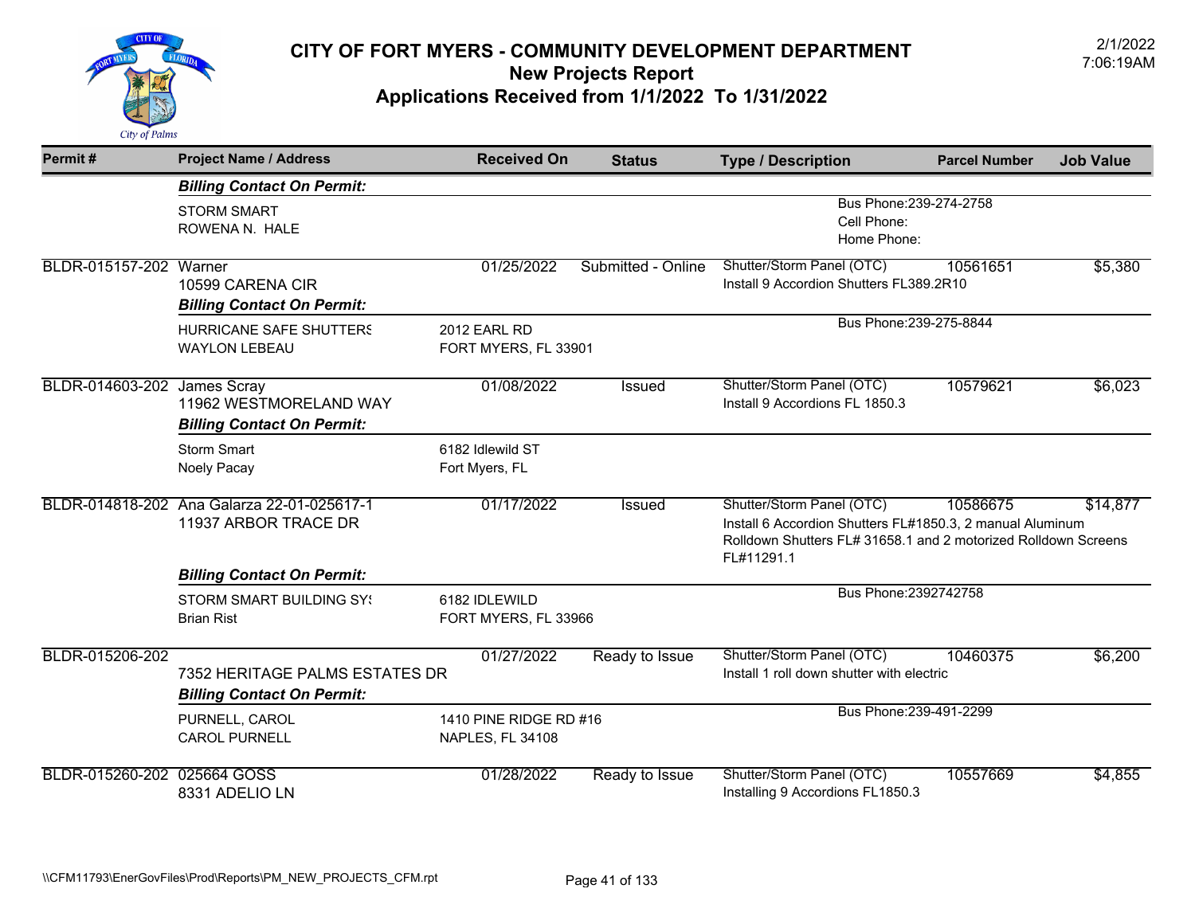

| Permit#                            | <b>Project Name / Address</b>                                       | <b>Received On</b>                         | <b>Status</b>      | <b>Type / Description</b>                                                                                                                                              | <b>Parcel Number</b> | <b>Job Value</b> |
|------------------------------------|---------------------------------------------------------------------|--------------------------------------------|--------------------|------------------------------------------------------------------------------------------------------------------------------------------------------------------------|----------------------|------------------|
|                                    | <b>Billing Contact On Permit:</b>                                   |                                            |                    |                                                                                                                                                                        |                      |                  |
|                                    | <b>STORM SMART</b><br>ROWENA N. HALE                                |                                            |                    | Bus Phone: 239-274-2758<br>Cell Phone:                                                                                                                                 |                      |                  |
|                                    |                                                                     |                                            |                    | Home Phone:                                                                                                                                                            |                      |                  |
| BLDR-015157-202 Warner             | 10599 CARENA CIR                                                    | 01/25/2022                                 | Submitted - Online | Shutter/Storm Panel (OTC)<br>Install 9 Accordion Shutters FL389.2R10                                                                                                   | 10561651             | \$5,380          |
|                                    | <b>Billing Contact On Permit:</b>                                   |                                            |                    |                                                                                                                                                                        |                      |                  |
|                                    | HURRICANE SAFE SHUTTERS<br><b>WAYLON LEBEAU</b>                     | 2012 EARL RD<br>FORT MYERS, FL 33901       |                    | Bus Phone: 239-275-8844                                                                                                                                                |                      |                  |
| <b>BLDR-014603-202 James Scray</b> | 11962 WESTMORELAND WAY                                              | 01/08/2022                                 | Issued             | Shutter/Storm Panel (OTC)<br>Install 9 Accordions FL 1850.3                                                                                                            | 10579621             | \$6,023          |
|                                    | <b>Billing Contact On Permit:</b>                                   |                                            |                    |                                                                                                                                                                        |                      |                  |
|                                    | <b>Storm Smart</b><br>Noely Pacay                                   | 6182 Idlewild ST<br>Fort Myers, FL         |                    |                                                                                                                                                                        |                      |                  |
|                                    | BLDR-014818-202 Ana Galarza 22-01-025617-1<br>11937 ARBOR TRACE DR  | 01/17/2022                                 | Issued             | Shutter/Storm Panel (OTC)<br>Install 6 Accordion Shutters FL#1850.3, 2 manual Aluminum<br>Rolldown Shutters FL# 31658.1 and 2 motorized Rolldown Screens<br>FL#11291.1 | 10586675             | \$14,877         |
|                                    | <b>Billing Contact On Permit:</b>                                   |                                            |                    |                                                                                                                                                                        |                      |                  |
|                                    | <b>STORM SMART BUILDING SY!</b><br><b>Brian Rist</b>                | 6182 IDLEWILD<br>FORT MYERS, FL 33966      |                    | Bus Phone: 2392742758                                                                                                                                                  |                      |                  |
| BLDR-015206-202                    | 7352 HERITAGE PALMS ESTATES DR<br><b>Billing Contact On Permit:</b> | 01/27/2022                                 | Ready to Issue     | Shutter/Storm Panel (OTC)<br>Install 1 roll down shutter with electric                                                                                                 | 10460375             | \$6,200          |
|                                    | PURNELL, CAROL<br><b>CAROL PURNELL</b>                              | 1410 PINE RIDGE RD #16<br>NAPLES, FL 34108 |                    | Bus Phone: 239-491-2299                                                                                                                                                |                      |                  |
| BLDR-015260-202 025664 GOSS        | 8331 ADELIO LN                                                      | 01/28/2022                                 | Ready to Issue     | Shutter/Storm Panel (OTC)<br>Installing 9 Accordions FL1850.3                                                                                                          | 10557669             | \$4,855          |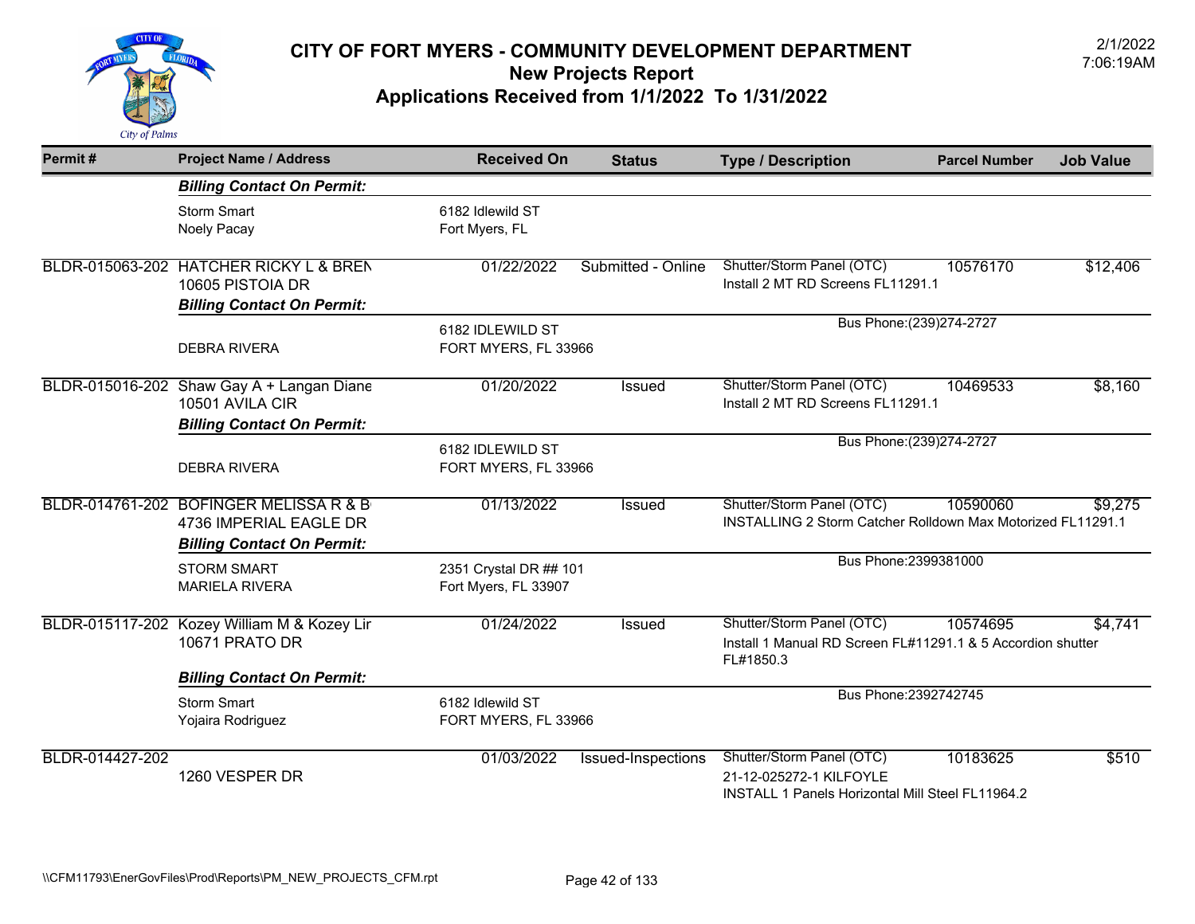

| Permit#         | <b>Project Name / Address</b>                                                                         | <b>Received On</b>                             | <b>Status</b>      | <b>Type / Description</b>                                                                                       | <b>Parcel Number</b>      | <b>Job Value</b> |
|-----------------|-------------------------------------------------------------------------------------------------------|------------------------------------------------|--------------------|-----------------------------------------------------------------------------------------------------------------|---------------------------|------------------|
|                 | <b>Billing Contact On Permit:</b>                                                                     |                                                |                    |                                                                                                                 |                           |                  |
|                 | <b>Storm Smart</b><br>Noely Pacay                                                                     | 6182 Idlewild ST<br>Fort Myers, FL             |                    |                                                                                                                 |                           |                  |
|                 | BLDR-015063-202 HATCHER RICKY L & BREN<br>10605 PISTOIA DR                                            | 01/22/2022                                     | Submitted - Online | Shutter/Storm Panel (OTC)<br>Install 2 MT RD Screens FL11291.1                                                  | 10576170                  | \$12,406         |
|                 | <b>Billing Contact On Permit:</b>                                                                     |                                                |                    |                                                                                                                 |                           |                  |
|                 | <b>DEBRA RIVERA</b>                                                                                   | 6182 IDLEWILD ST<br>FORT MYERS, FL 33966       |                    |                                                                                                                 | Bus Phone: (239) 274-2727 |                  |
|                 | BLDR-015016-202 Shaw Gay A + Langan Diane<br>10501 AVILA CIR<br><b>Billing Contact On Permit:</b>     | 01/20/2022                                     | Issued             | Shutter/Storm Panel (OTC)<br>Install 2 MT RD Screens FL11291.1                                                  | 10469533                  | \$8,160          |
|                 |                                                                                                       | 6182 IDLEWILD ST                               |                    |                                                                                                                 | Bus Phone: (239) 274-2727 |                  |
|                 | <b>DEBRA RIVERA</b>                                                                                   | FORT MYERS, FL 33966                           |                    |                                                                                                                 |                           |                  |
|                 | BLDR-014761-202 BOFINGER MELISSA R & B<br>4736 IMPERIAL EAGLE DR<br><b>Billing Contact On Permit:</b> | 01/13/2022                                     | Issued             | Shutter/Storm Panel (OTC)<br>INSTALLING 2 Storm Catcher Rolldown Max Motorized FL11291.1                        | 10590060                  | \$9,275          |
|                 | <b>STORM SMART</b><br><b>MARIELA RIVERA</b>                                                           | 2351 Crystal DR ## 101<br>Fort Myers, FL 33907 |                    | Bus Phone: 2399381000                                                                                           |                           |                  |
|                 | BLDR-015117-202 Kozey William M & Kozey Lir<br>10671 PRATO DR                                         | 01/24/2022                                     | Issued             | Shutter/Storm Panel (OTC)<br>Install 1 Manual RD Screen FL#11291.1 & 5 Accordion shutter<br>FL#1850.3           | 10574695                  | \$4,741          |
|                 | <b>Billing Contact On Permit:</b>                                                                     |                                                |                    | Bus Phone: 2392742745                                                                                           |                           |                  |
|                 | <b>Storm Smart</b><br>Yojaira Rodriguez                                                               | 6182 Idlewild ST<br>FORT MYERS, FL 33966       |                    |                                                                                                                 |                           |                  |
| BLDR-014427-202 | 1260 VESPER DR                                                                                        | 01/03/2022                                     | Issued-Inspections | Shutter/Storm Panel (OTC)<br>21-12-025272-1 KILFOYLE<br><b>INSTALL 1 Panels Horizontal Mill Steel FL11964.2</b> | 10183625                  | \$510            |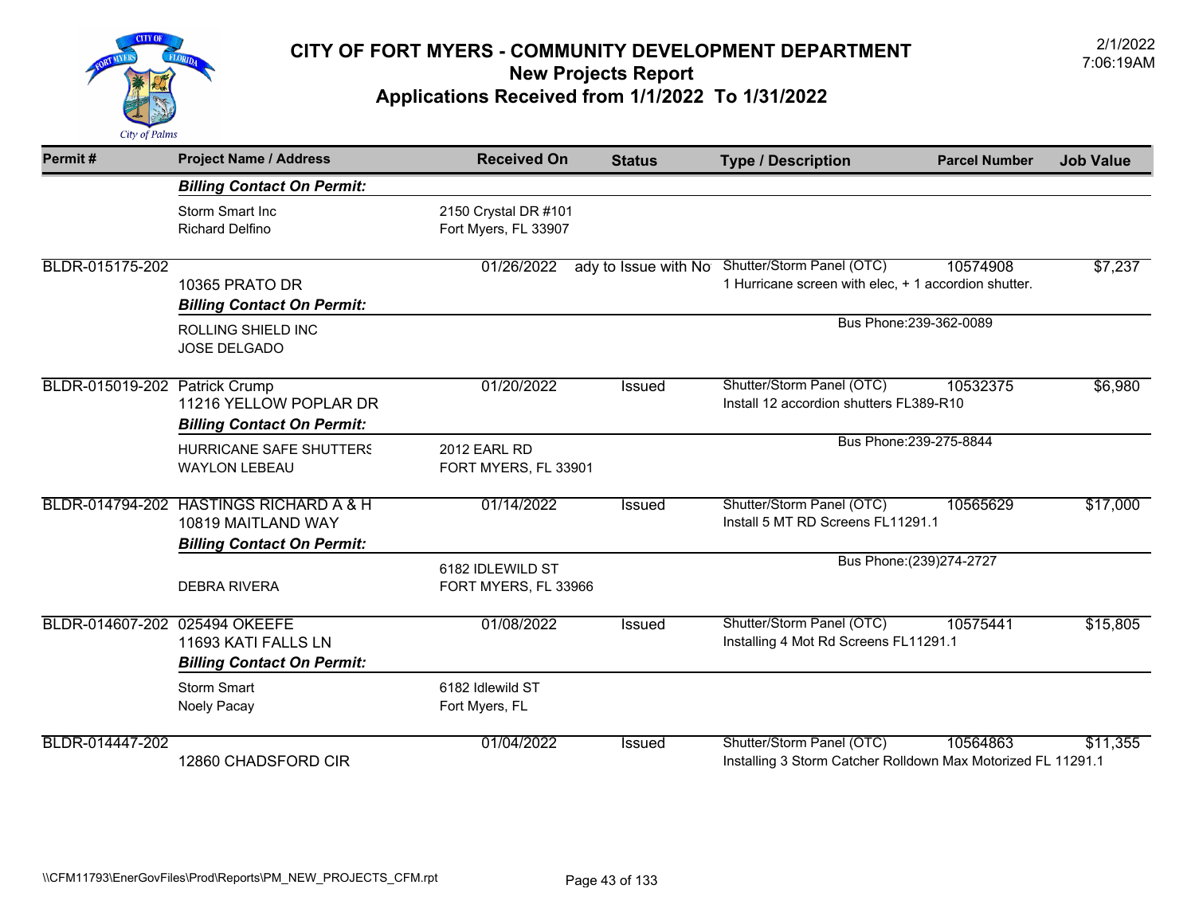

| Permit#                       | <b>Project Name / Address</b>                                                                     | <b>Received On</b>                           | <b>Status</b> | <b>Type / Description</b>                                                                              | <b>Parcel Number</b>      | <b>Job Value</b> |
|-------------------------------|---------------------------------------------------------------------------------------------------|----------------------------------------------|---------------|--------------------------------------------------------------------------------------------------------|---------------------------|------------------|
|                               | <b>Billing Contact On Permit:</b>                                                                 |                                              |               |                                                                                                        |                           |                  |
|                               | Storm Smart Inc<br><b>Richard Delfino</b>                                                         | 2150 Crystal DR #101<br>Fort Myers, FL 33907 |               |                                                                                                        |                           |                  |
| BLDR-015175-202               | <b>10365 PRATO DR</b><br><b>Billing Contact On Permit:</b>                                        | 01/26/2022                                   |               | ady to Issue with No Shutter/Storm Panel (OTC)<br>1 Hurricane screen with elec, + 1 accordion shutter. | 10574908                  | \$7,237          |
|                               | ROLLING SHIELD INC<br><b>JOSE DELGADO</b>                                                         |                                              |               |                                                                                                        | Bus Phone: 239-362-0089   |                  |
| BLDR-015019-202 Patrick Crump | 11216 YELLOW POPLAR DR<br><b>Billing Contact On Permit:</b>                                       | 01/20/2022                                   | <b>Issued</b> | Shutter/Storm Panel (OTC)<br>Install 12 accordion shutters FL389-R10                                   | 10532375                  | \$6,980          |
|                               | HURRICANE SAFE SHUTTERS<br><b>WAYLON LEBEAU</b>                                                   | 2012 EARL RD<br>FORT MYERS, FL 33901         |               |                                                                                                        | Bus Phone: 239-275-8844   |                  |
|                               | BLDR-014794-202 HASTINGS RICHARD A & H<br>10819 MAITLAND WAY<br><b>Billing Contact On Permit:</b> | 01/14/2022                                   | <b>Issued</b> | Shutter/Storm Panel (OTC)<br>Install 5 MT RD Screens FL11291.1                                         | 10565629                  | \$17,000         |
|                               | <b>DEBRA RIVERA</b>                                                                               | 6182 IDLEWILD ST<br>FORT MYERS, FL 33966     |               |                                                                                                        | Bus Phone: (239) 274-2727 |                  |
| BLDR-014607-202 025494 OKEEFE | 11693 KATI FALLS LN<br><b>Billing Contact On Permit:</b>                                          | 01/08/2022                                   | <b>Issued</b> | Shutter/Storm Panel (OTC)<br>Installing 4 Mot Rd Screens FL11291.1                                     | 10575441                  | \$15,805         |
|                               | <b>Storm Smart</b><br>Noely Pacay                                                                 | 6182 Idlewild ST<br>Fort Myers, FL           |               |                                                                                                        |                           |                  |
| BLDR-014447-202               | 12860 CHADSFORD CIR                                                                               | 01/04/2022                                   | <b>Issued</b> | Shutter/Storm Panel (OTC)<br>Installing 3 Storm Catcher Rolldown Max Motorized FL 11291.1              | 10564863                  | \$11,355         |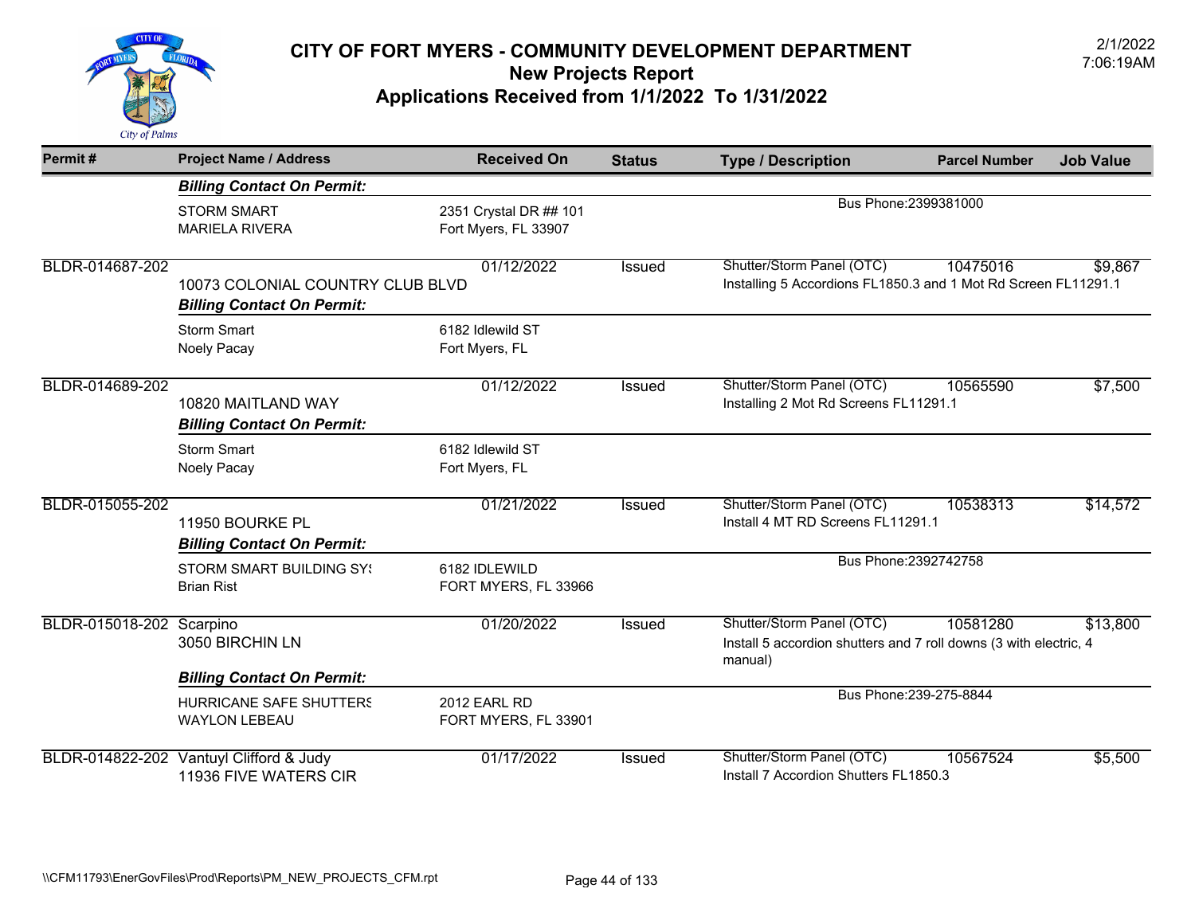

| Permit#                  | <b>Project Name / Address</b>                                         | <b>Received On</b>                             | <b>Status</b> | <b>Type / Description</b>                                                                                 | <b>Parcel Number</b>    | <b>Job Value</b> |
|--------------------------|-----------------------------------------------------------------------|------------------------------------------------|---------------|-----------------------------------------------------------------------------------------------------------|-------------------------|------------------|
|                          | <b>Billing Contact On Permit:</b>                                     |                                                |               |                                                                                                           |                         |                  |
|                          | <b>STORM SMART</b><br><b>MARIELA RIVERA</b>                           | 2351 Crystal DR ## 101<br>Fort Myers, FL 33907 |               |                                                                                                           | Bus Phone: 2399381000   |                  |
| BLDR-014687-202          | 10073 COLONIAL COUNTRY CLUB BLVD<br><b>Billing Contact On Permit:</b> | 01/12/2022                                     | Issued        | Shutter/Storm Panel (OTC)<br>Installing 5 Accordions FL1850.3 and 1 Mot Rd Screen FL11291.1               | 10475016                | \$9,867          |
|                          | <b>Storm Smart</b><br>Noely Pacay                                     | 6182 Idlewild ST<br>Fort Myers, FL             |               |                                                                                                           |                         |                  |
| BLDR-014689-202          | 10820 MAITLAND WAY<br><b>Billing Contact On Permit:</b>               | 01/12/2022                                     | Issued        | Shutter/Storm Panel (OTC)<br>Installing 2 Mot Rd Screens FL11291.1                                        | 10565590                | \$7,500          |
|                          | <b>Storm Smart</b><br>Noely Pacay                                     | 6182 Idlewild ST<br>Fort Myers, FL             |               |                                                                                                           |                         |                  |
| BLDR-015055-202          | 11950 BOURKE PL<br><b>Billing Contact On Permit:</b>                  | 01/21/2022                                     | Issued        | Shutter/Storm Panel (OTC)<br>Install 4 MT RD Screens FL11291.1                                            | 10538313                | \$14,572         |
|                          | <b>STORM SMART BUILDING SY!</b><br><b>Brian Rist</b>                  | 6182 IDLEWILD<br>FORT MYERS, FL 33966          |               |                                                                                                           | Bus Phone: 2392742758   |                  |
| BLDR-015018-202 Scarpino | 3050 BIRCHIN LN                                                       | 01/20/2022                                     | <b>Issued</b> | Shutter/Storm Panel (OTC)<br>Install 5 accordion shutters and 7 roll downs (3 with electric, 4<br>manual) | 10581280                | \$13,800         |
|                          | <b>Billing Contact On Permit:</b>                                     |                                                |               |                                                                                                           |                         |                  |
|                          | <b>HURRICANE SAFE SHUTTERS</b><br><b>WAYLON LEBEAU</b>                | <b>2012 EARL RD</b><br>FORT MYERS, FL 33901    |               |                                                                                                           | Bus Phone: 239-275-8844 |                  |
| BLDR-014822-202          | Vantuyl Clifford & Judy<br>11936 FIVE WATERS CIR                      | 01/17/2022                                     | Issued        | Shutter/Storm Panel (OTC)<br>Install 7 Accordion Shutters FL1850.3                                        | 10567524                | \$5,500          |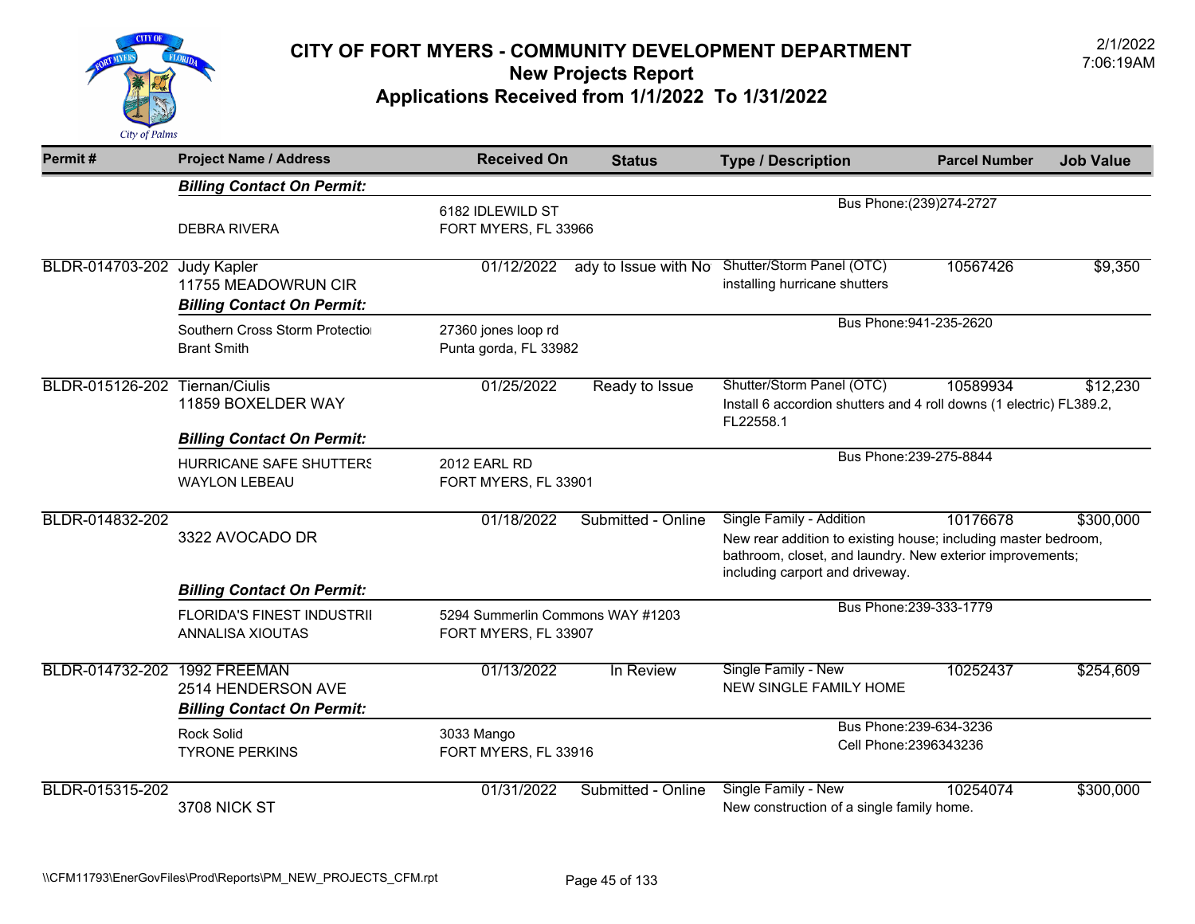

| Permit#                        | <b>Project Name / Address</b>                            | <b>Received On</b>                                       | <b>Status</b>        | <b>Type / Description</b>                                                                                                                                                                  | <b>Parcel Number</b>      | <b>Job Value</b> |
|--------------------------------|----------------------------------------------------------|----------------------------------------------------------|----------------------|--------------------------------------------------------------------------------------------------------------------------------------------------------------------------------------------|---------------------------|------------------|
|                                | <b>Billing Contact On Permit:</b>                        |                                                          |                      |                                                                                                                                                                                            |                           |                  |
|                                | <b>DEBRA RIVERA</b>                                      | 6182 IDLEWILD ST<br>FORT MYERS, FL 33966                 |                      |                                                                                                                                                                                            | Bus Phone: (239) 274-2727 |                  |
| BLDR-014703-202 Judy Kapler    | 11755 MEADOWRUN CIR<br><b>Billing Contact On Permit:</b> | 01/12/2022                                               | ady to Issue with No | Shutter/Storm Panel (OTC)<br>installing hurricane shutters                                                                                                                                 | 10567426                  | \$9,350          |
|                                | Southern Cross Storm Protectio<br><b>Brant Smith</b>     | 27360 jones loop rd<br>Punta gorda, FL 33982             |                      |                                                                                                                                                                                            | Bus Phone: 941-235-2620   |                  |
| BLDR-015126-202 Tiernan/Ciulis | 11859 BOXELDER WAY<br><b>Billing Contact On Permit:</b>  | 01/25/2022                                               | Ready to Issue       | Shutter/Storm Panel (OTC)<br>Install 6 accordion shutters and 4 roll downs (1 electric) FL389.2,<br>FL22558.1                                                                              | 10589934                  | \$12,230         |
|                                | <b>HURRICANE SAFE SHUTTERS</b><br><b>WAYLON LEBEAU</b>   | 2012 EARL RD<br>FORT MYERS, FL 33901                     |                      |                                                                                                                                                                                            | Bus Phone: 239-275-8844   |                  |
| BLDR-014832-202                | 3322 AVOCADO DR<br><b>Billing Contact On Permit:</b>     | 01/18/2022                                               | Submitted - Online   | Single Family - Addition<br>New rear addition to existing house; including master bedroom,<br>bathroom, closet, and laundry. New exterior improvements;<br>including carport and driveway. | 10176678                  | \$300,000        |
|                                | <b>FLORIDA'S FINEST INDUSTRII</b><br>ANNALISA XIOUTAS    | 5294 Summerlin Commons WAY #1203<br>FORT MYERS, FL 33907 |                      |                                                                                                                                                                                            | Bus Phone: 239-333-1779   |                  |
| BLDR-014732-202 1992 FREEMAN   | 2514 HENDERSON AVE<br><b>Billing Contact On Permit:</b>  | 01/13/2022                                               | In Review            | Single Family - New<br><b>NEW SINGLE FAMILY HOME</b>                                                                                                                                       | 10252437                  | \$254,609        |
|                                | <b>Rock Solid</b><br><b>TYRONE PERKINS</b>               | 3033 Mango<br>FORT MYERS, FL 33916                       |                      | Cell Phone: 2396343236                                                                                                                                                                     | Bus Phone: 239-634-3236   |                  |
| BLDR-015315-202                | 3708 NICK ST                                             | 01/31/2022                                               | Submitted - Online   | Single Family - New<br>New construction of a single family home.                                                                                                                           | 10254074                  | \$300,000        |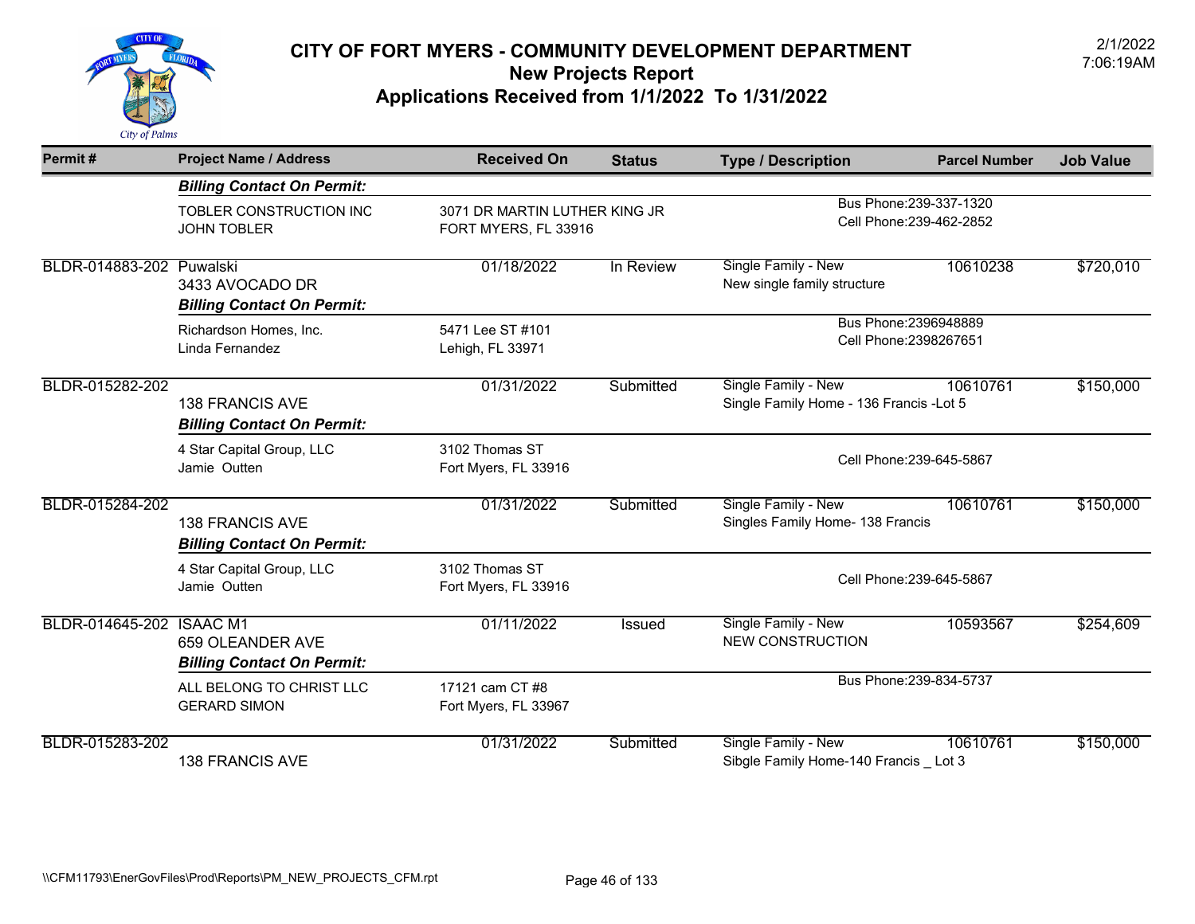

| Permit#                  | <b>Project Name / Address</b>                               | <b>Received On</b>                      | <b>Status</b>                                         | <b>Type / Description</b>                                            | <b>Parcel Number</b>                                | <b>Job Value</b> |
|--------------------------|-------------------------------------------------------------|-----------------------------------------|-------------------------------------------------------|----------------------------------------------------------------------|-----------------------------------------------------|------------------|
|                          | <b>Billing Contact On Permit:</b>                           |                                         |                                                       |                                                                      |                                                     |                  |
|                          | TOBLER CONSTRUCTION INC<br><b>JOHN TOBLER</b>               |                                         | 3071 DR MARTIN LUTHER KING JR<br>FORT MYERS, FL 33916 |                                                                      | Bus Phone: 239-337-1320<br>Cell Phone: 239-462-2852 |                  |
| BLDR-014883-202 Puwalski | 3433 AVOCADO DR<br><b>Billing Contact On Permit:</b>        | 01/18/2022                              | In Review                                             | Single Family - New<br>New single family structure                   | 10610238                                            | \$720,010        |
|                          | Richardson Homes, Inc.<br>Linda Fernandez                   | 5471 Lee ST #101<br>Lehigh, FL 33971    | Bus Phone: 2396948889<br>Cell Phone: 2398267651       |                                                                      |                                                     |                  |
| BLDR-015282-202          | <b>138 FRANCIS AVE</b><br><b>Billing Contact On Permit:</b> | 01/31/2022                              | Submitted                                             | Single Family - New<br>Single Family Home - 136 Francis - Lot 5      | 10610761                                            | \$150,000        |
|                          | 4 Star Capital Group, LLC<br>Jamie Outten                   | 3102 Thomas ST<br>Fort Myers, FL 33916  |                                                       | Cell Phone: 239-645-5867                                             |                                                     |                  |
| BLDR-015284-202          | <b>138 FRANCIS AVE</b><br><b>Billing Contact On Permit:</b> | 01/31/2022                              | Submitted                                             | Single Family - New<br>Singles Family Home- 138 Francis              | 10610761                                            | \$150,000        |
|                          | 4 Star Capital Group, LLC<br>Jamie Outten                   | 3102 Thomas ST<br>Fort Myers, FL 33916  |                                                       |                                                                      | Cell Phone: 239-645-5867                            |                  |
| BLDR-014645-202 ISAAC M1 | 659 OLEANDER AVE<br><b>Billing Contact On Permit:</b>       | 01/11/2022                              | Issued                                                | Single Family - New<br><b>NEW CONSTRUCTION</b>                       | 10593567                                            | \$254,609        |
|                          | ALL BELONG TO CHRIST LLC<br><b>GERARD SIMON</b>             | 17121 cam CT #8<br>Fort Myers, FL 33967 |                                                       |                                                                      | Bus Phone: 239-834-5737                             |                  |
| BLDR-015283-202          | <b>138 FRANCIS AVE</b>                                      | 01/31/2022                              | Submitted                                             | <b>Single Family - New</b><br>Sibgle Family Home-140 Francis _ Lot 3 | 10610761                                            | \$150,000        |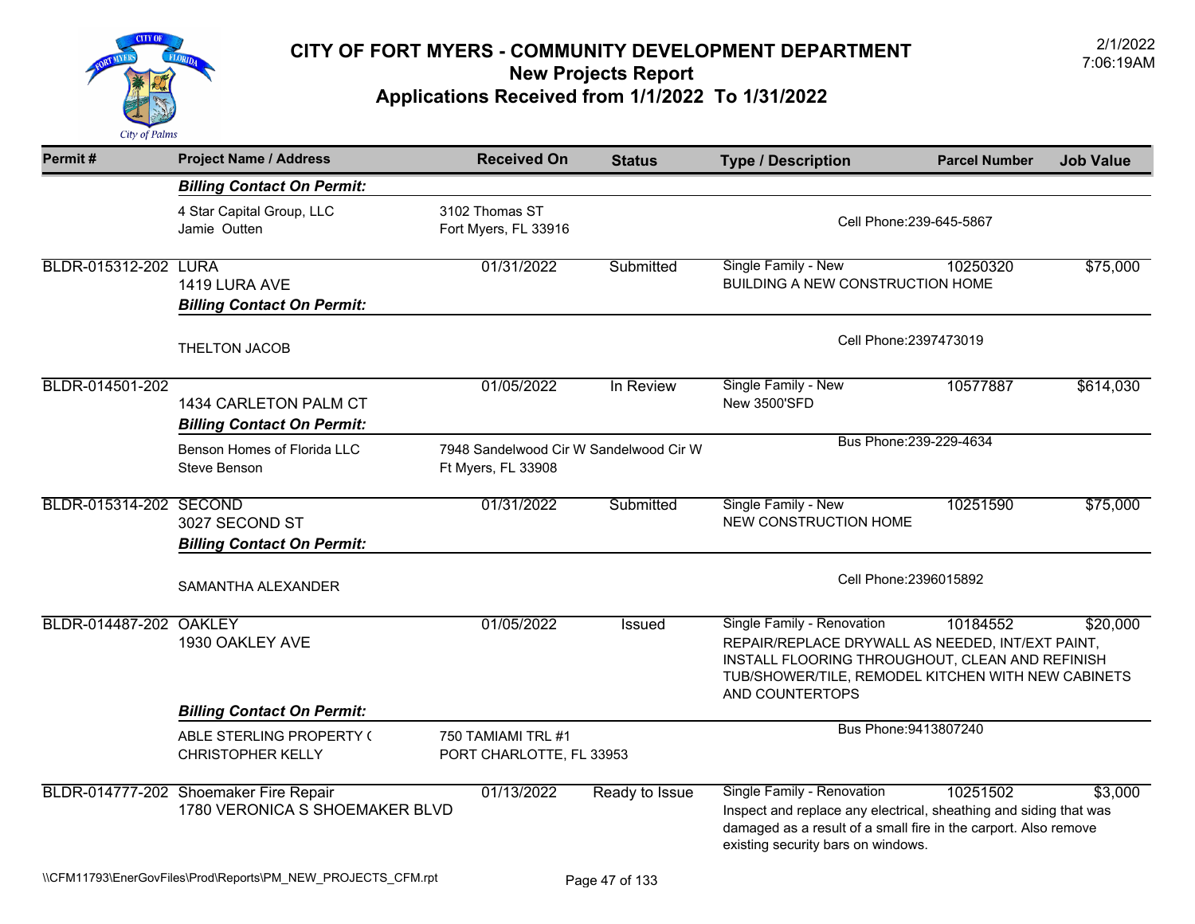

| Permit#                | <b>Project Name / Address</b>                                           | <b>Received On</b>                                           | <b>Status</b>          | <b>Type / Description</b>                                                                                                                                                                                  | <b>Parcel Number</b> | <b>Job Value</b> |
|------------------------|-------------------------------------------------------------------------|--------------------------------------------------------------|------------------------|------------------------------------------------------------------------------------------------------------------------------------------------------------------------------------------------------------|----------------------|------------------|
|                        | <b>Billing Contact On Permit:</b>                                       |                                                              |                        |                                                                                                                                                                                                            |                      |                  |
|                        | 4 Star Capital Group, LLC<br>Jamie Outten                               | 3102 Thomas ST<br>Fort Myers, FL 33916                       |                        | Cell Phone: 239-645-5867                                                                                                                                                                                   |                      |                  |
| BLDR-015312-202 LURA   | 1419 LURA AVE<br><b>Billing Contact On Permit:</b>                      | 01/31/2022                                                   | Submitted              | Single Family - New<br><b>BUILDING A NEW CONSTRUCTION HOME</b>                                                                                                                                             | 10250320             | \$75,000         |
|                        | THELTON JACOB                                                           |                                                              | Cell Phone: 2397473019 |                                                                                                                                                                                                            |                      |                  |
| BLDR-014501-202        | 1434 CARLETON PALM CT<br><b>Billing Contact On Permit:</b>              | 01/05/2022                                                   | In Review              | Single Family - New<br><b>New 3500'SFD</b>                                                                                                                                                                 | 10577887             | \$614,030        |
|                        | Benson Homes of Florida LLC<br>Steve Benson                             | 7948 Sandelwood Cir W Sandelwood Cir W<br>Ft Myers, FL 33908 |                        | Bus Phone: 239-229-4634                                                                                                                                                                                    |                      |                  |
| BLDR-015314-202 SECOND | 3027 SECOND ST<br><b>Billing Contact On Permit:</b>                     | 01/31/2022                                                   | Submitted              | Single Family - New<br>NEW CONSTRUCTION HOME                                                                                                                                                               | 10251590             | \$75,000         |
|                        | SAMANTHA ALEXANDER                                                      |                                                              |                        | Cell Phone: 2396015892                                                                                                                                                                                     |                      |                  |
| BLDR-014487-202 OAKLEY | 1930 OAKLEY AVE                                                         | 01/05/2022                                                   | Issued                 | Single Family - Renovation<br>REPAIR/REPLACE DRYWALL AS NEEDED, INT/EXT PAINT,<br>INSTALL FLOORING THROUGHOUT, CLEAN AND REFINISH<br>TUB/SHOWER/TILE, REMODEL KITCHEN WITH NEW CABINETS<br>AND COUNTERTOPS | 10184552             | \$20,000         |
|                        | <b>Billing Contact On Permit:</b>                                       |                                                              |                        | Bus Phone: 9413807240                                                                                                                                                                                      |                      |                  |
|                        | ABLE STERLING PROPERTY (<br><b>CHRISTOPHER KELLY</b>                    | 750 TAMIAMI TRL #1<br>PORT CHARLOTTE, FL 33953               |                        |                                                                                                                                                                                                            |                      |                  |
|                        | BLDR-014777-202 Shoemaker Fire Repair<br>1780 VERONICA S SHOEMAKER BLVD | 01/13/2022                                                   | Ready to Issue         | Single Family - Renovation<br>Inspect and replace any electrical, sheathing and siding that was<br>damaged as a result of a small fire in the carport. Also remove<br>existing security bars on windows.   | 10251502             | \$3,000          |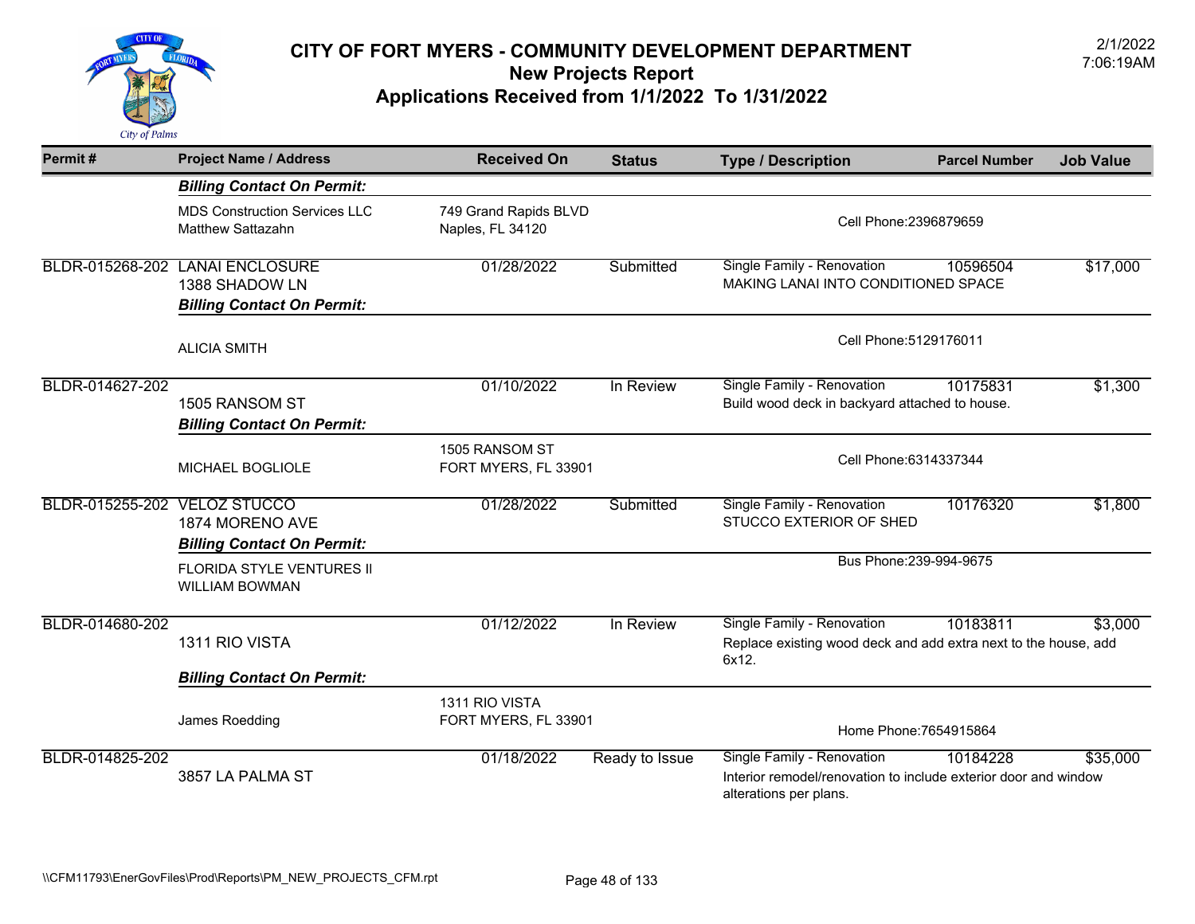

| Permit#                      | <b>Project Name / Address</b>                                                          | <b>Received On</b>                        | <b>Status</b>  | <b>Type / Description</b>                                                                                               | <b>Parcel Number</b>    | <b>Job Value</b> |
|------------------------------|----------------------------------------------------------------------------------------|-------------------------------------------|----------------|-------------------------------------------------------------------------------------------------------------------------|-------------------------|------------------|
|                              | <b>Billing Contact On Permit:</b>                                                      |                                           |                |                                                                                                                         |                         |                  |
|                              | <b>MDS Construction Services LLC</b><br><b>Matthew Sattazahn</b>                       | 749 Grand Rapids BLVD<br>Naples, FL 34120 |                | Cell Phone: 2396879659                                                                                                  |                         |                  |
|                              | BLDR-015268-202 LANAI ENCLOSURE<br>1388 SHADOW LN<br><b>Billing Contact On Permit:</b> | 01/28/2022                                | Submitted      | Single Family - Renovation<br>MAKING LANAI INTO CONDITIONED SPACE                                                       | 10596504                | \$17,000         |
|                              | <b>ALICIA SMITH</b>                                                                    |                                           |                | Cell Phone: 5129176011                                                                                                  |                         |                  |
| BLDR-014627-202              | 1505 RANSOM ST<br><b>Billing Contact On Permit:</b>                                    | 01/10/2022                                | In Review      | Single Family - Renovation<br>Build wood deck in backyard attached to house.                                            | 10175831                | \$1,300          |
|                              | MICHAEL BOGLIOLE                                                                       | 1505 RANSOM ST<br>FORT MYERS, FL 33901    |                | Cell Phone: 6314337344                                                                                                  |                         |                  |
| BLDR-015255-202 VELOZ STUCCO | 1874 MORENO AVE<br><b>Billing Contact On Permit:</b>                                   | 01/28/2022                                | Submitted      | Single Family - Renovation<br>STUCCO EXTERIOR OF SHED                                                                   | 10176320                | \$1,800          |
|                              | FLORIDA STYLE VENTURES II<br><b>WILLIAM BOWMAN</b>                                     |                                           |                |                                                                                                                         | Bus Phone: 239-994-9675 |                  |
| BLDR-014680-202              | 1311 RIO VISTA                                                                         | 01/12/2022                                | In Review      | Single Family - Renovation<br>Replace existing wood deck and add extra next to the house, add<br>6x12.                  | 10183811                | \$3,000          |
|                              | <b>Billing Contact On Permit:</b>                                                      |                                           |                |                                                                                                                         |                         |                  |
|                              | James Roedding                                                                         | 1311 RIO VISTA<br>FORT MYERS, FL 33901    |                |                                                                                                                         | Home Phone: 7654915864  |                  |
| BLDR-014825-202              | 3857 LA PALMA ST                                                                       | 01/18/2022                                | Ready to Issue | Single Family - Renovation<br>Interior remodel/renovation to include exterior door and window<br>alterations per plans. | 10184228                | \$35,000         |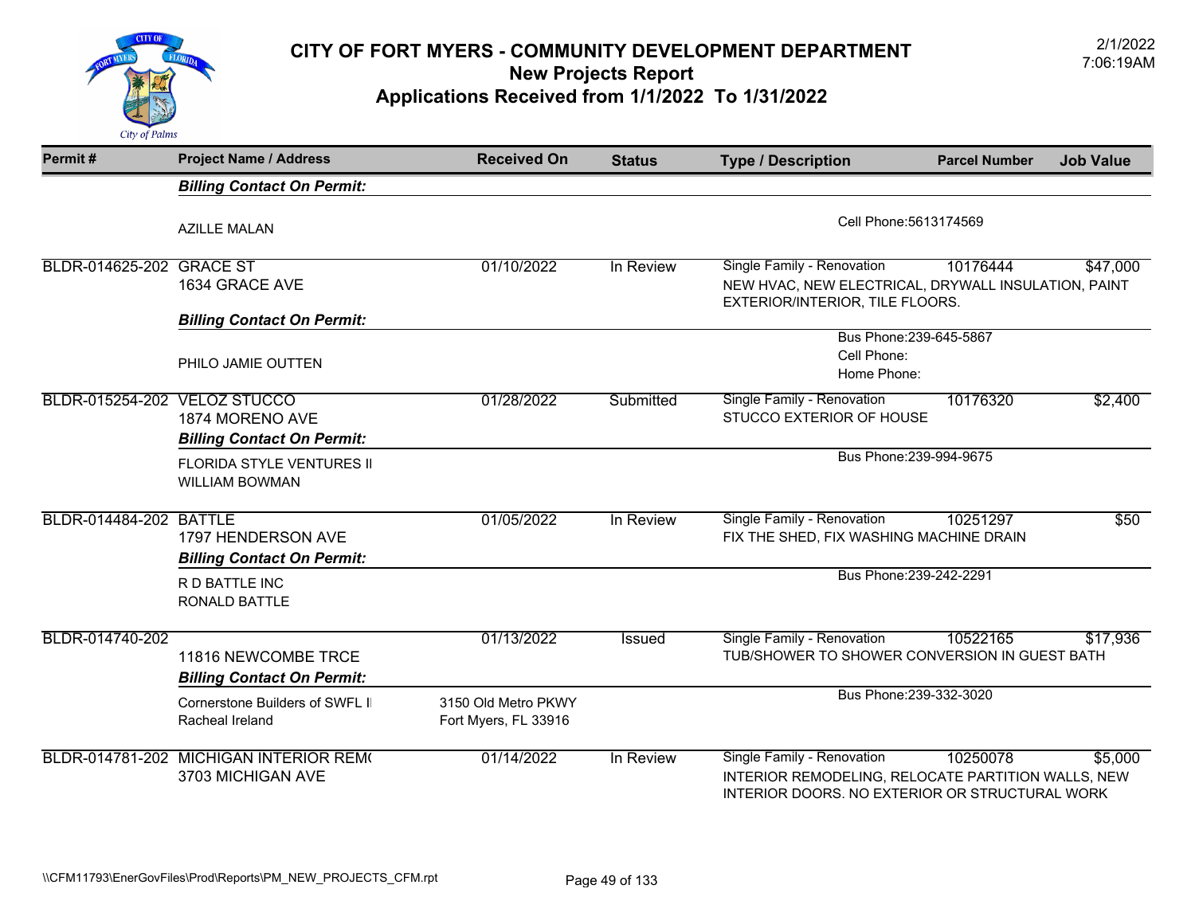

| Permit#                      | <b>Project Name / Address</b>                               | <b>Received On</b>                          | <b>Status</b> | <b>Type / Description</b>                                                                                                          | <b>Parcel Number</b>    | <b>Job Value</b> |  |
|------------------------------|-------------------------------------------------------------|---------------------------------------------|---------------|------------------------------------------------------------------------------------------------------------------------------------|-------------------------|------------------|--|
|                              | <b>Billing Contact On Permit:</b>                           |                                             |               |                                                                                                                                    |                         |                  |  |
|                              | <b>AZILLE MALAN</b>                                         |                                             |               | Cell Phone: 5613174569                                                                                                             |                         |                  |  |
| BLDR-014625-202 GRACE ST     | 1634 GRACE AVE                                              | 01/10/2022                                  | In Review     | Single Family - Renovation<br>NEW HVAC, NEW ELECTRICAL, DRYWALL INSULATION, PAINT<br>EXTERIOR/INTERIOR, TILE FLOORS.               | 10176444                | \$47,000         |  |
|                              | <b>Billing Contact On Permit:</b><br>PHILO JAMIE OUTTEN     |                                             |               | Bus Phone: 239-645-5867<br>Cell Phone:<br>Home Phone:                                                                              |                         |                  |  |
| BLDR-015254-202 VELOZ STUCCO | 1874 MORENO AVE<br><b>Billing Contact On Permit:</b>        | 01/28/2022                                  | Submitted     | Single Family - Renovation<br>STUCCO EXTERIOR OF HOUSE                                                                             | 10176320                | \$2,400          |  |
|                              | <b>FLORIDA STYLE VENTURES II</b><br><b>WILLIAM BOWMAN</b>   |                                             |               |                                                                                                                                    | Bus Phone: 239-994-9675 |                  |  |
| BLDR-014484-202 BATTLE       | 1797 HENDERSON AVE<br><b>Billing Contact On Permit:</b>     | 01/05/2022                                  | In Review     | Single Family - Renovation<br>FIX THE SHED, FIX WASHING MACHINE DRAIN                                                              | 10251297                | \$50             |  |
|                              | R D BATTLE INC<br><b>RONALD BATTLE</b>                      |                                             |               | Bus Phone: 239-242-2291                                                                                                            |                         |                  |  |
| BLDR-014740-202              | 11816 NEWCOMBE TRCE<br><b>Billing Contact On Permit:</b>    | 01/13/2022                                  | <b>Issued</b> | Single Family - Renovation<br>TUB/SHOWER TO SHOWER CONVERSION IN GUEST BATH                                                        | 10522165                | \$17,936         |  |
|                              | Cornerstone Builders of SWFL II<br>Racheal Ireland          | 3150 Old Metro PKWY<br>Fort Myers, FL 33916 |               |                                                                                                                                    | Bus Phone: 239-332-3020 |                  |  |
|                              | BLDR-014781-202 MICHIGAN INTERIOR REMO<br>3703 MICHIGAN AVE | 01/14/2022                                  | In Review     | Single Family - Renovation<br>INTERIOR REMODELING, RELOCATE PARTITION WALLS, NEW<br>INTERIOR DOORS. NO EXTERIOR OR STRUCTURAL WORK | 10250078                | \$5,000          |  |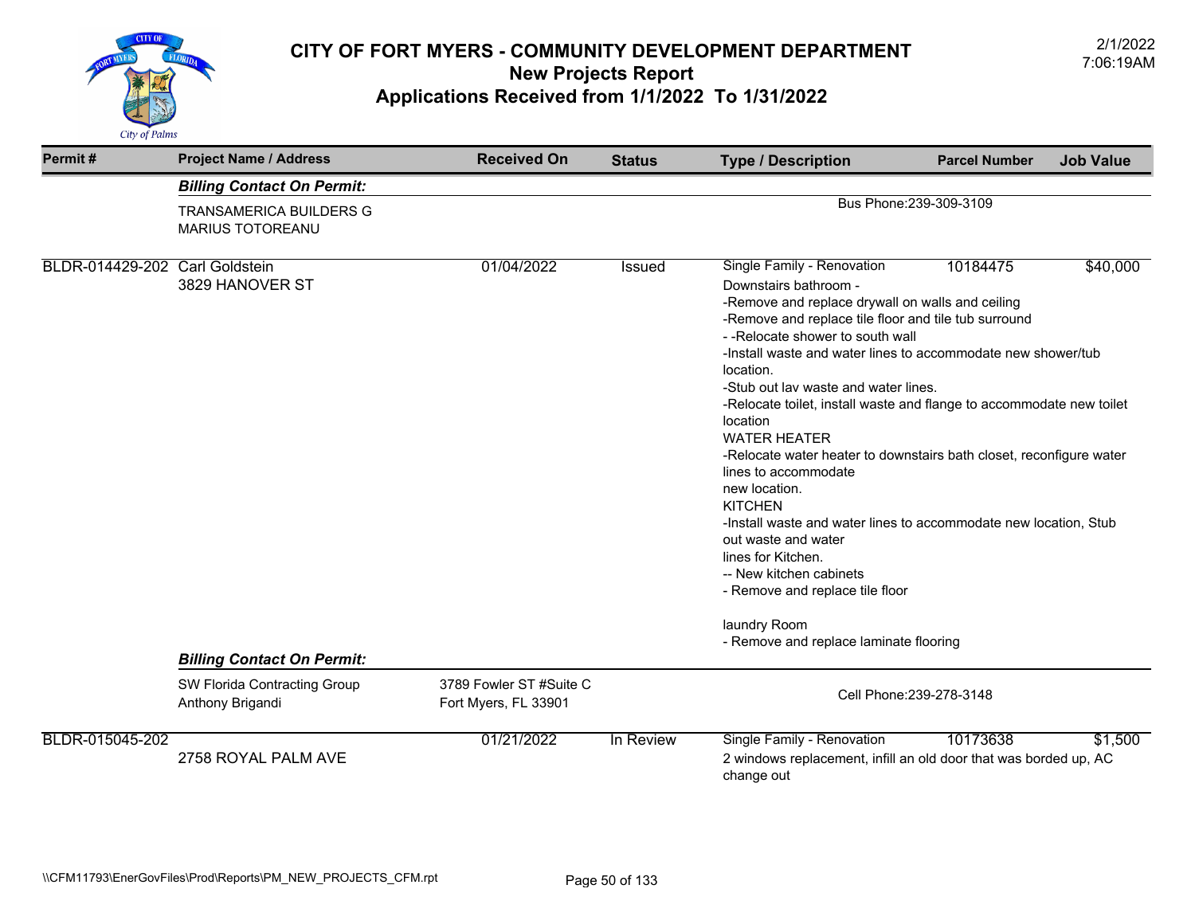

| Permit#                        | <b>Project Name / Address</b>                             | <b>Received On</b>                              | <b>Status</b> | <b>Type / Description</b>                                                                                                                                                                                                                                                                                                                                                                                                                                                                                                                                                                                                                                                                                                                                                                                                             | <b>Parcel Number</b>    | <b>Job Value</b> |  |
|--------------------------------|-----------------------------------------------------------|-------------------------------------------------|---------------|---------------------------------------------------------------------------------------------------------------------------------------------------------------------------------------------------------------------------------------------------------------------------------------------------------------------------------------------------------------------------------------------------------------------------------------------------------------------------------------------------------------------------------------------------------------------------------------------------------------------------------------------------------------------------------------------------------------------------------------------------------------------------------------------------------------------------------------|-------------------------|------------------|--|
|                                | <b>Billing Contact On Permit:</b>                         |                                                 |               |                                                                                                                                                                                                                                                                                                                                                                                                                                                                                                                                                                                                                                                                                                                                                                                                                                       |                         |                  |  |
|                                | <b>TRANSAMERICA BUILDERS G</b><br><b>MARIUS TOTOREANU</b> |                                                 |               |                                                                                                                                                                                                                                                                                                                                                                                                                                                                                                                                                                                                                                                                                                                                                                                                                                       | Bus Phone: 239-309-3109 |                  |  |
| BLDR-014429-202 Carl Goldstein | 3829 HANOVER ST<br><b>Billing Contact On Permit:</b>      | 01/04/2022                                      | Issued        | Single Family - Renovation<br>10184475<br>\$40,000<br>Downstairs bathroom -<br>-Remove and replace drywall on walls and ceiling<br>-Remove and replace tile floor and tile tub surround<br>--Relocate shower to south wall<br>-Install waste and water lines to accommodate new shower/tub<br>location.<br>-Stub out lav waste and water lines.<br>-Relocate toilet, install waste and flange to accommodate new toilet<br>location<br><b>WATER HEATER</b><br>-Relocate water heater to downstairs bath closet, reconfigure water<br>lines to accommodate<br>new location.<br><b>KITCHEN</b><br>-Install waste and water lines to accommodate new location, Stub<br>out waste and water<br>lines for Kitchen.<br>-- New kitchen cabinets<br>- Remove and replace tile floor<br>laundry Room<br>- Remove and replace laminate flooring |                         |                  |  |
|                                | SW Florida Contracting Group<br>Anthony Brigandi          | 3789 Fowler ST #Suite C<br>Fort Myers, FL 33901 |               | Cell Phone: 239-278-3148                                                                                                                                                                                                                                                                                                                                                                                                                                                                                                                                                                                                                                                                                                                                                                                                              |                         |                  |  |
| BLDR-015045-202                | 2758 ROYAL PALM AVE                                       | 01/21/2022                                      | In Review     | Single Family - Renovation<br>2 windows replacement, infill an old door that was borded up, AC<br>change out                                                                                                                                                                                                                                                                                                                                                                                                                                                                                                                                                                                                                                                                                                                          | 10173638                | \$1,500          |  |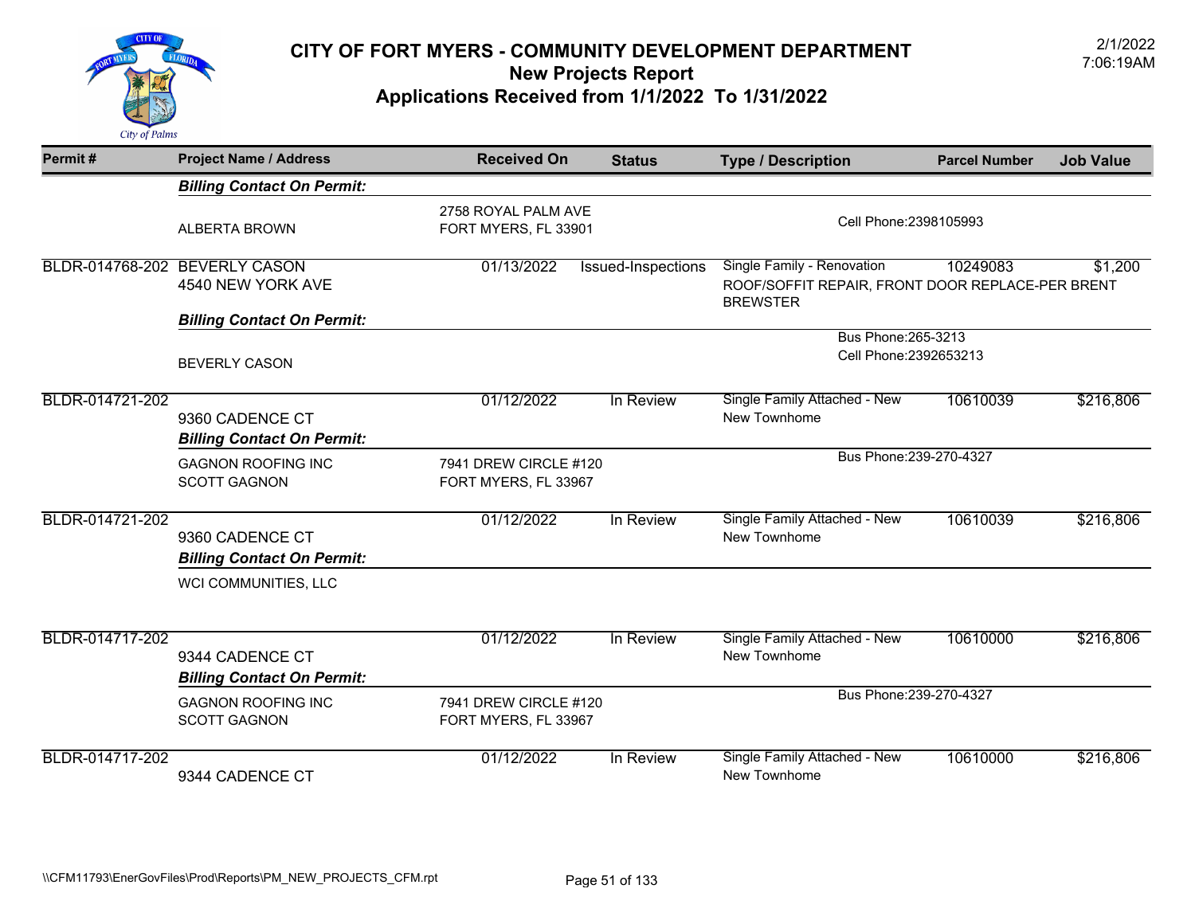

| Permit#         | <b>Project Name / Address</b>                        | <b>Received On</b>                            | <b>Status</b>      | <b>Type / Description</b>                                                                         | <b>Parcel Number</b>   | <b>Job Value</b> |
|-----------------|------------------------------------------------------|-----------------------------------------------|--------------------|---------------------------------------------------------------------------------------------------|------------------------|------------------|
|                 | <b>Billing Contact On Permit:</b>                    |                                               |                    |                                                                                                   |                        |                  |
|                 | <b>ALBERTA BROWN</b>                                 | 2758 ROYAL PALM AVE<br>FORT MYERS, FL 33901   |                    |                                                                                                   | Cell Phone: 2398105993 |                  |
|                 | BLDR-014768-202 BEVERLY CASON<br>4540 NEW YORK AVE   | 01/13/2022                                    | Issued-Inspections | Single Family - Renovation<br>ROOF/SOFFIT REPAIR, FRONT DOOR REPLACE-PER BRENT<br><b>BREWSTER</b> | 10249083               | \$1,200          |
|                 | <b>Billing Contact On Permit:</b>                    |                                               |                    |                                                                                                   |                        |                  |
|                 | <b>BEVERLY CASON</b>                                 |                                               |                    | Bus Phone: 265-3213<br>Cell Phone: 2392653213                                                     |                        |                  |
| BLDR-014721-202 | 9360 CADENCE CT<br><b>Billing Contact On Permit:</b> | 01/12/2022                                    | In Review          | <b>Single Family Attached - New</b><br>New Townhome                                               | 10610039               | \$216,806        |
|                 | <b>GAGNON ROOFING INC</b><br><b>SCOTT GAGNON</b>     | 7941 DREW CIRCLE #120<br>FORT MYERS, FL 33967 |                    | Bus Phone: 239-270-4327                                                                           |                        |                  |
| BLDR-014721-202 | 9360 CADENCE CT<br><b>Billing Contact On Permit:</b> | 01/12/2022                                    | In Review          | Single Family Attached - New<br>New Townhome                                                      | 10610039               | \$216,806        |
|                 | WCI COMMUNITIES, LLC                                 |                                               |                    |                                                                                                   |                        |                  |
| BLDR-014717-202 | 9344 CADENCE CT<br><b>Billing Contact On Permit:</b> | 01/12/2022                                    | In Review          | Single Family Attached - New<br>New Townhome                                                      | 10610000               | \$216,806        |
|                 | <b>GAGNON ROOFING INC</b><br><b>SCOTT GAGNON</b>     | 7941 DREW CIRCLE #120<br>FORT MYERS, FL 33967 |                    | Bus Phone: 239-270-4327                                                                           |                        |                  |
| BLDR-014717-202 | 9344 CADENCE CT                                      | 01/12/2022                                    | In Review          | Single Family Attached - New<br>New Townhome                                                      | 10610000               | \$216,806        |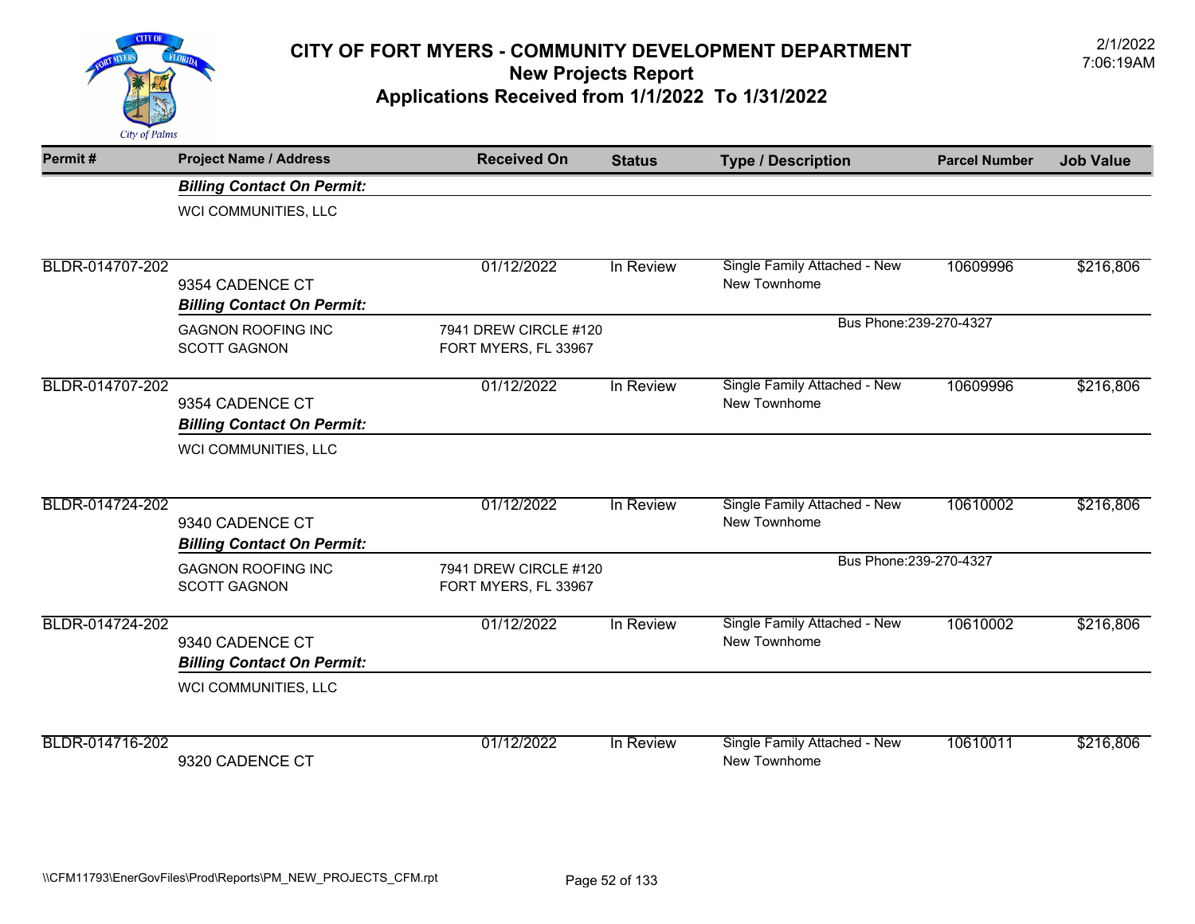

| Permit#         | <b>Project Name / Address</b>     | <b>Received On</b>    | <b>Status</b> | <b>Type / Description</b>                    | <b>Parcel Number</b> | <b>Job Value</b> |
|-----------------|-----------------------------------|-----------------------|---------------|----------------------------------------------|----------------------|------------------|
|                 | <b>Billing Contact On Permit:</b> |                       |               |                                              |                      |                  |
|                 | WCI COMMUNITIES, LLC              |                       |               |                                              |                      |                  |
|                 |                                   |                       |               |                                              |                      |                  |
| BLDR-014707-202 | 9354 CADENCE CT                   | 01/12/2022            | In Review     | Single Family Attached - New<br>New Townhome | 10609996             | \$216,806        |
|                 | <b>Billing Contact On Permit:</b> |                       |               |                                              |                      |                  |
|                 | <b>GAGNON ROOFING INC</b>         | 7941 DREW CIRCLE #120 |               | Bus Phone: 239-270-4327                      |                      |                  |
|                 | <b>SCOTT GAGNON</b>               | FORT MYERS, FL 33967  |               |                                              |                      |                  |
| BLDR-014707-202 |                                   | 01/12/2022            | In Review     | Single Family Attached - New                 | 10609996             | \$216,806        |
|                 | 9354 CADENCE CT                   |                       |               | New Townhome                                 |                      |                  |
|                 | <b>Billing Contact On Permit:</b> |                       |               |                                              |                      |                  |
|                 | WCI COMMUNITIES, LLC              |                       |               |                                              |                      |                  |
| BLDR-014724-202 |                                   | 01/12/2022            | In Review     | Single Family Attached - New                 | 10610002             | \$216,806        |
|                 | 9340 CADENCE CT                   |                       |               | New Townhome                                 |                      |                  |
|                 | <b>Billing Contact On Permit:</b> |                       |               |                                              |                      |                  |
|                 | <b>GAGNON ROOFING INC</b>         | 7941 DREW CIRCLE #120 |               | Bus Phone: 239-270-4327                      |                      |                  |
|                 | <b>SCOTT GAGNON</b>               | FORT MYERS, FL 33967  |               |                                              |                      |                  |
| BLDR-014724-202 |                                   | 01/12/2022            | In Review     | Single Family Attached - New                 | 10610002             | \$216,806        |
|                 | 9340 CADENCE CT                   |                       |               | New Townhome                                 |                      |                  |
|                 | <b>Billing Contact On Permit:</b> |                       |               |                                              |                      |                  |
|                 | WCI COMMUNITIES, LLC              |                       |               |                                              |                      |                  |
| BLDR-014716-202 |                                   | 01/12/2022            | In Review     | Single Family Attached - New                 | 10610011             | \$216,806        |
|                 | 9320 CADENCE CT                   |                       |               | New Townhome                                 |                      |                  |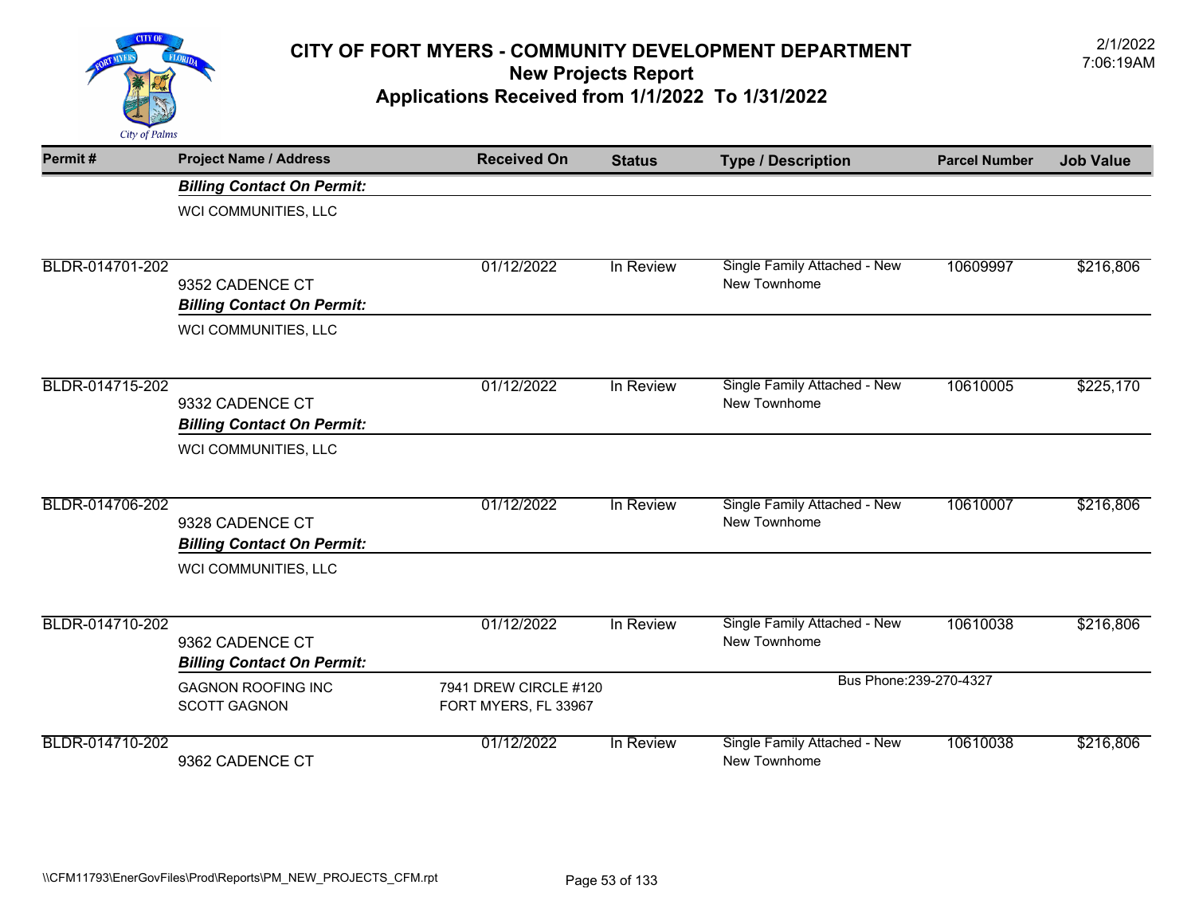

| Permit#         | <b>Project Name / Address</b>                    | <b>Received On</b>                            | <b>Status</b> | <b>Type / Description</b>                    | <b>Parcel Number</b> | <b>Job Value</b> |
|-----------------|--------------------------------------------------|-----------------------------------------------|---------------|----------------------------------------------|----------------------|------------------|
|                 | <b>Billing Contact On Permit:</b>                |                                               |               |                                              |                      |                  |
|                 | WCI COMMUNITIES, LLC                             |                                               |               |                                              |                      |                  |
|                 |                                                  |                                               |               |                                              |                      |                  |
| BLDR-014701-202 | 9352 CADENCE CT                                  | 01/12/2022                                    | In Review     | Single Family Attached - New<br>New Townhome | 10609997             | \$216,806        |
|                 | <b>Billing Contact On Permit:</b>                |                                               |               |                                              |                      |                  |
|                 | WCI COMMUNITIES, LLC                             |                                               |               |                                              |                      |                  |
|                 |                                                  |                                               |               |                                              |                      |                  |
| BLDR-014715-202 | 9332 CADENCE CT                                  | 01/12/2022                                    | In Review     | Single Family Attached - New<br>New Townhome | 10610005             | \$225,170        |
|                 | <b>Billing Contact On Permit:</b>                |                                               |               |                                              |                      |                  |
|                 | WCI COMMUNITIES, LLC                             |                                               |               |                                              |                      |                  |
| BLDR-014706-202 |                                                  | 01/12/2022                                    | In Review     | Single Family Attached - New                 | 10610007             | \$216,806        |
|                 | 9328 CADENCE CT                                  |                                               |               | New Townhome                                 |                      |                  |
|                 | <b>Billing Contact On Permit:</b>                |                                               |               |                                              |                      |                  |
|                 | WCI COMMUNITIES, LLC                             |                                               |               |                                              |                      |                  |
| BLDR-014710-202 |                                                  | 01/12/2022                                    | In Review     | Single Family Attached - New                 | 10610038             | \$216,806        |
|                 | 9362 CADENCE CT                                  |                                               |               | New Townhome                                 |                      |                  |
|                 | <b>Billing Contact On Permit:</b>                |                                               |               |                                              |                      |                  |
|                 | <b>GAGNON ROOFING INC</b><br><b>SCOTT GAGNON</b> | 7941 DREW CIRCLE #120<br>FORT MYERS, FL 33967 |               | Bus Phone: 239-270-4327                      |                      |                  |
| BLDR-014710-202 | 9362 CADENCE CT                                  | 01/12/2022                                    | In Review     | Single Family Attached - New<br>New Townhome | 10610038             | \$216,806        |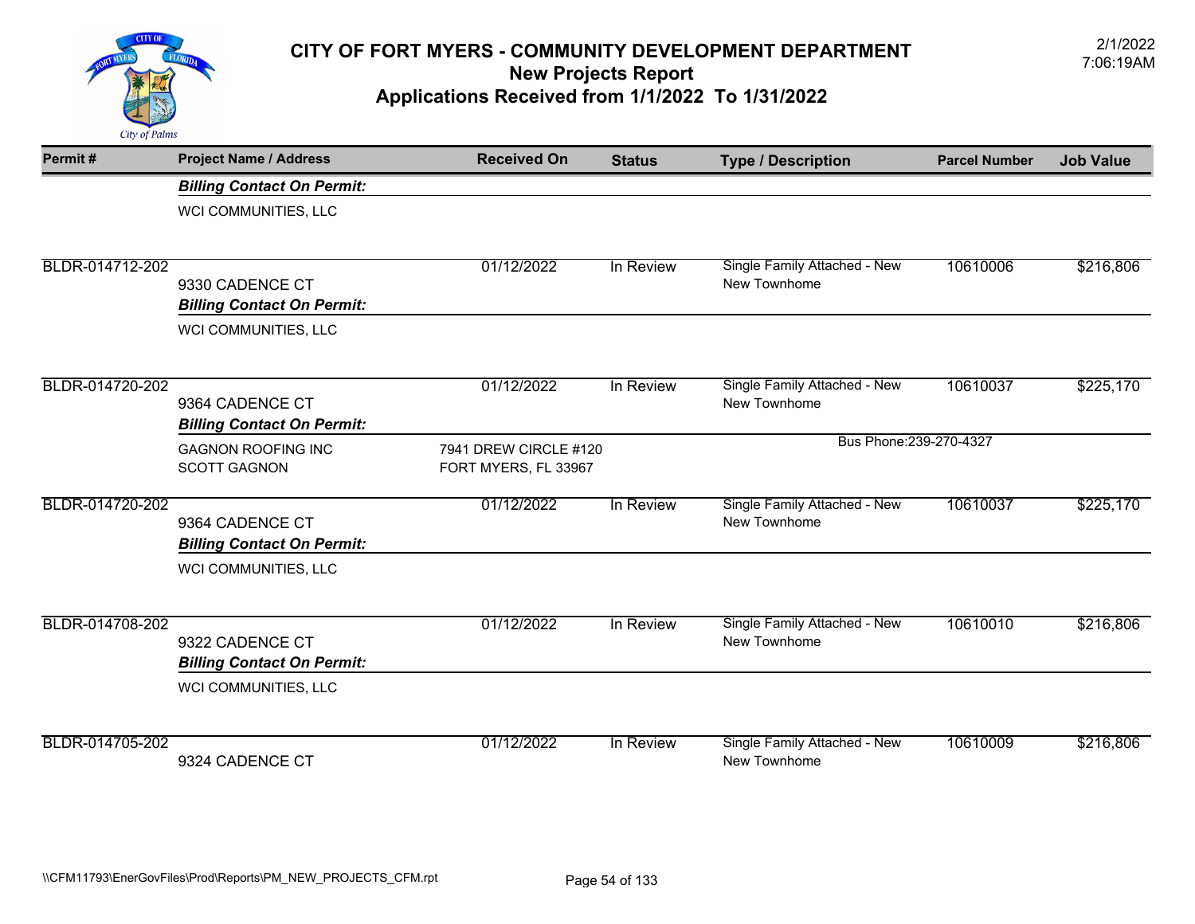

| Permit#         | <b>Project Name / Address</b>                        | <b>Received On</b>    | <b>Status</b> | <b>Type / Description</b>                    | <b>Parcel Number</b> | <b>Job Value</b> |
|-----------------|------------------------------------------------------|-----------------------|---------------|----------------------------------------------|----------------------|------------------|
|                 | <b>Billing Contact On Permit:</b>                    |                       |               |                                              |                      |                  |
|                 | WCI COMMUNITIES, LLC                                 |                       |               |                                              |                      |                  |
|                 |                                                      |                       |               |                                              |                      |                  |
| BLDR-014712-202 | 9330 CADENCE CT                                      | 01/12/2022            | In Review     | Single Family Attached - New<br>New Townhome | 10610006             | \$216,806        |
|                 | <b>Billing Contact On Permit:</b>                    |                       |               |                                              |                      |                  |
|                 | WCI COMMUNITIES, LLC                                 |                       |               |                                              |                      |                  |
|                 |                                                      |                       |               |                                              |                      |                  |
| BLDR-014720-202 | 9364 CADENCE CT                                      | 01/12/2022            | In Review     | Single Family Attached - New<br>New Townhome | 10610037             | \$225,170        |
|                 | <b>Billing Contact On Permit:</b>                    |                       |               |                                              |                      |                  |
|                 | <b>GAGNON ROOFING INC</b>                            | 7941 DREW CIRCLE #120 |               | Bus Phone: 239-270-4327                      |                      |                  |
|                 | <b>SCOTT GAGNON</b>                                  | FORT MYERS, FL 33967  |               |                                              |                      |                  |
| BLDR-014720-202 |                                                      | 01/12/2022            | In Review     | Single Family Attached - New                 | 10610037             | \$225,170        |
|                 | 9364 CADENCE CT<br><b>Billing Contact On Permit:</b> |                       |               | New Townhome                                 |                      |                  |
|                 | WCI COMMUNITIES, LLC                                 |                       |               |                                              |                      |                  |
| BLDR-014708-202 |                                                      | 01/12/2022            | In Review     | Single Family Attached - New                 | 10610010             | \$216,806        |
|                 | 9322 CADENCE CT                                      |                       |               | New Townhome                                 |                      |                  |
|                 | <b>Billing Contact On Permit:</b>                    |                       |               |                                              |                      |                  |
|                 | WCI COMMUNITIES, LLC                                 |                       |               |                                              |                      |                  |
| BLDR-014705-202 |                                                      | 01/12/2022            | In Review     | Single Family Attached - New                 | 10610009             | \$216,806        |
|                 | 9324 CADENCE CT                                      |                       |               | New Townhome                                 |                      |                  |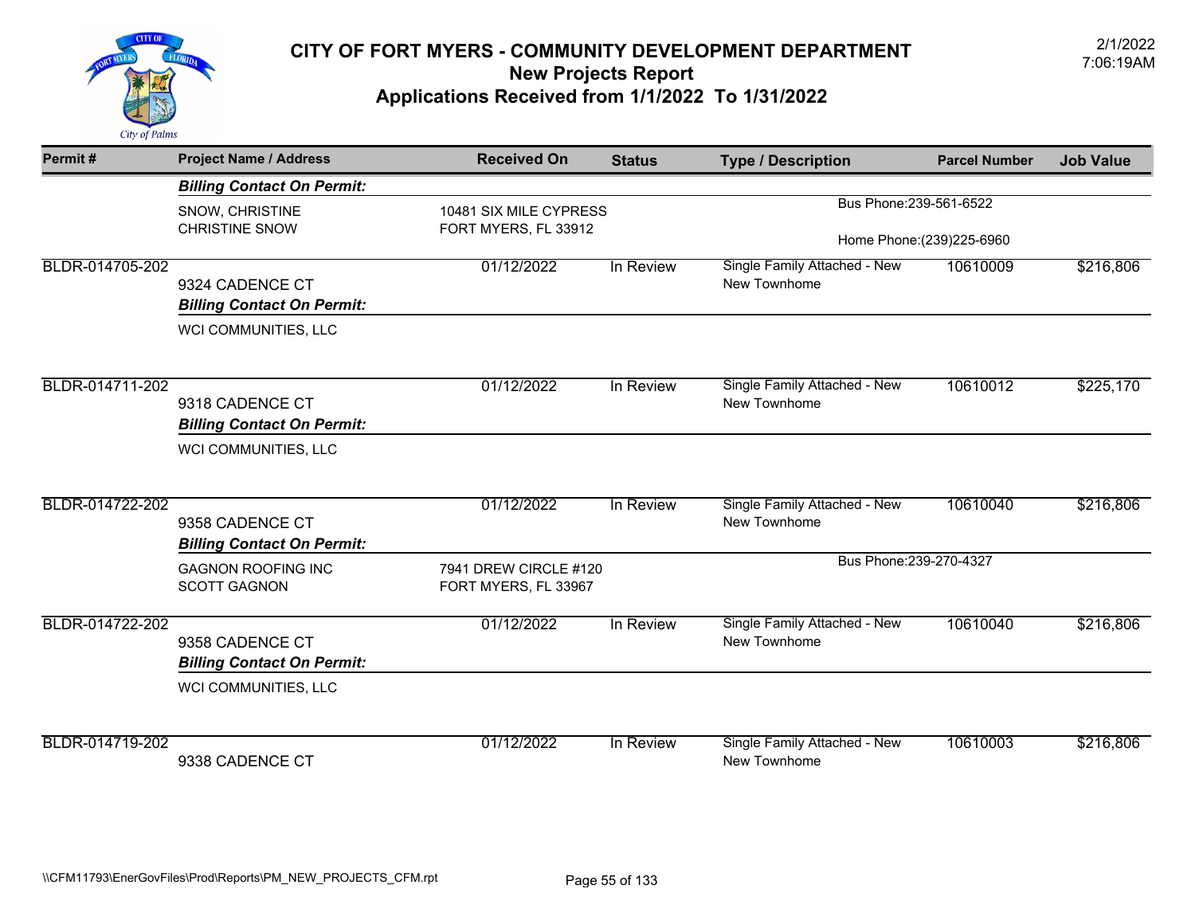

| Permit#         | <b>Project Name / Address</b>                        | <b>Received On</b>                            | <b>Status</b> | <b>Type / Description</b>    | <b>Parcel Number</b>       | <b>Job Value</b> |
|-----------------|------------------------------------------------------|-----------------------------------------------|---------------|------------------------------|----------------------------|------------------|
|                 | <b>Billing Contact On Permit:</b>                    |                                               |               |                              |                            |                  |
|                 | SNOW, CHRISTINE                                      | 10481 SIX MILE CYPRESS                        |               | Bus Phone: 239-561-6522      |                            |                  |
|                 | <b>CHRISTINE SNOW</b>                                | FORT MYERS, FL 33912                          |               |                              | Home Phone: (239) 225-6960 |                  |
| BLDR-014705-202 |                                                      | 01/12/2022                                    | In Review     | Single Family Attached - New | 10610009                   | \$216,806        |
|                 | 9324 CADENCE CT                                      |                                               |               | New Townhome                 |                            |                  |
|                 | <b>Billing Contact On Permit:</b>                    |                                               |               |                              |                            |                  |
|                 | WCI COMMUNITIES, LLC                                 |                                               |               |                              |                            |                  |
| BLDR-014711-202 |                                                      | 01/12/2022                                    | In Review     | Single Family Attached - New | 10610012                   | \$225,170        |
|                 | 9318 CADENCE CT                                      |                                               |               | New Townhome                 |                            |                  |
|                 | <b>Billing Contact On Permit:</b>                    |                                               |               |                              |                            |                  |
|                 | WCI COMMUNITIES, LLC                                 |                                               |               |                              |                            |                  |
| BLDR-014722-202 |                                                      | 01/12/2022                                    | In Review     | Single Family Attached - New | 10610040                   | \$216,806        |
|                 | 9358 CADENCE CT<br><b>Billing Contact On Permit:</b> |                                               |               | New Townhome                 |                            |                  |
|                 | <b>GAGNON ROOFING INC</b><br><b>SCOTT GAGNON</b>     | 7941 DREW CIRCLE #120<br>FORT MYERS, FL 33967 |               | Bus Phone: 239-270-4327      |                            |                  |
| BLDR-014722-202 |                                                      | 01/12/2022                                    | In Review     | Single Family Attached - New | 10610040                   | \$216,806        |
|                 | 9358 CADENCE CT<br><b>Billing Contact On Permit:</b> |                                               |               | New Townhome                 |                            |                  |
|                 | WCI COMMUNITIES, LLC                                 |                                               |               |                              |                            |                  |
| BLDR-014719-202 |                                                      | 01/12/2022                                    | In Review     | Single Family Attached - New | 10610003                   | \$216,806        |
|                 | 9338 CADENCE CT                                      |                                               |               | New Townhome                 |                            |                  |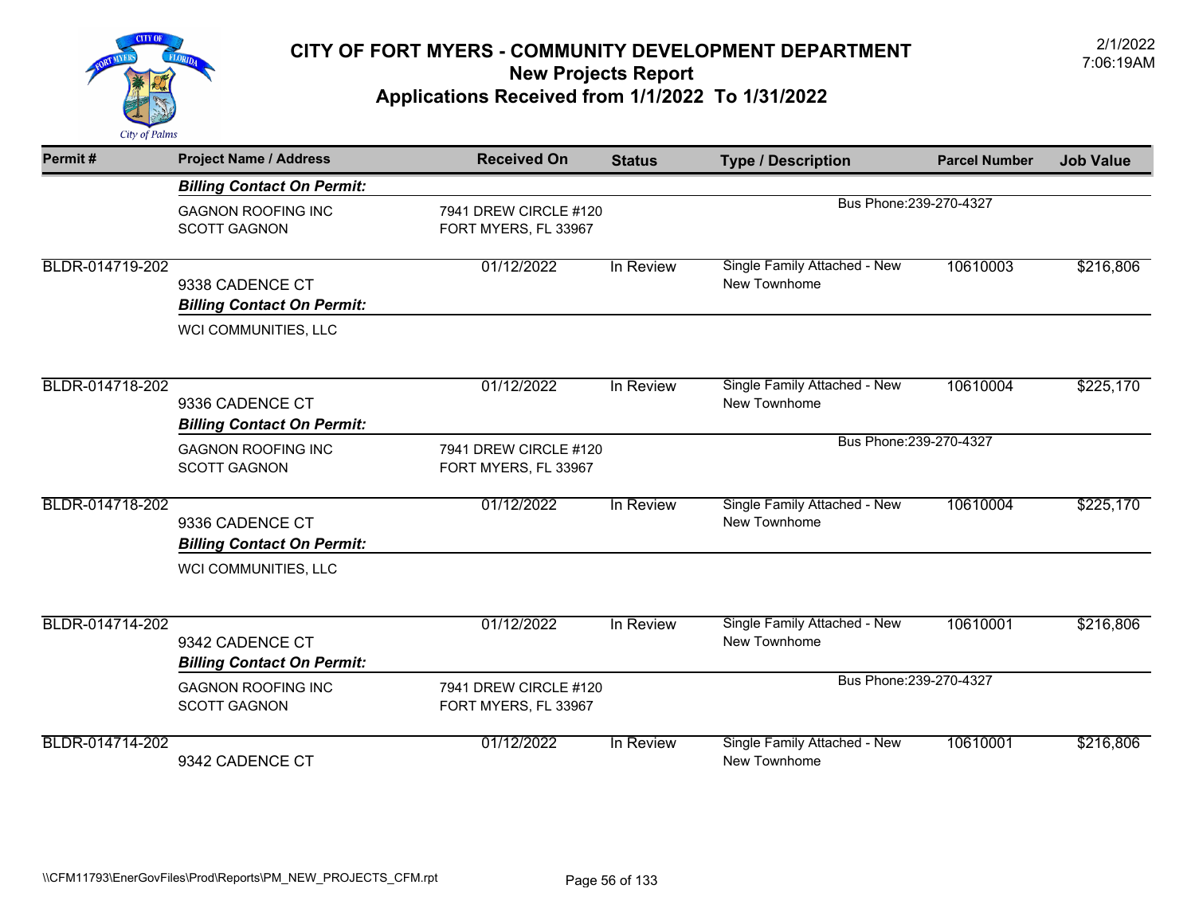

| Permit#         | <b>Project Name / Address</b>     | <b>Received On</b>    | <b>Status</b> | <b>Type / Description</b>    | <b>Parcel Number</b> | <b>Job Value</b> |
|-----------------|-----------------------------------|-----------------------|---------------|------------------------------|----------------------|------------------|
|                 | <b>Billing Contact On Permit:</b> |                       |               |                              |                      |                  |
|                 | <b>GAGNON ROOFING INC</b>         | 7941 DREW CIRCLE #120 |               | Bus Phone: 239-270-4327      |                      |                  |
|                 | <b>SCOTT GAGNON</b>               | FORT MYERS, FL 33967  |               |                              |                      |                  |
| BLDR-014719-202 |                                   | 01/12/2022            | In Review     | Single Family Attached - New | 10610003             | \$216,806        |
|                 | 9338 CADENCE CT                   |                       |               | New Townhome                 |                      |                  |
|                 | <b>Billing Contact On Permit:</b> |                       |               |                              |                      |                  |
|                 | WCI COMMUNITIES, LLC              |                       |               |                              |                      |                  |
| BLDR-014718-202 |                                   | 01/12/2022            | In Review     | Single Family Attached - New | 10610004             | \$225,170        |
|                 | 9336 CADENCE CT                   |                       |               | New Townhome                 |                      |                  |
|                 | <b>Billing Contact On Permit:</b> |                       |               |                              |                      |                  |
|                 | <b>GAGNON ROOFING INC</b>         | 7941 DREW CIRCLE #120 |               | Bus Phone: 239-270-4327      |                      |                  |
|                 | <b>SCOTT GAGNON</b>               | FORT MYERS, FL 33967  |               |                              |                      |                  |
| BLDR-014718-202 |                                   | 01/12/2022            | In Review     | Single Family Attached - New | 10610004             | \$225,170        |
|                 | 9336 CADENCE CT                   |                       |               | New Townhome                 |                      |                  |
|                 | <b>Billing Contact On Permit:</b> |                       |               |                              |                      |                  |
|                 | WCI COMMUNITIES, LLC              |                       |               |                              |                      |                  |
| BLDR-014714-202 |                                   | 01/12/2022            | In Review     | Single Family Attached - New | 10610001             | \$216,806        |
|                 | 9342 CADENCE CT                   |                       |               | New Townhome                 |                      |                  |
|                 | <b>Billing Contact On Permit:</b> |                       |               |                              |                      |                  |
|                 | <b>GAGNON ROOFING INC</b>         | 7941 DREW CIRCLE #120 |               | Bus Phone: 239-270-4327      |                      |                  |
|                 | <b>SCOTT GAGNON</b>               | FORT MYERS, FL 33967  |               |                              |                      |                  |
| BLDR-014714-202 |                                   | 01/12/2022            | In Review     | Single Family Attached - New | 10610001             | \$216,806        |
|                 | 9342 CADENCE CT                   |                       |               | New Townhome                 |                      |                  |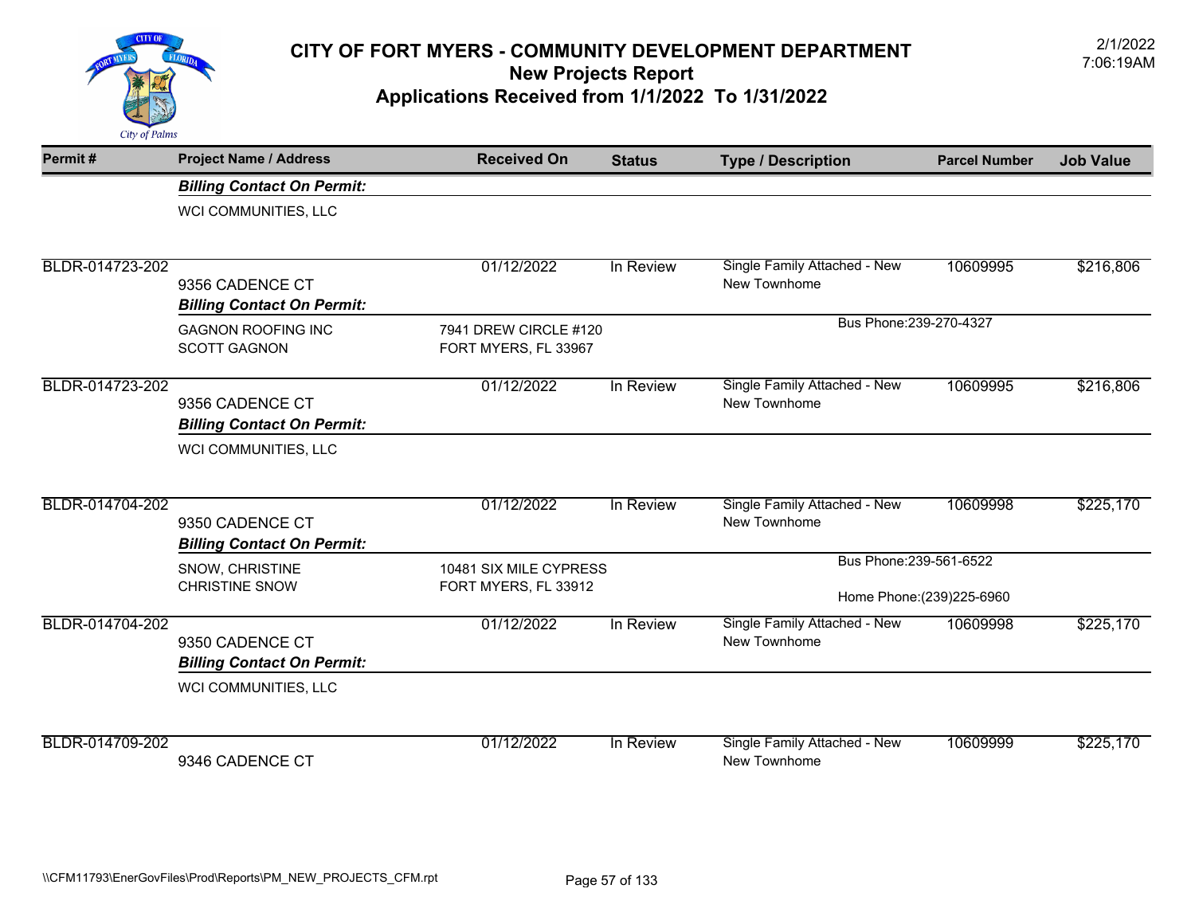

| Permit#         | <b>Project Name / Address</b>                        | <b>Received On</b>                            | <b>Status</b> | <b>Type / Description</b>                    | <b>Parcel Number</b> | <b>Job Value</b> |
|-----------------|------------------------------------------------------|-----------------------------------------------|---------------|----------------------------------------------|----------------------|------------------|
|                 | <b>Billing Contact On Permit:</b>                    |                                               |               |                                              |                      |                  |
|                 | WCI COMMUNITIES, LLC                                 |                                               |               |                                              |                      |                  |
| BLDR-014723-202 |                                                      | 01/12/2022                                    | In Review     | Single Family Attached - New                 | 10609995             | \$216,806        |
|                 | 9356 CADENCE CT                                      |                                               |               | New Townhome                                 |                      |                  |
|                 | <b>Billing Contact On Permit:</b>                    |                                               |               |                                              |                      |                  |
|                 | <b>GAGNON ROOFING INC</b><br><b>SCOTT GAGNON</b>     | 7941 DREW CIRCLE #120<br>FORT MYERS, FL 33967 |               | Bus Phone: 239-270-4327                      |                      |                  |
| BLDR-014723-202 | 9356 CADENCE CT<br><b>Billing Contact On Permit:</b> | 01/12/2022                                    | In Review     | Single Family Attached - New<br>New Townhome | 10609995             | \$216,806        |
|                 | WCI COMMUNITIES, LLC                                 |                                               |               |                                              |                      |                  |
| BLDR-014704-202 | 9350 CADENCE CT                                      | 01/12/2022                                    | In Review     | Single Family Attached - New<br>New Townhome | 10609998             | \$225,170        |
|                 | <b>Billing Contact On Permit:</b>                    |                                               |               |                                              |                      |                  |
|                 | SNOW, CHRISTINE                                      | 10481 SIX MILE CYPRESS                        |               | Bus Phone: 239-561-6522                      |                      |                  |
|                 | <b>CHRISTINE SNOW</b>                                | FORT MYERS, FL 33912                          |               | Home Phone: (239) 225-6960                   |                      |                  |
| BLDR-014704-202 | 9350 CADENCE CT<br><b>Billing Contact On Permit:</b> | 01/12/2022                                    | In Review     | Single Family Attached - New<br>New Townhome | 10609998             | \$225,170        |
|                 | WCI COMMUNITIES, LLC                                 |                                               |               |                                              |                      |                  |
| BLDR-014709-202 |                                                      | 01/12/2022                                    | In Review     | Single Family Attached - New                 | 10609999             | \$225,170        |
|                 | 9346 CADENCE CT                                      |                                               |               | New Townhome                                 |                      |                  |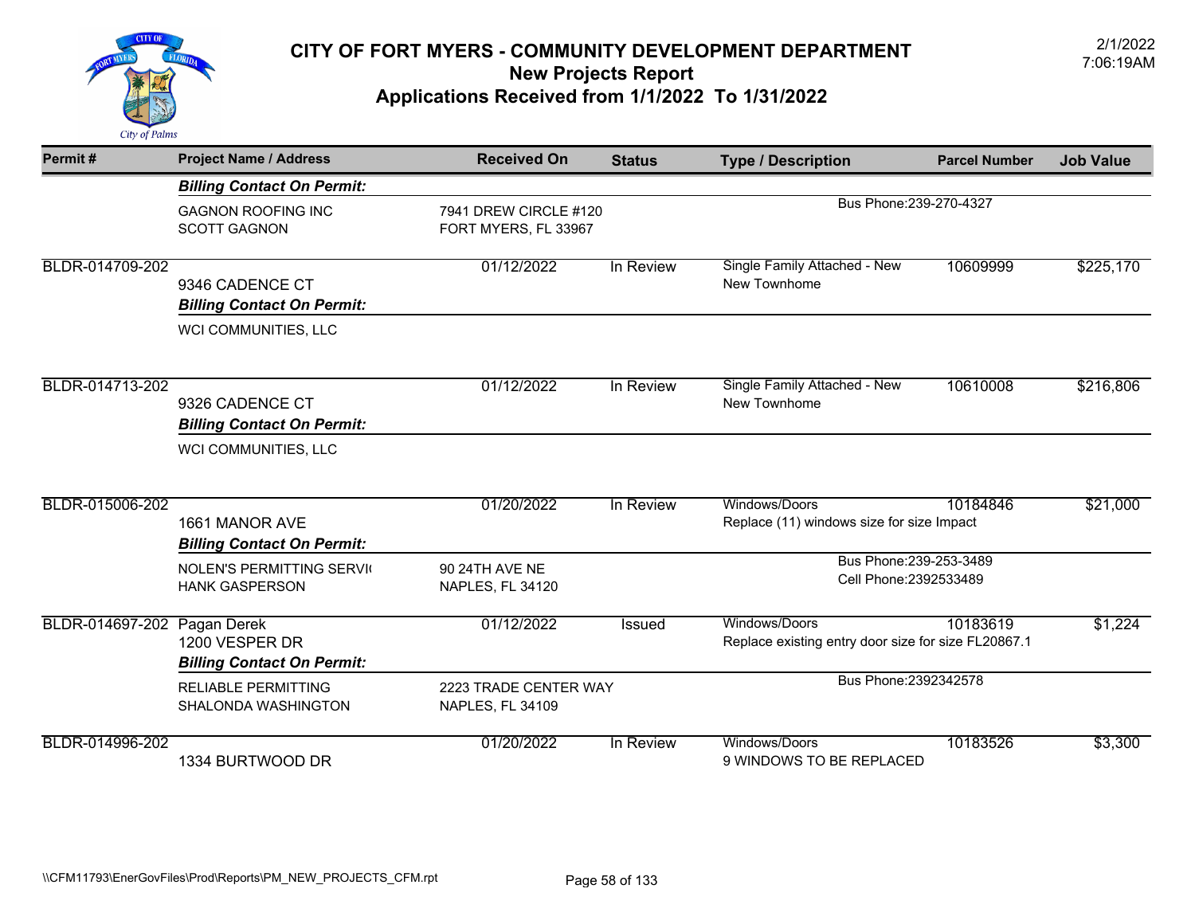

| Permit#         | <b>Project Name / Address</b>                                      | <b>Received On</b>                        | <b>Status</b>         | <b>Type / Description</b>                                            | <b>Parcel Number</b>    | <b>Job Value</b> |
|-----------------|--------------------------------------------------------------------|-------------------------------------------|-----------------------|----------------------------------------------------------------------|-------------------------|------------------|
|                 | <b>Billing Contact On Permit:</b>                                  |                                           |                       |                                                                      |                         |                  |
|                 | <b>GAGNON ROOFING INC</b><br><b>SCOTT GAGNON</b>                   | FORT MYERS, FL 33967                      | 7941 DREW CIRCLE #120 |                                                                      | Bus Phone: 239-270-4327 |                  |
| BLDR-014709-202 | 9346 CADENCE CT<br><b>Billing Contact On Permit:</b>               | 01/12/2022                                | In Review             | Single Family Attached - New<br>New Townhome                         | 10609999                | \$225,170        |
|                 | WCI COMMUNITIES, LLC                                               |                                           |                       |                                                                      |                         |                  |
| BLDR-014713-202 | 9326 CADENCE CT<br><b>Billing Contact On Permit:</b>               | 01/12/2022                                | In Review             | Single Family Attached - New<br>New Townhome                         | 10610008                | \$216,806        |
|                 | WCI COMMUNITIES, LLC                                               |                                           |                       |                                                                      |                         |                  |
| BLDR-015006-202 | 1661 MANOR AVE<br><b>Billing Contact On Permit:</b>                | 01/20/2022                                | In Review             | Windows/Doors<br>Replace (11) windows size for size Impact           | 10184846                | \$21,000         |
|                 | <b>NOLEN'S PERMITTING SERVIC</b><br><b>HANK GASPERSON</b>          | 90 24TH AVE NE<br>NAPLES, FL 34120        |                       | Bus Phone: 239-253-3489<br>Cell Phone: 2392533489                    |                         |                  |
| BLDR-014697-202 | Pagan Derek<br>1200 VESPER DR<br><b>Billing Contact On Permit:</b> | 01/12/2022                                | <b>Issued</b>         | Windows/Doors<br>Replace existing entry door size for size FL20867.1 | 10183619                | \$1,224          |
|                 | <b>RELIABLE PERMITTING</b><br>SHALONDA WASHINGTON                  | 2223 TRADE CENTER WAY<br>NAPLES, FL 34109 |                       | Bus Phone: 2392342578                                                |                         |                  |
| BLDR-014996-202 | 1334 BURTWOOD DR                                                   | 01/20/2022                                | In Review             | Windows/Doors<br>9 WINDOWS TO BE REPLACED                            | 10183526                | \$3,300          |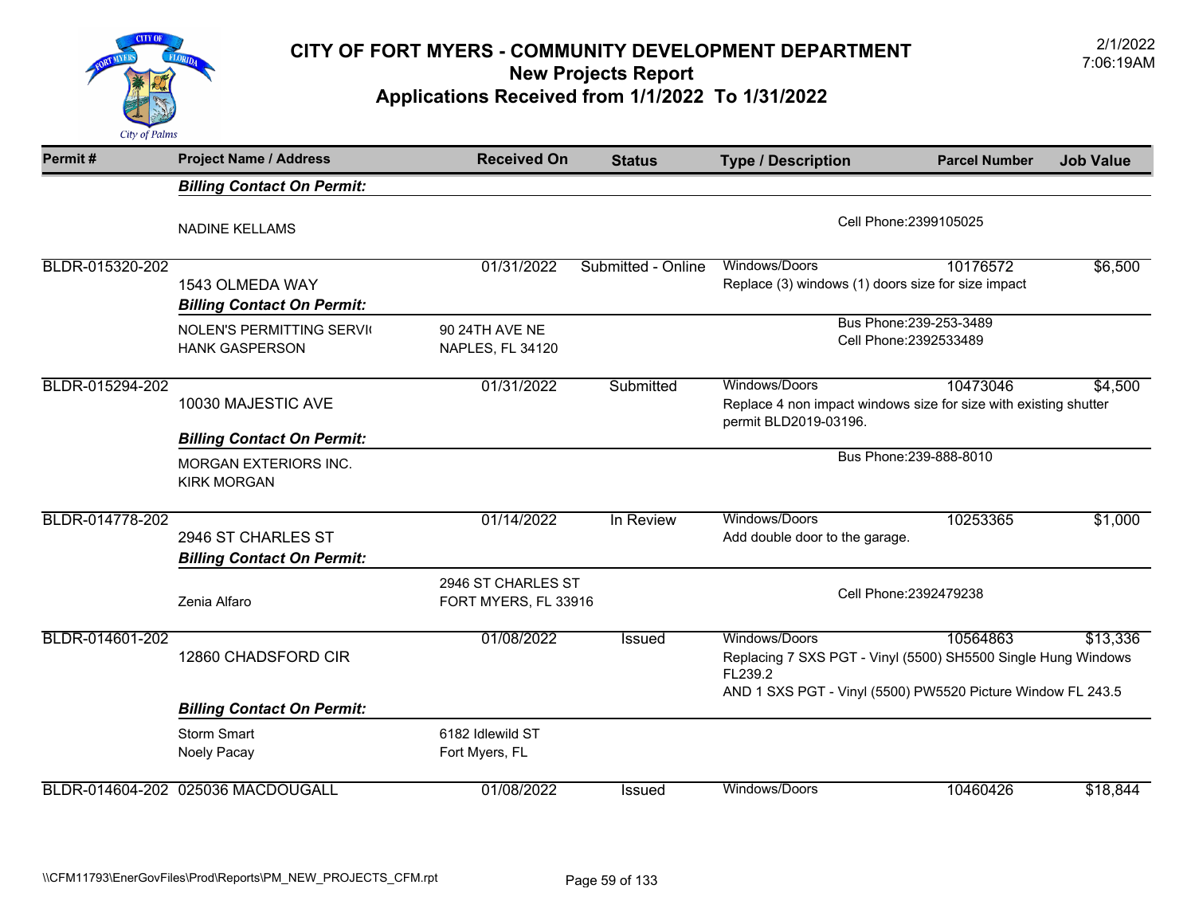

| Permit#         | <b>Project Name / Address</b>                             | <b>Received On</b>                         | <b>Status</b>      | <b>Type / Description</b>                                                                                                                                | <b>Parcel Number</b> | <b>Job Value</b> |
|-----------------|-----------------------------------------------------------|--------------------------------------------|--------------------|----------------------------------------------------------------------------------------------------------------------------------------------------------|----------------------|------------------|
|                 | <b>Billing Contact On Permit:</b>                         |                                            |                    |                                                                                                                                                          |                      |                  |
|                 | <b>NADINE KELLAMS</b>                                     |                                            |                    | Cell Phone: 2399105025                                                                                                                                   |                      |                  |
| BLDR-015320-202 | 1543 OLMEDA WAY<br><b>Billing Contact On Permit:</b>      | 01/31/2022                                 | Submitted - Online | Windows/Doors<br>Replace (3) windows (1) doors size for size impact                                                                                      | 10176572             | \$6,500          |
|                 | <b>NOLEN'S PERMITTING SERVIC</b><br><b>HANK GASPERSON</b> | 90 24TH AVE NE<br>NAPLES, FL 34120         |                    | Bus Phone: 239-253-3489<br>Cell Phone: 2392533489                                                                                                        |                      |                  |
| BLDR-015294-202 |                                                           | 01/31/2022                                 | Submitted          | Windows/Doors                                                                                                                                            | 10473046             | \$4,500          |
|                 | 10030 MAJESTIC AVE                                        |                                            |                    | Replace 4 non impact windows size for size with existing shutter<br>permit BLD2019-03196.                                                                |                      |                  |
|                 | <b>Billing Contact On Permit:</b>                         |                                            |                    |                                                                                                                                                          |                      |                  |
|                 | <b>MORGAN EXTERIORS INC.</b><br><b>KIRK MORGAN</b>        |                                            |                    | Bus Phone: 239-888-8010                                                                                                                                  |                      |                  |
| BLDR-014778-202 | 2946 ST CHARLES ST<br><b>Billing Contact On Permit:</b>   | 01/14/2022                                 | In Review          | Windows/Doors<br>Add double door to the garage.                                                                                                          | 10253365             | \$1,000          |
|                 | Zenia Alfaro                                              | 2946 ST CHARLES ST<br>FORT MYERS, FL 33916 |                    | Cell Phone: 2392479238                                                                                                                                   |                      |                  |
| BLDR-014601-202 | 12860 CHADSFORD CIR                                       | 01/08/2022                                 | Issued             | Windows/Doors<br>Replacing 7 SXS PGT - Vinyl (5500) SH5500 Single Hung Windows<br>FL239.2<br>AND 1 SXS PGT - Vinyl (5500) PW5520 Picture Window FL 243.5 | 10564863             | \$13,336         |
|                 | <b>Billing Contact On Permit:</b>                         |                                            |                    |                                                                                                                                                          |                      |                  |
|                 | <b>Storm Smart</b><br>Noely Pacay                         | 6182 Idlewild ST<br>Fort Myers, FL         |                    |                                                                                                                                                          |                      |                  |
| BLDR-014604-202 | 025036 MACDOUGALL                                         | 01/08/2022                                 | <b>Issued</b>      | Windows/Doors                                                                                                                                            | 10460426             | \$18,844         |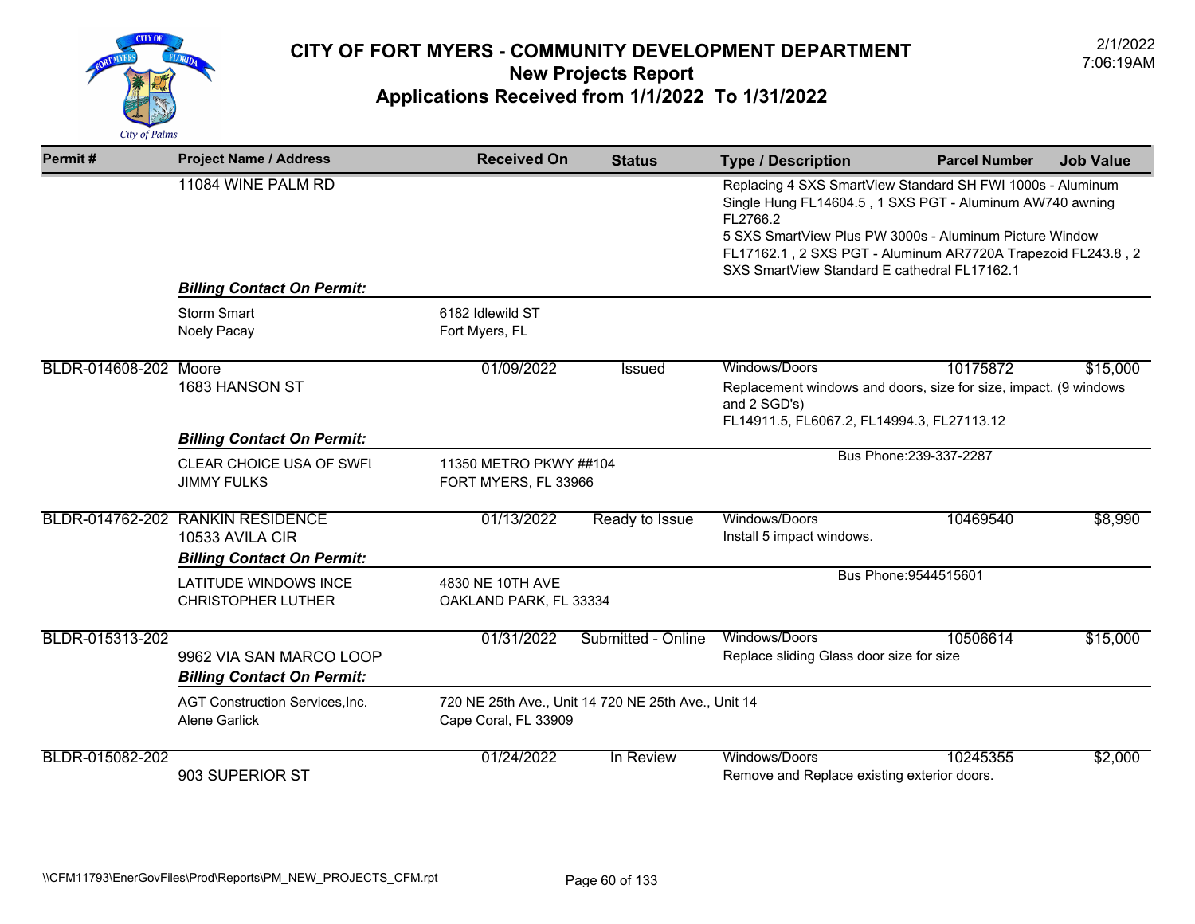

| Permit#               | <b>Project Name / Address</b>                                                            | <b>Received On</b>                             | <b>Status</b>                                       | <b>Type / Description</b>                                                                                                                                                                                                                                                                                     | <b>Parcel Number</b>    | <b>Job Value</b> |
|-----------------------|------------------------------------------------------------------------------------------|------------------------------------------------|-----------------------------------------------------|---------------------------------------------------------------------------------------------------------------------------------------------------------------------------------------------------------------------------------------------------------------------------------------------------------------|-------------------------|------------------|
|                       | 11084 WINE PALM RD                                                                       |                                                |                                                     | Replacing 4 SXS SmartView Standard SH FWI 1000s - Aluminum<br>Single Hung FL14604.5, 1 SXS PGT - Aluminum AW740 awning<br>FL2766.2<br>5 SXS SmartView Plus PW 3000s - Aluminum Picture Window<br>FL17162.1, 2 SXS PGT - Aluminum AR7720A Trapezoid FL243.8, 2<br>SXS SmartView Standard E cathedral FL17162.1 |                         |                  |
|                       | <b>Billing Contact On Permit:</b>                                                        |                                                |                                                     |                                                                                                                                                                                                                                                                                                               |                         |                  |
|                       | <b>Storm Smart</b><br>Noely Pacay                                                        | 6182 Idlewild ST<br>Fort Myers, FL             |                                                     |                                                                                                                                                                                                                                                                                                               |                         |                  |
| BLDR-014608-202 Moore | 1683 HANSON ST                                                                           | 01/09/2022                                     | Issued                                              | Windows/Doors<br>Replacement windows and doors, size for size, impact. (9 windows<br>and 2 SGD's)<br>FL14911.5, FL6067.2, FL14994.3, FL27113.12                                                                                                                                                               | 10175872                | \$15,000         |
|                       | <b>Billing Contact On Permit:</b>                                                        |                                                |                                                     |                                                                                                                                                                                                                                                                                                               | Bus Phone: 239-337-2287 |                  |
|                       | CLEAR CHOICE USA OF SWFI<br><b>JIMMY FULKS</b>                                           | 11350 METRO PKWY ##104<br>FORT MYERS, FL 33966 |                                                     |                                                                                                                                                                                                                                                                                                               |                         |                  |
|                       | BLDR-014762-202 RANKIN RESIDENCE<br>10533 AVILA CIR<br><b>Billing Contact On Permit:</b> | 01/13/2022                                     | Ready to Issue                                      | Windows/Doors<br>Install 5 impact windows.                                                                                                                                                                                                                                                                    | 10469540                | \$8,990          |
|                       | <b>LATITUDE WINDOWS INCE</b><br><b>CHRISTOPHER LUTHER</b>                                | 4830 NE 10TH AVE<br>OAKLAND PARK, FL 33334     |                                                     |                                                                                                                                                                                                                                                                                                               | Bus Phone: 9544515601   |                  |
| BLDR-015313-202       | 9962 VIA SAN MARCO LOOP<br><b>Billing Contact On Permit:</b>                             | 01/31/2022                                     | Submitted - Online                                  | Windows/Doors<br>Replace sliding Glass door size for size                                                                                                                                                                                                                                                     | 10506614                | \$15,000         |
|                       | <b>AGT Construction Services, Inc.</b><br>Alene Garlick                                  | Cape Coral, FL 33909                           | 720 NE 25th Ave., Unit 14 720 NE 25th Ave., Unit 14 |                                                                                                                                                                                                                                                                                                               |                         |                  |
| BLDR-015082-202       | 903 SUPERIOR ST                                                                          | 01/24/2022                                     | In Review                                           | Windows/Doors<br>Remove and Replace existing exterior doors.                                                                                                                                                                                                                                                  | 10245355                | \$2,000          |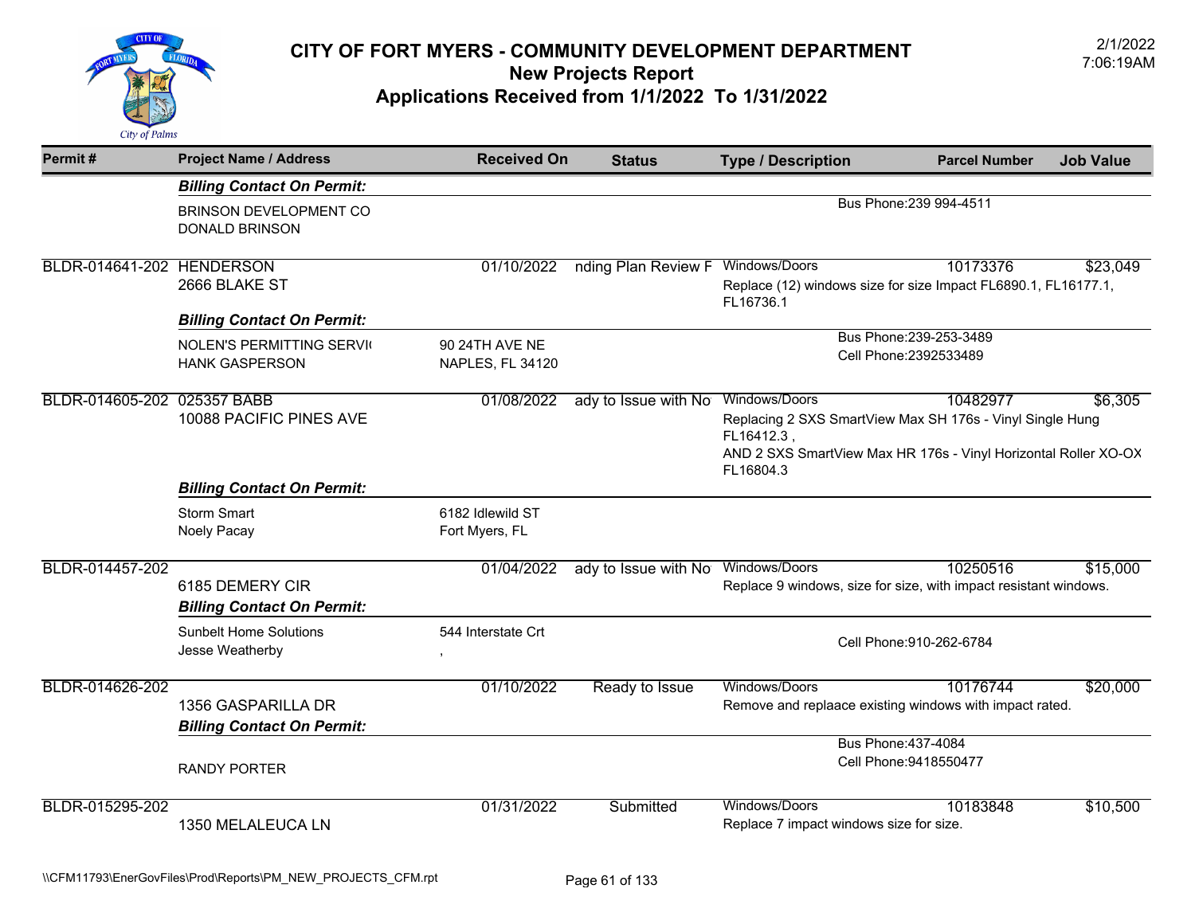

| Permit#                     | <b>Project Name / Address</b>                             | <b>Received On</b>                        | <b>Status</b>        | <b>Type / Description</b>                                                                                                                               | <b>Parcel Number</b>                          | <b>Job Value</b> |
|-----------------------------|-----------------------------------------------------------|-------------------------------------------|----------------------|---------------------------------------------------------------------------------------------------------------------------------------------------------|-----------------------------------------------|------------------|
|                             | <b>Billing Contact On Permit:</b>                         |                                           |                      |                                                                                                                                                         |                                               |                  |
|                             | BRINSON DEVELOPMENT CO<br><b>DONALD BRINSON</b>           |                                           |                      |                                                                                                                                                         | Bus Phone: 239 994-4511                       |                  |
| BLDR-014641-202 HENDERSON   |                                                           | 01/10/2022                                | nding Plan Review F  | Windows/Doors                                                                                                                                           | 10173376                                      | \$23,049         |
|                             | 2666 BLAKE ST                                             |                                           |                      | Replace (12) windows size for size Impact FL6890.1, FL16177.1,<br>FL16736.1                                                                             |                                               |                  |
|                             | <b>Billing Contact On Permit:</b>                         |                                           |                      |                                                                                                                                                         |                                               |                  |
|                             | <b>NOLEN'S PERMITTING SERVIC</b><br><b>HANK GASPERSON</b> | 90 24TH AVE NE<br><b>NAPLES, FL 34120</b> |                      | Bus Phone: 239-253-3489<br>Cell Phone: 2392533489                                                                                                       |                                               |                  |
| BLDR-014605-202 025357 BABB |                                                           | 01/08/2022                                | ady to Issue with No | Windows/Doors                                                                                                                                           | 10482977                                      | \$6,305          |
|                             | 10088 PACIFIC PINES AVE                                   |                                           |                      | Replacing 2 SXS SmartView Max SH 176s - Vinyl Single Hung<br>FL16412.3,<br>AND 2 SXS SmartView Max HR 176s - Vinyl Horizontal Roller XO-OX<br>FL16804.3 |                                               |                  |
|                             | <b>Billing Contact On Permit:</b>                         |                                           |                      |                                                                                                                                                         |                                               |                  |
|                             | <b>Storm Smart</b><br>Noely Pacay                         | 6182 Idlewild ST<br>Fort Myers, FL        |                      |                                                                                                                                                         |                                               |                  |
| BLDR-014457-202             | 6185 DEMERY CIR<br><b>Billing Contact On Permit:</b>      | 01/04/2022                                | ady to Issue with No | Windows/Doors<br>Replace 9 windows, size for size, with impact resistant windows.                                                                       | 10250516                                      | \$15,000         |
|                             | <b>Sunbelt Home Solutions</b><br>Jesse Weatherby          | 544 Interstate Crt                        |                      |                                                                                                                                                         | Cell Phone: 910-262-6784                      |                  |
| BLDR-014626-202             | 1356 GASPARILLA DR<br><b>Billing Contact On Permit:</b>   | 01/10/2022                                | Ready to Issue       | Windows/Doors<br>Remove and replaace existing windows with impact rated.                                                                                | 10176744                                      | \$20,000         |
|                             | <b>RANDY PORTER</b>                                       |                                           |                      |                                                                                                                                                         | Bus Phone: 437-4084<br>Cell Phone: 9418550477 |                  |
| BLDR-015295-202             | 1350 MELALEUCA LN                                         | 01/31/2022                                | Submitted            | Windows/Doors<br>Replace 7 impact windows size for size.                                                                                                | 10183848                                      | \$10,500         |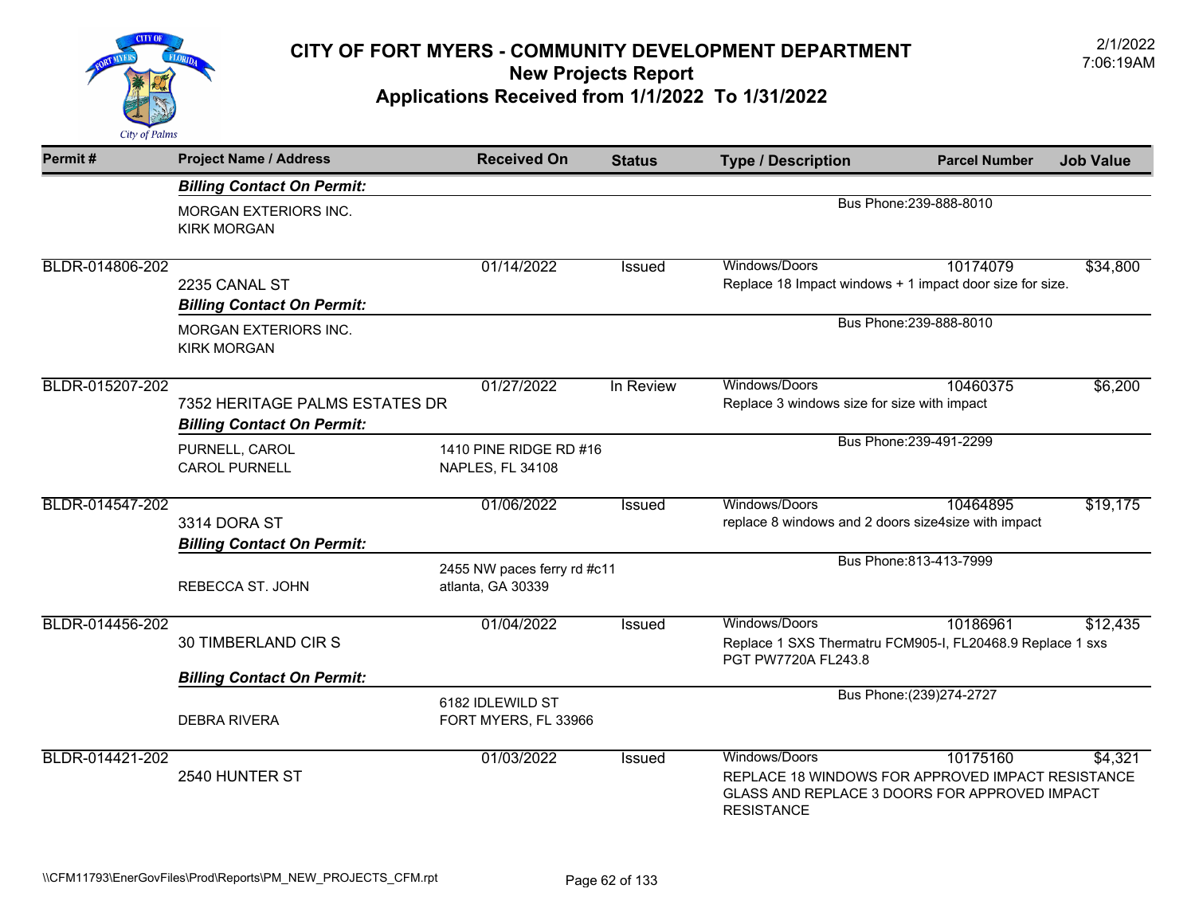

| Permit#         | <b>Project Name / Address</b>                                       | <b>Received On</b>                               | <b>Status</b> | <b>Type / Description</b>                                            | <b>Parcel Number</b>                                                                                           | <b>Job Value</b> |
|-----------------|---------------------------------------------------------------------|--------------------------------------------------|---------------|----------------------------------------------------------------------|----------------------------------------------------------------------------------------------------------------|------------------|
|                 | <b>Billing Contact On Permit:</b>                                   |                                                  |               |                                                                      |                                                                                                                |                  |
|                 | <b>MORGAN EXTERIORS INC.</b><br><b>KIRK MORGAN</b>                  |                                                  |               |                                                                      | Bus Phone: 239-888-8010                                                                                        |                  |
| BLDR-014806-202 | 2235 CANAL ST<br><b>Billing Contact On Permit:</b>                  | 01/14/2022                                       | <b>Issued</b> | Windows/Doors                                                        | 10174079<br>Replace 18 Impact windows + 1 impact door size for size.                                           | \$34,800         |
|                 | <b>MORGAN EXTERIORS INC.</b><br><b>KIRK MORGAN</b>                  |                                                  |               | Bus Phone: 239-888-8010                                              |                                                                                                                |                  |
| BLDR-015207-202 | 7352 HERITAGE PALMS ESTATES DR<br><b>Billing Contact On Permit:</b> | 01/27/2022                                       | In Review     | Windows/Doors<br>Replace 3 windows size for size with impact         | 10460375                                                                                                       | \$6,200          |
|                 | PURNELL, CAROL<br><b>CAROL PURNELL</b>                              | 1410 PINE RIDGE RD #16<br>NAPLES, FL 34108       |               |                                                                      | Bus Phone: 239-491-2299                                                                                        |                  |
| BLDR-014547-202 | 3314 DORA ST<br><b>Billing Contact On Permit:</b>                   | 01/06/2022                                       | <b>Issued</b> | Windows/Doors<br>replace 8 windows and 2 doors size4size with impact | 10464895                                                                                                       | \$19,175         |
|                 | REBECCA ST. JOHN                                                    | 2455 NW paces ferry rd #c11<br>atlanta, GA 30339 |               |                                                                      | Bus Phone: 813-413-7999                                                                                        |                  |
| BLDR-014456-202 | 30 TIMBERLAND CIR S                                                 | 01/04/2022                                       | Issued        | Windows/Doors<br>PGT PW7720A FL243.8                                 | 10186961<br>Replace 1 SXS Thermatru FCM905-I, FL20468.9 Replace 1 sxs                                          | \$12,435         |
|                 | <b>Billing Contact On Permit:</b>                                   |                                                  |               |                                                                      |                                                                                                                |                  |
|                 | <b>DEBRA RIVERA</b>                                                 | 6182 IDLEWILD ST<br>FORT MYERS, FL 33966         |               | Bus Phone: (239) 274-2727                                            |                                                                                                                |                  |
| BLDR-014421-202 | 2540 HUNTER ST                                                      | 01/03/2022                                       | <b>Issued</b> | Windows/Doors<br><b>RESISTANCE</b>                                   | 10175160<br>REPLACE 18 WINDOWS FOR APPROVED IMPACT RESISTANCE<br>GLASS AND REPLACE 3 DOORS FOR APPROVED IMPACT | \$4,321          |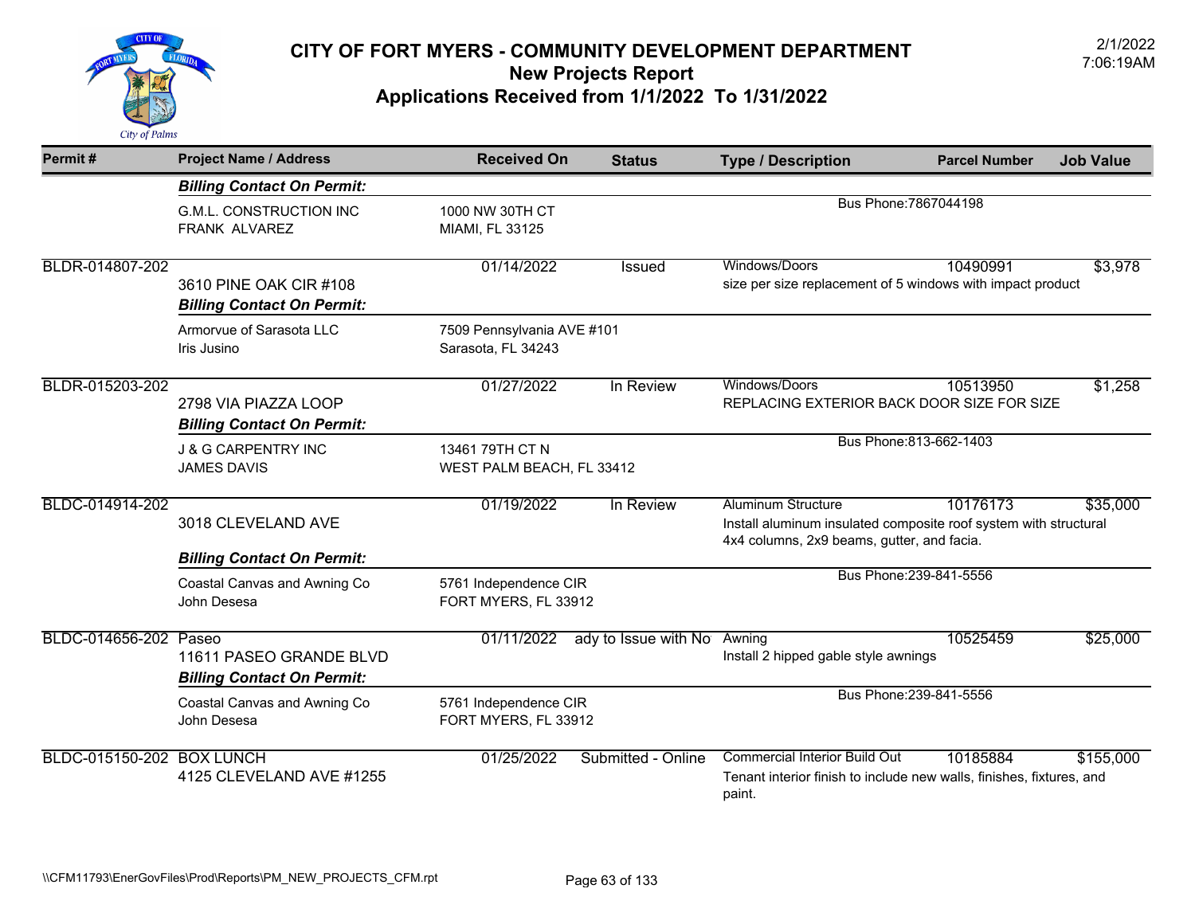

| Permit#                          | <b>Project Name / Address</b>                                | <b>Received On</b>                               | <b>Status</b>        | <b>Type / Description</b>                                                   | <b>Parcel Number</b>                                                             | <b>Job Value</b> |
|----------------------------------|--------------------------------------------------------------|--------------------------------------------------|----------------------|-----------------------------------------------------------------------------|----------------------------------------------------------------------------------|------------------|
|                                  | <b>Billing Contact On Permit:</b>                            |                                                  |                      |                                                                             |                                                                                  |                  |
|                                  | <b>G.M.L. CONSTRUCTION INC</b><br>FRANK ALVAREZ              | 1000 NW 30TH CT<br>MIAMI, FL 33125               |                      |                                                                             | Bus Phone: 7867044198                                                            |                  |
| BLDR-014807-202                  | 3610 PINE OAK CIR #108<br><b>Billing Contact On Permit:</b>  | 01/14/2022                                       | Issued               | Windows/Doors<br>size per size replacement of 5 windows with impact product | 10490991                                                                         | \$3,978          |
|                                  | Armorvue of Sarasota LLC<br>Iris Jusino                      | 7509 Pennsylvania AVE #101<br>Sarasota, FL 34243 |                      |                                                                             |                                                                                  |                  |
| BLDR-015203-202                  | 2798 VIA PIAZZA LOOP<br><b>Billing Contact On Permit:</b>    | 01/27/2022                                       | In Review            | Windows/Doors<br>REPLACING EXTERIOR BACK DOOR SIZE FOR SIZE                 | 10513950                                                                         | \$1,258          |
|                                  | <b>J &amp; G CARPENTRY INC</b><br><b>JAMES DAVIS</b>         | 13461 79TH CT N<br>WEST PALM BEACH, FL 33412     |                      |                                                                             | Bus Phone: 813-662-1403                                                          |                  |
| BLDC-014914-202                  | 3018 CLEVELAND AVE<br><b>Billing Contact On Permit:</b>      | 01/19/2022                                       | In Review            | <b>Aluminum Structure</b><br>4x4 columns, 2x9 beams, gutter, and facia.     | 10176173<br>Install aluminum insulated composite roof system with structural     | \$35,000         |
|                                  | Coastal Canvas and Awning Co<br>John Desesa                  | 5761 Independence CIR<br>FORT MYERS, FL 33912    |                      |                                                                             | Bus Phone: 239-841-5556                                                          |                  |
| BLDC-014656-202 Paseo            | 11611 PASEO GRANDE BLVD<br><b>Billing Contact On Permit:</b> | 01/11/2022                                       | ady to Issue with No | Awning<br>Install 2 hipped gable style awnings                              | 10525459                                                                         | \$25,000         |
|                                  | Coastal Canvas and Awning Co<br>John Desesa                  | 5761 Independence CIR<br>FORT MYERS, FL 33912    |                      |                                                                             | Bus Phone: 239-841-5556                                                          |                  |
| <b>BLDC-015150-202 BOX LUNCH</b> | 4125 CLEVELAND AVE #1255                                     | 01/25/2022                                       | Submitted - Online   | <b>Commercial Interior Build Out</b><br>paint.                              | 10185884<br>Tenant interior finish to include new walls, finishes, fixtures, and | \$155,000        |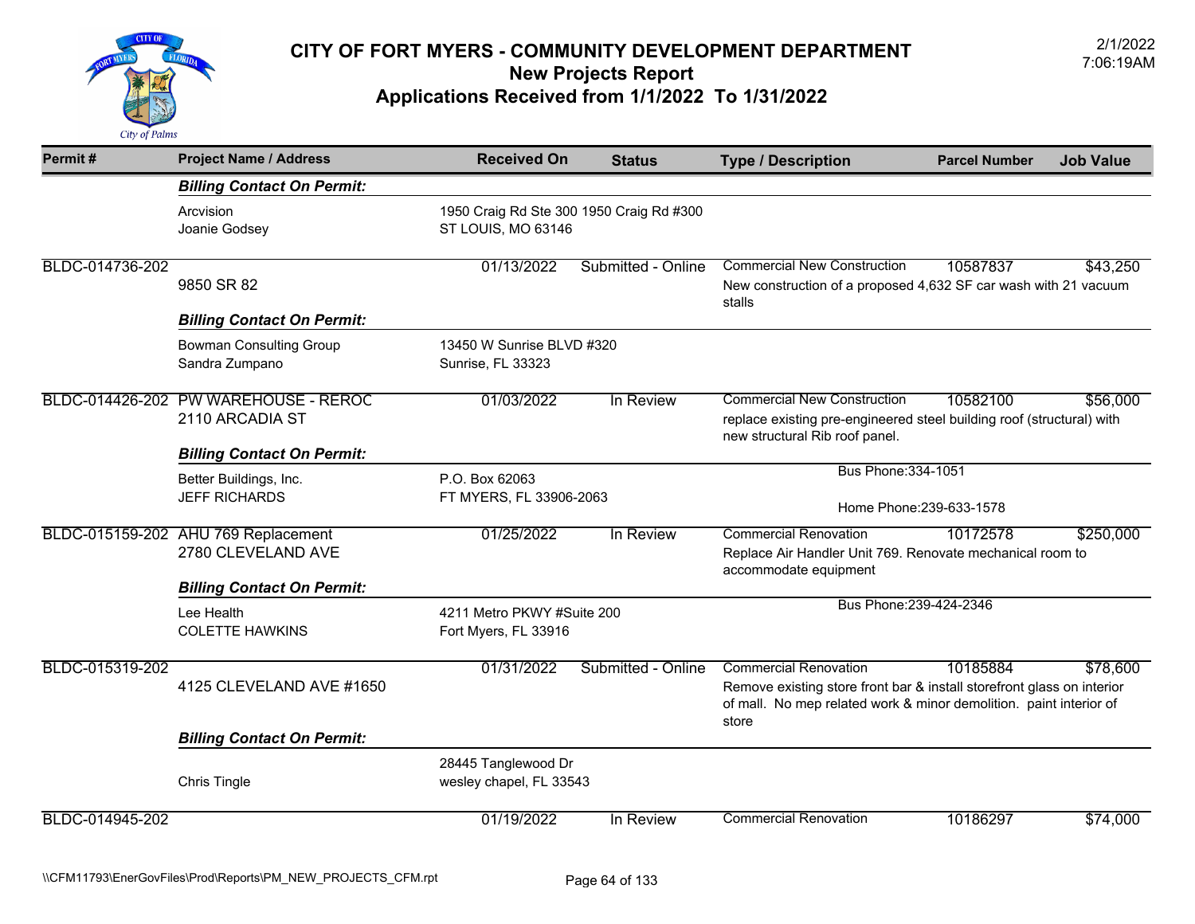

| Permit#         | <b>Project Name / Address</b>                                                                  | <b>Received On</b>                                             | <b>Status</b>      | <b>Type / Description</b>                                                                                                                                                    | <b>Parcel Number</b>     | <b>Job Value</b> |
|-----------------|------------------------------------------------------------------------------------------------|----------------------------------------------------------------|--------------------|------------------------------------------------------------------------------------------------------------------------------------------------------------------------------|--------------------------|------------------|
|                 | <b>Billing Contact On Permit:</b>                                                              |                                                                |                    |                                                                                                                                                                              |                          |                  |
|                 | Arcvision<br>Joanie Godsey                                                                     | 1950 Craig Rd Ste 300 1950 Craig Rd #300<br>ST LOUIS, MO 63146 |                    |                                                                                                                                                                              |                          |                  |
| BLDC-014736-202 | 9850 SR 82<br><b>Billing Contact On Permit:</b>                                                | 01/13/2022                                                     | Submitted - Online | <b>Commercial New Construction</b><br>New construction of a proposed 4,632 SF car wash with 21 vacuum<br>stalls                                                              | 10587837                 | \$43,250         |
|                 | <b>Bowman Consulting Group</b><br>Sandra Zumpano                                               | 13450 W Sunrise BLVD #320<br>Sunrise, FL 33323                 |                    |                                                                                                                                                                              |                          |                  |
|                 | BLDC-014426-202 PW WAREHOUSE - REROC<br>2110 ARCADIA ST                                        | 01/03/2022                                                     | In Review          | <b>Commercial New Construction</b><br>replace existing pre-engineered steel building roof (structural) with<br>new structural Rib roof panel.                                | 10582100                 | \$56,000         |
|                 | <b>Billing Contact On Permit:</b>                                                              |                                                                |                    | Bus Phone: 334-1051                                                                                                                                                          |                          |                  |
|                 | Better Buildings, Inc.<br><b>JEFF RICHARDS</b>                                                 | P.O. Box 62063<br>FT MYERS, FL 33906-2063                      |                    |                                                                                                                                                                              | Home Phone: 239-633-1578 |                  |
|                 | BLDC-015159-202 AHU 769 Replacement<br>2780 CLEVELAND AVE<br><b>Billing Contact On Permit:</b> | 01/25/2022                                                     | In Review          | <b>Commercial Renovation</b><br>Replace Air Handler Unit 769. Renovate mechanical room to<br>accommodate equipment                                                           | 10172578                 | \$250,000        |
|                 | Lee Health<br><b>COLETTE HAWKINS</b>                                                           | 4211 Metro PKWY #Suite 200<br>Fort Myers, FL 33916             |                    | Bus Phone: 239-424-2346                                                                                                                                                      |                          |                  |
| BLDC-015319-202 | 4125 CLEVELAND AVE #1650                                                                       | 01/31/2022                                                     | Submitted - Online | <b>Commercial Renovation</b><br>Remove existing store front bar & install storefront glass on interior<br>of mall. No mep related work & minor demolition. paint interior of | 10185884                 | \$78,600         |
|                 | <b>Billing Contact On Permit:</b>                                                              |                                                                |                    | store                                                                                                                                                                        |                          |                  |
|                 | Chris Tingle                                                                                   | 28445 Tanglewood Dr<br>wesley chapel, FL 33543                 |                    |                                                                                                                                                                              |                          |                  |
| BLDC-014945-202 |                                                                                                | 01/19/2022                                                     | In Review          | <b>Commercial Renovation</b>                                                                                                                                                 | 10186297                 | \$74,000         |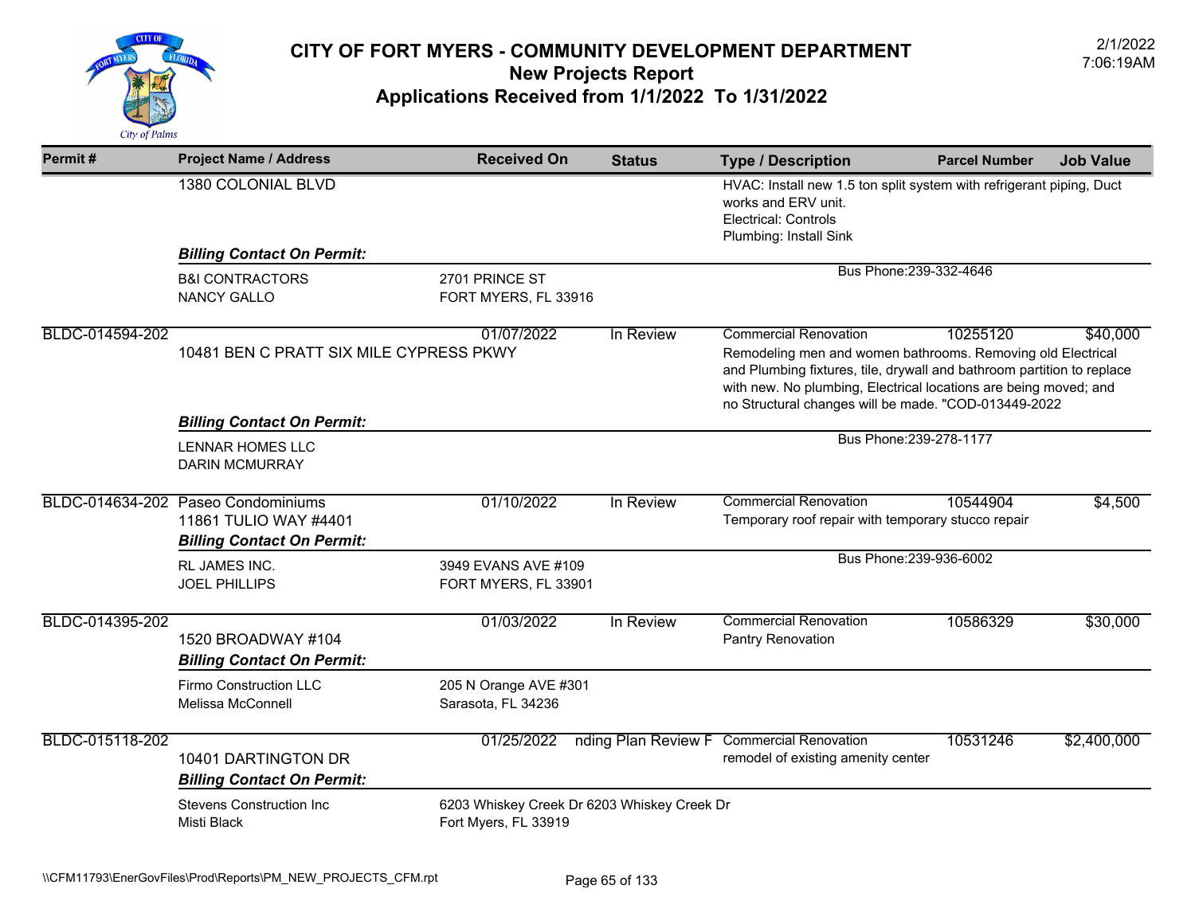

| Permit#         | <b>Project Name / Address</b>                               | <b>Received On</b>                                                  | <b>Status</b>       | <b>Type / Description</b>                                                                                                                                                                                                                                                                         | <b>Parcel Number</b> | <b>Job Value</b> |
|-----------------|-------------------------------------------------------------|---------------------------------------------------------------------|---------------------|---------------------------------------------------------------------------------------------------------------------------------------------------------------------------------------------------------------------------------------------------------------------------------------------------|----------------------|------------------|
|                 | 1380 COLONIAL BLVD                                          |                                                                     |                     | HVAC: Install new 1.5 ton split system with refrigerant piping, Duct<br>works and ERV unit.<br><b>Electrical: Controls</b>                                                                                                                                                                        |                      |                  |
|                 | <b>Billing Contact On Permit:</b>                           |                                                                     |                     | Plumbing: Install Sink                                                                                                                                                                                                                                                                            |                      |                  |
|                 | <b>B&amp;I CONTRACTORS</b>                                  | 2701 PRINCE ST                                                      |                     | Bus Phone: 239-332-4646                                                                                                                                                                                                                                                                           |                      |                  |
|                 | <b>NANCY GALLO</b>                                          | FORT MYERS, FL 33916                                                |                     |                                                                                                                                                                                                                                                                                                   |                      |                  |
| BLDC-014594-202 | 10481 BEN C PRATT SIX MILE CYPRESS PKWY                     | 01/07/2022                                                          | In Review           | <b>Commercial Renovation</b><br>Remodeling men and women bathrooms. Removing old Electrical<br>and Plumbing fixtures, tile, drywall and bathroom partition to replace<br>with new. No plumbing, Electrical locations are being moved; and<br>no Structural changes will be made. "COD-013449-2022 | 10255120             | \$40,000         |
|                 | <b>Billing Contact On Permit:</b>                           |                                                                     |                     |                                                                                                                                                                                                                                                                                                   |                      |                  |
|                 | <b>LENNAR HOMES LLC</b><br><b>DARIN MCMURRAY</b>            |                                                                     |                     | Bus Phone: 239-278-1177                                                                                                                                                                                                                                                                           |                      |                  |
|                 | BLDC-014634-202 Paseo Condominiums<br>11861 TULIO WAY #4401 | 01/10/2022                                                          | In Review           | <b>Commercial Renovation</b><br>Temporary roof repair with temporary stucco repair                                                                                                                                                                                                                | 10544904             | \$4,500          |
|                 | <b>Billing Contact On Permit:</b>                           |                                                                     |                     |                                                                                                                                                                                                                                                                                                   |                      |                  |
|                 | RL JAMES INC.<br><b>JOEL PHILLIPS</b>                       | 3949 EVANS AVE #109<br>FORT MYERS, FL 33901                         |                     | Bus Phone: 239-936-6002                                                                                                                                                                                                                                                                           |                      |                  |
| BLDC-014395-202 | 1520 BROADWAY #104<br><b>Billing Contact On Permit:</b>     | 01/03/2022                                                          | In Review           | <b>Commercial Renovation</b><br>Pantry Renovation                                                                                                                                                                                                                                                 | 10586329             | \$30,000         |
|                 | Firmo Construction LLC<br>Melissa McConnell                 | 205 N Orange AVE #301<br>Sarasota, FL 34236                         |                     |                                                                                                                                                                                                                                                                                                   |                      |                  |
| BLDC-015118-202 | 10401 DARTINGTON DR<br><b>Billing Contact On Permit:</b>    | 01/25/2022                                                          | nding Plan Review F | <b>Commercial Renovation</b><br>remodel of existing amenity center                                                                                                                                                                                                                                | 10531246             | \$2,400,000      |
|                 | <b>Stevens Construction Inc</b><br>Misti Black              | 6203 Whiskey Creek Dr 6203 Whiskey Creek Dr<br>Fort Myers, FL 33919 |                     |                                                                                                                                                                                                                                                                                                   |                      |                  |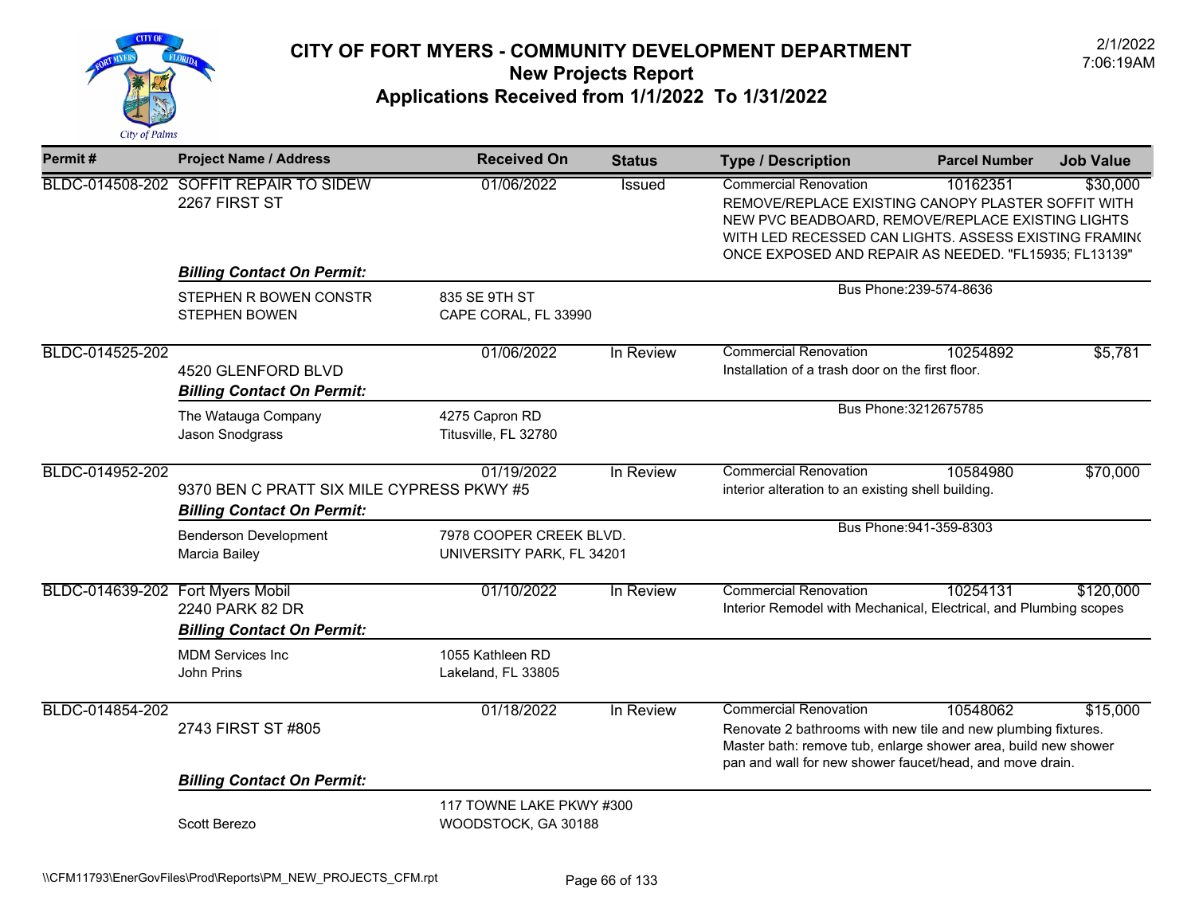

| Permit#                          | <b>Project Name / Address</b>                                                                | <b>Received On</b>                                   | <b>Status</b> | <b>Type / Description</b>                                                                                                                                                                                                                                 | <b>Parcel Number</b>    | <b>Job Value</b> |
|----------------------------------|----------------------------------------------------------------------------------------------|------------------------------------------------------|---------------|-----------------------------------------------------------------------------------------------------------------------------------------------------------------------------------------------------------------------------------------------------------|-------------------------|------------------|
|                                  | BLDC-014508-202 SOFFIT REPAIR TO SIDEW<br>2267 FIRST ST                                      | 01/06/2022                                           | <b>Issued</b> | <b>Commercial Renovation</b><br>REMOVE/REPLACE EXISTING CANOPY PLASTER SOFFIT WITH<br>NEW PVC BEADBOARD, REMOVE/REPLACE EXISTING LIGHTS<br>WITH LED RECESSED CAN LIGHTS. ASSESS EXISTING FRAMINO<br>ONCE EXPOSED AND REPAIR AS NEEDED. "FL15935; FL13139" | 10162351                | \$30,000         |
|                                  | <b>Billing Contact On Permit:</b>                                                            |                                                      |               |                                                                                                                                                                                                                                                           |                         |                  |
|                                  | STEPHEN R BOWEN CONSTR<br><b>STEPHEN BOWEN</b>                                               | 835 SE 9TH ST<br>CAPE CORAL, FL 33990                |               |                                                                                                                                                                                                                                                           | Bus Phone: 239-574-8636 |                  |
| BLDC-014525-202                  | 4520 GLENFORD BLVD<br><b>Billing Contact On Permit:</b>                                      | 01/06/2022                                           | In Review     | <b>Commercial Renovation</b><br>Installation of a trash door on the first floor.                                                                                                                                                                          | 10254892                | \$5,781          |
|                                  | The Watauga Company<br>Jason Snodgrass                                                       | 4275 Capron RD<br>Titusville, FL 32780               |               |                                                                                                                                                                                                                                                           | Bus Phone: 3212675785   |                  |
| BLDC-014952-202                  | 01/19/2022<br>9370 BEN C PRATT SIX MILE CYPRESS PKWY #5<br><b>Billing Contact On Permit:</b> |                                                      | In Review     | <b>Commercial Renovation</b><br>interior alteration to an existing shell building.                                                                                                                                                                        | 10584980                | \$70,000         |
|                                  | <b>Benderson Development</b><br>Marcia Bailey                                                | 7978 COOPER CREEK BLVD.<br>UNIVERSITY PARK, FL 34201 |               |                                                                                                                                                                                                                                                           | Bus Phone: 941-359-8303 |                  |
| BLDC-014639-202 Fort Myers Mobil | 2240 PARK 82 DR<br><b>Billing Contact On Permit:</b>                                         | 01/10/2022                                           | In Review     | <b>Commercial Renovation</b><br>Interior Remodel with Mechanical, Electrical, and Plumbing scopes                                                                                                                                                         | 10254131                | \$120,000        |
|                                  | <b>MDM Services Inc</b><br>John Prins                                                        | 1055 Kathleen RD<br>Lakeland, FL 33805               |               |                                                                                                                                                                                                                                                           |                         |                  |
| BLDC-014854-202                  | 2743 FIRST ST #805                                                                           | 01/18/2022                                           | In Review     | <b>Commercial Renovation</b><br>Renovate 2 bathrooms with new tile and new plumbing fixtures.<br>Master bath: remove tub, enlarge shower area, build new shower<br>pan and wall for new shower faucet/head, and move drain.                               | 10548062                | \$15,000         |
|                                  | <b>Billing Contact On Permit:</b>                                                            |                                                      |               |                                                                                                                                                                                                                                                           |                         |                  |
|                                  | Scott Berezo                                                                                 | 117 TOWNE LAKE PKWY #300<br>WOODSTOCK, GA 30188      |               |                                                                                                                                                                                                                                                           |                         |                  |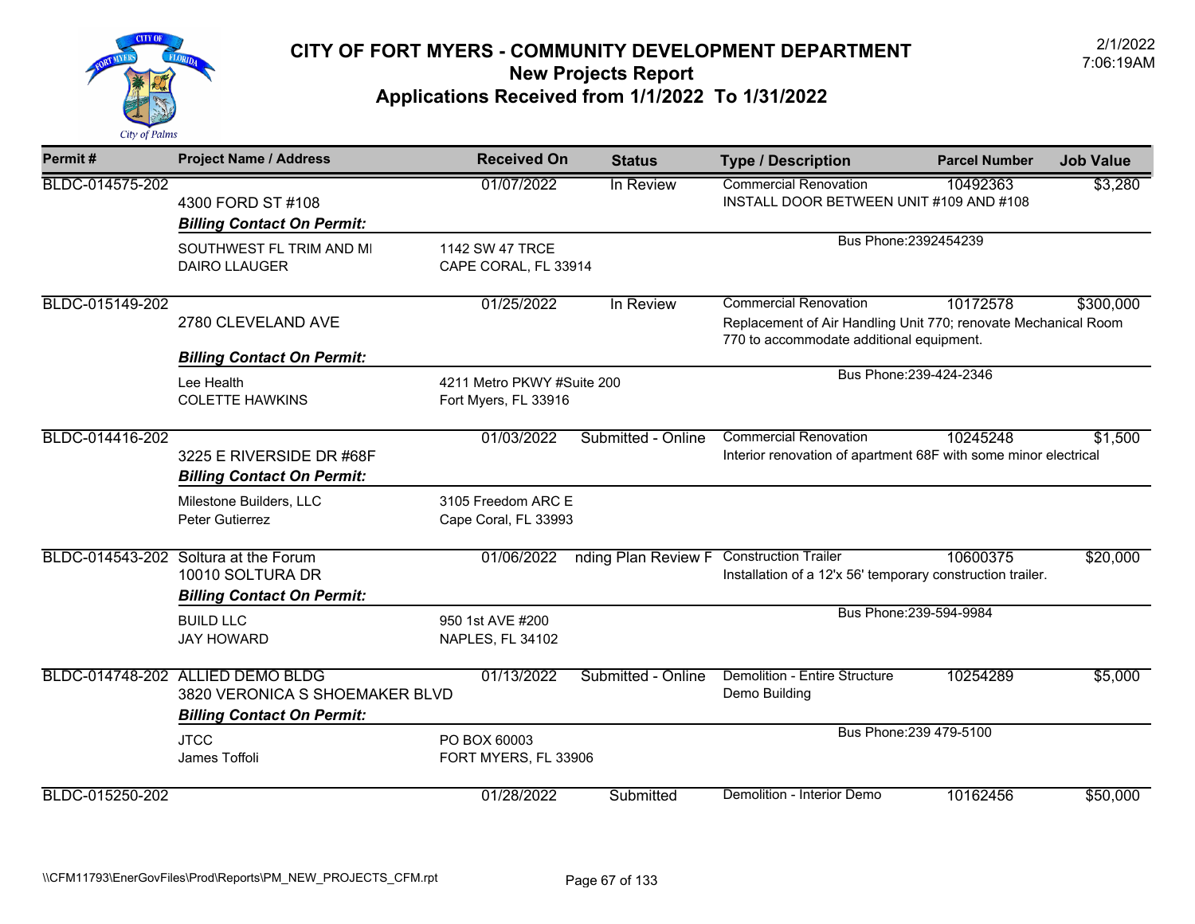

| Permit#         | <b>Project Name / Address</b>                                                                           | <b>Received On</b>                                 | <b>Status</b>                            | <b>Type / Description</b>                                                                                                                  | <b>Parcel Number</b>    | <b>Job Value</b> |
|-----------------|---------------------------------------------------------------------------------------------------------|----------------------------------------------------|------------------------------------------|--------------------------------------------------------------------------------------------------------------------------------------------|-------------------------|------------------|
| BLDC-014575-202 | 4300 FORD ST #108<br><b>Billing Contact On Permit:</b>                                                  | 01/07/2022                                         | In Review                                | <b>Commercial Renovation</b><br>INSTALL DOOR BETWEEN UNIT #109 AND #108                                                                    | 10492363                | \$3,280          |
|                 | SOUTHWEST FL TRIM AND MI<br><b>DAIRO LLAUGER</b>                                                        | 1142 SW 47 TRCE<br>CAPE CORAL, FL 33914            |                                          |                                                                                                                                            | Bus Phone: 2392454239   |                  |
| BLDC-015149-202 | 2780 CLEVELAND AVE                                                                                      | 01/25/2022                                         | In Review                                | <b>Commercial Renovation</b><br>Replacement of Air Handling Unit 770; renovate Mechanical Room<br>770 to accommodate additional equipment. | 10172578                | \$300,000        |
|                 | <b>Billing Contact On Permit:</b><br>Lee Health<br><b>COLETTE HAWKINS</b>                               | 4211 Metro PKWY #Suite 200<br>Fort Myers, FL 33916 |                                          |                                                                                                                                            | Bus Phone: 239-424-2346 |                  |
| BLDC-014416-202 | 3225 E RIVERSIDE DR #68F<br><b>Billing Contact On Permit:</b>                                           | 01/03/2022                                         | Submitted - Online                       | <b>Commercial Renovation</b><br>Interior renovation of apartment 68F with some minor electrical                                            | 10245248                | \$1,500          |
|                 | Milestone Builders, LLC<br>Peter Gutierrez                                                              | 3105 Freedom ARC E<br>Cape Coral, FL 33993         |                                          |                                                                                                                                            |                         |                  |
|                 | BLDC-014543-202 Soltura at the Forum<br>10010 SOLTURA DR<br><b>Billing Contact On Permit:</b>           | 01/06/2022                                         | nding Plan Review F Construction Trailer | Installation of a 12'x 56' temporary construction trailer.                                                                                 | 10600375                | \$20,000         |
|                 | <b>BUILD LLC</b><br><b>JAY HOWARD</b>                                                                   | 950 1st AVE #200<br>NAPLES, FL 34102               |                                          |                                                                                                                                            | Bus Phone: 239-594-9984 |                  |
|                 | BLDC-014748-202 ALLIED DEMO BLDG<br>3820 VERONICA S SHOEMAKER BLVD<br><b>Billing Contact On Permit:</b> | 01/13/2022                                         | Submitted - Online                       | <b>Demolition - Entire Structure</b><br>Demo Building                                                                                      | 10254289                | \$5,000          |
|                 | <b>JTCC</b><br>James Toffoli                                                                            | PO BOX 60003<br>FORT MYERS, FL 33906               |                                          |                                                                                                                                            | Bus Phone: 239 479-5100 |                  |
| BLDC-015250-202 |                                                                                                         | 01/28/2022                                         | Submitted                                | Demolition - Interior Demo                                                                                                                 | 10162456                | \$50,000         |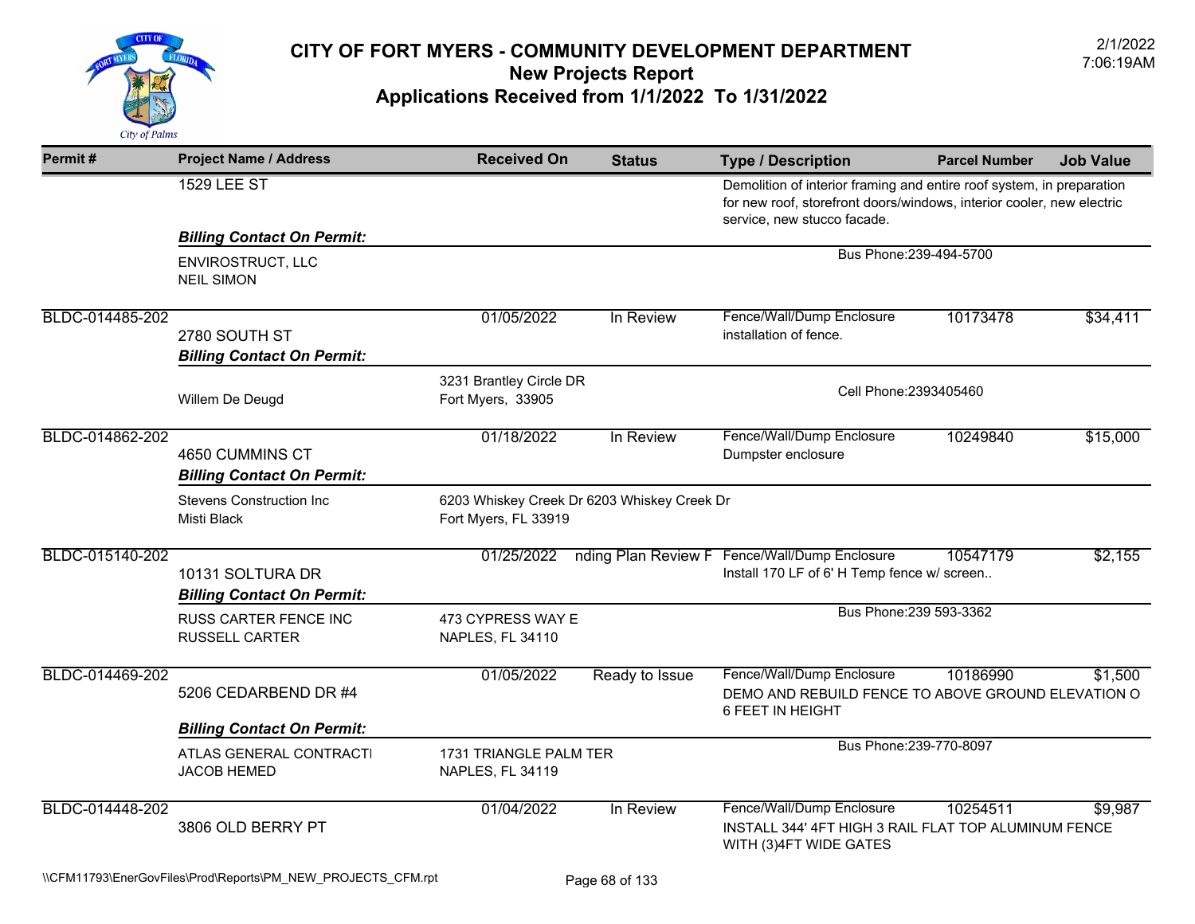

| Permit#         | <b>Project Name / Address</b>                         | <b>Received On</b>                           | <b>Status</b>                               | <b>Type / Description</b>                                                                                                                                                     | <b>Parcel Number</b>    | <b>Job Value</b> |
|-----------------|-------------------------------------------------------|----------------------------------------------|---------------------------------------------|-------------------------------------------------------------------------------------------------------------------------------------------------------------------------------|-------------------------|------------------|
|                 | <b>1529 LEE ST</b>                                    |                                              |                                             | Demolition of interior framing and entire roof system, in preparation<br>for new roof, storefront doors/windows, interior cooler, new electric<br>service, new stucco facade. |                         |                  |
|                 | <b>Billing Contact On Permit:</b>                     |                                              |                                             |                                                                                                                                                                               |                         |                  |
|                 | ENVIROSTRUCT, LLC<br><b>NEIL SIMON</b>                |                                              |                                             |                                                                                                                                                                               | Bus Phone: 239-494-5700 |                  |
| BLDC-014485-202 | 2780 SOUTH ST<br><b>Billing Contact On Permit:</b>    | 01/05/2022                                   | In Review                                   | Fence/Wall/Dump Enclosure<br>installation of fence.                                                                                                                           | 10173478                | \$34,411         |
|                 | Willem De Deugd                                       | 3231 Brantley Circle DR<br>Fort Myers, 33905 | Cell Phone: 2393405460                      |                                                                                                                                                                               |                         |                  |
| BLDC-014862-202 | 4650 CUMMINS CT<br><b>Billing Contact On Permit:</b>  | 01/18/2022                                   | In Review                                   | Fence/Wall/Dump Enclosure<br>Dumpster enclosure                                                                                                                               | 10249840                | \$15,000         |
|                 | <b>Stevens Construction Inc.</b><br>Misti Black       | Fort Myers, FL 33919                         | 6203 Whiskey Creek Dr 6203 Whiskey Creek Dr |                                                                                                                                                                               |                         |                  |
| BLDC-015140-202 | 10131 SOLTURA DR<br><b>Billing Contact On Permit:</b> | 01/25/2022                                   | nding Plan Review F                         | Fence/Wall/Dump Enclosure<br>Install 170 LF of 6' H Temp fence w/ screen                                                                                                      | 10547179                | \$2,155          |
|                 | <b>RUSS CARTER FENCE INC</b><br><b>RUSSELL CARTER</b> | 473 CYPRESS WAY E<br>NAPLES, FL 34110        |                                             |                                                                                                                                                                               | Bus Phone: 239 593-3362 |                  |
| BLDC-014469-202 | 5206 CEDARBEND DR #4                                  | 01/05/2022                                   | Ready to Issue                              | Fence/Wall/Dump Enclosure<br>DEMO AND REBUILD FENCE TO ABOVE GROUND ELEVATION O<br>6 FEET IN HEIGHT                                                                           | 10186990                | \$1,500          |
|                 | <b>Billing Contact On Permit:</b>                     |                                              |                                             |                                                                                                                                                                               |                         |                  |
|                 | ATLAS GENERAL CONTRACTI<br><b>JACOB HEMED</b>         | 1731 TRIANGLE PALM TER<br>NAPLES, FL 34119   |                                             |                                                                                                                                                                               | Bus Phone: 239-770-8097 |                  |
| BLDC-014448-202 | 3806 OLD BERRY PT                                     | 01/04/2022                                   | In Review                                   | Fence/Wall/Dump Enclosure<br>INSTALL 344' 4FT HIGH 3 RAIL FLAT TOP ALUMINUM FENCE<br>WITH (3) 4FT WIDE GATES                                                                  | 10254511                | \$9,987          |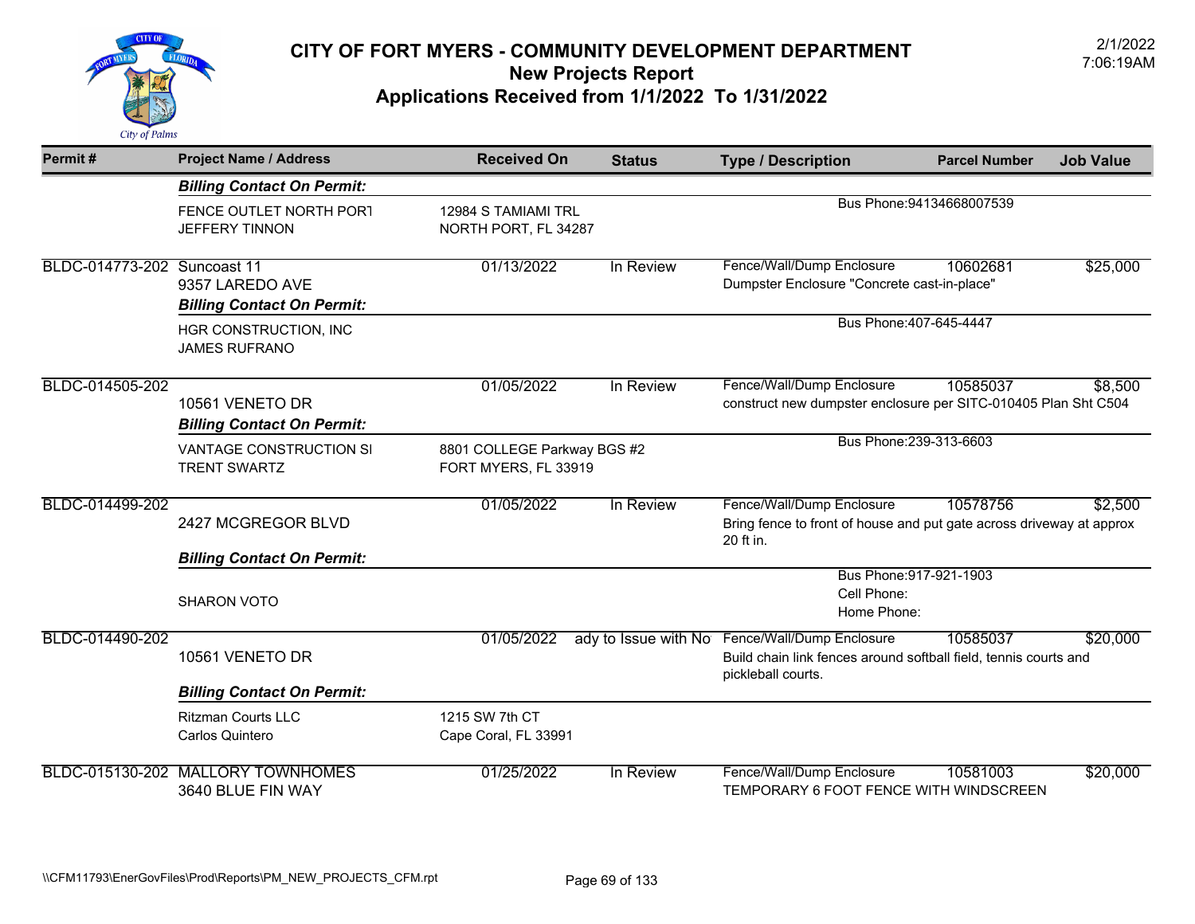

| Permit#                     | <b>Project Name / Address</b>                        | <b>Received On</b>                                  | <b>Status</b>        | <b>Type / Description</b>                                                                                           | <b>Parcel Number</b>      | <b>Job Value</b> |
|-----------------------------|------------------------------------------------------|-----------------------------------------------------|----------------------|---------------------------------------------------------------------------------------------------------------------|---------------------------|------------------|
|                             | <b>Billing Contact On Permit:</b>                    |                                                     |                      |                                                                                                                     |                           |                  |
|                             | FENCE OUTLET NORTH PORT<br><b>JEFFERY TINNON</b>     | 12984 S TAMIAMI TRL<br>NORTH PORT, FL 34287         |                      |                                                                                                                     | Bus Phone: 94134668007539 |                  |
| BLDC-014773-202 Suncoast 11 | 9357 LAREDO AVE                                      | 01/13/2022                                          | In Review            | Fence/Wall/Dump Enclosure<br>Dumpster Enclosure "Concrete cast-in-place"                                            | 10602681                  | \$25,000         |
|                             | <b>Billing Contact On Permit:</b>                    | Bus Phone: 407-645-4447                             |                      |                                                                                                                     |                           |                  |
|                             | HGR CONSTRUCTION, INC<br><b>JAMES RUFRANO</b>        |                                                     |                      |                                                                                                                     |                           |                  |
| BLDC-014505-202             | 10561 VENETO DR<br><b>Billing Contact On Permit:</b> | 01/05/2022                                          | In Review            | Fence/Wall/Dump Enclosure<br>construct new dumpster enclosure per SITC-010405 Plan Sht C504                         | 10585037                  | \$8,500          |
|                             | VANTAGE CONSTRUCTION SI<br><b>TRENT SWARTZ</b>       | 8801 COLLEGE Parkway BGS #2<br>FORT MYERS, FL 33919 |                      |                                                                                                                     | Bus Phone: 239-313-6603   |                  |
| BLDC-014499-202             | 2427 MCGREGOR BLVD                                   | 01/05/2022                                          | In Review            | Fence/Wall/Dump Enclosure<br>Bring fence to front of house and put gate across driveway at approx<br>20 ft in.      | 10578756                  | \$2,500          |
|                             | <b>Billing Contact On Permit:</b>                    |                                                     |                      |                                                                                                                     |                           |                  |
|                             | <b>SHARON VOTO</b>                                   |                                                     |                      | Cell Phone:<br>Home Phone:                                                                                          | Bus Phone: 917-921-1903   |                  |
| BLDC-014490-202             | 10561 VENETO DR                                      | 01/05/2022                                          | ady to Issue with No | Fence/Wall/Dump Enclosure<br>Build chain link fences around softball field, tennis courts and<br>pickleball courts. | 10585037                  | \$20,000         |
|                             | <b>Billing Contact On Permit:</b>                    |                                                     |                      |                                                                                                                     |                           |                  |
|                             | <b>Ritzman Courts LLC</b><br>Carlos Quintero         | 1215 SW 7th CT<br>Cape Coral, FL 33991              |                      |                                                                                                                     |                           |                  |
| BLDC-015130-202             | <b>MALLORY TOWNHOMES</b><br>3640 BLUE FIN WAY        | 01/25/2022                                          | In Review            | Fence/Wall/Dump Enclosure<br>TEMPORARY 6 FOOT FENCE WITH WINDSCREEN                                                 | 10581003                  | \$20,000         |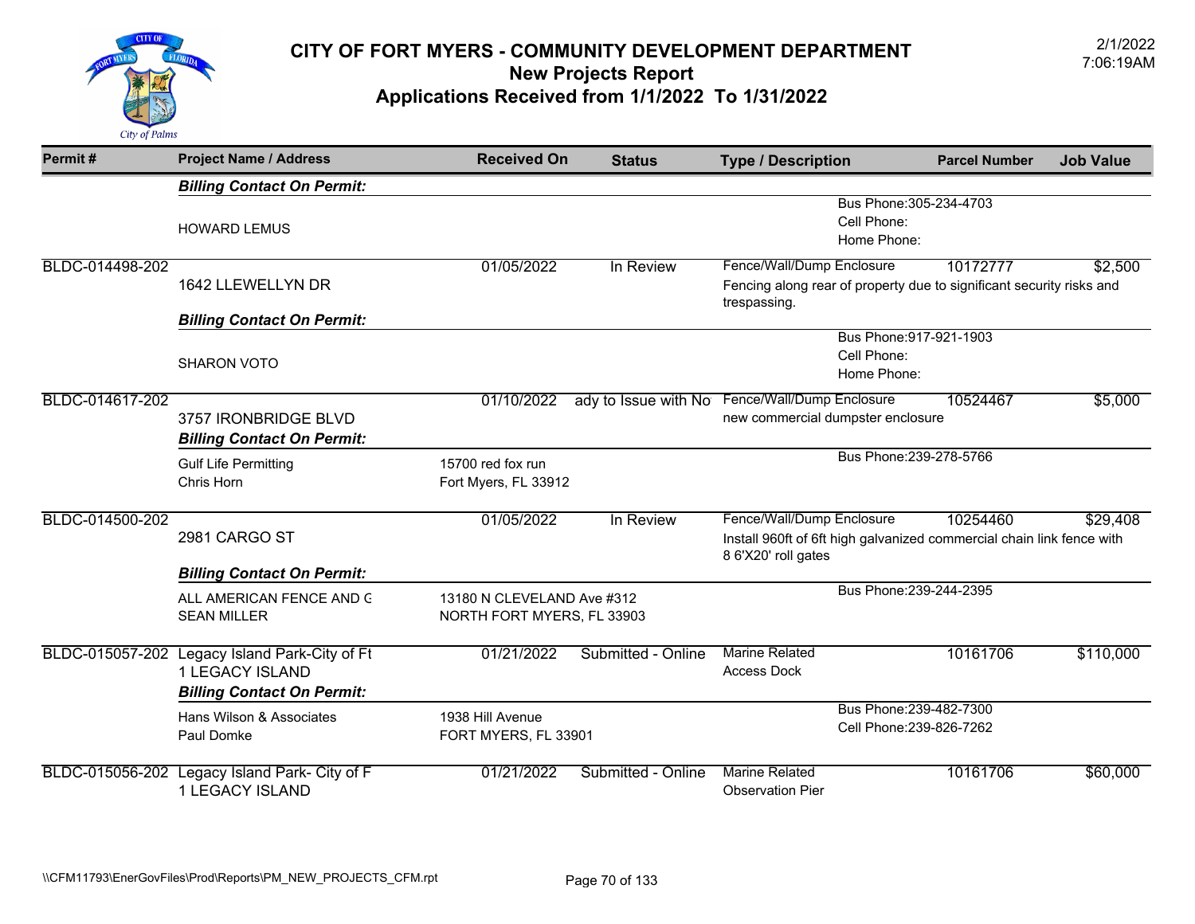

| Permit#         | <b>Project Name / Address</b>                                                                         | <b>Received On</b>                                       | <b>Status</b>      | <b>Type / Description</b>                                                                                                 | <b>Parcel Number</b>                                | <b>Job Value</b> |
|-----------------|-------------------------------------------------------------------------------------------------------|----------------------------------------------------------|--------------------|---------------------------------------------------------------------------------------------------------------------------|-----------------------------------------------------|------------------|
|                 | <b>Billing Contact On Permit:</b>                                                                     |                                                          |                    |                                                                                                                           |                                                     |                  |
|                 | <b>HOWARD LEMUS</b>                                                                                   |                                                          |                    | Cell Phone:<br>Home Phone:                                                                                                | Bus Phone: 305-234-4703                             |                  |
| BLDC-014498-202 | 1642 LLEWELLYN DR                                                                                     | 01/05/2022                                               | In Review          | Fence/Wall/Dump Enclosure<br>Fencing along rear of property due to significant security risks and<br>trespassing.         | 10172777                                            | \$2,500          |
|                 | <b>Billing Contact On Permit:</b>                                                                     |                                                          |                    |                                                                                                                           |                                                     |                  |
|                 | <b>SHARON VOTO</b>                                                                                    |                                                          |                    | Cell Phone:<br>Home Phone:                                                                                                | Bus Phone: 917-921-1903                             |                  |
| BLDC-014617-202 | 3757 IRONBRIDGE BLVD<br><b>Billing Contact On Permit:</b>                                             | 01/10/2022                                               |                    | ady to Issue with No Fence/Wall/Dump Enclosure<br>new commercial dumpster enclosure                                       | 10524467                                            | \$5,000          |
|                 | <b>Gulf Life Permitting</b><br>Chris Horn                                                             | 15700 red fox run<br>Fort Myers, FL 33912                |                    |                                                                                                                           | Bus Phone: 239-278-5766                             |                  |
| BLDC-014500-202 | 2981 CARGO ST                                                                                         | 01/05/2022                                               | In Review          | Fence/Wall/Dump Enclosure<br>Install 960ft of 6ft high galvanized commercial chain link fence with<br>8 6'X20' roll gates | 10254460                                            | \$29,408         |
|                 | <b>Billing Contact On Permit:</b>                                                                     |                                                          |                    |                                                                                                                           |                                                     |                  |
|                 | ALL AMERICAN FENCE AND G<br><b>SEAN MILLER</b>                                                        | 13180 N CLEVELAND Ave #312<br>NORTH FORT MYERS, FL 33903 |                    |                                                                                                                           | Bus Phone: 239-244-2395                             |                  |
|                 | BLDC-015057-202 Legacy Island Park-City of Ft<br>1 LEGACY ISLAND<br><b>Billing Contact On Permit:</b> | 01/21/2022                                               | Submitted - Online | <b>Marine Related</b><br><b>Access Dock</b>                                                                               | 10161706                                            | \$110,000        |
|                 | Hans Wilson & Associates<br>Paul Domke                                                                | 1938 Hill Avenue<br>FORT MYERS, FL 33901                 |                    |                                                                                                                           | Bus Phone: 239-482-7300<br>Cell Phone: 239-826-7262 |                  |
|                 | BLDC-015056-202 Legacy Island Park- City of F<br>1 LEGACY ISLAND                                      | 01/21/2022                                               | Submitted - Online | <b>Marine Related</b><br><b>Observation Pier</b>                                                                          | 10161706                                            | \$60,000         |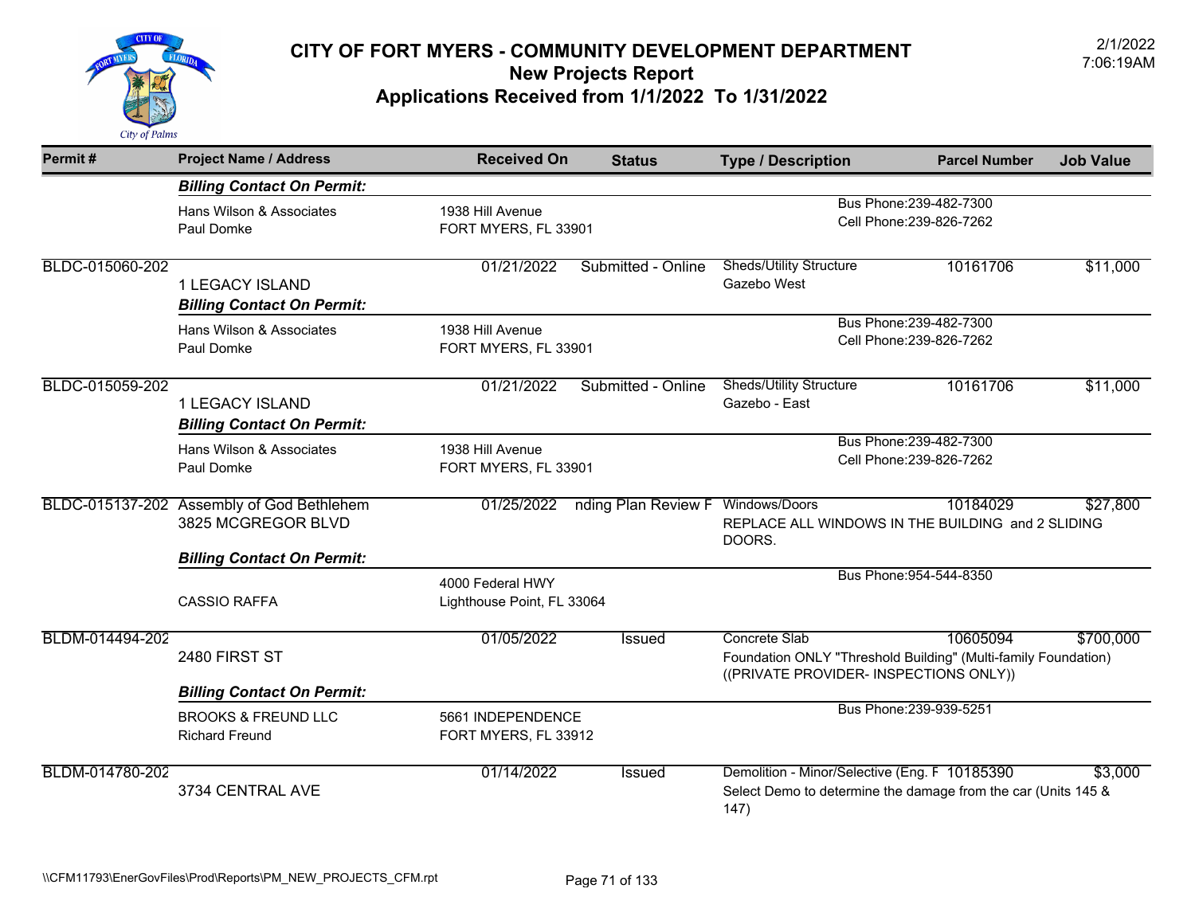

| Permit#         | <b>Project Name / Address</b>                                   | <b>Received On</b>                             | <b>Status</b>                     | <b>Type / Description</b>                                                                                                 | <b>Parcel Number</b>                                | <b>Job Value</b> |  |
|-----------------|-----------------------------------------------------------------|------------------------------------------------|-----------------------------------|---------------------------------------------------------------------------------------------------------------------------|-----------------------------------------------------|------------------|--|
|                 | <b>Billing Contact On Permit:</b>                               |                                                |                                   |                                                                                                                           |                                                     |                  |  |
|                 | Hans Wilson & Associates<br>Paul Domke                          | 1938 Hill Avenue                               | FORT MYERS, FL 33901              |                                                                                                                           | Bus Phone: 239-482-7300<br>Cell Phone: 239-826-7262 |                  |  |
| BLDC-015060-202 | 1 LEGACY ISLAND<br><b>Billing Contact On Permit:</b>            | 01/21/2022                                     | Submitted - Online                | <b>Sheds/Utility Structure</b><br>Gazebo West                                                                             | 10161706                                            | \$11,000         |  |
|                 | Hans Wilson & Associates<br>Paul Domke                          | 1938 Hill Avenue<br>FORT MYERS, FL 33901       |                                   |                                                                                                                           | Bus Phone: 239-482-7300<br>Cell Phone: 239-826-7262 |                  |  |
| BLDC-015059-202 | 1 LEGACY ISLAND<br><b>Billing Contact On Permit:</b>            | 01/21/2022                                     | Submitted - Online                | <b>Sheds/Utility Structure</b><br>Gazebo - East                                                                           | 10161706                                            | \$11,000         |  |
|                 | Hans Wilson & Associates<br>Paul Domke                          | 1938 Hill Avenue<br>FORT MYERS, FL 33901       |                                   |                                                                                                                           | Bus Phone: 239-482-7300<br>Cell Phone: 239-826-7262 |                  |  |
|                 | BLDC-015137-202 Assembly of God Bethlehem<br>3825 MCGREGOR BLVD | 01/25/2022                                     | nding Plan Review F Windows/Doors | REPLACE ALL WINDOWS IN THE BUILDING and 2 SLIDING<br>DOORS.                                                               | 10184029                                            | \$27,800         |  |
|                 | <b>Billing Contact On Permit:</b>                               |                                                |                                   |                                                                                                                           |                                                     |                  |  |
|                 | <b>CASSIO RAFFA</b>                                             | 4000 Federal HWY<br>Lighthouse Point, FL 33064 |                                   |                                                                                                                           | Bus Phone: 954-544-8350                             |                  |  |
| BLDM-014494-202 | 2480 FIRST ST                                                   | 01/05/2022                                     | Issued                            | Concrete Slab<br>Foundation ONLY "Threshold Building" (Multi-family Foundation)<br>((PRIVATE PROVIDER- INSPECTIONS ONLY)) | 10605094                                            | \$700,000        |  |
|                 | <b>Billing Contact On Permit:</b>                               |                                                |                                   |                                                                                                                           |                                                     |                  |  |
|                 | <b>BROOKS &amp; FREUND LLC</b><br><b>Richard Freund</b>         | 5661 INDEPENDENCE<br>FORT MYERS, FL 33912      |                                   |                                                                                                                           | Bus Phone: 239-939-5251                             |                  |  |
| BLDM-014780-202 | 3734 CENTRAL AVE                                                | 01/14/2022                                     | Issued                            | Demolition - Minor/Selective (Eng. F 10185390<br>Select Demo to determine the damage from the car (Units 145 &<br>147)    |                                                     | \$3,000          |  |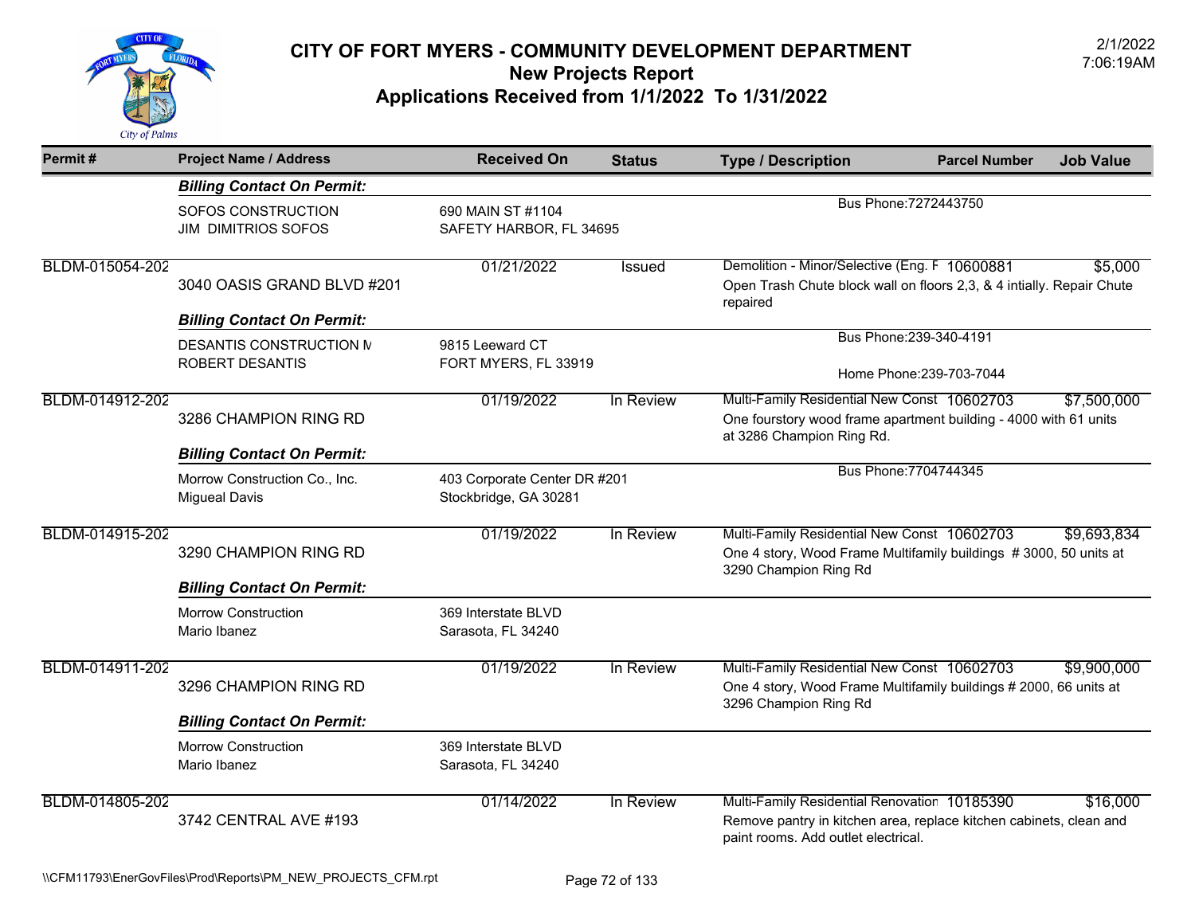

| Permit#         | <b>Project Name / Address</b>                                   | <b>Received On</b>                                    | <b>Status</b> | <b>Type / Description</b>                                                                                                                                 | <b>Parcel Number</b>    | <b>Job Value</b> |
|-----------------|-----------------------------------------------------------------|-------------------------------------------------------|---------------|-----------------------------------------------------------------------------------------------------------------------------------------------------------|-------------------------|------------------|
|                 | <b>Billing Contact On Permit:</b>                               |                                                       |               |                                                                                                                                                           |                         |                  |
|                 | SOFOS CONSTRUCTION<br><b>JIM DIMITRIOS SOFOS</b>                | 690 MAIN ST #1104<br>SAFETY HARBOR, FL 34695          |               |                                                                                                                                                           | Bus Phone: 7272443750   |                  |
| BLDM-015054-202 | 3040 OASIS GRAND BLVD #201<br><b>Billing Contact On Permit:</b> | 01/21/2022                                            | Issued        | Demolition - Minor/Selective (Eng. F 10600881<br>Open Trash Chute block wall on floors 2,3, & 4 intially. Repair Chute<br>repaired                        |                         | \$5,000          |
|                 | DESANTIS CONSTRUCTION M                                         | 9815 Leeward CT                                       |               |                                                                                                                                                           | Bus Phone: 239-340-4191 |                  |
|                 | ROBERT DESANTIS                                                 | FORT MYERS, FL 33919                                  |               | Home Phone: 239-703-7044                                                                                                                                  |                         |                  |
| BLDM-014912-202 | 3286 CHAMPION RING RD<br><b>Billing Contact On Permit:</b>      | 01/19/2022<br>In Review                               |               | Multi-Family Residential New Const 10602703<br>One fourstory wood frame apartment building - 4000 with 61 units<br>at 3286 Champion Ring Rd.              |                         | \$7,500,000      |
|                 | Morrow Construction Co., Inc.<br><b>Migueal Davis</b>           | 403 Corporate Center DR #201<br>Stockbridge, GA 30281 |               |                                                                                                                                                           | Bus Phone: 7704744345   |                  |
| BLDM-014915-202 | 3290 CHAMPION RING RD<br><b>Billing Contact On Permit:</b>      | 01/19/2022                                            | In Review     | Multi-Family Residential New Const 10602703<br>One 4 story, Wood Frame Multifamily buildings #3000, 50 units at<br>3290 Champion Ring Rd                  |                         | \$9,693,834      |
|                 | <b>Morrow Construction</b><br>Mario Ibanez                      | 369 Interstate BLVD<br>Sarasota, FL 34240             |               |                                                                                                                                                           |                         |                  |
| BLDM-014911-202 | 3296 CHAMPION RING RD<br><b>Billing Contact On Permit:</b>      | 01/19/2022                                            | In Review     | Multi-Family Residential New Const 10602703<br>One 4 story, Wood Frame Multifamily buildings # 2000, 66 units at<br>3296 Champion Ring Rd                 |                         | \$9,900,000      |
|                 | <b>Morrow Construction</b><br>Mario Ibanez                      | 369 Interstate BLVD<br>Sarasota, FL 34240             |               |                                                                                                                                                           |                         |                  |
| BLDM-014805-202 | 3742 CENTRAL AVE #193                                           | 01/14/2022                                            | In Review     | Multi-Family Residential Renovation 10185390<br>Remove pantry in kitchen area, replace kitchen cabinets, clean and<br>paint rooms. Add outlet electrical. |                         | \$16.000         |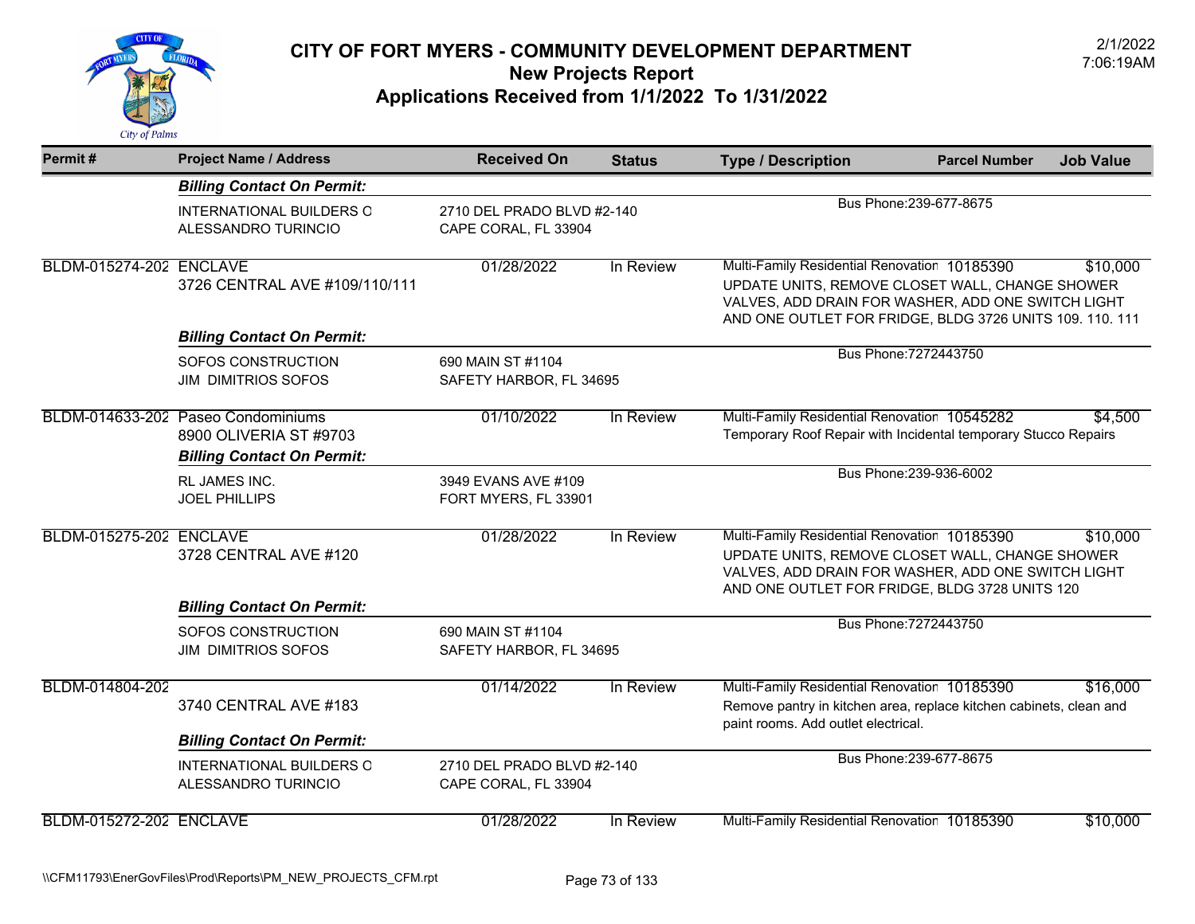

| Permit#                        | <b>Project Name / Address</b>                                                                     | <b>Received On</b>                                 | <b>Status</b> | <b>Type / Description</b>                                                                                                                                                                                         | <b>Parcel Number</b>    | <b>Job Value</b> |
|--------------------------------|---------------------------------------------------------------------------------------------------|----------------------------------------------------|---------------|-------------------------------------------------------------------------------------------------------------------------------------------------------------------------------------------------------------------|-------------------------|------------------|
|                                | <b>Billing Contact On Permit:</b>                                                                 |                                                    |               |                                                                                                                                                                                                                   |                         |                  |
|                                | INTERNATIONAL BUILDERS O<br>ALESSANDRO TURINCIO                                                   | 2710 DEL PRADO BLVD #2-140<br>CAPE CORAL, FL 33904 |               |                                                                                                                                                                                                                   | Bus Phone: 239-677-8675 |                  |
| BLDM-015274-202 ENCLAVE        | 3726 CENTRAL AVE #109/110/111                                                                     | 01/28/2022                                         | In Review     | Multi-Family Residential Renovation 10185390<br>UPDATE UNITS, REMOVE CLOSET WALL, CHANGE SHOWER<br>VALVES, ADD DRAIN FOR WASHER, ADD ONE SWITCH LIGHT<br>AND ONE OUTLET FOR FRIDGE, BLDG 3726 UNITS 109. 110. 111 |                         | \$10,000         |
|                                | <b>Billing Contact On Permit:</b>                                                                 |                                                    |               |                                                                                                                                                                                                                   |                         |                  |
|                                | SOFOS CONSTRUCTION<br><b>JIM DIMITRIOS SOFOS</b>                                                  | 690 MAIN ST #1104<br>SAFETY HARBOR, FL 34695       |               |                                                                                                                                                                                                                   | Bus Phone: 7272443750   |                  |
|                                | BLDM-014633-202 Paseo Condominiums<br>8900 OLIVERIA ST #9703<br><b>Billing Contact On Permit:</b> | 01/10/2022                                         | In Review     | Multi-Family Residential Renovation 10545282<br>Temporary Roof Repair with Incidental temporary Stucco Repairs                                                                                                    |                         | \$4,500          |
|                                | <b>RL JAMES INC.</b><br><b>JOEL PHILLIPS</b>                                                      | 3949 EVANS AVE #109<br>FORT MYERS, FL 33901        |               |                                                                                                                                                                                                                   | Bus Phone: 239-936-6002 |                  |
| <b>BLDM-015275-202 ENCLAVE</b> | 3728 CENTRAL AVE #120                                                                             | 01/28/2022                                         | In Review     | Multi-Family Residential Renovation 10185390<br>UPDATE UNITS, REMOVE CLOSET WALL, CHANGE SHOWER<br>VALVES, ADD DRAIN FOR WASHER, ADD ONE SWITCH LIGHT<br>AND ONE OUTLET FOR FRIDGE, BLDG 3728 UNITS 120           |                         | \$10,000         |
|                                | <b>Billing Contact On Permit:</b>                                                                 |                                                    |               |                                                                                                                                                                                                                   |                         |                  |
|                                | SOFOS CONSTRUCTION<br><b>JIM DIMITRIOS SOFOS</b>                                                  | 690 MAIN ST #1104<br>SAFETY HARBOR, FL 34695       |               |                                                                                                                                                                                                                   | Bus Phone: 7272443750   |                  |
| BLDM-014804-202                | 3740 CENTRAL AVE #183                                                                             | 01/14/2022                                         | In Review     | Multi-Family Residential Renovation 10185390<br>Remove pantry in kitchen area, replace kitchen cabinets, clean and<br>paint rooms. Add outlet electrical.                                                         |                         | \$16,000         |
|                                | <b>Billing Contact On Permit:</b><br><b>INTERNATIONAL BUILDERS O</b><br>ALESSANDRO TURINCIO       | 2710 DEL PRADO BLVD #2-140<br>CAPE CORAL, FL 33904 |               |                                                                                                                                                                                                                   | Bus Phone: 239-677-8675 |                  |
| <b>BLDM-015272-202 ENCLAVE</b> |                                                                                                   | 01/28/2022                                         | In Review     | Multi-Family Residential Renovation 10185390                                                                                                                                                                      |                         | \$10,000         |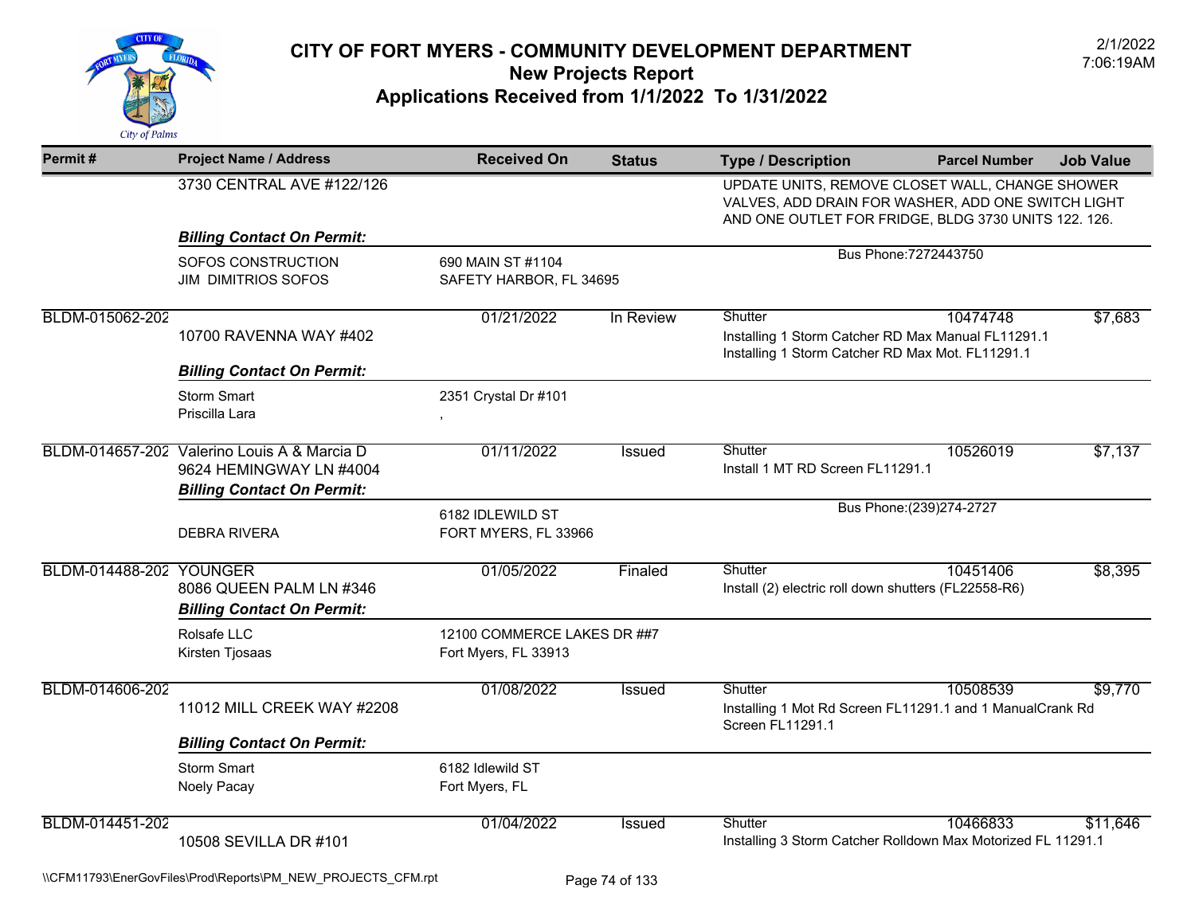

| Permit#                 | <b>Project Name / Address</b>                                          | <b>Received On</b>                                  | <b>Status</b> | <b>Type / Description</b>                                                                                                                                     | <b>Parcel Number</b>      | <b>Job Value</b> |
|-------------------------|------------------------------------------------------------------------|-----------------------------------------------------|---------------|---------------------------------------------------------------------------------------------------------------------------------------------------------------|---------------------------|------------------|
|                         | 3730 CENTRAL AVE #122/126                                              |                                                     |               | UPDATE UNITS, REMOVE CLOSET WALL, CHANGE SHOWER<br>VALVES, ADD DRAIN FOR WASHER, ADD ONE SWITCH LIGHT<br>AND ONE OUTLET FOR FRIDGE, BLDG 3730 UNITS 122. 126. |                           |                  |
|                         | <b>Billing Contact On Permit:</b>                                      |                                                     |               |                                                                                                                                                               |                           |                  |
|                         | SOFOS CONSTRUCTION<br><b>JIM DIMITRIOS SOFOS</b>                       | 690 MAIN ST #1104<br>SAFETY HARBOR, FL 34695        |               |                                                                                                                                                               | Bus Phone: 7272443750     |                  |
| BLDM-015062-202         | 10700 RAVENNA WAY #402                                                 | 01/21/2022                                          | In Review     | Shutter<br>Installing 1 Storm Catcher RD Max Manual FL11291.1<br>Installing 1 Storm Catcher RD Max Mot. FL11291.1                                             | 10474748                  | \$7,683          |
|                         | <b>Billing Contact On Permit:</b>                                      |                                                     |               |                                                                                                                                                               |                           |                  |
|                         | <b>Storm Smart</b><br>Priscilla Lara                                   | 2351 Crystal Dr #101                                |               |                                                                                                                                                               |                           |                  |
|                         | BLDM-014657-202 Valerino Louis A & Marcia D<br>9624 HEMINGWAY LN #4004 | 01/11/2022                                          | <b>Issued</b> | Shutter<br>Install 1 MT RD Screen FL11291.1                                                                                                                   | 10526019                  | \$7,137          |
|                         | <b>Billing Contact On Permit:</b><br><b>DEBRA RIVERA</b>               | 6182 IDLEWILD ST<br>FORT MYERS, FL 33966            |               |                                                                                                                                                               | Bus Phone: (239) 274-2727 |                  |
| BLDM-014488-202 YOUNGER | 8086 QUEEN PALM LN #346<br><b>Billing Contact On Permit:</b>           | 01/05/2022                                          | Finaled       | Shutter<br>Install (2) electric roll down shutters (FL22558-R6)                                                                                               | 10451406                  | \$8,395          |
|                         | Rolsafe LLC<br>Kirsten Tjosaas                                         | 12100 COMMERCE LAKES DR ##7<br>Fort Myers, FL 33913 |               |                                                                                                                                                               |                           |                  |
| BLDM-014606-202         | 11012 MILL CREEK WAY #2208                                             | 01/08/2022                                          | Issued        | Shutter<br>Installing 1 Mot Rd Screen FL11291.1 and 1 ManualCrank Rd<br><b>Screen FL11291.1</b>                                                               | 10508539                  | \$9,770          |
|                         | <b>Billing Contact On Permit:</b>                                      |                                                     |               |                                                                                                                                                               |                           |                  |
|                         | <b>Storm Smart</b><br>Noely Pacay                                      | 6182 Idlewild ST<br>Fort Myers, FL                  |               |                                                                                                                                                               |                           |                  |
| BLDM-014451-202         | 10508 SEVILLA DR #101                                                  | 01/04/2022                                          | <b>Issued</b> | Shutter<br>Installing 3 Storm Catcher Rolldown Max Motorized FL 11291.1                                                                                       | 10466833                  | \$11,646         |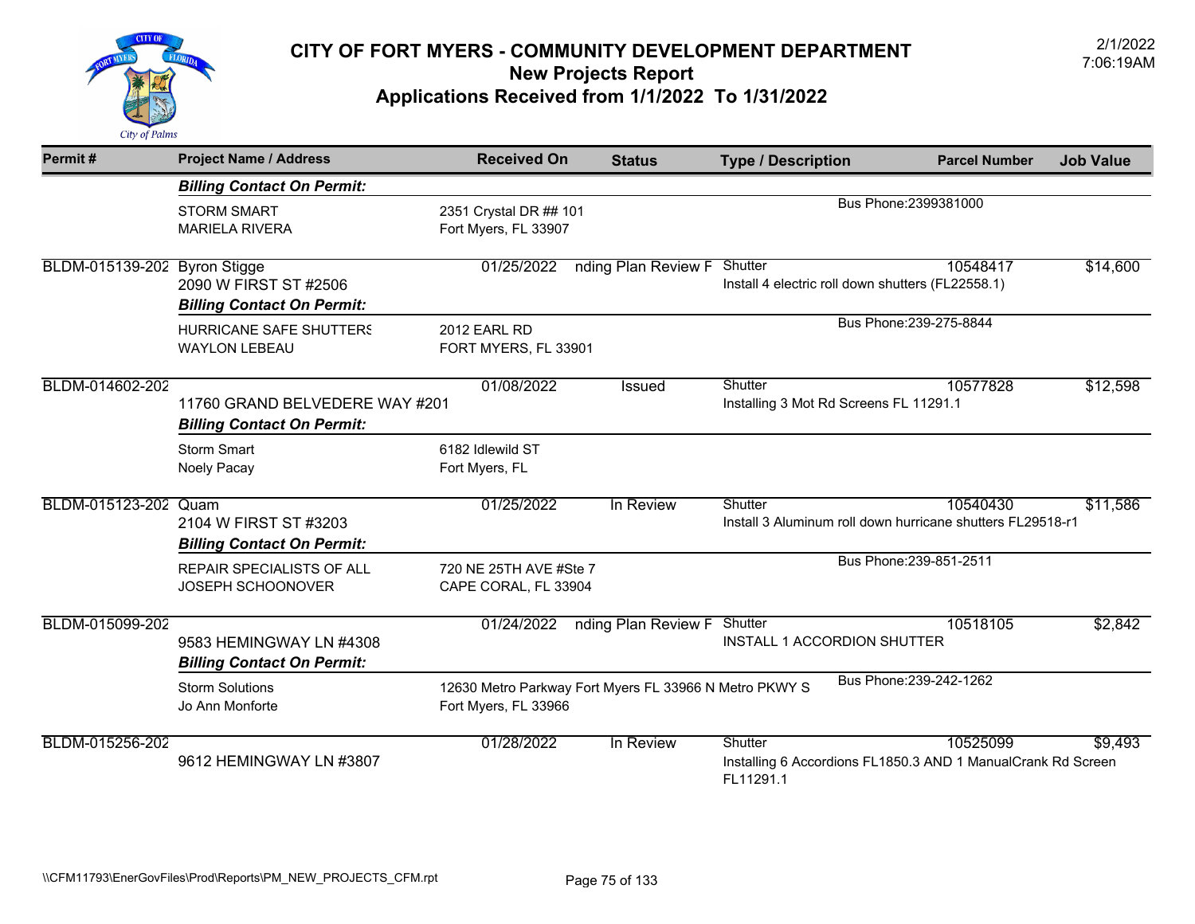

| Permit#                      | <b>Project Name / Address</b>                                       | <b>Received On</b>                                                             | <b>Status</b>       | <b>Type / Description</b>                                                            | <b>Parcel Number</b>    | <b>Job Value</b> |
|------------------------------|---------------------------------------------------------------------|--------------------------------------------------------------------------------|---------------------|--------------------------------------------------------------------------------------|-------------------------|------------------|
|                              | <b>Billing Contact On Permit:</b>                                   |                                                                                |                     |                                                                                      |                         |                  |
|                              | <b>STORM SMART</b><br><b>MARIELA RIVERA</b>                         | 2351 Crystal DR ## 101<br>Fort Myers, FL 33907                                 |                     |                                                                                      | Bus Phone: 2399381000   |                  |
| BLDM-015139-202 Byron Stigge | 2090 W FIRST ST #2506<br><b>Billing Contact On Permit:</b>          | 01/25/2022                                                                     | nding Plan Review F | Shutter<br>Install 4 electric roll down shutters (FL22558.1)                         | 10548417                | \$14,600         |
|                              | <b>HURRICANE SAFE SHUTTERS</b><br><b>WAYLON LEBEAU</b>              | 2012 EARL RD<br>FORT MYERS, FL 33901                                           |                     |                                                                                      | Bus Phone: 239-275-8844 |                  |
| BLDM-014602-202              | 11760 GRAND BELVEDERE WAY #201<br><b>Billing Contact On Permit:</b> | 01/08/2022                                                                     | <b>Issued</b>       | Shutter<br>Installing 3 Mot Rd Screens FL 11291.1                                    | 10577828                | \$12,598         |
|                              | <b>Storm Smart</b><br>Noely Pacay                                   | 6182 Idlewild ST<br>Fort Myers, FL                                             |                     |                                                                                      |                         |                  |
| BLDM-015123-202 Quam         | 2104 W FIRST ST #3203<br><b>Billing Contact On Permit:</b>          | 01/25/2022                                                                     | In Review           | Shutter<br>Install 3 Aluminum roll down hurricane shutters FL29518-r1                | 10540430                | \$11,586         |
|                              | REPAIR SPECIALISTS OF ALL<br>JOSEPH SCHOONOVER                      | 720 NE 25TH AVE #Ste 7<br>CAPE CORAL, FL 33904                                 |                     |                                                                                      | Bus Phone: 239-851-2511 |                  |
| BLDM-015099-202              | 9583 HEMINGWAY LN #4308<br><b>Billing Contact On Permit:</b>        | 01/24/2022                                                                     | nding Plan Review F | Shutter<br>INSTALL 1 ACCORDION SHUTTER                                               | 10518105                | \$2,842          |
|                              | <b>Storm Solutions</b><br>Jo Ann Monforte                           | 12630 Metro Parkway Fort Myers FL 33966 N Metro PKWY S<br>Fort Myers, FL 33966 |                     |                                                                                      | Bus Phone: 239-242-1262 |                  |
| BLDM-015256-202              | 9612 HEMINGWAY LN #3807                                             | 01/28/2022                                                                     | In Review           | Shutter<br>Installing 6 Accordions FL1850.3 AND 1 ManualCrank Rd Screen<br>FL11291.1 | 10525099                | \$9,493          |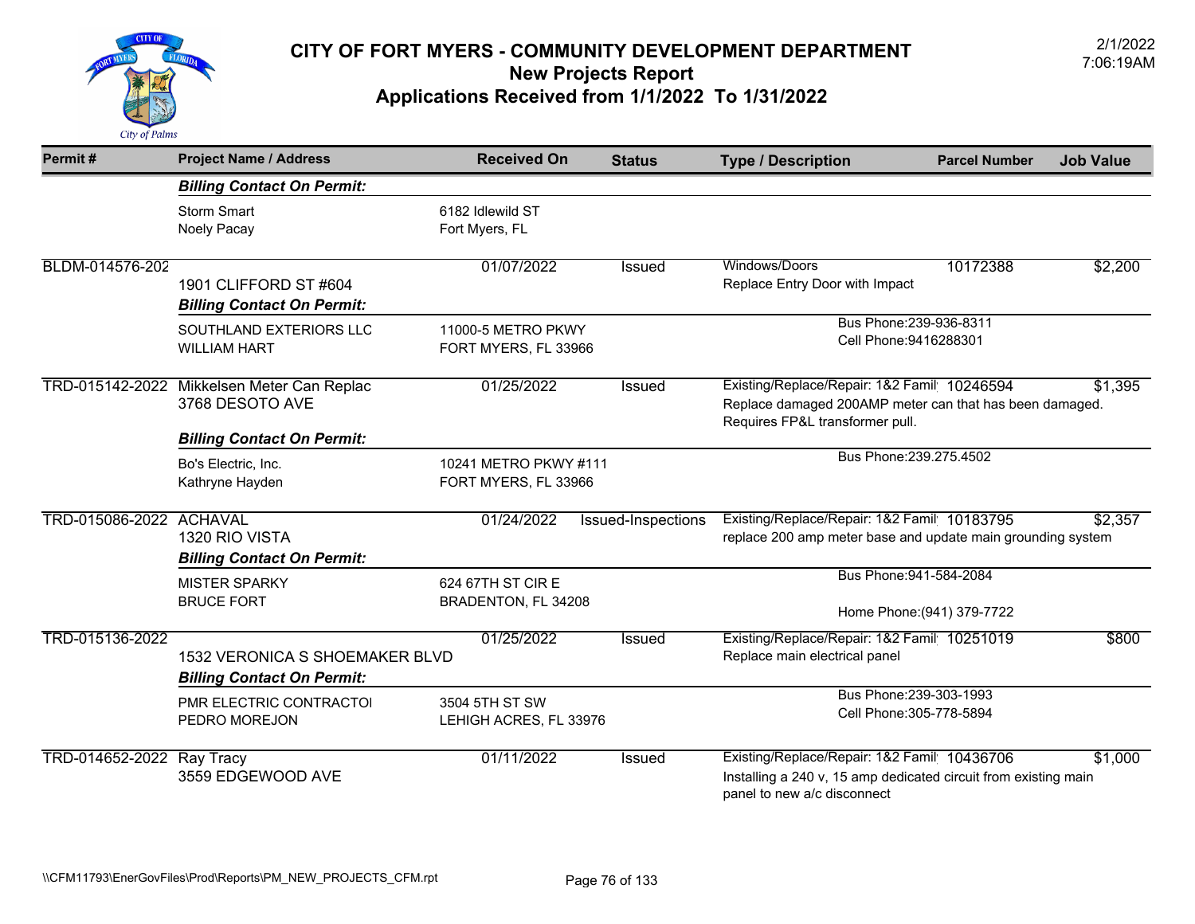

| Permit#                   | <b>Project Name / Address</b>                                       | <b>Received On</b>                            | <b>Status</b>      | <b>Type / Description</b>                                                                                                                     | <b>Parcel Number</b>                                  | <b>Job Value</b> |
|---------------------------|---------------------------------------------------------------------|-----------------------------------------------|--------------------|-----------------------------------------------------------------------------------------------------------------------------------------------|-------------------------------------------------------|------------------|
|                           | <b>Billing Contact On Permit:</b>                                   |                                               |                    |                                                                                                                                               |                                                       |                  |
|                           | <b>Storm Smart</b><br>Noely Pacay                                   | 6182 Idlewild ST<br>Fort Myers, FL            |                    |                                                                                                                                               |                                                       |                  |
| BLDM-014576-202           | 1901 CLIFFORD ST #604<br><b>Billing Contact On Permit:</b>          | 01/07/2022                                    | <b>Issued</b>      | Windows/Doors<br>Replace Entry Door with Impact                                                                                               | 10172388                                              | \$2,200          |
|                           | SOUTHLAND EXTERIORS LLC<br><b>WILLIAM HART</b>                      | 11000-5 METRO PKWY<br>FORT MYERS, FL 33966    |                    | Bus Phone: 239-936-8311<br>Cell Phone: 9416288301                                                                                             |                                                       |                  |
|                           | TRD-015142-2022 Mikkelsen Meter Can Replac<br>3768 DESOTO AVE       | 01/25/2022                                    | <b>Issued</b>      | Existing/Replace/Repair: 1&2 Famil 10246594<br>Replace damaged 200AMP meter can that has been damaged.<br>Requires FP&L transformer pull.     |                                                       | \$1,395          |
|                           | <b>Billing Contact On Permit:</b>                                   |                                               |                    |                                                                                                                                               | Bus Phone: 239.275.4502                               |                  |
|                           | Bo's Electric, Inc.<br>Kathryne Hayden                              | 10241 METRO PKWY #111<br>FORT MYERS, FL 33966 |                    |                                                                                                                                               |                                                       |                  |
| TRD-015086-2022 ACHAVAL   | 1320 RIO VISTA<br><b>Billing Contact On Permit:</b>                 | 01/24/2022                                    | Issued-Inspections | Existing/Replace/Repair: 1&2 Famil 10183795<br>replace 200 amp meter base and update main grounding system                                    |                                                       | \$2,357          |
|                           | <b>MISTER SPARKY</b><br><b>BRUCE FORT</b>                           | 624 67TH ST CIR E<br>BRADENTON, FL 34208      |                    |                                                                                                                                               | Bus Phone: 941-584-2084<br>Home Phone: (941) 379-7722 |                  |
| TRD-015136-2022           | 1532 VERONICA S SHOEMAKER BLVD<br><b>Billing Contact On Permit:</b> | 01/25/2022                                    | <b>Issued</b>      | Existing/Replace/Repair: 1&2 Famil 10251019<br>Replace main electrical panel                                                                  |                                                       | \$800            |
|                           | PMR ELECTRIC CONTRACTOI<br>PEDRO MOREJON                            | 3504 5TH ST SW<br>LEHIGH ACRES, FL 33976      |                    |                                                                                                                                               | Bus Phone: 239-303-1993<br>Cell Phone: 305-778-5894   |                  |
| TRD-014652-2022 Ray Tracy | 3559 EDGEWOOD AVE                                                   | 01/11/2022                                    | <b>Issued</b>      | Existing/Replace/Repair: 1&2 Famil 10436706<br>Installing a 240 v, 15 amp dedicated circuit from existing main<br>panel to new a/c disconnect |                                                       | \$1,000          |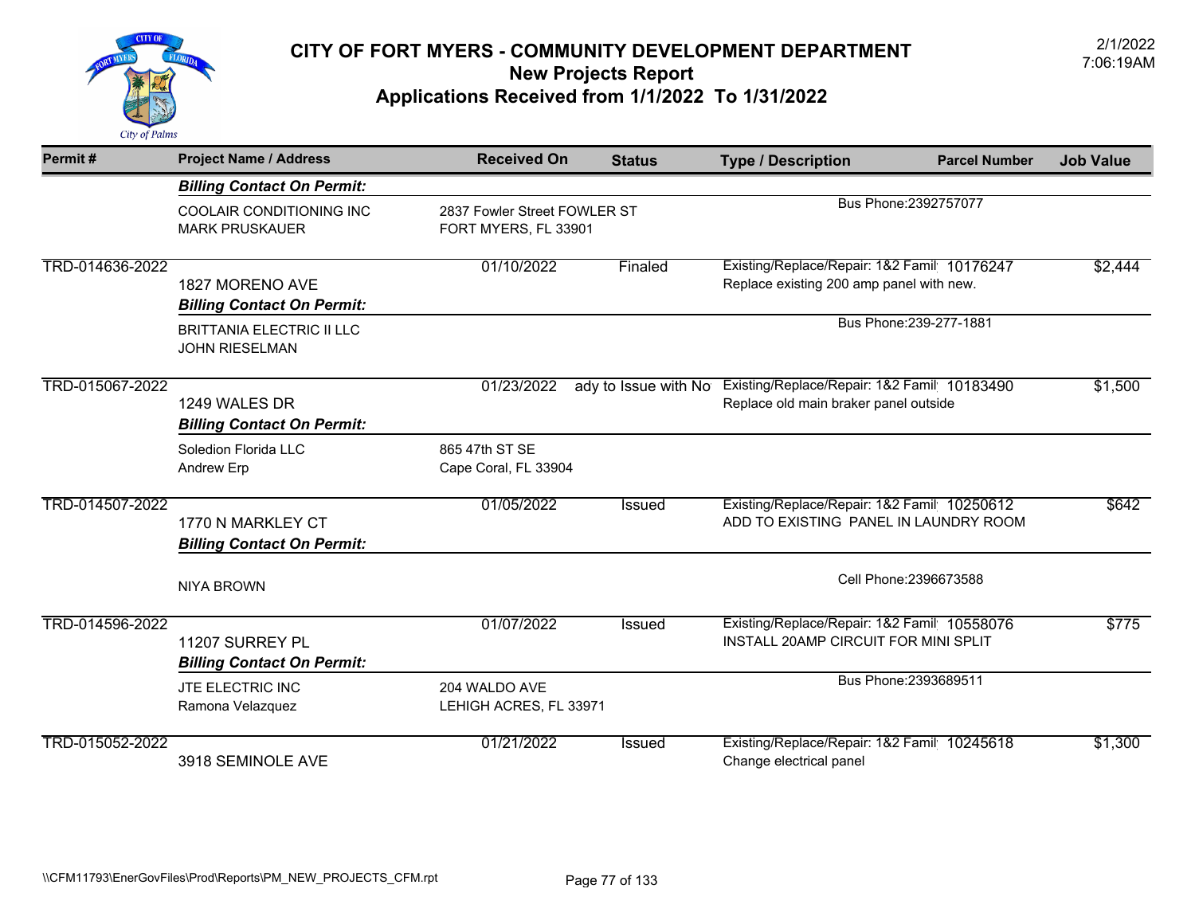

| Permit#         | <b>Project Name / Address</b>                             | <b>Received On</b>                                   | <b>Status</b>        | <b>Type / Description</b>                                                               | <b>Parcel Number</b>    | <b>Job Value</b> |
|-----------------|-----------------------------------------------------------|------------------------------------------------------|----------------------|-----------------------------------------------------------------------------------------|-------------------------|------------------|
|                 | <b>Billing Contact On Permit:</b>                         |                                                      |                      |                                                                                         |                         |                  |
|                 | COOLAIR CONDITIONING INC<br><b>MARK PRUSKAUER</b>         | 2837 Fowler Street FOWLER ST<br>FORT MYERS, FL 33901 |                      | Bus Phone: 2392757077                                                                   |                         |                  |
| TRD-014636-2022 | 1827 MORENO AVE<br><b>Billing Contact On Permit:</b>      | 01/10/2022                                           | Finaled              | Existing/Replace/Repair: 1&2 Famil 10176247<br>Replace existing 200 amp panel with new. |                         | \$2,444          |
|                 | <b>BRITTANIA ELECTRIC II LLC</b><br><b>JOHN RIESELMAN</b> |                                                      |                      |                                                                                         | Bus Phone: 239-277-1881 |                  |
| TRD-015067-2022 | 1249 WALES DR<br><b>Billing Contact On Permit:</b>        | 01/23/2022                                           | ady to Issue with No | Existing/Replace/Repair: 1&2 Famil 10183490<br>Replace old main braker panel outside    |                         | \$1,500          |
|                 | Soledion Florida LLC<br>Andrew Erp                        | 865 47th ST SE<br>Cape Coral, FL 33904               |                      |                                                                                         |                         |                  |
| TRD-014507-2022 | 1770 N MARKLEY CT<br><b>Billing Contact On Permit:</b>    | 01/05/2022                                           | <b>Issued</b>        | Existing/Replace/Repair: 1&2 Famil 10250612<br>ADD TO EXISTING PANEL IN LAUNDRY ROOM    |                         | \$642            |
|                 | <b>NIYA BROWN</b>                                         |                                                      |                      |                                                                                         | Cell Phone: 2396673588  |                  |
| TRD-014596-2022 | 11207 SURREY PL<br><b>Billing Contact On Permit:</b>      | 01/07/2022                                           | Issued               | Existing/Replace/Repair: 1&2 Famil 10558076<br>INSTALL 20AMP CIRCUIT FOR MINI SPLIT     |                         | \$775            |
|                 | JTE ELECTRIC INC<br>Ramona Velazquez                      | 204 WALDO AVE<br>LEHIGH ACRES, FL 33971              |                      |                                                                                         | Bus Phone: 2393689511   |                  |
| TRD-015052-2022 | 3918 SEMINOLE AVE                                         | 01/21/2022                                           | <b>Issued</b>        | Existing/Replace/Repair: 1&2 Famil 10245618<br>Change electrical panel                  |                         | \$1,300          |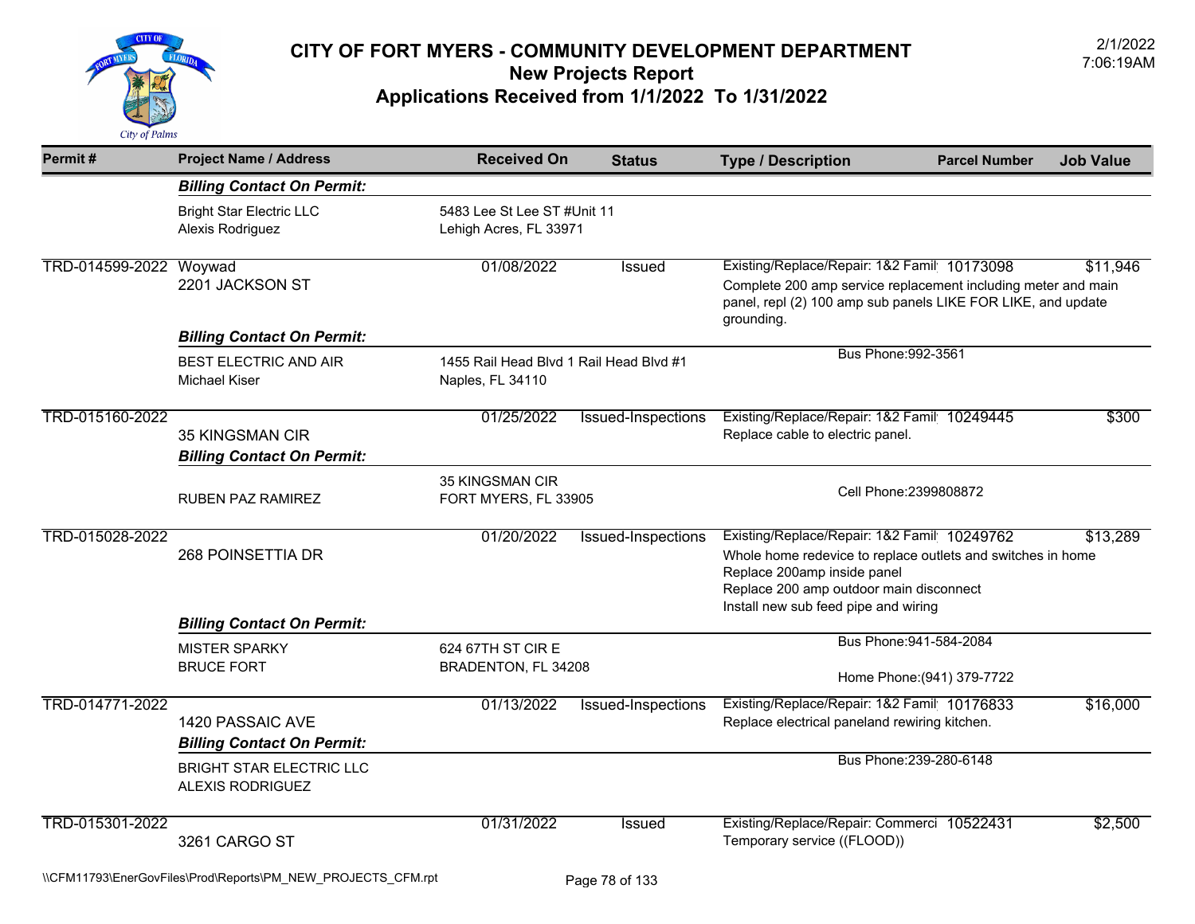

| Permit#         | <b>Project Name / Address</b>                               | <b>Received On</b>                                          | <b>Status</b>      | <b>Type / Description</b>                                                                                                                                                                                                    | <b>Parcel Number</b>                                  | <b>Job Value</b> |
|-----------------|-------------------------------------------------------------|-------------------------------------------------------------|--------------------|------------------------------------------------------------------------------------------------------------------------------------------------------------------------------------------------------------------------------|-------------------------------------------------------|------------------|
|                 | <b>Billing Contact On Permit:</b>                           |                                                             |                    |                                                                                                                                                                                                                              |                                                       |                  |
|                 | <b>Bright Star Electric LLC</b><br>Alexis Rodriguez         | 5483 Lee St Lee ST #Unit 11<br>Lehigh Acres, FL 33971       |                    |                                                                                                                                                                                                                              |                                                       |                  |
| TRD-014599-2022 | Woywad<br>2201 JACKSON ST                                   | 01/08/2022                                                  | <b>Issued</b>      | Existing/Replace/Repair: 1&2 Famil 10173098<br>Complete 200 amp service replacement including meter and main<br>panel, repl (2) 100 amp sub panels LIKE FOR LIKE, and update<br>grounding.                                   |                                                       | \$11,946         |
|                 | <b>Billing Contact On Permit:</b>                           |                                                             |                    | Bus Phone: 992-3561                                                                                                                                                                                                          |                                                       |                  |
|                 | <b>BEST ELECTRIC AND AIR</b><br><b>Michael Kiser</b>        | 1455 Rail Head Blvd 1 Rail Head Blvd #1<br>Naples, FL 34110 |                    |                                                                                                                                                                                                                              |                                                       |                  |
| TRD-015160-2022 | <b>35 KINGSMAN CIR</b><br><b>Billing Contact On Permit:</b> | 01/25/2022                                                  | Issued-Inspections | Existing/Replace/Repair: 1&2 Famil 10249445<br>Replace cable to electric panel.                                                                                                                                              |                                                       | \$300            |
|                 | RUBEN PAZ RAMIREZ                                           | <b>35 KINGSMAN CIR</b><br>FORT MYERS, FL 33905              |                    | Cell Phone: 2399808872                                                                                                                                                                                                       |                                                       |                  |
| TRD-015028-2022 | 268 POINSETTIA DR                                           | 01/20/2022                                                  | Issued-Inspections | Existing/Replace/Repair: 1&2 Famil 10249762<br>Whole home redevice to replace outlets and switches in home<br>Replace 200amp inside panel<br>Replace 200 amp outdoor main disconnect<br>Install new sub feed pipe and wiring |                                                       | \$13,289         |
|                 | <b>Billing Contact On Permit:</b>                           |                                                             |                    |                                                                                                                                                                                                                              |                                                       |                  |
|                 | <b>MISTER SPARKY</b><br><b>BRUCE FORT</b>                   | 624 67TH ST CIR E<br>BRADENTON, FL 34208                    |                    |                                                                                                                                                                                                                              | Bus Phone: 941-584-2084<br>Home Phone: (941) 379-7722 |                  |
| TRD-014771-2022 | 1420 PASSAIC AVE<br><b>Billing Contact On Permit:</b>       | 01/13/2022                                                  | Issued-Inspections | Existing/Replace/Repair: 1&2 Famil 10176833<br>Replace electrical paneland rewiring kitchen.                                                                                                                                 |                                                       | \$16,000         |
|                 | <b>BRIGHT STAR ELECTRIC LLC</b><br>ALEXIS RODRIGUEZ         |                                                             |                    | Bus Phone: 239-280-6148                                                                                                                                                                                                      |                                                       |                  |
| TRD-015301-2022 | 3261 CARGO ST                                               | 01/31/2022                                                  | <b>Issued</b>      | Existing/Replace/Repair: Commerci 10522431<br>Temporary service ((FLOOD))                                                                                                                                                    |                                                       | \$2,500          |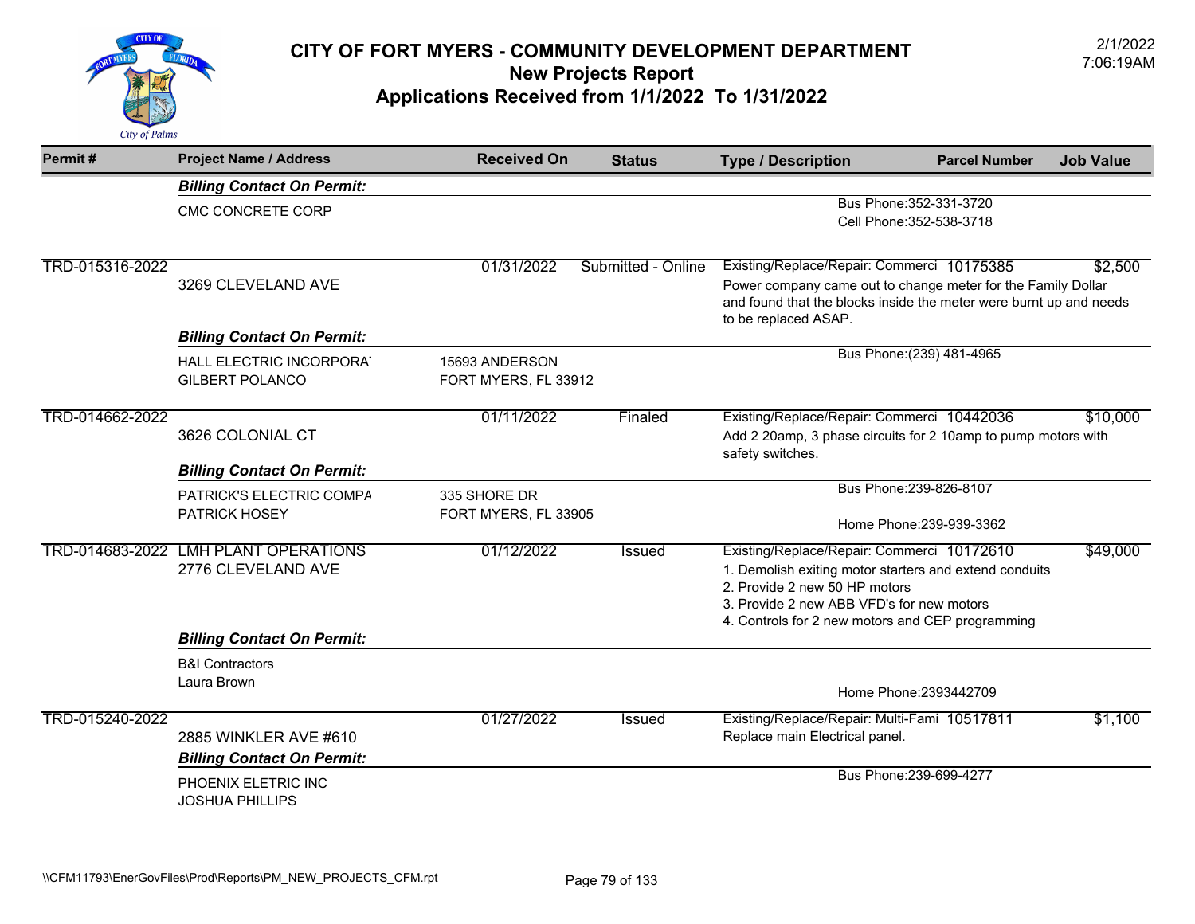

| Permit#         | <b>Project Name / Address</b>                      | <b>Received On</b>                     | <b>Status</b>      | <b>Type / Description</b>                                                                                  | <b>Parcel Number</b>                                | <b>Job Value</b> |
|-----------------|----------------------------------------------------|----------------------------------------|--------------------|------------------------------------------------------------------------------------------------------------|-----------------------------------------------------|------------------|
|                 | <b>Billing Contact On Permit:</b>                  |                                        |                    |                                                                                                            |                                                     |                  |
|                 | CMC CONCRETE CORP                                  |                                        |                    |                                                                                                            | Bus Phone: 352-331-3720<br>Cell Phone: 352-538-3718 |                  |
|                 |                                                    |                                        |                    |                                                                                                            |                                                     |                  |
| TRD-015316-2022 | 3269 CLEVELAND AVE                                 | 01/31/2022                             | Submitted - Online | Existing/Replace/Repair: Commerci 10175385<br>Power company came out to change meter for the Family Dollar |                                                     | \$2,500          |
|                 |                                                    |                                        |                    | and found that the blocks inside the meter were burnt up and needs<br>to be replaced ASAP.                 |                                                     |                  |
|                 | <b>Billing Contact On Permit:</b>                  |                                        |                    |                                                                                                            |                                                     |                  |
|                 | HALL ELECTRIC INCORPORAT<br><b>GILBERT POLANCO</b> | 15693 ANDERSON<br>FORT MYERS, FL 33912 |                    |                                                                                                            | Bus Phone: (239) 481-4965                           |                  |
| TRD-014662-2022 |                                                    | 01/11/2022                             | Finaled            | Existing/Replace/Repair: Commerci 10442036                                                                 |                                                     | \$10,000         |
|                 | 3626 COLONIAL CT                                   |                                        |                    | Add 2 20amp, 3 phase circuits for 2 10amp to pump motors with<br>safety switches.                          |                                                     |                  |
|                 | <b>Billing Contact On Permit:</b>                  |                                        |                    |                                                                                                            |                                                     |                  |
|                 | PATRICK'S ELECTRIC COMPA                           | 335 SHORE DR                           |                    |                                                                                                            | Bus Phone: 239-826-8107                             |                  |
|                 | <b>PATRICK HOSEY</b>                               | FORT MYERS, FL 33905                   |                    |                                                                                                            | Home Phone: 239-939-3362                            |                  |
|                 | TRD-014683-2022 LMH PLANT OPERATIONS               | 01/12/2022                             | Issued             | Existing/Replace/Repair: Commerci 10172610                                                                 |                                                     | \$49,000         |
|                 | 2776 CLEVELAND AVE                                 |                                        |                    | 1. Demolish exiting motor starters and extend conduits                                                     |                                                     |                  |
|                 |                                                    |                                        |                    | 2. Provide 2 new 50 HP motors<br>3. Provide 2 new ABB VFD's for new motors                                 |                                                     |                  |
|                 |                                                    |                                        |                    | 4. Controls for 2 new motors and CEP programming                                                           |                                                     |                  |
|                 | <b>Billing Contact On Permit:</b>                  |                                        |                    |                                                                                                            |                                                     |                  |
|                 | <b>B&amp;I Contractors</b>                         |                                        |                    |                                                                                                            |                                                     |                  |
|                 | Laura Brown                                        |                                        |                    |                                                                                                            | Home Phone: 2393442709                              |                  |
| TRD-015240-2022 |                                                    | 01/27/2022                             | <b>Issued</b>      | Existing/Replace/Repair: Multi-Fami 10517811                                                               |                                                     | \$1,100          |
|                 | 2885 WINKLER AVE #610                              |                                        |                    | Replace main Electrical panel.                                                                             |                                                     |                  |
|                 | <b>Billing Contact On Permit:</b>                  |                                        |                    |                                                                                                            |                                                     |                  |
|                 | PHOENIX ELETRIC INC<br><b>JOSHUA PHILLIPS</b>      |                                        |                    |                                                                                                            | Bus Phone: 239-699-4277                             |                  |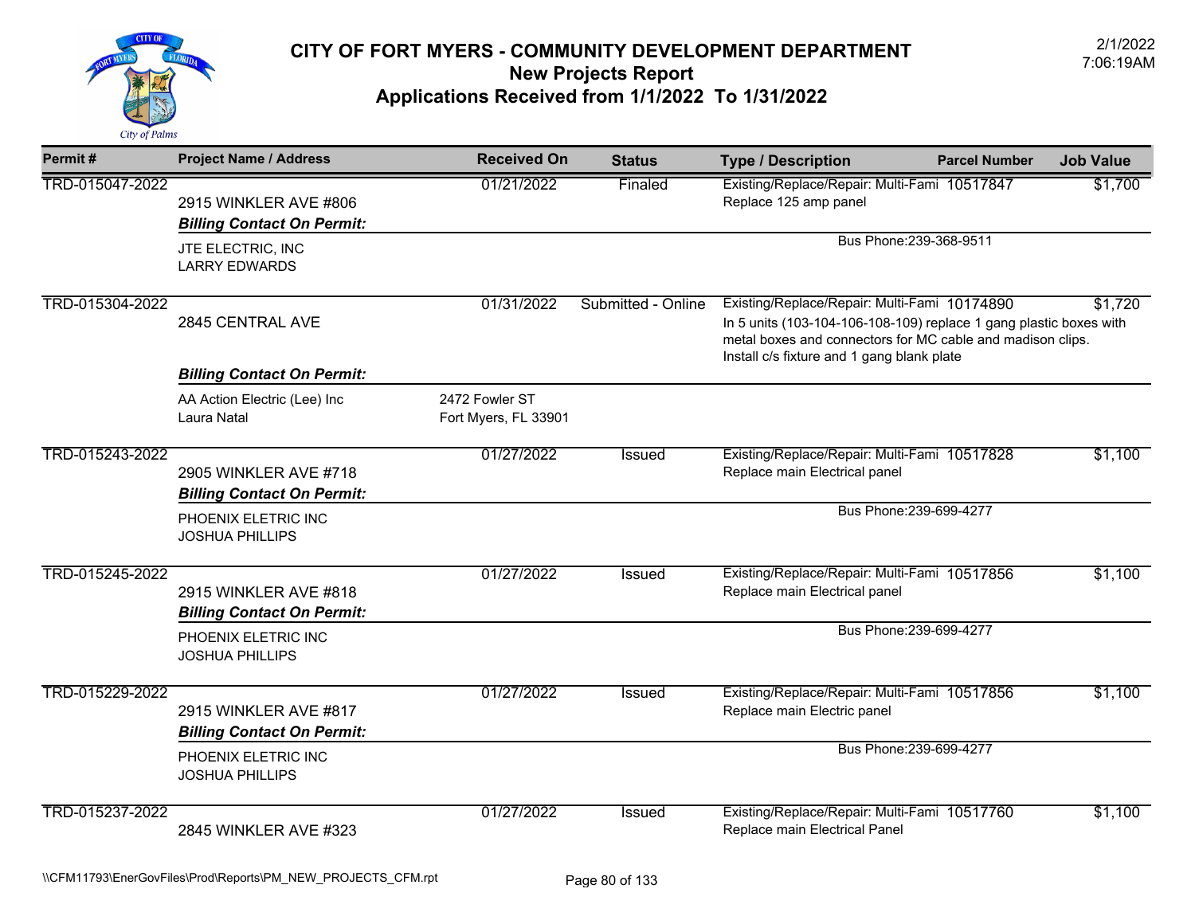

| Permit#         | <b>Project Name / Address</b>                              | <b>Received On</b>                     | <b>Status</b>      | <b>Type / Description</b>                                                                                                                                                                                                      | <b>Parcel Number</b>    | <b>Job Value</b> |
|-----------------|------------------------------------------------------------|----------------------------------------|--------------------|--------------------------------------------------------------------------------------------------------------------------------------------------------------------------------------------------------------------------------|-------------------------|------------------|
| TRD-015047-2022 | 2915 WINKLER AVE #806<br><b>Billing Contact On Permit:</b> | 01/21/2022                             | Finaled            | Existing/Replace/Repair: Multi-Fami 10517847<br>Replace 125 amp panel                                                                                                                                                          |                         | \$1,700          |
|                 | JTE ELECTRIC, INC<br><b>LARRY EDWARDS</b>                  |                                        |                    | Bus Phone: 239-368-9511                                                                                                                                                                                                        |                         |                  |
| TRD-015304-2022 | 2845 CENTRAL AVE                                           | 01/31/2022                             | Submitted - Online | Existing/Replace/Repair: Multi-Fami 10174890<br>In 5 units (103-104-106-108-109) replace 1 gang plastic boxes with<br>metal boxes and connectors for MC cable and madison clips.<br>Install c/s fixture and 1 gang blank plate |                         | \$1,720          |
|                 | <b>Billing Contact On Permit:</b>                          |                                        |                    |                                                                                                                                                                                                                                |                         |                  |
|                 | AA Action Electric (Lee) Inc<br>Laura Natal                | 2472 Fowler ST<br>Fort Myers, FL 33901 |                    |                                                                                                                                                                                                                                |                         |                  |
| TRD-015243-2022 | 2905 WINKLER AVE #718<br><b>Billing Contact On Permit:</b> | 01/27/2022                             | Issued             | Existing/Replace/Repair: Multi-Fami 10517828<br>Replace main Electrical panel                                                                                                                                                  |                         | \$1,100          |
|                 | PHOENIX ELETRIC INC<br><b>JOSHUA PHILLIPS</b>              |                                        |                    |                                                                                                                                                                                                                                | Bus Phone: 239-699-4277 |                  |
| TRD-015245-2022 | 2915 WINKLER AVE #818<br><b>Billing Contact On Permit:</b> | 01/27/2022                             | Issued             | Existing/Replace/Repair: Multi-Fami 10517856<br>Replace main Electrical panel                                                                                                                                                  |                         | \$1,100          |
|                 | PHOENIX ELETRIC INC<br><b>JOSHUA PHILLIPS</b>              |                                        |                    |                                                                                                                                                                                                                                | Bus Phone: 239-699-4277 |                  |
| TRD-015229-2022 | 2915 WINKLER AVE #817<br><b>Billing Contact On Permit:</b> | 01/27/2022                             | Issued             | Existing/Replace/Repair: Multi-Fami 10517856<br>Replace main Electric panel                                                                                                                                                    |                         | \$1,100          |
|                 | PHOENIX ELETRIC INC<br><b>JOSHUA PHILLIPS</b>              |                                        |                    |                                                                                                                                                                                                                                | Bus Phone: 239-699-4277 |                  |
| TRD-015237-2022 | 2845 WINKLER AVE #323                                      | 01/27/2022                             | Issued             | Existing/Replace/Repair: Multi-Fami 10517760<br>Replace main Electrical Panel                                                                                                                                                  |                         | \$1,100          |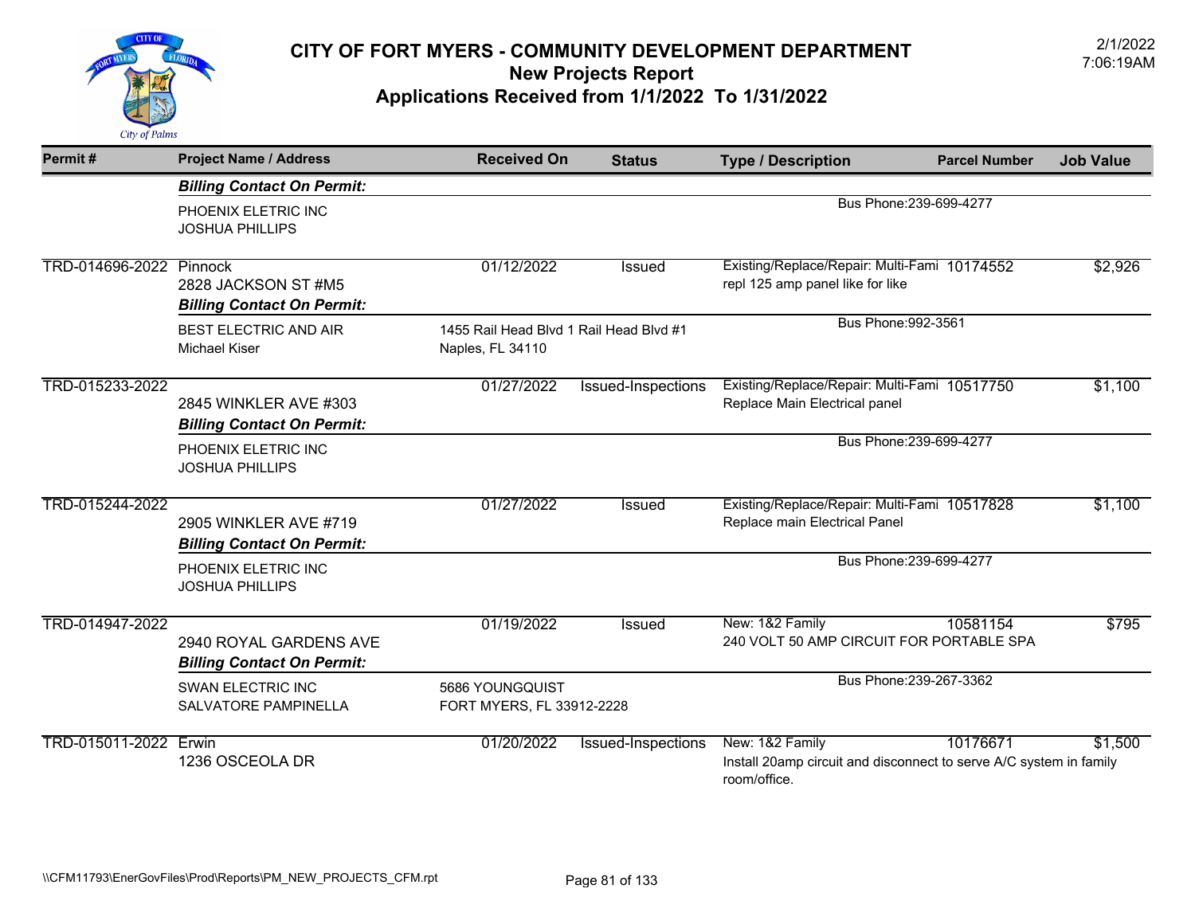

| Permit#                 | <b>Project Name / Address</b>                               | <b>Received On</b>                                          | <b>Status</b>      | <b>Type / Description</b>                                                                             | <b>Parcel Number</b>    | <b>Job Value</b> |
|-------------------------|-------------------------------------------------------------|-------------------------------------------------------------|--------------------|-------------------------------------------------------------------------------------------------------|-------------------------|------------------|
|                         | <b>Billing Contact On Permit:</b>                           |                                                             |                    |                                                                                                       |                         |                  |
|                         | PHOENIX ELETRIC INC<br><b>JOSHUA PHILLIPS</b>               |                                                             |                    | Bus Phone: 239-699-4277                                                                               |                         |                  |
| TRD-014696-2022 Pinnock | 2828 JACKSON ST #M5<br><b>Billing Contact On Permit:</b>    | 01/12/2022                                                  | <b>Issued</b>      | Existing/Replace/Repair: Multi-Fami 10174552<br>repl 125 amp panel like for like                      |                         | \$2,926          |
|                         | <b>BEST ELECTRIC AND AIR</b><br><b>Michael Kiser</b>        | 1455 Rail Head Blvd 1 Rail Head Blvd #1<br>Naples, FL 34110 |                    | Bus Phone: 992-3561                                                                                   |                         |                  |
| TRD-015233-2022         | 2845 WINKLER AVE #303<br><b>Billing Contact On Permit:</b>  | 01/27/2022                                                  | Issued-Inspections | Existing/Replace/Repair: Multi-Fami 10517750<br>Replace Main Electrical panel                         |                         | \$1,100          |
|                         | PHOENIX ELETRIC INC<br><b>JOSHUA PHILLIPS</b>               |                                                             |                    |                                                                                                       | Bus Phone: 239-699-4277 |                  |
| TRD-015244-2022         | 2905 WINKLER AVE #719<br><b>Billing Contact On Permit:</b>  | 01/27/2022                                                  | <b>Issued</b>      | Existing/Replace/Repair: Multi-Fami 10517828<br>Replace main Electrical Panel                         |                         | \$1,100          |
|                         | PHOENIX ELETRIC INC<br><b>JOSHUA PHILLIPS</b>               |                                                             |                    |                                                                                                       | Bus Phone: 239-699-4277 |                  |
| TRD-014947-2022         | 2940 ROYAL GARDENS AVE<br><b>Billing Contact On Permit:</b> | 01/19/2022                                                  | <b>Issued</b>      | New: 1&2 Family<br>240 VOLT 50 AMP CIRCUIT FOR PORTABLE SPA                                           | 10581154                | \$795            |
|                         | SWAN ELECTRIC INC<br>SALVATORE PAMPINELLA                   | 5686 YOUNGQUIST<br>FORT MYERS, FL 33912-2228                |                    |                                                                                                       | Bus Phone: 239-267-3362 |                  |
| TRD-015011-2022 Erwin   | 1236 OSCEOLA DR                                             | 01/20/2022                                                  | Issued-Inspections | New: 1&2 Family<br>Install 20amp circuit and disconnect to serve A/C system in family<br>room/office. | 10176671                | \$1,500          |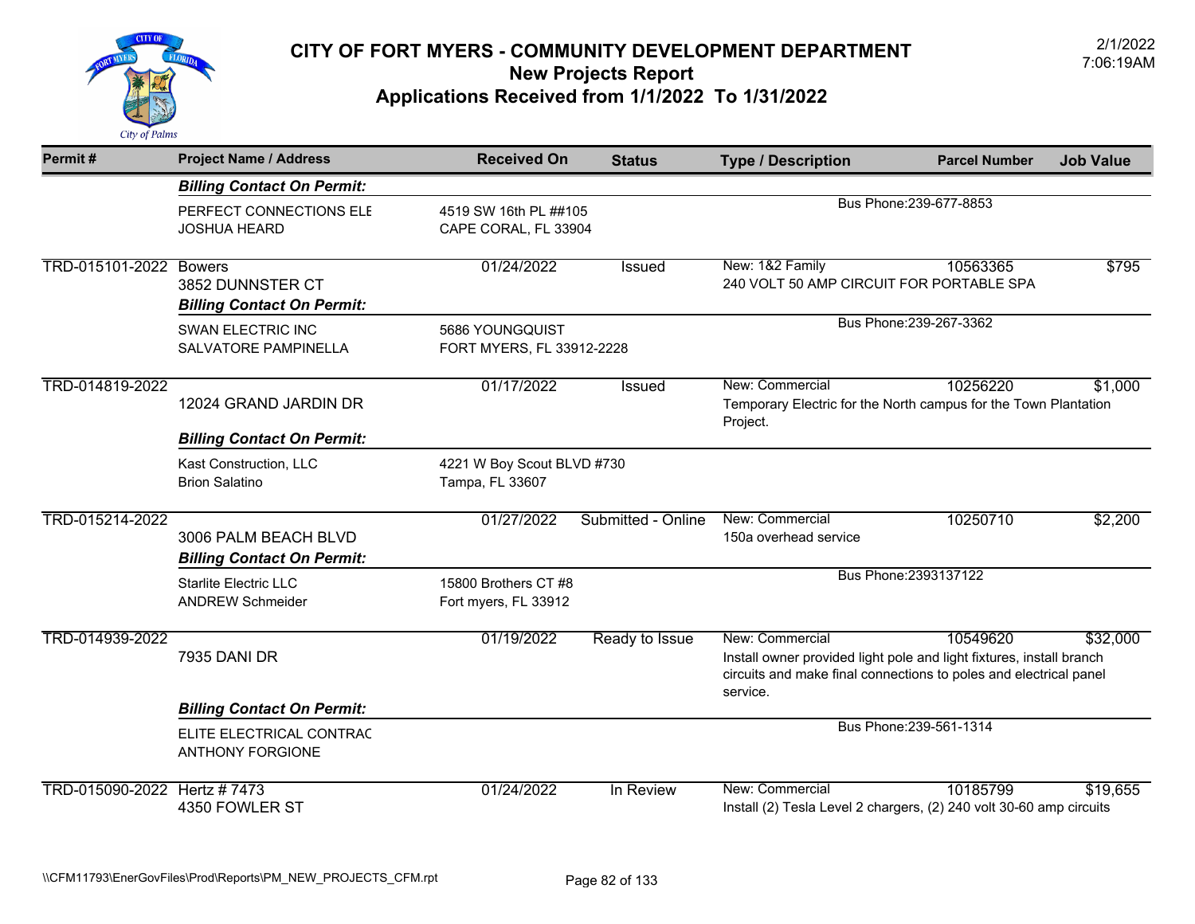

| Permit#                | <b>Project Name / Address</b>                             | <b>Received On</b>                            | <b>Status</b>      | <b>Type / Description</b>                                                                                                                                                | <b>Parcel Number</b>    | <b>Job Value</b> |
|------------------------|-----------------------------------------------------------|-----------------------------------------------|--------------------|--------------------------------------------------------------------------------------------------------------------------------------------------------------------------|-------------------------|------------------|
|                        | <b>Billing Contact On Permit:</b>                         |                                               |                    |                                                                                                                                                                          |                         |                  |
|                        | PERFECT CONNECTIONS ELE<br>JOSHUA HEARD                   | 4519 SW 16th PL ##105<br>CAPE CORAL, FL 33904 |                    |                                                                                                                                                                          | Bus Phone: 239-677-8853 |                  |
| TRD-015101-2022 Bowers | 3852 DUNNSTER CT<br><b>Billing Contact On Permit:</b>     | 01/24/2022                                    | Issued             | New: 1&2 Family<br>240 VOLT 50 AMP CIRCUIT FOR PORTABLE SPA                                                                                                              | 10563365                | \$795            |
|                        | <b>SWAN ELECTRIC INC</b><br><b>SALVATORE PAMPINELLA</b>   | 5686 YOUNGQUIST<br>FORT MYERS, FL 33912-2228  |                    |                                                                                                                                                                          | Bus Phone: 239-267-3362 |                  |
| TRD-014819-2022        | 12024 GRAND JARDIN DR                                     | 01/17/2022                                    | Issued             | New: Commercial<br>Temporary Electric for the North campus for the Town Plantation<br>Project.                                                                           | 10256220                | \$1,000          |
|                        | <b>Billing Contact On Permit:</b>                         |                                               |                    |                                                                                                                                                                          |                         |                  |
|                        | Kast Construction, LLC<br><b>Brion Salatino</b>           | 4221 W Boy Scout BLVD #730<br>Tampa, FL 33607 |                    |                                                                                                                                                                          |                         |                  |
| TRD-015214-2022        | 3006 PALM BEACH BLVD<br><b>Billing Contact On Permit:</b> | 01/27/2022                                    | Submitted - Online | New: Commercial<br>150a overhead service                                                                                                                                 | 10250710                | \$2,200          |
|                        | <b>Starlite Electric LLC</b><br><b>ANDREW Schmeider</b>   | 15800 Brothers CT #8<br>Fort myers, FL 33912  |                    |                                                                                                                                                                          | Bus Phone: 2393137122   |                  |
| TRD-014939-2022        | <b>7935 DANI DR</b>                                       | 01/19/2022                                    | Ready to Issue     | New: Commercial<br>Install owner provided light pole and light fixtures, install branch<br>circuits and make final connections to poles and electrical panel<br>service. | 10549620                | \$32,000         |
|                        | <b>Billing Contact On Permit:</b>                         |                                               |                    |                                                                                                                                                                          |                         |                  |
|                        | ELITE ELECTRICAL CONTRAC<br><b>ANTHONY FORGIONE</b>       |                                               |                    |                                                                                                                                                                          | Bus Phone: 239-561-1314 |                  |
| TRD-015090-2022        | Hertz #7473<br>4350 FOWLER ST                             | 01/24/2022                                    | In Review          | New: Commercial<br>Install (2) Tesla Level 2 chargers, (2) 240 volt 30-60 amp circuits                                                                                   | 10185799                | \$19.655         |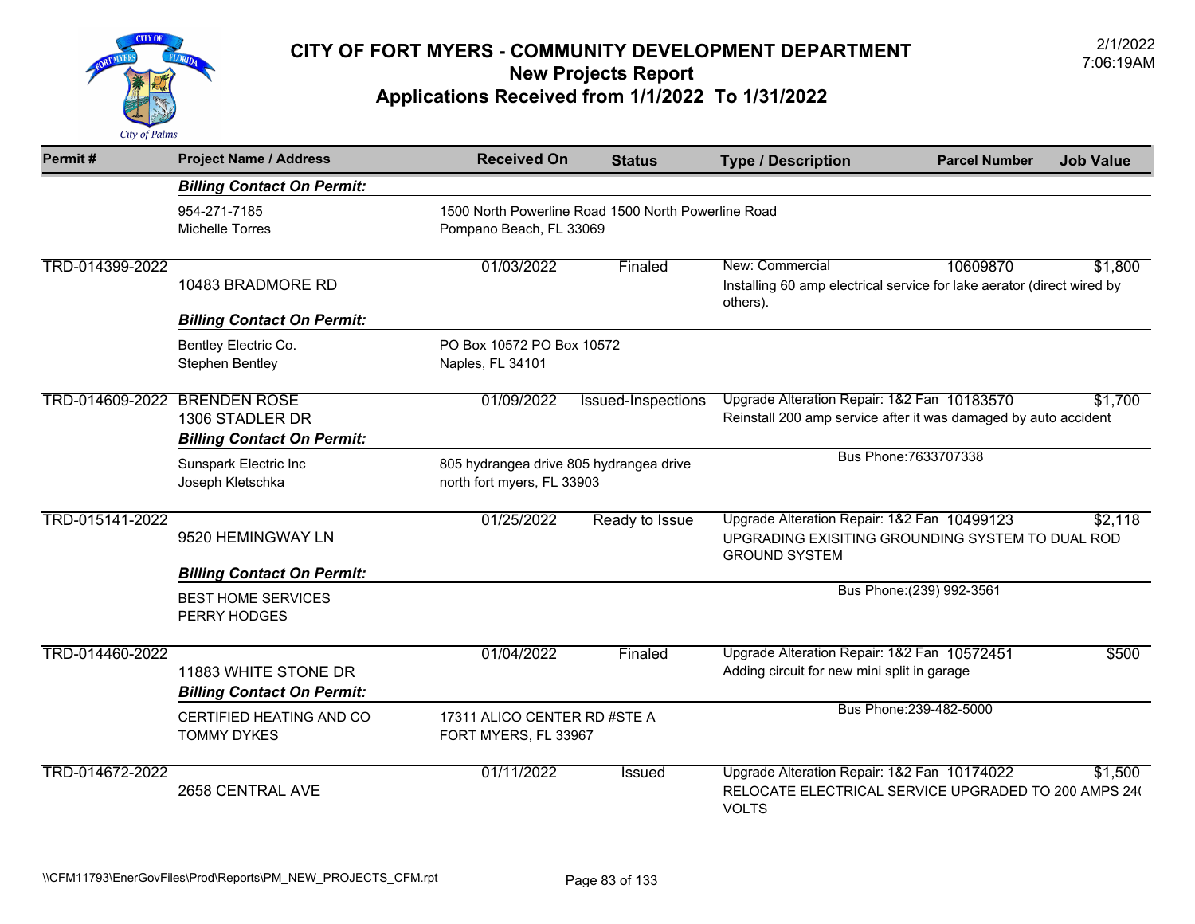

| Permit#         | <b>Project Name / Address</b>                                                  | <b>Received On</b>                                                    | <b>Status</b>                                                                  | <b>Type / Description</b>                                                                                               | <b>Parcel Number</b>                                                                                                      | <b>Job Value</b> |  |
|-----------------|--------------------------------------------------------------------------------|-----------------------------------------------------------------------|--------------------------------------------------------------------------------|-------------------------------------------------------------------------------------------------------------------------|---------------------------------------------------------------------------------------------------------------------------|------------------|--|
|                 | <b>Billing Contact On Permit:</b>                                              |                                                                       |                                                                                |                                                                                                                         |                                                                                                                           |                  |  |
|                 | 954-271-7185<br><b>Michelle Torres</b>                                         |                                                                       | 1500 North Powerline Road 1500 North Powerline Road<br>Pompano Beach, FL 33069 |                                                                                                                         |                                                                                                                           |                  |  |
| TRD-014399-2022 | 10483 BRADMORE RD                                                              | 01/03/2022                                                            | Finaled                                                                        | New: Commercial<br>Installing 60 amp electrical service for lake aerator (direct wired by<br>others).                   | 10609870                                                                                                                  | \$1,800          |  |
|                 | <b>Billing Contact On Permit:</b>                                              |                                                                       |                                                                                |                                                                                                                         |                                                                                                                           |                  |  |
|                 | Bentley Electric Co.<br>Stephen Bentley                                        | PO Box 10572 PO Box 10572<br>Naples, FL 34101                         |                                                                                |                                                                                                                         |                                                                                                                           |                  |  |
| TRD-014609-2022 | <b>BRENDEN ROSE</b><br>1306 STADLER DR                                         | 01/09/2022                                                            | Issued-Inspections                                                             |                                                                                                                         | Upgrade Alteration Repair: 1&2 Fan 10183570<br>\$1,700<br>Reinstall 200 amp service after it was damaged by auto accident |                  |  |
|                 | <b>Billing Contact On Permit:</b><br>Sunspark Electric Inc<br>Joseph Kletschka | 805 hydrangea drive 805 hydrangea drive<br>north fort myers, FL 33903 |                                                                                |                                                                                                                         | Bus Phone: 7633707338                                                                                                     |                  |  |
| TRD-015141-2022 | 9520 HEMINGWAY LN                                                              | 01/25/2022                                                            | Ready to Issue                                                                 | Upgrade Alteration Repair: 1&2 Fan 10499123<br>UPGRADING EXISITING GROUNDING SYSTEM TO DUAL ROD<br><b>GROUND SYSTEM</b> |                                                                                                                           | \$2,118          |  |
|                 | <b>Billing Contact On Permit:</b><br><b>BEST HOME SERVICES</b><br>PERRY HODGES |                                                                       |                                                                                |                                                                                                                         | Bus Phone: (239) 992-3561                                                                                                 |                  |  |
| TRD-014460-2022 | 11883 WHITE STONE DR<br><b>Billing Contact On Permit:</b>                      | 01/04/2022                                                            | Finaled                                                                        | Upgrade Alteration Repair: 1&2 Fan 10572451<br>Adding circuit for new mini split in garage                              |                                                                                                                           | \$500            |  |
|                 | CERTIFIED HEATING AND CO<br><b>TOMMY DYKES</b>                                 | 17311 ALICO CENTER RD #STE A<br>FORT MYERS, FL 33967                  |                                                                                |                                                                                                                         | Bus Phone: 239-482-5000                                                                                                   |                  |  |
| TRD-014672-2022 | 2658 CENTRAL AVE                                                               | 01/11/2022                                                            | <b>Issued</b>                                                                  | Upgrade Alteration Repair: 1&2 Fan 10174022<br>RELOCATE ELECTRICAL SERVICE UPGRADED TO 200 AMPS 240<br><b>VOLTS</b>     |                                                                                                                           | \$1,500          |  |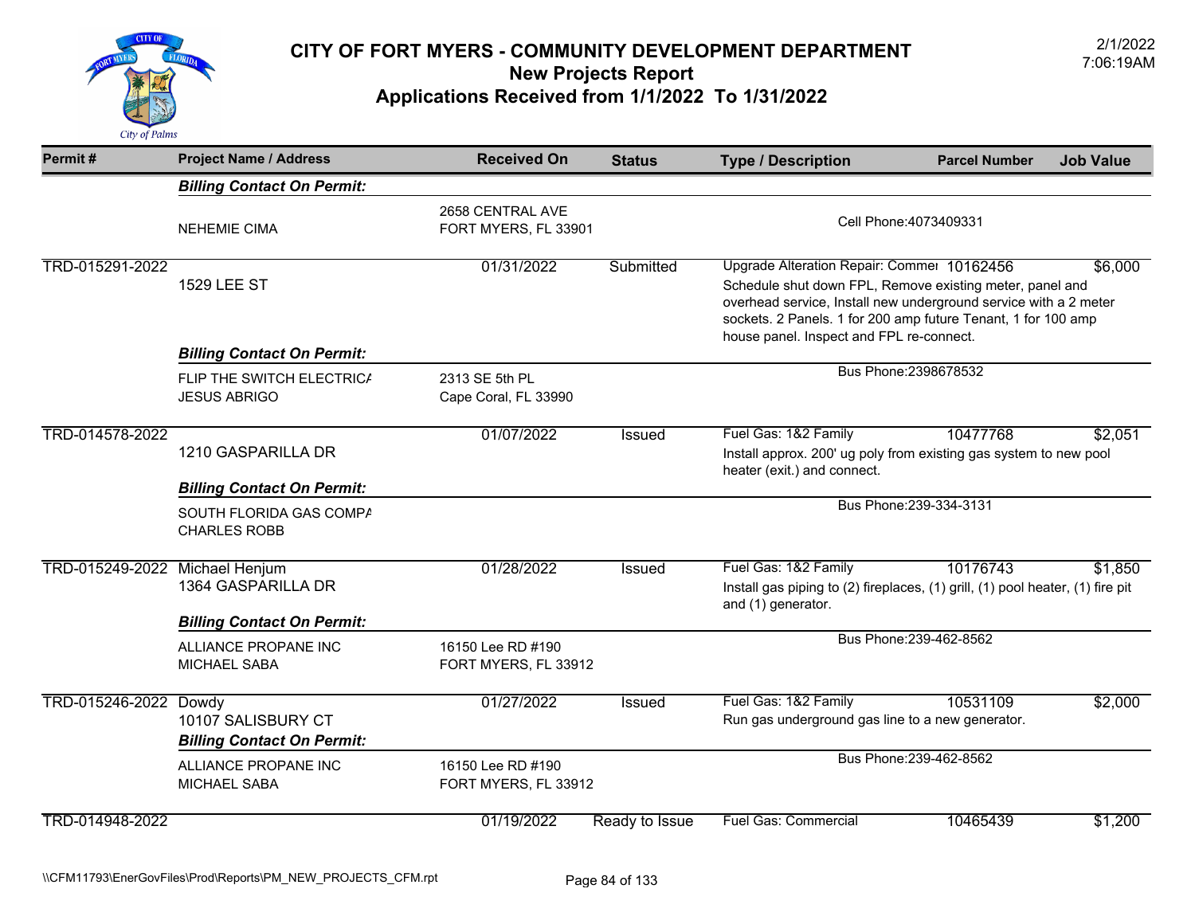

| Permit#                        | <b>Project Name / Address</b>                                                    | <b>Received On</b>                        | <b>Status</b>  | <b>Type / Description</b>                                                                                                                                                                                                                                                               | <b>Parcel Number</b>    | <b>Job Value</b> |
|--------------------------------|----------------------------------------------------------------------------------|-------------------------------------------|----------------|-----------------------------------------------------------------------------------------------------------------------------------------------------------------------------------------------------------------------------------------------------------------------------------------|-------------------------|------------------|
|                                | <b>Billing Contact On Permit:</b>                                                |                                           |                |                                                                                                                                                                                                                                                                                         |                         |                  |
|                                | <b>NEHEMIE CIMA</b>                                                              | 2658 CENTRAL AVE<br>FORT MYERS, FL 33901  |                | Cell Phone: 4073409331                                                                                                                                                                                                                                                                  |                         |                  |
| TRD-015291-2022                | <b>1529 LEE ST</b>                                                               | 01/31/2022                                | Submitted      | Upgrade Alteration Repair: Commer 10162456<br>Schedule shut down FPL, Remove existing meter, panel and<br>overhead service, Install new underground service with a 2 meter<br>sockets. 2 Panels. 1 for 200 amp future Tenant, 1 for 100 amp<br>house panel. Inspect and FPL re-connect. |                         | \$6,000          |
|                                | <b>Billing Contact On Permit:</b>                                                |                                           |                |                                                                                                                                                                                                                                                                                         |                         |                  |
|                                | FLIP THE SWITCH ELECTRICA<br><b>JESUS ABRIGO</b>                                 | 2313 SE 5th PL<br>Cape Coral, FL 33990    |                |                                                                                                                                                                                                                                                                                         | Bus Phone: 2398678532   |                  |
| TRD-014578-2022                | 1210 GASPARILLA DR                                                               | 01/07/2022                                | <b>Issued</b>  | Fuel Gas: 1&2 Family<br>Install approx. 200' ug poly from existing gas system to new pool<br>heater (exit.) and connect.                                                                                                                                                                | 10477768                | \$2,051          |
|                                | <b>Billing Contact On Permit:</b>                                                |                                           |                |                                                                                                                                                                                                                                                                                         |                         |                  |
|                                | SOUTH FLORIDA GAS COMPA<br><b>CHARLES ROBB</b>                                   |                                           |                |                                                                                                                                                                                                                                                                                         | Bus Phone: 239-334-3131 |                  |
| TRD-015249-2022 Michael Henjum | 1364 GASPARILLA DR                                                               | 01/28/2022                                | Issued         | Fuel Gas: 1&2 Family<br>Install gas piping to (2) fireplaces, (1) grill, (1) pool heater, (1) fire pit<br>and (1) generator.                                                                                                                                                            | 10176743                | \$1,850          |
|                                | <b>Billing Contact On Permit:</b><br>ALLIANCE PROPANE INC<br><b>MICHAEL SABA</b> | 16150 Lee RD #190<br>FORT MYERS, FL 33912 |                |                                                                                                                                                                                                                                                                                         | Bus Phone: 239-462-8562 |                  |
| TRD-015246-2022 Dowdy          | 10107 SALISBURY CT<br><b>Billing Contact On Permit:</b>                          | 01/27/2022                                | Issued         | Fuel Gas: 1&2 Family<br>Run gas underground gas line to a new generator.                                                                                                                                                                                                                | 10531109                | \$2,000          |
|                                | ALLIANCE PROPANE INC<br><b>MICHAEL SABA</b>                                      | 16150 Lee RD #190<br>FORT MYERS, FL 33912 |                |                                                                                                                                                                                                                                                                                         | Bus Phone: 239-462-8562 |                  |
| TRD-014948-2022                |                                                                                  | 01/19/2022                                | Ready to Issue | <b>Fuel Gas: Commercial</b>                                                                                                                                                                                                                                                             | 10465439                | \$1,200          |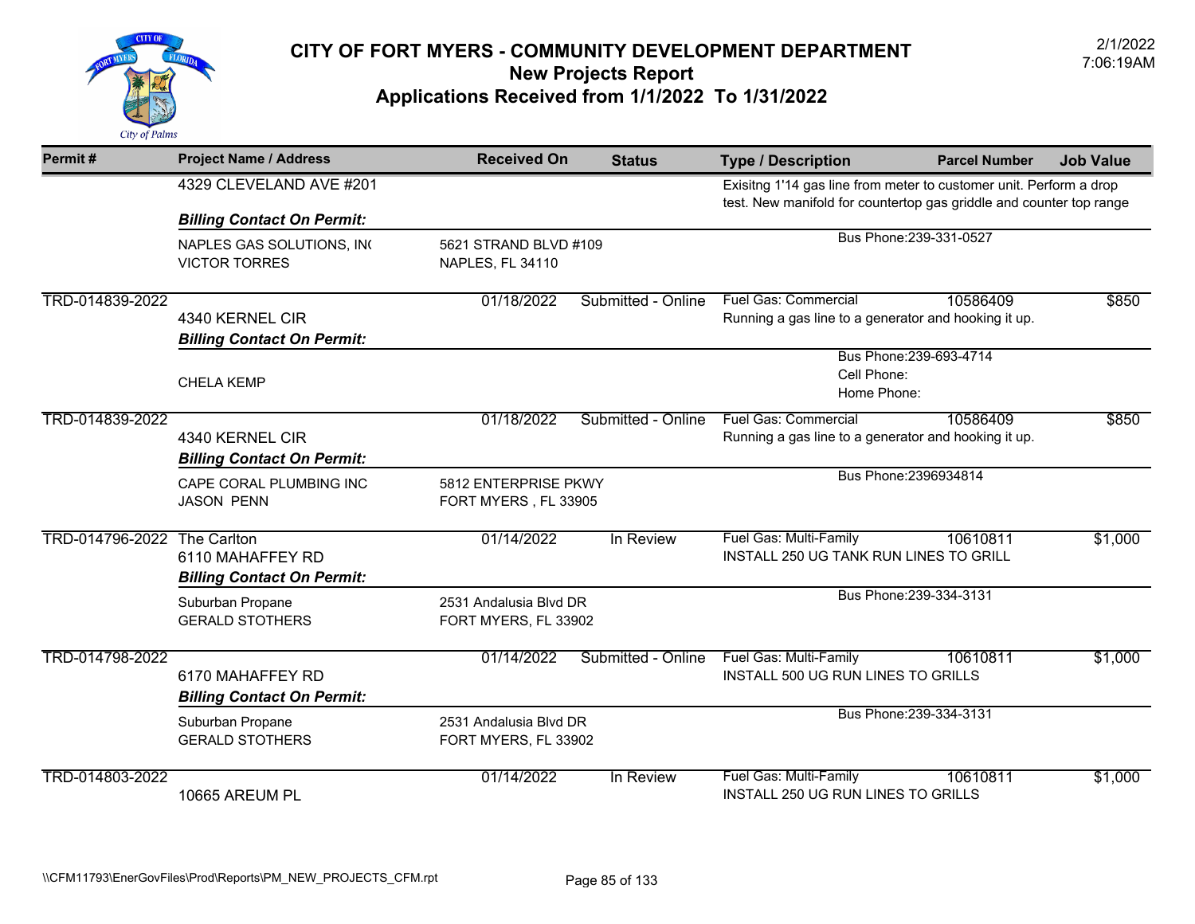

| Permit#         | <b>Project Name / Address</b>                                        | <b>Received On</b>                             | <b>Status</b>         | <b>Type / Description</b>                                                                                                                 | <b>Parcel Number</b>    | <b>Job Value</b> |
|-----------------|----------------------------------------------------------------------|------------------------------------------------|-----------------------|-------------------------------------------------------------------------------------------------------------------------------------------|-------------------------|------------------|
|                 | 4329 CLEVELAND AVE #201                                              |                                                |                       | Exisitng 1'14 gas line from meter to customer unit. Perform a drop<br>test. New manifold for countertop gas griddle and counter top range |                         |                  |
|                 | <b>Billing Contact On Permit:</b>                                    |                                                |                       |                                                                                                                                           | Bus Phone: 239-331-0527 |                  |
|                 | NAPLES GAS SOLUTIONS, INC<br><b>VICTOR TORRES</b>                    | NAPLES, FL 34110                               | 5621 STRAND BLVD #109 |                                                                                                                                           |                         |                  |
| TRD-014839-2022 | 4340 KERNEL CIR<br><b>Billing Contact On Permit:</b>                 | 01/18/2022                                     | Submitted - Online    | <b>Fuel Gas: Commercial</b><br>Running a gas line to a generator and hooking it up.                                                       | 10586409                | \$850            |
|                 | <b>CHELA KEMP</b>                                                    |                                                |                       | Cell Phone:<br>Home Phone:                                                                                                                | Bus Phone: 239-693-4714 |                  |
| TRD-014839-2022 | 4340 KERNEL CIR<br><b>Billing Contact On Permit:</b>                 | 01/18/2022                                     | Submitted - Online    | <b>Fuel Gas: Commercial</b><br>Running a gas line to a generator and hooking it up.                                                       | 10586409                | \$850            |
|                 | CAPE CORAL PLUMBING INC<br><b>JASON PENN</b>                         | 5812 ENTERPRISE PKWY<br>FORT MYERS, FL 33905   |                       |                                                                                                                                           | Bus Phone: 2396934814   |                  |
| TRD-014796-2022 | The Carlton<br>6110 MAHAFFEY RD<br><b>Billing Contact On Permit:</b> | 01/14/2022                                     | In Review             | Fuel Gas: Multi-Family<br>INSTALL 250 UG TANK RUN LINES TO GRILL                                                                          | 10610811                | \$1,000          |
|                 | Suburban Propane<br><b>GERALD STOTHERS</b>                           | 2531 Andalusia Blvd DR<br>FORT MYERS, FL 33902 |                       |                                                                                                                                           | Bus Phone: 239-334-3131 |                  |
| TRD-014798-2022 | 6170 MAHAFFEY RD<br><b>Billing Contact On Permit:</b>                | 01/14/2022                                     | Submitted - Online    | Fuel Gas: Multi-Family<br>INSTALL 500 UG RUN LINES TO GRILLS                                                                              | 10610811                | \$1,000          |
|                 | Suburban Propane<br><b>GERALD STOTHERS</b>                           | 2531 Andalusia Blvd DR<br>FORT MYERS, FL 33902 |                       |                                                                                                                                           | Bus Phone: 239-334-3131 |                  |
| TRD-014803-2022 | 10665 AREUM PL                                                       | 01/14/2022                                     | In Review             | Fuel Gas: Multi-Family<br>INSTALL 250 UG RUN LINES TO GRILLS                                                                              | 10610811                | \$1,000          |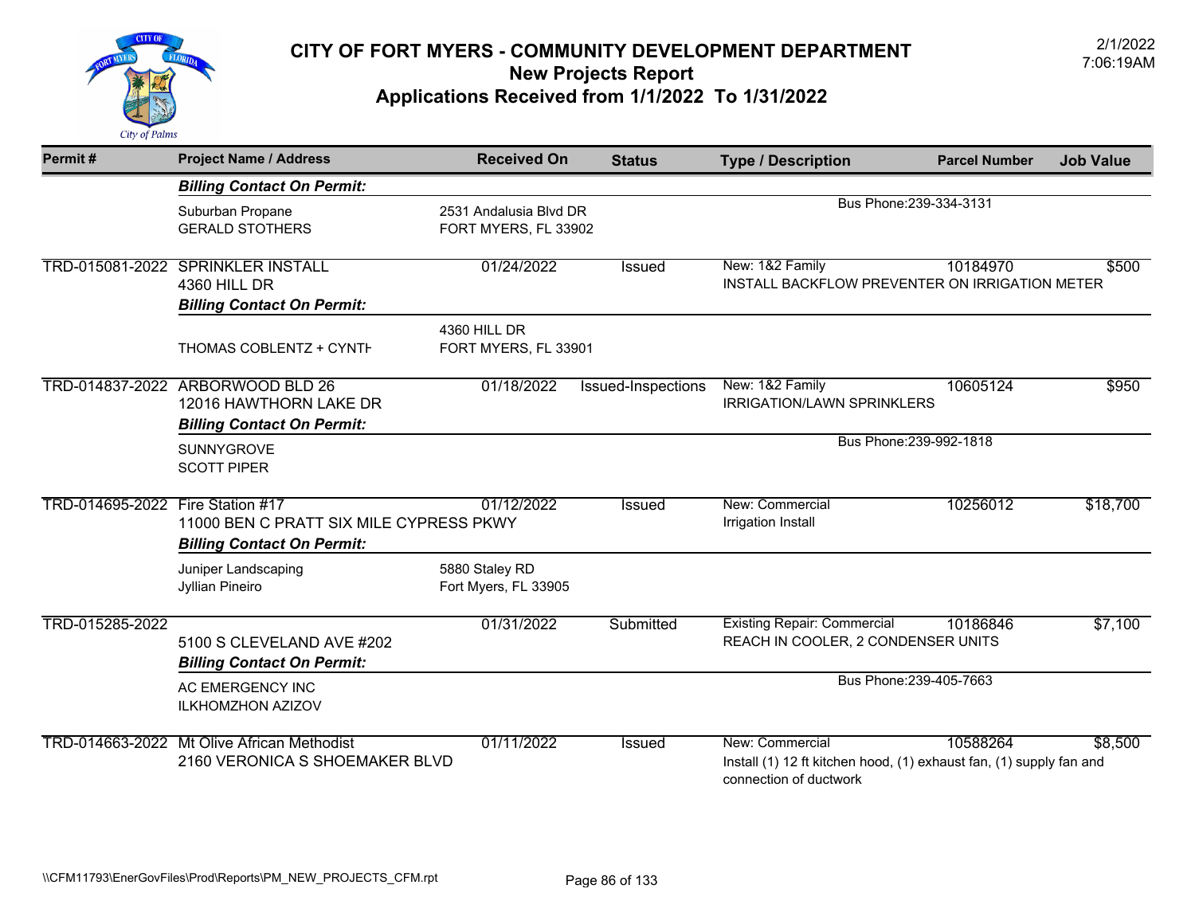

| Permit#                          | <b>Project Name / Address</b>                                                        | <b>Received On</b>                             | <b>Status</b>      | <b>Type / Description</b>                                                                                        | <b>Parcel Number</b>    | <b>Job Value</b> |
|----------------------------------|--------------------------------------------------------------------------------------|------------------------------------------------|--------------------|------------------------------------------------------------------------------------------------------------------|-------------------------|------------------|
|                                  | <b>Billing Contact On Permit:</b>                                                    |                                                |                    |                                                                                                                  |                         |                  |
|                                  | Suburban Propane<br><b>GERALD STOTHERS</b>                                           | 2531 Andalusia Blvd DR<br>FORT MYERS, FL 33902 |                    |                                                                                                                  | Bus Phone: 239-334-3131 |                  |
| TRD-015081-2022                  | <b>SPRINKLER INSTALL</b><br><b>4360 HILL DR</b><br><b>Billing Contact On Permit:</b> | 01/24/2022                                     | <b>Issued</b>      | New: 1&2 Family<br>INSTALL BACKFLOW PREVENTER ON IRRIGATION METER                                                | 10184970                | \$500            |
|                                  | THOMAS COBLENTZ + CYNTH                                                              | 4360 HILL DR<br>FORT MYERS, FL 33901           |                    |                                                                                                                  |                         |                  |
| TRD-014837-2022                  | ARBORWOOD BLD 26<br>12016 HAWTHORN LAKE DR<br><b>Billing Contact On Permit:</b>      | 01/18/2022                                     | Issued-Inspections | New: 1&2 Family<br>IRRIGATION/LAWN SPRINKLERS                                                                    | 10605124                | \$950            |
|                                  | SUNNYGROVE<br><b>SCOTT PIPER</b>                                                     |                                                |                    |                                                                                                                  | Bus Phone: 239-992-1818 |                  |
| TRD-014695-2022 Fire Station #17 | 11000 BEN C PRATT SIX MILE CYPRESS PKWY<br><b>Billing Contact On Permit:</b>         | 01/12/2022                                     | Issued             | New: Commercial<br>Irrigation Install                                                                            | 10256012                | \$18,700         |
|                                  | Juniper Landscaping<br>Jyllian Pineiro                                               | 5880 Staley RD<br>Fort Myers, FL 33905         |                    |                                                                                                                  |                         |                  |
| TRD-015285-2022                  | 5100 S CLEVELAND AVE #202<br><b>Billing Contact On Permit:</b>                       | 01/31/2022                                     | Submitted          | <b>Existing Repair: Commercial</b><br>REACH IN COOLER, 2 CONDENSER UNITS                                         | 10186846                | \$7,100          |
|                                  | AC EMERGENCY INC<br><b>ILKHOMZHON AZIZOV</b>                                         |                                                |                    |                                                                                                                  | Bus Phone: 239-405-7663 |                  |
|                                  | TRD-014663-2022 Mt Olive African Methodist<br>2160 VERONICA S SHOEMAKER BLVD         | 01/11/2022                                     | <b>Issued</b>      | New: Commercial<br>Install (1) 12 ft kitchen hood, (1) exhaust fan, (1) supply fan and<br>connection of ductwork | 10588264                | \$8,500          |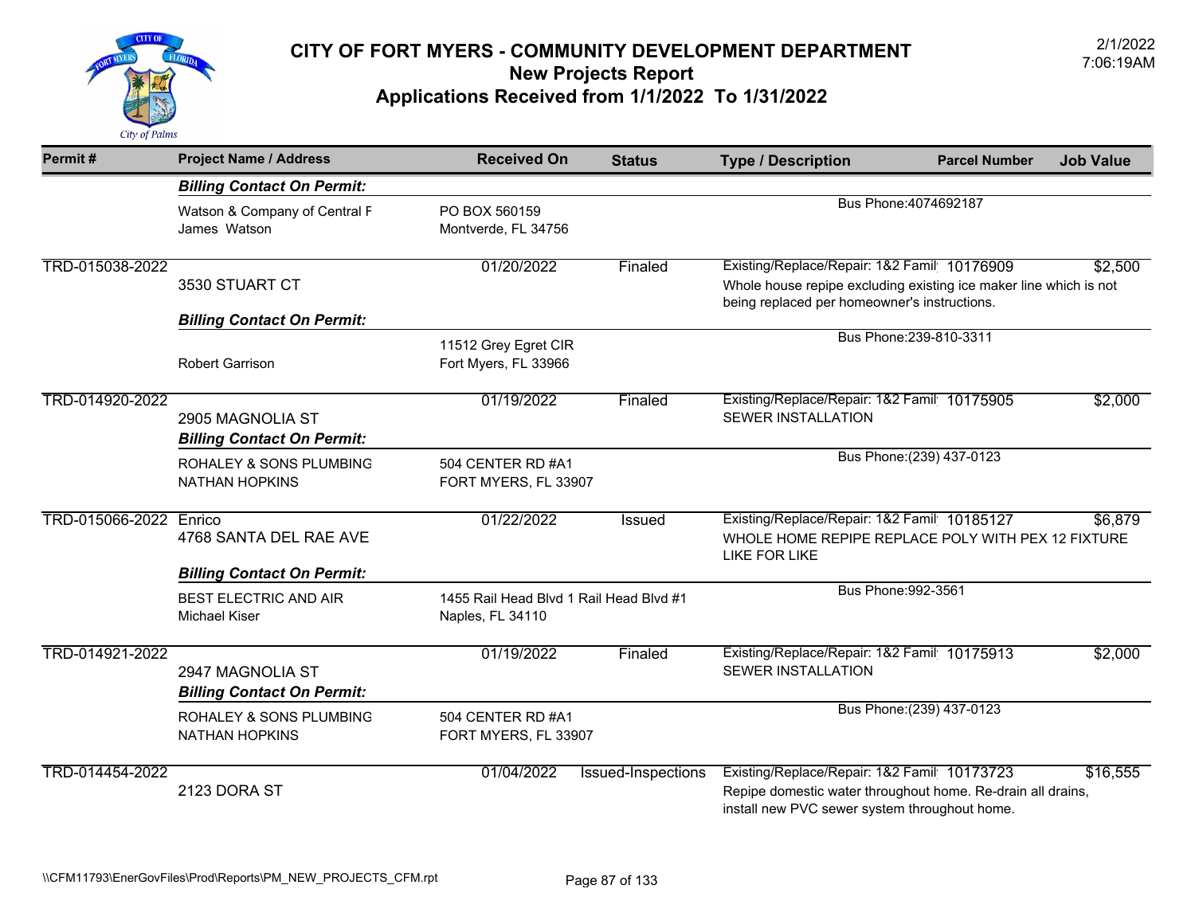

| Permit#         | <b>Project Name / Address</b>                                                             | <b>Received On</b>                                          | <b>Status</b>      | <b>Type / Description</b>                                                                                                                                        | <b>Parcel Number</b>      | <b>Job Value</b> |  |
|-----------------|-------------------------------------------------------------------------------------------|-------------------------------------------------------------|--------------------|------------------------------------------------------------------------------------------------------------------------------------------------------------------|---------------------------|------------------|--|
|                 | <b>Billing Contact On Permit:</b>                                                         |                                                             |                    |                                                                                                                                                                  |                           |                  |  |
|                 | Watson & Company of Central F<br>James Watson                                             | PO BOX 560159<br>Montverde, FL 34756                        |                    | Bus Phone: 4074692187                                                                                                                                            |                           |                  |  |
| TRD-015038-2022 | 3530 STUART CT<br><b>Billing Contact On Permit:</b>                                       | 01/20/2022                                                  | Finaled            | Existing/Replace/Repair: 1&2 Famil 10176909<br>Whole house repipe excluding existing ice maker line which is not<br>being replaced per homeowner's instructions. |                           | \$2,500          |  |
|                 | <b>Robert Garrison</b>                                                                    | 11512 Grey Egret CIR<br>Fort Myers, FL 33966                |                    |                                                                                                                                                                  | Bus Phone: 239-810-3311   |                  |  |
| TRD-014920-2022 | 2905 MAGNOLIA ST<br><b>Billing Contact On Permit:</b>                                     | 01/19/2022                                                  | Finaled            | Existing/Replace/Repair: 1&2 Famil 10175905<br><b>SEWER INSTALLATION</b>                                                                                         |                           | \$2,000          |  |
|                 | <b>ROHALEY &amp; SONS PLUMBING</b><br><b>NATHAN HOPKINS</b>                               | 504 CENTER RD #A1<br>FORT MYERS, FL 33907                   |                    |                                                                                                                                                                  | Bus Phone: (239) 437-0123 |                  |  |
| TRD-015066-2022 | Enrico<br>4768 SANTA DEL RAE AVE                                                          | 01/22/2022                                                  | Issued             | Existing/Replace/Repair: 1&2 Famil 10185127<br>WHOLE HOME REPIPE REPLACE POLY WITH PEX 12 FIXTURE<br><b>LIKE FOR LIKE</b>                                        |                           | \$6,879          |  |
|                 | <b>Billing Contact On Permit:</b><br><b>BEST ELECTRIC AND AIR</b><br><b>Michael Kiser</b> | 1455 Rail Head Blvd 1 Rail Head Blvd #1<br>Naples, FL 34110 |                    | Bus Phone: 992-3561                                                                                                                                              |                           |                  |  |
| TRD-014921-2022 | 2947 MAGNOLIA ST<br><b>Billing Contact On Permit:</b>                                     | 01/19/2022                                                  | Finaled            | Existing/Replace/Repair: 1&2 Famil 10175913<br><b>SEWER INSTALLATION</b>                                                                                         |                           | \$2,000          |  |
|                 | ROHALEY & SONS PLUMBING<br><b>NATHAN HOPKINS</b>                                          | 504 CENTER RD #A1<br>FORT MYERS, FL 33907                   |                    |                                                                                                                                                                  | Bus Phone: (239) 437-0123 |                  |  |
| TRD-014454-2022 | 2123 DORA ST                                                                              | 01/04/2022                                                  | Issued-Inspections | Existing/Replace/Repair: 1&2 Famil 10173723<br>Repipe domestic water throughout home. Re-drain all drains,<br>install new PVC sewer system throughout home.      |                           | \$16,555         |  |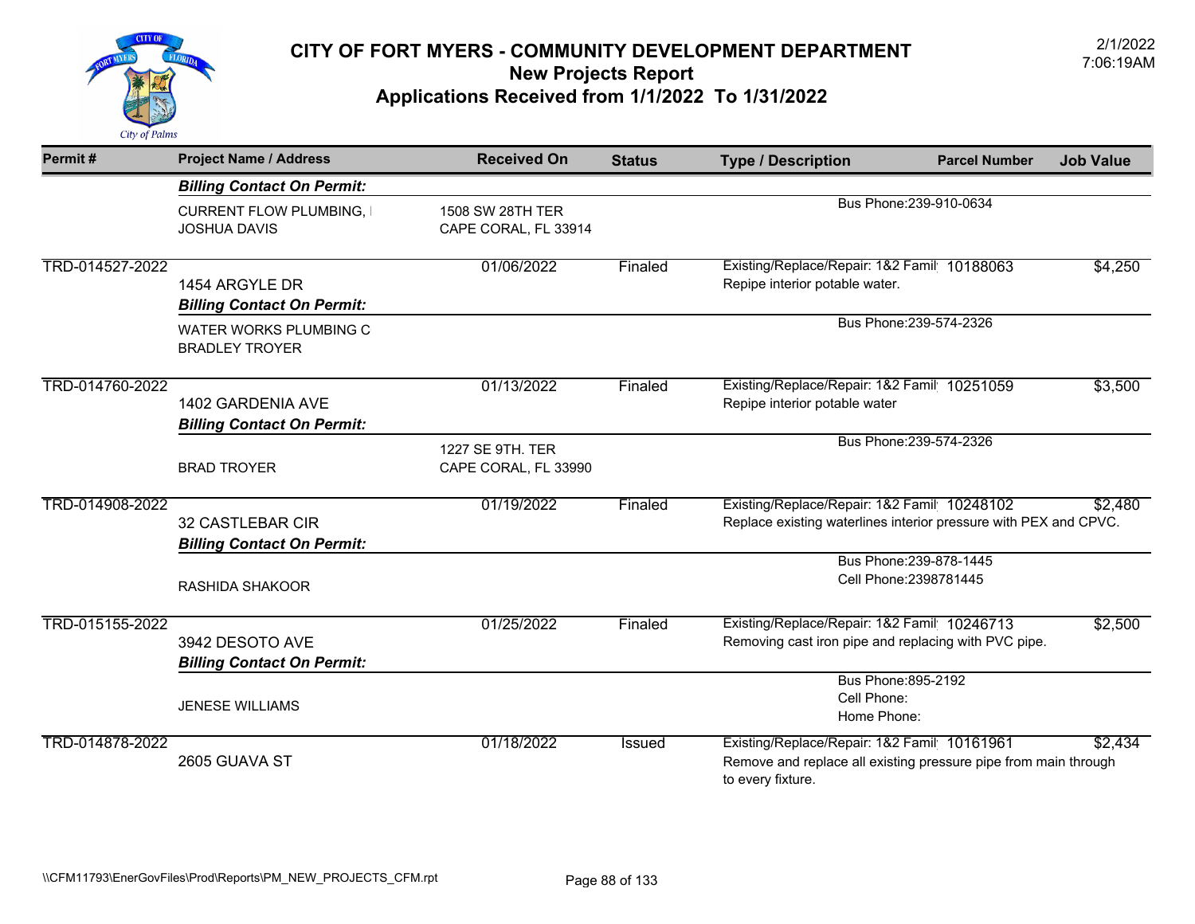

| Permit#         | <b>Project Name / Address</b>                                | <b>Received On</b>                       | <b>Status</b> | <b>Type / Description</b>                                                                                                           | <b>Parcel Number</b>                              | <b>Job Value</b> |
|-----------------|--------------------------------------------------------------|------------------------------------------|---------------|-------------------------------------------------------------------------------------------------------------------------------------|---------------------------------------------------|------------------|
|                 | <b>Billing Contact On Permit:</b>                            |                                          |               |                                                                                                                                     |                                                   |                  |
|                 | <b>CURRENT FLOW PLUMBING, I</b><br><b>JOSHUA DAVIS</b>       | 1508 SW 28TH TER<br>CAPE CORAL, FL 33914 |               | Bus Phone: 239-910-0634                                                                                                             |                                                   |                  |
| TRD-014527-2022 | 1454 ARGYLE DR<br><b>Billing Contact On Permit:</b>          | 01/06/2022                               | Finaled       | Existing/Replace/Repair: 1&2 Famil 10188063<br>Repipe interior potable water.                                                       |                                                   | \$4,250          |
|                 | WATER WORKS PLUMBING C<br><b>BRADLEY TROYER</b>              |                                          |               |                                                                                                                                     | Bus Phone: 239-574-2326                           |                  |
| TRD-014760-2022 | 1402 GARDENIA AVE<br><b>Billing Contact On Permit:</b>       | 01/13/2022                               | Finaled       | Existing/Replace/Repair: 1&2 Famil 10251059<br>Repipe interior potable water                                                        |                                                   | \$3,500          |
|                 | <b>BRAD TROYER</b>                                           | 1227 SE 9TH. TER<br>CAPE CORAL, FL 33990 |               |                                                                                                                                     | Bus Phone: 239-574-2326                           |                  |
| TRD-014908-2022 | <b>32 CASTLEBAR CIR</b><br><b>Billing Contact On Permit:</b> | 01/19/2022                               | Finaled       | Existing/Replace/Repair: 1&2 Famil 10248102<br>Replace existing waterlines interior pressure with PEX and CPVC.                     |                                                   | \$2,480          |
|                 | RASHIDA SHAKOOR                                              |                                          |               |                                                                                                                                     | Bus Phone: 239-878-1445<br>Cell Phone: 2398781445 |                  |
| TRD-015155-2022 | 3942 DESOTO AVE<br><b>Billing Contact On Permit:</b>         | 01/25/2022                               | Finaled       | Existing/Replace/Repair: 1&2 Famil 10246713<br>Removing cast iron pipe and replacing with PVC pipe.                                 |                                                   | \$2,500          |
|                 | <b>JENESE WILLIAMS</b>                                       |                                          |               | Bus Phone: 895-2192<br>Cell Phone:<br>Home Phone:                                                                                   |                                                   |                  |
| TRD-014878-2022 | 2605 GUAVA ST                                                | 01/18/2022                               | <b>Issued</b> | Existing/Replace/Repair: 1&2 Famil 10161961<br>Remove and replace all existing pressure pipe from main through<br>to every fixture. |                                                   | \$2,434          |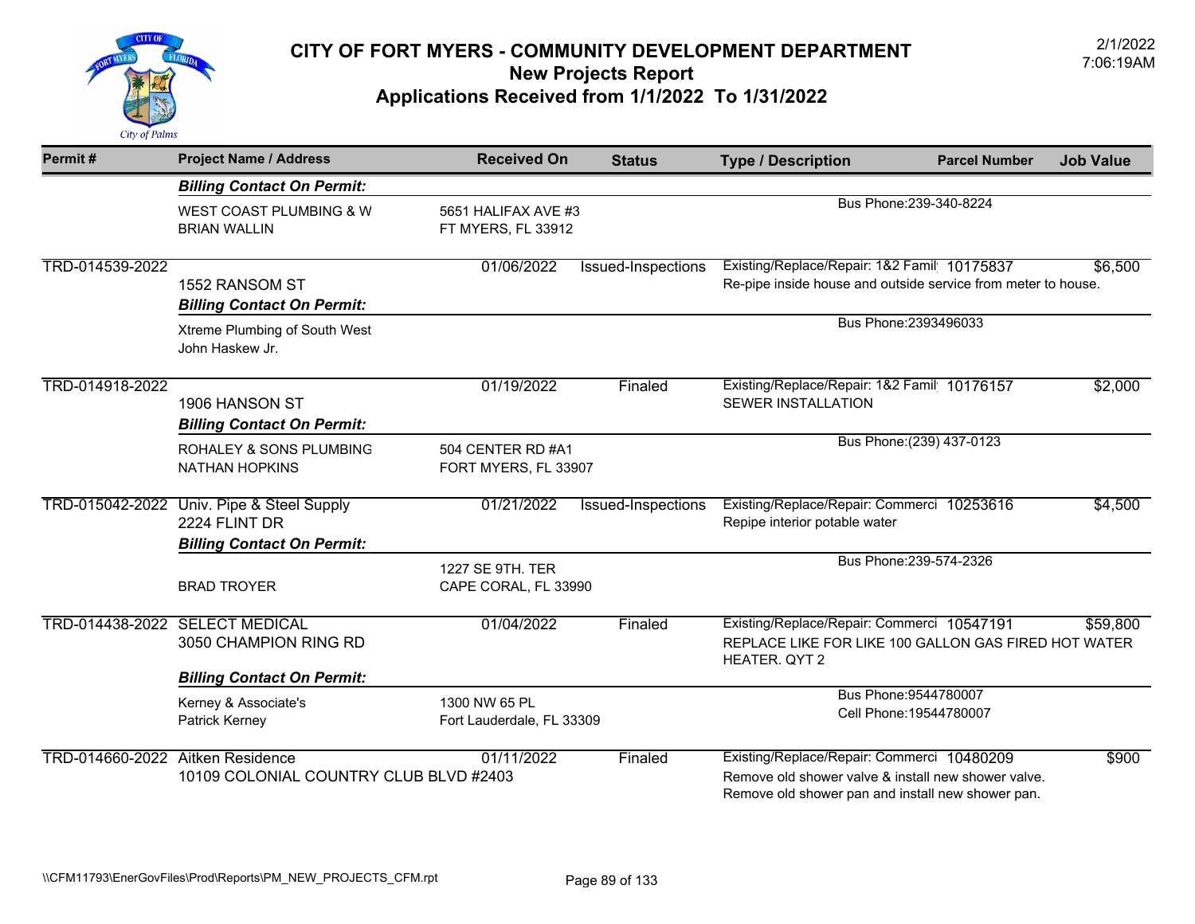

| Permit#                          | <b>Project Name / Address</b>                                                                   | <b>Received On</b>                         | <b>Status</b>      | <b>Type / Description</b>                                                                                                                              | <b>Parcel Number</b>                             | <b>Job Value</b> |
|----------------------------------|-------------------------------------------------------------------------------------------------|--------------------------------------------|--------------------|--------------------------------------------------------------------------------------------------------------------------------------------------------|--------------------------------------------------|------------------|
|                                  | <b>Billing Contact On Permit:</b>                                                               |                                            |                    |                                                                                                                                                        |                                                  |                  |
|                                  | <b>WEST COAST PLUMBING &amp; W</b><br><b>BRIAN WALLIN</b>                                       | 5651 HALIFAX AVE #3<br>FT MYERS, FL 33912  |                    | Bus Phone: 239-340-8224                                                                                                                                |                                                  |                  |
| TRD-014539-2022                  | 1552 RANSOM ST<br><b>Billing Contact On Permit:</b>                                             | 01/06/2022                                 | Issued-Inspections | Existing/Replace/Repair: 1&2 Famil 10175837<br>Re-pipe inside house and outside service from meter to house.                                           |                                                  | \$6,500          |
|                                  | Xtreme Plumbing of South West<br>John Haskew Jr.                                                |                                            |                    |                                                                                                                                                        | Bus Phone: 2393496033                            |                  |
| TRD-014918-2022                  | 1906 HANSON ST<br><b>Billing Contact On Permit:</b>                                             | 01/19/2022                                 | Finaled            | Existing/Replace/Repair: 1&2 Famil 10176157<br><b>SEWER INSTALLATION</b>                                                                               |                                                  | \$2,000          |
|                                  | ROHALEY & SONS PLUMBING<br><b>NATHAN HOPKINS</b>                                                | 504 CENTER RD #A1<br>FORT MYERS, FL 33907  |                    |                                                                                                                                                        | Bus Phone: (239) 437-0123                        |                  |
|                                  | TRD-015042-2022 Univ. Pipe & Steel Supply<br>2224 FLINT DR<br><b>Billing Contact On Permit:</b> | 01/21/2022                                 | Issued-Inspections | Existing/Replace/Repair: Commerci 10253616<br>Repipe interior potable water                                                                            |                                                  | \$4,500          |
|                                  | <b>BRAD TROYER</b>                                                                              | 1227 SE 9TH, TER<br>CAPE CORAL, FL 33990   |                    |                                                                                                                                                        | Bus Phone: 239-574-2326                          |                  |
|                                  | TRD-014438-2022 SELECT MEDICAL<br>3050 CHAMPION RING RD                                         | 01/04/2022                                 | Finaled            | Existing/Replace/Repair: Commerci 10547191<br>REPLACE LIKE FOR LIKE 100 GALLON GAS FIRED HOT WATER<br>HEATER. QYT 2                                    |                                                  | \$59,800         |
|                                  | <b>Billing Contact On Permit:</b>                                                               |                                            |                    |                                                                                                                                                        |                                                  |                  |
|                                  | Kerney & Associate's<br>Patrick Kerney                                                          | 1300 NW 65 PL<br>Fort Lauderdale, FL 33309 |                    |                                                                                                                                                        | Bus Phone: 9544780007<br>Cell Phone: 19544780007 |                  |
| TRD-014660-2022 Aitken Residence | 10109 COLONIAL COUNTRY CLUB BLVD #2403                                                          | 01/11/2022                                 | Finaled            | Existing/Replace/Repair: Commerci 10480209<br>Remove old shower valve & install new shower valve.<br>Remove old shower pan and install new shower pan. |                                                  | \$900            |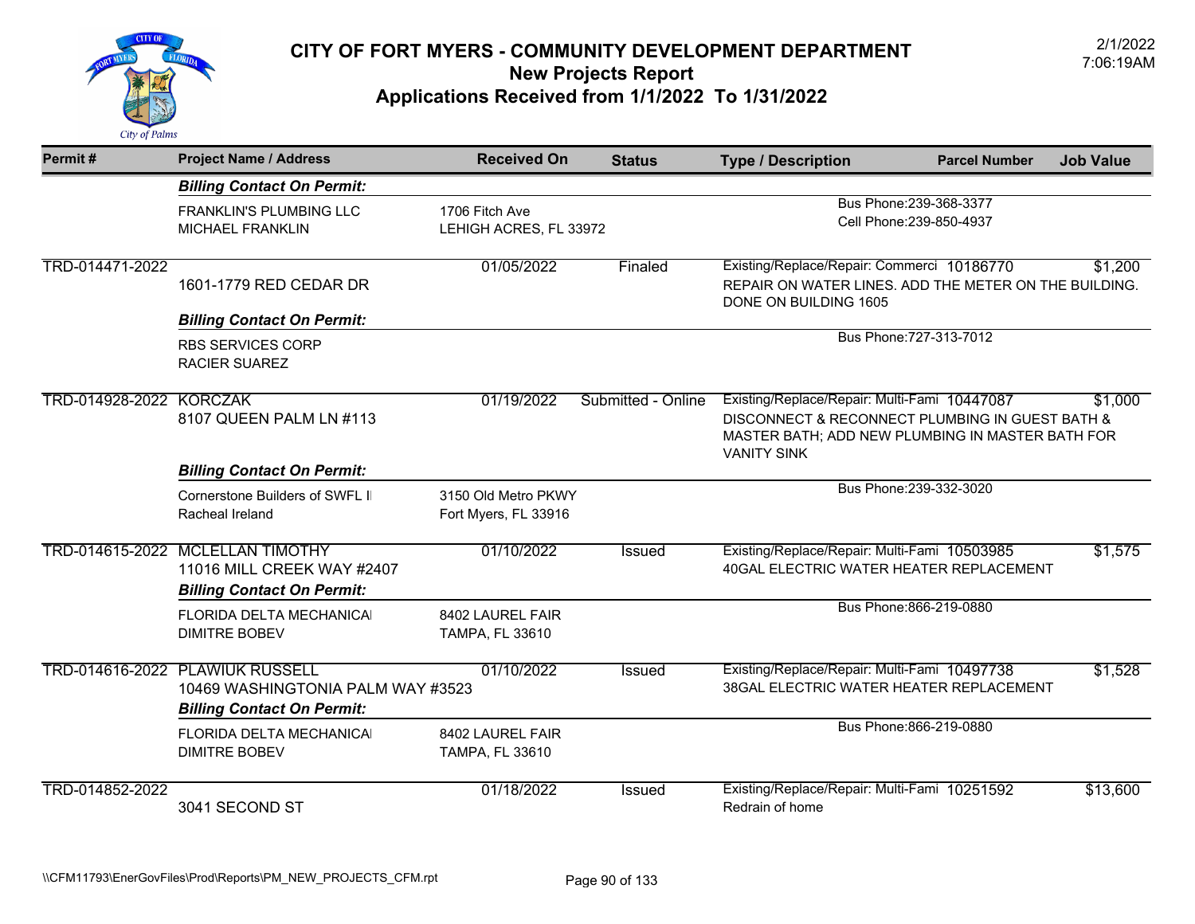

| Permit#         | <b>Project Name / Address</b>                                                                       | <b>Received On</b>                          | <b>Status</b>      | <b>Type / Description</b>                                                                                                                                                 | <b>Parcel Number</b>    | <b>Job Value</b> |
|-----------------|-----------------------------------------------------------------------------------------------------|---------------------------------------------|--------------------|---------------------------------------------------------------------------------------------------------------------------------------------------------------------------|-------------------------|------------------|
|                 | <b>Billing Contact On Permit:</b>                                                                   |                                             |                    |                                                                                                                                                                           |                         |                  |
|                 | FRANKLIN'S PLUMBING LLC<br>MICHAEL FRANKLIN                                                         | 1706 Fitch Ave<br>LEHIGH ACRES, FL 33972    |                    | Bus Phone: 239-368-3377<br>Cell Phone: 239-850-4937                                                                                                                       |                         |                  |
| TRD-014471-2022 | 1601-1779 RED CEDAR DR                                                                              | 01/05/2022                                  | Finaled            | Existing/Replace/Repair: Commerci 10186770<br>REPAIR ON WATER LINES. ADD THE METER ON THE BUILDING.<br>DONE ON BUILDING 1605                                              |                         | \$1,200          |
|                 | <b>Billing Contact On Permit:</b>                                                                   |                                             |                    |                                                                                                                                                                           |                         |                  |
|                 | <b>RBS SERVICES CORP</b><br><b>RACIER SUAREZ</b>                                                    |                                             |                    |                                                                                                                                                                           | Bus Phone: 727-313-7012 |                  |
| TRD-014928-2022 | <b>KORCZAK</b><br>8107 QUEEN PALM LN #113                                                           | 01/19/2022                                  | Submitted - Online | Existing/Replace/Repair: Multi-Fami 10447087<br>DISCONNECT & RECONNECT PLUMBING IN GUEST BATH &<br>MASTER BATH; ADD NEW PLUMBING IN MASTER BATH FOR<br><b>VANITY SINK</b> |                         | \$1,000          |
|                 | <b>Billing Contact On Permit:</b>                                                                   |                                             |                    |                                                                                                                                                                           | Bus Phone: 239-332-3020 |                  |
|                 | Cornerstone Builders of SWFL II<br>Racheal Ireland                                                  | 3150 Old Metro PKWY<br>Fort Myers, FL 33916 |                    |                                                                                                                                                                           |                         |                  |
|                 | TRD-014615-2022 MCLELLAN TIMOTHY<br>11016 MILL CREEK WAY #2407<br><b>Billing Contact On Permit:</b> | 01/10/2022                                  | Issued             | Existing/Replace/Repair: Multi-Fami 10503985<br>40GAL ELECTRIC WATER HEATER REPLACEMENT                                                                                   |                         | \$1,575          |
|                 | FLORIDA DELTA MECHANICAI<br><b>DIMITRE BOBEV</b>                                                    | 8402 LAUREL FAIR<br>TAMPA, FL 33610         |                    |                                                                                                                                                                           | Bus Phone: 866-219-0880 |                  |
|                 | TRD-014616-2022 PLAWIUK RUSSELL<br>10469 WASHINGTONIA PALM WAY #3523                                | 01/10/2022                                  | <b>Issued</b>      | Existing/Replace/Repair: Multi-Fami 10497738<br>38GAL ELECTRIC WATER HEATER REPLACEMENT                                                                                   |                         | \$1,528          |
|                 | <b>Billing Contact On Permit:</b><br><b>FLORIDA DELTA MECHANICAL</b><br><b>DIMITRE BOBEV</b>        | 8402 LAUREL FAIR<br>TAMPA, FL 33610         |                    |                                                                                                                                                                           | Bus Phone: 866-219-0880 |                  |
| TRD-014852-2022 | 3041 SECOND ST                                                                                      | 01/18/2022                                  | <b>Issued</b>      | Existing/Replace/Repair: Multi-Fami 10251592<br>Redrain of home                                                                                                           |                         | \$13,600         |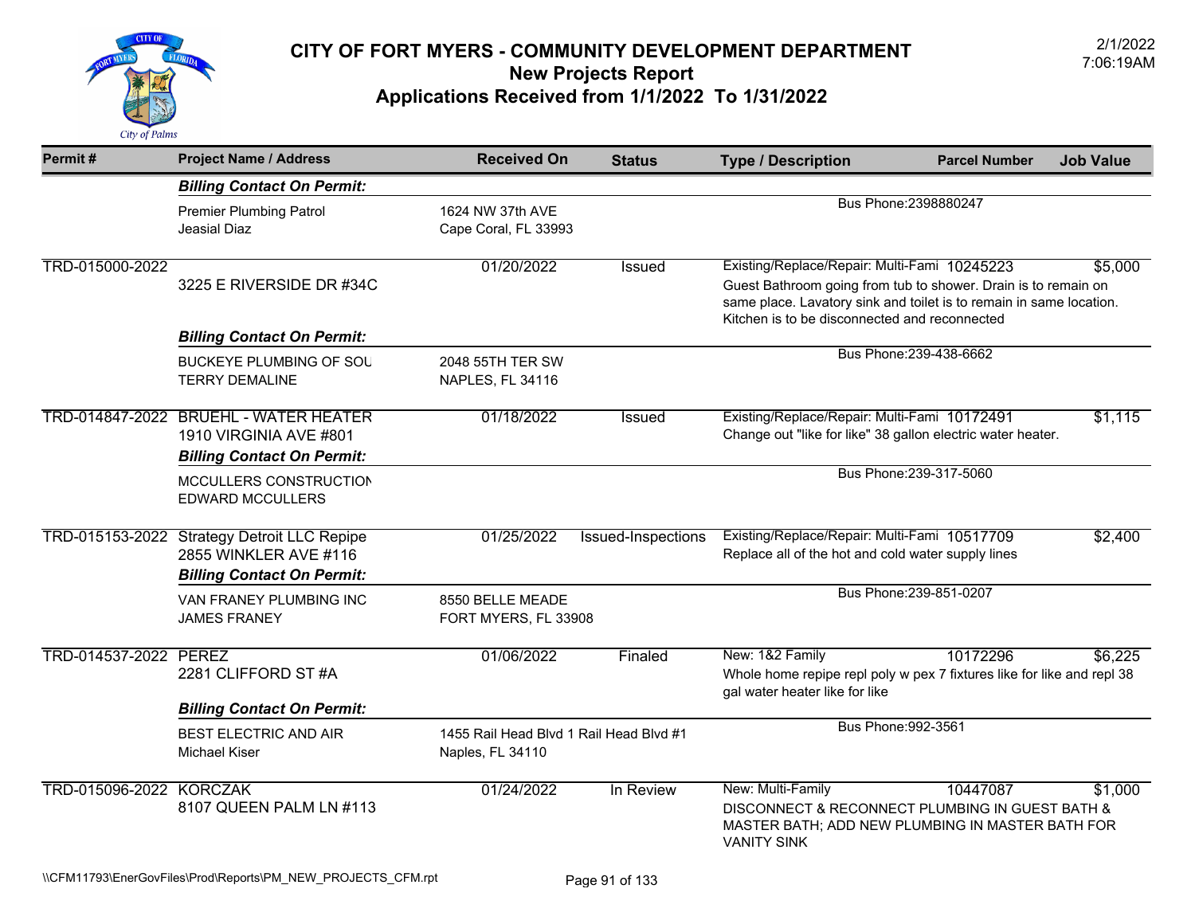

| Permit#                        | <b>Project Name / Address</b>                                                                             | <b>Received On</b>                                          | <b>Status</b>      | <b>Type / Description</b>                                                                                                                                                                                                              | <b>Parcel Number</b>    | <b>Job Value</b> |  |
|--------------------------------|-----------------------------------------------------------------------------------------------------------|-------------------------------------------------------------|--------------------|----------------------------------------------------------------------------------------------------------------------------------------------------------------------------------------------------------------------------------------|-------------------------|------------------|--|
|                                | <b>Billing Contact On Permit:</b>                                                                         |                                                             |                    |                                                                                                                                                                                                                                        |                         |                  |  |
|                                | <b>Premier Plumbing Patrol</b><br>Jeasial Diaz                                                            | 1624 NW 37th AVE<br>Cape Coral, FL 33993                    |                    | Bus Phone: 2398880247                                                                                                                                                                                                                  |                         |                  |  |
| TRD-015000-2022                | 3225 E RIVERSIDE DR #34C                                                                                  | 01/20/2022                                                  | <b>Issued</b>      | Existing/Replace/Repair: Multi-Fami 10245223<br>Guest Bathroom going from tub to shower. Drain is to remain on<br>same place. Lavatory sink and toilet is to remain in same location.<br>Kitchen is to be disconnected and reconnected |                         | \$5,000          |  |
|                                | <b>Billing Contact On Permit:</b>                                                                         |                                                             |                    |                                                                                                                                                                                                                                        | Bus Phone: 239-438-6662 |                  |  |
|                                | <b>BUCKEYE PLUMBING OF SOU</b><br><b>TERRY DEMALINE</b>                                                   | 2048 55TH TER SW<br>NAPLES, FL 34116                        |                    |                                                                                                                                                                                                                                        |                         |                  |  |
|                                | TRD-014847-2022 BRUEHL - WATER HEATER<br>1910 VIRGINIA AVE #801<br><b>Billing Contact On Permit:</b>      | 01/18/2022                                                  | <b>Issued</b>      | Existing/Replace/Repair: Multi-Fami 10172491<br>Change out "like for like" 38 gallon electric water heater.                                                                                                                            |                         | \$1,115          |  |
|                                | MCCULLERS CONSTRUCTION<br><b>EDWARD MCCULLERS</b>                                                         |                                                             |                    |                                                                                                                                                                                                                                        | Bus Phone: 239-317-5060 |                  |  |
|                                | TRD-015153-2022 Strategy Detroit LLC Repipe<br>2855 WINKLER AVE #116<br><b>Billing Contact On Permit:</b> | 01/25/2022                                                  | Issued-Inspections | Existing/Replace/Repair: Multi-Fami 10517709<br>Replace all of the hot and cold water supply lines                                                                                                                                     |                         | \$2,400          |  |
|                                | VAN FRANEY PLUMBING INC<br><b>JAMES FRANEY</b>                                                            | 8550 BELLE MEADE<br>FORT MYERS, FL 33908                    |                    |                                                                                                                                                                                                                                        | Bus Phone: 239-851-0207 |                  |  |
| TRD-014537-2022 PEREZ          | 2281 CLIFFORD ST #A                                                                                       | 01/06/2022                                                  | Finaled            | New: 1&2 Family<br>Whole home repipe repl poly w pex 7 fixtures like for like and repl 38<br>gal water heater like for like                                                                                                            | 10172296                | \$6,225          |  |
|                                | <b>Billing Contact On Permit:</b>                                                                         |                                                             |                    | Bus Phone: 992-3561                                                                                                                                                                                                                    |                         |                  |  |
|                                | <b>BEST ELECTRIC AND AIR</b><br><b>Michael Kiser</b>                                                      | 1455 Rail Head Blvd 1 Rail Head Blvd #1<br>Naples, FL 34110 |                    |                                                                                                                                                                                                                                        |                         |                  |  |
| <b>TRD-015096-2022 KORCZAK</b> | 8107 QUEEN PALM LN #113                                                                                   | 01/24/2022                                                  | In Review          | New: Multi-Family<br>DISCONNECT & RECONNECT PLUMBING IN GUEST BATH &<br>MASTER BATH; ADD NEW PLUMBING IN MASTER BATH FOR<br><b>VANITY SINK</b>                                                                                         | 10447087                | \$1,000          |  |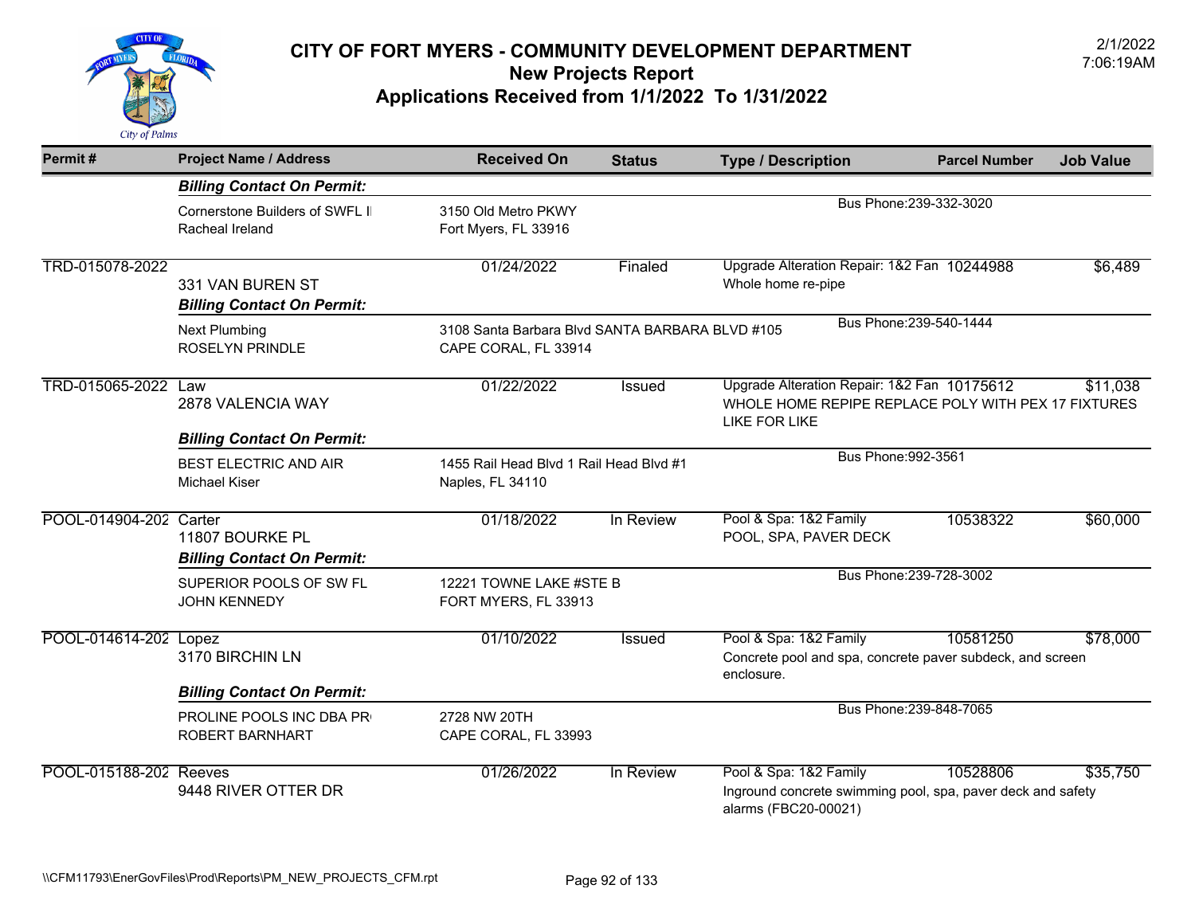

| Permit#                | <b>Project Name / Address</b>                          | <b>Received On</b>                                                      | <b>Status</b> | <b>Type / Description</b>                                                                                                              | <b>Parcel Number</b>    | <b>Job Value</b> |
|------------------------|--------------------------------------------------------|-------------------------------------------------------------------------|---------------|----------------------------------------------------------------------------------------------------------------------------------------|-------------------------|------------------|
|                        | <b>Billing Contact On Permit:</b>                      |                                                                         |               |                                                                                                                                        |                         |                  |
|                        | Cornerstone Builders of SWFL II<br>Racheal Ireland     | 3150 Old Metro PKWY<br>Fort Myers, FL 33916                             |               | Bus Phone: 239-332-3020                                                                                                                |                         |                  |
| TRD-015078-2022        | 331 VAN BUREN ST<br><b>Billing Contact On Permit:</b>  | 01/24/2022                                                              | Finaled       | Upgrade Alteration Repair: 1&2 Fan 10244988<br>Whole home re-pipe                                                                      |                         | \$6,489          |
|                        | <b>Next Plumbing</b><br><b>ROSELYN PRINDLE</b>         | 3108 Santa Barbara Blvd SANTA BARBARA BLVD #105<br>CAPE CORAL, FL 33914 |               |                                                                                                                                        | Bus Phone: 239-540-1444 |                  |
| TRD-015065-2022 Law    | 2878 VALENCIA WAY<br><b>Billing Contact On Permit:</b> | 01/22/2022                                                              | Issued        | Upgrade Alteration Repair: 1&2 Fan 10175612<br>\$11,038<br>WHOLE HOME REPIPE REPLACE POLY WITH PEX 17 FIXTURES<br><b>LIKE FOR LIKE</b> |                         |                  |
|                        | BEST ELECTRIC AND AIR<br><b>Michael Kiser</b>          | 1455 Rail Head Blvd 1 Rail Head Blvd #1<br>Naples, FL 34110             |               | Bus Phone: 992-3561                                                                                                                    |                         |                  |
| POOL-014904-202 Carter | 11807 BOURKE PL<br><b>Billing Contact On Permit:</b>   | 01/18/2022                                                              | In Review     | Pool & Spa: 1&2 Family<br>POOL, SPA, PAVER DECK                                                                                        | 10538322                | \$60,000         |
|                        | SUPERIOR POOLS OF SW FL<br><b>JOHN KENNEDY</b>         | 12221 TOWNE LAKE #STE B<br>FORT MYERS, FL 33913                         |               |                                                                                                                                        | Bus Phone: 239-728-3002 |                  |
| POOL-014614-202 Lopez  | 3170 BIRCHIN LN                                        | 01/10/2022                                                              | Issued        | Pool & Spa: 1&2 Family<br>Concrete pool and spa, concrete paver subdeck, and screen<br>enclosure.                                      | 10581250                | \$78,000         |
|                        | <b>Billing Contact On Permit:</b>                      |                                                                         |               |                                                                                                                                        |                         |                  |
|                        | PROLINE POOLS INC DBA PR<br>ROBERT BARNHART            | 2728 NW 20TH<br>CAPE CORAL, FL 33993                                    |               |                                                                                                                                        | Bus Phone: 239-848-7065 |                  |
| POOL-015188-202 Reeves | 9448 RIVER OTTER DR                                    | 01/26/2022                                                              | In Review     | Pool & Spa: 1&2 Family<br>Inground concrete swimming pool, spa, paver deck and safety<br>alarms (FBC20-00021)                          | 10528806                | \$35,750         |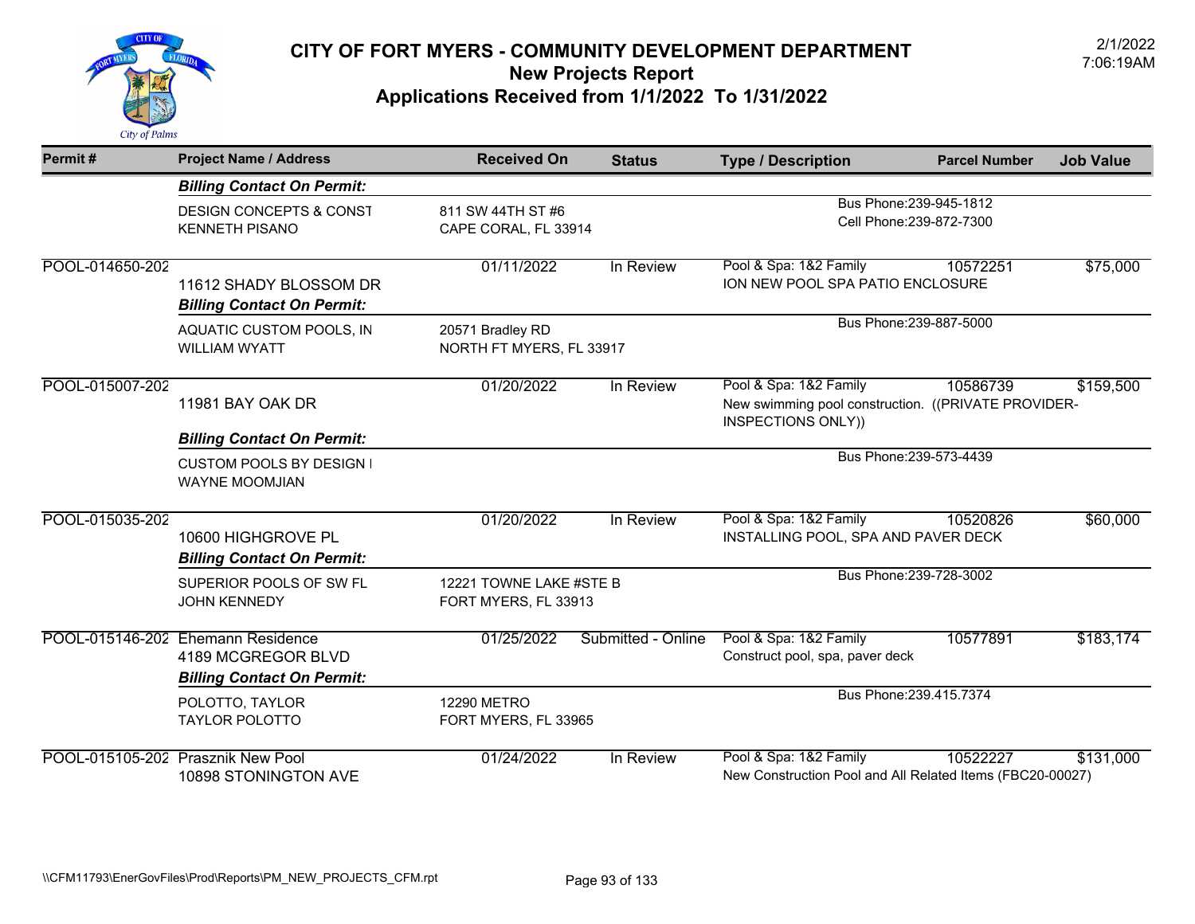

| Permit#         | <b>Project Name / Address</b>                                                                 | <b>Received On</b>                              | <b>Status</b>      | <b>Type / Description</b>                                                                           | <b>Parcel Number</b>                                | <b>Job Value</b> |
|-----------------|-----------------------------------------------------------------------------------------------|-------------------------------------------------|--------------------|-----------------------------------------------------------------------------------------------------|-----------------------------------------------------|------------------|
|                 | <b>Billing Contact On Permit:</b>                                                             |                                                 |                    |                                                                                                     |                                                     |                  |
|                 | <b>DESIGN CONCEPTS &amp; CONST</b><br><b>KENNETH PISANO</b>                                   | 811 SW 44TH ST #6<br>CAPE CORAL, FL 33914       |                    |                                                                                                     | Bus Phone: 239-945-1812<br>Cell Phone: 239-872-7300 |                  |
| POOL-014650-202 | 11612 SHADY BLOSSOM DR<br><b>Billing Contact On Permit:</b>                                   | 01/11/2022                                      | In Review          | Pool & Spa: 1&2 Family<br>ION NEW POOL SPA PATIO ENCLOSURE                                          | 10572251                                            | \$75,000         |
|                 | AQUATIC CUSTOM POOLS, IN<br><b>WILLIAM WYATT</b>                                              | 20571 Bradley RD<br>NORTH FT MYERS, FL 33917    |                    | Bus Phone: 239-887-5000                                                                             |                                                     |                  |
| POOL-015007-202 | 11981 BAY OAK DR                                                                              | 01/20/2022                                      | In Review          | Pool & Spa: 1&2 Family<br>New swimming pool construction. ((PRIVATE PROVIDER-<br>INSPECTIONS ONLY)) | 10586739                                            | \$159,500        |
|                 | <b>Billing Contact On Permit:</b><br><b>CUSTOM POOLS BY DESIGN I</b><br><b>WAYNE MOOMJIAN</b> |                                                 |                    |                                                                                                     | Bus Phone: 239-573-4439                             |                  |
| POOL-015035-202 | 10600 HIGHGROVE PL<br><b>Billing Contact On Permit:</b>                                       | 01/20/2022                                      | In Review          | Pool & Spa: 1&2 Family<br>INSTALLING POOL, SPA AND PAVER DECK                                       | 10520826                                            | \$60,000         |
|                 | SUPERIOR POOLS OF SW FL<br><b>JOHN KENNEDY</b>                                                | 12221 TOWNE LAKE #STE B<br>FORT MYERS, FL 33913 |                    |                                                                                                     | Bus Phone: 239-728-3002                             |                  |
|                 | POOL-015146-202 Ehemann Residence<br>4189 MCGREGOR BLVD<br><b>Billing Contact On Permit:</b>  | 01/25/2022                                      | Submitted - Online | Pool & Spa: 1&2 Family<br>Construct pool, spa, paver deck                                           | 10577891                                            | \$183,174        |
|                 | POLOTTO, TAYLOR<br><b>TAYLOR POLOTTO</b>                                                      | <b>12290 METRO</b><br>FORT MYERS, FL 33965      |                    |                                                                                                     | Bus Phone: 239.415.7374                             |                  |
|                 | POOL-015105-202 Prasznik New Pool<br>10898 STONINGTON AVE                                     | 01/24/2022                                      | In Review          | Pool & Spa: 1&2 Family<br>New Construction Pool and All Related Items (FBC20-00027)                 | 10522227                                            | \$131,000        |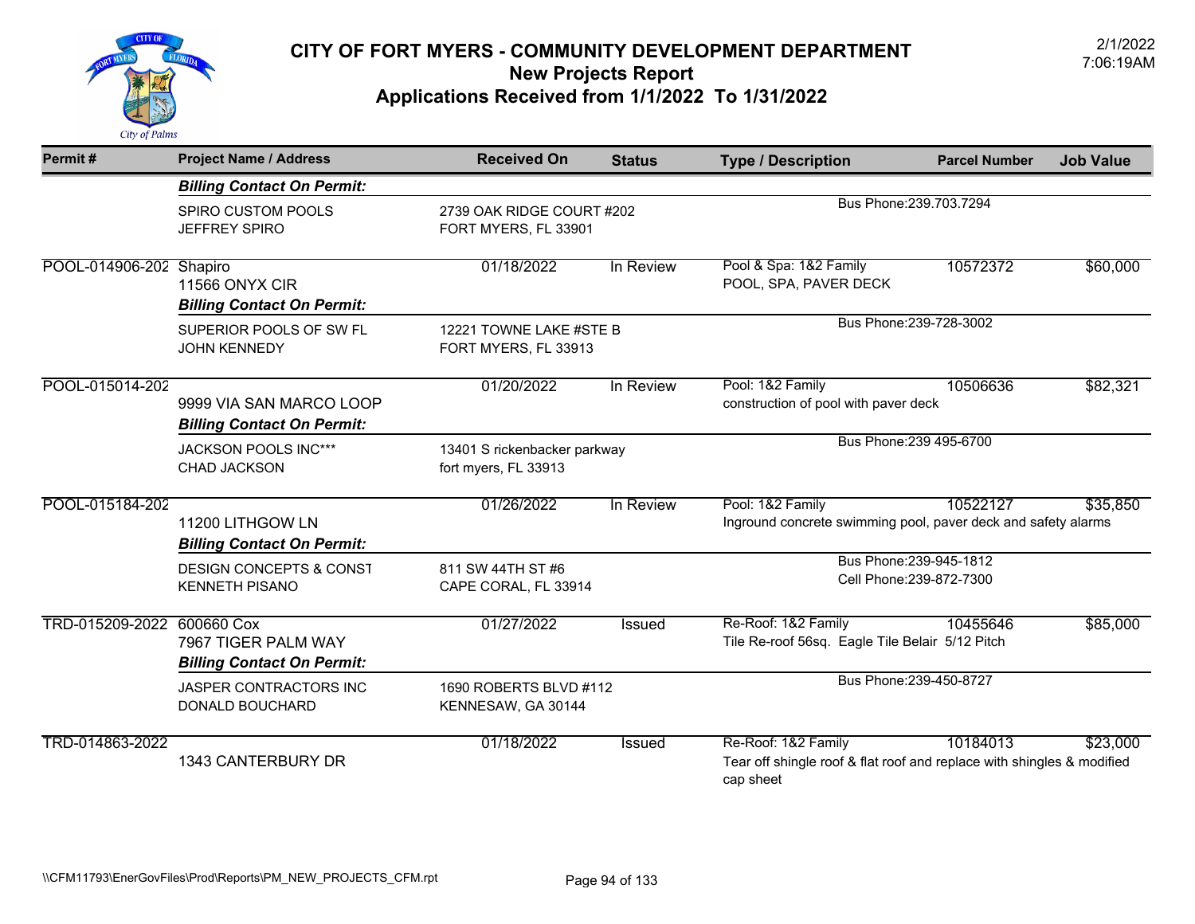

| Permit#                    | <b>Project Name / Address</b>                                | <b>Received On</b>                                   | <b>Status</b>             | <b>Type / Description</b>                                                                                  | <b>Parcel Number</b>    | <b>Job Value</b> |  |
|----------------------------|--------------------------------------------------------------|------------------------------------------------------|---------------------------|------------------------------------------------------------------------------------------------------------|-------------------------|------------------|--|
|                            | <b>Billing Contact On Permit:</b>                            |                                                      |                           |                                                                                                            |                         |                  |  |
|                            | SPIRO CUSTOM POOLS<br><b>JEFFREY SPIRO</b>                   | FORT MYERS, FL 33901                                 | 2739 OAK RIDGE COURT #202 |                                                                                                            | Bus Phone: 239.703.7294 |                  |  |
| POOL-014906-202 Shapiro    | <b>11566 ONYX CIR</b><br><b>Billing Contact On Permit:</b>   | 01/18/2022                                           | In Review                 | Pool & Spa: 1&2 Family<br>POOL, SPA, PAVER DECK                                                            | 10572372                | \$60,000         |  |
|                            | SUPERIOR POOLS OF SW FL<br><b>JOHN KENNEDY</b>               | 12221 TOWNE LAKE #STE B<br>FORT MYERS, FL 33913      |                           |                                                                                                            | Bus Phone: 239-728-3002 |                  |  |
| POOL-015014-202            | 9999 VIA SAN MARCO LOOP<br><b>Billing Contact On Permit:</b> | 01/20/2022                                           | In Review                 | Pool: 1&2 Family<br>10506636<br>construction of pool with paver deck                                       |                         | \$82,321         |  |
|                            | JACKSON POOLS INC***<br><b>CHAD JACKSON</b>                  | 13401 S rickenbacker parkway<br>fort myers, FL 33913 |                           |                                                                                                            | Bus Phone: 239 495-6700 |                  |  |
| POOL-015184-202            | 11200 LITHGOW LN<br><b>Billing Contact On Permit:</b>        | 01/26/2022                                           | In Review                 | Pool: 1&2 Family<br>Inground concrete swimming pool, paver deck and safety alarms                          | 10522127                | \$35,850         |  |
|                            | <b>DESIGN CONCEPTS &amp; CONST</b><br><b>KENNETH PISANO</b>  | 811 SW 44TH ST #6<br>CAPE CORAL, FL 33914            |                           | Bus Phone: 239-945-1812<br>Cell Phone: 239-872-7300                                                        |                         |                  |  |
| TRD-015209-2022 600660 Cox | 7967 TIGER PALM WAY<br><b>Billing Contact On Permit:</b>     | 01/27/2022                                           | Issued                    | Re-Roof: 1&2 Family<br>Tile Re-roof 56sq. Eagle Tile Belair 5/12 Pitch                                     | 10455646                | \$85,000         |  |
|                            | JASPER CONTRACTORS INC<br>DONALD BOUCHARD                    | 1690 ROBERTS BLVD #112<br>KENNESAW, GA 30144         |                           |                                                                                                            | Bus Phone: 239-450-8727 |                  |  |
| TRD-014863-2022            | 1343 CANTERBURY DR                                           | 01/18/2022                                           | <b>Issued</b>             | Re-Roof: 1&2 Family<br>Tear off shingle roof & flat roof and replace with shingles & modified<br>cap sheet | 10184013                | \$23,000         |  |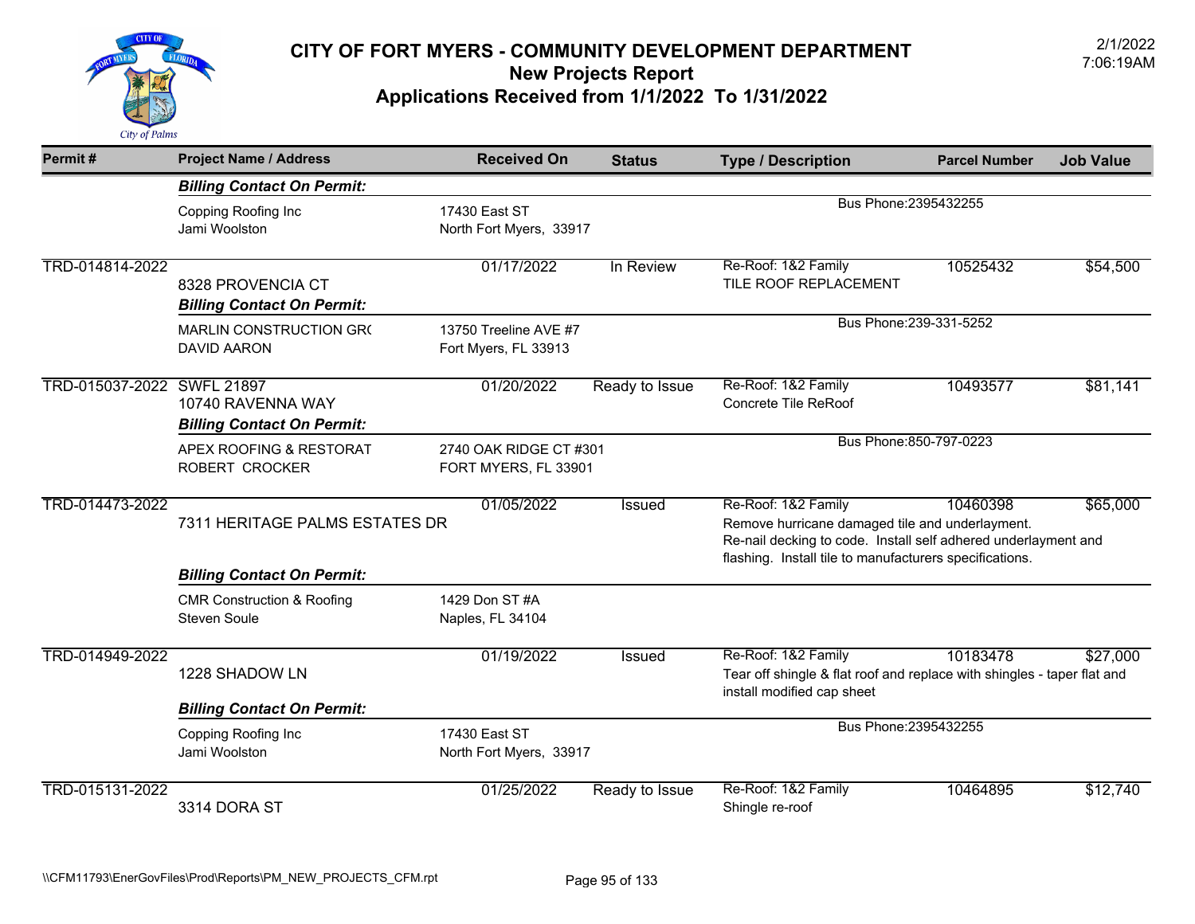

| Permit#                    | <b>Project Name / Address</b>                                | <b>Received On</b>                             | <b>Status</b>  | <b>Type / Description</b>                                                                                                                | <b>Parcel Number</b> | <b>Job Value</b> |
|----------------------------|--------------------------------------------------------------|------------------------------------------------|----------------|------------------------------------------------------------------------------------------------------------------------------------------|----------------------|------------------|
|                            | <b>Billing Contact On Permit:</b>                            |                                                |                |                                                                                                                                          |                      |                  |
|                            | Copping Roofing Inc<br>Jami Woolston                         | 17430 East ST<br>North Fort Myers, 33917       |                | Bus Phone: 2395432255                                                                                                                    |                      |                  |
| TRD-014814-2022            | 8328 PROVENCIA CT<br><b>Billing Contact On Permit:</b>       | 01/17/2022                                     | In Review      | Re-Roof: 1&2 Family<br>TILE ROOF REPLACEMENT                                                                                             | 10525432             | \$54,500         |
|                            | MARLIN CONSTRUCTION GR(<br><b>DAVID AARON</b>                | 13750 Treeline AVE #7<br>Fort Myers, FL 33913  |                | Bus Phone: 239-331-5252                                                                                                                  |                      |                  |
| TRD-015037-2022 SWFL 21897 | 10740 RAVENNA WAY                                            | 01/20/2022                                     | Ready to Issue | Re-Roof: 1&2 Family<br>Concrete Tile ReRoof                                                                                              | 10493577             | \$81,141         |
|                            | <b>Billing Contact On Permit:</b>                            |                                                |                | Bus Phone: 850-797-0223                                                                                                                  |                      |                  |
|                            | APEX ROOFING & RESTORAT<br>ROBERT CROCKER                    | 2740 OAK RIDGE CT #301<br>FORT MYERS, FL 33901 |                |                                                                                                                                          |                      |                  |
| TRD-014473-2022            | 7311 HERITAGE PALMS ESTATES DR                               | 01/05/2022                                     | <b>Issued</b>  | Re-Roof: 1&2 Family<br>Remove hurricane damaged tile and underlayment.<br>Re-nail decking to code. Install self adhered underlayment and | 10460398             | \$65,000         |
|                            | <b>Billing Contact On Permit:</b>                            |                                                |                | flashing. Install tile to manufacturers specifications.                                                                                  |                      |                  |
|                            | <b>CMR Construction &amp; Roofing</b><br><b>Steven Soule</b> | 1429 Don ST #A<br>Naples, FL 34104             |                |                                                                                                                                          |                      |                  |
| TRD-014949-2022            | 1228 SHADOW LN                                               | 01/19/2022                                     | Issued         | Re-Roof: 1&2 Family<br>Tear off shingle & flat roof and replace with shingles - taper flat and<br>install modified cap sheet             | 10183478             | \$27,000         |
|                            | <b>Billing Contact On Permit:</b>                            |                                                |                |                                                                                                                                          |                      |                  |
|                            | Copping Roofing Inc<br>Jami Woolston                         | 17430 East ST<br>North Fort Myers, 33917       |                | Bus Phone: 2395432255                                                                                                                    |                      |                  |
| TRD-015131-2022            | 3314 DORA ST                                                 | 01/25/2022                                     | Ready to Issue | Re-Roof: 1&2 Family<br>Shingle re-roof                                                                                                   | 10464895             | \$12,740         |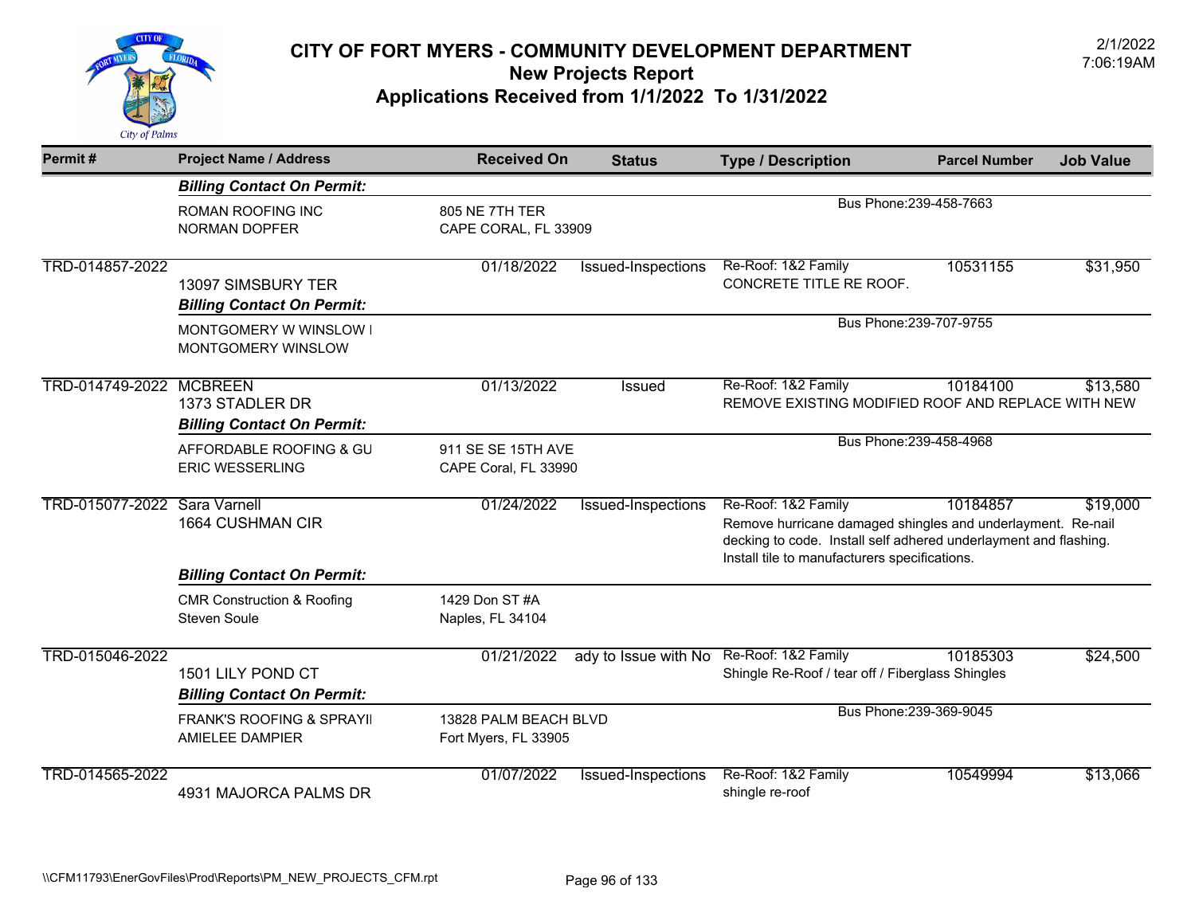

| Permit#                             | <b>Project Name / Address</b>                                | <b>Received On</b>                            | <b>Status</b>        | <b>Type / Description</b>                                                                                                                                                                               | <b>Parcel Number</b>    | <b>Job Value</b> |
|-------------------------------------|--------------------------------------------------------------|-----------------------------------------------|----------------------|---------------------------------------------------------------------------------------------------------------------------------------------------------------------------------------------------------|-------------------------|------------------|
|                                     | <b>Billing Contact On Permit:</b>                            |                                               |                      |                                                                                                                                                                                                         |                         |                  |
|                                     | <b>ROMAN ROOFING INC</b><br>NORMAN DOPFER                    | 805 NE 7TH TER<br>CAPE CORAL, FL 33909        |                      | Bus Phone: 239-458-7663                                                                                                                                                                                 |                         |                  |
| TRD-014857-2022                     | 13097 SIMSBURY TER<br><b>Billing Contact On Permit:</b>      | 01/18/2022                                    | Issued-Inspections   | Re-Roof: 1&2 Family<br>CONCRETE TITLE RE ROOF.                                                                                                                                                          | 10531155                | \$31,950         |
|                                     | MONTGOMERY W WINSLOW I<br>MONTGOMERY WINSLOW                 |                                               |                      |                                                                                                                                                                                                         | Bus Phone: 239-707-9755 |                  |
| TRD-014749-2022 MCBREEN             | 1373 STADLER DR<br><b>Billing Contact On Permit:</b>         | 01/13/2022                                    | <b>Issued</b>        | Re-Roof: 1&2 Family<br>REMOVE EXISTING MODIFIED ROOF AND REPLACE WITH NEW                                                                                                                               | 10184100                | \$13,580         |
|                                     | AFFORDABLE ROOFING & GU<br><b>ERIC WESSERLING</b>            | 911 SE SE 15TH AVE<br>CAPE Coral, FL 33990    |                      | Bus Phone: 239-458-4968                                                                                                                                                                                 |                         |                  |
| <b>TRD-015077-2022 Sara Varnell</b> | 1664 CUSHMAN CIR                                             | 01/24/2022                                    | Issued-Inspections   | Re-Roof: 1&2 Family<br>Remove hurricane damaged shingles and underlayment. Re-nail<br>decking to code. Install self adhered underlayment and flashing.<br>Install tile to manufacturers specifications. | 10184857                | \$19,000         |
|                                     | <b>Billing Contact On Permit:</b>                            |                                               |                      |                                                                                                                                                                                                         |                         |                  |
|                                     | <b>CMR Construction &amp; Roofing</b><br><b>Steven Soule</b> | 1429 Don ST #A<br>Naples, FL 34104            |                      |                                                                                                                                                                                                         |                         |                  |
| TRD-015046-2022                     | 1501 LILY POND CT<br><b>Billing Contact On Permit:</b>       | 01/21/2022                                    | ady to Issue with No | Re-Roof: 1&2 Family<br>Shingle Re-Roof / tear off / Fiberglass Shingles                                                                                                                                 | 10185303                | \$24,500         |
|                                     | <b>FRANK'S ROOFING &amp; SPRAYII</b><br>AMIELEE DAMPIER      | 13828 PALM BEACH BLVD<br>Fort Myers, FL 33905 |                      |                                                                                                                                                                                                         | Bus Phone: 239-369-9045 |                  |
| TRD-014565-2022                     | 4931 MAJORCA PALMS DR                                        | 01/07/2022                                    | Issued-Inspections   | Re-Roof: 1&2 Family<br>shingle re-roof                                                                                                                                                                  | 10549994                | \$13,066         |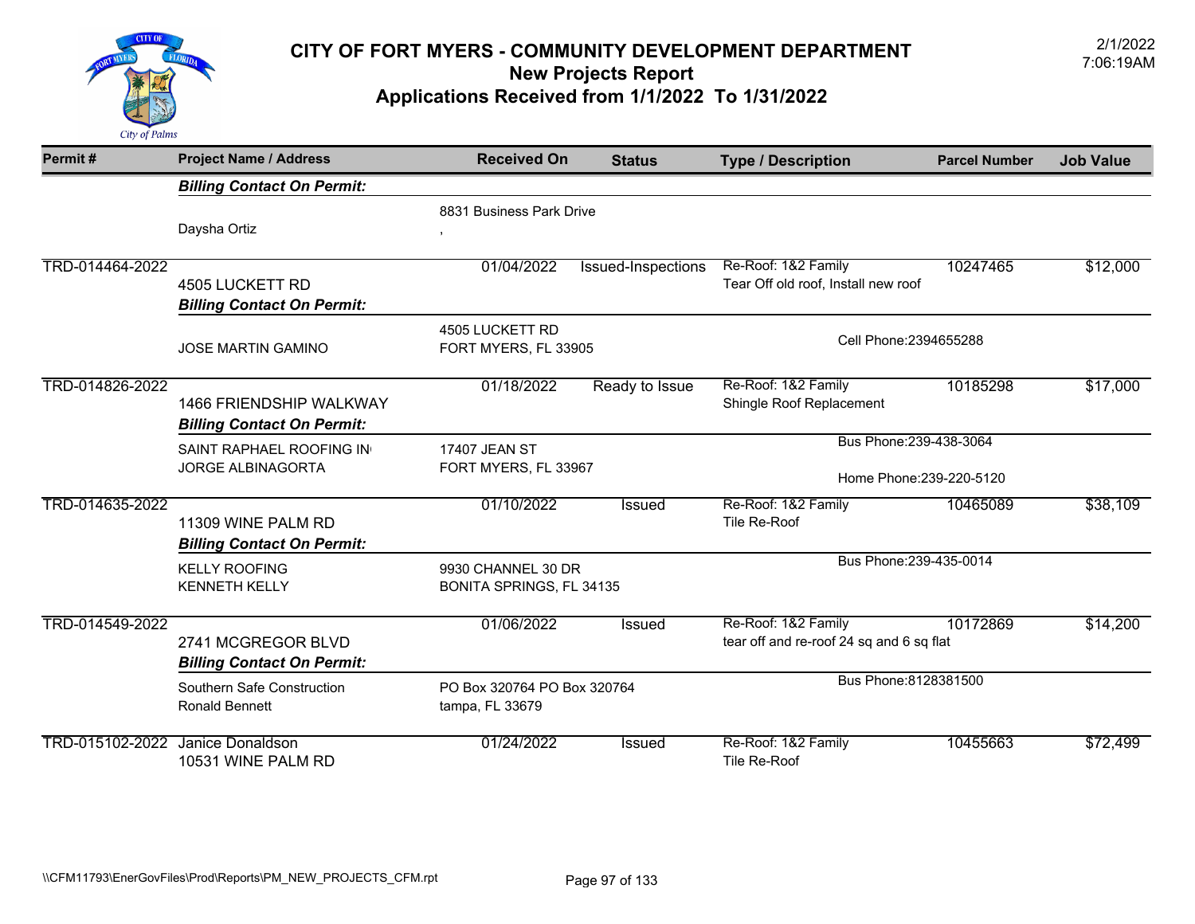

| Permit#         | <b>Project Name / Address</b>          | <b>Received On</b>          | <b>Status</b>      | <b>Type / Description</b>                | <b>Parcel Number</b>     | <b>Job Value</b> |
|-----------------|----------------------------------------|-----------------------------|--------------------|------------------------------------------|--------------------------|------------------|
|                 | <b>Billing Contact On Permit:</b>      |                             |                    |                                          |                          |                  |
|                 |                                        | 8831 Business Park Drive    |                    |                                          |                          |                  |
|                 | Daysha Ortiz                           |                             |                    |                                          |                          |                  |
| TRD-014464-2022 |                                        | 01/04/2022                  | Issued-Inspections | Re-Roof: 1&2 Family                      | 10247465                 | \$12,000         |
|                 | 4505 LUCKETT RD                        |                             |                    | Tear Off old roof, Install new roof      |                          |                  |
|                 | <b>Billing Contact On Permit:</b>      |                             |                    |                                          |                          |                  |
|                 |                                        | 4505 LUCKETT RD             |                    |                                          |                          |                  |
|                 | <b>JOSE MARTIN GAMINO</b>              | FORT MYERS, FL 33905        |                    | Cell Phone: 2394655288                   |                          |                  |
| TRD-014826-2022 |                                        | 01/18/2022                  | Ready to Issue     | Re-Roof: 1&2 Family                      | 10185298                 | \$17,000         |
|                 | <b>1466 FRIENDSHIP WALKWAY</b>         |                             |                    | Shingle Roof Replacement                 |                          |                  |
|                 | <b>Billing Contact On Permit:</b>      |                             |                    |                                          |                          |                  |
|                 | SAINT RAPHAEL ROOFING IN               | 17407 JEAN ST               |                    | Bus Phone: 239-438-3064                  |                          |                  |
|                 | <b>JORGE ALBINAGORTA</b>               | FORT MYERS, FL 33967        |                    |                                          |                          |                  |
|                 |                                        |                             |                    |                                          | Home Phone: 239-220-5120 |                  |
| TRD-014635-2022 |                                        | 01/10/2022                  | <b>Issued</b>      | Re-Roof: 1&2 Family                      | 10465089                 | \$38,109         |
|                 | 11309 WINE PALM RD                     |                             |                    | Tile Re-Roof                             |                          |                  |
|                 | <b>Billing Contact On Permit:</b>      |                             |                    |                                          |                          |                  |
|                 | <b>KELLY ROOFING</b>                   | 9930 CHANNEL 30 DR          |                    | Bus Phone: 239-435-0014                  |                          |                  |
|                 | <b>KENNETH KELLY</b>                   | BONITA SPRINGS, FL 34135    |                    |                                          |                          |                  |
| TRD-014549-2022 |                                        | 01/06/2022                  | <b>Issued</b>      | Re-Roof: 1&2 Family                      | 10172869                 | \$14,200         |
|                 | 2741 MCGREGOR BLVD                     |                             |                    | tear off and re-roof 24 sq and 6 sq flat |                          |                  |
|                 | <b>Billing Contact On Permit:</b>      |                             |                    |                                          |                          |                  |
|                 | Southern Safe Construction             | PO Box 320764 PO Box 320764 |                    | Bus Phone: 8128381500                    |                          |                  |
|                 | <b>Ronald Bennett</b>                  | tampa, FL 33679             |                    |                                          |                          |                  |
| TRD-015102-2022 | Janice Donaldson<br>10531 WINE PALM RD | 01/24/2022                  | Issued             | Re-Roof: 1&2 Family<br>Tile Re-Roof      | 10455663                 | \$72,499         |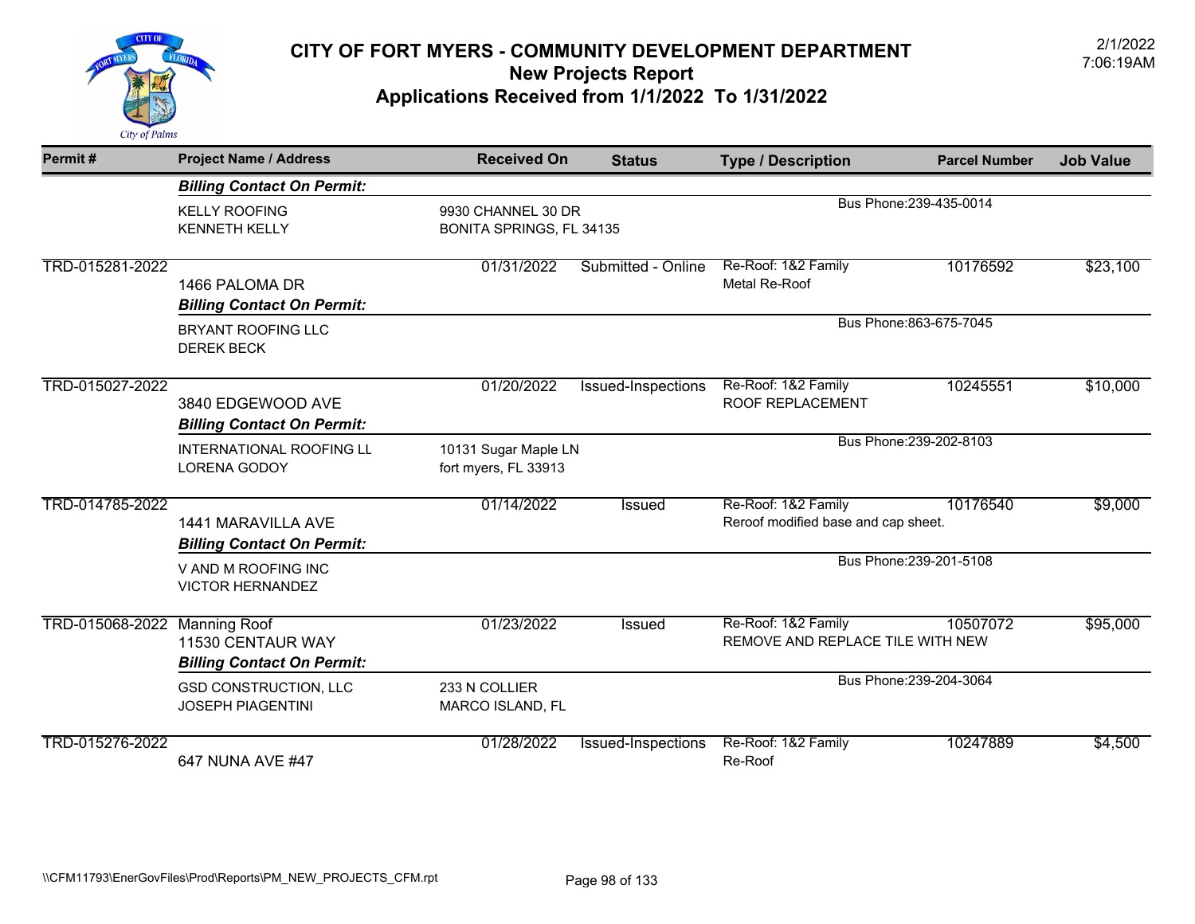

| Permit#         | <b>Project Name / Address</b>                                                 | <b>Received On</b>                             | <b>Status</b>      | <b>Type / Description</b>                                  | <b>Parcel Number</b>    | <b>Job Value</b> |
|-----------------|-------------------------------------------------------------------------------|------------------------------------------------|--------------------|------------------------------------------------------------|-------------------------|------------------|
|                 | <b>Billing Contact On Permit:</b>                                             |                                                |                    |                                                            |                         |                  |
|                 | <b>KELLY ROOFING</b><br><b>KENNETH KELLY</b>                                  | 9930 CHANNEL 30 DR<br>BONITA SPRINGS, FL 34135 |                    |                                                            | Bus Phone: 239-435-0014 |                  |
| TRD-015281-2022 | 1466 PALOMA DR<br><b>Billing Contact On Permit:</b>                           | 01/31/2022                                     | Submitted - Online | Re-Roof: 1&2 Family<br>Metal Re-Roof                       | 10176592                | \$23,100         |
|                 | BRYANT ROOFING LLC<br><b>DEREK BECK</b>                                       |                                                |                    |                                                            | Bus Phone: 863-675-7045 |                  |
| TRD-015027-2022 | 3840 EDGEWOOD AVE<br><b>Billing Contact On Permit:</b>                        | 01/20/2022                                     | Issued-Inspections | Re-Roof: 1&2 Family<br>ROOF REPLACEMENT                    | 10245551                | \$10,000         |
|                 | <b>INTERNATIONAL ROOFING LL</b><br>LORENA GODOY                               | 10131 Sugar Maple LN<br>fort myers, FL 33913   |                    |                                                            | Bus Phone: 239-202-8103 |                  |
| TRD-014785-2022 | 1441 MARAVILLA AVE<br><b>Billing Contact On Permit:</b>                       | 01/14/2022                                     | <b>Issued</b>      | Re-Roof: 1&2 Family<br>Reroof modified base and cap sheet. | 10176540                | \$9,000          |
|                 | V AND M ROOFING INC<br><b>VICTOR HERNANDEZ</b>                                |                                                |                    |                                                            | Bus Phone: 239-201-5108 |                  |
| TRD-015068-2022 | <b>Manning Roof</b><br>11530 CENTAUR WAY<br><b>Billing Contact On Permit:</b> | 01/23/2022                                     | <b>Issued</b>      | Re-Roof: 1&2 Family<br>REMOVE AND REPLACE TILE WITH NEW    | 10507072                | \$95,000         |
|                 | <b>GSD CONSTRUCTION, LLC</b><br><b>JOSEPH PIAGENTINI</b>                      | 233 N COLLIER<br>MARCO ISLAND, FL              |                    |                                                            | Bus Phone: 239-204-3064 |                  |
| TRD-015276-2022 | 647 NUNA AVE #47                                                              | 01/28/2022                                     | Issued-Inspections | Re-Roof: 1&2 Family<br>Re-Roof                             | 10247889                | \$4,500          |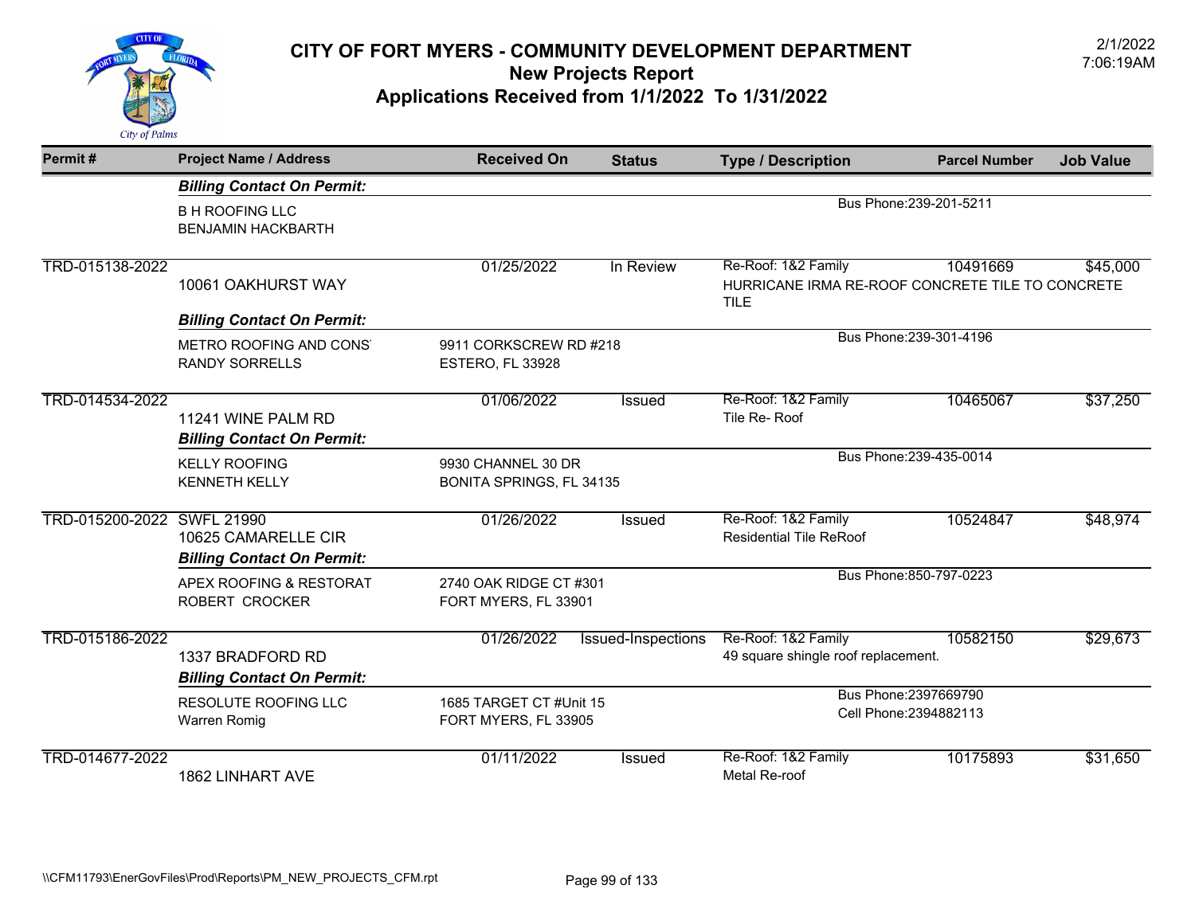

| Permit#                    | <b>Project Name / Address</b>                            | <b>Received On</b>                              | <b>Status</b>      | <b>Type / Description</b>                                                              | <b>Parcel Number</b>    | <b>Job Value</b> |
|----------------------------|----------------------------------------------------------|-------------------------------------------------|--------------------|----------------------------------------------------------------------------------------|-------------------------|------------------|
|                            | <b>Billing Contact On Permit:</b>                        |                                                 |                    |                                                                                        |                         |                  |
|                            | <b>B H ROOFING LLC</b><br><b>BENJAMIN HACKBARTH</b>      |                                                 |                    | Bus Phone: 239-201-5211                                                                |                         |                  |
| TRD-015138-2022            | 10061 OAKHURST WAY                                       | 01/25/2022                                      | In Review          | Re-Roof: 1&2 Family<br>HURRICANE IRMA RE-ROOF CONCRETE TILE TO CONCRETE<br><b>TILE</b> | 10491669                | \$45,000         |
|                            | <b>Billing Contact On Permit:</b>                        |                                                 |                    |                                                                                        |                         |                  |
|                            | METRO ROOFING AND CONS'<br><b>RANDY SORRELLS</b>         | 9911 CORKSCREW RD #218<br>ESTERO, FL 33928      |                    |                                                                                        | Bus Phone: 239-301-4196 |                  |
| TRD-014534-2022            | 11241 WINE PALM RD<br><b>Billing Contact On Permit:</b>  | 01/06/2022                                      | <b>Issued</b>      | Re-Roof: 1&2 Family<br>Tile Re-Roof                                                    | 10465067                | \$37,250         |
|                            | <b>KELLY ROOFING</b><br><b>KENNETH KELLY</b>             | 9930 CHANNEL 30 DR<br>BONITA SPRINGS, FL 34135  |                    |                                                                                        | Bus Phone: 239-435-0014 |                  |
| TRD-015200-2022 SWFL 21990 | 10625 CAMARELLE CIR<br><b>Billing Contact On Permit:</b> | 01/26/2022                                      | Issued             | Re-Roof: 1&2 Family<br><b>Residential Tile ReRoof</b>                                  | 10524847                | \$48,974         |
|                            | APEX ROOFING & RESTORAT<br>ROBERT CROCKER                | 2740 OAK RIDGE CT #301<br>FORT MYERS, FL 33901  |                    |                                                                                        | Bus Phone: 850-797-0223 |                  |
| TRD-015186-2022            | 1337 BRADFORD RD<br><b>Billing Contact On Permit:</b>    | 01/26/2022                                      | Issued-Inspections | Re-Roof: 1&2 Family<br>49 square shingle roof replacement.                             | 10582150                | \$29,673         |
|                            | RESOLUTE ROOFING LLC<br>Warren Romig                     | 1685 TARGET CT #Unit 15<br>FORT MYERS, FL 33905 |                    | Bus Phone: 2397669790<br>Cell Phone: 2394882113                                        |                         |                  |
| TRD-014677-2022            | 1862 LINHART AVE                                         | 01/11/2022                                      | <b>Issued</b>      | Re-Roof: 1&2 Family<br>Metal Re-roof                                                   | 10175893                | \$31,650         |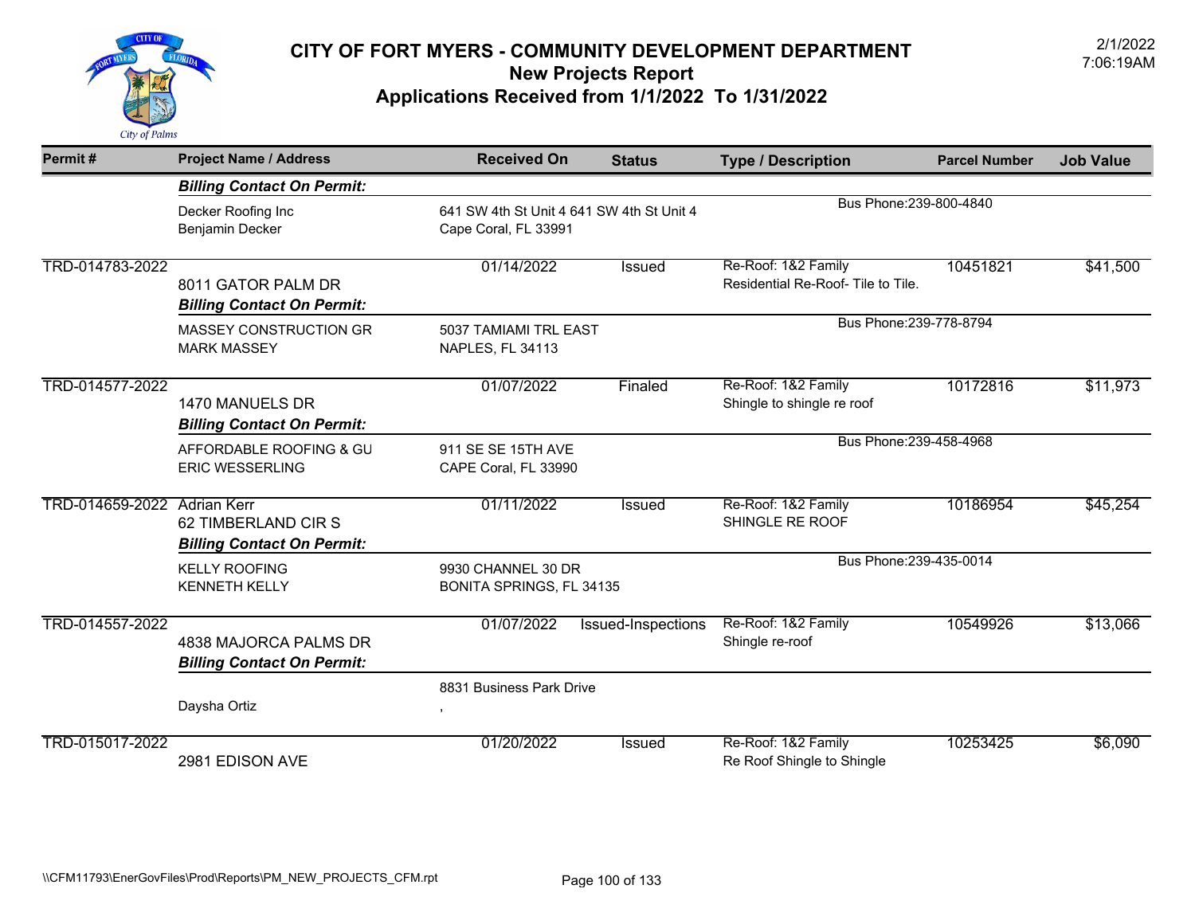

| Permit#                     | <b>Project Name / Address</b>                              | <b>Received On</b>                                                | <b>Status</b>      | <b>Type / Description</b>                                 | <b>Parcel Number</b> | <b>Job Value</b> |
|-----------------------------|------------------------------------------------------------|-------------------------------------------------------------------|--------------------|-----------------------------------------------------------|----------------------|------------------|
|                             | <b>Billing Contact On Permit:</b>                          |                                                                   |                    |                                                           |                      |                  |
|                             | Decker Roofing Inc<br>Benjamin Decker                      | 641 SW 4th St Unit 4 641 SW 4th St Unit 4<br>Cape Coral, FL 33991 |                    | Bus Phone: 239-800-4840                                   |                      |                  |
| TRD-014783-2022             | 8011 GATOR PALM DR<br><b>Billing Contact On Permit:</b>    | 01/14/2022                                                        | Issued             | Re-Roof: 1&2 Family<br>Residential Re-Roof- Tile to Tile. | 10451821             | \$41,500         |
|                             | <b>MASSEY CONSTRUCTION GR</b><br><b>MARK MASSEY</b>        | 5037 TAMIAMI TRL EAST<br>NAPLES, FL 34113                         |                    | Bus Phone: 239-778-8794                                   |                      |                  |
| TRD-014577-2022             | 1470 MANUELS DR<br><b>Billing Contact On Permit:</b>       | 01/07/2022                                                        | Finaled            | Re-Roof: 1&2 Family<br>Shingle to shingle re roof         | 10172816             | \$11,973         |
|                             | AFFORDABLE ROOFING & GU<br><b>ERIC WESSERLING</b>          | 911 SE SE 15TH AVE<br>CAPE Coral, FL 33990                        |                    | Bus Phone: 239-458-4968                                   |                      |                  |
| TRD-014659-2022 Adrian Kerr | 62 TIMBERLAND CIR S<br><b>Billing Contact On Permit:</b>   | 01/11/2022                                                        | Issued             | Re-Roof: 1&2 Family<br>SHINGLE RE ROOF                    | 10186954             | \$45,254         |
|                             | <b>KELLY ROOFING</b><br><b>KENNETH KELLY</b>               | 9930 CHANNEL 30 DR<br>BONITA SPRINGS, FL 34135                    |                    | Bus Phone: 239-435-0014                                   |                      |                  |
| TRD-014557-2022             | 4838 MAJORCA PALMS DR<br><b>Billing Contact On Permit:</b> | 01/07/2022                                                        | Issued-Inspections | Re-Roof: 1&2 Family<br>Shingle re-roof                    | 10549926             | \$13,066         |
|                             | Daysha Ortiz                                               | 8831 Business Park Drive                                          |                    |                                                           |                      |                  |
| TRD-015017-2022             | 2981 EDISON AVE                                            | 01/20/2022                                                        | <b>Issued</b>      | Re-Roof: 1&2 Family<br>Re Roof Shingle to Shingle         | 10253425             | \$6,090          |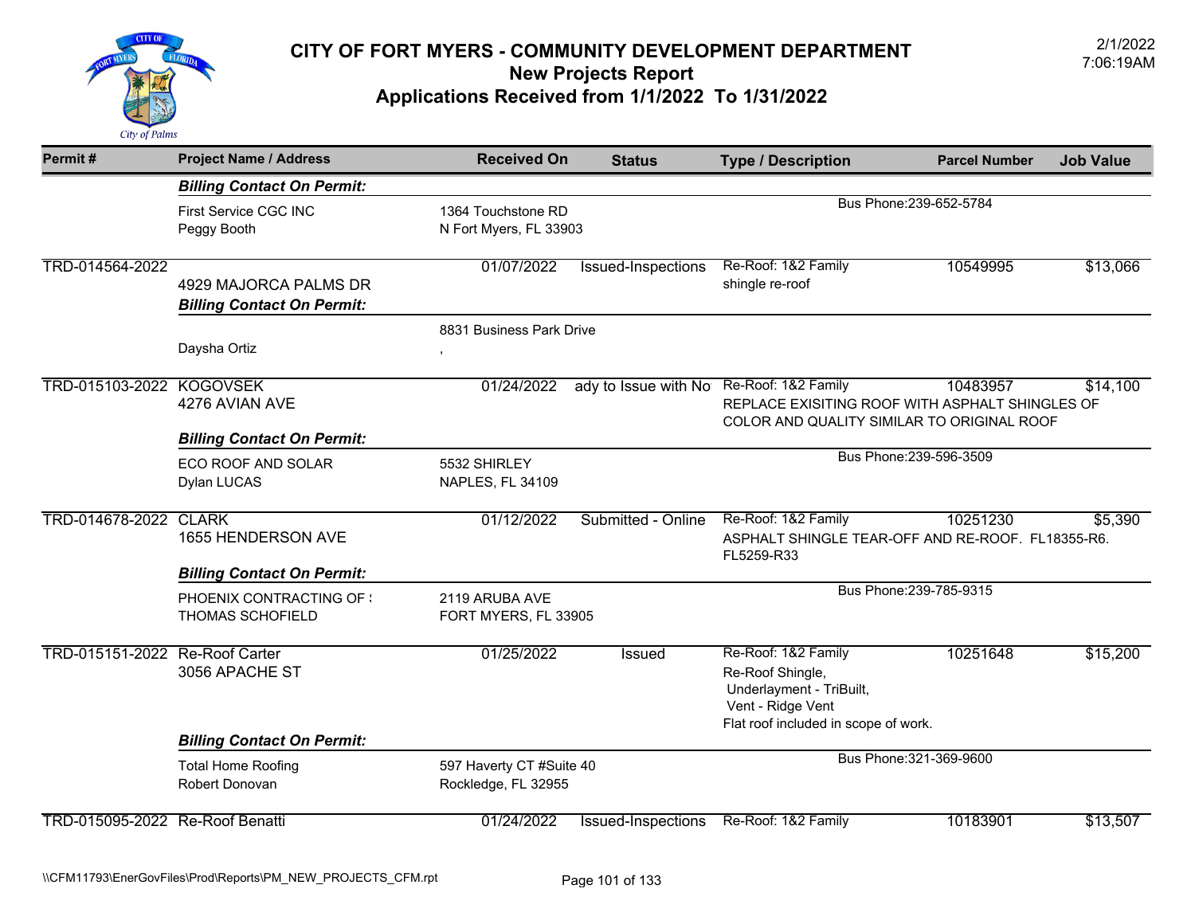

| Permit#                         | <b>Project Name / Address</b>                                                     | <b>Received On</b>                              | <b>Status</b>                            | <b>Type / Description</b>                                                                                                        | <b>Parcel Number</b>    | <b>Job Value</b> |
|---------------------------------|-----------------------------------------------------------------------------------|-------------------------------------------------|------------------------------------------|----------------------------------------------------------------------------------------------------------------------------------|-------------------------|------------------|
|                                 | <b>Billing Contact On Permit:</b>                                                 |                                                 |                                          |                                                                                                                                  |                         |                  |
|                                 | First Service CGC INC<br>Peggy Booth                                              | 1364 Touchstone RD<br>N Fort Myers, FL 33903    |                                          |                                                                                                                                  | Bus Phone: 239-652-5784 |                  |
| TRD-014564-2022                 | 4929 MAJORCA PALMS DR<br><b>Billing Contact On Permit:</b>                        | 01/07/2022                                      | Issued-Inspections                       | Re-Roof: 1&2 Family<br>shingle re-roof                                                                                           | 10549995                | \$13,066         |
|                                 | Daysha Ortiz                                                                      | 8831 Business Park Drive<br>$\,$                |                                          |                                                                                                                                  |                         |                  |
| TRD-015103-2022 KOGOVSEK        | 4276 AVIAN AVE<br><b>Billing Contact On Permit:</b>                               | 01/24/2022                                      | ady to Issue with No Re-Roof: 1&2 Family | REPLACE EXISITING ROOF WITH ASPHALT SHINGLES OF<br>COLOR AND QUALITY SIMILAR TO ORIGINAL ROOF                                    | 10483957                | \$14,100         |
|                                 | ECO ROOF AND SOLAR<br>Dylan LUCAS                                                 | 5532 SHIRLEY<br><b>NAPLES, FL 34109</b>         |                                          |                                                                                                                                  | Bus Phone: 239-596-3509 |                  |
| TRD-014678-2022 CLARK           | 1655 HENDERSON AVE                                                                | 01/12/2022                                      | Submitted - Online                       | Re-Roof: 1&2 Family<br>ASPHALT SHINGLE TEAR-OFF AND RE-ROOF. FL18355-R6.<br>FL5259-R33                                           | 10251230                | \$5,390          |
|                                 | <b>Billing Contact On Permit:</b><br>PHOENIX CONTRACTING OF :<br>THOMAS SCHOFIELD | 2119 ARUBA AVE<br>FORT MYERS, FL 33905          |                                          |                                                                                                                                  | Bus Phone: 239-785-9315 |                  |
| TRD-015151-2022 Re-Roof Carter  | 3056 APACHE ST                                                                    | 01/25/2022                                      | Issued                                   | Re-Roof: 1&2 Family<br>Re-Roof Shingle,<br>Underlayment - TriBuilt,<br>Vent - Ridge Vent<br>Flat roof included in scope of work. | 10251648                | \$15,200         |
|                                 | <b>Billing Contact On Permit:</b>                                                 |                                                 |                                          |                                                                                                                                  |                         |                  |
|                                 | <b>Total Home Roofing</b><br>Robert Donovan                                       | 597 Haverty CT #Suite 40<br>Rockledge, FL 32955 |                                          |                                                                                                                                  | Bus Phone: 321-369-9600 |                  |
| TRD-015095-2022 Re-Roof Benatti |                                                                                   | 01/24/2022                                      | <b>Issued-Inspections</b>                | Re-Roof: 1&2 Family                                                                                                              | 10183901                | \$13,507         |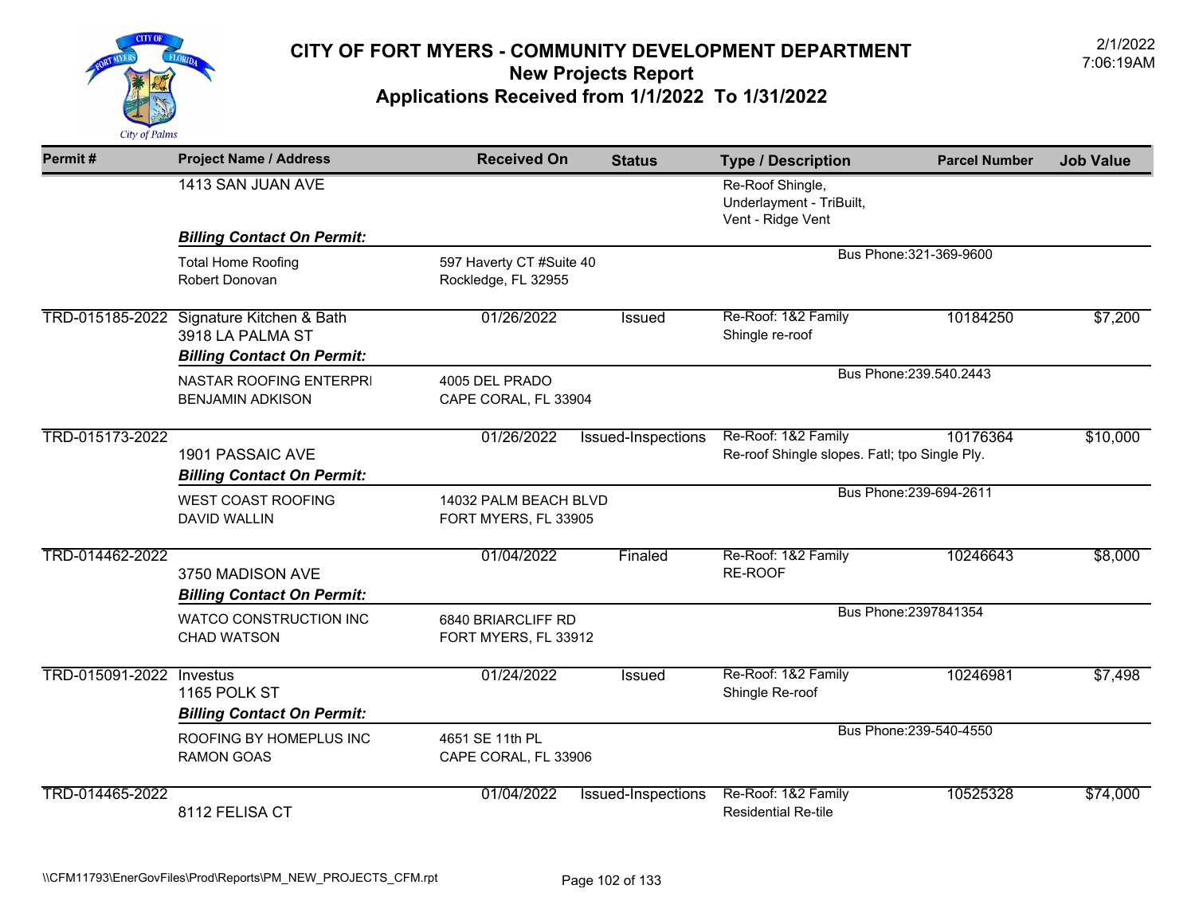

| Permit#         | <b>Project Name / Address</b>                                                                     | <b>Received On</b>                              | <b>Status</b>      | <b>Type / Description</b>                                            | <b>Parcel Number</b>    | <b>Job Value</b> |
|-----------------|---------------------------------------------------------------------------------------------------|-------------------------------------------------|--------------------|----------------------------------------------------------------------|-------------------------|------------------|
|                 | 1413 SAN JUAN AVE                                                                                 |                                                 |                    | Re-Roof Shingle,<br>Underlayment - TriBuilt,<br>Vent - Ridge Vent    |                         |                  |
|                 | <b>Billing Contact On Permit:</b>                                                                 |                                                 |                    |                                                                      |                         |                  |
|                 | <b>Total Home Roofing</b><br>Robert Donovan                                                       | 597 Haverty CT #Suite 40<br>Rockledge, FL 32955 |                    |                                                                      | Bus Phone: 321-369-9600 |                  |
|                 | TRD-015185-2022 Signature Kitchen & Bath<br>3918 LA PALMA ST<br><b>Billing Contact On Permit:</b> | 01/26/2022                                      | <b>Issued</b>      | Re-Roof: 1&2 Family<br>Shingle re-roof                               | 10184250                | \$7,200          |
|                 | NASTAR ROOFING ENTERPRI<br><b>BENJAMIN ADKISON</b>                                                | 4005 DEL PRADO<br>CAPE CORAL, FL 33904          |                    |                                                                      | Bus Phone: 239.540.2443 |                  |
| TRD-015173-2022 | 1901 PASSAIC AVE<br><b>Billing Contact On Permit:</b>                                             | 01/26/2022                                      | Issued-Inspections | Re-Roof: 1&2 Family<br>Re-roof Shingle slopes. Fatl; tpo Single Ply. | 10176364                | \$10,000         |
|                 | <b>WEST COAST ROOFING</b><br><b>DAVID WALLIN</b>                                                  | 14032 PALM BEACH BLVD<br>FORT MYERS, FL 33905   |                    |                                                                      | Bus Phone: 239-694-2611 |                  |
| TRD-014462-2022 | 3750 MADISON AVE<br><b>Billing Contact On Permit:</b>                                             | 01/04/2022                                      | Finaled            | Re-Roof: 1&2 Family<br>RE-ROOF                                       | 10246643                | \$8,000          |
|                 | <b>WATCO CONSTRUCTION INC</b><br><b>CHAD WATSON</b>                                               | 6840 BRIARCLIFF RD<br>FORT MYERS, FL 33912      |                    |                                                                      | Bus Phone: 2397841354   |                  |
| TRD-015091-2022 | Investus<br>1165 POLK ST<br><b>Billing Contact On Permit:</b>                                     | 01/24/2022                                      | <b>Issued</b>      | Re-Roof: 1&2 Family<br>Shingle Re-roof                               | 10246981                | \$7,498          |
|                 | ROOFING BY HOMEPLUS INC<br><b>RAMON GOAS</b>                                                      | 4651 SE 11th PL<br>CAPE CORAL, FL 33906         |                    |                                                                      | Bus Phone: 239-540-4550 |                  |
| TRD-014465-2022 | 8112 FELISA CT                                                                                    | 01/04/2022                                      | Issued-Inspections | Re-Roof: 1&2 Family<br><b>Residential Re-tile</b>                    | 10525328                | \$74,000         |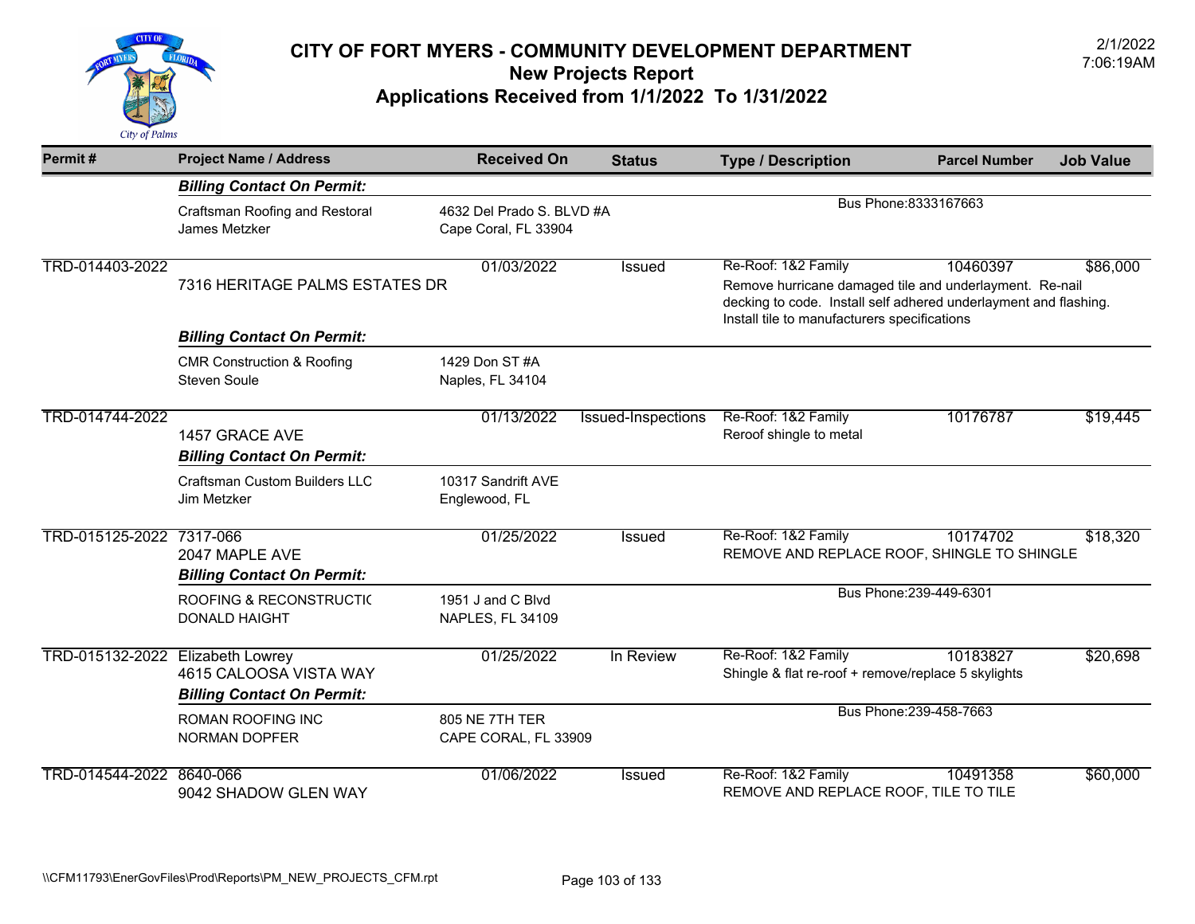

| Permit#                          | <b>Project Name / Address</b>                                | <b>Received On</b>                                | <b>Status</b>      | <b>Type / Description</b>                                                                                                                                                                          | <b>Parcel Number</b>    | <b>Job Value</b> |
|----------------------------------|--------------------------------------------------------------|---------------------------------------------------|--------------------|----------------------------------------------------------------------------------------------------------------------------------------------------------------------------------------------------|-------------------------|------------------|
|                                  | <b>Billing Contact On Permit:</b>                            |                                                   |                    |                                                                                                                                                                                                    |                         |                  |
|                                  | Craftsman Roofing and Restoral<br>James Metzker              | 4632 Del Prado S. BLVD #A<br>Cape Coral, FL 33904 |                    |                                                                                                                                                                                                    | Bus Phone: 8333167663   |                  |
| TRD-014403-2022                  | 7316 HERITAGE PALMS ESTATES DR                               | 01/03/2022                                        | Issued             | Re-Roof: 1&2 Family<br>Remove hurricane damaged tile and underlayment. Re-nail<br>decking to code. Install self adhered underlayment and flashing.<br>Install tile to manufacturers specifications | 10460397                | \$86,000         |
|                                  | <b>Billing Contact On Permit:</b>                            |                                                   |                    |                                                                                                                                                                                                    |                         |                  |
|                                  | <b>CMR Construction &amp; Roofing</b><br><b>Steven Soule</b> | 1429 Don ST #A<br>Naples, FL 34104                |                    |                                                                                                                                                                                                    |                         |                  |
| TRD-014744-2022                  | 1457 GRACE AVE<br><b>Billing Contact On Permit:</b>          | 01/13/2022                                        | Issued-Inspections | Re-Roof: 1&2 Family<br>Reroof shingle to metal                                                                                                                                                     | 10176787                | \$19,445         |
|                                  | <b>Craftsman Custom Builders LLC</b><br>Jim Metzker          | 10317 Sandrift AVE<br>Englewood, FL               |                    |                                                                                                                                                                                                    |                         |                  |
| TRD-015125-2022 7317-066         | 2047 MAPLE AVE<br><b>Billing Contact On Permit:</b>          | 01/25/2022                                        | Issued             | Re-Roof: 1&2 Family<br>REMOVE AND REPLACE ROOF, SHINGLE TO SHINGLE                                                                                                                                 | 10174702                | \$18,320         |
|                                  | <b>ROOFING &amp; RECONSTRUCTIC</b><br><b>DONALD HAIGHT</b>   | 1951 J and C Blvd<br>NAPLES, FL 34109             |                    |                                                                                                                                                                                                    | Bus Phone: 239-449-6301 |                  |
| TRD-015132-2022 Elizabeth Lowrey | 4615 CALOOSA VISTA WAY<br><b>Billing Contact On Permit:</b>  | 01/25/2022                                        | In Review          | Re-Roof: 1&2 Family<br>Shingle & flat re-roof + remove/replace 5 skylights                                                                                                                         | 10183827                | \$20,698         |
|                                  | ROMAN ROOFING INC<br><b>NORMAN DOPFER</b>                    | 805 NE 7TH TER<br>CAPE CORAL, FL 33909            |                    |                                                                                                                                                                                                    | Bus Phone: 239-458-7663 |                  |
| TRD-014544-2022                  | 8640-066<br>9042 SHADOW GLEN WAY                             | 01/06/2022                                        | Issued             | Re-Roof: 1&2 Family<br>REMOVE AND REPLACE ROOF, TILE TO TILE                                                                                                                                       | 10491358                | \$60,000         |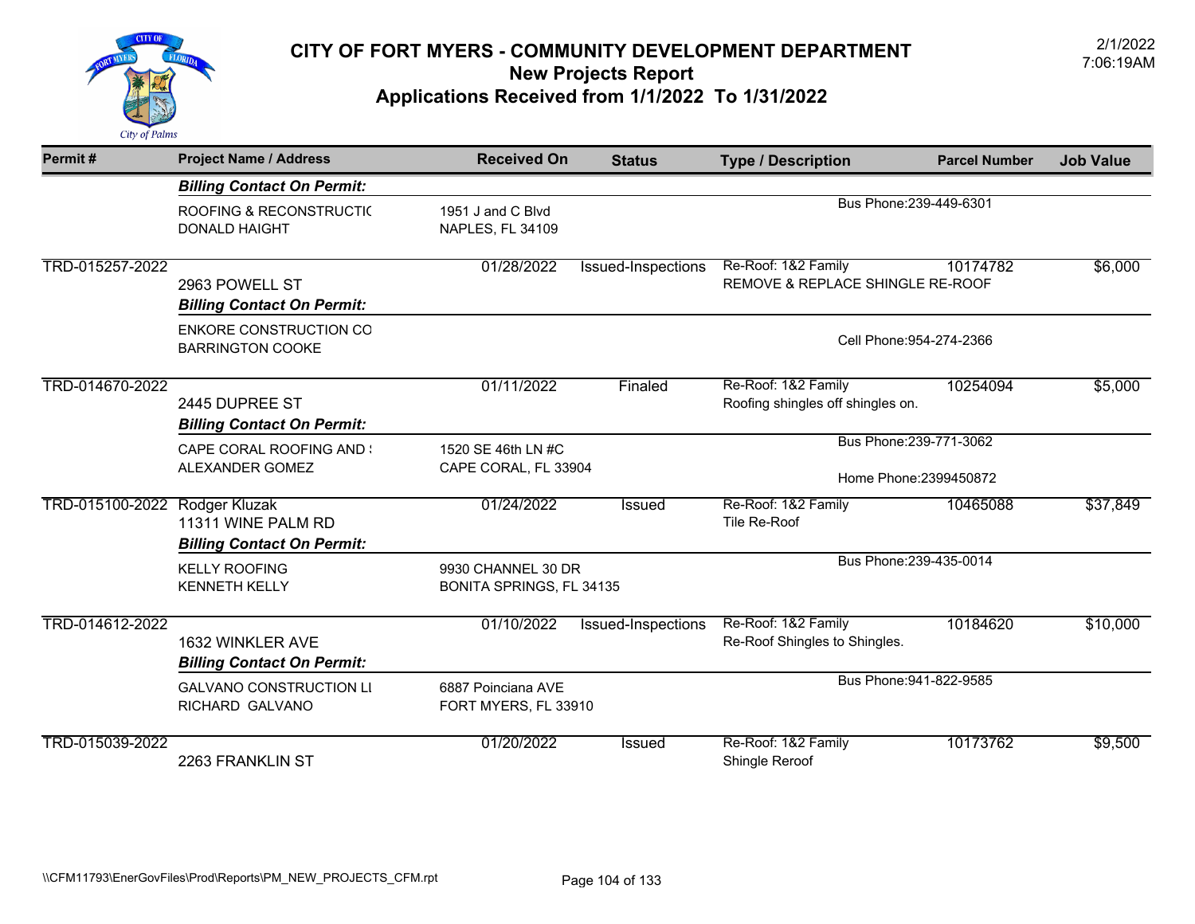

| Permit#                       | <b>Project Name / Address</b>                            | <b>Received On</b>                             | <b>Status</b>            | <b>Type / Description</b>                                | <b>Parcel Number</b> | <b>Job Value</b> |  |
|-------------------------------|----------------------------------------------------------|------------------------------------------------|--------------------------|----------------------------------------------------------|----------------------|------------------|--|
|                               | <b>Billing Contact On Permit:</b>                        |                                                |                          |                                                          |                      |                  |  |
|                               | ROOFING & RECONSTRUCTI(<br><b>DONALD HAIGHT</b>          | 1951 J and C Blvd<br><b>NAPLES, FL 34109</b>   |                          | Bus Phone: 239-449-6301                                  |                      |                  |  |
| TRD-015257-2022               | 2963 POWELL ST<br><b>Billing Contact On Permit:</b>      | 01/28/2022                                     | Issued-Inspections       | Re-Roof: 1&2 Family<br>REMOVE & REPLACE SHINGLE RE-ROOF  | 10174782             | \$6,000          |  |
|                               | <b>ENKORE CONSTRUCTION CO</b><br><b>BARRINGTON COOKE</b> |                                                | Cell Phone: 954-274-2366 |                                                          |                      |                  |  |
| TRD-014670-2022               | 2445 DUPREE ST<br><b>Billing Contact On Permit:</b>      | 01/11/2022                                     | Finaled                  | Re-Roof: 1&2 Family<br>Roofing shingles off shingles on. | 10254094             | \$5,000          |  |
|                               | <b>CAPE CORAL ROOFING AND \</b>                          | 1520 SE 46th LN #C                             |                          | Bus Phone: 239-771-3062                                  |                      |                  |  |
|                               | ALEXANDER GOMEZ                                          | CAPE CORAL, FL 33904                           |                          | Home Phone: 2399450872                                   |                      |                  |  |
| TRD-015100-2022 Rodger Kluzak | 11311 WINE PALM RD<br><b>Billing Contact On Permit:</b>  | 01/24/2022                                     | <b>Issued</b>            | Re-Roof: 1&2 Family<br>Tile Re-Roof                      | 10465088             | \$37,849         |  |
|                               | <b>KELLY ROOFING</b><br><b>KENNETH KELLY</b>             | 9930 CHANNEL 30 DR<br>BONITA SPRINGS, FL 34135 |                          | Bus Phone: 239-435-0014                                  |                      |                  |  |
| TRD-014612-2022               | 1632 WINKLER AVE<br><b>Billing Contact On Permit:</b>    | 01/10/2022                                     | Issued-Inspections       | Re-Roof: 1&2 Family<br>Re-Roof Shingles to Shingles.     | 10184620             | \$10,000         |  |
|                               | <b>GALVANO CONSTRUCTION LI</b><br>RICHARD GALVANO        | 6887 Poinciana AVE<br>FORT MYERS, FL 33910     |                          | Bus Phone: 941-822-9585                                  |                      |                  |  |
| TRD-015039-2022               | 2263 FRANKLIN ST                                         | 01/20/2022                                     | Issued                   | Re-Roof: 1&2 Family<br>Shingle Reroof                    | 10173762             | \$9,500          |  |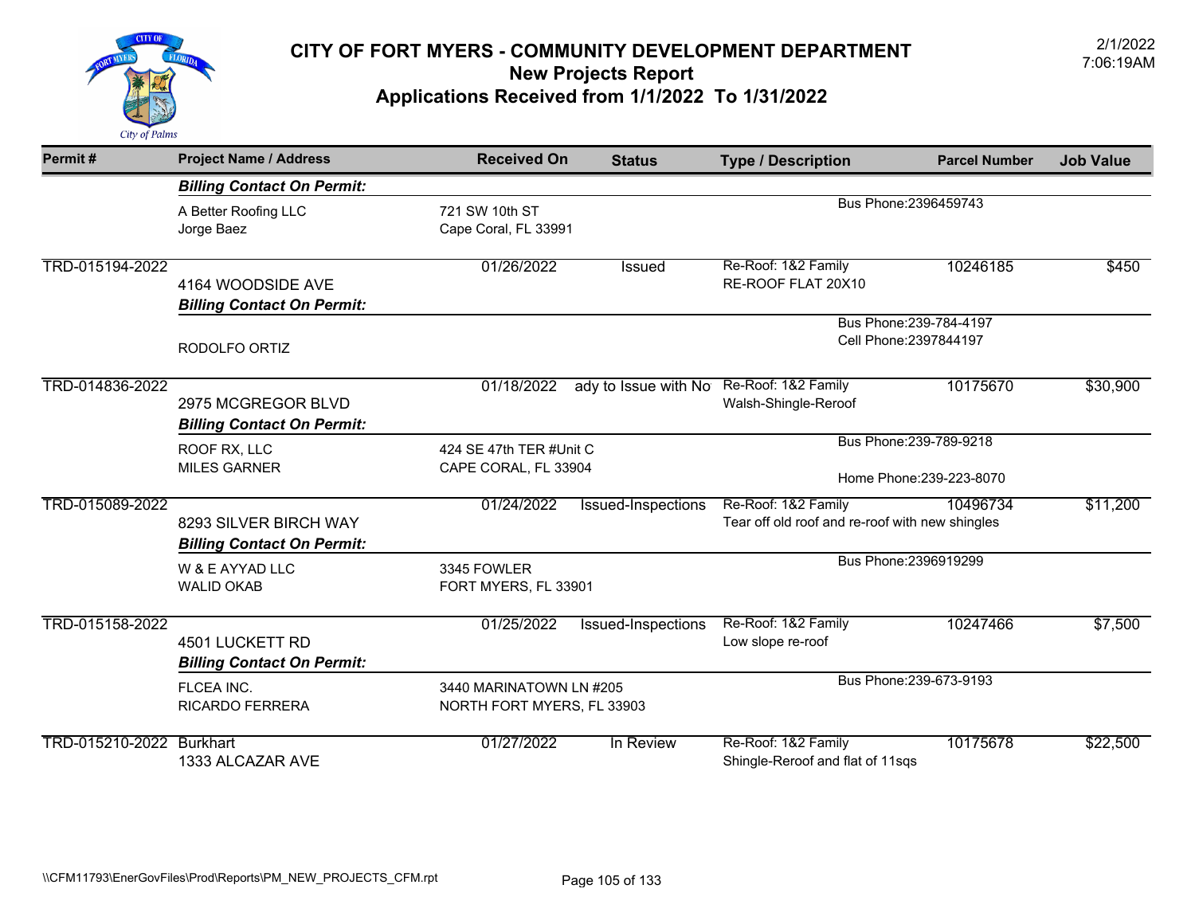

| Permit#                  | <b>Project Name / Address</b>                              | <b>Received On</b>                                    | <b>Status</b>        | <b>Type / Description</b>                                              | <b>Parcel Number</b>                              | <b>Job Value</b> |
|--------------------------|------------------------------------------------------------|-------------------------------------------------------|----------------------|------------------------------------------------------------------------|---------------------------------------------------|------------------|
|                          | <b>Billing Contact On Permit:</b>                          |                                                       |                      |                                                                        |                                                   |                  |
|                          | A Better Roofing LLC<br>Jorge Baez                         | 721 SW 10th ST<br>Cape Coral, FL 33991                |                      |                                                                        | Bus Phone: 2396459743                             |                  |
| TRD-015194-2022          | 4164 WOODSIDE AVE<br><b>Billing Contact On Permit:</b>     | 01/26/2022                                            | Issued               | Re-Roof: 1&2 Family<br>RE-ROOF FLAT 20X10                              | 10246185                                          | \$450            |
|                          | RODOLFO ORTIZ                                              |                                                       |                      |                                                                        | Bus Phone: 239-784-4197<br>Cell Phone: 2397844197 |                  |
| TRD-014836-2022          | 2975 MCGREGOR BLVD<br><b>Billing Contact On Permit:</b>    | 01/18/2022                                            | ady to Issue with No | Re-Roof: 1&2 Family<br>Walsh-Shingle-Reroof                            | 10175670                                          | \$30,900         |
|                          | ROOF RX, LLC                                               | 424 SE 47th TER #Unit C                               |                      |                                                                        | Bus Phone: 239-789-9218                           |                  |
|                          | <b>MILES GARNER</b>                                        | CAPE CORAL, FL 33904                                  |                      | Home Phone: 239-223-8070                                               |                                                   |                  |
| TRD-015089-2022          | 8293 SILVER BIRCH WAY<br><b>Billing Contact On Permit:</b> | 01/24/2022                                            | Issued-Inspections   | Re-Roof: 1&2 Family<br>Tear off old roof and re-roof with new shingles | 10496734                                          | \$11,200         |
|                          | W & E AYYAD LLC<br><b>WALID OKAB</b>                       | 3345 FOWLER<br>FORT MYERS, FL 33901                   |                      |                                                                        | Bus Phone: 2396919299                             |                  |
| TRD-015158-2022          | 4501 LUCKETT RD<br><b>Billing Contact On Permit:</b>       | 01/25/2022                                            | Issued-Inspections   | Re-Roof: 1&2 Family<br>Low slope re-roof                               | 10247466                                          | \$7,500          |
|                          | FLCEA INC.<br><b>RICARDO FERRERA</b>                       | 3440 MARINATOWN LN #205<br>NORTH FORT MYERS, FL 33903 |                      |                                                                        | Bus Phone: 239-673-9193                           |                  |
| TRD-015210-2022 Burkhart | 1333 ALCAZAR AVE                                           | 01/27/2022                                            | In Review            | Re-Roof: 1&2 Family<br>Shingle-Reroof and flat of 11sqs                | 10175678                                          | \$22,500         |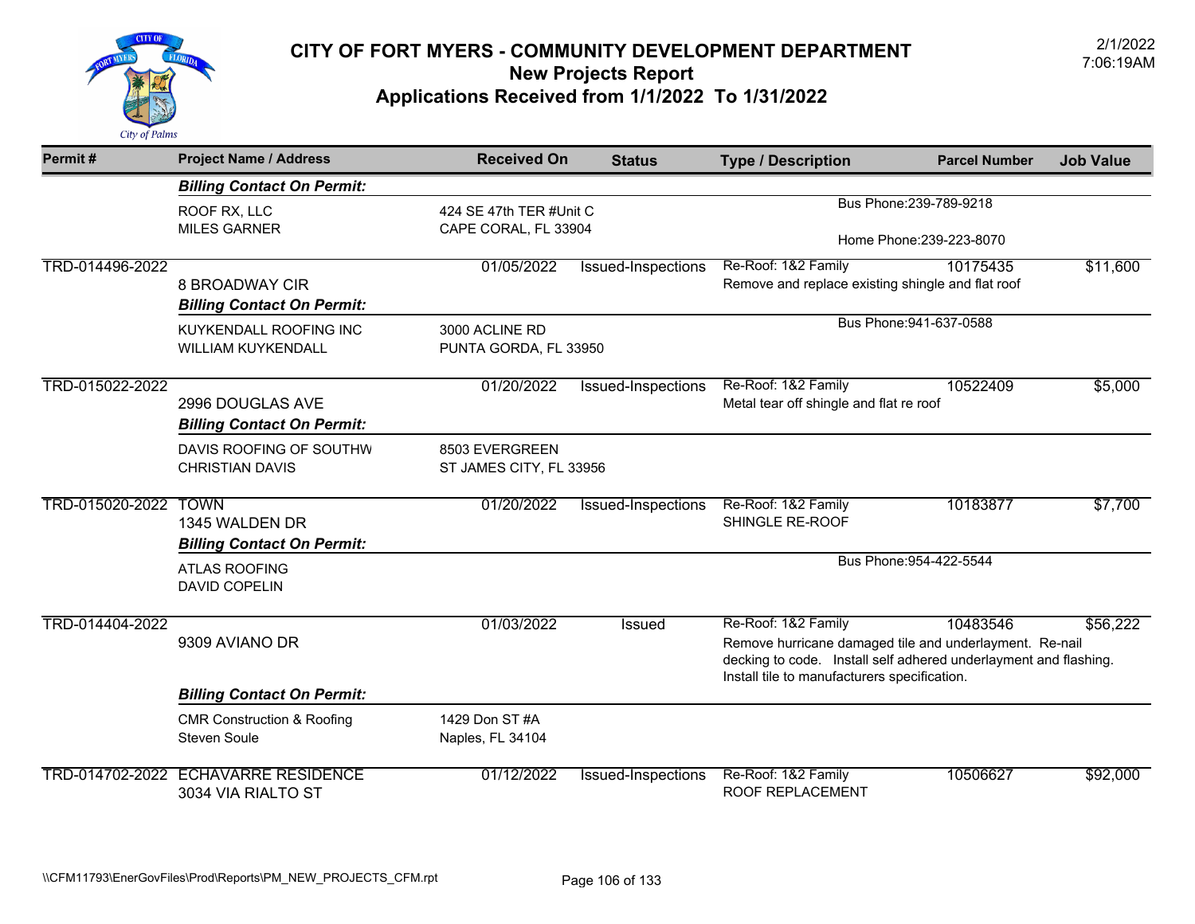

| Permit#         | <b>Project Name / Address</b>                                      | <b>Received On</b>                              | <b>Status</b>             | <b>Type / Description</b>                                                                                                                                                                          | <b>Parcel Number</b>                                | <b>Job Value</b> |
|-----------------|--------------------------------------------------------------------|-------------------------------------------------|---------------------------|----------------------------------------------------------------------------------------------------------------------------------------------------------------------------------------------------|-----------------------------------------------------|------------------|
|                 | <b>Billing Contact On Permit:</b>                                  |                                                 |                           |                                                                                                                                                                                                    |                                                     |                  |
|                 | ROOF RX, LLC<br><b>MILES GARNER</b>                                | 424 SE 47th TER #Unit C<br>CAPE CORAL, FL 33904 |                           |                                                                                                                                                                                                    | Bus Phone: 239-789-9218<br>Home Phone: 239-223-8070 |                  |
| TRD-014496-2022 | 8 BROADWAY CIR<br><b>Billing Contact On Permit:</b>                | 01/05/2022                                      | Issued-Inspections        | Re-Roof: 1&2 Family<br>Remove and replace existing shingle and flat roof                                                                                                                           | 10175435                                            | \$11,600         |
|                 | KUYKENDALL ROOFING INC<br><b>WILLIAM KUYKENDALL</b>                | 3000 ACLINE RD<br>PUNTA GORDA, FL 33950         |                           |                                                                                                                                                                                                    | Bus Phone: 941-637-0588                             |                  |
| TRD-015022-2022 | 2996 DOUGLAS AVE<br><b>Billing Contact On Permit:</b>              | 01/20/2022                                      | Issued-Inspections        | Re-Roof: 1&2 Family<br>Metal tear off shingle and flat re roof                                                                                                                                     | 10522409                                            | \$5,000          |
|                 | DAVIS ROOFING OF SOUTHW<br><b>CHRISTIAN DAVIS</b>                  | 8503 EVERGREEN<br>ST JAMES CITY, FL 33956       |                           |                                                                                                                                                                                                    |                                                     |                  |
| TRD-015020-2022 | <b>TOWN</b><br>1345 WALDEN DR<br><b>Billing Contact On Permit:</b> | 01/20/2022                                      | Issued-Inspections        | Re-Roof: 1&2 Family<br>SHINGLE RE-ROOF                                                                                                                                                             | 10183877                                            | \$7,700          |
|                 | <b>ATLAS ROOFING</b><br><b>DAVID COPELIN</b>                       |                                                 |                           |                                                                                                                                                                                                    | Bus Phone: 954-422-5544                             |                  |
| TRD-014404-2022 | 9309 AVIANO DR                                                     | 01/03/2022                                      | Issued                    | Re-Roof: 1&2 Family<br>Remove hurricane damaged tile and underlayment. Re-nail<br>decking to code. Install self adhered underlayment and flashing.<br>Install tile to manufacturers specification. | 10483546                                            | \$56,222         |
|                 | <b>Billing Contact On Permit:</b>                                  |                                                 |                           |                                                                                                                                                                                                    |                                                     |                  |
|                 | <b>CMR Construction &amp; Roofing</b><br><b>Steven Soule</b>       | 1429 Don ST #A<br>Naples, FL 34104              |                           |                                                                                                                                                                                                    |                                                     |                  |
| TRD-014702-2022 | <b>ECHAVARRE RESIDENCE</b><br>3034 VIA RIALTO ST                   | 01/12/2022                                      | <b>Issued-Inspections</b> | Re-Roof: 1&2 Family<br>ROOF REPLACEMENT                                                                                                                                                            | 10506627                                            | \$92,000         |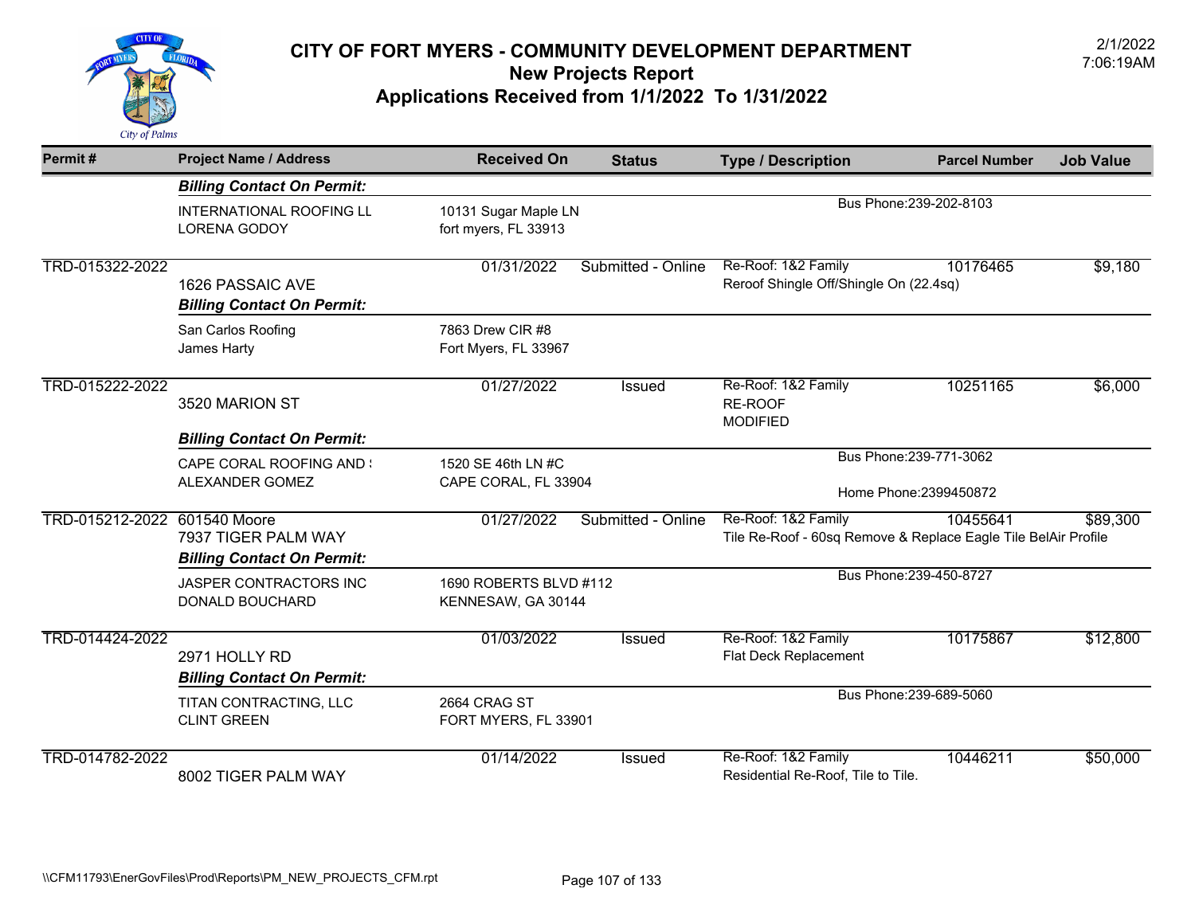

| Permit#                      | <b>Project Name / Address</b>                            | <b>Received On</b>                           | <b>Status</b>      | <b>Type / Description</b>                                                             | <b>Parcel Number</b>    | <b>Job Value</b> |
|------------------------------|----------------------------------------------------------|----------------------------------------------|--------------------|---------------------------------------------------------------------------------------|-------------------------|------------------|
|                              | <b>Billing Contact On Permit:</b>                        |                                              |                    |                                                                                       |                         |                  |
|                              | <b>INTERNATIONAL ROOFING LL</b><br><b>LORENA GODOY</b>   | 10131 Sugar Maple LN<br>fort myers, FL 33913 |                    |                                                                                       | Bus Phone: 239-202-8103 |                  |
| TRD-015322-2022              | 1626 PASSAIC AVE<br><b>Billing Contact On Permit:</b>    | 01/31/2022                                   | Submitted - Online | Re-Roof: 1&2 Family<br>Reroof Shingle Off/Shingle On (22.4sq)                         | 10176465                | \$9,180          |
|                              | San Carlos Roofing<br>James Harty                        | 7863 Drew CIR #8<br>Fort Myers, FL 33967     |                    |                                                                                       |                         |                  |
| TRD-015222-2022              | 3520 MARION ST                                           | 01/27/2022                                   | <b>Issued</b>      | Re-Roof: 1&2 Family<br>RE-ROOF<br><b>MODIFIED</b>                                     | 10251165                | \$6,000          |
|                              | <b>Billing Contact On Permit:</b>                        |                                              |                    |                                                                                       | Bus Phone: 239-771-3062 |                  |
|                              | <b>CAPE CORAL ROOFING AND :</b><br>ALEXANDER GOMEZ       | 1520 SE 46th LN #C<br>CAPE CORAL, FL 33904   |                    | Home Phone: 2399450872                                                                |                         |                  |
| TRD-015212-2022 601540 Moore | 7937 TIGER PALM WAY<br><b>Billing Contact On Permit:</b> | 01/27/2022                                   | Submitted - Online | Re-Roof: 1&2 Family<br>Tile Re-Roof - 60sq Remove & Replace Eagle Tile BelAir Profile | 10455641                | \$89,300         |
|                              | JASPER CONTRACTORS INC<br><b>DONALD BOUCHARD</b>         | 1690 ROBERTS BLVD #112<br>KENNESAW, GA 30144 |                    |                                                                                       | Bus Phone: 239-450-8727 |                  |
| TRD-014424-2022              | 2971 HOLLY RD<br><b>Billing Contact On Permit:</b>       | 01/03/2022                                   | <b>Issued</b>      | Re-Roof: 1&2 Family<br>Flat Deck Replacement                                          | 10175867                | \$12,800         |
|                              | TITAN CONTRACTING, LLC<br><b>CLINT GREEN</b>             | 2664 CRAG ST<br>FORT MYERS, FL 33901         |                    |                                                                                       | Bus Phone: 239-689-5060 |                  |
| TRD-014782-2022              | 8002 TIGER PALM WAY                                      | 01/14/2022                                   | <b>Issued</b>      | Re-Roof: 1&2 Family<br>Residential Re-Roof, Tile to Tile.                             | 10446211                | \$50,000         |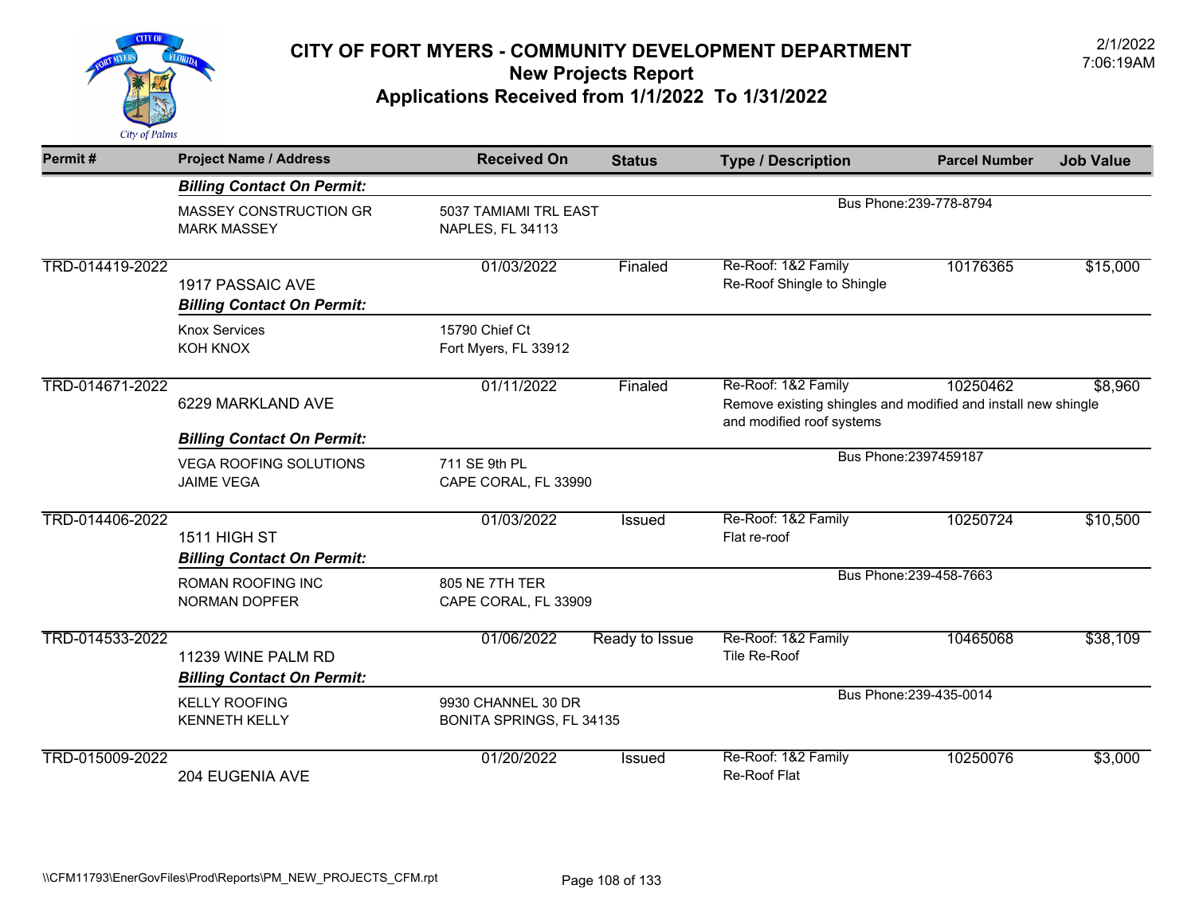

| Permit#         | <b>Project Name / Address</b>                           | <b>Received On</b>                             | <b>Status</b>  | <b>Type / Description</b>                                                                                         | <b>Parcel Number</b>    | <b>Job Value</b> |
|-----------------|---------------------------------------------------------|------------------------------------------------|----------------|-------------------------------------------------------------------------------------------------------------------|-------------------------|------------------|
|                 | <b>Billing Contact On Permit:</b>                       |                                                |                |                                                                                                                   |                         |                  |
|                 | MASSEY CONSTRUCTION GR<br><b>MARK MASSEY</b>            | 5037 TAMIAMI TRL EAST<br>NAPLES, FL 34113      |                |                                                                                                                   | Bus Phone: 239-778-8794 |                  |
| TRD-014419-2022 | 1917 PASSAIC AVE<br><b>Billing Contact On Permit:</b>   | 01/03/2022                                     | Finaled        | Re-Roof: 1&2 Family<br>Re-Roof Shingle to Shingle                                                                 | 10176365                | \$15,000         |
|                 | <b>Knox Services</b><br>KOH KNOX                        | 15790 Chief Ct<br>Fort Myers, FL 33912         |                |                                                                                                                   |                         |                  |
| TRD-014671-2022 | 6229 MARKLAND AVE<br><b>Billing Contact On Permit:</b>  | 01/11/2022                                     | Finaled        | Re-Roof: 1&2 Family<br>Remove existing shingles and modified and install new shingle<br>and modified roof systems | 10250462                | \$8,960          |
|                 | <b>VEGA ROOFING SOLUTIONS</b><br><b>JAIME VEGA</b>      | 711 SE 9th PL<br>CAPE CORAL, FL 33990          |                |                                                                                                                   | Bus Phone: 2397459187   |                  |
| TRD-014406-2022 | 1511 HIGH ST<br><b>Billing Contact On Permit:</b>       | 01/03/2022                                     | <b>Issued</b>  | Re-Roof: 1&2 Family<br>Flat re-roof                                                                               | 10250724                | \$10,500         |
|                 | ROMAN ROOFING INC<br>NORMAN DOPFER                      | 805 NE 7TH TER<br>CAPE CORAL, FL 33909         |                |                                                                                                                   | Bus Phone: 239-458-7663 |                  |
| TRD-014533-2022 | 11239 WINE PALM RD<br><b>Billing Contact On Permit:</b> | 01/06/2022                                     | Ready to Issue | Re-Roof: 1&2 Family<br>Tile Re-Roof                                                                               | 10465068                | \$38,109         |
|                 | <b>KELLY ROOFING</b><br><b>KENNETH KELLY</b>            | 9930 CHANNEL 30 DR<br>BONITA SPRINGS, FL 34135 |                |                                                                                                                   | Bus Phone: 239-435-0014 |                  |
| TRD-015009-2022 | <b>204 EUGENIA AVE</b>                                  | 01/20/2022                                     | Issued         | Re-Roof: 1&2 Family<br>Re-Roof Flat                                                                               | 10250076                | \$3,000          |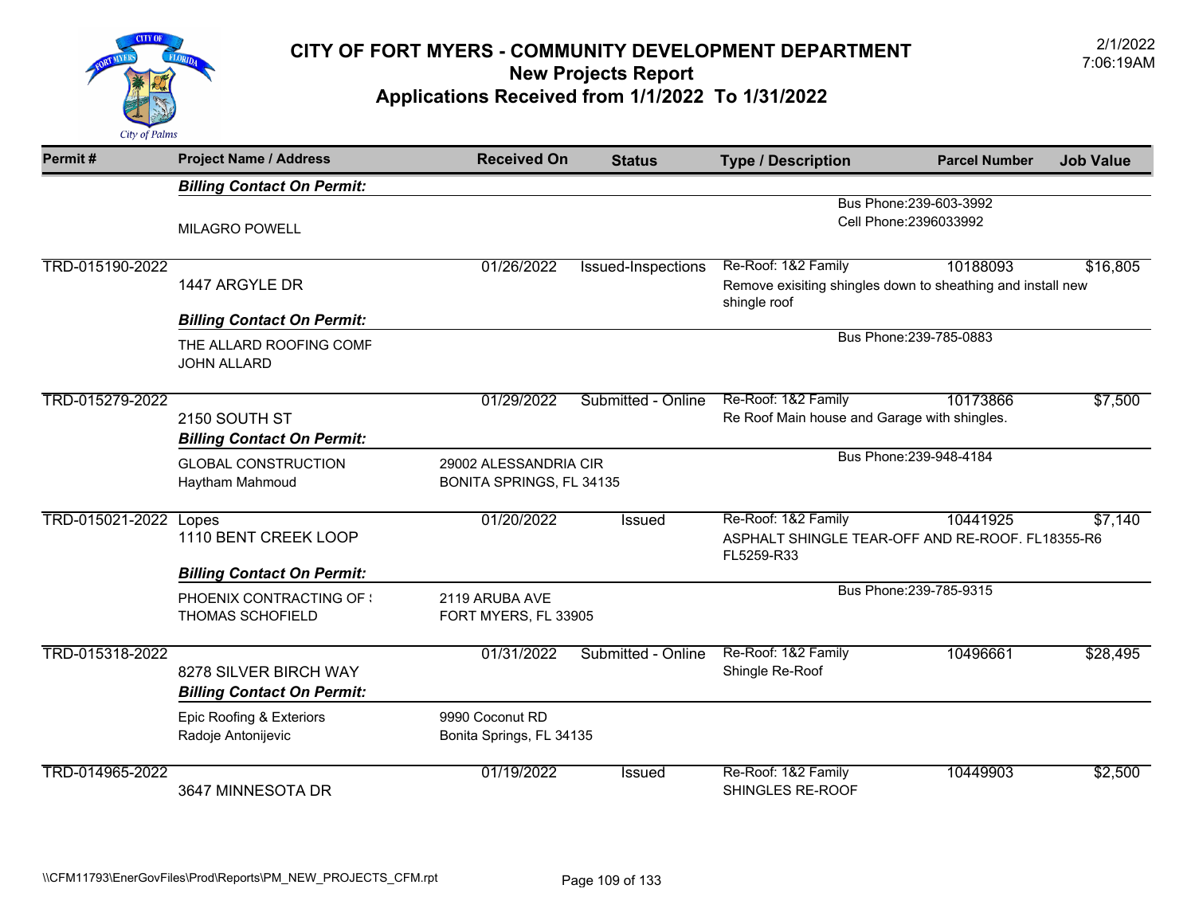

| Permit#         | <b>Project Name / Address</b>                              | <b>Received On</b>                          | <b>Status</b>      | <b>Type / Description</b>                                                   | <b>Parcel Number</b>    | <b>Job Value</b> |
|-----------------|------------------------------------------------------------|---------------------------------------------|--------------------|-----------------------------------------------------------------------------|-------------------------|------------------|
|                 | <b>Billing Contact On Permit:</b>                          |                                             |                    |                                                                             |                         |                  |
|                 |                                                            |                                             |                    |                                                                             | Bus Phone: 239-603-3992 |                  |
|                 | <b>MILAGRO POWELL</b>                                      |                                             |                    | Cell Phone: 2396033992                                                      |                         |                  |
| TRD-015190-2022 |                                                            | 01/26/2022                                  | Issued-Inspections | Re-Roof: 1&2 Family                                                         | 10188093                | \$16,805         |
|                 | 1447 ARGYLE DR                                             |                                             |                    | Remove exisiting shingles down to sheathing and install new<br>shingle roof |                         |                  |
|                 | <b>Billing Contact On Permit:</b>                          |                                             |                    |                                                                             |                         |                  |
|                 | THE ALLARD ROOFING COMF<br><b>JOHN ALLARD</b>              |                                             |                    |                                                                             | Bus Phone: 239-785-0883 |                  |
| TRD-015279-2022 |                                                            | 01/29/2022                                  | Submitted - Online | Re-Roof: 1&2 Family                                                         | 10173866                | \$7,500          |
|                 | 2150 SOUTH ST                                              |                                             |                    | Re Roof Main house and Garage with shingles.                                |                         |                  |
|                 | <b>Billing Contact On Permit:</b>                          |                                             |                    |                                                                             |                         |                  |
|                 | <b>GLOBAL CONSTRUCTION</b>                                 | 29002 ALESSANDRIA CIR                       |                    |                                                                             | Bus Phone: 239-948-4184 |                  |
|                 | Haytham Mahmoud                                            | <b>BONITA SPRINGS, FL 34135</b>             |                    |                                                                             |                         |                  |
| TRD-015021-2022 | Lopes                                                      | 01/20/2022                                  | <b>Issued</b>      | Re-Roof: 1&2 Family                                                         | 10441925                | \$7,140          |
|                 | 1110 BENT CREEK LOOP                                       |                                             |                    | ASPHALT SHINGLE TEAR-OFF AND RE-ROOF. FL18355-R6<br>FL5259-R33              |                         |                  |
|                 | <b>Billing Contact On Permit:</b>                          |                                             |                    |                                                                             |                         |                  |
|                 | PHOENIX CONTRACTING OF :                                   | 2119 ARUBA AVE                              |                    |                                                                             | Bus Phone: 239-785-9315 |                  |
|                 | <b>THOMAS SCHOFIELD</b>                                    | FORT MYERS, FL 33905                        |                    |                                                                             |                         |                  |
| TRD-015318-2022 |                                                            | 01/31/2022                                  | Submitted - Online | Re-Roof: 1&2 Family                                                         | 10496661                | \$28,495         |
|                 | 8278 SILVER BIRCH WAY<br><b>Billing Contact On Permit:</b> |                                             |                    | Shingle Re-Roof                                                             |                         |                  |
|                 |                                                            |                                             |                    |                                                                             |                         |                  |
|                 | Epic Roofing & Exteriors<br>Radoje Antonijevic             | 9990 Coconut RD<br>Bonita Springs, FL 34135 |                    |                                                                             |                         |                  |
| TRD-014965-2022 |                                                            | 01/19/2022                                  | <b>Issued</b>      | Re-Roof: 1&2 Family                                                         | 10449903                | \$2,500          |
|                 | 3647 MINNESOTA DR                                          |                                             |                    | SHINGLES RE-ROOF                                                            |                         |                  |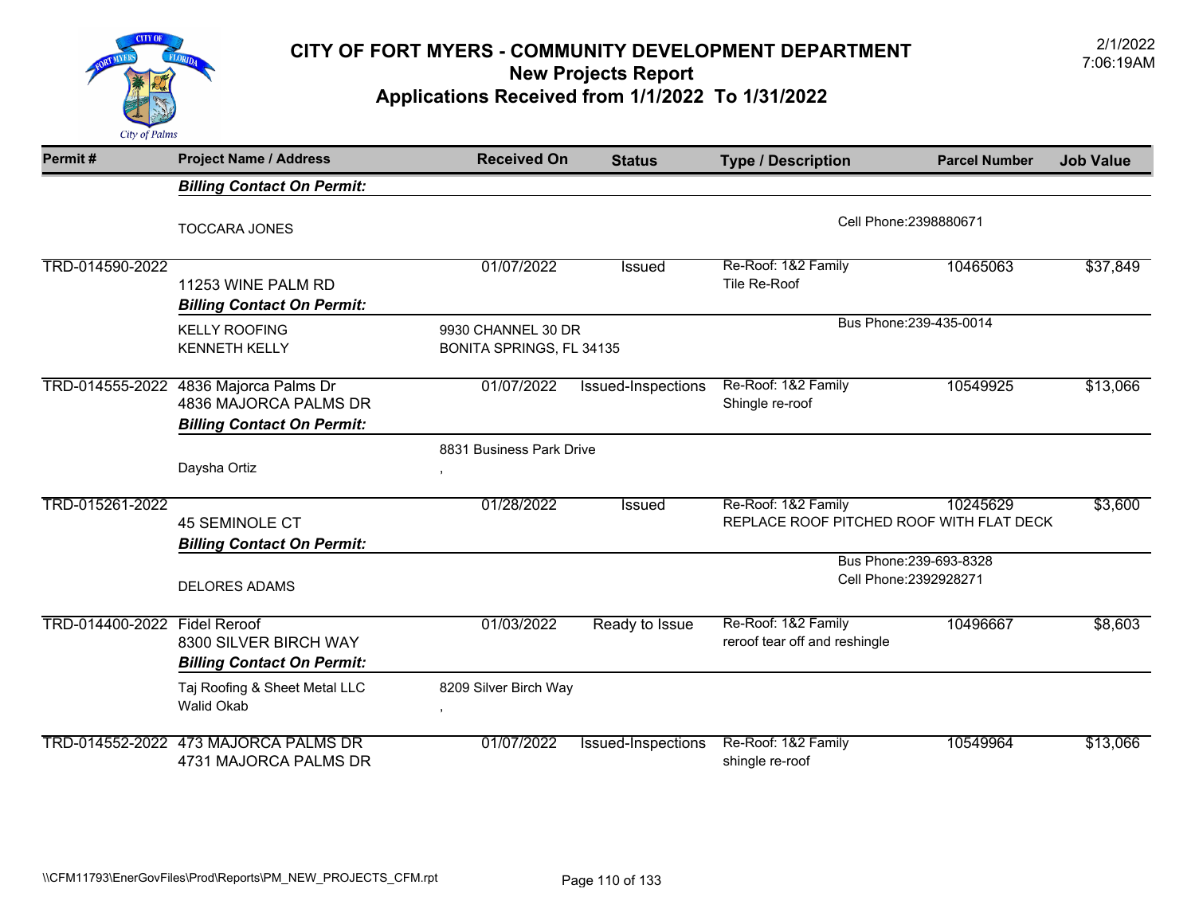

| Permit#         | <b>Project Name / Address</b>                                                       | <b>Received On</b>                             | <b>Status</b>                                     | <b>Type / Description</b>                                       | <b>Parcel Number</b>    | <b>Job Value</b> |
|-----------------|-------------------------------------------------------------------------------------|------------------------------------------------|---------------------------------------------------|-----------------------------------------------------------------|-------------------------|------------------|
|                 | <b>Billing Contact On Permit:</b>                                                   |                                                |                                                   |                                                                 |                         |                  |
|                 | <b>TOCCARA JONES</b>                                                                |                                                |                                                   | Cell Phone: 2398880671                                          |                         |                  |
| TRD-014590-2022 | 11253 WINE PALM RD<br><b>Billing Contact On Permit:</b>                             | 01/07/2022                                     | Issued                                            | Re-Roof: 1&2 Family<br>Tile Re-Roof                             | 10465063                | \$37,849         |
|                 | <b>KELLY ROOFING</b><br><b>KENNETH KELLY</b>                                        | 9930 CHANNEL 30 DR<br>BONITA SPRINGS, FL 34135 |                                                   |                                                                 | Bus Phone: 239-435-0014 |                  |
| TRD-014555-2022 | 4836 Majorca Palms Dr<br>4836 MAJORCA PALMS DR<br><b>Billing Contact On Permit:</b> | 01/07/2022                                     | Issued-Inspections                                | Re-Roof: 1&2 Family<br>Shingle re-roof                          | 10549925                | \$13,066         |
|                 | Daysha Ortiz                                                                        | 8831 Business Park Drive                       |                                                   |                                                                 |                         |                  |
| TRD-015261-2022 | <b>45 SEMINOLE CT</b><br><b>Billing Contact On Permit:</b>                          | 01/28/2022                                     | <b>Issued</b>                                     | Re-Roof: 1&2 Family<br>REPLACE ROOF PITCHED ROOF WITH FLAT DECK | 10245629                | \$3,600          |
|                 | <b>DELORES ADAMS</b>                                                                |                                                | Bus Phone: 239-693-8328<br>Cell Phone: 2392928271 |                                                                 |                         |                  |
| TRD-014400-2022 | <b>Fidel Reroof</b><br>8300 SILVER BIRCH WAY<br><b>Billing Contact On Permit:</b>   | 01/03/2022                                     | Ready to Issue                                    | Re-Roof: 1&2 Family<br>reroof tear off and reshingle            | 10496667                | \$8,603          |
|                 | Taj Roofing & Sheet Metal LLC<br><b>Walid Okab</b>                                  | 8209 Silver Birch Way<br>$\overline{ }$        |                                                   |                                                                 |                         |                  |
|                 | TRD-014552-2022 473 MAJORCA PALMS DR<br>4731 MAJORCA PALMS DR                       | 01/07/2022                                     | <b>Issued-Inspections</b>                         | Re-Roof: 1&2 Family<br>shingle re-roof                          | 10549964                | \$13,066         |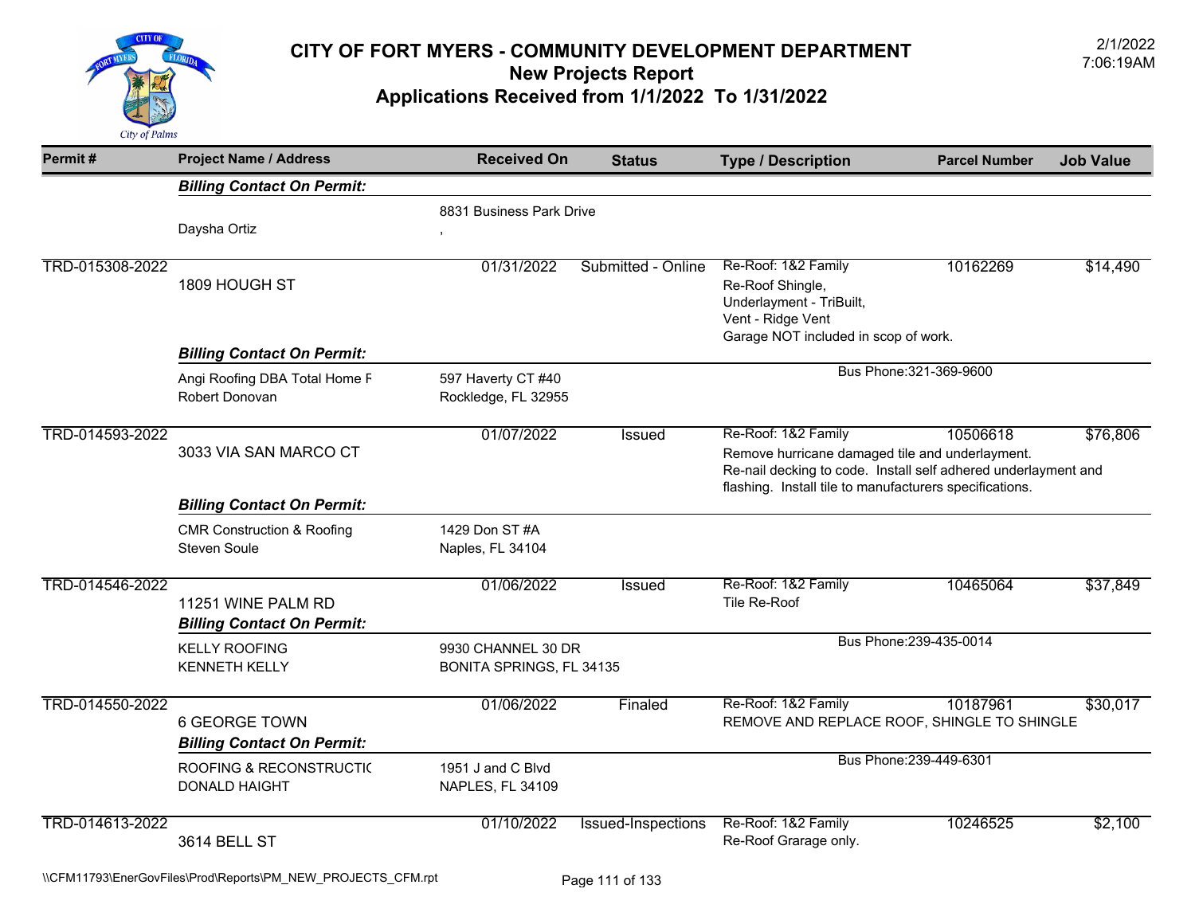

| Permit#         | <b>Project Name / Address</b>                                                                       | <b>Received On</b>                             | <b>Status</b>             | <b>Type / Description</b>                                                                                                                                                                                                   | <b>Parcel Number</b>    | <b>Job Value</b> |
|-----------------|-----------------------------------------------------------------------------------------------------|------------------------------------------------|---------------------------|-----------------------------------------------------------------------------------------------------------------------------------------------------------------------------------------------------------------------------|-------------------------|------------------|
|                 | <b>Billing Contact On Permit:</b>                                                                   |                                                |                           |                                                                                                                                                                                                                             |                         |                  |
|                 | Daysha Ortiz                                                                                        | 8831 Business Park Drive                       |                           |                                                                                                                                                                                                                             |                         |                  |
| TRD-015308-2022 | 1809 HOUGH ST                                                                                       | 01/31/2022                                     | Submitted - Online        | Re-Roof: 1&2 Family<br>Re-Roof Shingle,<br>Underlayment - TriBuilt,<br>Vent - Ridge Vent                                                                                                                                    | 10162269                | \$14,490         |
|                 | <b>Billing Contact On Permit:</b>                                                                   |                                                |                           | Garage NOT included in scop of work.                                                                                                                                                                                        |                         |                  |
|                 | Angi Roofing DBA Total Home F<br>Robert Donovan                                                     | 597 Haverty CT #40<br>Rockledge, FL 32955      |                           | Bus Phone: 321-369-9600                                                                                                                                                                                                     |                         |                  |
| TRD-014593-2022 | 3033 VIA SAN MARCO CT                                                                               | 01/07/2022                                     | <b>Issued</b>             | Re-Roof: 1&2 Family<br>10506618<br>\$76,806<br>Remove hurricane damaged tile and underlayment.<br>Re-nail decking to code. Install self adhered underlayment and<br>flashing. Install tile to manufacturers specifications. |                         |                  |
|                 | <b>Billing Contact On Permit:</b>                                                                   |                                                |                           |                                                                                                                                                                                                                             |                         |                  |
|                 | <b>CMR Construction &amp; Roofing</b><br><b>Steven Soule</b>                                        | 1429 Don ST #A<br>Naples, FL 34104             |                           |                                                                                                                                                                                                                             |                         |                  |
| TRD-014546-2022 | 11251 WINE PALM RD<br><b>Billing Contact On Permit:</b>                                             | 01/06/2022                                     | Issued                    | Re-Roof: 1&2 Family<br>Tile Re-Roof                                                                                                                                                                                         | 10465064                | \$37,849         |
|                 | <b>KELLY ROOFING</b><br><b>KENNETH KELLY</b>                                                        | 9930 CHANNEL 30 DR<br>BONITA SPRINGS, FL 34135 |                           |                                                                                                                                                                                                                             | Bus Phone: 239-435-0014 |                  |
| TRD-014550-2022 | <b>6 GEORGE TOWN</b><br><b>Billing Contact On Permit:</b>                                           | 01/06/2022                                     | Finaled                   | Re-Roof: 1&2 Family<br>REMOVE AND REPLACE ROOF, SHINGLE TO SHINGLE                                                                                                                                                          | 10187961                | \$30,017         |
|                 | 1951 J and C Blvd<br><b>ROOFING &amp; RECONSTRUCTIC</b><br>NAPLES, FL 34109<br><b>DONALD HAIGHT</b> |                                                |                           | Bus Phone: 239-449-6301                                                                                                                                                                                                     |                         |                  |
| TRD-014613-2022 | <b>3614 BELL ST</b>                                                                                 | 01/10/2022                                     | <b>Issued-Inspections</b> | Re-Roof: 1&2 Family<br>Re-Roof Grarage only.                                                                                                                                                                                | 10246525                | \$2,100          |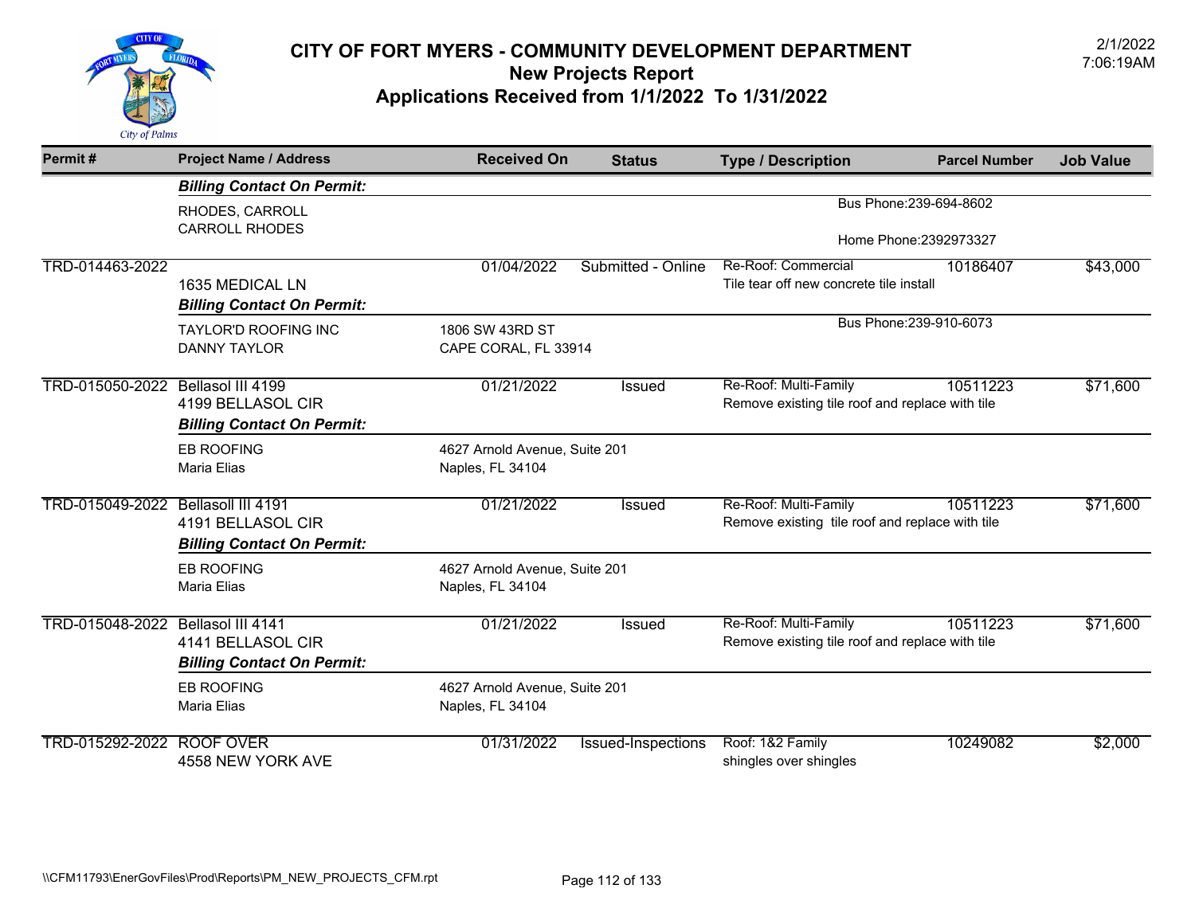

| Permit#                            | <b>Project Name / Address</b>     | <b>Received On</b>            | <b>Status</b>             | <b>Type / Description</b>                       | <b>Parcel Number</b>    | <b>Job Value</b> |
|------------------------------------|-----------------------------------|-------------------------------|---------------------------|-------------------------------------------------|-------------------------|------------------|
|                                    | <b>Billing Contact On Permit:</b> |                               |                           |                                                 |                         |                  |
|                                    | RHODES, CARROLL                   |                               |                           |                                                 | Bus Phone: 239-694-8602 |                  |
|                                    | <b>CARROLL RHODES</b>             |                               |                           |                                                 | Home Phone: 2392973327  |                  |
| TRD-014463-2022                    |                                   | 01/04/2022                    | Submitted - Online        | Re-Roof: Commercial                             | 10186407                | \$43,000         |
|                                    | 1635 MEDICAL LN                   |                               |                           | Tile tear off new concrete tile install         |                         |                  |
|                                    | <b>Billing Contact On Permit:</b> |                               |                           |                                                 |                         |                  |
|                                    | <b>TAYLOR'D ROOFING INC</b>       | 1806 SW 43RD ST               |                           |                                                 | Bus Phone: 239-910-6073 |                  |
|                                    | <b>DANNY TAYLOR</b>               | CAPE CORAL, FL 33914          |                           |                                                 |                         |                  |
|                                    |                                   |                               |                           |                                                 |                         |                  |
| TRD-015050-2022 Bellasol III 4199  |                                   | 01/21/2022                    | <b>Issued</b>             | Re-Roof: Multi-Family                           | 10511223                | \$71,600         |
|                                    | 4199 BELLASOL CIR                 |                               |                           | Remove existing tile roof and replace with tile |                         |                  |
|                                    | <b>Billing Contact On Permit:</b> |                               |                           |                                                 |                         |                  |
|                                    | <b>EB ROOFING</b>                 | 4627 Arnold Avenue, Suite 201 |                           |                                                 |                         |                  |
|                                    | Maria Elias                       | Naples, FL 34104              |                           |                                                 |                         |                  |
| TRD-015049-2022 Bellasoll III 4191 |                                   | 01/21/2022                    | Issued                    | Re-Roof: Multi-Family                           | 10511223                | \$71,600         |
|                                    | 4191 BELLASOL CIR                 |                               |                           | Remove existing tile roof and replace with tile |                         |                  |
|                                    | <b>Billing Contact On Permit:</b> |                               |                           |                                                 |                         |                  |
|                                    | <b>EB ROOFING</b>                 | 4627 Arnold Avenue, Suite 201 |                           |                                                 |                         |                  |
|                                    | Maria Elias                       | Naples, FL 34104              |                           |                                                 |                         |                  |
|                                    |                                   |                               |                           |                                                 |                         |                  |
| TRD-015048-2022 Bellasol III 4141  |                                   | 01/21/2022                    | Issued                    | Re-Roof: Multi-Family                           | 10511223                | \$71,600         |
|                                    | 4141 BELLASOL CIR                 |                               |                           | Remove existing tile roof and replace with tile |                         |                  |
|                                    | <b>Billing Contact On Permit:</b> |                               |                           |                                                 |                         |                  |
|                                    | <b>EB ROOFING</b>                 | 4627 Arnold Avenue, Suite 201 |                           |                                                 |                         |                  |
|                                    | <b>Maria Elias</b>                | Naples, FL 34104              |                           |                                                 |                         |                  |
| TRD-015292-2022                    | <b>ROOF OVER</b>                  | 01/31/2022                    | <b>Issued-Inspections</b> | Roof: 1&2 Family                                | 10249082                | \$2,000          |
|                                    | 4558 NEW YORK AVE                 |                               |                           | shingles over shingles                          |                         |                  |
|                                    |                                   |                               |                           |                                                 |                         |                  |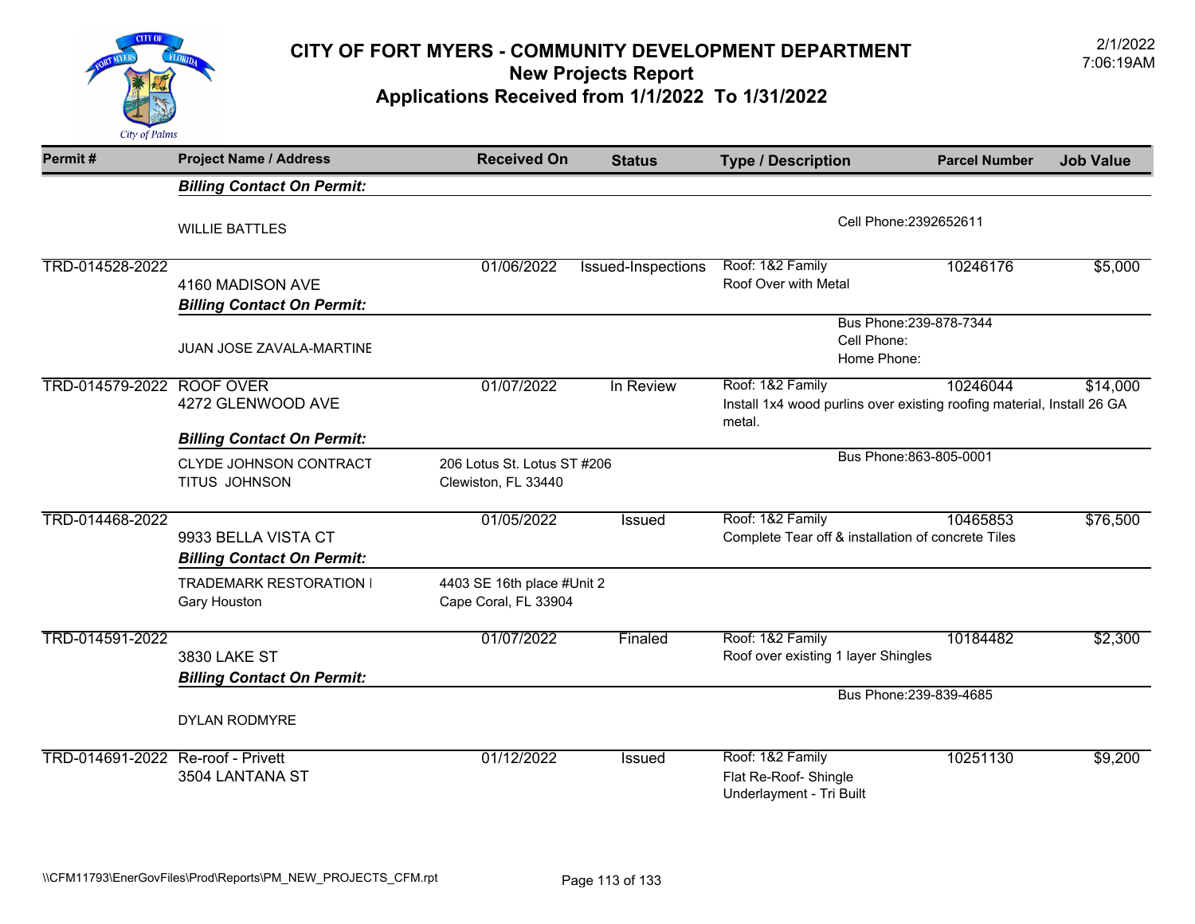

# 2/1/2022 **CITY OF FORT MYERS - COMMUNITY DEVELOPMENT DEPARTMENT** 7:06:19AM **New Projects Report**

**Applications Received from 1/1/2022 To 1/31/2022** 

| Permit#                           | <b>Project Name / Address</b>                            | <b>Received On</b>                                 | <b>Status</b>      | <b>Type / Description</b>                                                                            | <b>Parcel Number</b>    | <b>Job Value</b> |
|-----------------------------------|----------------------------------------------------------|----------------------------------------------------|--------------------|------------------------------------------------------------------------------------------------------|-------------------------|------------------|
|                                   | <b>Billing Contact On Permit:</b>                        |                                                    |                    |                                                                                                      |                         |                  |
|                                   | <b>WILLIE BATTLES</b>                                    |                                                    |                    |                                                                                                      | Cell Phone: 2392652611  |                  |
| TRD-014528-2022                   | 4160 MADISON AVE<br><b>Billing Contact On Permit:</b>    | 01/06/2022                                         | Issued-Inspections | Roof: 1&2 Family<br>Roof Over with Metal                                                             | 10246176                | \$5,000          |
|                                   | <b>JUAN JOSE ZAVALA-MARTINE</b>                          |                                                    |                    | Bus Phone: 239-878-7344<br>Cell Phone:<br>Home Phone:                                                |                         |                  |
| TRD-014579-2022 ROOF OVER         | 4272 GLENWOOD AVE                                        | 01/07/2022                                         | In Review          | Roof: 1&2 Family<br>Install 1x4 wood purlins over existing roofing material, Install 26 GA<br>metal. | 10246044                | \$14,000         |
|                                   | <b>Billing Contact On Permit:</b>                        |                                                    |                    |                                                                                                      |                         |                  |
|                                   | CLYDE JOHNSON CONTRACT<br>TITUS JOHNSON                  | 206 Lotus St. Lotus ST #206<br>Clewiston, FL 33440 |                    |                                                                                                      | Bus Phone: 863-805-0001 |                  |
| TRD-014468-2022                   | 9933 BELLA VISTA CT<br><b>Billing Contact On Permit:</b> | 01/05/2022                                         | <b>Issued</b>      | Roof: 1&2 Family<br>Complete Tear off & installation of concrete Tiles                               | 10465853                | \$76,500         |
|                                   | <b>TRADEMARK RESTORATION</b><br><b>Gary Houston</b>      | 4403 SE 16th place #Unit 2<br>Cape Coral, FL 33904 |                    |                                                                                                      |                         |                  |
| TRD-014591-2022                   | 3830 LAKE ST<br><b>Billing Contact On Permit:</b>        | 01/07/2022                                         | Finaled            | Roof: 1&2 Family<br>Roof over existing 1 layer Shingles                                              | 10184482                | \$2,300          |
|                                   |                                                          |                                                    |                    |                                                                                                      | Bus Phone: 239-839-4685 |                  |
|                                   | <b>DYLAN RODMYRE</b>                                     |                                                    |                    |                                                                                                      |                         |                  |
| TRD-014691-2022 Re-roof - Privett | 3504 LANTANA ST                                          | 01/12/2022                                         | <b>Issued</b>      | Roof: 1&2 Family<br>Flat Re-Roof- Shingle<br>Underlayment - Tri Built                                | 10251130                | \$9,200          |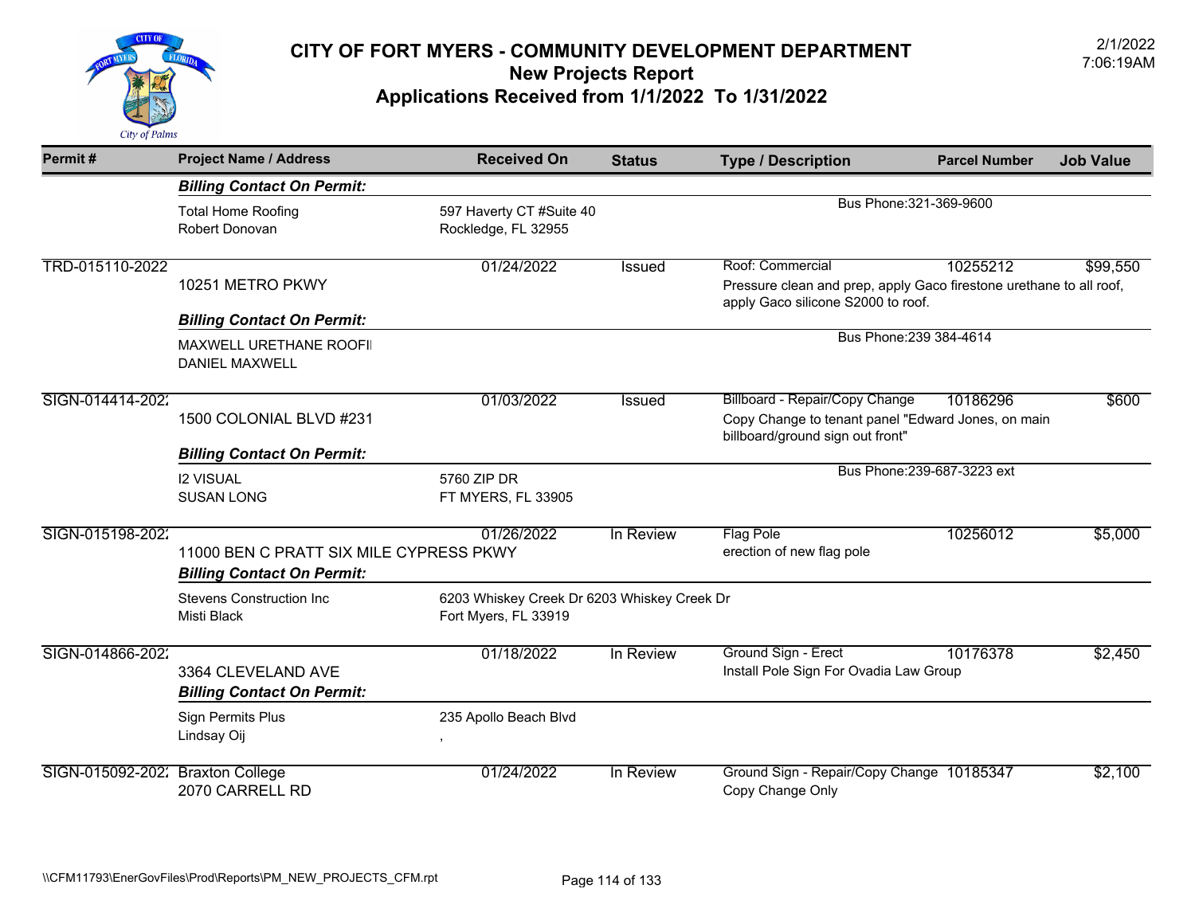

| Permit#                          | <b>Project Name / Address</b>                                                | <b>Received On</b>                                                  | <b>Status</b> | <b>Type / Description</b>                                                                                                       | <b>Parcel Number</b>        | <b>Job Value</b> |
|----------------------------------|------------------------------------------------------------------------------|---------------------------------------------------------------------|---------------|---------------------------------------------------------------------------------------------------------------------------------|-----------------------------|------------------|
|                                  | <b>Billing Contact On Permit:</b>                                            |                                                                     |               |                                                                                                                                 |                             |                  |
|                                  | <b>Total Home Roofing</b><br>Robert Donovan                                  | 597 Haverty CT #Suite 40<br>Rockledge, FL 32955                     |               |                                                                                                                                 | Bus Phone: 321-369-9600     |                  |
| TRD-015110-2022                  | 10251 METRO PKWY                                                             | 01/24/2022                                                          | <b>Issued</b> | Roof: Commercial<br>Pressure clean and prep, apply Gaco firestone urethane to all roof,<br>apply Gaco silicone S2000 to roof.   | 10255212                    | \$99,550         |
|                                  | <b>Billing Contact On Permit:</b>                                            |                                                                     |               |                                                                                                                                 |                             |                  |
|                                  | <b>MAXWELL URETHANE ROOFII</b><br><b>DANIEL MAXWELL</b>                      |                                                                     |               |                                                                                                                                 | Bus Phone: 239 384-4614     |                  |
| SIGN-014414-2022                 | 1500 COLONIAL BLVD #231                                                      | 01/03/2022                                                          | <b>Issued</b> | <b>Billboard - Repair/Copy Change</b><br>Copy Change to tenant panel "Edward Jones, on main<br>billboard/ground sign out front" | 10186296                    | \$600            |
|                                  | <b>Billing Contact On Permit:</b>                                            |                                                                     |               |                                                                                                                                 |                             |                  |
|                                  | <b>I2 VISUAL</b><br><b>SUSAN LONG</b>                                        | 5760 ZIP DR<br>FT MYERS, FL 33905                                   |               |                                                                                                                                 | Bus Phone: 239-687-3223 ext |                  |
| SIGN-015198-2022                 | 11000 BEN C PRATT SIX MILE CYPRESS PKWY<br><b>Billing Contact On Permit:</b> | 01/26/2022                                                          | In Review     | <b>Flag Pole</b><br>erection of new flag pole                                                                                   | 10256012                    | \$5,000          |
|                                  | <b>Stevens Construction Inc</b><br>Misti Black                               | 6203 Whiskey Creek Dr 6203 Whiskey Creek Dr<br>Fort Myers, FL 33919 |               |                                                                                                                                 |                             |                  |
| SIGN-014866-2022                 | 3364 CLEVELAND AVE<br><b>Billing Contact On Permit:</b>                      | 01/18/2022                                                          | In Review     | Ground Sign - Erect<br>Install Pole Sign For Ovadia Law Group                                                                   | 10176378                    | \$2,450          |
|                                  | <b>Sign Permits Plus</b><br>Lindsay Oij                                      | 235 Apollo Beach Blvd                                               |               |                                                                                                                                 |                             |                  |
| SIGN-015092-202: Braxton College | 2070 CARRELL RD                                                              | 01/24/2022                                                          | In Review     | Ground Sign - Repair/Copy Change 10185347<br>Copy Change Only                                                                   |                             | \$2,100          |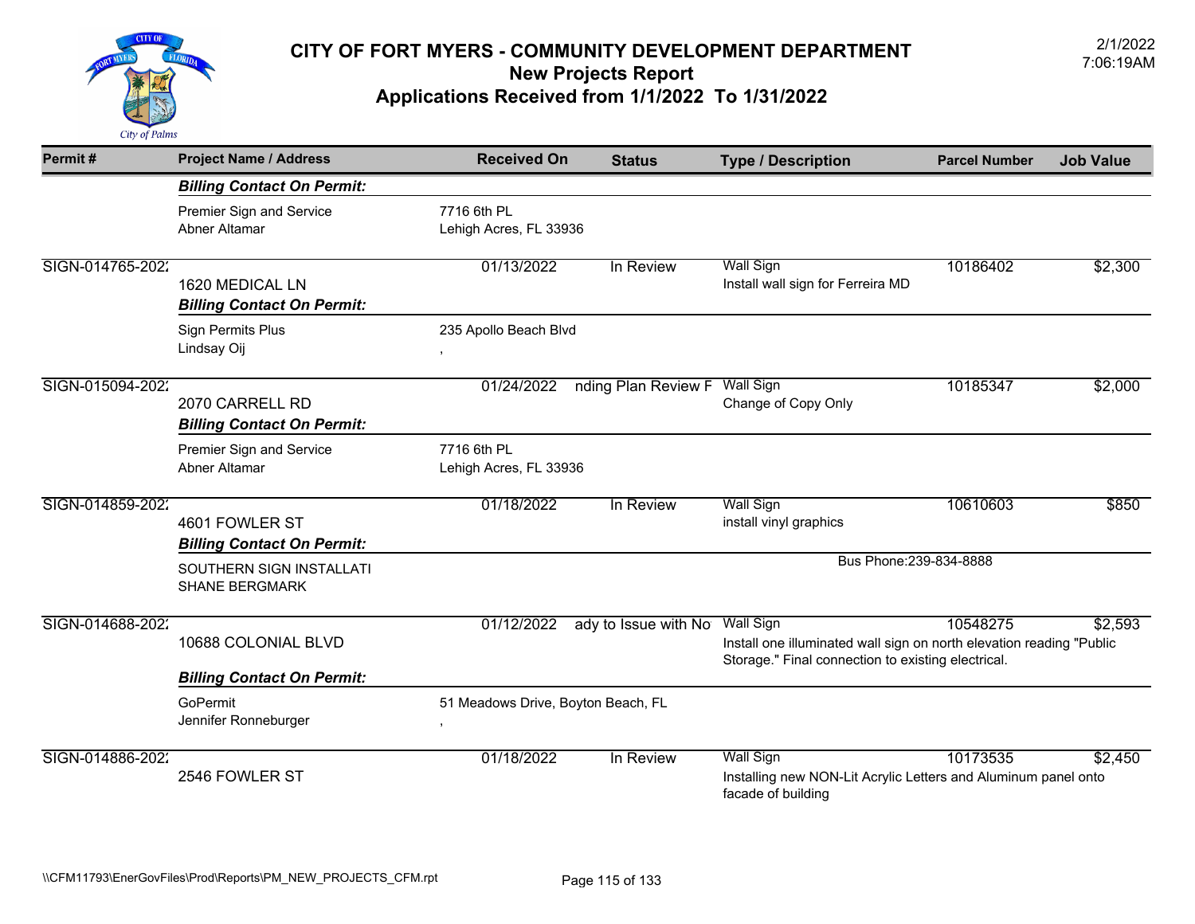

| Permit#          | <b>Project Name / Address</b>                        | <b>Received On</b>                         | <b>Status</b>        | <b>Type / Description</b>                                                                                                                      | <b>Parcel Number</b> | <b>Job Value</b> |
|------------------|------------------------------------------------------|--------------------------------------------|----------------------|------------------------------------------------------------------------------------------------------------------------------------------------|----------------------|------------------|
|                  | <b>Billing Contact On Permit:</b>                    |                                            |                      |                                                                                                                                                |                      |                  |
|                  | Premier Sign and Service<br>Abner Altamar            | 7716 6th PL<br>Lehigh Acres, FL 33936      |                      |                                                                                                                                                |                      |                  |
| SIGN-014765-2022 | 1620 MEDICAL LN<br><b>Billing Contact On Permit:</b> | 01/13/2022                                 | In Review            | <b>Wall Sign</b><br>Install wall sign for Ferreira MD                                                                                          | 10186402             | \$2,300          |
|                  | <b>Sign Permits Plus</b><br>Lindsay Oij              | 235 Apollo Beach Blvd<br>$\,$              |                      |                                                                                                                                                |                      |                  |
| SIGN-015094-2022 | 2070 CARRELL RD<br><b>Billing Contact On Permit:</b> | 01/24/2022                                 | nding Plan Review F  | <b>Wall Sign</b><br>Change of Copy Only                                                                                                        | 10185347             | \$2,000          |
|                  | Premier Sign and Service<br>Abner Altamar            | 7716 6th PL<br>Lehigh Acres, FL 33936      |                      |                                                                                                                                                |                      |                  |
| SIGN-014859-2022 | 4601 FOWLER ST<br><b>Billing Contact On Permit:</b>  | 01/18/2022                                 | In Review            | <b>Wall Sign</b><br>install vinyl graphics                                                                                                     | 10610603             | \$850            |
|                  | SOUTHERN SIGN INSTALLATI<br><b>SHANE BERGMARK</b>    |                                            |                      | Bus Phone: 239-834-8888                                                                                                                        |                      |                  |
| SIGN-014688-2022 | 10688 COLONIAL BLVD                                  | 01/12/2022                                 | ady to Issue with No | <b>Wall Sign</b><br>Install one illuminated wall sign on north elevation reading "Public<br>Storage." Final connection to existing electrical. | 10548275             | \$2,593          |
|                  | <b>Billing Contact On Permit:</b>                    |                                            |                      |                                                                                                                                                |                      |                  |
|                  | GoPermit<br>Jennifer Ronneburger                     | 51 Meadows Drive, Boyton Beach, FL<br>$\,$ |                      |                                                                                                                                                |                      |                  |
| SIGN-014886-2022 | 2546 FOWLER ST                                       | 01/18/2022                                 | In Review            | <b>Wall Sign</b><br>Installing new NON-Lit Acrylic Letters and Aluminum panel onto<br>facade of building                                       | 10173535             | \$2,450          |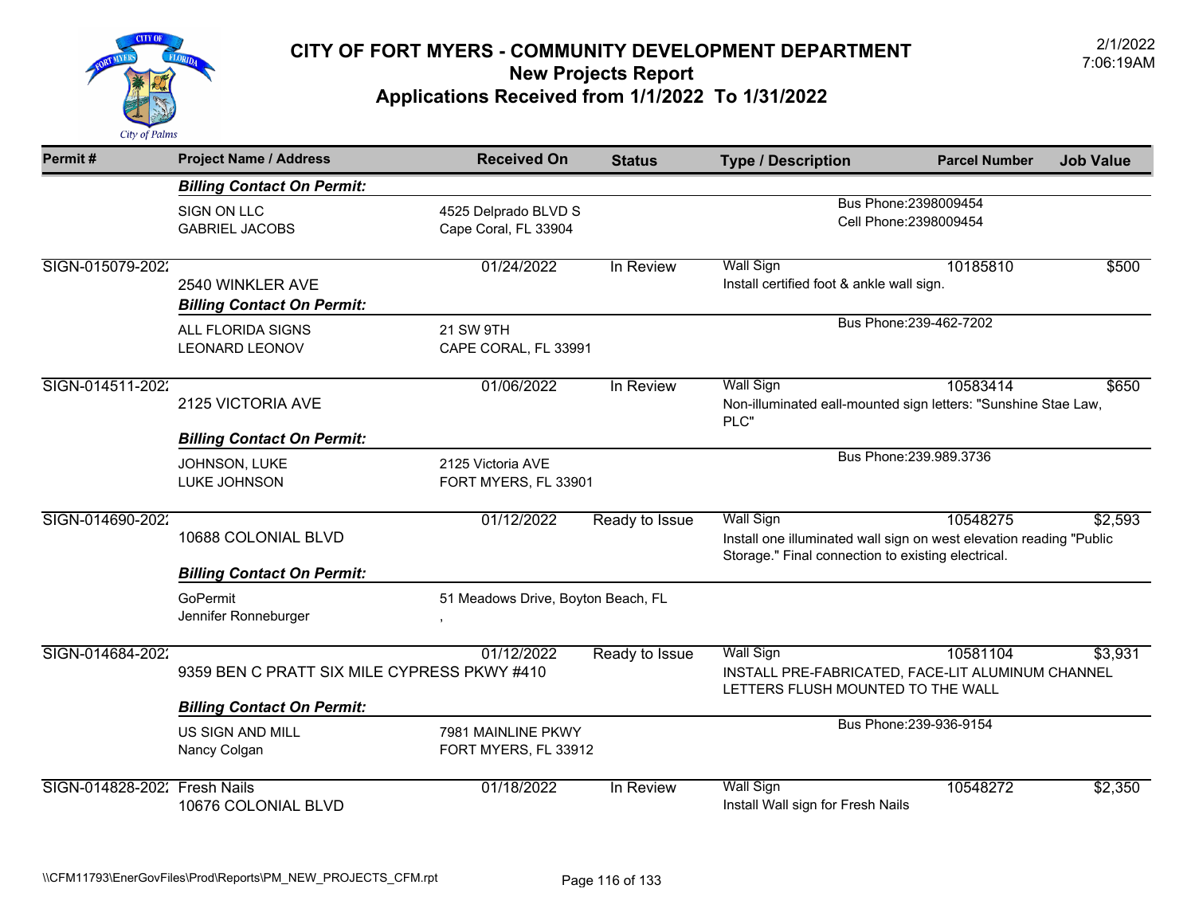

| Permit#          | <b>Project Name / Address</b>                            | <b>Received On</b>                           | <b>Status</b>  | <b>Type / Description</b>                                                                                                                     | <b>Parcel Number</b>    | <b>Job Value</b> |
|------------------|----------------------------------------------------------|----------------------------------------------|----------------|-----------------------------------------------------------------------------------------------------------------------------------------------|-------------------------|------------------|
|                  | <b>Billing Contact On Permit:</b>                        |                                              |                |                                                                                                                                               |                         |                  |
|                  | SIGN ON LLC<br><b>GABRIEL JACOBS</b>                     | 4525 Delprado BLVD S<br>Cape Coral, FL 33904 |                | Bus Phone: 2398009454<br>Cell Phone: 2398009454                                                                                               |                         |                  |
| SIGN-015079-2022 | 2540 WINKLER AVE<br><b>Billing Contact On Permit:</b>    | 01/24/2022                                   | In Review      | <b>Wall Sign</b><br>Install certified foot & ankle wall sign.                                                                                 | 10185810                | \$500            |
|                  | ALL FLORIDA SIGNS<br><b>LEONARD LEONOV</b>               | 21 SW 9TH<br>CAPE CORAL, FL 33991            |                |                                                                                                                                               | Bus Phone: 239-462-7202 |                  |
| SIGN-014511-2022 | 2125 VICTORIA AVE                                        | 01/06/2022                                   | In Review      | <b>Wall Sign</b><br>Non-illuminated eall-mounted sign letters: "Sunshine Stae Law,<br>PLC"                                                    | 10583414                | \$650            |
|                  | <b>Billing Contact On Permit:</b>                        |                                              |                |                                                                                                                                               | Bus Phone: 239.989.3736 |                  |
|                  | JOHNSON, LUKE<br>LUKE JOHNSON                            | 2125 Victoria AVE<br>FORT MYERS, FL 33901    |                |                                                                                                                                               |                         |                  |
| SIGN-014690-2022 | 10688 COLONIAL BLVD<br><b>Billing Contact On Permit:</b> | 01/12/2022                                   | Ready to Issue | <b>Wall Sign</b><br>Install one illuminated wall sign on west elevation reading "Public<br>Storage." Final connection to existing electrical. | 10548275                | \$2,593          |
|                  | GoPermit                                                 | 51 Meadows Drive, Boyton Beach, FL           |                |                                                                                                                                               |                         |                  |
|                  | Jennifer Ronneburger                                     |                                              |                |                                                                                                                                               |                         |                  |
| SIGN-014684-2022 | 9359 BEN C PRATT SIX MILE CYPRESS PKWY #410              | 01/12/2022                                   | Ready to Issue | <b>Wall Sign</b><br>INSTALL PRE-FABRICATED, FACE-LIT ALUMINUM CHANNEL<br>LETTERS FLUSH MOUNTED TO THE WALL                                    | 10581104                | \$3,931          |
|                  | <b>Billing Contact On Permit:</b>                        |                                              |                |                                                                                                                                               |                         |                  |
|                  | <b>US SIGN AND MILL</b><br>Nancy Colgan                  | 7981 MAINLINE PKWY<br>FORT MYERS, FL 33912   |                |                                                                                                                                               | Bus Phone: 239-936-9154 |                  |
| SIGN-014828-2022 | <b>Fresh Nails</b><br>10676 COLONIAL BLVD                | 01/18/2022                                   | In Review      | <b>Wall Sign</b><br>Install Wall sign for Fresh Nails                                                                                         | 10548272                | \$2,350          |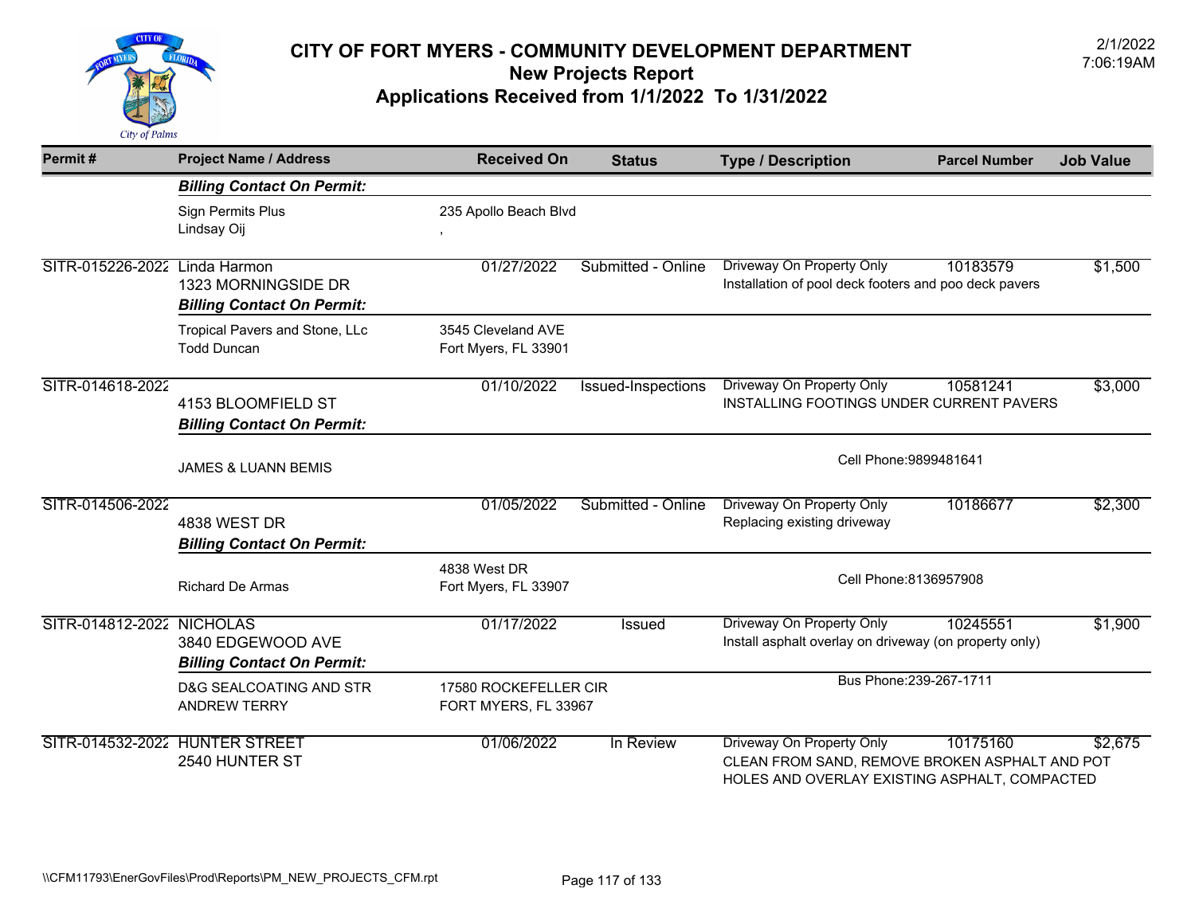

| Permit#                       | <b>Project Name / Address</b>                            | <b>Received On</b>                            | <b>Status</b>             | <b>Type / Description</b>                                                                                                    | <b>Parcel Number</b>    | <b>Job Value</b> |
|-------------------------------|----------------------------------------------------------|-----------------------------------------------|---------------------------|------------------------------------------------------------------------------------------------------------------------------|-------------------------|------------------|
|                               | <b>Billing Contact On Permit:</b>                        |                                               |                           |                                                                                                                              |                         |                  |
|                               | <b>Sign Permits Plus</b><br>Lindsay Oij                  | 235 Apollo Beach Blvd                         |                           |                                                                                                                              |                         |                  |
| SITR-015226-2022 Linda Harmon | 1323 MORNINGSIDE DR<br><b>Billing Contact On Permit:</b> | 01/27/2022                                    | Submitted - Online        | Driveway On Property Only<br>Installation of pool deck footers and poo deck pavers                                           | 10183579                | \$1,500          |
|                               | Tropical Pavers and Stone, LLc<br><b>Todd Duncan</b>     | 3545 Cleveland AVE<br>Fort Myers, FL 33901    |                           |                                                                                                                              |                         |                  |
| SITR-014618-2022              | 4153 BLOOMFIELD ST<br><b>Billing Contact On Permit:</b>  | 01/10/2022                                    | <b>Issued-Inspections</b> | <b>Driveway On Property Only</b><br>INSTALLING FOOTINGS UNDER CURRENT PAVERS                                                 | 10581241                | \$3,000          |
|                               | <b>JAMES &amp; LUANN BEMIS</b>                           |                                               |                           | Cell Phone: 9899481641                                                                                                       |                         |                  |
| SITR-014506-2022              | <b>4838 WEST DR</b><br><b>Billing Contact On Permit:</b> | 01/05/2022                                    | Submitted - Online        | Driveway On Property Only<br>Replacing existing driveway                                                                     | 10186677                | \$2,300          |
|                               | <b>Richard De Armas</b>                                  | 4838 West DR<br>Fort Myers, FL 33907          |                           |                                                                                                                              | Cell Phone: 8136957908  |                  |
| SITR-014812-2022 NICHOLAS     | 3840 EDGEWOOD AVE<br><b>Billing Contact On Permit:</b>   | 01/17/2022                                    | Issued                    | Driveway On Property Only<br>Install asphalt overlay on driveway (on property only)                                          | 10245551                | \$1,900          |
|                               | D&G SEALCOATING AND STR<br><b>ANDREW TERRY</b>           | 17580 ROCKEFELLER CIR<br>FORT MYERS, FL 33967 |                           |                                                                                                                              | Bus Phone: 239-267-1711 |                  |
|                               | SITR-014532-2022 HUNTER STREET<br>2540 HUNTER ST         | 01/06/2022                                    | In Review                 | Driveway On Property Only<br>CLEAN FROM SAND, REMOVE BROKEN ASPHALT AND POT<br>HOLES AND OVERLAY EXISTING ASPHALT, COMPACTED | 10175160                | \$2,675          |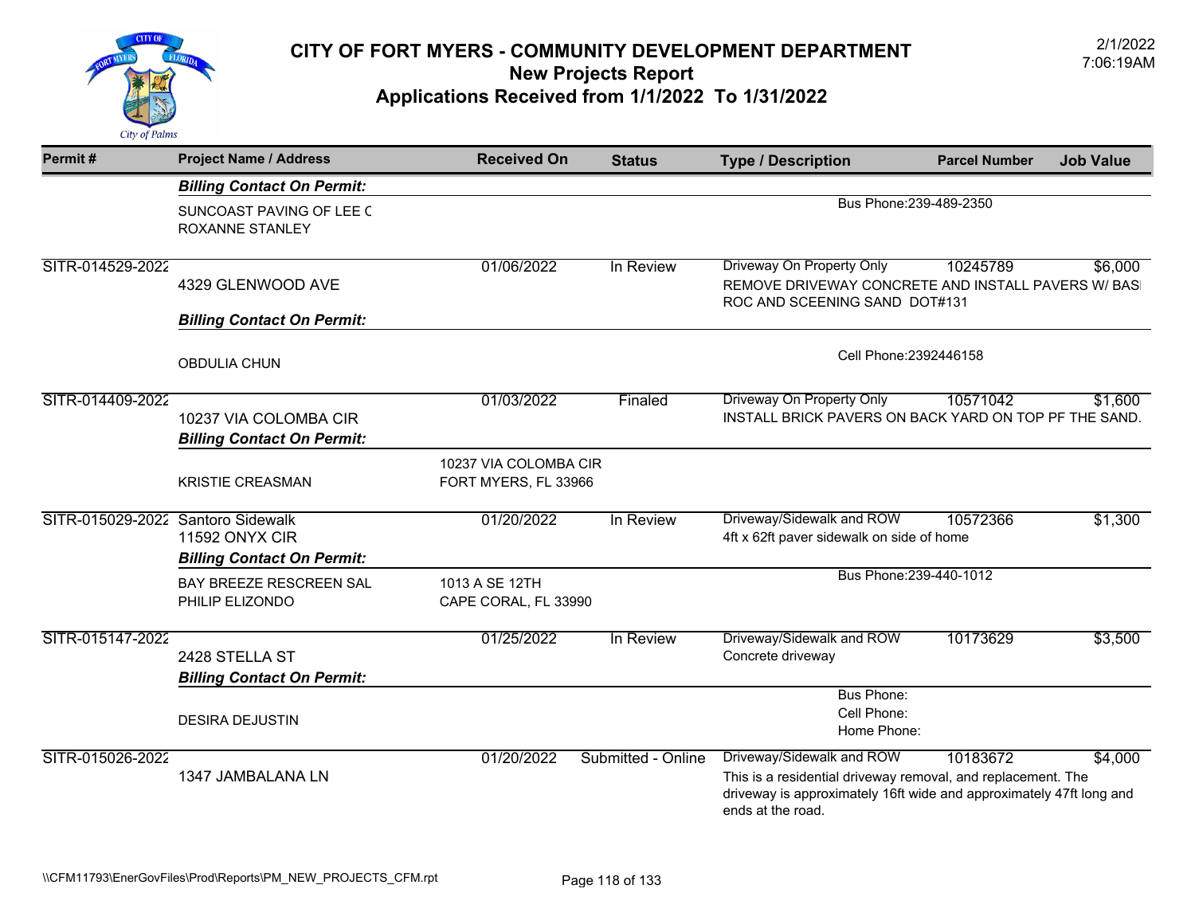

| Permit#                           | <b>Project Name / Address</b>                              | <b>Received On</b>                            | <b>Status</b>      | <b>Type / Description</b>                                                                                                                                                             | <b>Parcel Number</b>    | <b>Job Value</b> |  |
|-----------------------------------|------------------------------------------------------------|-----------------------------------------------|--------------------|---------------------------------------------------------------------------------------------------------------------------------------------------------------------------------------|-------------------------|------------------|--|
|                                   | <b>Billing Contact On Permit:</b>                          |                                               |                    |                                                                                                                                                                                       |                         |                  |  |
|                                   | SUNCOAST PAVING OF LEE C<br><b>ROXANNE STANLEY</b>         |                                               |                    |                                                                                                                                                                                       | Bus Phone: 239-489-2350 |                  |  |
| SITR-014529-2022                  | 4329 GLENWOOD AVE                                          | 01/06/2022                                    | In Review          | Driveway On Property Only<br>REMOVE DRIVEWAY CONCRETE AND INSTALL PAVERS W/ BAS<br>ROC AND SCEENING SAND DOT#131                                                                      | 10245789                | \$6,000          |  |
|                                   | <b>Billing Contact On Permit:</b>                          |                                               |                    |                                                                                                                                                                                       |                         |                  |  |
|                                   | <b>OBDULIA CHUN</b>                                        |                                               |                    | Cell Phone: 2392446158                                                                                                                                                                |                         |                  |  |
| SITR-014409-2022                  | 10237 VIA COLOMBA CIR<br><b>Billing Contact On Permit:</b> | 01/03/2022                                    | Finaled            | Driveway On Property Only<br>INSTALL BRICK PAVERS ON BACK YARD ON TOP PF THE SAND.                                                                                                    | 10571042                | \$1,600          |  |
|                                   | <b>KRISTIE CREASMAN</b>                                    | 10237 VIA COLOMBA CIR<br>FORT MYERS, FL 33966 |                    |                                                                                                                                                                                       |                         |                  |  |
| SITR-015029-2022 Santoro Sidewalk | <b>11592 ONYX CIR</b><br><b>Billing Contact On Permit:</b> | 01/20/2022                                    | In Review          | Driveway/Sidewalk and ROW<br>4ft x 62ft paver sidewalk on side of home                                                                                                                | 10572366                | \$1,300          |  |
|                                   | BAY BREEZE RESCREEN SAL<br>PHILIP ELIZONDO                 | 1013 A SE 12TH<br>CAPE CORAL, FL 33990        |                    |                                                                                                                                                                                       | Bus Phone: 239-440-1012 |                  |  |
| SITR-015147-2022                  | 2428 STELLA ST<br><b>Billing Contact On Permit:</b>        | 01/25/2022                                    | In Review          | Driveway/Sidewalk and ROW<br>Concrete driveway                                                                                                                                        | 10173629                | \$3,500          |  |
|                                   | <b>DESIRA DEJUSTIN</b>                                     |                                               |                    | <b>Bus Phone:</b><br>Cell Phone:<br>Home Phone:                                                                                                                                       |                         |                  |  |
| SITR-015026-2022                  | 1347 JAMBALANA LN                                          | 01/20/2022                                    | Submitted - Online | Driveway/Sidewalk and ROW<br>This is a residential driveway removal, and replacement. The<br>driveway is approximately 16ft wide and approximately 47ft long and<br>ends at the road. | 10183672                | \$4,000          |  |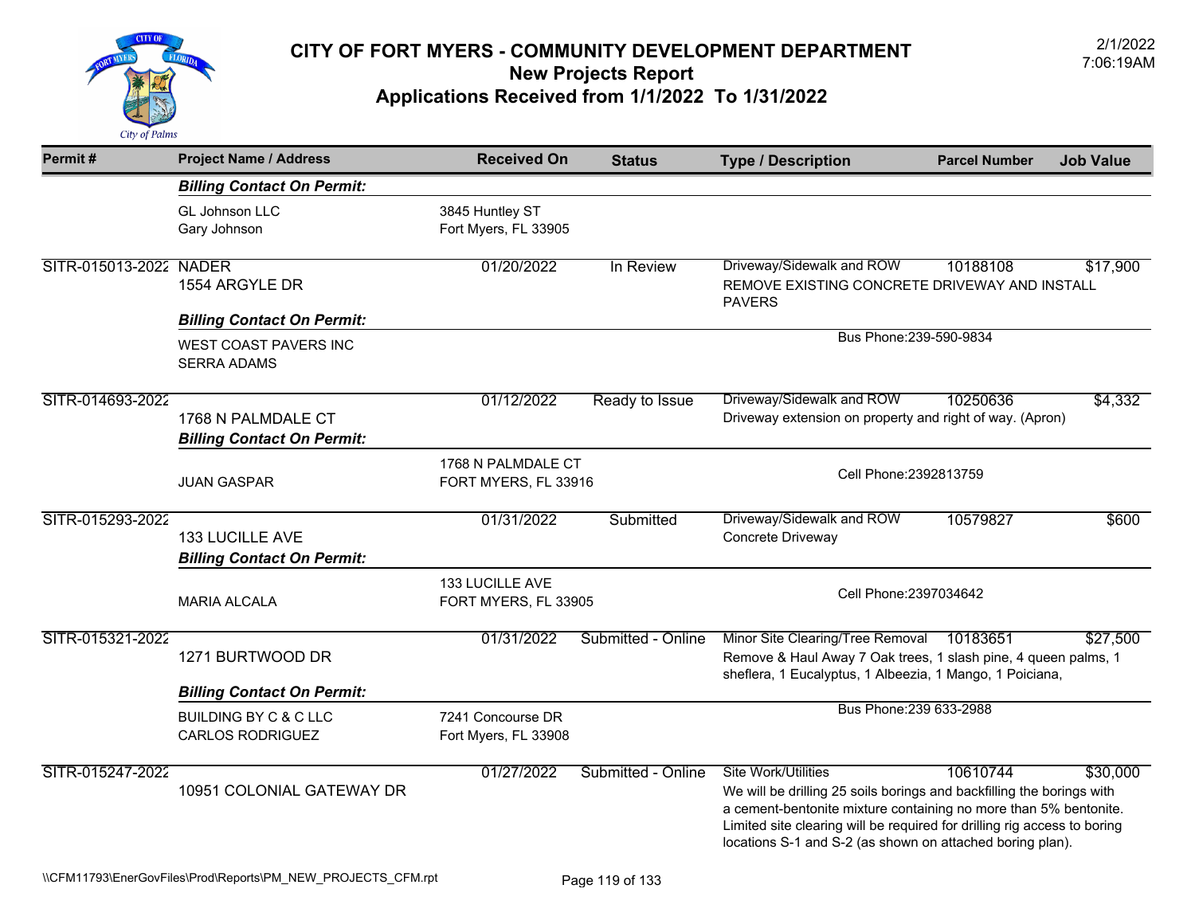

| Permit#                | <b>Project Name / Address</b>                                                                    | <b>Received On</b>                         | <b>Status</b>      | <b>Type / Description</b>                                                                                                                                                                                                                                                                                 | <b>Parcel Number</b> | <b>Job Value</b> |
|------------------------|--------------------------------------------------------------------------------------------------|--------------------------------------------|--------------------|-----------------------------------------------------------------------------------------------------------------------------------------------------------------------------------------------------------------------------------------------------------------------------------------------------------|----------------------|------------------|
|                        | <b>Billing Contact On Permit:</b>                                                                |                                            |                    |                                                                                                                                                                                                                                                                                                           |                      |                  |
|                        | GL Johnson LLC<br>Gary Johnson                                                                   | 3845 Huntley ST<br>Fort Myers, FL 33905    |                    |                                                                                                                                                                                                                                                                                                           |                      |                  |
| SITR-015013-2022 NADER | 1554 ARGYLE DR<br><b>Billing Contact On Permit:</b>                                              | 01/20/2022                                 | In Review          | Driveway/Sidewalk and ROW<br>REMOVE EXISTING CONCRETE DRIVEWAY AND INSTALL<br><b>PAVERS</b>                                                                                                                                                                                                               | 10188108             | \$17,900         |
|                        | WEST COAST PAVERS INC<br><b>SERRA ADAMS</b>                                                      |                                            |                    | Bus Phone: 239-590-9834                                                                                                                                                                                                                                                                                   |                      |                  |
| SITR-014693-2022       | 1768 N PALMDALE CT<br><b>Billing Contact On Permit:</b>                                          | 01/12/2022                                 | Ready to Issue     | Driveway/Sidewalk and ROW<br>Driveway extension on property and right of way. (Apron)                                                                                                                                                                                                                     | 10250636             | \$4,332          |
|                        | <b>JUAN GASPAR</b>                                                                               | 1768 N PALMDALE CT<br>FORT MYERS, FL 33916 |                    | Cell Phone: 2392813759                                                                                                                                                                                                                                                                                    |                      |                  |
| SITR-015293-2022       | <b>133 LUCILLE AVE</b><br><b>Billing Contact On Permit:</b>                                      | 01/31/2022                                 | Submitted          | Driveway/Sidewalk and ROW<br>Concrete Driveway                                                                                                                                                                                                                                                            | 10579827             | \$600            |
|                        | <b>MARIA ALCALA</b>                                                                              | 133 LUCILLE AVE<br>FORT MYERS, FL 33905    |                    | Cell Phone: 2397034642                                                                                                                                                                                                                                                                                    |                      |                  |
| SITR-015321-2022       | 1271 BURTWOOD DR                                                                                 | 01/31/2022                                 | Submitted - Online | Minor Site Clearing/Tree Removal<br>Remove & Haul Away 7 Oak trees, 1 slash pine, 4 queen palms, 1<br>sheflera, 1 Eucalyptus, 1 Albeezia, 1 Mango, 1 Poiciana,                                                                                                                                            | 10183651             | \$27,500         |
|                        | <b>Billing Contact On Permit:</b><br><b>BUILDING BY C &amp; C LLC</b><br><b>CARLOS RODRIGUEZ</b> | 7241 Concourse DR<br>Fort Myers, FL 33908  |                    | Bus Phone: 239 633-2988                                                                                                                                                                                                                                                                                   |                      |                  |
| SITR-015247-2022       | 10951 COLONIAL GATEWAY DR                                                                        | 01/27/2022                                 | Submitted - Online | Site Work/Utilities<br>We will be drilling 25 soils borings and backfilling the borings with<br>a cement-bentonite mixture containing no more than 5% bentonite.<br>Limited site clearing will be required for drilling rig access to boring<br>locations S-1 and S-2 (as shown on attached boring plan). | 10610744             | \$30,000         |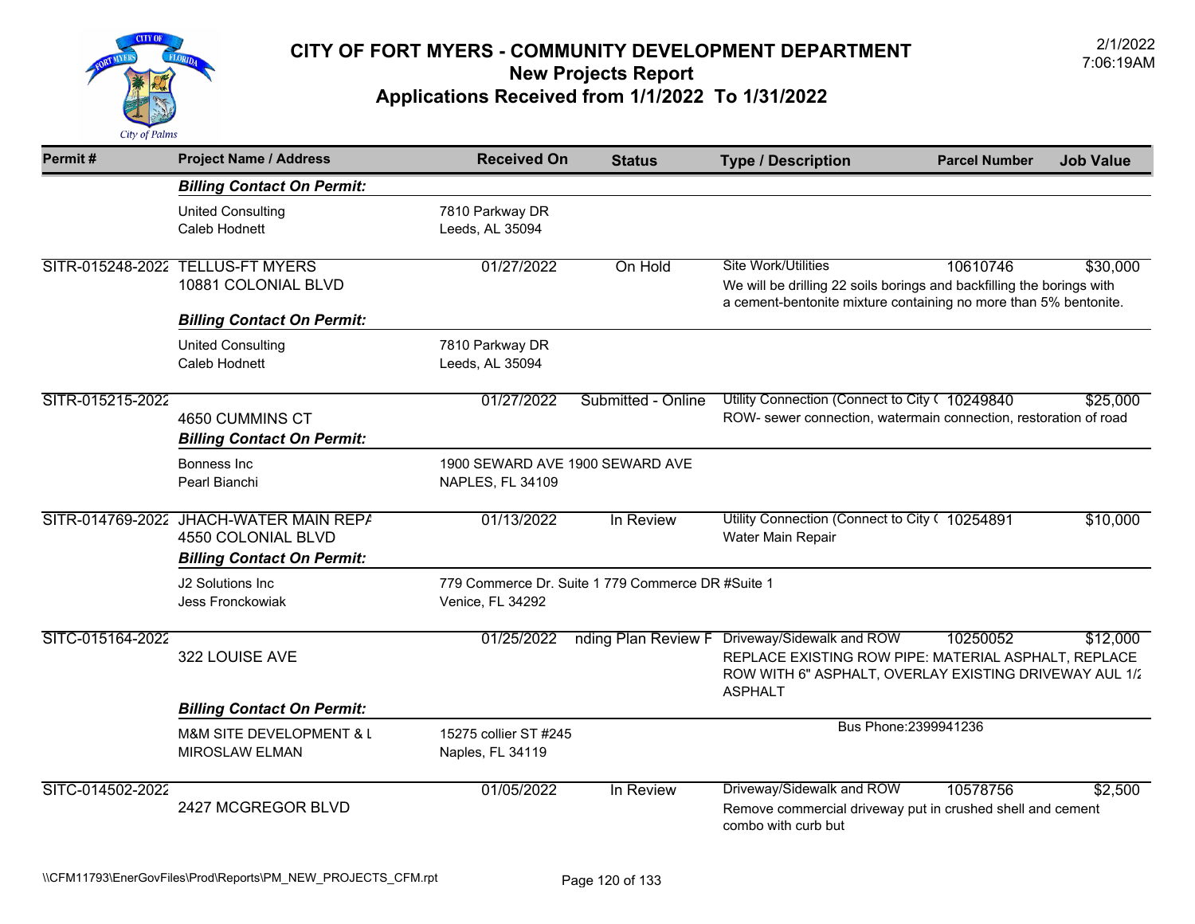

| Permit#          | <b>Project Name / Address</b>                                                                     | <b>Received On</b>                                  | <b>Status</b>                                     | <b>Type / Description</b>                                                                                                                                               | <b>Parcel Number</b>  | <b>Job Value</b> |
|------------------|---------------------------------------------------------------------------------------------------|-----------------------------------------------------|---------------------------------------------------|-------------------------------------------------------------------------------------------------------------------------------------------------------------------------|-----------------------|------------------|
|                  | <b>Billing Contact On Permit:</b>                                                                 |                                                     |                                                   |                                                                                                                                                                         |                       |                  |
|                  | <b>United Consulting</b><br>Caleb Hodnett                                                         | 7810 Parkway DR<br>Leeds, AL 35094                  |                                                   |                                                                                                                                                                         |                       |                  |
| SITR-015248-2022 | <b>TELLUS-FT MYERS</b><br>10881 COLONIAL BLVD<br><b>Billing Contact On Permit:</b>                | 01/27/2022                                          | On Hold                                           | <b>Site Work/Utilities</b><br>We will be drilling 22 soils borings and backfilling the borings with<br>a cement-bentonite mixture containing no more than 5% bentonite. | 10610746              | \$30,000         |
|                  | <b>United Consulting</b><br>Caleb Hodnett                                                         | 7810 Parkway DR<br>Leeds, AL 35094                  |                                                   |                                                                                                                                                                         |                       |                  |
| SITR-015215-2022 | 4650 CUMMINS CT<br><b>Billing Contact On Permit:</b>                                              | 01/27/2022                                          | Submitted - Online                                | Utility Connection (Connect to City ( 10249840<br>ROW- sewer connection, watermain connection, restoration of road                                                      |                       | \$25,000         |
|                  | <b>Bonness Inc</b><br>Pearl Bianchi                                                               | 1900 SEWARD AVE 1900 SEWARD AVE<br>NAPLES, FL 34109 |                                                   |                                                                                                                                                                         |                       |                  |
|                  | SITR-014769-2022 JHACH-WATER MAIN REPA<br>4550 COLONIAL BLVD<br><b>Billing Contact On Permit:</b> | 01/13/2022                                          | In Review                                         | Utility Connection (Connect to City ( 10254891<br>Water Main Repair                                                                                                     |                       | \$10,000         |
|                  | J2 Solutions Inc.<br>Jess Fronckowiak                                                             | Venice, FL 34292                                    | 779 Commerce Dr. Suite 1 779 Commerce DR #Suite 1 |                                                                                                                                                                         |                       |                  |
| SITC-015164-2022 | 322 LOUISE AVE                                                                                    | 01/25/2022                                          | nding Plan Review F                               | Driveway/Sidewalk and ROW<br>REPLACE EXISTING ROW PIPE: MATERIAL ASPHALT, REPLACE<br>ROW WITH 6" ASPHALT, OVERLAY EXISTING DRIVEWAY AUL 1/2<br><b>ASPHALT</b>           | 10250052              | \$12,000         |
|                  | <b>Billing Contact On Permit:</b>                                                                 |                                                     |                                                   |                                                                                                                                                                         |                       |                  |
|                  | <b>M&amp;M SITE DEVELOPMENT &amp; L</b><br><b>MIROSLAW ELMAN</b>                                  | 15275 collier ST #245<br>Naples, FL 34119           |                                                   |                                                                                                                                                                         | Bus Phone: 2399941236 |                  |
| SITC-014502-2022 | 2427 MCGREGOR BLVD                                                                                | 01/05/2022                                          | In Review                                         | Driveway/Sidewalk and ROW<br>Remove commercial driveway put in crushed shell and cement<br>combo with curb but                                                          | 10578756              | \$2,500          |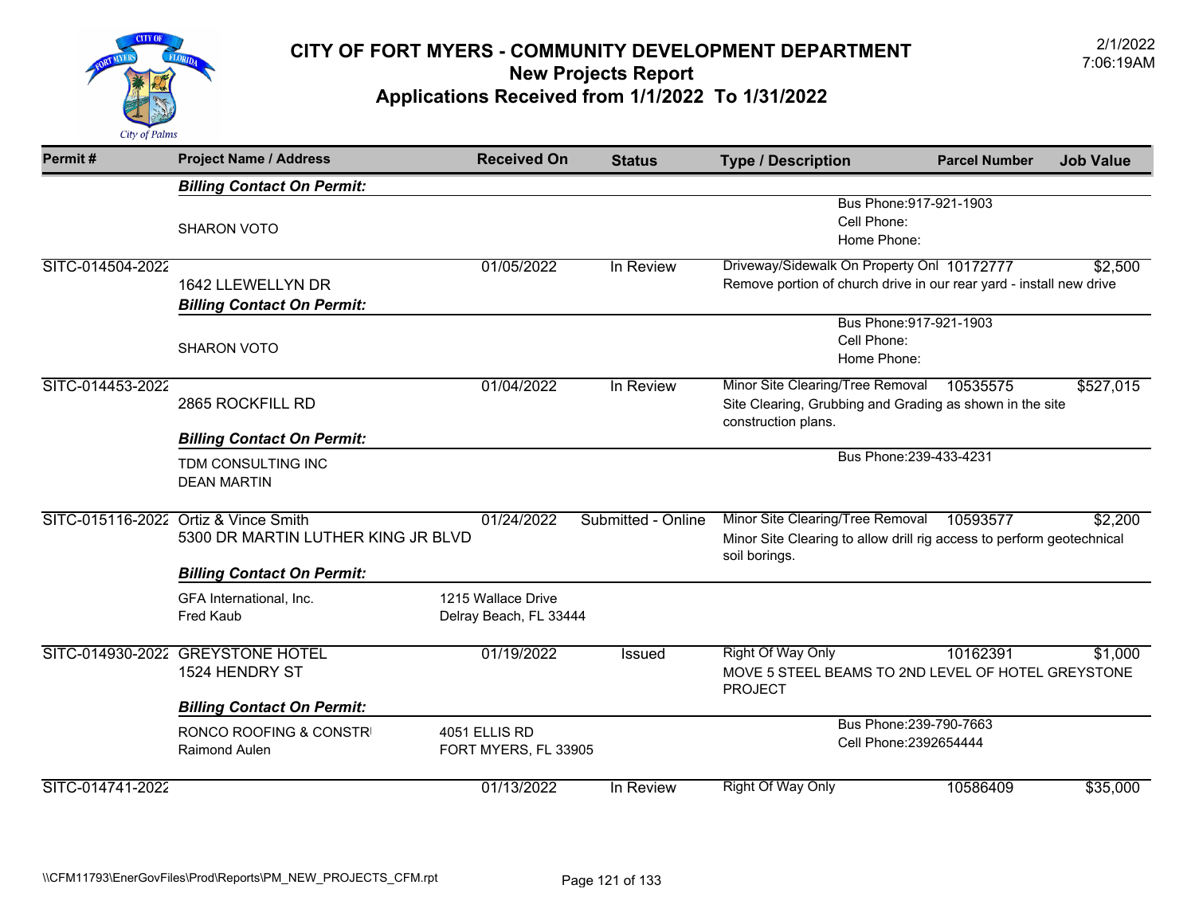

| Permit#          | <b>Project Name / Address</b>                                              | <b>Received On</b>                           | <b>Status</b>      | <b>Type / Description</b>                                                                                                  | <b>Parcel Number</b> | <b>Job Value</b> |
|------------------|----------------------------------------------------------------------------|----------------------------------------------|--------------------|----------------------------------------------------------------------------------------------------------------------------|----------------------|------------------|
|                  | <b>Billing Contact On Permit:</b>                                          |                                              |                    |                                                                                                                            |                      |                  |
|                  | <b>SHARON VOTO</b>                                                         |                                              |                    | Bus Phone: 917-921-1903<br>Cell Phone:<br>Home Phone:                                                                      |                      |                  |
| SITC-014504-2022 | 1642 LLEWELLYN DR<br><b>Billing Contact On Permit:</b>                     | 01/05/2022                                   | In Review          | Driveway/Sidewalk On Property Onl 10172777<br>Remove portion of church drive in our rear yard - install new drive          |                      | \$2,500          |
|                  | <b>SHARON VOTO</b>                                                         |                                              |                    | Bus Phone: 917-921-1903<br>Cell Phone:<br>Home Phone:                                                                      |                      |                  |
| SITC-014453-2022 | 2865 ROCKFILL RD                                                           | 01/04/2022                                   | In Review          | Minor Site Clearing/Tree Removal<br>Site Clearing, Grubbing and Grading as shown in the site<br>construction plans.        | 10535575             | \$527,015        |
|                  | <b>Billing Contact On Permit:</b>                                          |                                              |                    |                                                                                                                            |                      |                  |
|                  | TDM CONSULTING INC<br><b>DEAN MARTIN</b>                                   |                                              |                    | Bus Phone: 239-433-4231                                                                                                    |                      |                  |
|                  | SITC-015116-2022 Ortiz & Vince Smith<br>5300 DR MARTIN LUTHER KING JR BLVD | 01/24/2022                                   | Submitted - Online | Minor Site Clearing/Tree Removal<br>Minor Site Clearing to allow drill rig access to perform geotechnical<br>soil borings. | 10593577             | \$2,200          |
|                  | <b>Billing Contact On Permit:</b>                                          |                                              |                    |                                                                                                                            |                      |                  |
|                  | GFA International, Inc.<br><b>Fred Kaub</b>                                | 1215 Wallace Drive<br>Delray Beach, FL 33444 |                    |                                                                                                                            |                      |                  |
|                  | SITC-014930-2022 GREYSTONE HOTEL<br>1524 HENDRY ST                         | 01/19/2022                                   | Issued             | <b>Right Of Way Only</b><br>MOVE 5 STEEL BEAMS TO 2ND LEVEL OF HOTEL GREYSTONE<br><b>PROJECT</b>                           | 10162391             | \$1,000          |
|                  | <b>Billing Contact On Permit:</b>                                          |                                              |                    |                                                                                                                            |                      |                  |
|                  | RONCO ROOFING & CONSTRI<br>Raimond Aulen                                   | 4051 ELLIS RD<br>FORT MYERS, FL 33905        |                    | Bus Phone: 239-790-7663<br>Cell Phone: 2392654444                                                                          |                      |                  |
| SITC-014741-2022 |                                                                            | 01/13/2022                                   | In Review          | <b>Right Of Way Only</b>                                                                                                   | 10586409             | \$35,000         |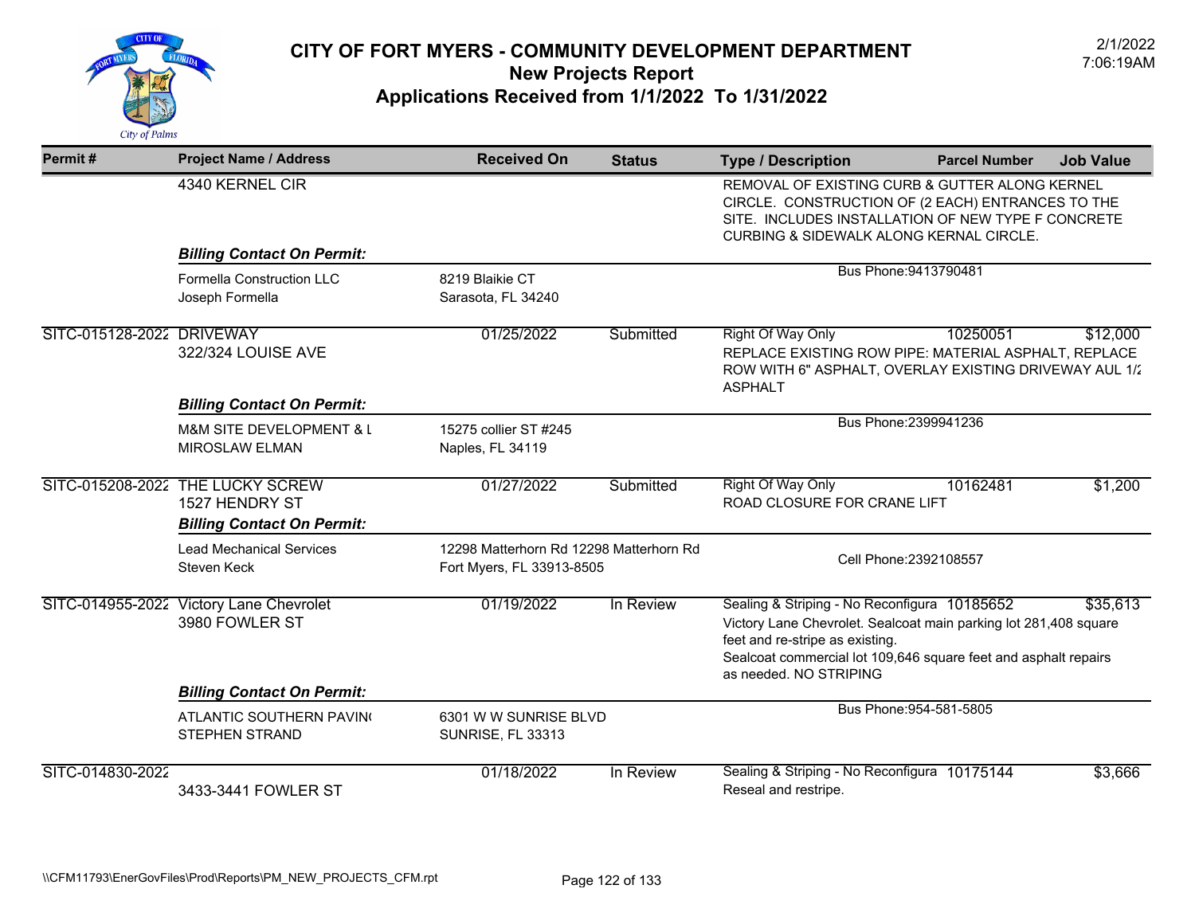

| Permit#                   | <b>Project Name / Address</b>                             | <b>Received On</b>                                                   | <b>Status</b> | <b>Type / Description</b>                                                                                                                                                                                                                        | <b>Parcel Number</b>    | <b>Job Value</b> |
|---------------------------|-----------------------------------------------------------|----------------------------------------------------------------------|---------------|--------------------------------------------------------------------------------------------------------------------------------------------------------------------------------------------------------------------------------------------------|-------------------------|------------------|
|                           | 4340 KERNEL CIR                                           |                                                                      |               | REMOVAL OF EXISTING CURB & GUTTER ALONG KERNEL<br>CIRCLE. CONSTRUCTION OF (2 EACH) ENTRANCES TO THE<br>SITE. INCLUDES INSTALLATION OF NEW TYPE F CONCRETE<br><b>CURBING &amp; SIDEWALK ALONG KERNAL CIRCLE.</b>                                  |                         |                  |
|                           | <b>Billing Contact On Permit:</b>                         |                                                                      |               |                                                                                                                                                                                                                                                  |                         |                  |
|                           | Formella Construction LLC<br>Joseph Formella              | 8219 Blaikie CT<br>Sarasota, FL 34240                                |               | Bus Phone: 9413790481                                                                                                                                                                                                                            |                         |                  |
| SITC-015128-2022 DRIVEWAY | 322/324 LOUISE AVE                                        | 01/25/2022                                                           | Submitted     | <b>Right Of Way Only</b><br>REPLACE EXISTING ROW PIPE: MATERIAL ASPHALT, REPLACE<br>ROW WITH 6" ASPHALT, OVERLAY EXISTING DRIVEWAY AUL 1/2<br><b>ASPHALT</b>                                                                                     | 10250051                | \$12,000         |
|                           | <b>Billing Contact On Permit:</b>                         |                                                                      |               | Bus Phone: 2399941236                                                                                                                                                                                                                            |                         |                  |
|                           | M&M SITE DEVELOPMENT & L<br><b>MIROSLAW ELMAN</b>         | 15275 collier ST #245<br>Naples, FL 34119                            |               |                                                                                                                                                                                                                                                  |                         |                  |
| SITC-015208-2022          | <b>THE LUCKY SCREW</b><br>1527 HENDRY ST                  | 01/27/2022                                                           | Submitted     | <b>Right Of Way Only</b><br>ROAD CLOSURE FOR CRANE LIFT                                                                                                                                                                                          | 10162481                | \$1,200          |
|                           | <b>Billing Contact On Permit:</b>                         |                                                                      |               |                                                                                                                                                                                                                                                  |                         |                  |
|                           | <b>Lead Mechanical Services</b><br>Steven Keck            | 12298 Matterhorn Rd 12298 Matterhorn Rd<br>Fort Myers, FL 33913-8505 |               |                                                                                                                                                                                                                                                  | Cell Phone: 2392108557  |                  |
|                           | SITC-014955-2022 Victory Lane Chevrolet<br>3980 FOWLER ST | 01/19/2022                                                           | In Review     | Sealing & Striping - No Reconfigura 10185652<br>Victory Lane Chevrolet. Sealcoat main parking lot 281,408 square<br>feet and re-stripe as existing.<br>Sealcoat commercial lot 109,646 square feet and asphalt repairs<br>as needed. NO STRIPING |                         | \$35,613         |
|                           | <b>Billing Contact On Permit:</b>                         |                                                                      |               |                                                                                                                                                                                                                                                  |                         |                  |
|                           | ATLANTIC SOUTHERN PAVING<br><b>STEPHEN STRAND</b>         | 6301 W W SUNRISE BLVD<br><b>SUNRISE, FL 33313</b>                    |               |                                                                                                                                                                                                                                                  | Bus Phone: 954-581-5805 |                  |
| SITC-014830-2022          | 3433-3441 FOWLER ST                                       | 01/18/2022                                                           | In Review     | Sealing & Striping - No Reconfigura 10175144<br>Reseal and restripe.                                                                                                                                                                             |                         | \$3,666          |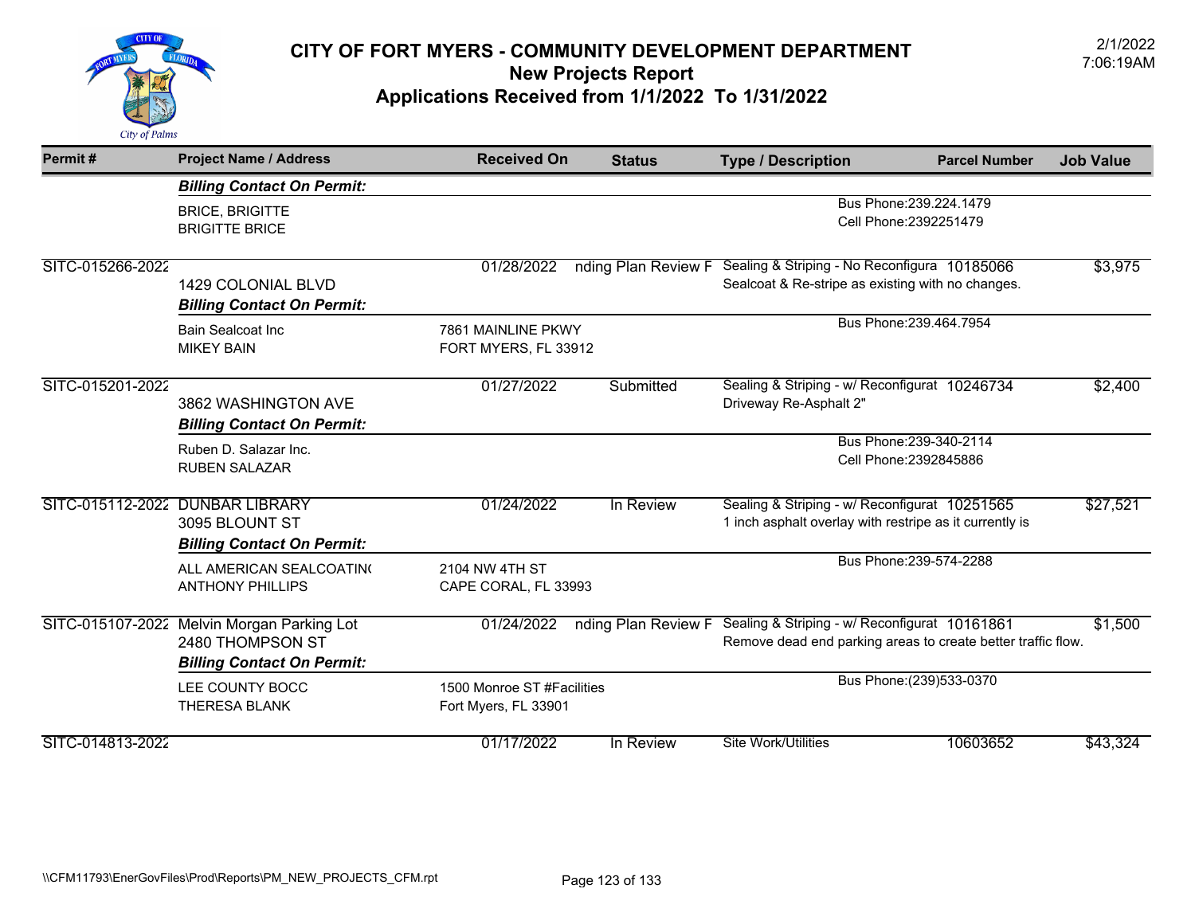

| Permit#          | <b>Project Name / Address</b>                                                                       | <b>Received On</b>                                 | <b>Status</b>       | <b>Type / Description</b>                                                                                     | <b>Parcel Number</b>                              | <b>Job Value</b> |
|------------------|-----------------------------------------------------------------------------------------------------|----------------------------------------------------|---------------------|---------------------------------------------------------------------------------------------------------------|---------------------------------------------------|------------------|
|                  | <b>Billing Contact On Permit:</b>                                                                   |                                                    |                     |                                                                                                               |                                                   |                  |
|                  | <b>BRICE, BRIGITTE</b><br><b>BRIGITTE BRICE</b>                                                     |                                                    |                     |                                                                                                               | Bus Phone: 239.224.1479<br>Cell Phone: 2392251479 |                  |
| SITC-015266-2022 | <b>1429 COLONIAL BLVD</b><br><b>Billing Contact On Permit:</b>                                      | 01/28/2022                                         | nding Plan Review F | Sealing & Striping - No Reconfigura 10185066<br>Sealcoat & Re-stripe as existing with no changes.             |                                                   | \$3,975          |
|                  | <b>Bain Sealcoat Inc.</b><br><b>MIKEY BAIN</b>                                                      | 7861 MAINLINE PKWY<br>FORT MYERS, FL 33912         |                     |                                                                                                               | Bus Phone: 239.464.7954                           |                  |
| SITC-015201-2022 | 3862 WASHINGTON AVE<br><b>Billing Contact On Permit:</b>                                            | 01/27/2022                                         | Submitted           | Sealing & Striping - w/ Reconfigurat 10246734<br>Driveway Re-Asphalt 2"                                       |                                                   | \$2,400          |
|                  | Ruben D. Salazar Inc.<br><b>RUBEN SALAZAR</b>                                                       |                                                    |                     |                                                                                                               | Bus Phone: 239-340-2114<br>Cell Phone: 2392845886 |                  |
| SITC-015112-2022 | <b>DUNBAR LIBRARY</b><br>3095 BLOUNT ST<br><b>Billing Contact On Permit:</b>                        | 01/24/2022                                         | In Review           | Sealing & Striping - w/ Reconfigurat 10251565<br>1 inch asphalt overlay with restripe as it currently is      |                                                   | \$27,521         |
|                  | ALL AMERICAN SEALCOATING<br><b>ANTHONY PHILLIPS</b>                                                 | 2104 NW 4TH ST<br>CAPE CORAL, FL 33993             |                     |                                                                                                               | Bus Phone: 239-574-2288                           |                  |
|                  | SITC-015107-2022 Melvin Morgan Parking Lot<br>2480 THOMPSON ST<br><b>Billing Contact On Permit:</b> | 01/24/2022                                         | nding Plan Review F | Sealing & Striping - w/ Reconfigurat 10161861<br>Remove dead end parking areas to create better traffic flow. |                                                   | \$1,500          |
|                  | LEE COUNTY BOCC<br><b>THERESA BLANK</b>                                                             | 1500 Monroe ST #Facilities<br>Fort Myers, FL 33901 |                     |                                                                                                               | Bus Phone: (239) 533-0370                         |                  |
| SITC-014813-2022 |                                                                                                     | 01/17/2022                                         | In Review           | <b>Site Work/Utilities</b>                                                                                    | 10603652                                          | \$43,324         |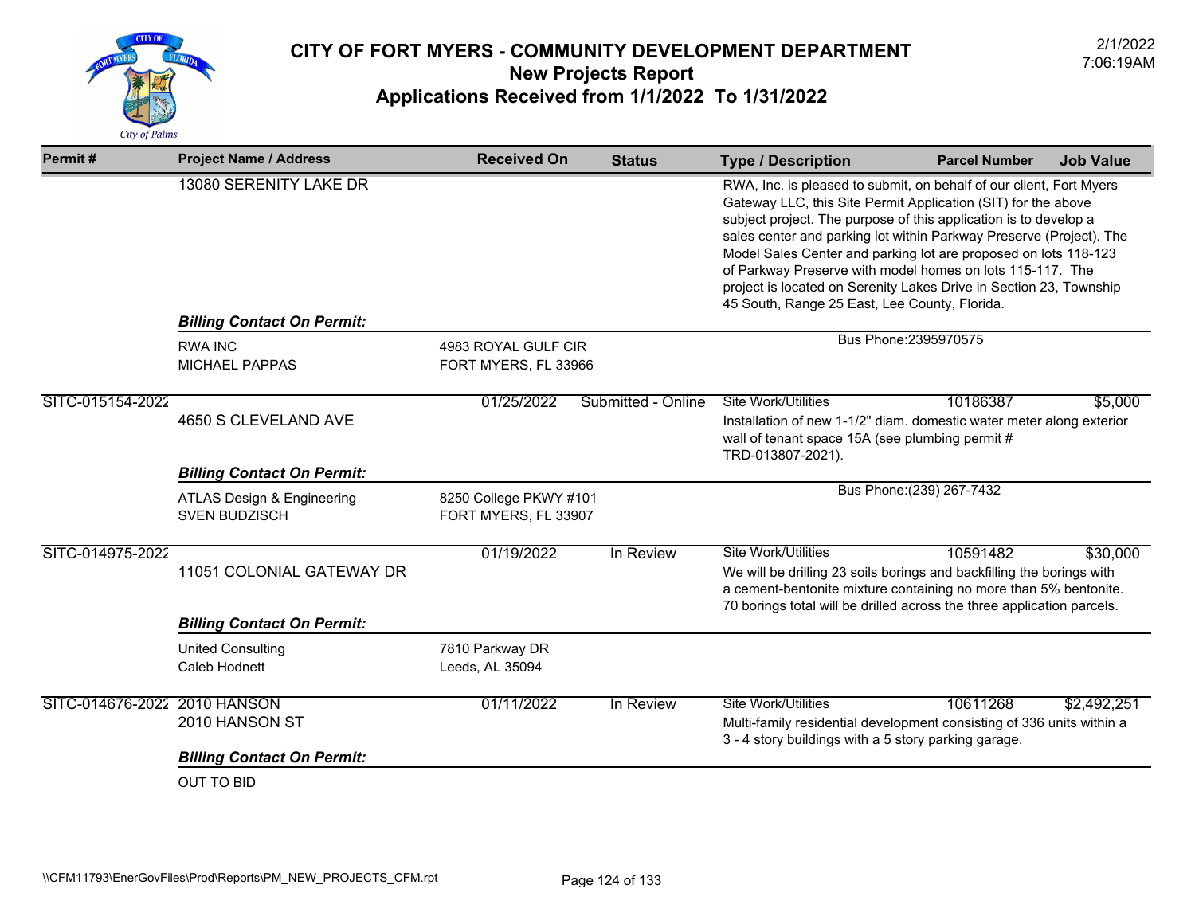

| Permit#                      | <b>Project Name / Address</b>                      | <b>Received On</b>                             | <b>Status</b>      | <b>Type / Description</b>                                                                                                                                                                                                                                                                                                                                                                                                                                                                                                              | <b>Parcel Number</b>      | <b>Job Value</b> |
|------------------------------|----------------------------------------------------|------------------------------------------------|--------------------|----------------------------------------------------------------------------------------------------------------------------------------------------------------------------------------------------------------------------------------------------------------------------------------------------------------------------------------------------------------------------------------------------------------------------------------------------------------------------------------------------------------------------------------|---------------------------|------------------|
|                              | 13080 SERENITY LAKE DR                             |                                                |                    | RWA, Inc. is pleased to submit, on behalf of our client, Fort Myers<br>Gateway LLC, this Site Permit Application (SIT) for the above<br>subject project. The purpose of this application is to develop a<br>sales center and parking lot within Parkway Preserve (Project). The<br>Model Sales Center and parking lot are proposed on lots 118-123<br>of Parkway Preserve with model homes on lots 115-117. The<br>project is located on Serenity Lakes Drive in Section 23, Township<br>45 South, Range 25 East, Lee County, Florida. |                           |                  |
|                              | <b>Billing Contact On Permit:</b>                  |                                                |                    |                                                                                                                                                                                                                                                                                                                                                                                                                                                                                                                                        |                           |                  |
|                              | <b>RWA INC</b><br><b>MICHAEL PAPPAS</b>            | 4983 ROYAL GULF CIR<br>FORT MYERS, FL 33966    |                    |                                                                                                                                                                                                                                                                                                                                                                                                                                                                                                                                        | Bus Phone: 2395970575     |                  |
| SITC-015154-2022             | 4650 S CLEVELAND AVE                               | 01/25/2022                                     | Submitted - Online | Site Work/Utilities<br>Installation of new 1-1/2" diam. domestic water meter along exterior<br>wall of tenant space 15A (see plumbing permit #<br>TRD-013807-2021).                                                                                                                                                                                                                                                                                                                                                                    | 10186387                  | \$5,000          |
|                              | <b>Billing Contact On Permit:</b>                  |                                                |                    |                                                                                                                                                                                                                                                                                                                                                                                                                                                                                                                                        |                           |                  |
|                              | ATLAS Design & Engineering<br><b>SVEN BUDZISCH</b> | 8250 College PKWY #101<br>FORT MYERS, FL 33907 |                    |                                                                                                                                                                                                                                                                                                                                                                                                                                                                                                                                        | Bus Phone: (239) 267-7432 |                  |
| SITC-014975-2022             | 11051 COLONIAL GATEWAY DR                          | 01/19/2022                                     | In Review          | <b>Site Work/Utilities</b><br>We will be drilling 23 soils borings and backfilling the borings with<br>a cement-bentonite mixture containing no more than 5% bentonite.<br>70 borings total will be drilled across the three application parcels.                                                                                                                                                                                                                                                                                      | 10591482                  | \$30,000         |
|                              | <b>Billing Contact On Permit:</b>                  |                                                |                    |                                                                                                                                                                                                                                                                                                                                                                                                                                                                                                                                        |                           |                  |
|                              | <b>United Consulting</b><br>Caleb Hodnett          | 7810 Parkway DR<br>Leeds, AL 35094             |                    |                                                                                                                                                                                                                                                                                                                                                                                                                                                                                                                                        |                           |                  |
| SITC-014676-2022 2010 HANSON | 2010 HANSON ST                                     | 01/11/2022                                     | In Review          | <b>Site Work/Utilities</b><br>Multi-family residential development consisting of 336 units within a<br>3 - 4 story buildings with a 5 story parking garage.                                                                                                                                                                                                                                                                                                                                                                            | 10611268                  | \$2,492,251      |
|                              | <b>Billing Contact On Permit:</b>                  |                                                |                    |                                                                                                                                                                                                                                                                                                                                                                                                                                                                                                                                        |                           |                  |
|                              | <b>OUT TO BID</b>                                  |                                                |                    |                                                                                                                                                                                                                                                                                                                                                                                                                                                                                                                                        |                           |                  |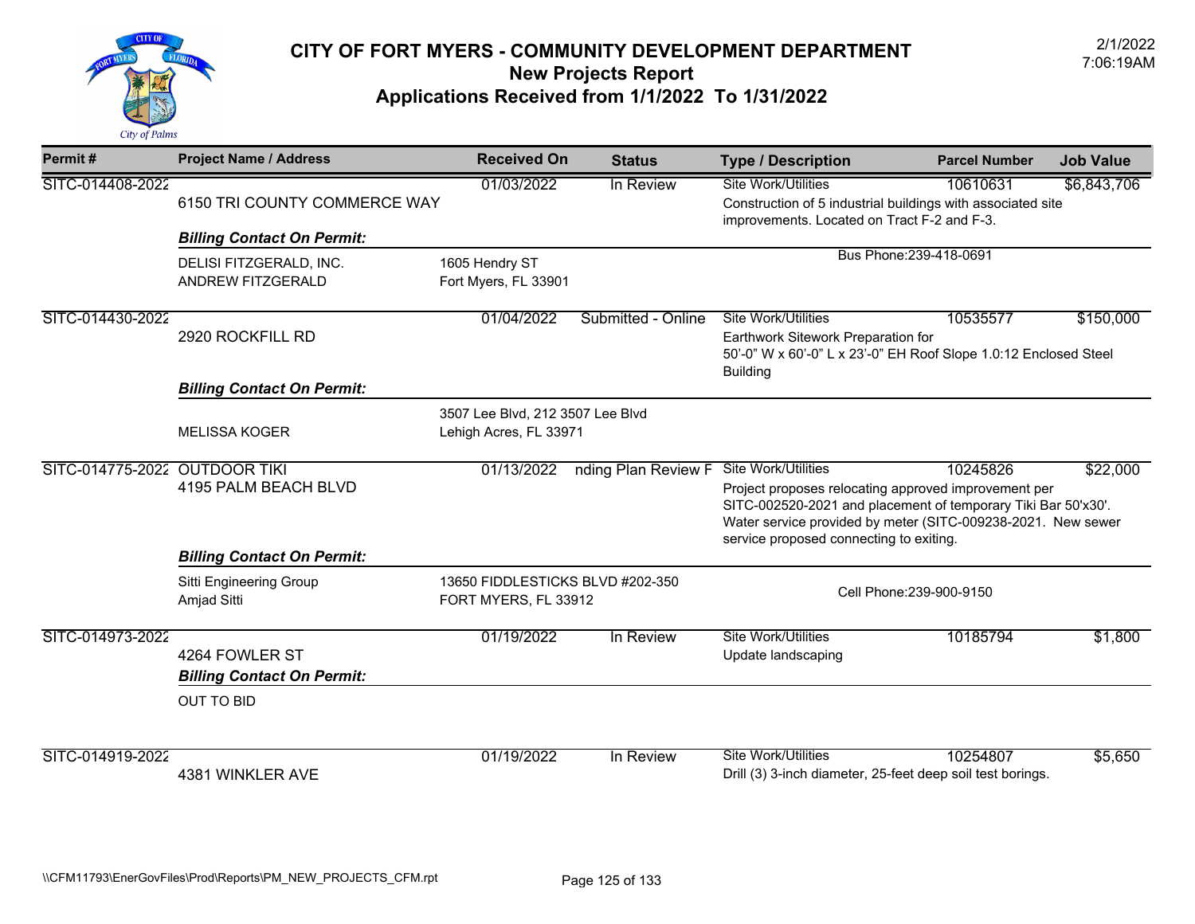

| Permit#                       | <b>Project Name / Address</b>                       | <b>Received On</b>                                         | <b>Status</b>       | <b>Type / Description</b>                                                                                                                                                                                                                               | <b>Parcel Number</b>     | <b>Job Value</b> |  |
|-------------------------------|-----------------------------------------------------|------------------------------------------------------------|---------------------|---------------------------------------------------------------------------------------------------------------------------------------------------------------------------------------------------------------------------------------------------------|--------------------------|------------------|--|
| SITC-014408-2022              | 6150 TRI COUNTY COMMERCE WAY                        | 01/03/2022                                                 | In Review           | Site Work/Utilities<br>Construction of 5 industrial buildings with associated site<br>improvements. Located on Tract F-2 and F-3.                                                                                                                       | 10610631                 | \$6,843,706      |  |
|                               | <b>Billing Contact On Permit:</b>                   |                                                            |                     |                                                                                                                                                                                                                                                         | Bus Phone: 239-418-0691  |                  |  |
|                               | DELISI FITZGERALD, INC.<br><b>ANDREW FITZGERALD</b> | 1605 Hendry ST<br>Fort Myers, FL 33901                     |                     |                                                                                                                                                                                                                                                         |                          |                  |  |
| SITC-014430-2022              | 2920 ROCKFILL RD                                    | 01/04/2022                                                 | Submitted - Online  | <b>Site Work/Utilities</b><br>Earthwork Sitework Preparation for<br>50'-0" W x 60'-0" L x 23'-0" EH Roof Slope 1.0:12 Enclosed Steel<br><b>Building</b>                                                                                                 | 10535577                 | \$150,000        |  |
|                               | <b>Billing Contact On Permit:</b>                   |                                                            |                     |                                                                                                                                                                                                                                                         |                          |                  |  |
|                               | <b>MELISSA KOGER</b>                                | 3507 Lee Blvd, 212 3507 Lee Blvd<br>Lehigh Acres, FL 33971 |                     |                                                                                                                                                                                                                                                         |                          |                  |  |
| SITC-014775-2022 OUTDOOR TIKI | 4195 PALM BEACH BLVD                                | 01/13/2022                                                 | nding Plan Review F | Site Work/Utilities<br>Project proposes relocating approved improvement per<br>SITC-002520-2021 and placement of temporary Tiki Bar 50'x30'.<br>Water service provided by meter (SITC-009238-2021. New sewer<br>service proposed connecting to exiting. | 10245826                 | \$22,000         |  |
|                               | <b>Billing Contact On Permit:</b>                   |                                                            |                     |                                                                                                                                                                                                                                                         |                          |                  |  |
|                               | Sitti Engineering Group<br>Amjad Sitti              | 13650 FIDDLESTICKS BLVD #202-350<br>FORT MYERS, FL 33912   |                     |                                                                                                                                                                                                                                                         | Cell Phone: 239-900-9150 |                  |  |
| SITC-014973-2022              | 4264 FOWLER ST<br><b>Billing Contact On Permit:</b> | 01/19/2022                                                 | In Review           | Site Work/Utilities<br>Update landscaping                                                                                                                                                                                                               | 10185794                 | \$1,800          |  |
|                               | <b>OUT TO BID</b>                                   |                                                            |                     |                                                                                                                                                                                                                                                         |                          |                  |  |
| SITC-014919-2022              | 4381 WINKLER AVE                                    | 01/19/2022                                                 | In Review           | <b>Site Work/Utilities</b><br>Drill (3) 3-inch diameter, 25-feet deep soil test borings.                                                                                                                                                                | 10254807                 | \$5,650          |  |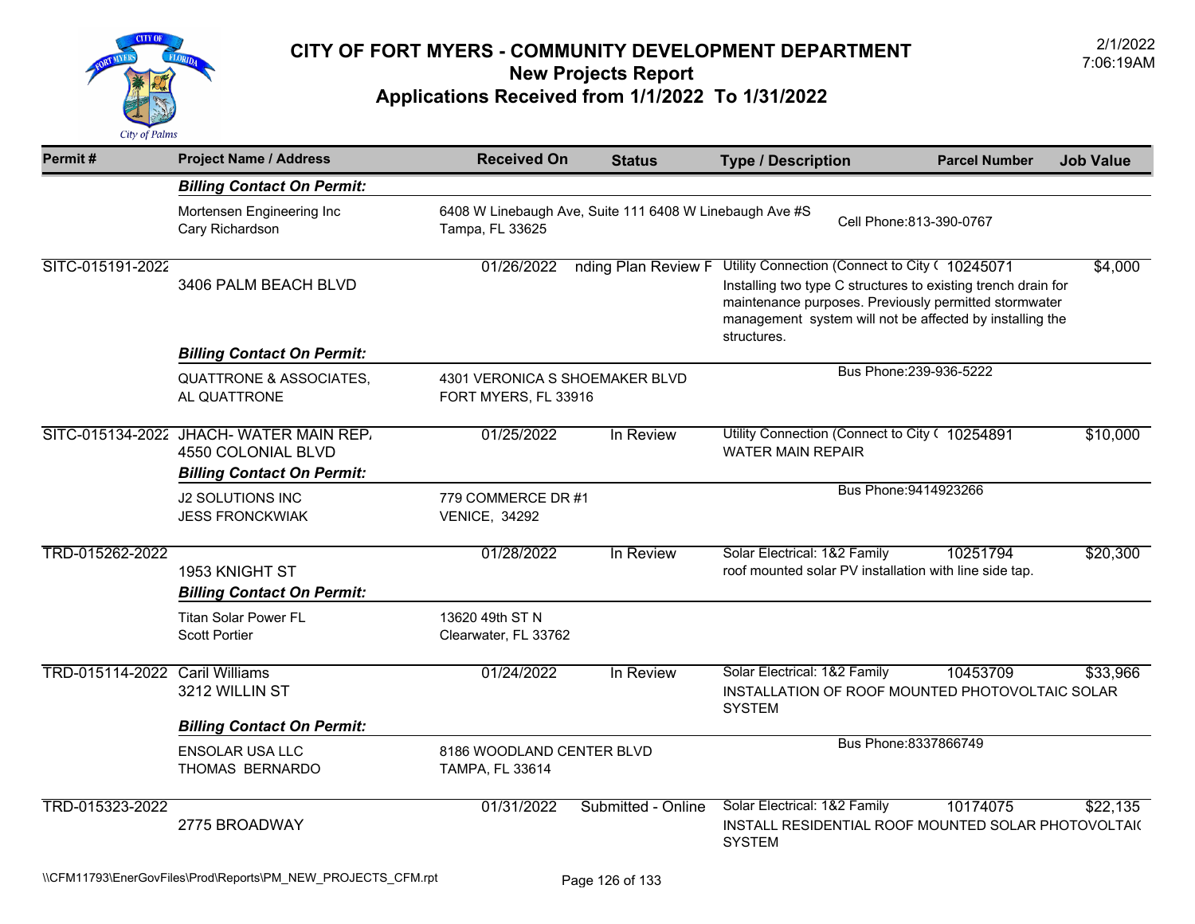

| Permit#                        | <b>Project Name / Address</b>                                                                     | <b>Received On</b>                                     | <b>Status</b>                                           | <b>Type / Description</b>                                                                                                                                                                                                                           | <b>Parcel Number</b>     | <b>Job Value</b> |
|--------------------------------|---------------------------------------------------------------------------------------------------|--------------------------------------------------------|---------------------------------------------------------|-----------------------------------------------------------------------------------------------------------------------------------------------------------------------------------------------------------------------------------------------------|--------------------------|------------------|
|                                | <b>Billing Contact On Permit:</b>                                                                 |                                                        |                                                         |                                                                                                                                                                                                                                                     |                          |                  |
|                                | Mortensen Engineering Inc<br>Cary Richardson                                                      | Tampa, FL 33625                                        | 6408 W Linebaugh Ave, Suite 111 6408 W Linebaugh Ave #S |                                                                                                                                                                                                                                                     | Cell Phone: 813-390-0767 |                  |
| SITC-015191-2022               | 3406 PALM BEACH BLVD                                                                              | 01/26/2022                                             | nding Plan Review F                                     | Utility Connection (Connect to City ( 10245071<br>Installing two type C structures to existing trench drain for<br>maintenance purposes. Previously permitted stormwater<br>management system will not be affected by installing the<br>structures. |                          | \$4,000          |
|                                | <b>Billing Contact On Permit:</b>                                                                 |                                                        |                                                         |                                                                                                                                                                                                                                                     |                          |                  |
|                                | <b>QUATTRONE &amp; ASSOCIATES,</b><br>AL QUATTRONE                                                | 4301 VERONICA S SHOEMAKER BLVD<br>FORT MYERS, FL 33916 |                                                         |                                                                                                                                                                                                                                                     | Bus Phone: 239-936-5222  |                  |
|                                | SITC-015134-2022 JHACH-WATER MAIN REP.<br>4550 COLONIAL BLVD<br><b>Billing Contact On Permit:</b> | 01/25/2022                                             | In Review                                               | Utility Connection (Connect to City ( 10254891<br><b>WATER MAIN REPAIR</b>                                                                                                                                                                          |                          | \$10,000         |
|                                | <b>J2 SOLUTIONS INC</b><br><b>JESS FRONCKWIAK</b>                                                 | 779 COMMERCE DR #1<br><b>VENICE, 34292</b>             |                                                         |                                                                                                                                                                                                                                                     | Bus Phone: 9414923266    |                  |
| TRD-015262-2022                | 1953 KNIGHT ST<br><b>Billing Contact On Permit:</b>                                               | 01/28/2022                                             | In Review                                               | Solar Electrical: 1&2 Family<br>roof mounted solar PV installation with line side tap.                                                                                                                                                              | 10251794                 | \$20,300         |
|                                | <b>Titan Solar Power FL</b><br><b>Scott Portier</b>                                               | 13620 49th ST N<br>Clearwater, FL 33762                |                                                         |                                                                                                                                                                                                                                                     |                          |                  |
| TRD-015114-2022 Caril Williams | 3212 WILLIN ST                                                                                    | 01/24/2022                                             | In Review                                               | Solar Electrical: 1&2 Family<br>INSTALLATION OF ROOF MOUNTED PHOTOVOLTAIC SOLAR<br><b>SYSTEM</b>                                                                                                                                                    | 10453709                 | \$33,966         |
|                                | <b>Billing Contact On Permit:</b>                                                                 |                                                        |                                                         |                                                                                                                                                                                                                                                     |                          |                  |
|                                | <b>ENSOLAR USA LLC</b><br>THOMAS BERNARDO                                                         | 8186 WOODLAND CENTER BLVD<br>TAMPA, FL 33614           |                                                         |                                                                                                                                                                                                                                                     | Bus Phone: 8337866749    |                  |
| TRD-015323-2022                | 2775 BROADWAY                                                                                     | 01/31/2022                                             | Submitted - Online                                      | Solar Electrical: 1&2 Family<br>INSTALL RESIDENTIAL ROOF MOUNTED SOLAR PHOTOVOLTAI(<br><b>SYSTEM</b>                                                                                                                                                | 10174075                 | \$22,135         |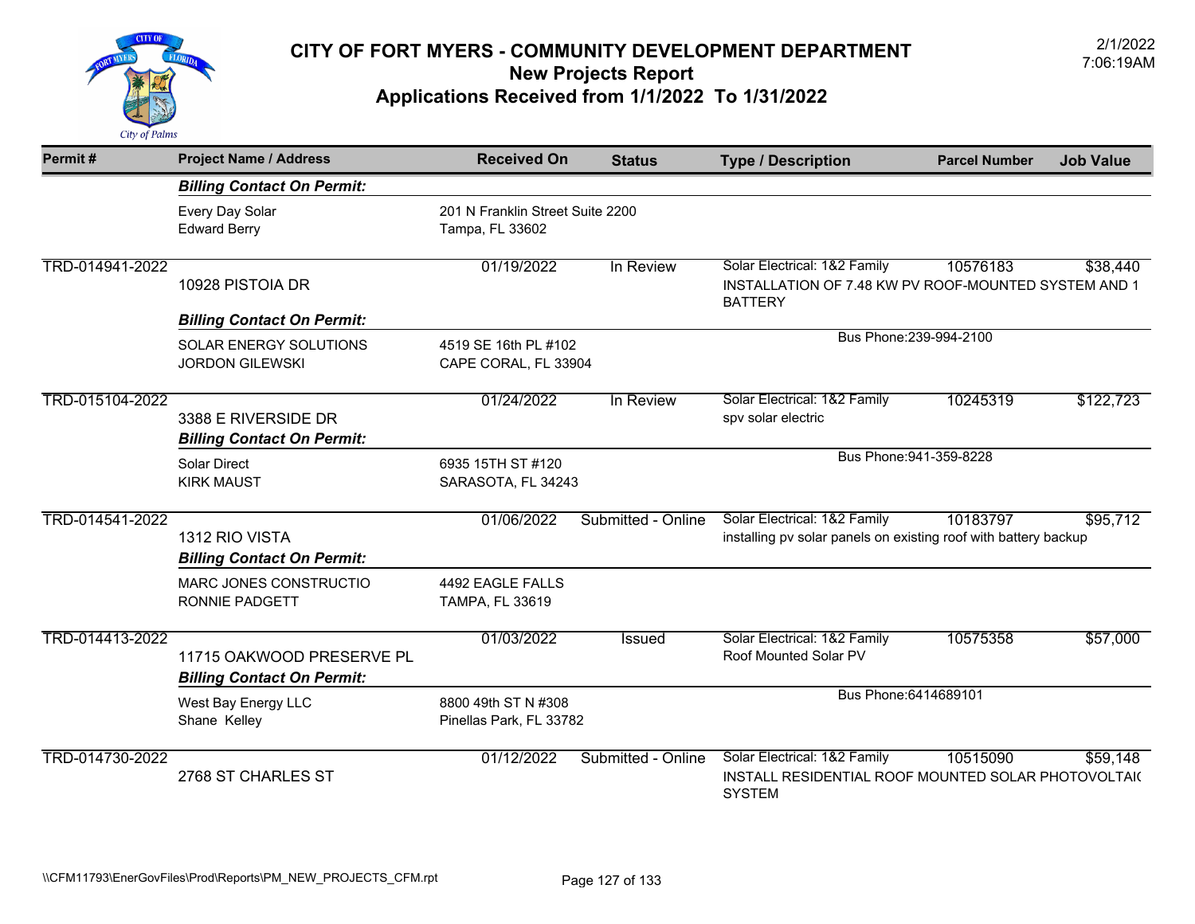

| Permit#         | <b>Project Name / Address</b>                                  | <b>Received On</b>                                  | <b>Status</b>      | <b>Type / Description</b>                                                                              | <b>Parcel Number</b>    | <b>Job Value</b> |
|-----------------|----------------------------------------------------------------|-----------------------------------------------------|--------------------|--------------------------------------------------------------------------------------------------------|-------------------------|------------------|
|                 | <b>Billing Contact On Permit:</b>                              |                                                     |                    |                                                                                                        |                         |                  |
|                 | Every Day Solar<br><b>Edward Berry</b>                         | 201 N Franklin Street Suite 2200<br>Tampa, FL 33602 |                    |                                                                                                        |                         |                  |
| TRD-014941-2022 | 10928 PISTOIA DR                                               | 01/19/2022                                          | In Review          | Solar Electrical: 1&2 Family<br>INSTALLATION OF 7.48 KW PV ROOF-MOUNTED SYSTEM AND 1<br><b>BATTERY</b> | 10576183                | \$38,440         |
|                 | <b>Billing Contact On Permit:</b>                              |                                                     |                    |                                                                                                        |                         |                  |
|                 | <b>SOLAR ENERGY SOLUTIONS</b><br><b>JORDON GILEWSKI</b>        | 4519 SE 16th PL #102<br>CAPE CORAL, FL 33904        |                    |                                                                                                        | Bus Phone: 239-994-2100 |                  |
| TRD-015104-2022 | 3388 E RIVERSIDE DR<br><b>Billing Contact On Permit:</b>       | 01/24/2022                                          | In Review          | Solar Electrical: 1&2 Family<br>spv solar electric                                                     | 10245319                | \$122,723        |
|                 | <b>Solar Direct</b><br><b>KIRK MAUST</b>                       | 6935 15TH ST #120<br>SARASOTA, FL 34243             |                    |                                                                                                        | Bus Phone: 941-359-8228 |                  |
| TRD-014541-2022 | 1312 RIO VISTA<br><b>Billing Contact On Permit:</b>            | 01/06/2022                                          | Submitted - Online | Solar Electrical: 1&2 Family<br>installing pv solar panels on existing roof with battery backup        | 10183797                | \$95,712         |
|                 | MARC JONES CONSTRUCTIO<br>RONNIE PADGETT                       | 4492 EAGLE FALLS<br>TAMPA, FL 33619                 |                    |                                                                                                        |                         |                  |
| TRD-014413-2022 | 11715 OAKWOOD PRESERVE PL<br><b>Billing Contact On Permit:</b> | 01/03/2022                                          | Issued             | Solar Electrical: 1&2 Family<br>Roof Mounted Solar PV                                                  | 10575358                | \$57,000         |
|                 | West Bay Energy LLC<br>Shane Kelley                            | 8800 49th ST N #308<br>Pinellas Park, FL 33782      |                    | Bus Phone: 6414689101                                                                                  |                         |                  |
| TRD-014730-2022 | 2768 ST CHARLES ST                                             | 01/12/2022                                          | Submitted - Online | Solar Electrical: 1&2 Family<br>INSTALL RESIDENTIAL ROOF MOUNTED SOLAR PHOTOVOLTAI(<br><b>SYSTEM</b>   | 10515090                | \$59,148         |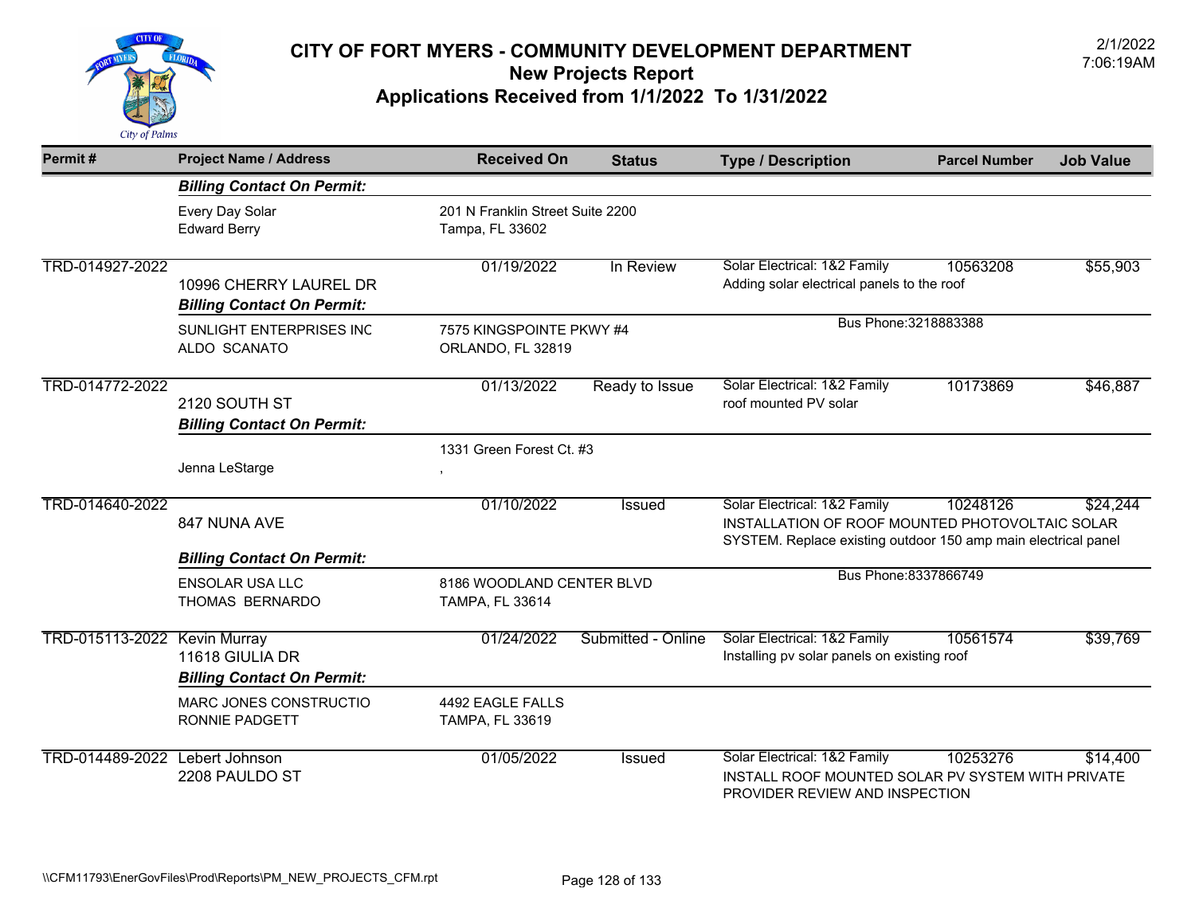

| Permit#                        | <b>Project Name / Address</b>                               | <b>Received On</b>                                  | <b>Status</b>      | <b>Type / Description</b>                                                                                                                         | <b>Parcel Number</b> | <b>Job Value</b> |
|--------------------------------|-------------------------------------------------------------|-----------------------------------------------------|--------------------|---------------------------------------------------------------------------------------------------------------------------------------------------|----------------------|------------------|
|                                | <b>Billing Contact On Permit:</b>                           |                                                     |                    |                                                                                                                                                   |                      |                  |
|                                | Every Day Solar<br><b>Edward Berry</b>                      | 201 N Franklin Street Suite 2200<br>Tampa, FL 33602 |                    |                                                                                                                                                   |                      |                  |
| TRD-014927-2022                | 10996 CHERRY LAUREL DR<br><b>Billing Contact On Permit:</b> | 01/19/2022                                          | In Review          | Solar Electrical: 1&2 Family<br>Adding solar electrical panels to the roof                                                                        | 10563208             | \$55,903         |
|                                | SUNLIGHT ENTERPRISES INC<br>ALDO SCANATO                    | 7575 KINGSPOINTE PKWY #4<br>ORLANDO, FL 32819       |                    | Bus Phone: 3218883388                                                                                                                             |                      |                  |
| TRD-014772-2022                | 2120 SOUTH ST<br><b>Billing Contact On Permit:</b>          | 01/13/2022                                          | Ready to Issue     | Solar Electrical: 1&2 Family<br>roof mounted PV solar                                                                                             | 10173869             | \$46,887         |
|                                | Jenna LeStarge                                              | 1331 Green Forest Ct. #3                            |                    |                                                                                                                                                   |                      |                  |
| TRD-014640-2022                | 847 NUNA AVE                                                | 01/10/2022                                          | Issued             | Solar Electrical: 1&2 Family<br>INSTALLATION OF ROOF MOUNTED PHOTOVOLTAIC SOLAR<br>SYSTEM. Replace existing outdoor 150 amp main electrical panel | 10248126             | \$24,244         |
|                                | <b>Billing Contact On Permit:</b>                           |                                                     |                    |                                                                                                                                                   |                      |                  |
|                                | <b>ENSOLAR USA LLC</b><br>THOMAS BERNARDO                   | 8186 WOODLAND CENTER BLVD<br><b>TAMPA, FL 33614</b> |                    | Bus Phone: 8337866749                                                                                                                             |                      |                  |
| TRD-015113-2022 Kevin Murray   | 11618 GIULIA DR<br><b>Billing Contact On Permit:</b>        | 01/24/2022                                          | Submitted - Online | Solar Electrical: 1&2 Family<br>Installing pv solar panels on existing roof                                                                       | 10561574             | \$39,769         |
|                                | MARC JONES CONSTRUCTIO<br><b>RONNIE PADGETT</b>             | 4492 EAGLE FALLS<br><b>TAMPA, FL 33619</b>          |                    |                                                                                                                                                   |                      |                  |
| TRD-014489-2022 Lebert Johnson | 2208 PAULDO ST                                              | 01/05/2022                                          | Issued             | Solar Electrical: 1&2 Family<br>INSTALL ROOF MOUNTED SOLAR PV SYSTEM WITH PRIVATE<br>PROVIDER REVIEW AND INSPECTION                               | 10253276             | \$14,400         |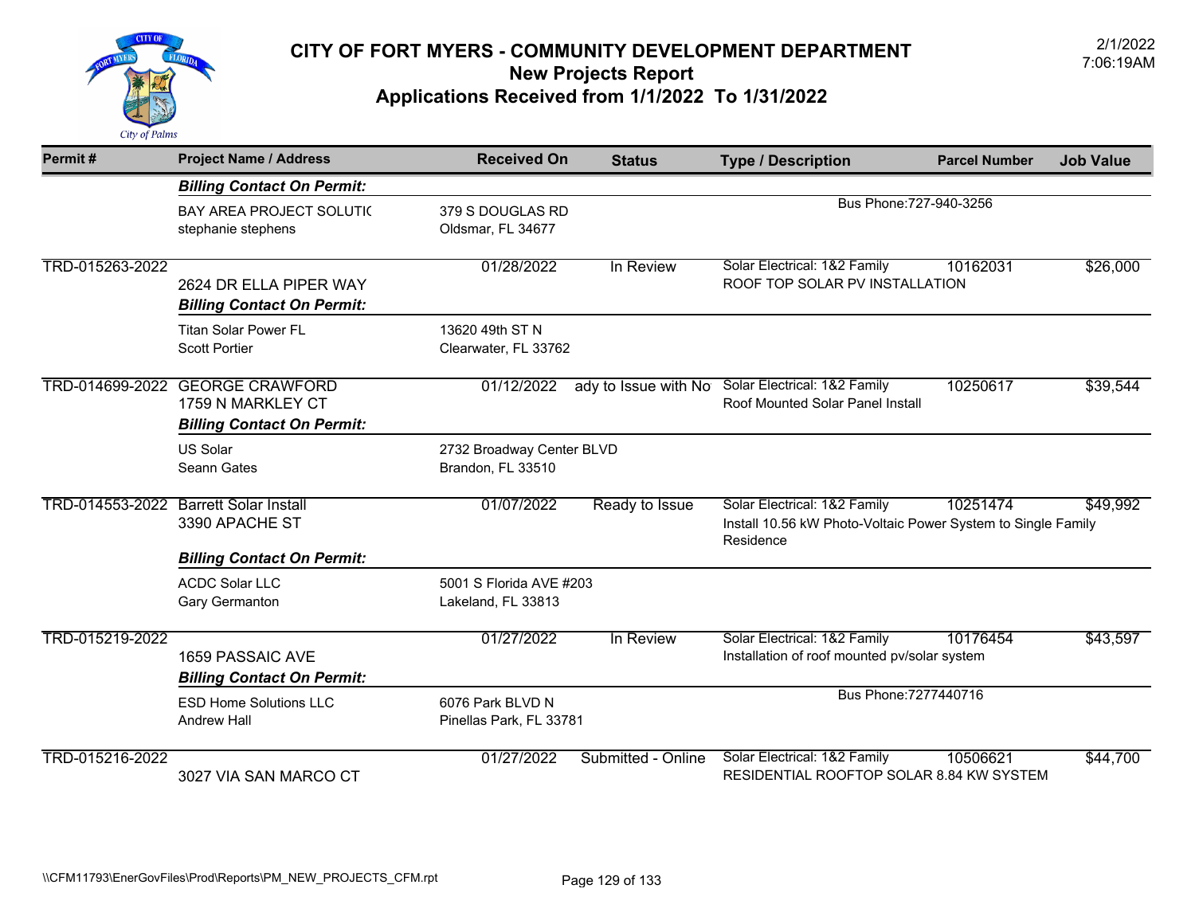

| Permit#         | <b>Project Name / Address</b>                                                    | <b>Received On</b>                             | <b>Status</b>        | <b>Type / Description</b>                                                                                 | <b>Parcel Number</b> | <b>Job Value</b> |
|-----------------|----------------------------------------------------------------------------------|------------------------------------------------|----------------------|-----------------------------------------------------------------------------------------------------------|----------------------|------------------|
|                 | <b>Billing Contact On Permit:</b>                                                |                                                |                      |                                                                                                           |                      |                  |
|                 | <b>BAY AREA PROJECT SOLUTIC</b><br>stephanie stephens                            | 379 S DOUGLAS RD<br>Oldsmar, FL 34677          |                      | Bus Phone: 727-940-3256                                                                                   |                      |                  |
| TRD-015263-2022 | 2624 DR ELLA PIPER WAY<br><b>Billing Contact On Permit:</b>                      | 01/28/2022                                     | In Review            | Solar Electrical: 1&2 Family<br>ROOF TOP SOLAR PV INSTALLATION                                            | 10162031             | \$26,000         |
|                 | <b>Titan Solar Power FL</b><br><b>Scott Portier</b>                              | 13620 49th ST N<br>Clearwater, FL 33762        |                      |                                                                                                           |                      |                  |
| TRD-014699-2022 | <b>GEORGE CRAWFORD</b><br>1759 N MARKLEY CT<br><b>Billing Contact On Permit:</b> | 01/12/2022                                     | ady to Issue with No | Solar Electrical: 1&2 Family<br>Roof Mounted Solar Panel Install                                          | 10250617             | \$39,544         |
|                 | <b>US Solar</b><br>Seann Gates                                                   | 2732 Broadway Center BLVD<br>Brandon, FL 33510 |                      |                                                                                                           |                      |                  |
|                 | TRD-014553-2022 Barrett Solar Install<br>3390 APACHE ST                          | 01/07/2022                                     | Ready to Issue       | Solar Electrical: 1&2 Family<br>Install 10.56 kW Photo-Voltaic Power System to Single Family<br>Residence | 10251474             | \$49,992         |
|                 | <b>Billing Contact On Permit:</b>                                                |                                                |                      |                                                                                                           |                      |                  |
|                 | <b>ACDC Solar LLC</b><br>Gary Germanton                                          | 5001 S Florida AVE #203<br>Lakeland, FL 33813  |                      |                                                                                                           |                      |                  |
| TRD-015219-2022 | 1659 PASSAIC AVE<br><b>Billing Contact On Permit:</b>                            | 01/27/2022                                     | In Review            | Solar Electrical: 1&2 Family<br>Installation of roof mounted pv/solar system                              | 10176454             | \$43,597         |
|                 | <b>ESD Home Solutions LLC</b><br><b>Andrew Hall</b>                              | 6076 Park BLVD N<br>Pinellas Park, FL 33781    |                      | Bus Phone: 7277440716                                                                                     |                      |                  |
| TRD-015216-2022 | 3027 VIA SAN MARCO CT                                                            | 01/27/2022                                     | Submitted - Online   | Solar Electrical: 1&2 Family<br>RESIDENTIAL ROOFTOP SOLAR 8.84 KW SYSTEM                                  | 10506621             | \$44,700         |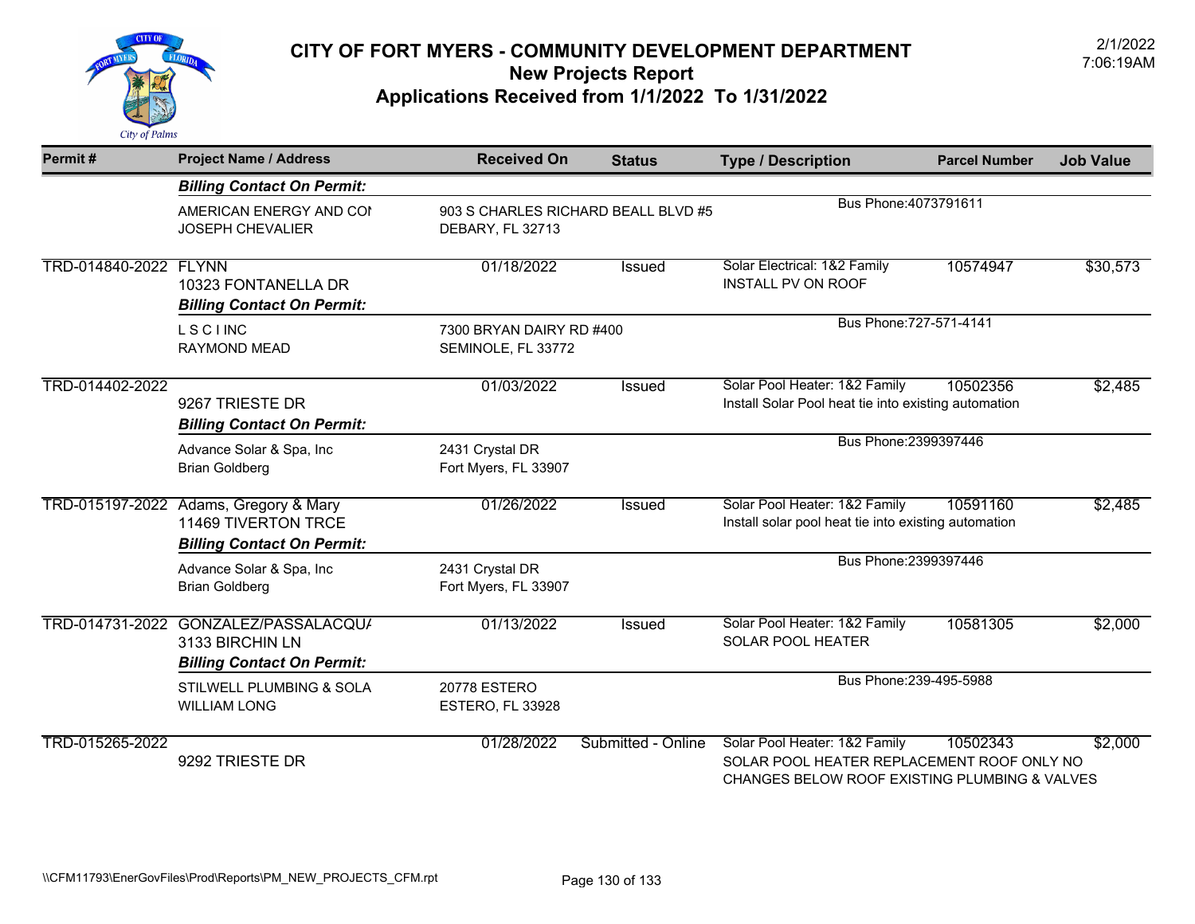

| Permit#               | <b>Project Name / Address</b>                                                     | <b>Received On</b>                      | <b>Status</b>                                  | <b>Type / Description</b>                                                                                                    | <b>Parcel Number</b>    | <b>Job Value</b> |
|-----------------------|-----------------------------------------------------------------------------------|-----------------------------------------|------------------------------------------------|------------------------------------------------------------------------------------------------------------------------------|-------------------------|------------------|
|                       | <b>Billing Contact On Permit:</b>                                                 |                                         |                                                |                                                                                                                              |                         |                  |
|                       | AMERICAN ENERGY AND COI<br><b>JOSEPH CHEVALIER</b>                                | DEBARY, FL 32713                        | 903 S CHARLES RICHARD BEALL BLVD #5            | Bus Phone: 4073791611                                                                                                        |                         |                  |
| TRD-014840-2022 FLYNN | 10323 FONTANELLA DR<br><b>Billing Contact On Permit:</b>                          | 01/18/2022                              | <b>Issued</b>                                  | Solar Electrical: 1&2 Family<br><b>INSTALL PV ON ROOF</b>                                                                    | 10574947                | \$30,573         |
|                       | <b>LSCIINC</b><br><b>RAYMOND MEAD</b>                                             |                                         | 7300 BRYAN DAIRY RD #400<br>SEMINOLE, FL 33772 |                                                                                                                              | Bus Phone: 727-571-4141 |                  |
| TRD-014402-2022       | 9267 TRIESTE DR<br><b>Billing Contact On Permit:</b>                              | 01/03/2022                              | <b>Issued</b>                                  | Solar Pool Heater: 1&2 Family<br>Install Solar Pool heat tie into existing automation                                        | 10502356                | \$2,485          |
|                       | Advance Solar & Spa, Inc<br><b>Brian Goldberg</b>                                 | 2431 Crystal DR<br>Fort Myers, FL 33907 |                                                | Bus Phone: 2399397446                                                                                                        |                         |                  |
| TRD-015197-2022       | Adams, Gregory & Mary<br>11469 TIVERTON TRCE<br><b>Billing Contact On Permit:</b> | 01/26/2022                              | Issued                                         | Solar Pool Heater: 1&2 Family<br>Install solar pool heat tie into existing automation                                        | 10591160                | \$2,485          |
|                       | Advance Solar & Spa, Inc<br><b>Brian Goldberg</b>                                 | 2431 Crystal DR<br>Fort Myers, FL 33907 |                                                | Bus Phone: 2399397446                                                                                                        |                         |                  |
| TRD-014731-2022       | GONZALEZ/PASSALACQU/<br>3133 BIRCHIN LN<br><b>Billing Contact On Permit:</b>      | 01/13/2022                              | <b>Issued</b>                                  | Solar Pool Heater: 1&2 Family<br>SOLAR POOL HEATER                                                                           | 10581305                | \$2,000          |
|                       | STILWELL PLUMBING & SOLA<br><b>WILLIAM LONG</b>                                   | <b>20778 ESTERO</b><br>ESTERO, FL 33928 |                                                | Bus Phone: 239-495-5988                                                                                                      |                         |                  |
| TRD-015265-2022       | 9292 TRIESTE DR                                                                   | 01/28/2022                              | Submitted - Online                             | Solar Pool Heater: 1&2 Family<br>SOLAR POOL HEATER REPLACEMENT ROOF ONLY NO<br>CHANGES BELOW ROOF EXISTING PLUMBING & VALVES | 10502343                | \$2,000          |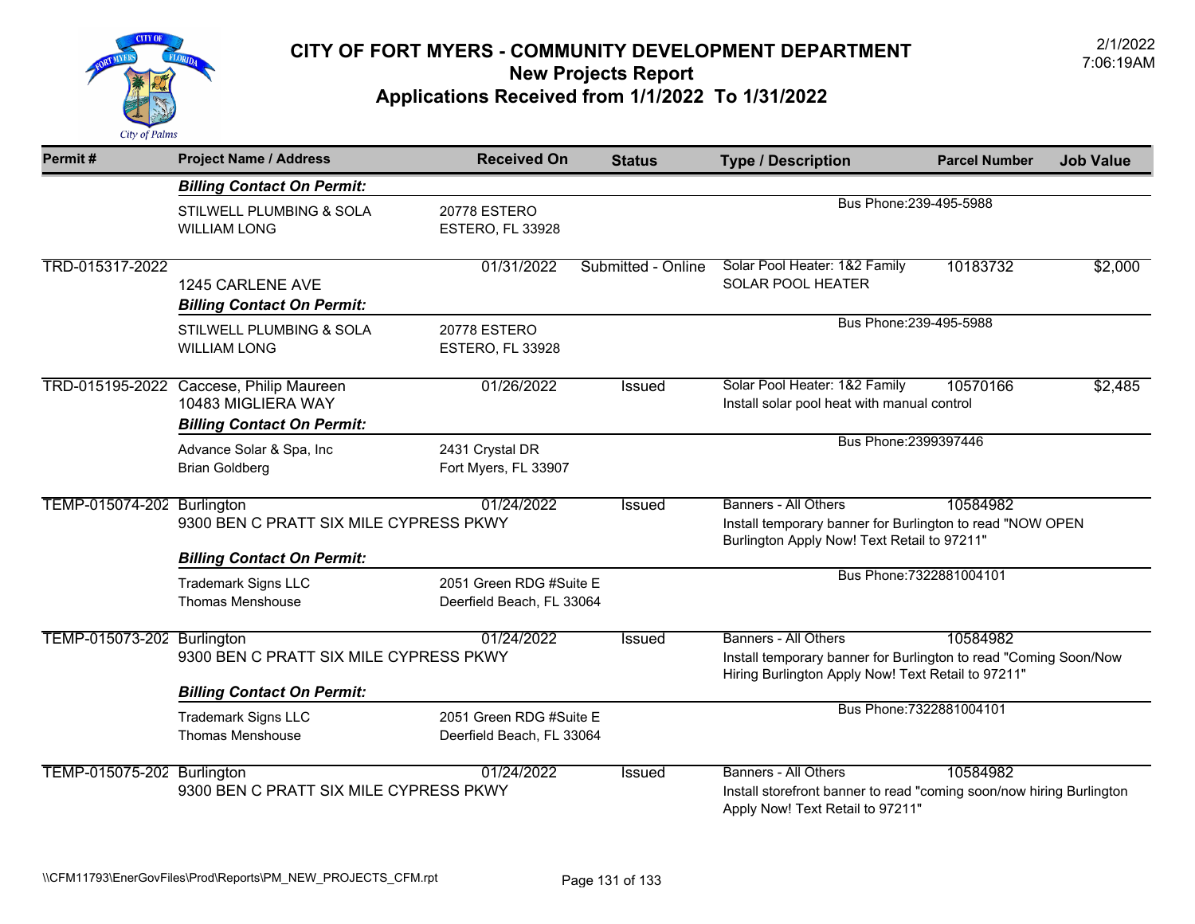

| Permit#                    | <b>Project Name / Address</b>                                                                      | <b>Received On</b>                                   | <b>Status</b>      | <b>Type / Description</b>                                                                                                                             | <b>Parcel Number</b>     | <b>Job Value</b> |
|----------------------------|----------------------------------------------------------------------------------------------------|------------------------------------------------------|--------------------|-------------------------------------------------------------------------------------------------------------------------------------------------------|--------------------------|------------------|
|                            | <b>Billing Contact On Permit:</b>                                                                  |                                                      |                    |                                                                                                                                                       |                          |                  |
|                            | <b>STILWELL PLUMBING &amp; SOLA</b><br><b>WILLIAM LONG</b>                                         | 20778 ESTERO<br>ESTERO, FL 33928                     |                    | Bus Phone: 239-495-5988                                                                                                                               |                          |                  |
| TRD-015317-2022            | 1245 CARLENE AVE<br><b>Billing Contact On Permit:</b>                                              | 01/31/2022                                           | Submitted - Online | Solar Pool Heater: 1&2 Family<br>SOLAR POOL HEATER                                                                                                    | 10183732                 | \$2,000          |
|                            | STILWELL PLUMBING & SOLA<br><b>WILLIAM LONG</b>                                                    | 20778 ESTERO<br>ESTERO, FL 33928                     |                    | Bus Phone: 239-495-5988                                                                                                                               |                          |                  |
|                            | TRD-015195-2022 Caccese, Philip Maureen<br>10483 MIGLIERA WAY<br><b>Billing Contact On Permit:</b> | 01/26/2022                                           | <b>Issued</b>      | Solar Pool Heater: 1&2 Family<br>Install solar pool heat with manual control                                                                          | 10570166                 | \$2,485          |
|                            | Advance Solar & Spa, Inc<br><b>Brian Goldberg</b>                                                  | 2431 Crystal DR<br>Fort Myers, FL 33907              |                    | Bus Phone: 2399397446                                                                                                                                 |                          |                  |
| TEMP-015074-202 Burlington | 9300 BEN C PRATT SIX MILE CYPRESS PKWY<br><b>Billing Contact On Permit:</b>                        | 01/24/2022                                           | <b>Issued</b>      | <b>Banners - All Others</b><br>Install temporary banner for Burlington to read "NOW OPEN<br>Burlington Apply Now! Text Retail to 97211"               | 10584982                 |                  |
|                            | <b>Trademark Signs LLC</b><br><b>Thomas Menshouse</b>                                              | 2051 Green RDG #Suite E<br>Deerfield Beach, FL 33064 |                    |                                                                                                                                                       | Bus Phone: 7322881004101 |                  |
| TEMP-015073-202 Burlington | 9300 BEN C PRATT SIX MILE CYPRESS PKWY                                                             | 01/24/2022                                           | <b>Issued</b>      | <b>Banners - All Others</b><br>Install temporary banner for Burlington to read "Coming Soon/Now<br>Hiring Burlington Apply Now! Text Retail to 97211" | 10584982                 |                  |
|                            | <b>Billing Contact On Permit:</b>                                                                  |                                                      |                    |                                                                                                                                                       |                          |                  |
|                            | <b>Trademark Signs LLC</b><br><b>Thomas Menshouse</b>                                              | 2051 Green RDG #Suite E<br>Deerfield Beach, FL 33064 |                    |                                                                                                                                                       | Bus Phone: 7322881004101 |                  |
| TEMP-015075-202 Burlington | 9300 BEN C PRATT SIX MILE CYPRESS PKWY                                                             | 01/24/2022                                           | <b>Issued</b>      | <b>Banners - All Others</b><br>Install storefront banner to read "coming soon/now hiring Burlington<br>Apply Now! Text Retail to 97211"               | 10584982                 |                  |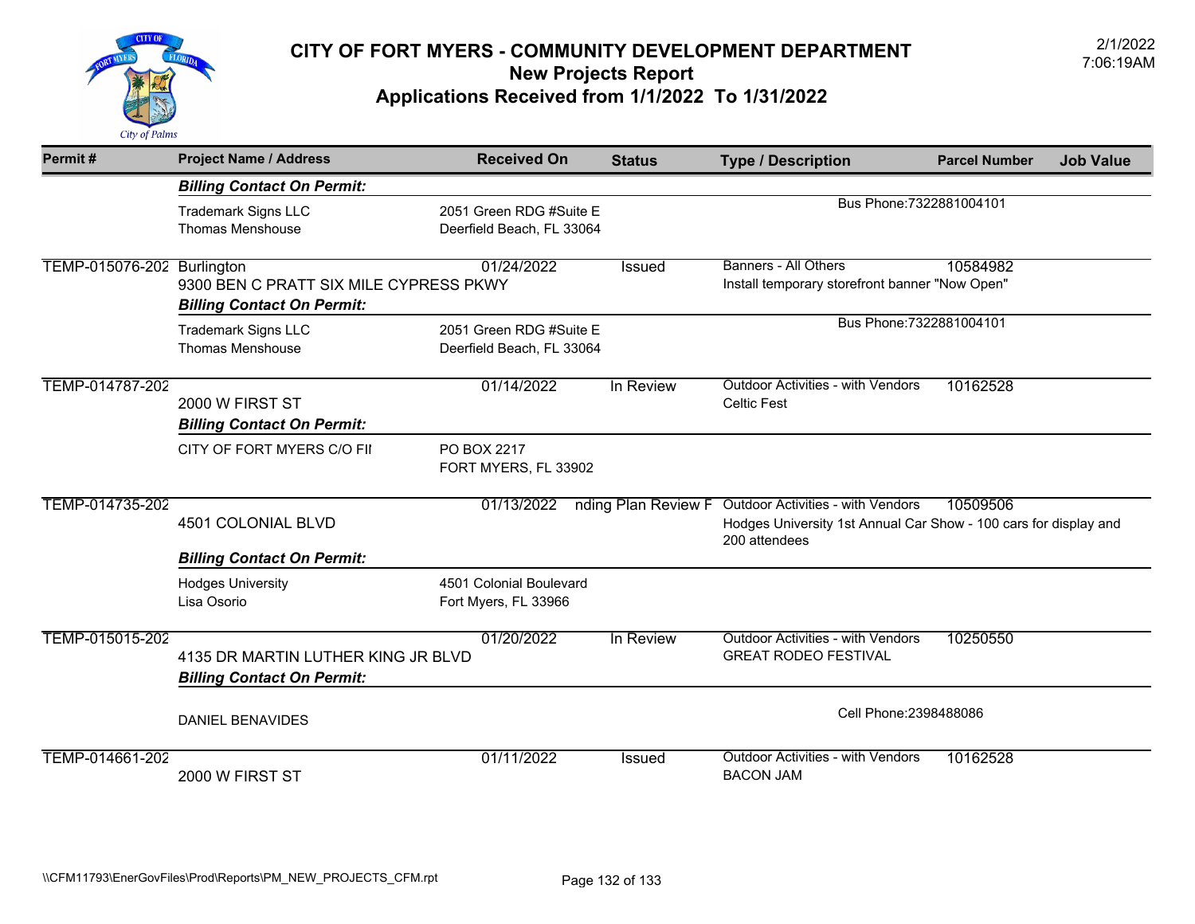

| Permit#         | <b>Project Name / Address</b>                                                             | <b>Received On</b>                                   | <b>Status</b>       | <b>Type / Description</b>                                                                                                     | <b>Parcel Number</b><br><b>Job Value</b> |
|-----------------|-------------------------------------------------------------------------------------------|------------------------------------------------------|---------------------|-------------------------------------------------------------------------------------------------------------------------------|------------------------------------------|
|                 | <b>Billing Contact On Permit:</b>                                                         |                                                      |                     |                                                                                                                               |                                          |
|                 | <b>Trademark Signs LLC</b><br><b>Thomas Menshouse</b>                                     | 2051 Green RDG #Suite E<br>Deerfield Beach, FL 33064 |                     | Bus Phone: 7322881004101                                                                                                      |                                          |
| TEMP-015076-202 | Burlington<br>9300 BEN C PRATT SIX MILE CYPRESS PKWY<br><b>Billing Contact On Permit:</b> | 01/24/2022                                           | <b>Issued</b>       | <b>Banners - All Others</b><br>Install temporary storefront banner "Now Open"                                                 | 10584982                                 |
|                 | <b>Trademark Signs LLC</b><br><b>Thomas Menshouse</b>                                     | 2051 Green RDG #Suite E<br>Deerfield Beach, FL 33064 |                     | Bus Phone: 7322881004101                                                                                                      |                                          |
| TEMP-014787-202 | 2000 W FIRST ST<br><b>Billing Contact On Permit:</b>                                      | 01/14/2022                                           | In Review           | <b>Outdoor Activities - with Vendors</b><br><b>Celtic Fest</b>                                                                | 10162528                                 |
|                 | CITY OF FORT MYERS C/O FII                                                                | PO BOX 2217<br>FORT MYERS, FL 33902                  |                     |                                                                                                                               |                                          |
| TEMP-014735-202 | 4501 COLONIAL BLVD                                                                        | 01/13/2022                                           | nding Plan Review F | <b>Outdoor Activities - with Vendors</b><br>Hodges University 1st Annual Car Show - 100 cars for display and<br>200 attendees | 10509506                                 |
|                 | <b>Billing Contact On Permit:</b>                                                         |                                                      |                     |                                                                                                                               |                                          |
|                 | <b>Hodges University</b><br>Lisa Osorio                                                   | 4501 Colonial Boulevard<br>Fort Myers, FL 33966      |                     |                                                                                                                               |                                          |
| TEMP-015015-202 | 4135 DR MARTIN LUTHER KING JR BLVD<br><b>Billing Contact On Permit:</b>                   | 01/20/2022                                           | In Review           | Outdoor Activities - with Vendors<br><b>GREAT RODEO FESTIVAL</b>                                                              | 10250550                                 |
|                 | <b>DANIEL BENAVIDES</b>                                                                   |                                                      |                     | Cell Phone: 2398488086                                                                                                        |                                          |
| TEMP-014661-202 | 2000 W FIRST ST                                                                           | 01/11/2022                                           | <b>Issued</b>       | <b>Outdoor Activities - with Vendors</b><br><b>BACON JAM</b>                                                                  | 10162528                                 |